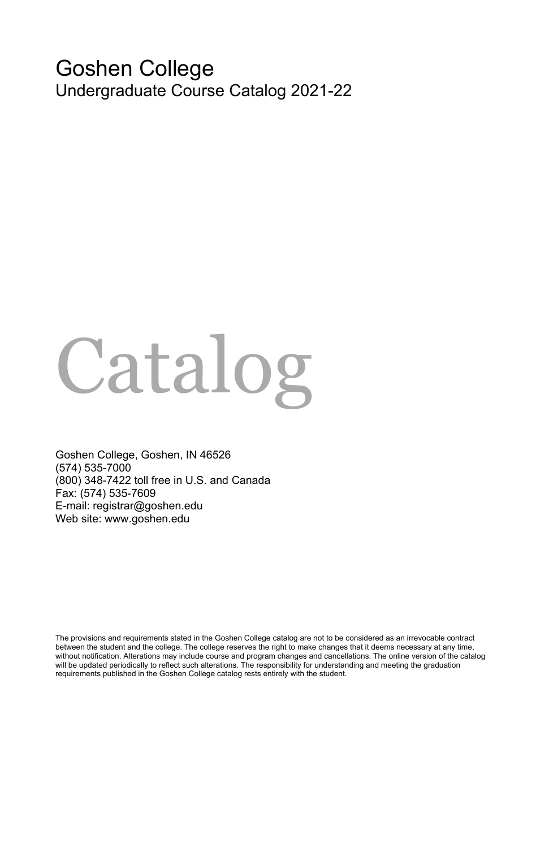# Goshen College Undergraduate Course Catalog 2021-22

# Catalog

Goshen College, Goshen, IN 46526 (574) 535-7000 (800) 348-7422 toll free in U.S. and Canada Fax: (574) 535-7609 E-mail: registrar@goshen.edu Web site: www.goshen.edu

The provisions and requirements stated in the Goshen College catalog are not to be considered as an irrevocable contract between the student and the college. The college reserves the right to make changes that it deems necessary at any time, without notification. Alterations may include course and program changes and cancellations. The online version of the catalog will be updated periodically to reflect such alterations. The responsibility for understanding and meeting the graduation requirements published in the Goshen College catalog rests entirely with the student.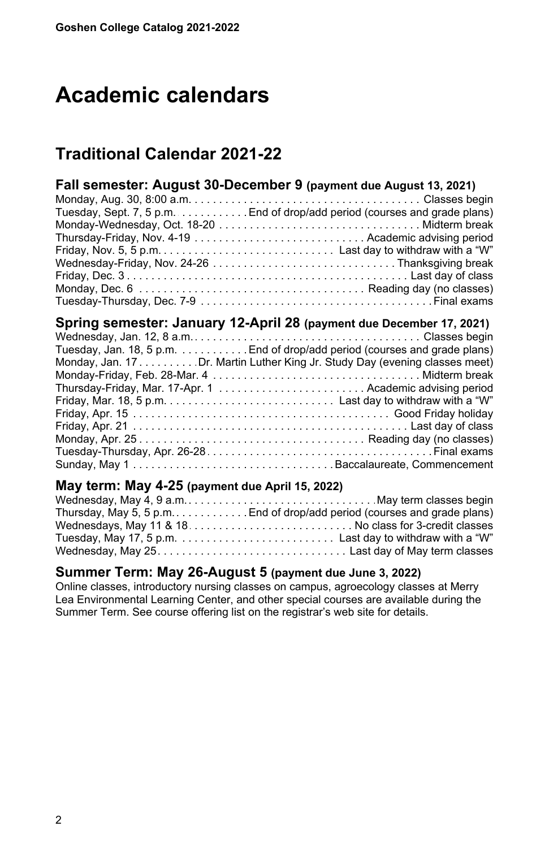# <span id="page-1-0"></span>**Academic calendars**

# **Traditional Calendar 2021-22**

| Fall semester: August 30-December 9 (payment due August 13, 2021) |                                                                           |  |  |  |
|-------------------------------------------------------------------|---------------------------------------------------------------------------|--|--|--|
|                                                                   |                                                                           |  |  |  |
|                                                                   | Tuesday, Sept. 7, 5 p.m. End of drop/add period (courses and grade plans) |  |  |  |
|                                                                   |                                                                           |  |  |  |
|                                                                   |                                                                           |  |  |  |
|                                                                   |                                                                           |  |  |  |
|                                                                   |                                                                           |  |  |  |
|                                                                   |                                                                           |  |  |  |
|                                                                   |                                                                           |  |  |  |
|                                                                   |                                                                           |  |  |  |
|                                                                   | Spring semester: January 12-April 28 (payment due December 17, 2021)      |  |  |  |

| opting occurrent. Canadi y is morn so payment and becomen in, see if         |  |
|------------------------------------------------------------------------------|--|
|                                                                              |  |
| Tuesday, Jan. 18, 5 p.m. End of drop/add period (courses and grade plans)    |  |
| Monday, Jan. 17. Dr. Martin Luther King Jr. Study Day (evening classes meet) |  |
|                                                                              |  |
|                                                                              |  |
|                                                                              |  |
|                                                                              |  |
|                                                                              |  |
|                                                                              |  |
|                                                                              |  |
|                                                                              |  |
|                                                                              |  |

# **May term: May 4-25 (payment due April 15, 2022)**

| Thursday, May 5, 5 p.m. End of drop/add period (courses and grade plans) |
|--------------------------------------------------------------------------|
|                                                                          |
|                                                                          |
|                                                                          |

#### **Summer Term: May 26-August 5 (payment due June 3, 2022)**

Online classes, introductory nursing classes on campus, agroecology classes at Merry Lea Environmental Learning Center, and other special courses are available during the Summer Term. See course offering list on the registrar's web site for details.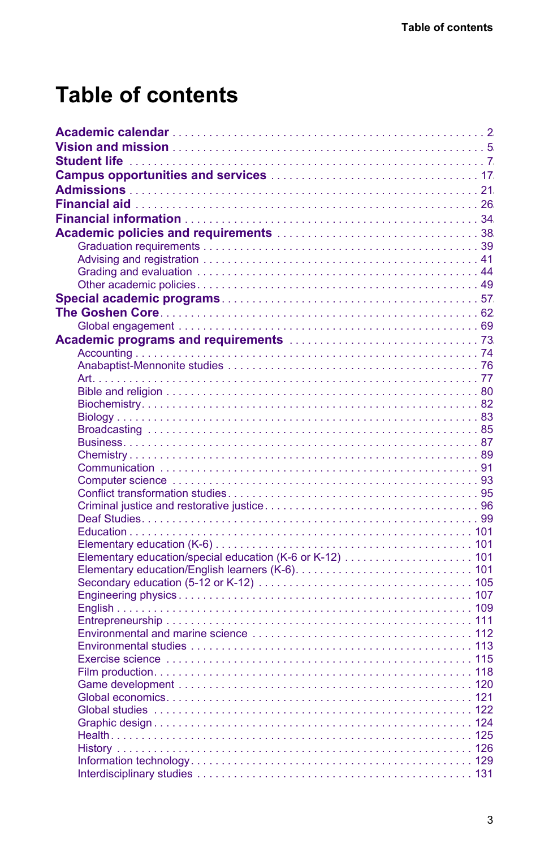# **Table of contents**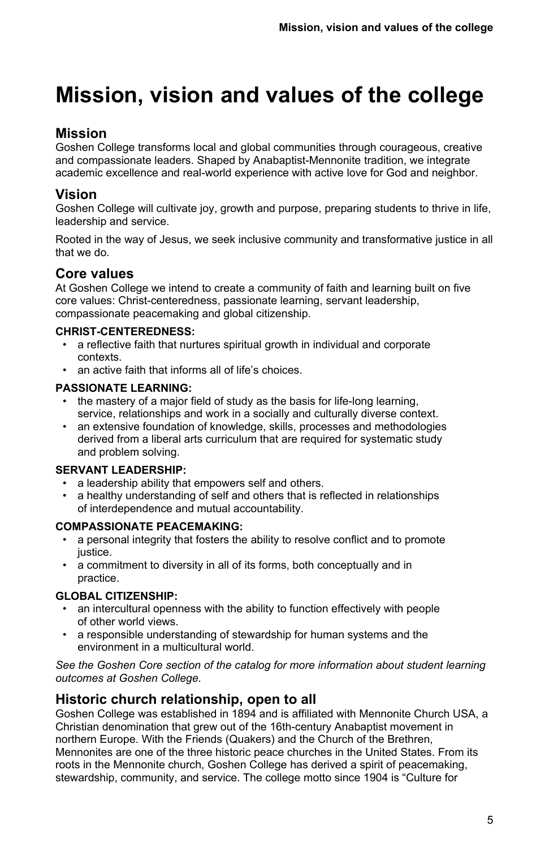# **Mission, vision and values of the college**

# **Mission**

Goshen College transforms local and global communities through courageous, creative and compassionate leaders. Shaped by Anabaptist-Mennonite tradition, we integrate academic excellence and real-world experience with active love for God and neighbor.

# <span id="page-4-0"></span>**Vision**

Goshen College will cultivate joy, growth and purpose, preparing students to thrive in life, leadership and service.

Rooted in the way of Jesus, we seek inclusive community and transformative justice in all that we do.

# **Core values**

At Goshen College we intend to create a community of faith and learning built on five core values: Christ-centeredness, passionate learning, servant leadership, compassionate peacemaking and global citizenship.

#### **CHRIST-CENTEREDNESS:**

- a reflective faith that nurtures spiritual growth in individual and corporate contexts.
- an active faith that informs all of life's choices

#### **PASSIONATE LEARNING:**

- the mastery of a major field of study as the basis for life-long learning, service, relationships and work in a socially and culturally diverse context.
- an extensive foundation of knowledge, skills, processes and methodologies derived from a liberal arts curriculum that are required for systematic study and problem solving.

#### **SERVANT LEADERSHIP:**

- a leadership ability that empowers self and others.
- a healthy understanding of self and others that is reflected in relationships of interdependence and mutual accountability.

#### **COMPASSIONATE PEACEMAKING:**

- a personal integrity that fosters the ability to resolve conflict and to promote justice.
- a commitment to diversity in all of its forms, both conceptually and in practice.

#### **GLOBAL CITIZENSHIP:**

- an intercultural openness with the ability to function effectively with people of other world views.
- a responsible understanding of stewardship for human systems and the environment in a multicultural world.

*See the Goshen Core section of the catalog for more information about student learning outcomes at Goshen College.*

# **Historic church relationship, open to all**

Goshen College was established in 1894 and is affiliated with Mennonite Church USA, a Christian denomination that grew out of the 16th-century Anabaptist movement in northern Europe. With the Friends (Quakers) and the Church of the Brethren, Mennonites are one of the three historic peace churches in the United States. From its roots in the Mennonite church, Goshen College has derived a spirit of peacemaking, stewardship, community, and service. The college motto since 1904 is "Culture for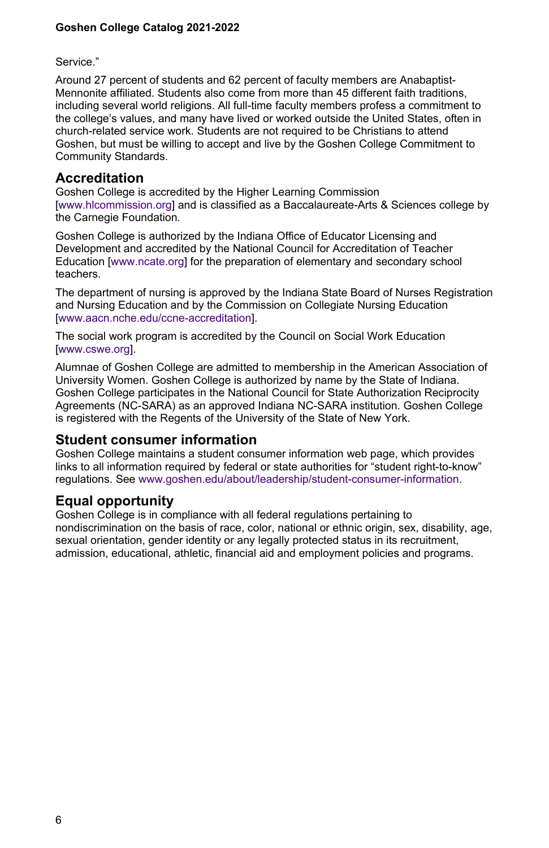Service."

Around 27 percent of students and 62 percent of faculty members are Anabaptist-Mennonite affiliated. Students also come from more than 45 different faith traditions, including several world religions. All full-time faculty members profess a commitment to the college's values, and many have lived or worked outside the United States, often in church-related service work. Students are not required to be Christians to attend Goshen, but must be willing to accept and live by the Goshen College Commitment to Community Standards.

#### **Accreditation**

Goshen College is accredited by the Higher Learning Commission [\[www.hlcommission.org](temp/www.hlcommission.org)] and is classified as a Baccalaureate-Arts & Sciences college by the Carnegie Foundation.

Goshen College is authorized by the Indiana Office of Educator Licensing and Development and accredited by the National Council for Accreditation of Teacher Education [[www.ncate.org\]](temp/www.ncate.org/) for the preparation of elementary and secondary school teachers.

The department of nursing is approved by the Indiana State Board of Nurses Registration and Nursing Education and by the Commission on Collegiate Nursing Education [\[www.aacn.nche.edu/ccne-accreditation](temp/www.aacn.nche.edu/ccne-accreditation)].

The social work program is accredited by the Council on Social Work Education [\[www.cswe.org\]](temp/www.cswe.org/).

Alumnae of Goshen College are admitted to membership in the American Association of University Women. Goshen College is authorized by name by the State of Indiana. Goshen College participates in the National Council for State Authorization Reciprocity Agreements (NC-SARA) as an approved Indiana NC-SARA institution. Goshen College is registered with the Regents of the University of the State of New York.

#### **Student consumer information**

Goshen College maintains a student consumer information web page, which provides links to all information required by federal or state authorities for "student right-to-know" regulations. See [www.goshen.edu/about/leadership/student-consumer-information](temp/www.goshen.edu/about/leadership/student-consumer-information/).

## **Equal opportunity**

Goshen College is in compliance with all federal regulations pertaining to nondiscrimination on the basis of race, color, national or ethnic origin, sex, disability, age, sexual orientation, gender identity or any legally protected status in its recruitment, admission, educational, athletic, financial aid and employment policies and programs.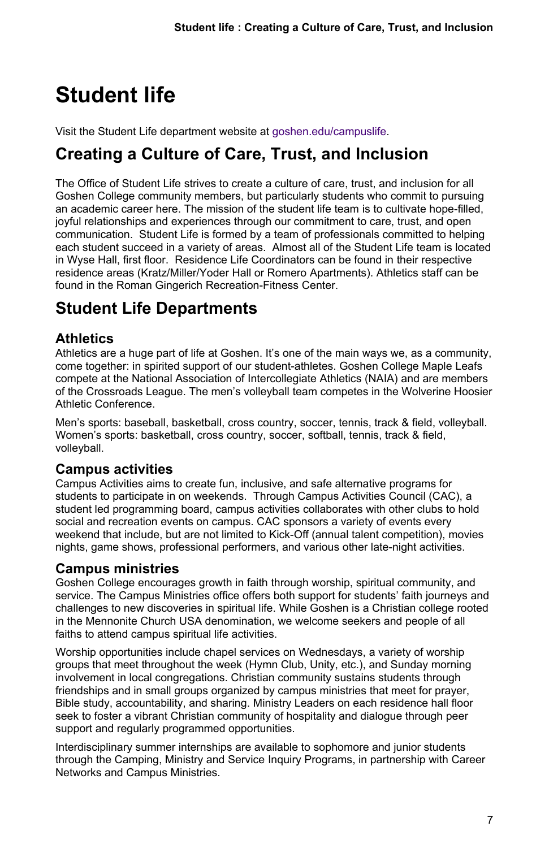# <span id="page-6-0"></span>**Student life**

Visit the Student Life department website at [goshen.edu/campuslife.](https://www.goshen.edu/studentlife/)

# **Creating a Culture of Care, Trust, and Inclusion**

The Office of Student Life strives to create a culture of care, trust, and inclusion for all Goshen College community members, but particularly students who commit to pursuing an academic career here. The mission of the student life team is to cultivate hope-filled, joyful relationships and experiences through our commitment to care, trust, and open communication. Student Life is formed by a team of professionals committed to helping each student succeed in a variety of areas. Almost all of the Student Life team is located in Wyse Hall, first floor. Residence Life Coordinators can be found in their respective residence areas (Kratz/Miller/Yoder Hall or Romero Apartments). Athletics staff can be found in the Roman Gingerich Recreation-Fitness Center.

# **Student Life Departments**

# **Athletics**

Athletics are a huge part of life at Goshen. It's one of the main ways we, as a community, come together: in spirited support of our student-athletes. Goshen College Maple Leafs compete at the National Association of Intercollegiate Athletics (NAIA) and are members of the Crossroads League. The men's volleyball team competes in the Wolverine Hoosier Athletic Conference.

Men's sports: baseball, basketball, cross country, soccer, tennis, track & field, volleyball. Women's sports: basketball, cross country, soccer, softball, tennis, track & field, volleyball.

# **Campus activities**

Campus Activities aims to create fun, inclusive, and safe alternative programs for students to participate in on weekends. Through Campus Activities Council (CAC), a student led programming board, campus activities collaborates with other clubs to hold social and recreation events on campus. CAC sponsors a variety of events every weekend that include, but are not limited to Kick-Off (annual talent competition), movies nights, game shows, professional performers, and various other late-night activities.

# **Campus ministries**

Goshen College encourages growth in faith through worship, spiritual community, and service. The Campus Ministries office offers both support for students' faith journeys and challenges to new discoveries in spiritual life. While Goshen is a Christian college rooted in the Mennonite Church USA denomination, we welcome seekers and people of all faiths to attend campus spiritual life activities.

Worship opportunities include chapel services on Wednesdays, a variety of worship groups that meet throughout the week (Hymn Club, Unity, etc.), and Sunday morning involvement in local congregations. Christian community sustains students through friendships and in small groups organized by campus ministries that meet for prayer, Bible study, accountability, and sharing. Ministry Leaders on each residence hall floor seek to foster a vibrant Christian community of hospitality and dialogue through peer support and regularly programmed opportunities.

Interdisciplinary summer internships are available to sophomore and junior students through the Camping, Ministry and Service Inquiry Programs, in partnership with Career Networks and Campus Ministries.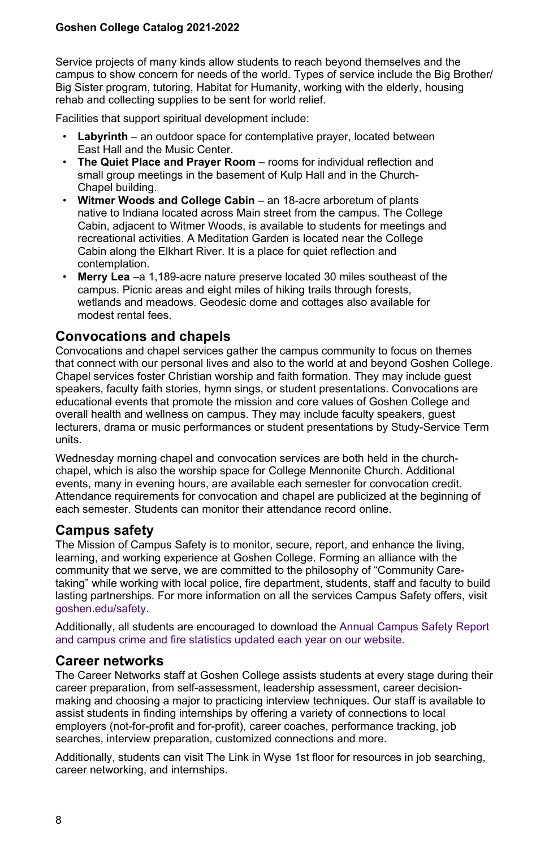Service projects of many kinds allow students to reach beyond themselves and the campus to show concern for needs of the world. Types of service include the Big Brother/ Big Sister program, tutoring, Habitat for Humanity, working with the elderly, housing rehab and collecting supplies to be sent for world relief.

Facilities that support spiritual development include:

- **Labyrinth** an outdoor space for contemplative prayer, located between East Hall and the Music Center.
- **The Quiet Place and Prayer Room** rooms for individual reflection and small group meetings in the basement of Kulp Hall and in the Church-Chapel building.
- **Witmer Woods and College Cabin** an 18-acre arboretum of plants native to Indiana located across Main street from the campus. The College Cabin, adjacent to Witmer Woods, is available to students for meetings and recreational activities. A Meditation Garden is located near the College Cabin along the Elkhart River. It is a place for quiet reflection and contemplation.
- **Merry Lea** –a 1,189-acre nature preserve located 30 miles southeast of the campus. Picnic areas and eight miles of hiking trails through forests, wetlands and meadows. Geodesic dome and cottages also available for modest rental fees.

#### **Convocations and chapels**

Convocations and chapel services gather the campus community to focus on themes that connect with our personal lives and also to the world at and beyond Goshen College. Chapel services foster Christian worship and faith formation. They may include guest speakers, faculty faith stories, hymn sings, or student presentations. Convocations are educational events that promote the mission and core values of Goshen College and overall health and wellness on campus. They may include faculty speakers, guest lecturers, drama or music performances or student presentations by Study-Service Term units.

Wednesday morning chapel and convocation services are both held in the churchchapel, which is also the worship space for College Mennonite Church. Additional events, many in evening hours, are available each semester for convocation credit. Attendance requirements for convocation and chapel are publicized at the beginning of each semester. Students can monitor their attendance record online.

#### **Campus safety**

The Mission of Campus Safety is to monitor, secure, report, and enhance the living, learning, and working experience at Goshen College. Forming an alliance with the community that we serve, we are committed to the philosophy of "Community Caretaking" while working with local police, fire department, students, staff and faculty to build lasting partnerships. For more information on all the services Campus Safety offers, visit [goshen.edu/safety](https://www.goshen.edu/safety/).

Additionally, all students are encouraged to download the [Annual Campus Safety Report](https://drive.google.com/file/d/1OkZXky-aLIFjwMZVE2WCqKQhhGRyGJDL/view?usp=sharing) [and campus crime and fire statistics updated each year on our website.](https://drive.google.com/file/d/1OkZXky-aLIFjwMZVE2WCqKQhhGRyGJDL/view?usp=sharing)

#### **Career networks**

The Career Networks staff at Goshen College assists students at every stage during their career preparation, from self-assessment, leadership assessment, career decisionmaking and choosing a major to practicing interview techniques. Our staff is available to assist students in finding internships by offering a variety of connections to local employers (not-for-profit and for-profit), career coaches, performance tracking, job searches, interview preparation, customized connections and more.

Additionally, students can visit The Link in Wyse 1st floor for resources in job searching, career networking, and internships.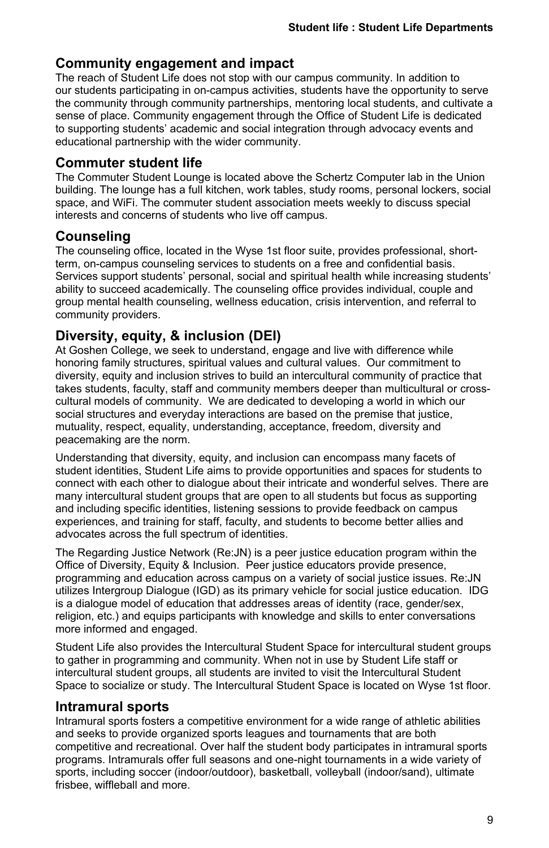# **Community engagement and impact**

The reach of Student Life does not stop with our campus community. In addition to our students participating in on-campus activities, students have the opportunity to serve the community through community partnerships, mentoring local students, and cultivate a sense of place. Community engagement through the Office of Student Life is dedicated to supporting students' academic and social integration through advocacy events and educational partnership with the wider community.

## **Commuter student life**

The Commuter Student Lounge is located above the Schertz Computer lab in the Union building. The lounge has a full kitchen, work tables, study rooms, personal lockers, social space, and WiFi. The commuter student association meets weekly to discuss special interests and concerns of students who live off campus.

# **Counseling**

The counseling office, located in the Wyse 1st floor suite, provides professional, shortterm, on-campus counseling services to students on a free and confidential basis. Services support students' personal, social and spiritual health while increasing students' ability to succeed academically. The counseling office provides individual, couple and group mental health counseling, wellness education, crisis intervention, and referral to community providers.

# **Diversity, equity, & inclusion (DEI)**

At Goshen College, we seek to understand, engage and live with difference while honoring family structures, spiritual values and cultural values. Our commitment to diversity, equity and inclusion strives to build an intercultural community of practice that takes students, faculty, staff and community members deeper than multicultural or crosscultural models of community. We are dedicated to developing a world in which our social structures and everyday interactions are based on the premise that justice, mutuality, respect, equality, understanding, acceptance, freedom, diversity and peacemaking are the norm.

Understanding that diversity, equity, and inclusion can encompass many facets of student identities, Student Life aims to provide opportunities and spaces for students to connect with each other to dialogue about their intricate and wonderful selves. There are many intercultural student groups that are open to all students but focus as supporting and including specific identities, listening sessions to provide feedback on campus experiences, and training for staff, faculty, and students to become better allies and advocates across the full spectrum of identities.

The Regarding Justice Network (Re:JN) is a peer justice education program within the Office of Diversity, Equity & Inclusion. Peer justice educators provide presence, programming and education across campus on a variety of social justice issues. Re:JN utilizes Intergroup Dialogue (IGD) as its primary vehicle for social justice education. IDG is a dialogue model of education that addresses areas of identity (race, gender/sex, religion, etc.) and equips participants with knowledge and skills to enter conversations more informed and engaged.

Student Life also provides the Intercultural Student Space for intercultural student groups to gather in programming and community. When not in use by Student Life staff or intercultural student groups, all students are invited to visit the Intercultural Student Space to socialize or study. The Intercultural Student Space is located on Wyse 1st floor.

## **Intramural sports**

Intramural sports fosters a competitive environment for a wide range of athletic abilities and seeks to provide organized sports leagues and tournaments that are both competitive and recreational. Over half the student body participates in intramural sports programs. Intramurals offer full seasons and one-night tournaments in a wide variety of sports, including soccer (indoor/outdoor), basketball, volleyball (indoor/sand), ultimate frisbee, wiffleball and more.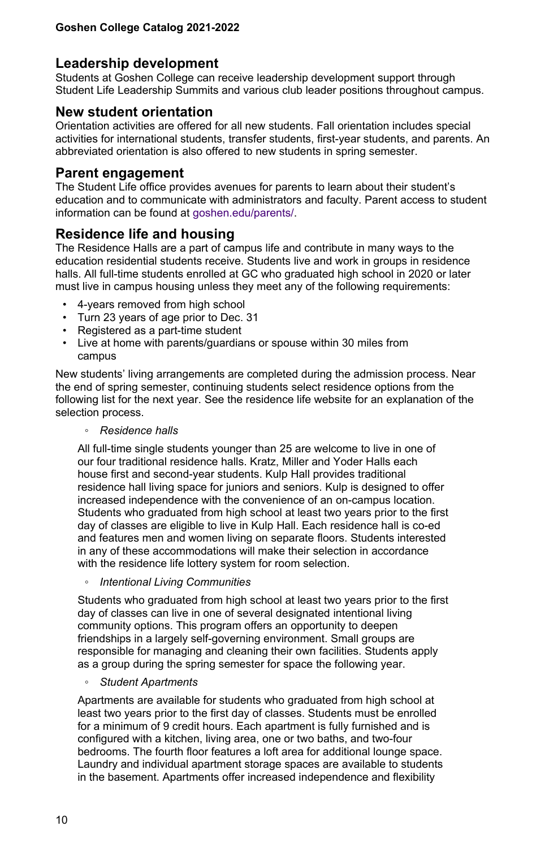## **Leadership development**

Students at Goshen College can receive leadership development support through Student Life Leadership Summits and various club leader positions throughout campus.

## **New student orientation**

Orientation activities are offered for all new students. Fall orientation includes special activities for international students, transfer students, first-year students, and parents. An abbreviated orientation is also offered to new students in spring semester.

#### **Parent engagement**

The Student Life office provides avenues for parents to learn about their student's education and to communicate with administrators and faculty. Parent access to student information can be found at [goshen.edu/parents/](https://www.goshen.edu/admitted/parents/).

# **Residence life and housing**

The Residence Halls are a part of campus life and contribute in many ways to the education residential students receive. Students live and work in groups in residence halls. All full-time students enrolled at GC who graduated high school in 2020 or later must live in campus housing unless they meet any of the following requirements:

- 4-years removed from high school
- Turn 23 years of age prior to Dec. 31
- Registered as a part-time student
- Live at home with parents/guardians or spouse within 30 miles from campus

New students' living arrangements are completed during the admission process. Near the end of spring semester, continuing students select residence options from the following list for the next year. See the residence life website for an explanation of the selection process.

#### ◦ *Residence halls*

All full-time single students younger than 25 are welcome to live in one of our four traditional residence halls. Kratz, Miller and Yoder Halls each house first and second-year students. Kulp Hall provides traditional residence hall living space for juniors and seniors. Kulp is designed to offer increased independence with the convenience of an on-campus location. Students who graduated from high school at least two years prior to the first day of classes are eligible to live in Kulp Hall. Each residence hall is co-ed and features men and women living on separate floors. Students interested in any of these accommodations will make their selection in accordance with the residence life lottery system for room selection.

◦ *Intentional Living Communities*

Students who graduated from high school at least two years prior to the first day of classes can live in one of several designated intentional living community options. This program offers an opportunity to deepen friendships in a largely self-governing environment. Small groups are responsible for managing and cleaning their own facilities. Students apply as a group during the spring semester for space the following year.

◦ *Student Apartments*

Apartments are available for students who graduated from high school at least two years prior to the first day of classes. Students must be enrolled for a minimum of 9 credit hours. Each apartment is fully furnished and is configured with a kitchen, living area, one or two baths, and two-four bedrooms. The fourth floor features a loft area for additional lounge space. Laundry and individual apartment storage spaces are available to students in the basement. Apartments offer increased independence and flexibility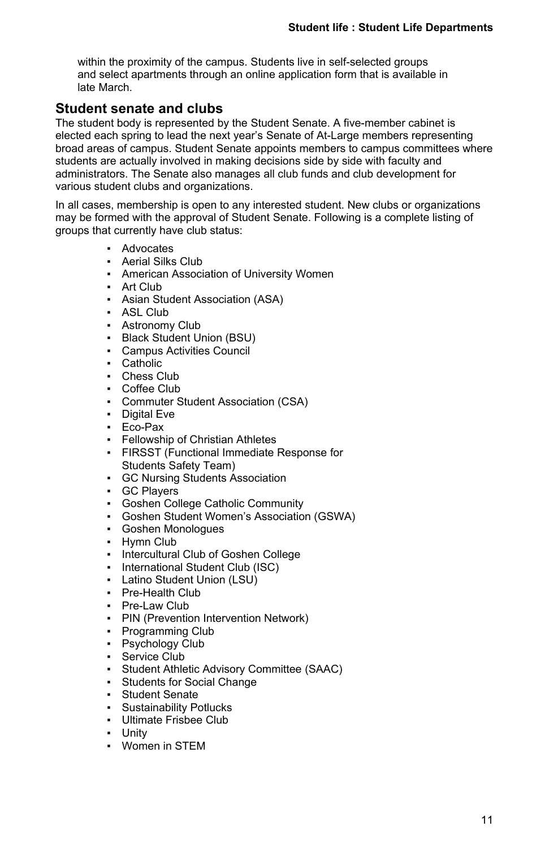within the proximity of the campus. Students live in self-selected groups and select apartments through an online application form that is available in late March.

## **Student senate and clubs**

The student body is represented by the Student Senate. A five-member cabinet is elected each spring to lead the next year's Senate of At-Large members representing broad areas of campus. Student Senate appoints members to campus committees where students are actually involved in making decisions side by side with faculty and administrators. The Senate also manages all club funds and club development for various student clubs and organizations.

In all cases, membership is open to any interested student. New clubs or organizations may be formed with the approval of Student Senate. Following is a complete listing of groups that currently have club status:

- Advocates
- **Aerial Silks Club**
- **American Association of University Women**
- Art Club
- **Asian Student Association (ASA)**
- ASL Club
- **Astronomy Club**
- Black Student Union (BSU)
- **Campus Activities Council**
- Catholic
- Chess Club
- Coffee Club
- **Commuter Student Association (CSA)**
- Digital Eve
- Eco-Pax
- **Fellowship of Christian Athletes**
- **FIRSST (Functional Immediate Response for** Students Safety Team)
- GC Nursing Students Association
- GC Players
- Goshen College Catholic Community
- Goshen Student Women's Association (GSWA)
- Goshen Monologues
- Hymn Club
- Intercultural Club of Goshen College
- International Student Club (ISC)
- Latino Student Union (LSU)
- Pre-Health Club
- Pre-Law Club
- **PIN (Prevention Intervention Network)**
- Programming Club
- Psychology Club
- Service Club
- Student Athletic Advisory Committee (SAAC)
- **Students for Social Change**
- Student Senate
- **Sustainability Potlucks**
- Ultimate Frisbee Club
- Unity
- Women in STEM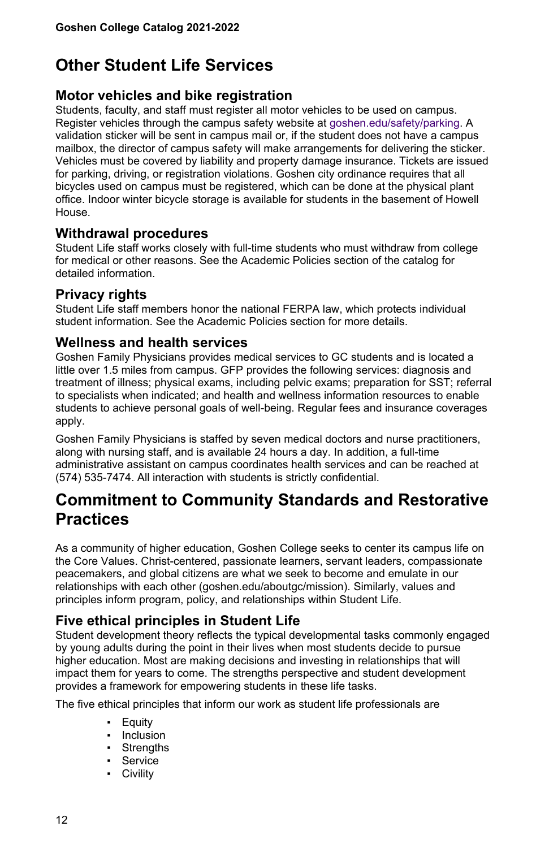# **Other Student Life Services**

## **Motor vehicles and bike registration**

Students, faculty, and staff must register all motor vehicles to be used on campus. Register vehicles through the campus safety website at [goshen.edu/safety/parking.](https://www.goshen.edu/safety/parking/) A validation sticker will be sent in campus mail or, if the student does not have a campus mailbox, the director of campus safety will make arrangements for delivering the sticker. Vehicles must be covered by liability and property damage insurance. Tickets are issued for parking, driving, or registration violations. Goshen city ordinance requires that all bicycles used on campus must be registered, which can be done at the physical plant office. Indoor winter bicycle storage is available for students in the basement of Howell House.

## **Withdrawal procedures**

Student Life staff works closely with full-time students who must withdraw from college for medical or other reasons. See the Academic Policies section of the catalog for detailed information.

## **Privacy rights**

Student Life staff members honor the national FERPA law, which protects individual student information. See the Academic Policies section for more details.

#### **Wellness and health services**

Goshen Family Physicians provides medical services to GC students and is located a little over 1.5 miles from campus. GFP provides the following services: diagnosis and treatment of illness; physical exams, including pelvic exams; preparation for SST; referral to specialists when indicated; and health and wellness information resources to enable students to achieve personal goals of well-being. Regular fees and insurance coverages apply.

Goshen Family Physicians is staffed by seven medical doctors and nurse practitioners, along with nursing staff, and is available 24 hours a day. In addition, a full-time administrative assistant on campus coordinates health services and can be reached at (574) 535-7474. All interaction with students is strictly confidential.

# **Commitment to Community Standards and Restorative Practices**

As a community of higher education, Goshen College seeks to center its campus life on the Core Values. Christ-centered, passionate learners, servant leaders, compassionate peacemakers, and global citizens are what we seek to become and emulate in our relationships with each other (goshen.edu/aboutgc/mission). Similarly, values and principles inform program, policy, and relationships within Student Life.

# **Five ethical principles in Student Life**

Student development theory reflects the typical developmental tasks commonly engaged by young adults during the point in their lives when most students decide to pursue higher education. Most are making decisions and investing in relationships that will impact them for years to come. The strengths perspective and student development provides a framework for empowering students in these life tasks.

The five ethical principles that inform our work as student life professionals are

- Equity
- Inclusion
- Strengths
- Service
- Civility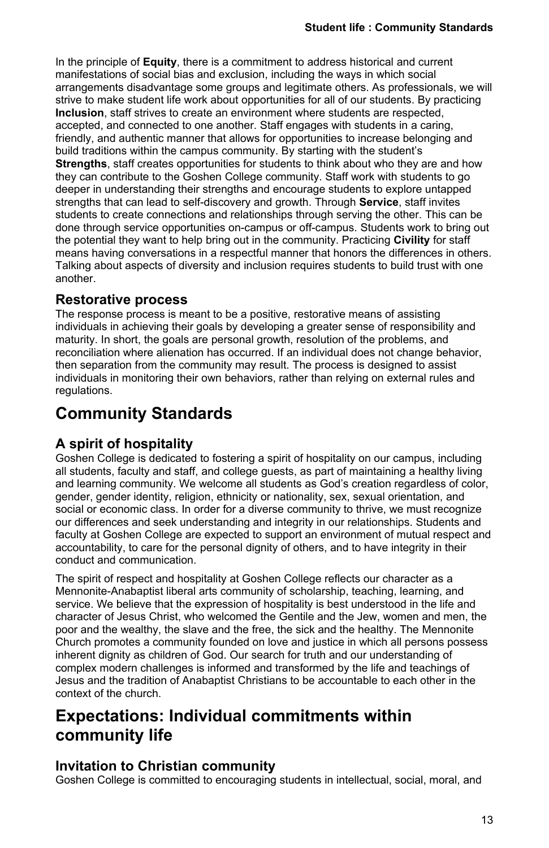In the principle of **Equity**, there is a commitment to address historical and current manifestations of social bias and exclusion, including the ways in which social arrangements disadvantage some groups and legitimate others. As professionals, we will strive to make student life work about opportunities for all of our students. By practicing **Inclusion**, staff strives to create an environment where students are respected, accepted, and connected to one another. Staff engages with students in a caring, friendly, and authentic manner that allows for opportunities to increase belonging and build traditions within the campus community. By starting with the student's **Strengths**, staff creates opportunities for students to think about who they are and how they can contribute to the Goshen College community. Staff work with students to go deeper in understanding their strengths and encourage students to explore untapped strengths that can lead to self-discovery and growth. Through **Service**, staff invites students to create connections and relationships through serving the other. This can be done through service opportunities on-campus or off-campus. Students work to bring out the potential they want to help bring out in the community. Practicing **Civility** for staff means having conversations in a respectful manner that honors the differences in others. Talking about aspects of diversity and inclusion requires students to build trust with one another.

## **Restorative process**

The response process is meant to be a positive, restorative means of assisting individuals in achieving their goals by developing a greater sense of responsibility and maturity. In short, the goals are personal growth, resolution of the problems, and reconciliation where alienation has occurred. If an individual does not change behavior, then separation from the community may result. The process is designed to assist individuals in monitoring their own behaviors, rather than relying on external rules and regulations.

# **Community Standards**

# **A spirit of hospitality**

Goshen College is dedicated to fostering a spirit of hospitality on our campus, including all students, faculty and staff, and college guests, as part of maintaining a healthy living and learning community. We welcome all students as God's creation regardless of color, gender, gender identity, religion, ethnicity or nationality, sex, sexual orientation, and social or economic class. In order for a diverse community to thrive, we must recognize our differences and seek understanding and integrity in our relationships. Students and faculty at Goshen College are expected to support an environment of mutual respect and accountability, to care for the personal dignity of others, and to have integrity in their conduct and communication.

The spirit of respect and hospitality at Goshen College reflects our character as a Mennonite-Anabaptist liberal arts community of scholarship, teaching, learning, and service. We believe that the expression of hospitality is best understood in the life and character of Jesus Christ, who welcomed the Gentile and the Jew, women and men, the poor and the wealthy, the slave and the free, the sick and the healthy. The Mennonite Church promotes a community founded on love and justice in which all persons possess inherent dignity as children of God. Our search for truth and our understanding of complex modern challenges is informed and transformed by the life and teachings of Jesus and the tradition of Anabaptist Christians to be accountable to each other in the context of the church.

# **Expectations: Individual commitments within community life**

# **Invitation to Christian community**

Goshen College is committed to encouraging students in intellectual, social, moral, and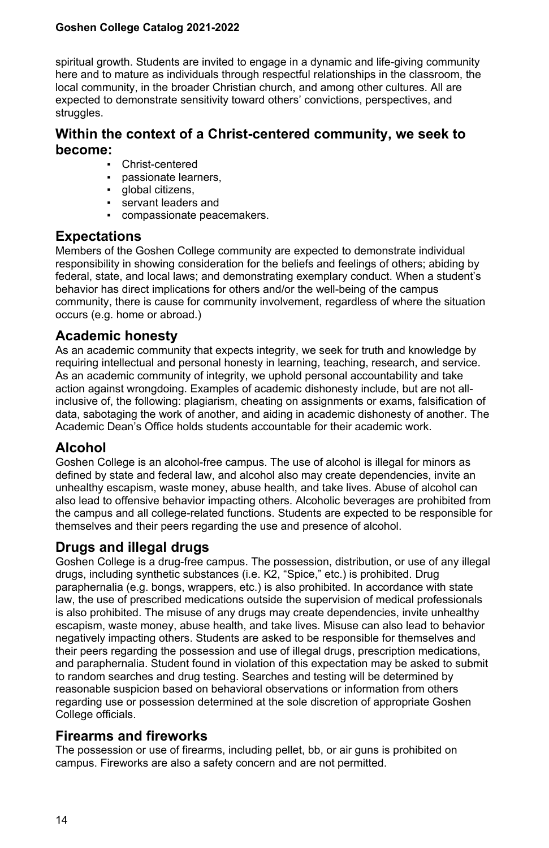spiritual growth. Students are invited to engage in a dynamic and life-giving community here and to mature as individuals through respectful relationships in the classroom, the local community, in the broader Christian church, and among other cultures. All are expected to demonstrate sensitivity toward others' convictions, perspectives, and struggles.

## **Within the context of a Christ-centered community, we seek to become:**

- Christ-centered
- passionate learners.
- alobal citizens.
- servant leaders and
- compassionate peacemakers.

## **Expectations**

Members of the Goshen College community are expected to demonstrate individual responsibility in showing consideration for the beliefs and feelings of others; abiding by federal, state, and local laws; and demonstrating exemplary conduct. When a student's behavior has direct implications for others and/or the well-being of the campus community, there is cause for community involvement, regardless of where the situation occurs (e.g. home or abroad.)

## **Academic honesty**

As an academic community that expects integrity, we seek for truth and knowledge by requiring intellectual and personal honesty in learning, teaching, research, and service. As an academic community of integrity, we uphold personal accountability and take action against wrongdoing. Examples of academic dishonesty include, but are not allinclusive of, the following: plagiarism, cheating on assignments or exams, falsification of data, sabotaging the work of another, and aiding in academic dishonesty of another. The Academic Dean's Office holds students accountable for their academic work.

# **Alcohol**

Goshen College is an alcohol-free campus. The use of alcohol is illegal for minors as defined by state and federal law, and alcohol also may create dependencies, invite an unhealthy escapism, waste money, abuse health, and take lives. Abuse of alcohol can also lead to offensive behavior impacting others. Alcoholic beverages are prohibited from the campus and all college-related functions. Students are expected to be responsible for themselves and their peers regarding the use and presence of alcohol.

## **Drugs and illegal drugs**

Goshen College is a drug-free campus. The possession, distribution, or use of any illegal drugs, including synthetic substances (i.e. K2, "Spice," etc.) is prohibited. Drug paraphernalia (e.g. bongs, wrappers, etc.) is also prohibited. In accordance with state law, the use of prescribed medications outside the supervision of medical professionals is also prohibited. The misuse of any drugs may create dependencies, invite unhealthy escapism, waste money, abuse health, and take lives. Misuse can also lead to behavior negatively impacting others. Students are asked to be responsible for themselves and their peers regarding the possession and use of illegal drugs, prescription medications, and paraphernalia. Student found in violation of this expectation may be asked to submit to random searches and drug testing. Searches and testing will be determined by reasonable suspicion based on behavioral observations or information from others regarding use or possession determined at the sole discretion of appropriate Goshen College officials.

# **Firearms and fireworks**

The possession or use of firearms, including pellet, bb, or air guns is prohibited on campus. Fireworks are also a safety concern and are not permitted.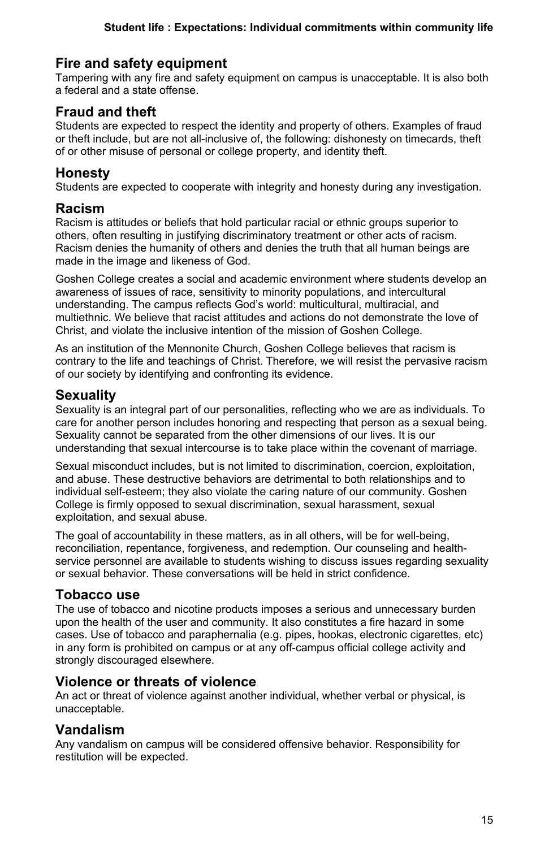# **Fire and safety equipment**

Tampering with any fire and safety equipment on campus is unacceptable. It is also both a federal and a state offense.

# **Fraud and theft**

Students are expected to respect the identity and property of others. Examples of fraud or theft include, but are not all-inclusive of, the following: dishonesty on timecards, theft of or other misuse of personal or college property, and identity theft.

# **Honesty**

Students are expected to cooperate with integrity and honesty during any investigation.

## **Racism**

Racism is attitudes or beliefs that hold particular racial or ethnic groups superior to others, often resulting in justifying discriminatory treatment or other acts of racism. Racism denies the humanity of others and denies the truth that all human beings are made in the image and likeness of God.

Goshen College creates a social and academic environment where students develop an awareness of issues of race, sensitivity to minority populations, and intercultural understanding. The campus reflects God's world: multicultural, multiracial, and multiethnic. We believe that racist attitudes and actions do not demonstrate the love of Christ, and violate the inclusive intention of the mission of Goshen College.

As an institution of the Mennonite Church, Goshen College believes that racism is contrary to the life and teachings of Christ. Therefore, we will resist the pervasive racism of our society by identifying and confronting its evidence.

# **Sexuality**

Sexuality is an integral part of our personalities, reflecting who we are as individuals. To care for another person includes honoring and respecting that person as a sexual being. Sexuality cannot be separated from the other dimensions of our lives. It is our understanding that sexual intercourse is to take place within the covenant of marriage.

Sexual misconduct includes, but is not limited to discrimination, coercion, exploitation, and abuse. These destructive behaviors are detrimental to both relationships and to individual self-esteem; they also violate the caring nature of our community. Goshen College is firmly opposed to sexual discrimination, sexual harassment, sexual exploitation, and sexual abuse.

The goal of accountability in these matters, as in all others, will be for well-being, reconciliation, repentance, forgiveness, and redemption. Our counseling and healthservice personnel are available to students wishing to discuss issues regarding sexuality or sexual behavior. These conversations will be held in strict confidence.

# **Tobacco use**

The use of tobacco and nicotine products imposes a serious and unnecessary burden upon the health of the user and community. It also constitutes a fire hazard in some cases. Use of tobacco and paraphernalia (e.g. pipes, hookas, electronic cigarettes, etc) in any form is prohibited on campus or at any off-campus official college activity and strongly discouraged elsewhere.

# **Violence or threats of violence**

An act or threat of violence against another individual, whether verbal or physical, is unacceptable.

# **Vandalism**

Any vandalism on campus will be considered offensive behavior. Responsibility for restitution will be expected.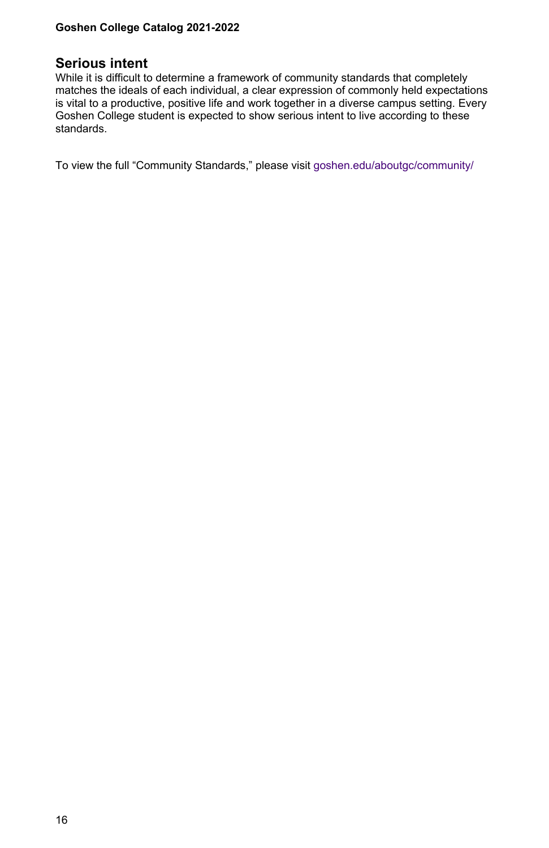#### **Serious intent**

While it is difficult to determine a framework of community standards that completely matches the ideals of each individual, a clear expression of commonly held expectations is vital to a productive, positive life and work together in a diverse campus setting. Every Goshen College student is expected to show serious intent to live according to these standards.

To view the full "Community Standards," please visit [goshen.edu/aboutgc/community/](https://www.goshen.edu/aboutgc/community/)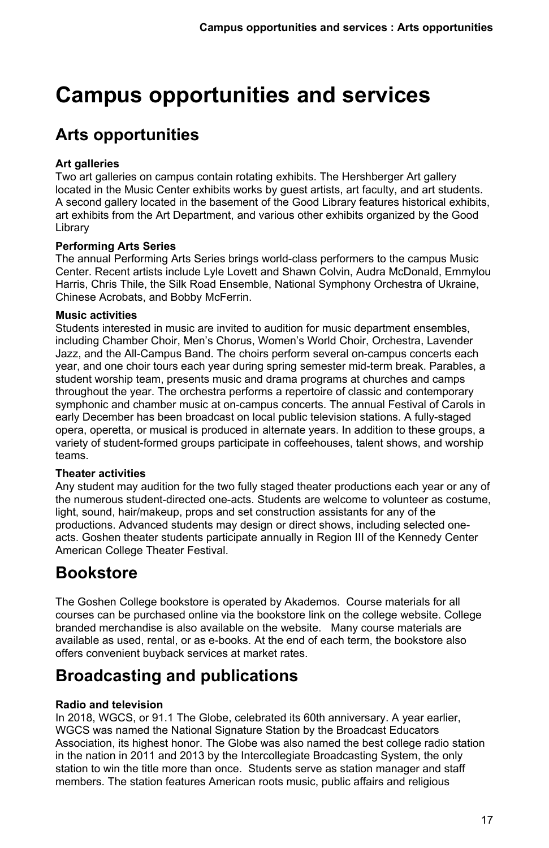# <span id="page-16-0"></span>**Campus opportunities and services**

# **Arts opportunities**

### **Art galleries**

Two art galleries on campus contain rotating exhibits. The Hershberger Art gallery located in the Music Center exhibits works by guest artists, art faculty, and art students. A second gallery located in the basement of the Good Library features historical exhibits, art exhibits from the Art Department, and various other exhibits organized by the Good Library

#### **Performing Arts Series**

The annual Performing Arts Series brings world-class performers to the campus Music Center. Recent artists include Lyle Lovett and Shawn Colvin, Audra McDonald, Emmylou Harris, Chris Thile, the Silk Road Ensemble, National Symphony Orchestra of Ukraine, Chinese Acrobats, and Bobby McFerrin.

#### **Music activities**

Students interested in music are invited to audition for music department ensembles, including Chamber Choir, Men's Chorus, Women's World Choir, Orchestra, Lavender Jazz, and the All-Campus Band. The choirs perform several on-campus concerts each year, and one choir tours each year during spring semester mid-term break. Parables, a student worship team, presents music and drama programs at churches and camps throughout the year. The orchestra performs a repertoire of classic and contemporary symphonic and chamber music at on-campus concerts. The annual Festival of Carols in early December has been broadcast on local public television stations. A fully-staged opera, operetta, or musical is produced in alternate years. In addition to these groups, a variety of student-formed groups participate in coffeehouses, talent shows, and worship teams.

#### **Theater activities**

Any student may audition for the two fully staged theater productions each year or any of the numerous student-directed one-acts. Students are welcome to volunteer as costume, light, sound, hair/makeup, props and set construction assistants for any of the productions. Advanced students may design or direct shows, including selected oneacts. Goshen theater students participate annually in Region III of the Kennedy Center American College Theater Festival.

# **Bookstore**

The Goshen College bookstore is operated by Akademos. Course materials for all courses can be purchased online via the bookstore link on the college website. College branded merchandise is also available on the website. Many course materials are available as used, rental, or as e-books. At the end of each term, the bookstore also offers convenient buyback services at market rates.

# **Broadcasting and publications**

#### **Radio and television**

In 2018, WGCS, or 91.1 The Globe, celebrated its 60th anniversary. A year earlier, WGCS was named the National Signature Station by the Broadcast Educators Association, its highest honor. The Globe was also named the best college radio station in the nation in 2011 and 2013 by the Intercollegiate Broadcasting System, the only station to win the title more than once. Students serve as station manager and staff members. The station features American roots music, public affairs and religious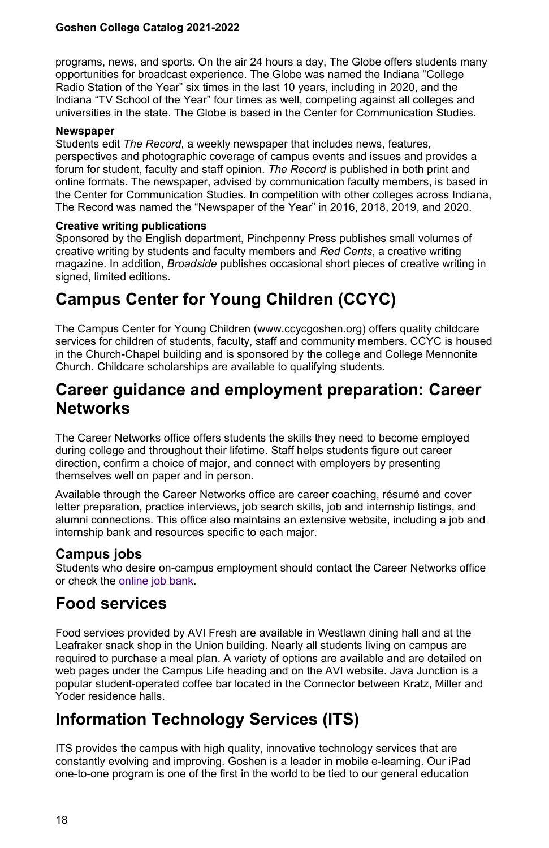programs, news, and sports. On the air 24 hours a day, The Globe offers students many opportunities for broadcast experience. The Globe was named the Indiana "College Radio Station of the Year" six times in the last 10 years, including in 2020, and the Indiana "TV School of the Year" four times as well, competing against all colleges and universities in the state. The Globe is based in the Center for Communication Studies.

#### **Newspaper**

Students edit *The Record*, a weekly newspaper that includes news, features, perspectives and photographic coverage of campus events and issues and provides a forum for student, faculty and staff opinion. *The Record* is published in both print and online formats. The newspaper, advised by communication faculty members, is based in the Center for Communication Studies. In competition with other colleges across Indiana, The Record was named the "Newspaper of the Year" in 2016, 2018, 2019, and 2020.

#### **Creative writing publications**

Sponsored by the English department, Pinchpenny Press publishes small volumes of creative writing by students and faculty members and *Red Cents*, a creative writing magazine. In addition, *Broadside* publishes occasional short pieces of creative writing in signed, limited editions.

# **Campus Center for Young Children (CCYC)**

The Campus Center for Young Children (www.ccycgoshen.org) offers quality childcare services for children of students, faculty, staff and community members. CCYC is housed in the Church-Chapel building and is sponsored by the college and College Mennonite Church. Childcare scholarships are available to qualifying students.

# **Career guidance and employment preparation: Career Networks**

The Career Networks office offers students the skills they need to become employed during college and throughout their lifetime. Staff helps students figure out career direction, confirm a choice of major, and connect with employers by presenting themselves well on paper and in person.

Available through the Career Networks office are career coaching, résumé and cover letter preparation, practice interviews, job search skills, job and internship listings, and alumni connections. This office also maintains an extensive website, including a job and internship bank and resources specific to each major.

# **Campus jobs**

Students who desire on-campus employment should contact the Career Networks office or check the [online job bank.](https://www.goshen.edu/jobs/)

# **Food services**

Food services provided by AVI Fresh are available in Westlawn dining hall and at the Leafraker snack shop in the Union building. Nearly all students living on campus are required to purchase a meal plan. A variety of options are available and are detailed on web pages under the Campus Life heading and on the AVI website. Java Junction is a popular student-operated coffee bar located in the Connector between Kratz, Miller and Yoder residence halls.

# **Information Technology Services (ITS)**

ITS provides the campus with high quality, innovative technology services that are constantly evolving and improving. Goshen is a leader in mobile e-learning. Our iPad one-to-one program is one of the first in the world to be tied to our general education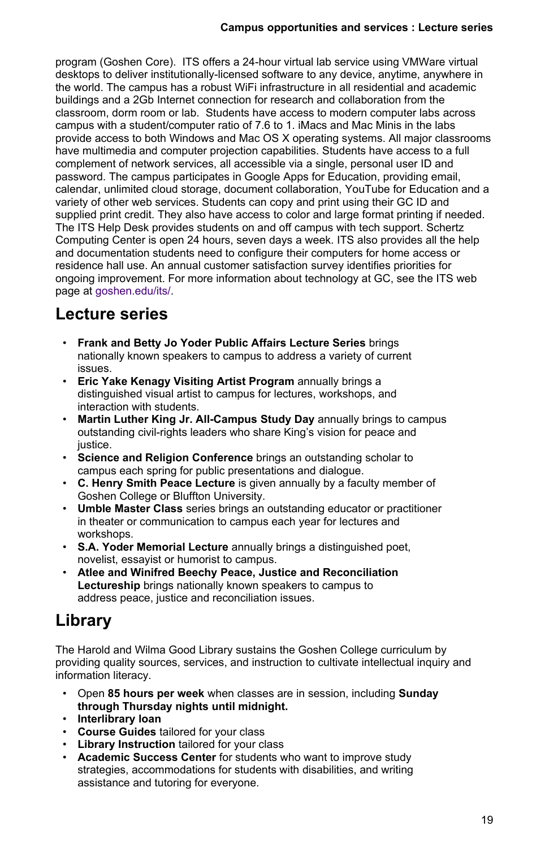program (Goshen Core). ITS offers a 24-hour virtual lab service using VMWare virtual desktops to deliver institutionally-licensed software to any device, anytime, anywhere in the world. The campus has a robust WiFi infrastructure in all residential and academic buildings and a 2Gb Internet connection for research and collaboration from the classroom, dorm room or lab. Students have access to modern computer labs across campus with a student/computer ratio of 7.6 to 1. iMacs and Mac Minis in the labs provide access to both Windows and Mac OS X operating systems. All major classrooms have multimedia and computer projection capabilities. Students have access to a full complement of network services, all accessible via a single, personal user ID and password. The campus participates in Google Apps for Education, providing email, calendar, unlimited cloud storage, document collaboration, YouTube for Education and a variety of other web services. Students can copy and print using their GC ID and supplied print credit. They also have access to color and large format printing if needed. The ITS Help Desk provides students on and off campus with tech support. Schertz Computing Center is open 24 hours, seven days a week. ITS also provides all the help and documentation students need to configure their computers for home access or residence hall use. An annual customer satisfaction survey identifies priorities for ongoing improvement. For more information about technology at GC, see the ITS web page at [goshen.edu/its/](https://www.goshen.edu/its/).

# **Lecture series**

- **Frank and Betty Jo Yoder Public Affairs Lecture Series** brings nationally known speakers to campus to address a variety of current issues.
- **Eric Yake Kenagy Visiting Artist Program** annually brings a distinguished visual artist to campus for lectures, workshops, and interaction with students.
- **Martin Luther King Jr. All-Campus Study Day** annually brings to campus outstanding civil-rights leaders who share King's vision for peace and justice.
- **Science and Religion Conference** brings an outstanding scholar to campus each spring for public presentations and dialogue.
- **C. Henry Smith Peace Lecture** is given annually by a faculty member of Goshen College or Bluffton University.
- **Umble Master Class** series brings an outstanding educator or practitioner in theater or communication to campus each year for lectures and workshops.
- **S.A. Yoder Memorial Lecture** annually brings a distinguished poet, novelist, essayist or humorist to campus.
- **Atlee and Winifred Beechy Peace, Justice and Reconciliation Lectureship** brings nationally known speakers to campus to address peace, justice and reconciliation issues.

# **Library**

The Harold and Wilma Good Library sustains the Goshen College curriculum by providing quality sources, services, and instruction to cultivate intellectual inquiry and information literacy.

- Open **85 hours per week** when classes are in session, including **Sunday through Thursday nights until midnight.**
- **Interlibrary loan**
- **Course Guides** tailored for your class
- **Library Instruction** tailored for your class
- **Academic Success Center** for students who want to improve study strategies, accommodations for students with disabilities, and writing assistance and tutoring for everyone.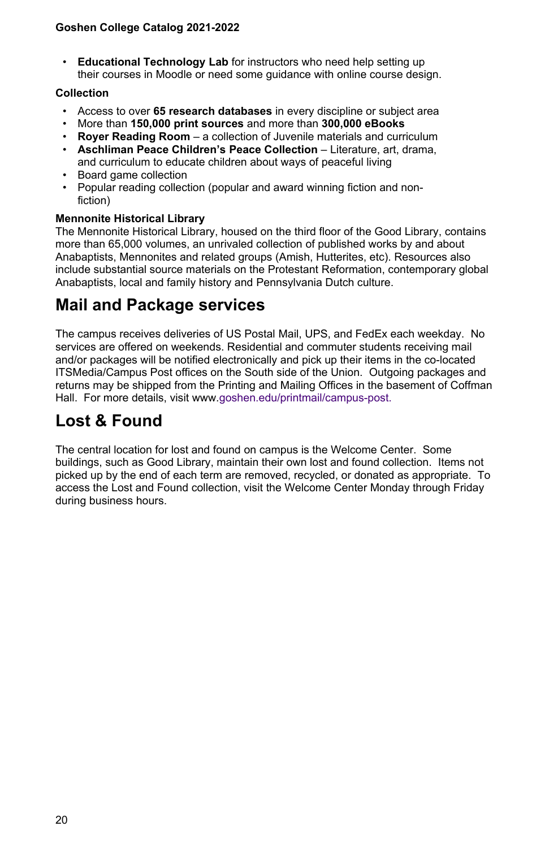• **Educational Technology Lab** for instructors who need help setting up their courses in Moodle or need some guidance with online course design.

#### **Collection**

- Access to over **65 research databases** in every discipline or subject area
- More than **150,000 print sources** and more than **300,000 eBooks**
- **Royer Reading Room** a collection of Juvenile materials and curriculum
- **Aschliman Peace Children's Peace Collection** Literature, art, drama, and curriculum to educate children about ways of peaceful living
- Board game collection
- Popular reading collection (popular and award winning fiction and nonfiction)

#### **Mennonite Historical Library**

The Mennonite Historical Library, housed on the third floor of the Good Library, contains more than 65,000 volumes, an unrivaled collection of published works by and about Anabaptists, Mennonites and related groups (Amish, Hutterites, etc). Resources also include substantial source materials on the Protestant Reformation, contemporary global Anabaptists, local and family history and Pennsylvania Dutch culture.

# **Mail and Package services**

The campus receives deliveries of US Postal Mail, UPS, and FedEx each weekday. No services are offered on weekends. Residential and commuter students receiving mail and/or packages will be notified electronically and pick up their items in the co-located ITSMedia/Campus Post offices on the South side of the Union. Outgoing packages and returns may be shipped from the Printing and Mailing Offices in the basement of Coffman Hall. For more details, visit www[.goshen.edu/printmail/campus-post.](https://www.goshen.edu/printmail/campus-post/)

# **Lost & Found**

The central location for lost and found on campus is the Welcome Center. Some buildings, such as Good Library, maintain their own lost and found collection. Items not picked up by the end of each term are removed, recycled, or donated as appropriate. To access the Lost and Found collection, visit the Welcome Center Monday through Friday during business hours.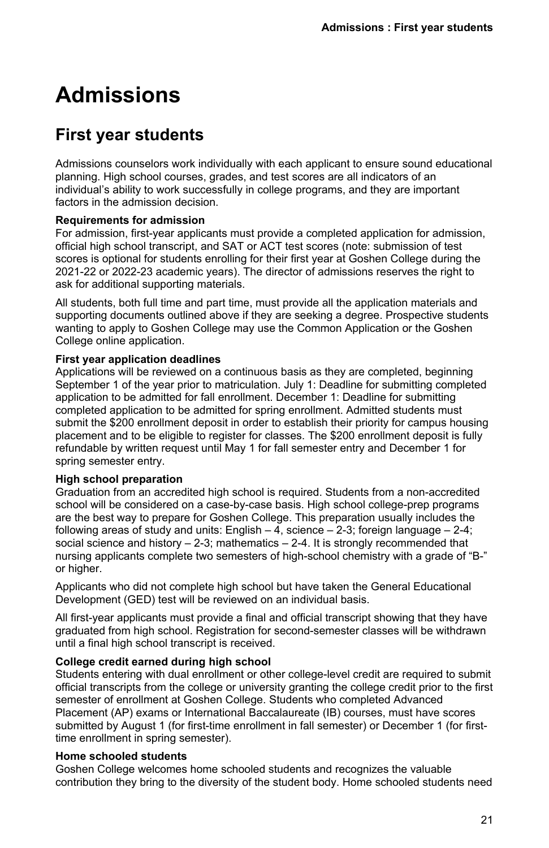# <span id="page-20-0"></span>**Admissions**

# **First year students**

Admissions counselors work individually with each applicant to ensure sound educational planning. High school courses, grades, and test scores are all indicators of an individual's ability to work successfully in college programs, and they are important factors in the admission decision.

#### **Requirements for admission**

For admission, first-year applicants must provide a completed application for admission, official high school transcript, and SAT or ACT test scores (note: submission of test scores is optional for students enrolling for their first year at Goshen College during the 2021-22 or 2022-23 academic years). The director of admissions reserves the right to ask for additional supporting materials.

All students, both full time and part time, must provide all the application materials and supporting documents outlined above if they are seeking a degree. Prospective students wanting to apply to Goshen College may use the Common Application or the Goshen College online application.

#### **First year application deadlines**

Applications will be reviewed on a continuous basis as they are completed, beginning September 1 of the year prior to matriculation. July 1: Deadline for submitting completed application to be admitted for fall enrollment. December 1: Deadline for submitting completed application to be admitted for spring enrollment. Admitted students must submit the \$200 enrollment deposit in order to establish their priority for campus housing placement and to be eligible to register for classes. The \$200 enrollment deposit is fully refundable by written request until May 1 for fall semester entry and December 1 for spring semester entry.

#### **High school preparation**

Graduation from an accredited high school is required. Students from a non-accredited school will be considered on a case-by-case basis. High school college-prep programs are the best way to prepare for Goshen College. This preparation usually includes the following areas of study and units: English  $-4$ , science  $-2-3$ ; foreign language  $-2-4$ ; social science and history  $-2-3$ ; mathematics  $-2-4$ . It is strongly recommended that nursing applicants complete two semesters of high-school chemistry with a grade of "B-" or higher.

Applicants who did not complete high school but have taken the General Educational Development (GED) test will be reviewed on an individual basis.

All first-year applicants must provide a final and official transcript showing that they have graduated from high school. Registration for second-semester classes will be withdrawn until a final high school transcript is received.

#### **College credit earned during high school**

Students entering with dual enrollment or other college-level credit are required to submit official transcripts from the college or university granting the college credit prior to the first semester of enrollment at Goshen College. Students who completed Advanced Placement (AP) exams or International Baccalaureate (IB) courses, must have scores submitted by August 1 (for first-time enrollment in fall semester) or December 1 (for firsttime enrollment in spring semester).

#### **Home schooled students**

Goshen College welcomes home schooled students and recognizes the valuable contribution they bring to the diversity of the student body. Home schooled students need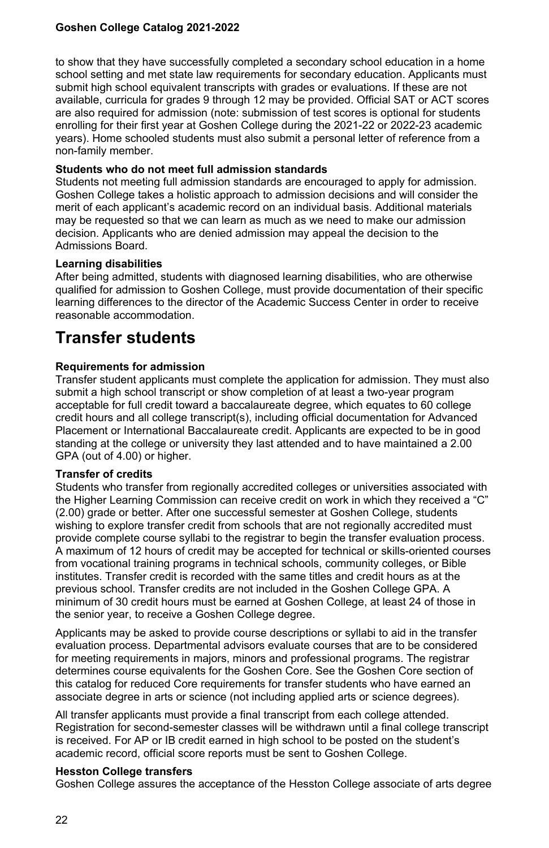to show that they have successfully completed a secondary school education in a home school setting and met state law requirements for secondary education. Applicants must submit high school equivalent transcripts with grades or evaluations. If these are not available, curricula for grades 9 through 12 may be provided. Official SAT or ACT scores are also required for admission (note: submission of test scores is optional for students enrolling for their first year at Goshen College during the 2021-22 or 2022-23 academic years). Home schooled students must also submit a personal letter of reference from a non-family member.

#### **Students who do not meet full admission standards**

Students not meeting full admission standards are encouraged to apply for admission. Goshen College takes a holistic approach to admission decisions and will consider the merit of each applicant's academic record on an individual basis. Additional materials may be requested so that we can learn as much as we need to make our admission decision. Applicants who are denied admission may appeal the decision to the Admissions Board.

#### **Learning disabilities**

After being admitted, students with diagnosed learning disabilities, who are otherwise qualified for admission to Goshen College, must provide documentation of their specific learning differences to the director of the Academic Success Center in order to receive reasonable accommodation.

# **Transfer students**

#### **Requirements for admission**

Transfer student applicants must complete the application for admission. They must also submit a high school transcript or show completion of at least a two-year program acceptable for full credit toward a baccalaureate degree, which equates to 60 college credit hours and all college transcript(s), including official documentation for Advanced Placement or International Baccalaureate credit. Applicants are expected to be in good standing at the college or university they last attended and to have maintained a 2.00 GPA (out of 4.00) or higher.

#### **Transfer of credits**

Students who transfer from regionally accredited colleges or universities associated with the Higher Learning Commission can receive credit on work in which they received a "C" (2.00) grade or better. After one successful semester at Goshen College, students wishing to explore transfer credit from schools that are not regionally accredited must provide complete course syllabi to the registrar to begin the transfer evaluation process. A maximum of 12 hours of credit may be accepted for technical or skills-oriented courses from vocational training programs in technical schools, community colleges, or Bible institutes. Transfer credit is recorded with the same titles and credit hours as at the previous school. Transfer credits are not included in the Goshen College GPA. A minimum of 30 credit hours must be earned at Goshen College, at least 24 of those in the senior year, to receive a Goshen College degree.

Applicants may be asked to provide course descriptions or syllabi to aid in the transfer evaluation process. Departmental advisors evaluate courses that are to be considered for meeting requirements in majors, minors and professional programs. The registrar determines course equivalents for the Goshen Core. See the Goshen Core section of this catalog for reduced Core requirements for transfer students who have earned an associate degree in arts or science (not including applied arts or science degrees).

All transfer applicants must provide a final transcript from each college attended. Registration for second-semester classes will be withdrawn until a final college transcript is received. For AP or IB credit earned in high school to be posted on the student's academic record, official score reports must be sent to Goshen College.

#### **Hesston College transfers**

Goshen College assures the acceptance of the Hesston College associate of arts degree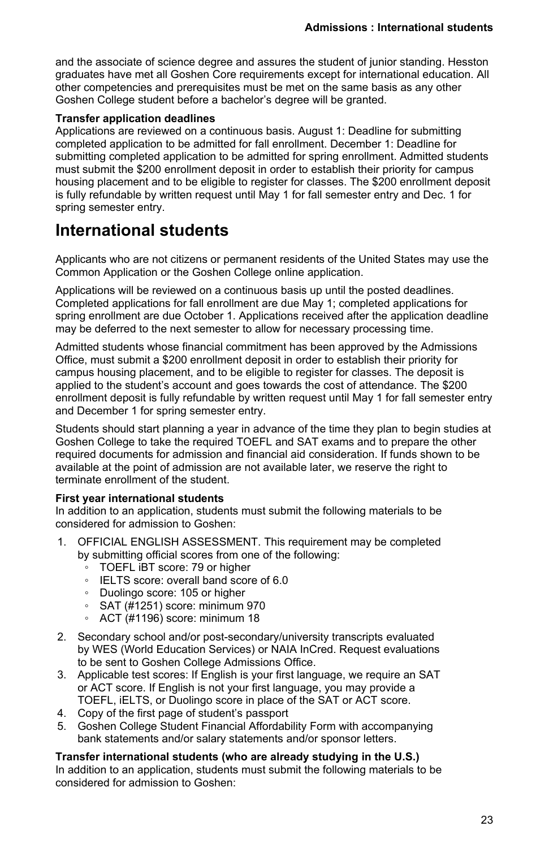and the associate of science degree and assures the student of junior standing. Hesston graduates have met all Goshen Core requirements except for international education. All other competencies and prerequisites must be met on the same basis as any other Goshen College student before a bachelor's degree will be granted.

#### **Transfer application deadlines**

Applications are reviewed on a continuous basis. August 1: Deadline for submitting completed application to be admitted for fall enrollment. December 1: Deadline for submitting completed application to be admitted for spring enrollment. Admitted students must submit the \$200 enrollment deposit in order to establish their priority for campus housing placement and to be eligible to register for classes. The \$200 enrollment deposit is fully refundable by written request until May 1 for fall semester entry and Dec. 1 for spring semester entry.

# **International students**

Applicants who are not citizens or permanent residents of the United States may use the Common Application or the Goshen College online application.

Applications will be reviewed on a continuous basis up until the posted deadlines. Completed applications for fall enrollment are due May 1; completed applications for spring enrollment are due October 1. Applications received after the application deadline may be deferred to the next semester to allow for necessary processing time.

Admitted students whose financial commitment has been approved by the Admissions Office, must submit a \$200 enrollment deposit in order to establish their priority for campus housing placement, and to be eligible to register for classes. The deposit is applied to the student's account and goes towards the cost of attendance. The \$200 enrollment deposit is fully refundable by written request until May 1 for fall semester entry and December 1 for spring semester entry.

Students should start planning a year in advance of the time they plan to begin studies at Goshen College to take the required TOEFL and SAT exams and to prepare the other required documents for admission and financial aid consideration. If funds shown to be available at the point of admission are not available later, we reserve the right to terminate enrollment of the student.

#### **First year international students**

In addition to an application, students must submit the following materials to be considered for admission to Goshen:

- 1. OFFICIAL ENGLISH ASSESSMENT. This requirement may be completed by submitting official scores from one of the following:
	- TOEFL iBT score: 79 or higher
	- IELTS score: overall band score of 6.0
	- Duolingo score: 105 or higher
	- SAT (#1251) score: minimum 970
	- ACT (#1196) score: minimum 18
- 2. Secondary school and/or post-secondary/university transcripts evaluated by WES (World Education Services) or NAIA InCred. Request evaluations to be sent to Goshen College Admissions Office.
- 3. Applicable test scores: If English is your first language, we require an SAT or ACT score. If English is not your first language, you may provide a TOEFL, iELTS, or Duolingo score in place of the SAT or ACT score.
- 4. Copy of the first page of student's passport
- 5. Goshen College Student Financial Affordability Form with accompanying bank statements and/or salary statements and/or sponsor letters.

**Transfer international students (who are already studying in the U.S.)** In addition to an application, students must submit the following materials to be considered for admission to Goshen: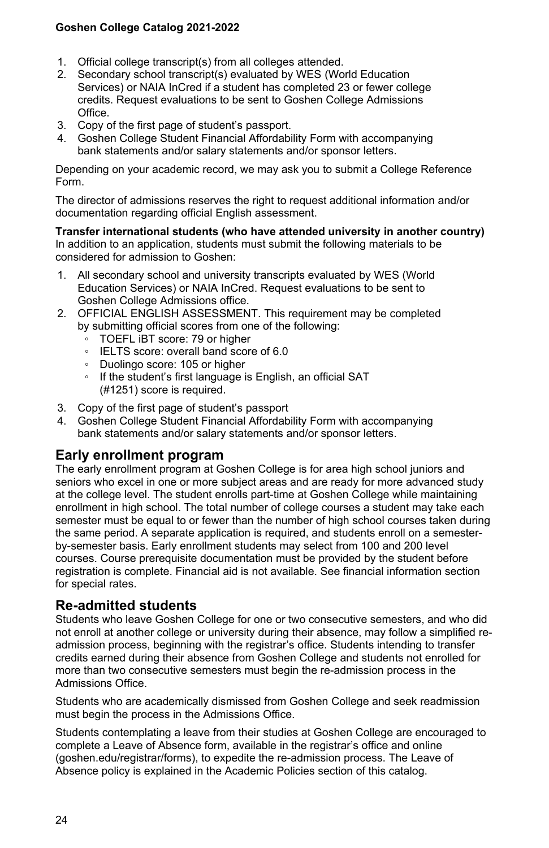- 1. Official college transcript(s) from all colleges attended.
- 2. Secondary school transcript(s) evaluated by WES (World Education Services) or NAIA InCred if a student has completed 23 or fewer college credits. Request evaluations to be sent to Goshen College Admissions Office.
- 3. Copy of the first page of student's passport.
- 4. Goshen College Student Financial Affordability Form with accompanying bank statements and/or salary statements and/or sponsor letters.

Depending on your academic record, we may ask you to submit a College Reference Form.

The director of admissions reserves the right to request additional information and/or documentation regarding official English assessment.

**Transfer international students (who have attended university in another country)** In addition to an application, students must submit the following materials to be considered for admission to Goshen:

- 1. All secondary school and university transcripts evaluated by WES (World Education Services) or NAIA InCred. Request evaluations to be sent to Goshen College Admissions office.
- 2. OFFICIAL ENGLISH ASSESSMENT. This requirement may be completed by submitting official scores from one of the following:
	- TOEFL iBT score: 79 or higher
	- IELTS score: overall band score of 6.0
	- Duolingo score: 105 or higher
	- If the student's first language is English, an official SAT (#1251) score is required.
- 3. Copy of the first page of student's passport
- 4. Goshen College Student Financial Affordability Form with accompanying bank statements and/or salary statements and/or sponsor letters.

# **Early enrollment program**

The early enrollment program at Goshen College is for area high school juniors and seniors who excel in one or more subject areas and are ready for more advanced study at the college level. The student enrolls part-time at Goshen College while maintaining enrollment in high school. The total number of college courses a student may take each semester must be equal to or fewer than the number of high school courses taken during the same period. A separate application is required, and students enroll on a semesterby-semester basis. Early enrollment students may select from 100 and 200 level courses. Course prerequisite documentation must be provided by the student before registration is complete. Financial aid is not available. See financial information section for special rates.

## **Re-admitted students**

Students who leave Goshen College for one or two consecutive semesters, and who did not enroll at another college or university during their absence, may follow a simplified readmission process, beginning with the registrar's office. Students intending to transfer credits earned during their absence from Goshen College and students not enrolled for more than two consecutive semesters must begin the re-admission process in the Admissions Office.

Students who are academically dismissed from Goshen College and seek readmission must begin the process in the Admissions Office.

Students contemplating a leave from their studies at Goshen College are encouraged to complete a Leave of Absence form, available in the registrar's office and online (goshen.edu/registrar/forms), to expedite the re-admission process. The Leave of Absence policy is explained in the Academic Policies section of this catalog.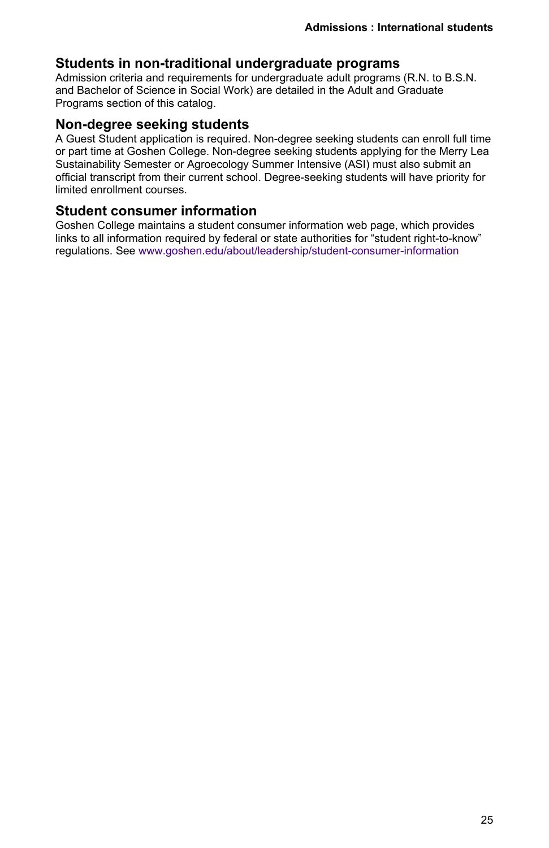## **Students in non-traditional undergraduate programs**

Admission criteria and requirements for undergraduate adult programs (R.N. to B.S.N. and Bachelor of Science in Social Work) are detailed in the Adult and Graduate Programs section of this catalog.

## **Non-degree seeking students**

A Guest Student application is required. Non-degree seeking students can enroll full time or part time at Goshen College. Non-degree seeking students applying for the Merry Lea Sustainability Semester or Agroecology Summer Intensive (ASI) must also submit an official transcript from their current school. Degree-seeking students will have priority for limited enrollment courses.

# **Student consumer information**

Goshen College maintains a student consumer information web page, which provides links to all information required by federal or state authorities for "student right-to-know" regulations. See [www.goshen.edu/about/leadership/student-consumer-information](temp/www.goshen.edu/about/leadership/student-consumer-information/)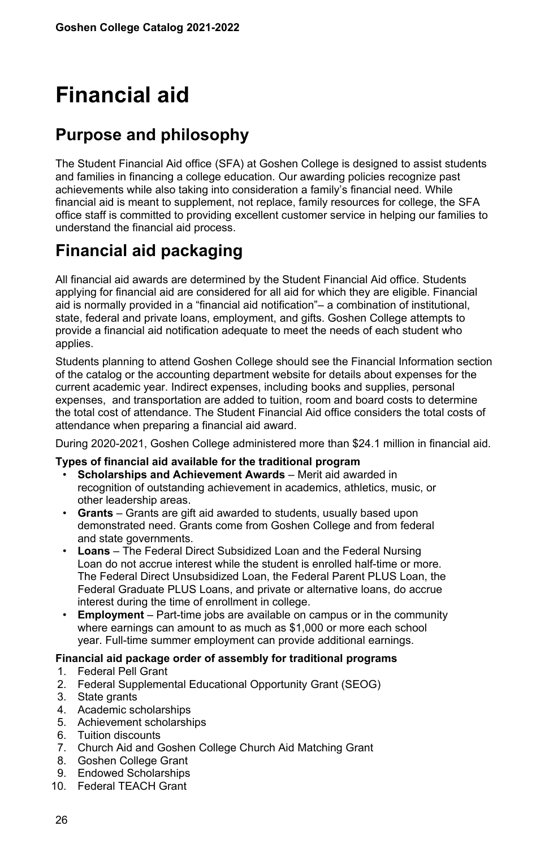# <span id="page-25-0"></span>**Financial aid**

# **Purpose and philosophy**

The Student Financial Aid office (SFA) at Goshen College is designed to assist students and families in financing a college education. Our awarding policies recognize past achievements while also taking into consideration a family's financial need. While financial aid is meant to supplement, not replace, family resources for college, the SFA office staff is committed to providing excellent customer service in helping our families to understand the financial aid process.

# **Financial aid packaging**

All financial aid awards are determined by the Student Financial Aid office. Students applying for financial aid are considered for all aid for which they are eligible. Financial aid is normally provided in a "financial aid notification"– a combination of institutional, state, federal and private loans, employment, and gifts. Goshen College attempts to provide a financial aid notification adequate to meet the needs of each student who applies.

Students planning to attend Goshen College should see the Financial Information section of the catalog or the accounting department website for details about expenses for the current academic year. Indirect expenses, including books and supplies, personal expenses, and transportation are added to tuition, room and board costs to determine the total cost of attendance. The Student Financial Aid office considers the total costs of attendance when preparing a financial aid award.

During 2020-2021, Goshen College administered more than \$24.1 million in financial aid.

#### **Types of financial aid available for the traditional program**

- **Scholarships and Achievement Awards** Merit aid awarded in recognition of outstanding achievement in academics, athletics, music, or other leadership areas.
- **Grants** Grants are gift aid awarded to students, usually based upon demonstrated need. Grants come from Goshen College and from federal and state governments.
- **Loans** The Federal Direct Subsidized Loan and the Federal Nursing Loan do not accrue interest while the student is enrolled half-time or more. The Federal Direct Unsubsidized Loan, the Federal Parent PLUS Loan, the Federal Graduate PLUS Loans, and private or alternative loans, do accrue interest during the time of enrollment in college.
- **Employment** Part-time jobs are available on campus or in the community where earnings can amount to as much as \$1,000 or more each school year. Full-time summer employment can provide additional earnings.

#### **Financial aid package order of assembly for traditional programs**

- 1. Federal Pell Grant
- 2. Federal Supplemental Educational Opportunity Grant (SEOG)
- 3. State grants
- 4. Academic scholarships
- 5. Achievement scholarships
- 6. Tuition discounts
- 7. Church Aid and Goshen College Church Aid Matching Grant
- 8. Goshen College Grant
- 9. Endowed Scholarships
- 10. Federal TEACH Grant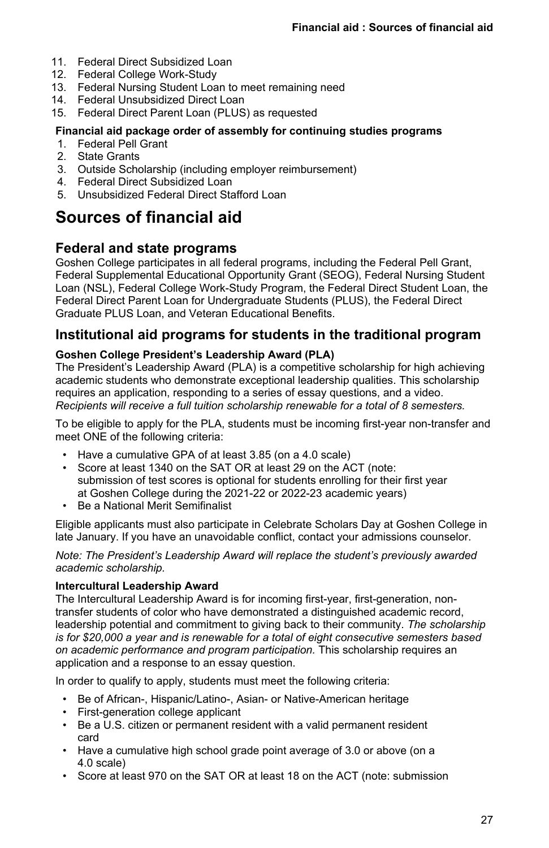- 11. Federal Direct Subsidized Loan
- 12. Federal College Work-Study
- 13. Federal Nursing Student Loan to meet remaining need
- 14. Federal Unsubsidized Direct Loan
- 15. Federal Direct Parent Loan (PLUS) as requested

#### **Financial aid package order of assembly for continuing studies programs**

- 1. Federal Pell Grant
- 2. State Grants
- 3. Outside Scholarship (including employer reimbursement)
- 4. Federal Direct Subsidized Loan
- 5. Unsubsidized Federal Direct Stafford Loan

# **Sources of financial aid**

## **Federal and state programs**

Goshen College participates in all federal programs, including the Federal Pell Grant, Federal Supplemental Educational Opportunity Grant (SEOG), Federal Nursing Student Loan (NSL), Federal College Work-Study Program, the Federal Direct Student Loan, the Federal Direct Parent Loan for Undergraduate Students (PLUS), the Federal Direct Graduate PLUS Loan, and Veteran Educational Benefits.

# **Institutional aid programs for students in the traditional program**

#### **Goshen College President's Leadership Award (PLA)**

The President's Leadership Award (PLA) is a competitive scholarship for high achieving academic students who demonstrate exceptional leadership qualities. This scholarship requires an application, responding to a series of essay questions, and a video. *Recipients will receive a full tuition scholarship renewable for a total of 8 semesters.*

To be eligible to apply for the PLA, students must be incoming first-year non-transfer and meet ONE of the following criteria:

- Have a cumulative GPA of at least 3.85 (on a 4.0 scale)
- Score at least 1340 on the SAT OR at least 29 on the ACT (note: submission of test scores is optional for students enrolling for their first year at Goshen College during the 2021-22 or 2022-23 academic years)
- Be a National Merit Semifinalist

Eligible applicants must also participate in Celebrate Scholars Day at Goshen College in late January. If you have an unavoidable conflict, contact your admissions counselor.

*Note: The President's Leadership Award will replace the student's previously awarded academic scholarship.*

#### **Intercultural Leadership Award**

The Intercultural Leadership Award is for incoming first-year, first-generation, nontransfer students of color who have demonstrated a distinguished academic record, leadership potential and commitment to giving back to their community. *The scholarship is for \$20,000 a year and is renewable for a total of eight consecutive semesters based on academic performance and program participation.* This scholarship requires an application and a response to an essay question.

In order to qualify to apply, students must meet the following criteria:

- Be of African-, Hispanic/Latino-, Asian- or Native-American heritage
- First-generation college applicant
- Be a U.S. citizen or permanent resident with a valid permanent resident card
- Have a cumulative high school grade point average of 3.0 or above (on a 4.0 scale)
- Score at least 970 on the SAT OR at least 18 on the ACT (note: submission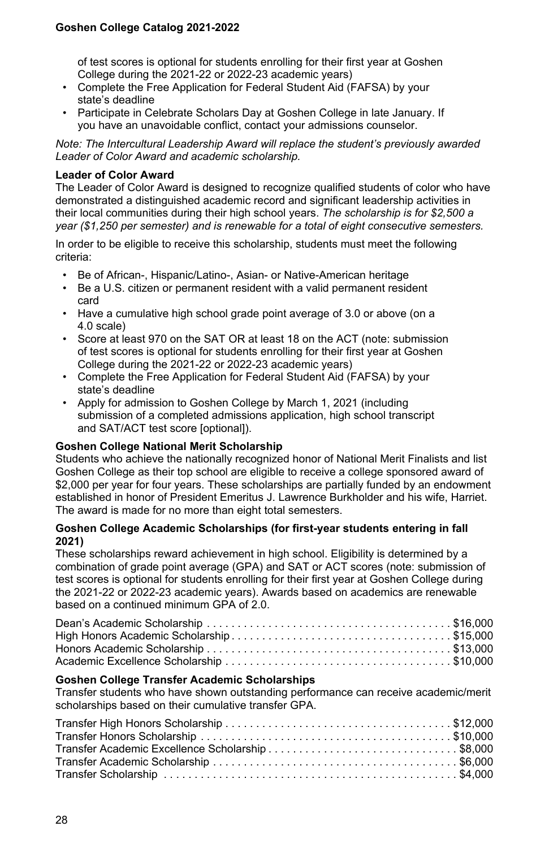of test scores is optional for students enrolling for their first year at Goshen College during the 2021-22 or 2022-23 academic years)

- Complete the Free Application for Federal Student Aid (FAFSA) by your state's deadline
- Participate in Celebrate Scholars Day at Goshen College in late January. If you have an unavoidable conflict, contact your admissions counselor.

*Note: The Intercultural Leadership Award will replace the student's previously awarded Leader of Color Award and academic scholarship.*

#### **Leader of Color Award**

The Leader of Color Award is designed to recognize qualified students of color who have demonstrated a distinguished academic record and significant leadership activities in their local communities during their high school years. *The scholarship is for \$2,500 a year (\$1,250 per semester) and is renewable for a total of eight consecutive semesters.*

In order to be eligible to receive this scholarship, students must meet the following criteria:

- Be of African-, Hispanic/Latino-, Asian- or Native-American heritage
- Be a U.S. citizen or permanent resident with a valid permanent resident card
- Have a cumulative high school grade point average of 3.0 or above (on a 4.0 scale)
- Score at least 970 on the SAT OR at least 18 on the ACT (note: submission of test scores is optional for students enrolling for their first year at Goshen College during the 2021-22 or 2022-23 academic years)
- Complete the Free Application for Federal Student Aid (FAFSA) by your state's deadline
- Apply for admission to Goshen College by March 1, 2021 (including submission of a completed admissions application, high school transcript and SAT/ACT test score [optional]).

#### **Goshen College National Merit Scholarship**

Students who achieve the nationally recognized honor of National Merit Finalists and list Goshen College as their top school are eligible to receive a college sponsored award of \$2,000 per year for four years. These scholarships are partially funded by an endowment established in honor of President Emeritus J. Lawrence Burkholder and his wife, Harriet. The award is made for no more than eight total semesters.

#### **Goshen College Academic Scholarships (for first-year students entering in fall 2021)**

These scholarships reward achievement in high school. Eligibility is determined by a combination of grade point average (GPA) and SAT or ACT scores (note: submission of test scores is optional for students enrolling for their first year at Goshen College during the 2021-22 or 2022-23 academic years). Awards based on academics are renewable based on a continued minimum GPA of 2.0.

#### **Goshen College Transfer Academic Scholarships**

Transfer students who have shown outstanding performance can receive academic/merit scholarships based on their cumulative transfer GPA.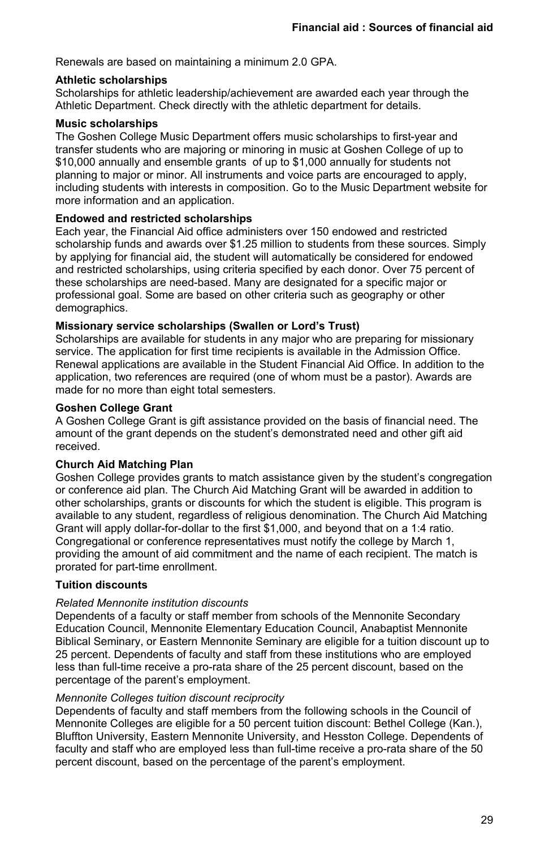Renewals are based on maintaining a minimum 2.0 GPA.

#### **Athletic scholarships**

Scholarships for athletic leadership/achievement are awarded each year through the Athletic Department. Check directly with the athletic department for details.

#### **Music scholarships**

The Goshen College Music Department offers music scholarships to first-year and transfer students who are majoring or minoring in music at Goshen College of up to \$10,000 annually and ensemble grants of up to \$1,000 annually for students not planning to major or minor. All instruments and voice parts are encouraged to apply, including students with interests in composition. Go to the Music Department website for more information and an application.

#### **Endowed and restricted scholarships**

Each year, the Financial Aid office administers over 150 endowed and restricted scholarship funds and awards over \$1.25 million to students from these sources. Simply by applying for financial aid, the student will automatically be considered for endowed and restricted scholarships, using criteria specified by each donor. Over 75 percent of these scholarships are need-based. Many are designated for a specific major or professional goal. Some are based on other criteria such as geography or other demographics.

#### **Missionary service scholarships (Swallen or Lord's Trust)**

Scholarships are available for students in any major who are preparing for missionary service. The application for first time recipients is available in the Admission Office. Renewal applications are available in the Student Financial Aid Office. In addition to the application, two references are required (one of whom must be a pastor). Awards are made for no more than eight total semesters.

#### **Goshen College Grant**

A Goshen College Grant is gift assistance provided on the basis of financial need. The amount of the grant depends on the student's demonstrated need and other gift aid received.

#### **Church Aid Matching Plan**

Goshen College provides grants to match assistance given by the student's congregation or conference aid plan. The Church Aid Matching Grant will be awarded in addition to other scholarships, grants or discounts for which the student is eligible. This program is available to any student, regardless of religious denomination. The Church Aid Matching Grant will apply dollar-for-dollar to the first \$1,000, and beyond that on a 1:4 ratio. Congregational or conference representatives must notify the college by March 1, providing the amount of aid commitment and the name of each recipient. The match is prorated for part-time enrollment.

#### **Tuition discounts**

#### *Related Mennonite institution discounts*

Dependents of a faculty or staff member from schools of the Mennonite Secondary Education Council, Mennonite Elementary Education Council, Anabaptist Mennonite Biblical Seminary, or Eastern Mennonite Seminary are eligible for a tuition discount up to 25 percent. Dependents of faculty and staff from these institutions who are employed less than full-time receive a pro-rata share of the 25 percent discount, based on the percentage of the parent's employment.

#### *Mennonite Colleges tuition discount reciprocity*

Dependents of faculty and staff members from the following schools in the Council of Mennonite Colleges are eligible for a 50 percent tuition discount: Bethel College (Kan.), Bluffton University, Eastern Mennonite University, and Hesston College. Dependents of faculty and staff who are employed less than full-time receive a pro-rata share of the 50 percent discount, based on the percentage of the parent's employment.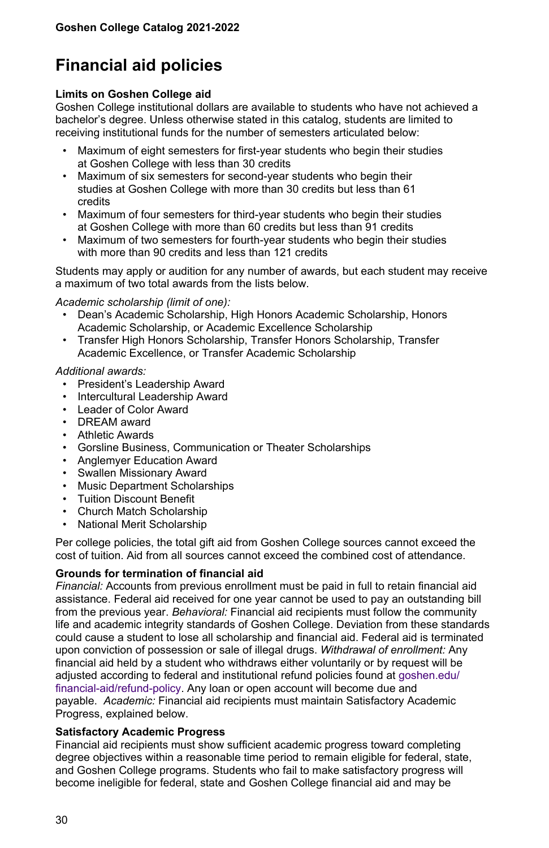# **Financial aid policies**

#### **Limits on Goshen College aid**

Goshen College institutional dollars are available to students who have not achieved a bachelor's degree. Unless otherwise stated in this catalog, students are limited to receiving institutional funds for the number of semesters articulated below:

- Maximum of eight semesters for first-year students who begin their studies at Goshen College with less than 30 credits
- Maximum of six semesters for second-year students who begin their studies at Goshen College with more than 30 credits but less than 61 credits
- Maximum of four semesters for third-year students who begin their studies at Goshen College with more than 60 credits but less than 91 credits
- Maximum of two semesters for fourth-year students who begin their studies with more than 90 credits and less than 121 credits

Students may apply or audition for any number of awards, but each student may receive a maximum of two total awards from the lists below.

*Academic scholarship (limit of one):*

- Dean's Academic Scholarship, High Honors Academic Scholarship, Honors Academic Scholarship, or Academic Excellence Scholarship
- Transfer High Honors Scholarship, Transfer Honors Scholarship, Transfer Academic Excellence, or Transfer Academic Scholarship

#### *Additional awards:*

- President's Leadership Award
- Intercultural Leadership Award
- Leader of Color Award
- DREAM award
- Athletic Awards
- Gorsline Business, Communication or Theater Scholarships
- Anglemyer Education Award
- Swallen Missionary Award
- Music Department Scholarships
- Tuition Discount Benefit
- Church Match Scholarship
- National Merit Scholarship

Per college policies, the total gift aid from Goshen College sources cannot exceed the cost of tuition. Aid from all sources cannot exceed the combined cost of attendance.

#### **Grounds for termination of financial aid**

*Financial:* Accounts from previous enrollment must be paid in full to retain financial aid assistance. Federal aid received for one year cannot be used to pay an outstanding bill from the previous year. *Behavioral:* Financial aid recipients must follow the community life and academic integrity standards of Goshen College. Deviation from these standards could cause a student to lose all scholarship and financial aid. Federal aid is terminated upon conviction of possession or sale of illegal drugs. *Withdrawal of enrollment:* Any financial aid held by a student who withdraws either voluntarily or by request will be adjusted according to federal and institutional refund policies found at [goshen.edu/](https://www.goshen.edu/financial-aid/refund-policy/) [financial-aid/refund-policy.](https://www.goshen.edu/financial-aid/refund-policy/) Any loan or open account will become due and payable. *Academic:* Financial aid recipients must maintain Satisfactory Academic Progress, explained below.

#### **Satisfactory Academic Progress**

Financial aid recipients must show sufficient academic progress toward completing degree objectives within a reasonable time period to remain eligible for federal, state, and Goshen College programs. Students who fail to make satisfactory progress will become ineligible for federal, state and Goshen College financial aid and may be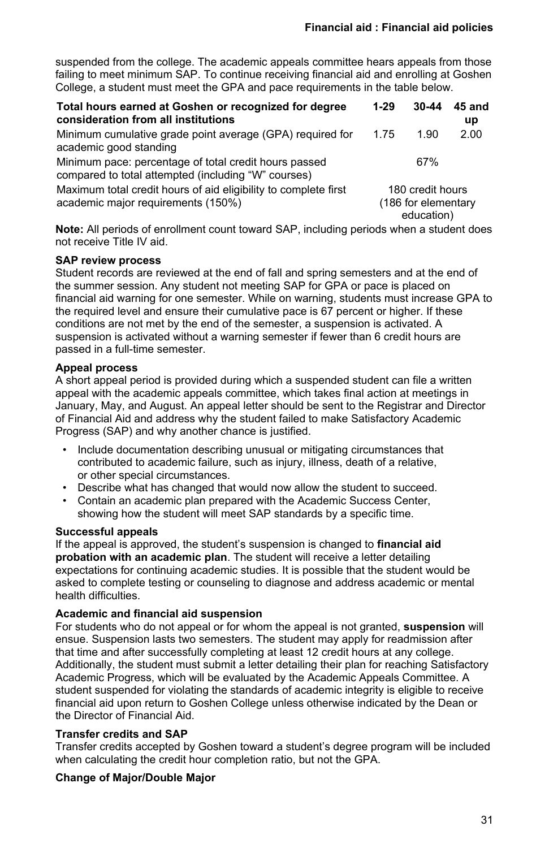suspended from the college. The academic appeals committee hears appeals from those failing to meet minimum SAP. To continue receiving financial aid and enrolling at Goshen College, a student must meet the GPA and pace requirements in the table below.

| Total hours earned at Goshen or recognized for degree<br>consideration from all institutions                 | $1-29$ | $30 - 44$                                             | 45 and<br>up |
|--------------------------------------------------------------------------------------------------------------|--------|-------------------------------------------------------|--------------|
| Minimum cumulative grade point average (GPA) required for<br>academic good standing                          | 1 75   | 1.90                                                  | 2.00         |
| Minimum pace: percentage of total credit hours passed<br>compared to total attempted (including "W" courses) |        | 67%                                                   |              |
| Maximum total credit hours of aid eligibility to complete first<br>academic major requirements (150%)        |        | 180 credit hours<br>(186 for elementary<br>education) |              |

**Note:** All periods of enrollment count toward SAP, including periods when a student does not receive Title IV aid.

#### **SAP review process**

Student records are reviewed at the end of fall and spring semesters and at the end of the summer session. Any student not meeting SAP for GPA or pace is placed on financial aid warning for one semester. While on warning, students must increase GPA to the required level and ensure their cumulative pace is 67 percent or higher. If these conditions are not met by the end of the semester, a suspension is activated. A suspension is activated without a warning semester if fewer than 6 credit hours are passed in a full-time semester.

#### **Appeal process**

A short appeal period is provided during which a suspended student can file a written appeal with the academic appeals committee, which takes final action at meetings in January, May, and August. An appeal letter should be sent to the Registrar and Director of Financial Aid and address why the student failed to make Satisfactory Academic Progress (SAP) and why another chance is justified.

- Include documentation describing unusual or mitigating circumstances that contributed to academic failure, such as injury, illness, death of a relative, or other special circumstances.
- Describe what has changed that would now allow the student to succeed.
- Contain an academic plan prepared with the Academic Success Center, showing how the student will meet SAP standards by a specific time.

#### **Successful appeals**

If the appeal is approved, the student's suspension is changed to **financial aid probation with an academic plan**. The student will receive a letter detailing expectations for continuing academic studies. It is possible that the student would be asked to complete testing or counseling to diagnose and address academic or mental health difficulties.

#### **Academic and financial aid suspension**

For students who do not appeal or for whom the appeal is not granted, **suspension** will ensue. Suspension lasts two semesters. The student may apply for readmission after that time and after successfully completing at least 12 credit hours at any college. Additionally, the student must submit a letter detailing their plan for reaching Satisfactory Academic Progress, which will be evaluated by the Academic Appeals Committee. A student suspended for violating the standards of academic integrity is eligible to receive financial aid upon return to Goshen College unless otherwise indicated by the Dean or the Director of Financial Aid.

#### **Transfer credits and SAP**

Transfer credits accepted by Goshen toward a student's degree program will be included when calculating the credit hour completion ratio, but not the GPA.

#### **Change of Major/Double Major**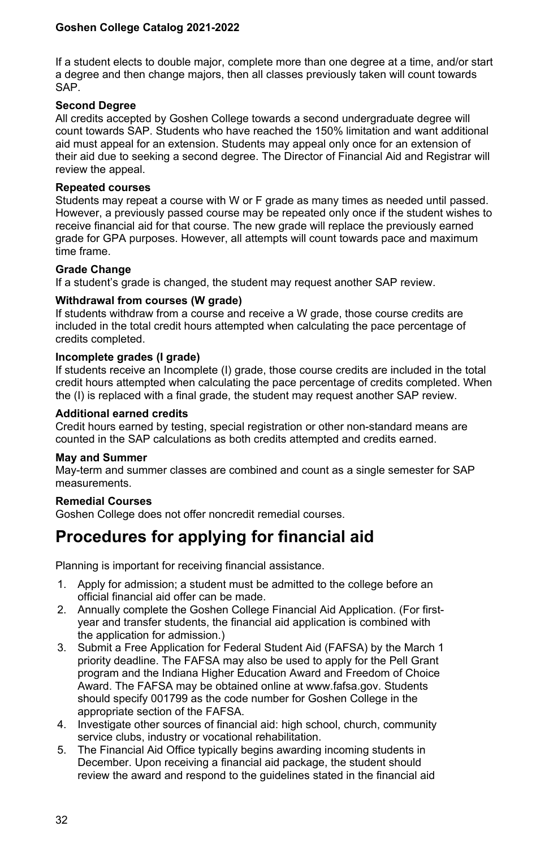If a student elects to double major, complete more than one degree at a time, and/or start a degree and then change majors, then all classes previously taken will count towards SAP.

#### **Second Degree**

All credits accepted by Goshen College towards a second undergraduate degree will count towards SAP. Students who have reached the 150% limitation and want additional aid must appeal for an extension. Students may appeal only once for an extension of their aid due to seeking a second degree. The Director of Financial Aid and Registrar will review the appeal.

#### **Repeated courses**

Students may repeat a course with W or F grade as many times as needed until passed. However, a previously passed course may be repeated only once if the student wishes to receive financial aid for that course. The new grade will replace the previously earned grade for GPA purposes. However, all attempts will count towards pace and maximum time frame.

#### **Grade Change**

If a student's grade is changed, the student may request another SAP review.

#### **Withdrawal from courses (W grade)**

If students withdraw from a course and receive a W grade, those course credits are included in the total credit hours attempted when calculating the pace percentage of credits completed.

#### **Incomplete grades (I grade)**

If students receive an Incomplete (I) grade, those course credits are included in the total credit hours attempted when calculating the pace percentage of credits completed. When the (I) is replaced with a final grade, the student may request another SAP review.

#### **Additional earned credits**

Credit hours earned by testing, special registration or other non-standard means are counted in the SAP calculations as both credits attempted and credits earned.

#### **May and Summer**

May-term and summer classes are combined and count as a single semester for SAP measurements.

#### **Remedial Courses**

Goshen College does not offer noncredit remedial courses.

# **Procedures for applying for financial aid**

Planning is important for receiving financial assistance.

- 1. Apply for admission; a student must be admitted to the college before an official financial aid offer can be made.
- 2. Annually complete the Goshen College Financial Aid Application. (For firstyear and transfer students, the financial aid application is combined with the application for admission.)
- 3. Submit a Free Application for Federal Student Aid (FAFSA) by the March 1 priority deadline. The FAFSA may also be used to apply for the Pell Grant program and the Indiana Higher Education Award and Freedom of Choice Award. The FAFSA may be obtained online at www.fafsa.gov. Students should specify 001799 as the code number for Goshen College in the appropriate section of the FAFSA.
- 4. Investigate other sources of financial aid: high school, church, community service clubs, industry or vocational rehabilitation.
- 5. The Financial Aid Office typically begins awarding incoming students in December. Upon receiving a financial aid package, the student should review the award and respond to the guidelines stated in the financial aid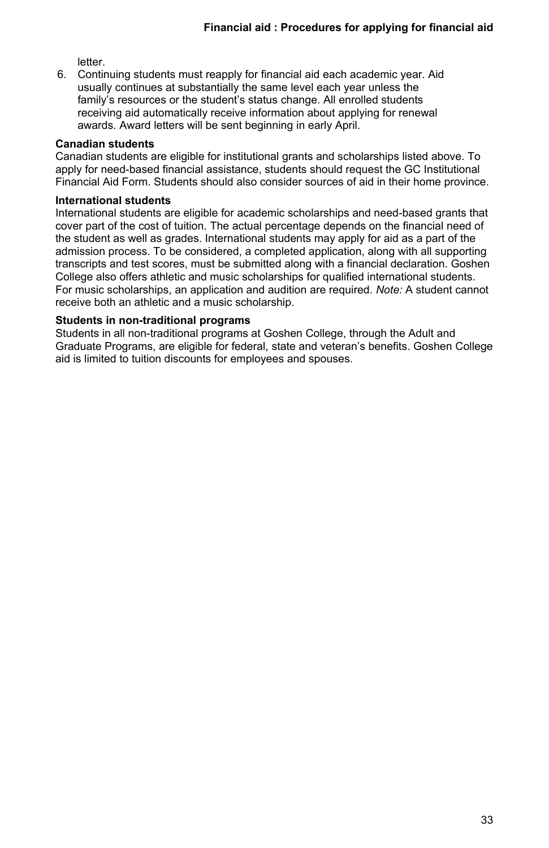letter.

6. Continuing students must reapply for financial aid each academic year. Aid usually continues at substantially the same level each year unless the family's resources or the student's status change. All enrolled students receiving aid automatically receive information about applying for renewal awards. Award letters will be sent beginning in early April.

#### **Canadian students**

Canadian students are eligible for institutional grants and scholarships listed above. To apply for need-based financial assistance, students should request the GC Institutional Financial Aid Form. Students should also consider sources of aid in their home province.

#### **International students**

International students are eligible for academic scholarships and need-based grants that cover part of the cost of tuition. The actual percentage depends on the financial need of the student as well as grades. International students may apply for aid as a part of the admission process. To be considered, a completed application, along with all supporting transcripts and test scores, must be submitted along with a financial declaration. Goshen College also offers athletic and music scholarships for qualified international students. For music scholarships, an application and audition are required. *Note:* A student cannot receive both an athletic and a music scholarship.

#### **Students in non-traditional programs**

Students in all non-traditional programs at Goshen College, through the Adult and Graduate Programs, are eligible for federal, state and veteran's benefits. Goshen College aid is limited to tuition discounts for employees and spouses.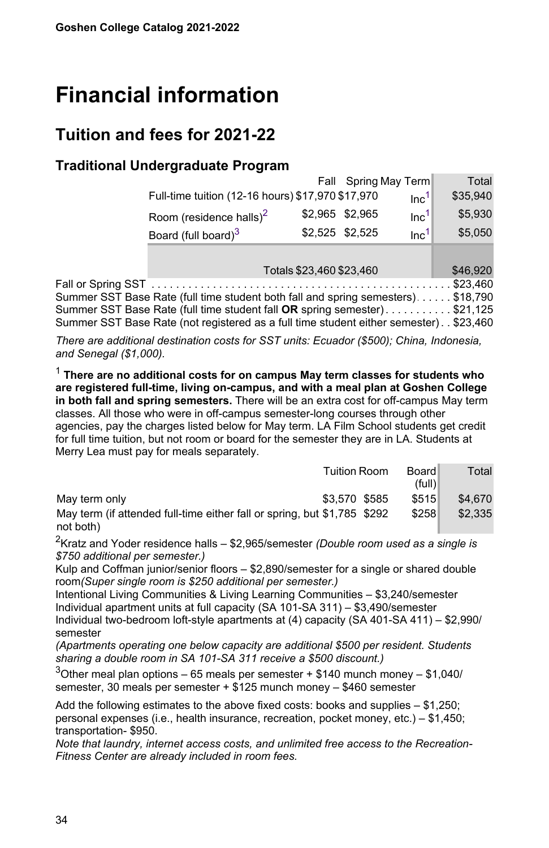# <span id="page-33-0"></span>**Financial information**

# **Tuition and fees for 2021-22**

# **Traditional Undergraduate Program**

|                                                                                        |                                                   |                          | Fall Spring May Term |                  | Total    |
|----------------------------------------------------------------------------------------|---------------------------------------------------|--------------------------|----------------------|------------------|----------|
|                                                                                        | Full-time tuition (12-16 hours) \$17,970 \$17,970 |                          |                      | Inc <sup>1</sup> | \$35,940 |
|                                                                                        | Room (residence halls) $2$                        | \$2,965 \$2,965          |                      | Inc <sup>1</sup> | \$5,930  |
|                                                                                        | Board (full board) <sup>3</sup>                   | \$2,525 \$2,525          |                      | Inc <sup>1</sup> | \$5,050  |
|                                                                                        |                                                   |                          |                      |                  |          |
|                                                                                        |                                                   | Totals \$23,460 \$23,460 |                      |                  | \$46,920 |
| Fall or Spring SST                                                                     |                                                   |                          |                      |                  |          |
| Summer SST Base Rate (full time student both fall and spring semesters) \$18,790       |                                                   |                          |                      |                  |          |
| Summer SST Base Rate (full time student fall OR spring semester)\$21,125               |                                                   |                          |                      |                  |          |
| Summer SST Base Rate (not registered as a full time student either semester). \$23,460 |                                                   |                          |                      |                  |          |

*There are additional destination costs for SST units: Ecuador (\$500); China, Indonesia, and Senegal (\$1,000).*

<span id="page-33-1"></span><sup>1</sup> **There are no additional costs for on campus May term classes for students who are registered full-time, living on-campus, and with a meal plan at Goshen College in both fall and spring semesters.** There will be an extra cost for off-campus May term classes. All those who were in off-campus semester-long courses through other agencies, pay the charges listed below for May term. LA Film School students get credit for full time tuition, but not room or board for the semester they are in LA. Students at Merry Lea must pay for meals separately.

|                                                                          | <b>Tuition Room</b> | Board<br>(full) | Total   |
|--------------------------------------------------------------------------|---------------------|-----------------|---------|
| May term only                                                            | \$3.570 \$585       | \$515           | \$4,670 |
| May term (if attended full-time either fall or spring, but \$1,785 \$292 |                     | \$258           | \$2.335 |
| not both)                                                                |                     |                 |         |

<span id="page-33-2"></span><sup>2</sup>Kratz and Yoder residence halls – \$2,965/semester *(Double room used as a single is \$750 additional per semester.)*

Kulp and Coffman junior/senior floors – \$2,890/semester for a single or shared double room*(Super single room is \$250 additional per semester.)*

Intentional Living Communities & Living Learning Communities – \$3,240/semester Individual apartment units at full capacity (SA 101-SA 311) – \$3,490/semester Individual two-bedroom loft-style apartments at (4) capacity (SA 401-SA 411) – \$2,990/ semester

*(Apartments operating one below capacity are additional \$500 per resident. Students sharing a double room in SA 101-SA 311 receive a \$500 discount.)*

<span id="page-33-3"></span> $3$ Other meal plan options – 65 meals per semester + \$140 munch money – \$1,040/ semester, 30 meals per semester + \$125 munch money – \$460 semester

Add the following estimates to the above fixed costs: books and supplies – \$1,250; personal expenses (i.e., health insurance, recreation, pocket money, etc.) – \$1,450; transportation- \$950.

*Note that laundry, internet access costs, and unlimited free access to the Recreation-Fitness Center are already included in room fees.*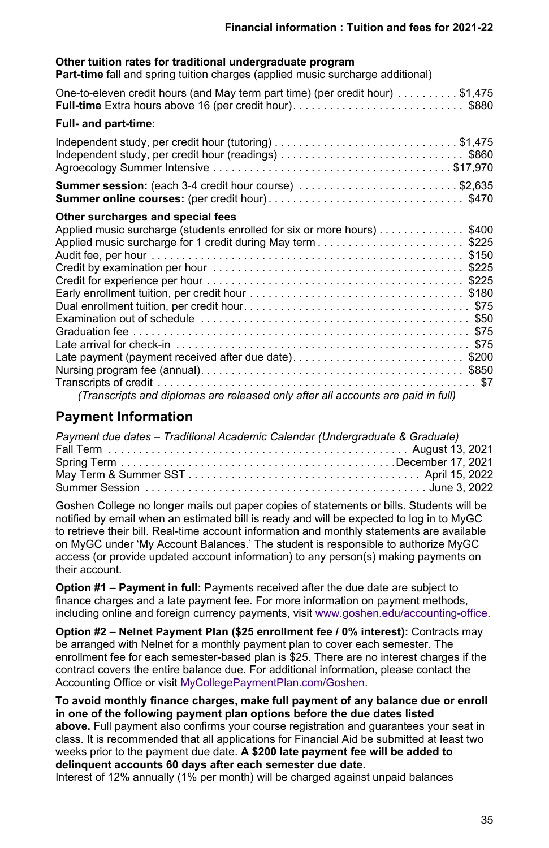#### **Other tuition rates for traditional undergraduate program**

**Part-time** fall and spring tuition charges (applied music surcharge additional)

| One-to-eleven credit hours (and May term part time) (per credit hour) \$1,475<br><b>Full-time</b> Extra hours above 16 (per credit hour)\$880                                                                                                           |
|---------------------------------------------------------------------------------------------------------------------------------------------------------------------------------------------------------------------------------------------------------|
| Full- and part-time:                                                                                                                                                                                                                                    |
|                                                                                                                                                                                                                                                         |
| <b>Summer session:</b> (each 3-4 credit hour course) \$2,635                                                                                                                                                                                            |
| Other surcharges and special fees<br>Applied music surcharge (students enrolled for six or more hours) \$400<br>Late payment (payment received after due date)\$200<br>(Transcripts and diplomas are released only after all accounts are paid in full) |

# **Payment Information**

| Payment due dates - Traditional Academic Calendar (Undergraduate & Graduate) |  |
|------------------------------------------------------------------------------|--|
|                                                                              |  |
|                                                                              |  |
|                                                                              |  |
|                                                                              |  |

Goshen College no longer mails out paper copies of statements or bills. Students will be notified by email when an estimated bill is ready and will be expected to log in to MyGC to retrieve their bill. Real-time account information and monthly statements are available on MyGC under 'My Account Balances.' The student is responsible to authorize MyGC access (or provide updated account information) to any person(s) making payments on their account.

**Option #1 – Payment in full:** Payments received after the due date are subject to finance charges and a late payment fee. For more information on payment methods, including online and foreign currency payments, visit [www.goshen.edu/accounting-office.](https://www.goshen.edu/accounting-office/)

**Option #2 – Nelnet Payment Plan (\$25 enrollment fee / 0% interest):** Contracts may be arranged with Nelnet for a monthly payment plan to cover each semester. The enrollment fee for each semester-based plan is \$25. There are no interest charges if the contract covers the entire balance due. For additional information, please contact the Accounting Office or visit [MyCollegePaymentPlan.com/Goshen](http://mycollegepaymentplan.com/Goshen/).

**To avoid monthly finance charges, make full payment of any balance due or enroll in one of the following payment plan options before the due dates listed**

**above.** Full payment also confirms your course registration and guarantees your seat in class. It is recommended that all applications for Financial Aid be submitted at least two weeks prior to the payment due date. **A \$200 late payment fee will be added to delinquent accounts 60 days after each semester due date.**

Interest of 12% annually (1% per month) will be charged against unpaid balances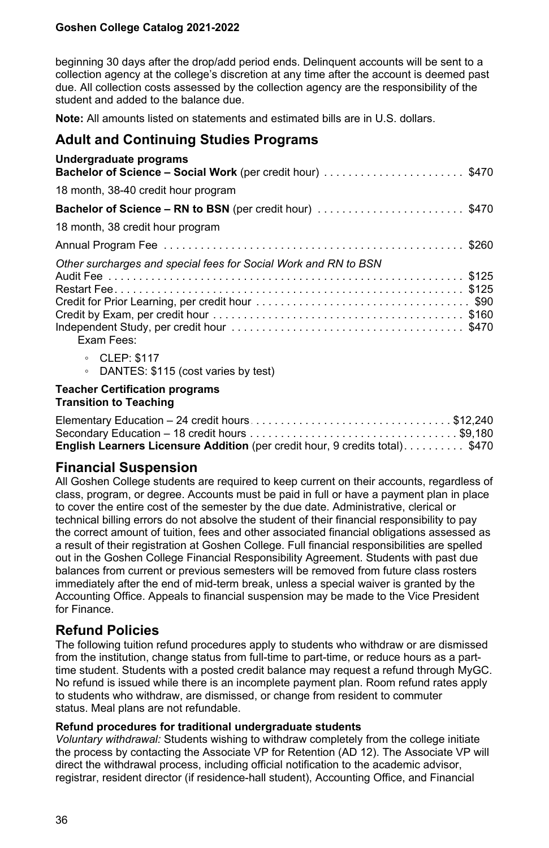beginning 30 days after the drop/add period ends. Delinquent accounts will be sent to a collection agency at the college's discretion at any time after the account is deemed past due. All collection costs assessed by the collection agency are the responsibility of the student and added to the balance due.

**Note:** All amounts listed on statements and estimated bills are in U.S. dollars.

## **Adult and Continuing Studies Programs**

| Undergraduate programs<br><b>Bachelor of Science – Social Work</b> (per credit hour) \$470 |  |
|--------------------------------------------------------------------------------------------|--|
| 18 month, 38-40 credit hour program                                                        |  |
| <b>Bachelor of Science – RN to BSN</b> (per credit hour) \$470                             |  |
| 18 month, 38 credit hour program                                                           |  |
|                                                                                            |  |
| Other surcharges and special fees for Social Work and RN to BSN<br>Exam Fees:              |  |
| ∘ CLEP: \$117<br>DANTES: \$115 (cost varies by test)<br>$\circ$                            |  |

#### **Teacher Certification programs Transition to Teaching**

| Elementary Education - 24 credit hours \$12,240                                    |  |
|------------------------------------------------------------------------------------|--|
|                                                                                    |  |
| <b>English Learners Licensure Addition</b> (per credit hour, 9 credits total)\$470 |  |

## **Financial Suspension**

All Goshen College students are required to keep current on their accounts, regardless of class, program, or degree. Accounts must be paid in full or have a payment plan in place to cover the entire cost of the semester by the due date. Administrative, clerical or technical billing errors do not absolve the student of their financial responsibility to pay the correct amount of tuition, fees and other associated financial obligations assessed as a result of their registration at Goshen College. Full financial responsibilities are spelled out in the Goshen College Financial Responsibility Agreement. Students with past due balances from current or previous semesters will be removed from future class rosters immediately after the end of mid-term break, unless a special waiver is granted by the Accounting Office. Appeals to financial suspension may be made to the Vice President for Finance.

# **Refund Policies**

The following tuition refund procedures apply to students who withdraw or are dismissed from the institution, change status from full-time to part-time, or reduce hours as a parttime student. Students with a posted credit balance may request a refund through MyGC. No refund is issued while there is an incomplete payment plan. Room refund rates apply to students who withdraw, are dismissed, or change from resident to commuter status. Meal plans are not refundable.

#### **Refund procedures for traditional undergraduate students**

*Voluntary withdrawal:* Students wishing to withdraw completely from the college initiate the process by contacting the Associate VP for Retention (AD 12). The Associate VP will direct the withdrawal process, including official notification to the academic advisor, registrar, resident director (if residence-hall student), Accounting Office, and Financial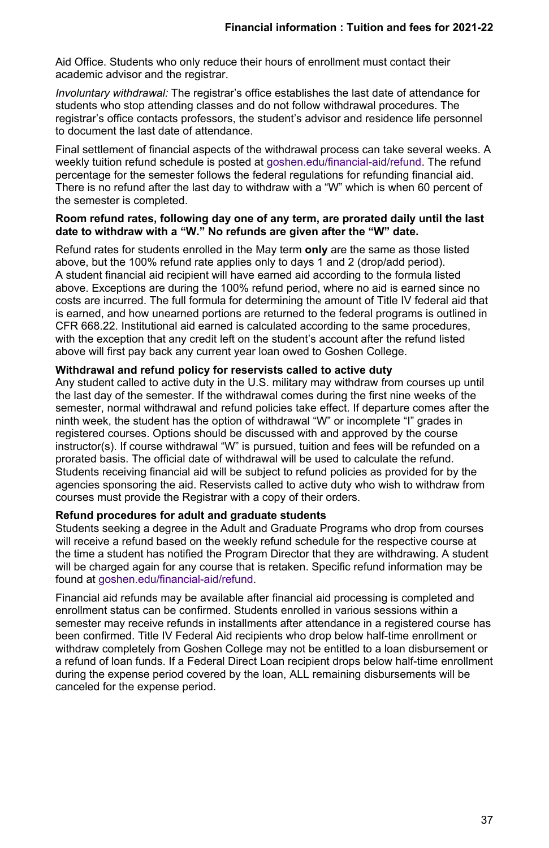Aid Office. Students who only reduce their hours of enrollment must contact their academic advisor and the registrar.

*Involuntary withdrawal:* The registrar's office establishes the last date of attendance for students who stop attending classes and do not follow withdrawal procedures. The registrar's office contacts professors, the student's advisor and residence life personnel to document the last date of attendance.

Final settlement of financial aspects of the withdrawal process can take several weeks. A weekly tuition refund schedule is posted at [goshen.edu/financial-aid/refund](https://www.goshen.edu/financial-aid/refund-policy/). The refund percentage for the semester follows the federal regulations for refunding financial aid. There is no refund after the last day to withdraw with a "W" which is when 60 percent of the semester is completed.

#### **Room refund rates, following day one of any term, are prorated daily until the last date to withdraw with a "W." No refunds are given after the "W" date.**

Refund rates for students enrolled in the May term **only** are the same as those listed above, but the 100% refund rate applies only to days 1 and 2 (drop/add period). A student financial aid recipient will have earned aid according to the formula listed above. Exceptions are during the 100% refund period, where no aid is earned since no costs are incurred. The full formula for determining the amount of Title IV federal aid that is earned, and how unearned portions are returned to the federal programs is outlined in CFR 668.22. Institutional aid earned is calculated according to the same procedures, with the exception that any credit left on the student's account after the refund listed above will first pay back any current year loan owed to Goshen College.

#### **Withdrawal and refund policy for reservists called to active duty**

Any student called to active duty in the U.S. military may withdraw from courses up until the last day of the semester. If the withdrawal comes during the first nine weeks of the semester, normal withdrawal and refund policies take effect. If departure comes after the ninth week, the student has the option of withdrawal "W" or incomplete "I" grades in registered courses. Options should be discussed with and approved by the course instructor(s). If course withdrawal "W" is pursued, tuition and fees will be refunded on a prorated basis. The official date of withdrawal will be used to calculate the refund. Students receiving financial aid will be subject to refund policies as provided for by the agencies sponsoring the aid. Reservists called to active duty who wish to withdraw from courses must provide the Registrar with a copy of their orders.

## **Refund procedures for adult and graduate students**

Students seeking a degree in the Adult and Graduate Programs who drop from courses will receive a refund based on the weekly refund schedule for the respective course at the time a student has notified the Program Director that they are withdrawing. A student will be charged again for any course that is retaken. Specific refund information may be found at [goshen.edu/financial-aid/refund.](http://goshen.edu/financial-aid/refund)

Financial aid refunds may be available after financial aid processing is completed and enrollment status can be confirmed. Students enrolled in various sessions within a semester may receive refunds in installments after attendance in a registered course has been confirmed. Title IV Federal Aid recipients who drop below half-time enrollment or withdraw completely from Goshen College may not be entitled to a loan disbursement or a refund of loan funds. If a Federal Direct Loan recipient drops below half-time enrollment during the expense period covered by the loan, ALL remaining disbursements will be canceled for the expense period.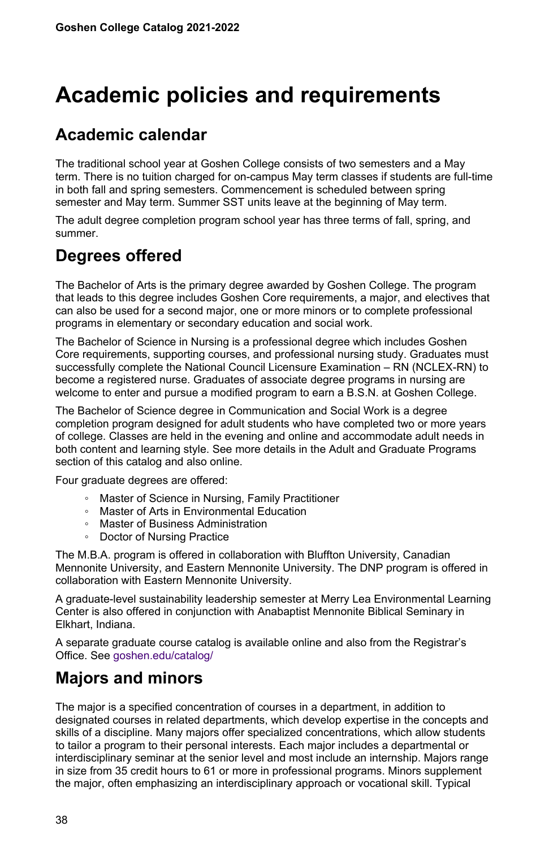# **Academic policies and requirements**

## **Academic calendar**

The traditional school year at Goshen College consists of two semesters and a May term. There is no tuition charged for on-campus May term classes if students are full-time in both fall and spring semesters. Commencement is scheduled between spring semester and May term. Summer SST units leave at the beginning of May term.

The adult degree completion program school year has three terms of fall, spring, and summer.

## **Degrees offered**

The Bachelor of Arts is the primary degree awarded by Goshen College. The program that leads to this degree includes Goshen Core requirements, a major, and electives that can also be used for a second major, one or more minors or to complete professional programs in elementary or secondary education and social work.

The Bachelor of Science in Nursing is a professional degree which includes Goshen Core requirements, supporting courses, and professional nursing study. Graduates must successfully complete the National Council Licensure Examination – RN (NCLEX-RN) to become a registered nurse. Graduates of associate degree programs in nursing are welcome to enter and pursue a modified program to earn a B.S.N. at Goshen College.

The Bachelor of Science degree in Communication and Social Work is a degree completion program designed for adult students who have completed two or more years of college. Classes are held in the evening and online and accommodate adult needs in both content and learning style. See more details in the Adult and Graduate Programs section of this catalog and also online.

Four graduate degrees are offered:

- Master of Science in Nursing, Family Practitioner
- Master of Arts in Environmental Education
- Master of Business Administration
- Doctor of Nursing Practice

The M.B.A. program is offered in collaboration with Bluffton University, Canadian Mennonite University, and Eastern Mennonite University. The DNP program is offered in collaboration with Eastern Mennonite University.

A graduate-level sustainability leadership semester at Merry Lea Environmental Learning Center is also offered in conjunction with Anabaptist Mennonite Biblical Seminary in Elkhart, Indiana.

A separate graduate course catalog is available online and also from the Registrar's Office. See [goshen.edu/catalog/](https://www.goshen.edu/catalog/)

## **Majors and minors**

The major is a specified concentration of courses in a department, in addition to designated courses in related departments, which develop expertise in the concepts and skills of a discipline. Many majors offer specialized concentrations, which allow students to tailor a program to their personal interests. Each major includes a departmental or interdisciplinary seminar at the senior level and most include an internship. Majors range in size from 35 credit hours to 61 or more in professional programs. Minors supplement the major, often emphasizing an interdisciplinary approach or vocational skill. Typical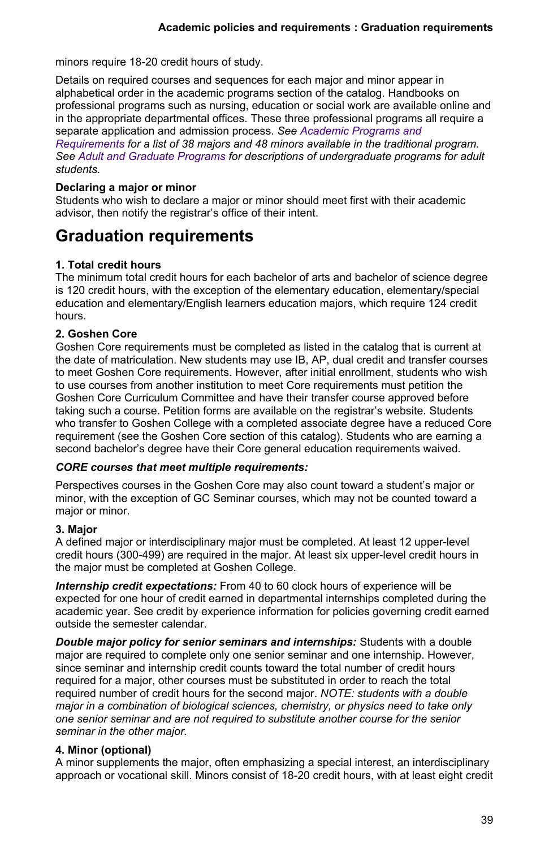minors require 18-20 credit hours of study.

Details on required courses and sequences for each major and minor appear in alphabetical order in the academic programs section of the catalog. Handbooks on professional programs such as nursing, education or social work are available online and in the appropriate departmental offices. These three professional programs all require a separate application and admission process. *See [Academic Programs and](https://www.goshen.edu/academics/majors-minors/)*

*[Requirements](https://www.goshen.edu/academics/majors-minors/) for a list of 38 majors and 48 minors available in the traditional program. See [Adult and Graduate Programs](https://www.goshen.edu/catalog/office-grad-cont-studies/) for descriptions of undergraduate programs for adult students.*

## **Declaring a major or minor**

Students who wish to declare a major or minor should meet first with their academic advisor, then notify the registrar's office of their intent.

## **Graduation requirements**

## **1. Total credit hours**

The minimum total credit hours for each bachelor of arts and bachelor of science degree is 120 credit hours, with the exception of the elementary education, elementary/special education and elementary/English learners education majors, which require 124 credit hours.

## **2. Goshen Core**

Goshen Core requirements must be completed as listed in the catalog that is current at the date of matriculation. New students may use IB, AP, dual credit and transfer courses to meet Goshen Core requirements. However, after initial enrollment, students who wish to use courses from another institution to meet Core requirements must petition the Goshen Core Curriculum Committee and have their transfer course approved before taking such a course. Petition forms are available on the registrar's website. Students who transfer to Goshen College with a completed associate degree have a reduced Core requirement (see the Goshen Core section of this catalog). Students who are earning a second bachelor's degree have their Core general education requirements waived.

## *CORE courses that meet multiple requirements:*

Perspectives courses in the Goshen Core may also count toward a student's major or minor, with the exception of GC Seminar courses, which may not be counted toward a major or minor.

## **3. Major**

A defined major or interdisciplinary major must be completed. At least 12 upper-level credit hours (300-499) are required in the major. At least six upper-level credit hours in the major must be completed at Goshen College.

*Internship credit expectations:* From 40 to 60 clock hours of experience will be expected for one hour of credit earned in departmental internships completed during the academic year. See credit by experience information for policies governing credit earned outside the semester calendar.

*Double major policy for senior seminars and internships:* Students with a double major are required to complete only one senior seminar and one internship. However, since seminar and internship credit counts toward the total number of credit hours required for a major, other courses must be substituted in order to reach the total required number of credit hours for the second major. *NOTE: students with a double major in a combination of biological sciences, chemistry, or physics need to take only one senior seminar and are not required to substitute another course for the senior seminar in the other major.*

## **4. Minor (optional)**

A minor supplements the major, often emphasizing a special interest, an interdisciplinary approach or vocational skill. Minors consist of 18-20 credit hours, with at least eight credit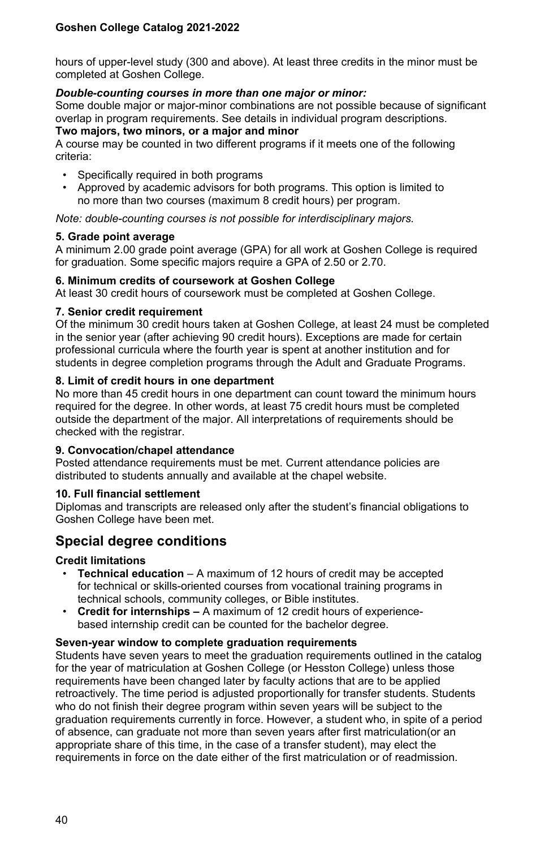hours of upper-level study (300 and above). At least three credits in the minor must be completed at Goshen College.

#### *Double-counting courses in more than one major or minor:*

Some double major or major-minor combinations are not possible because of significant overlap in program requirements. See details in individual program descriptions.

#### **Two majors, two minors, or a major and minor**

A course may be counted in two different programs if it meets one of the following criteria:

- Specifically required in both programs
- Approved by academic advisors for both programs. This option is limited to no more than two courses (maximum 8 credit hours) per program.

*Note: double-counting courses is not possible for interdisciplinary majors.*

#### **5. Grade point average**

A minimum 2.00 grade point average (GPA) for all work at Goshen College is required for graduation. Some specific majors require a GPA of 2.50 or 2.70.

#### **6. Minimum credits of coursework at Goshen College**

At least 30 credit hours of coursework must be completed at Goshen College.

#### **7. Senior credit requirement**

Of the minimum 30 credit hours taken at Goshen College, at least 24 must be completed in the senior year (after achieving 90 credit hours). Exceptions are made for certain professional curricula where the fourth year is spent at another institution and for students in degree completion programs through the Adult and Graduate Programs.

## **8. Limit of credit hours in one department**

No more than 45 credit hours in one department can count toward the minimum hours required for the degree. In other words, at least 75 credit hours must be completed outside the department of the major. All interpretations of requirements should be checked with the registrar.

## **9. Convocation/chapel attendance**

Posted attendance requirements must be met. Current attendance policies are distributed to students annually and available at the chapel website.

#### **10. Full financial settlement**

Diplomas and transcripts are released only after the student's financial obligations to Goshen College have been met.

## **Special degree conditions**

## **Credit limitations**

- **Technical education** A maximum of 12 hours of credit may be accepted for technical or skills-oriented courses from vocational training programs in technical schools, community colleges, or Bible institutes.
- **Credit for internships –** A maximum of 12 credit hours of experiencebased internship credit can be counted for the bachelor degree.

#### **Seven-year window to complete graduation requirements**

Students have seven years to meet the graduation requirements outlined in the catalog for the year of matriculation at Goshen College (or Hesston College) unless those requirements have been changed later by faculty actions that are to be applied retroactively. The time period is adjusted proportionally for transfer students. Students who do not finish their degree program within seven years will be subject to the graduation requirements currently in force. However, a student who, in spite of a period of absence, can graduate not more than seven years after first matriculation(or an appropriate share of this time, in the case of a transfer student), may elect the requirements in force on the date either of the first matriculation or of readmission.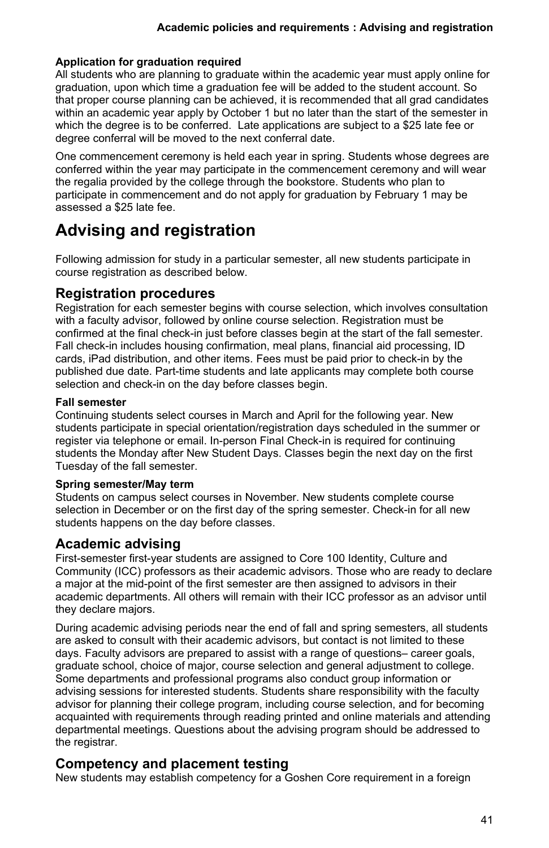## **Application for graduation required**

All students who are planning to graduate within the academic year must apply online for graduation, upon which time a graduation fee will be added to the student account. So that proper course planning can be achieved, it is recommended that all grad candidates within an academic year apply by October 1 but no later than the start of the semester in which the degree is to be conferred. Late applications are subject to a \$25 late fee or degree conferral will be moved to the next conferral date.

One commencement ceremony is held each year in spring. Students whose degrees are conferred within the year may participate in the commencement ceremony and will wear the regalia provided by the college through the bookstore. Students who plan to participate in commencement and do not apply for graduation by February 1 may be assessed a \$25 late fee.

## **Advising and registration**

Following admission for study in a particular semester, all new students participate in course registration as described below.

## **Registration procedures**

Registration for each semester begins with course selection, which involves consultation with a faculty advisor, followed by online course selection. Registration must be confirmed at the final check-in just before classes begin at the start of the fall semester. Fall check-in includes housing confirmation, meal plans, financial aid processing, ID cards, iPad distribution, and other items. Fees must be paid prior to check-in by the published due date. Part-time students and late applicants may complete both course selection and check-in on the day before classes begin.

## **Fall semester**

Continuing students select courses in March and April for the following year. New students participate in special orientation/registration days scheduled in the summer or register via telephone or email. In-person Final Check-in is required for continuing students the Monday after New Student Days. Classes begin the next day on the first Tuesday of the fall semester.

## **Spring semester/May term**

Students on campus select courses in November. New students complete course selection in December or on the first day of the spring semester. Check-in for all new students happens on the day before classes.

## **Academic advising**

First-semester first-year students are assigned to Core 100 Identity, Culture and Community (ICC) professors as their academic advisors. Those who are ready to declare a major at the mid-point of the first semester are then assigned to advisors in their academic departments. All others will remain with their ICC professor as an advisor until they declare majors.

During academic advising periods near the end of fall and spring semesters, all students are asked to consult with their academic advisors, but contact is not limited to these days. Faculty advisors are prepared to assist with a range of questions– career goals, graduate school, choice of major, course selection and general adjustment to college. Some departments and professional programs also conduct group information or advising sessions for interested students. Students share responsibility with the faculty advisor for planning their college program, including course selection, and for becoming acquainted with requirements through reading printed and online materials and attending departmental meetings. Questions about the advising program should be addressed to the registrar.

## **Competency and placement testing**

New students may establish competency for a Goshen Core requirement in a foreign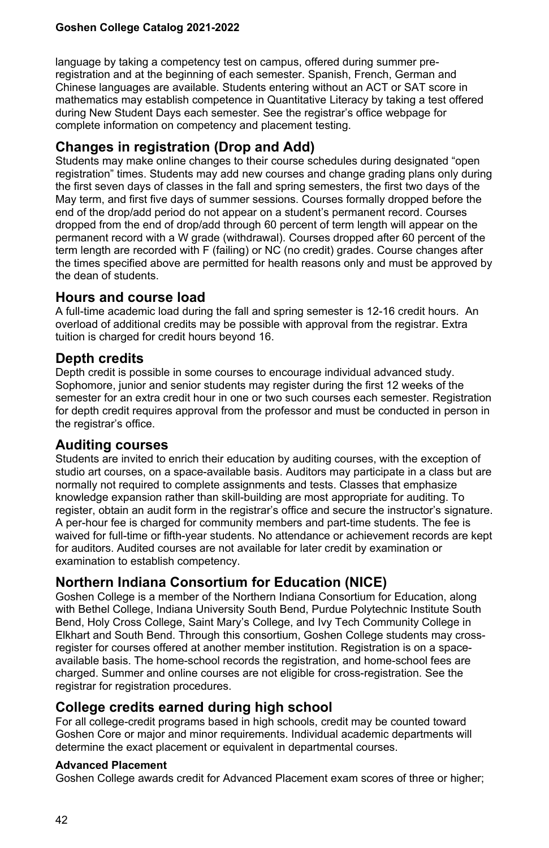language by taking a competency test on campus, offered during summer preregistration and at the beginning of each semester. Spanish, French, German and Chinese languages are available. Students entering without an ACT or SAT score in mathematics may establish competence in Quantitative Literacy by taking a test offered during New Student Days each semester. See the registrar's office webpage for complete information on competency and placement testing.

## **Changes in registration (Drop and Add)**

Students may make online changes to their course schedules during designated "open registration" times. Students may add new courses and change grading plans only during the first seven days of classes in the fall and spring semesters, the first two days of the May term, and first five days of summer sessions. Courses formally dropped before the end of the drop/add period do not appear on a student's permanent record. Courses dropped from the end of drop/add through 60 percent of term length will appear on the permanent record with a W grade (withdrawal). Courses dropped after 60 percent of the term length are recorded with F (failing) or NC (no credit) grades. Course changes after the times specified above are permitted for health reasons only and must be approved by the dean of students.

## **Hours and course load**

A full-time academic load during the fall and spring semester is 12-16 credit hours. An overload of additional credits may be possible with approval from the registrar. Extra tuition is charged for credit hours beyond 16.

## **Depth credits**

Depth credit is possible in some courses to encourage individual advanced study. Sophomore, junior and senior students may register during the first 12 weeks of the semester for an extra credit hour in one or two such courses each semester. Registration for depth credit requires approval from the professor and must be conducted in person in the registrar's office.

## **Auditing courses**

Students are invited to enrich their education by auditing courses, with the exception of studio art courses, on a space-available basis. Auditors may participate in a class but are normally not required to complete assignments and tests. Classes that emphasize knowledge expansion rather than skill-building are most appropriate for auditing. To register, obtain an audit form in the registrar's office and secure the instructor's signature. A per-hour fee is charged for community members and part-time students. The fee is waived for full-time or fifth-year students. No attendance or achievement records are kept for auditors. Audited courses are not available for later credit by examination or examination to establish competency.

## **Northern Indiana Consortium for Education (NICE)**

Goshen College is a member of the Northern Indiana Consortium for Education, along with Bethel College, Indiana University South Bend, Purdue Polytechnic Institute South Bend, Holy Cross College, Saint Mary's College, and Ivy Tech Community College in Elkhart and South Bend. Through this consortium, Goshen College students may crossregister for courses offered at another member institution. Registration is on a spaceavailable basis. The home-school records the registration, and home-school fees are charged. Summer and online courses are not eligible for cross-registration. See the registrar for registration procedures.

## **College credits earned during high school**

For all college-credit programs based in high schools, credit may be counted toward Goshen Core or major and minor requirements. Individual academic departments will determine the exact placement or equivalent in departmental courses.

## **Advanced Placement**

Goshen College awards credit for Advanced Placement exam scores of three or higher;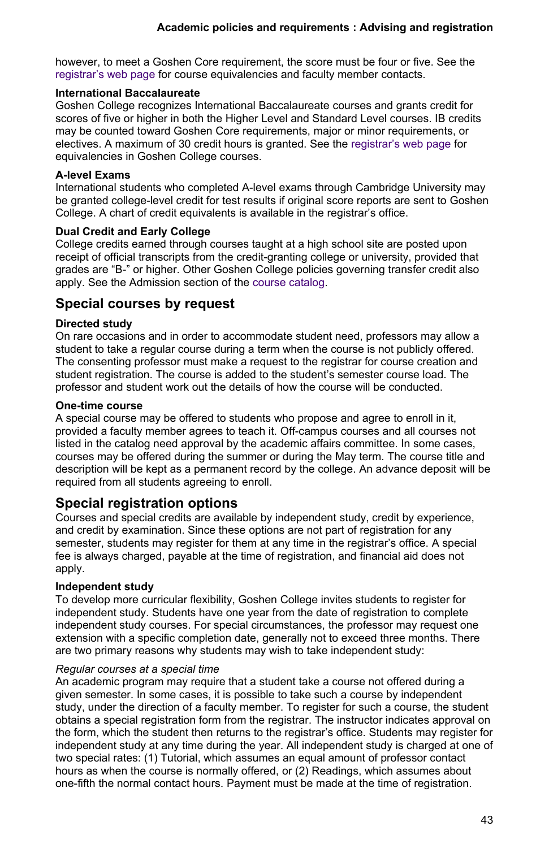however, to meet a Goshen Core requirement, the score must be four or five. See the [registrar's web page](https://www.goshen.edu/registrar/awarding-credit-for-ap-ib-or-dual-credit-programs/) for course equivalencies and faculty member contacts.

## **International Baccalaureate**

Goshen College recognizes International Baccalaureate courses and grants credit for scores of five or higher in both the Higher Level and Standard Level courses. IB credits may be counted toward Goshen Core requirements, major or minor requirements, or electives. A maximum of 30 credit hours is granted. See the [registrar's web page](https://www.goshen.edu/registrar/awarding-credit-for-ap-ib-or-dual-credit-programs/) for equivalencies in Goshen College courses.

## **A-level Exams**

International students who completed A-level exams through Cambridge University may be granted college-level credit for test results if original score reports are sent to Goshen College. A chart of credit equivalents is available in the registrar's office.

## **Dual Credit and Early College**

College credits earned through courses taught at a high school site are posted upon receipt of official transcripts from the credit-granting college or university, provided that grades are "B-" or higher. Other Goshen College policies governing transfer credit also apply. See the Admission section of the [course catalog](https://www.goshen.edu/catalog/admissions/).

## **Special courses by request**

## **Directed study**

On rare occasions and in order to accommodate student need, professors may allow a student to take a regular course during a term when the course is not publicly offered. The consenting professor must make a request to the registrar for course creation and student registration. The course is added to the student's semester course load. The professor and student work out the details of how the course will be conducted.

## **One-time course**

A special course may be offered to students who propose and agree to enroll in it, provided a faculty member agrees to teach it. Off-campus courses and all courses not listed in the catalog need approval by the academic affairs committee. In some cases, courses may be offered during the summer or during the May term. The course title and description will be kept as a permanent record by the college. An advance deposit will be required from all students agreeing to enroll.

## **Special registration options**

Courses and special credits are available by independent study, credit by experience, and credit by examination. Since these options are not part of registration for any semester, students may register for them at any time in the registrar's office. A special fee is always charged, payable at the time of registration, and financial aid does not apply.

## **Independent study**

To develop more curricular flexibility, Goshen College invites students to register for independent study. Students have one year from the date of registration to complete independent study courses. For special circumstances, the professor may request one extension with a specific completion date, generally not to exceed three months. There are two primary reasons why students may wish to take independent study:

## *Regular courses at a special time*

An academic program may require that a student take a course not offered during a given semester. In some cases, it is possible to take such a course by independent study, under the direction of a faculty member. To register for such a course, the student obtains a special registration form from the registrar. The instructor indicates approval on the form, which the student then returns to the registrar's office. Students may register for independent study at any time during the year. All independent study is charged at one of two special rates: (1) Tutorial, which assumes an equal amount of professor contact hours as when the course is normally offered, or (2) Readings, which assumes about one-fifth the normal contact hours. Payment must be made at the time of registration.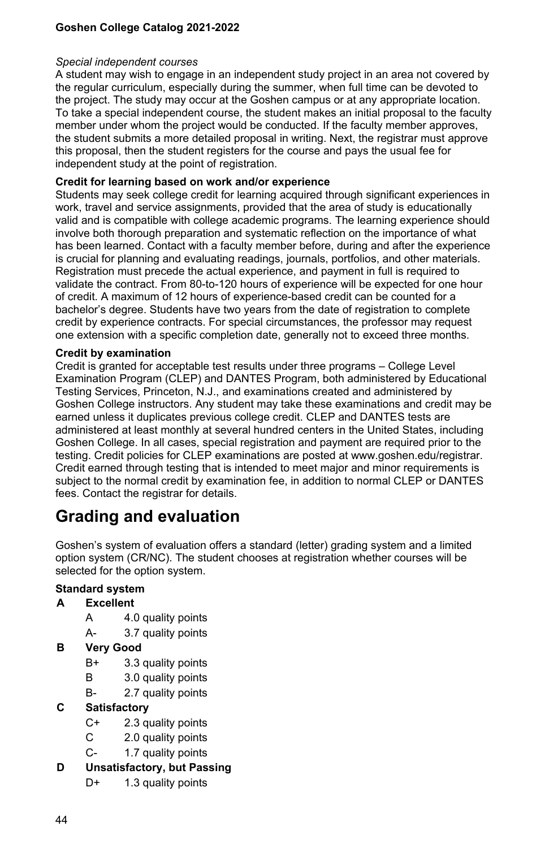#### *Special independent courses*

A student may wish to engage in an independent study project in an area not covered by the regular curriculum, especially during the summer, when full time can be devoted to the project. The study may occur at the Goshen campus or at any appropriate location. To take a special independent course, the student makes an initial proposal to the faculty member under whom the project would be conducted. If the faculty member approves, the student submits a more detailed proposal in writing. Next, the registrar must approve this proposal, then the student registers for the course and pays the usual fee for independent study at the point of registration.

## **Credit for learning based on work and/or experience**

Students may seek college credit for learning acquired through significant experiences in work, travel and service assignments, provided that the area of study is educationally valid and is compatible with college academic programs. The learning experience should involve both thorough preparation and systematic reflection on the importance of what has been learned. Contact with a faculty member before, during and after the experience is crucial for planning and evaluating readings, journals, portfolios, and other materials. Registration must precede the actual experience, and payment in full is required to validate the contract. From 80-to-120 hours of experience will be expected for one hour of credit. A maximum of 12 hours of experience-based credit can be counted for a bachelor's degree. Students have two years from the date of registration to complete credit by experience contracts. For special circumstances, the professor may request one extension with a specific completion date, generally not to exceed three months.

## **Credit by examination**

Credit is granted for acceptable test results under three programs – College Level Examination Program (CLEP) and DANTES Program, both administered by Educational Testing Services, Princeton, N.J., and examinations created and administered by Goshen College instructors. Any student may take these examinations and credit may be earned unless it duplicates previous college credit. CLEP and DANTES tests are administered at least monthly at several hundred centers in the United States, including Goshen College. In all cases, special registration and payment are required prior to the testing. Credit policies for CLEP examinations are posted at www.goshen.edu/registrar. Credit earned through testing that is intended to meet major and minor requirements is subject to the normal credit by examination fee, in addition to normal CLEP or DANTES fees. Contact the registrar for details.

## **Grading and evaluation**

Goshen's system of evaluation offers a standard (letter) grading system and a limited option system (CR/NC). The student chooses at registration whether courses will be selected for the option system.

## **Standard system**

## **A Excellent**

- A 4.0 quality points
- A- 3.7 quality points

## **B Very Good**

- B+ 3.3 quality points
- B 3.0 quality points
- B- 2.7 quality points

## **C Satisfactory**

- C+ 2.3 quality points
- C 2.0 quality points
- C- 1.7 quality points

## **D Unsatisfactory, but Passing**

D+ 1.3 quality points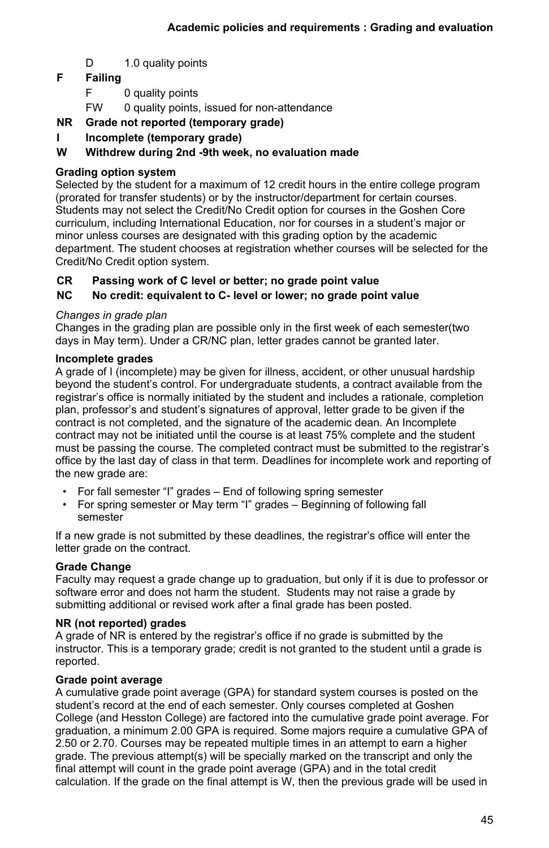D 1.0 quality points

## **F Failing**

- F 0 quality points
- FW 0 quality points, issued for non-attendance
- **NR Grade not reported (temporary grade)**
- **I Incomplete (temporary grade)**

## **W Withdrew during 2nd -9th week, no evaluation made**

## **Grading option system**

Selected by the student for a maximum of 12 credit hours in the entire college program (prorated for transfer students) or by the instructor/department for certain courses. Students may not select the Credit/No Credit option for courses in the Goshen Core curriculum, including International Education, nor for courses in a student's major or minor unless courses are designated with this grading option by the academic department. The student chooses at registration whether courses will be selected for the Credit/No Credit option system.

## **CR Passing work of C level or better; no grade point value**

## **NC No credit: equivalent to C- level or lower; no grade point value**

## *Changes in grade plan*

Changes in the grading plan are possible only in the first week of each semester(two days in May term). Under a CR/NC plan, letter grades cannot be granted later.

## **Incomplete grades**

A grade of I (incomplete) may be given for illness, accident, or other unusual hardship beyond the student's control. For undergraduate students, a contract available from the registrar's office is normally initiated by the student and includes a rationale, completion plan, professor's and student's signatures of approval, letter grade to be given if the contract is not completed, and the signature of the academic dean. An Incomplete contract may not be initiated until the course is at least 75% complete and the student must be passing the course. The completed contract must be submitted to the registrar's office by the last day of class in that term. Deadlines for incomplete work and reporting of the new grade are:

- For fall semester "I" grades End of following spring semester
- For spring semester or May term "I" grades Beginning of following fall semester

If a new grade is not submitted by these deadlines, the registrar's office will enter the letter grade on the contract.

## **Grade Change**

Faculty may request a grade change up to graduation, but only if it is due to professor or software error and does not harm the student. Students may not raise a grade by submitting additional or revised work after a final grade has been posted.

## **NR (not reported) grades**

A grade of NR is entered by the registrar's office if no grade is submitted by the instructor. This is a temporary grade; credit is not granted to the student until a grade is reported.

## **Grade point average**

A cumulative grade point average (GPA) for standard system courses is posted on the student's record at the end of each semester. Only courses completed at Goshen College (and Hesston College) are factored into the cumulative grade point average. For graduation, a minimum 2.00 GPA is required. Some majors require a cumulative GPA of 2.50 or 2.70. Courses may be repeated multiple times in an attempt to earn a higher grade. The previous attempt(s) will be specially marked on the transcript and only the final attempt will count in the grade point average (GPA) and in the total credit calculation. If the grade on the final attempt is W, then the previous grade will be used in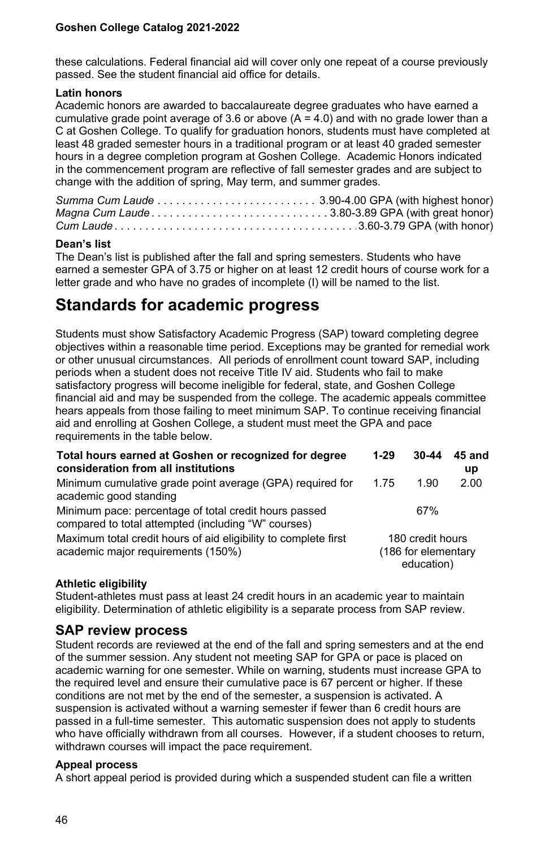these calculations. Federal financial aid will cover only one repeat of a course previously passed. See the student financial aid office for details.

#### **Latin honors**

Academic honors are awarded to baccalaureate degree graduates who have earned a cumulative grade point average of 3.6 or above  $(A = 4.0)$  and with no grade lower than a C at Goshen College. To qualify for graduation honors, students must have completed at least 48 graded semester hours in a traditional program or at least 40 graded semester hours in a degree completion program at Goshen College. Academic Honors indicated in the commencement program are reflective of fall semester grades and are subject to change with the addition of spring, May term, and summer grades.

## **Dean's list**

The Dean's list is published after the fall and spring semesters. Students who have earned a semester GPA of 3.75 or higher on at least 12 credit hours of course work for a letter grade and who have no grades of incomplete (I) will be named to the list.

## **Standards for academic progress**

Students must show Satisfactory Academic Progress (SAP) toward completing degree objectives within a reasonable time period. Exceptions may be granted for remedial work or other unusual circumstances. All periods of enrollment count toward SAP, including periods when a student does not receive Title IV aid. Students who fail to make satisfactory progress will become ineligible for federal, state, and Goshen College financial aid and may be suspended from the college. The academic appeals committee hears appeals from those failing to meet minimum SAP. To continue receiving financial aid and enrolling at Goshen College, a student must meet the GPA and pace requirements in the table below.

| Total hours earned at Goshen or recognized for degree<br>consideration from all institutions                 | $1-29$                                                | 30-44 | 45 and<br><b>up</b> |
|--------------------------------------------------------------------------------------------------------------|-------------------------------------------------------|-------|---------------------|
| Minimum cumulative grade point average (GPA) required for<br>academic good standing                          | 1 75                                                  | 1.90  | 2.00                |
| Minimum pace: percentage of total credit hours passed<br>compared to total attempted (including "W" courses) |                                                       | 67%   |                     |
| Maximum total credit hours of aid eligibility to complete first<br>academic major requirements (150%)        | 180 credit hours<br>(186 for elementary<br>education) |       |                     |

## **Athletic eligibility**

Student-athletes must pass at least 24 credit hours in an academic year to maintain eligibility. Determination of athletic eligibility is a separate process from SAP review.

## **SAP review process**

Student records are reviewed at the end of the fall and spring semesters and at the end of the summer session. Any student not meeting SAP for GPA or pace is placed on academic warning for one semester. While on warning, students must increase GPA to the required level and ensure their cumulative pace is 67 percent or higher. If these conditions are not met by the end of the semester, a suspension is activated. A suspension is activated without a warning semester if fewer than 6 credit hours are passed in a full-time semester. This automatic suspension does not apply to students who have officially withdrawn from all courses. However, if a student chooses to return, withdrawn courses will impact the pace requirement.

#### **Appeal process**

A short appeal period is provided during which a suspended student can file a written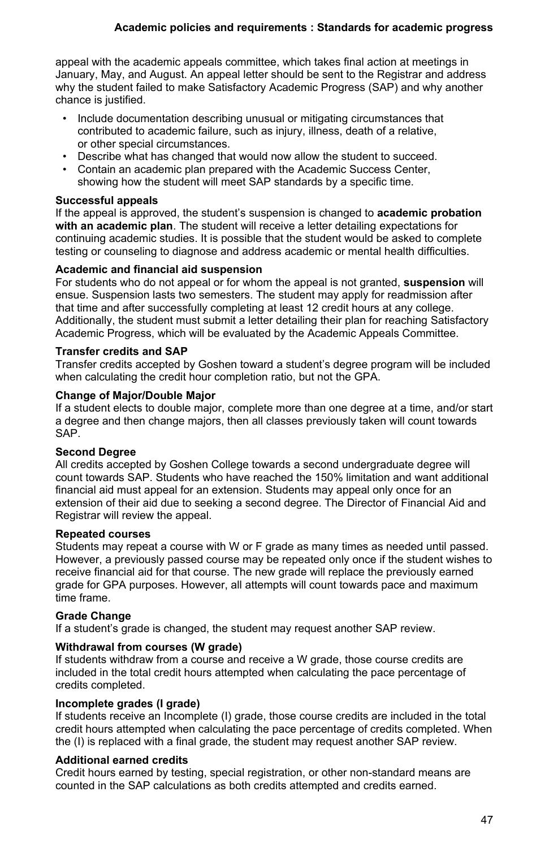appeal with the academic appeals committee, which takes final action at meetings in January, May, and August. An appeal letter should be sent to the Registrar and address why the student failed to make Satisfactory Academic Progress (SAP) and why another chance is justified.

- Include documentation describing unusual or mitigating circumstances that contributed to academic failure, such as injury, illness, death of a relative, or other special circumstances.
- Describe what has changed that would now allow the student to succeed.
- Contain an academic plan prepared with the Academic Success Center, showing how the student will meet SAP standards by a specific time.

## **Successful appeals**

If the appeal is approved, the student's suspension is changed to **academic probation with an academic plan**. The student will receive a letter detailing expectations for continuing academic studies. It is possible that the student would be asked to complete testing or counseling to diagnose and address academic or mental health difficulties.

## **Academic and financial aid suspension**

For students who do not appeal or for whom the appeal is not granted, **suspension** will ensue. Suspension lasts two semesters. The student may apply for readmission after that time and after successfully completing at least 12 credit hours at any college. Additionally, the student must submit a letter detailing their plan for reaching Satisfactory Academic Progress, which will be evaluated by the Academic Appeals Committee.

## **Transfer credits and SAP**

Transfer credits accepted by Goshen toward a student's degree program will be included when calculating the credit hour completion ratio, but not the GPA.

## **Change of Major/Double Major**

If a student elects to double major, complete more than one degree at a time, and/or start a degree and then change majors, then all classes previously taken will count towards SAP.

## **Second Degree**

All credits accepted by Goshen College towards a second undergraduate degree will count towards SAP. Students who have reached the 150% limitation and want additional financial aid must appeal for an extension. Students may appeal only once for an extension of their aid due to seeking a second degree. The Director of Financial Aid and Registrar will review the appeal.

## **Repeated courses**

Students may repeat a course with W or F grade as many times as needed until passed. However, a previously passed course may be repeated only once if the student wishes to receive financial aid for that course. The new grade will replace the previously earned grade for GPA purposes. However, all attempts will count towards pace and maximum time frame.

## **Grade Change**

If a student's grade is changed, the student may request another SAP review.

## **Withdrawal from courses (W grade)**

If students withdraw from a course and receive a W grade, those course credits are included in the total credit hours attempted when calculating the pace percentage of credits completed.

## **Incomplete grades (I grade)**

If students receive an Incomplete (I) grade, those course credits are included in the total credit hours attempted when calculating the pace percentage of credits completed. When the (I) is replaced with a final grade, the student may request another SAP review.

## **Additional earned credits**

Credit hours earned by testing, special registration, or other non-standard means are counted in the SAP calculations as both credits attempted and credits earned.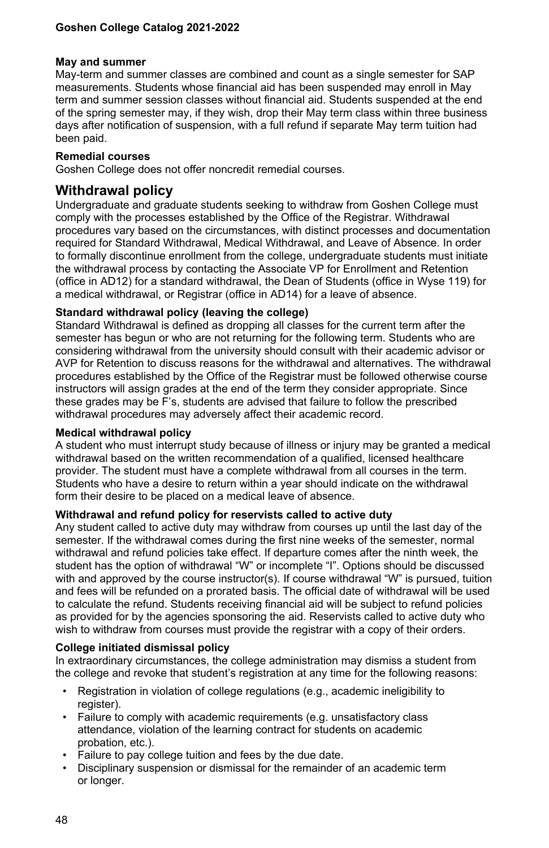#### **May and summer**

May-term and summer classes are combined and count as a single semester for SAP measurements. Students whose financial aid has been suspended may enroll in May term and summer session classes without financial aid. Students suspended at the end of the spring semester may, if they wish, drop their May term class within three business days after notification of suspension, with a full refund if separate May term tuition had been paid.

## **Remedial courses**

Goshen College does not offer noncredit remedial courses.

## **Withdrawal policy**

Undergraduate and graduate students seeking to withdraw from Goshen College must comply with the processes established by the Office of the Registrar. Withdrawal procedures vary based on the circumstances, with distinct processes and documentation required for Standard Withdrawal, Medical Withdrawal, and Leave of Absence. In order to formally discontinue enrollment from the college, undergraduate students must initiate the withdrawal process by contacting the Associate VP for Enrollment and Retention (office in AD12) for a standard withdrawal, the Dean of Students (office in Wyse 119) for a medical withdrawal, or Registrar (office in AD14) for a leave of absence.

## **Standard withdrawal policy (leaving the college)**

Standard Withdrawal is defined as dropping all classes for the current term after the semester has begun or who are not returning for the following term. Students who are considering withdrawal from the university should consult with their academic advisor or AVP for Retention to discuss reasons for the withdrawal and alternatives. The withdrawal procedures established by the Office of the Registrar must be followed otherwise course instructors will assign grades at the end of the term they consider appropriate. Since these grades may be F's, students are advised that failure to follow the prescribed withdrawal procedures may adversely affect their academic record.

## **Medical withdrawal policy**

A student who must interrupt study because of illness or injury may be granted a medical withdrawal based on the written recommendation of a qualified, licensed healthcare provider. The student must have a complete withdrawal from all courses in the term. Students who have a desire to return within a year should indicate on the withdrawal form their desire to be placed on a medical leave of absence.

## **Withdrawal and refund policy for reservists called to active duty**

Any student called to active duty may withdraw from courses up until the last day of the semester. If the withdrawal comes during the first nine weeks of the semester, normal withdrawal and refund policies take effect. If departure comes after the ninth week, the student has the option of withdrawal "W" or incomplete "I". Options should be discussed with and approved by the course instructor(s). If course withdrawal "W" is pursued, tuition and fees will be refunded on a prorated basis. The official date of withdrawal will be used to calculate the refund. Students receiving financial aid will be subject to refund policies as provided for by the agencies sponsoring the aid. Reservists called to active duty who wish to withdraw from courses must provide the registrar with a copy of their orders.

## **College initiated dismissal policy**

In extraordinary circumstances, the college administration may dismiss a student from the college and revoke that student's registration at any time for the following reasons:

- Registration in violation of college regulations (e.g., academic ineligibility to register).
- Failure to comply with academic requirements (e.g. unsatisfactory class attendance, violation of the learning contract for students on academic probation, etc.).
- Failure to pay college tuition and fees by the due date.
- Disciplinary suspension or dismissal for the remainder of an academic term or longer.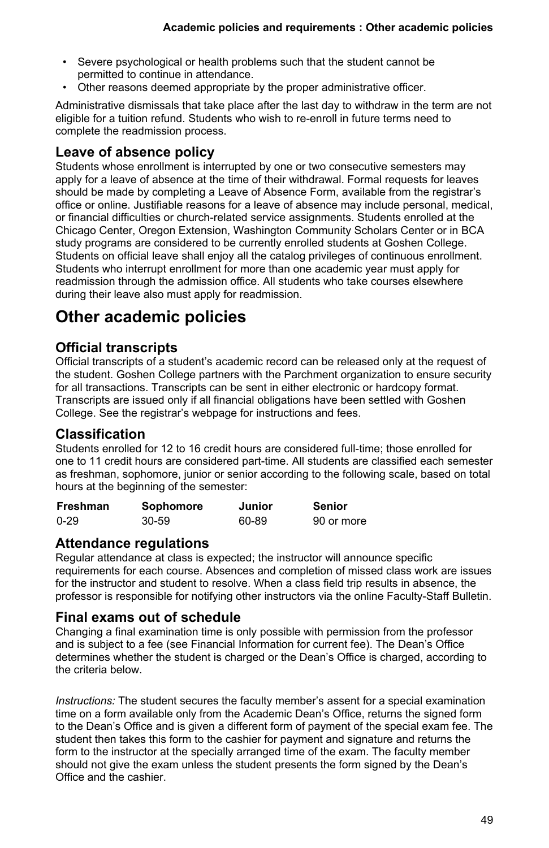- Severe psychological or health problems such that the student cannot be permitted to continue in attendance.
- Other reasons deemed appropriate by the proper administrative officer.

Administrative dismissals that take place after the last day to withdraw in the term are not eligible for a tuition refund. Students who wish to re-enroll in future terms need to complete the readmission process.

## **Leave of absence policy**

Students whose enrollment is interrupted by one or two consecutive semesters may apply for a leave of absence at the time of their withdrawal. Formal requests for leaves should be made by completing a Leave of Absence Form, available from the registrar's office or online. Justifiable reasons for a leave of absence may include personal, medical, or financial difficulties or church-related service assignments. Students enrolled at the Chicago Center, Oregon Extension, Washington Community Scholars Center or in BCA study programs are considered to be currently enrolled students at Goshen College. Students on official leave shall enjoy all the catalog privileges of continuous enrollment. Students who interrupt enrollment for more than one academic year must apply for readmission through the admission office. All students who take courses elsewhere during their leave also must apply for readmission.

## **Other academic policies**

## **Official transcripts**

Official transcripts of a student's academic record can be released only at the request of the student. Goshen College partners with the Parchment organization to ensure security for all transactions. Transcripts can be sent in either electronic or hardcopy format. Transcripts are issued only if all financial obligations have been settled with Goshen College. See the registrar's webpage for instructions and fees.

## **Classification**

Students enrolled for 12 to 16 credit hours are considered full-time; those enrolled for one to 11 credit hours are considered part-time. All students are classified each semester as freshman, sophomore, junior or senior according to the following scale, based on total hours at the beginning of the semester:

| Freshman | Sophomore | Junior | Senior     |
|----------|-----------|--------|------------|
| $0 - 29$ | 30-59     | 60-89  | 90 or more |

## **Attendance regulations**

Regular attendance at class is expected; the instructor will announce specific requirements for each course. Absences and completion of missed class work are issues for the instructor and student to resolve. When a class field trip results in absence, the professor is responsible for notifying other instructors via the online Faculty-Staff Bulletin.

## **Final exams out of schedule**

Changing a final examination time is only possible with permission from the professor and is subject to a fee (see Financial Information for current fee). The Dean's Office determines whether the student is charged or the Dean's Office is charged, according to the criteria below.

*Instructions:* The student secures the faculty member's assent for a special examination time on a form available only from the Academic Dean's Office, returns the signed form to the Dean's Office and is given a different form of payment of the special exam fee. The student then takes this form to the cashier for payment and signature and returns the form to the instructor at the specially arranged time of the exam. The faculty member should not give the exam unless the student presents the form signed by the Dean's Office and the cashier.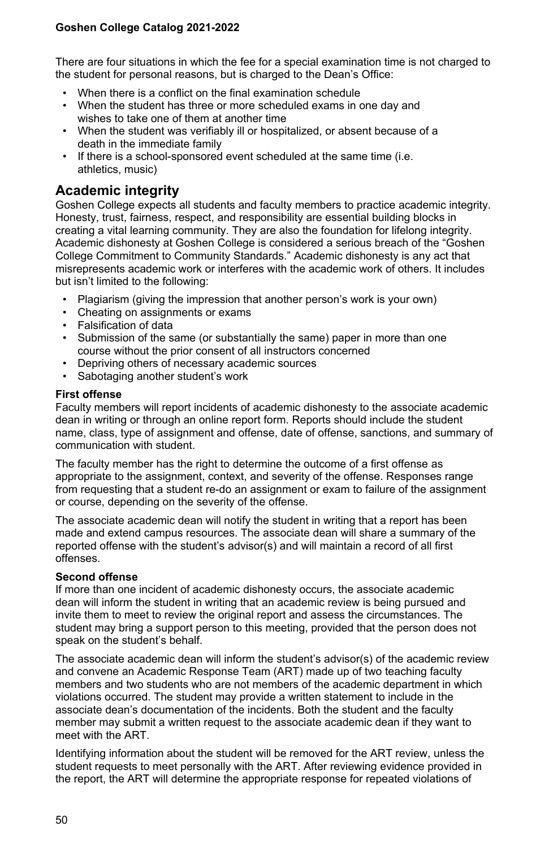There are four situations in which the fee for a special examination time is not charged to the student for personal reasons, but is charged to the Dean's Office:

- When there is a conflict on the final examination schedule
- When the student has three or more scheduled exams in one day and wishes to take one of them at another time
- When the student was verifiably ill or hospitalized, or absent because of a death in the immediate family
- If there is a school-sponsored event scheduled at the same time (i.e. athletics, music)

## **Academic integrity**

Goshen College expects all students and faculty members to practice academic integrity. Honesty, trust, fairness, respect, and responsibility are essential building blocks in creating a vital learning community. They are also the foundation for lifelong integrity. Academic dishonesty at Goshen College is considered a serious breach of the "Goshen College Commitment to Community Standards." Academic dishonesty is any act that misrepresents academic work or interferes with the academic work of others. It includes but isn't limited to the following:

- Plagiarism (giving the impression that another person's work is your own)
- Cheating on assignments or exams
- Falsification of data
- Submission of the same (or substantially the same) paper in more than one course without the prior consent of all instructors concerned
- Depriving others of necessary academic sources
- Sabotaging another student's work

#### **First offense**

Faculty members will report incidents of academic dishonesty to the associate academic dean in writing or through an online report form. Reports should include the student name, class, type of assignment and offense, date of offense, sanctions, and summary of communication with student.

The faculty member has the right to determine the outcome of a first offense as appropriate to the assignment, context, and severity of the offense. Responses range from requesting that a student re-do an assignment or exam to failure of the assignment or course, depending on the severity of the offense.

The associate academic dean will notify the student in writing that a report has been made and extend campus resources. The associate dean will share a summary of the reported offense with the student's advisor(s) and will maintain a record of all first offenses.

#### **Second offense**

If more than one incident of academic dishonesty occurs, the associate academic dean will inform the student in writing that an academic review is being pursued and invite them to meet to review the original report and assess the circumstances. The student may bring a support person to this meeting, provided that the person does not speak on the student's behalf.

The associate academic dean will inform the student's advisor(s) of the academic review and convene an Academic Response Team (ART) made up of two teaching faculty members and two students who are not members of the academic department in which violations occurred. The student may provide a written statement to include in the associate dean's documentation of the incidents. Both the student and the faculty member may submit a written request to the associate academic dean if they want to meet with the ART.

Identifying information about the student will be removed for the ART review, unless the student requests to meet personally with the ART. After reviewing evidence provided in the report, the ART will determine the appropriate response for repeated violations of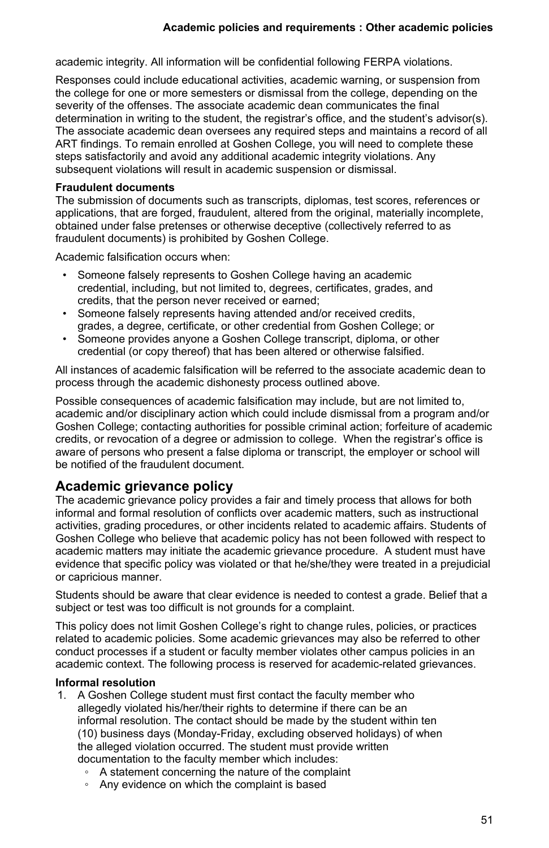academic integrity. All information will be confidential following FERPA violations.

Responses could include educational activities, academic warning, or suspension from the college for one or more semesters or dismissal from the college, depending on the severity of the offenses. The associate academic dean communicates the final determination in writing to the student, the registrar's office, and the student's advisor(s). The associate academic dean oversees any required steps and maintains a record of all ART findings. To remain enrolled at Goshen College, you will need to complete these steps satisfactorily and avoid any additional academic integrity violations. Any subsequent violations will result in academic suspension or dismissal.

### **Fraudulent documents**

The submission of documents such as transcripts, diplomas, test scores, references or applications, that are forged, fraudulent, altered from the original, materially incomplete, obtained under false pretenses or otherwise deceptive (collectively referred to as fraudulent documents) is prohibited by Goshen College.

Academic falsification occurs when:

- Someone falsely represents to Goshen College having an academic credential, including, but not limited to, degrees, certificates, grades, and credits, that the person never received or earned;
- Someone falsely represents having attended and/or received credits, grades, a degree, certificate, or other credential from Goshen College; or
- Someone provides anyone a Goshen College transcript, diploma, or other credential (or copy thereof) that has been altered or otherwise falsified.

All instances of academic falsification will be referred to the associate academic dean to process through the academic dishonesty process outlined above.

Possible consequences of academic falsification may include, but are not limited to, academic and/or disciplinary action which could include dismissal from a program and/or Goshen College; contacting authorities for possible criminal action; forfeiture of academic credits, or revocation of a degree or admission to college. When the registrar's office is aware of persons who present a false diploma or transcript, the employer or school will be notified of the fraudulent document.

## **Academic grievance policy**

The academic grievance policy provides a fair and timely process that allows for both informal and formal resolution of conflicts over academic matters, such as instructional activities, grading procedures, or other incidents related to academic affairs. Students of Goshen College who believe that academic policy has not been followed with respect to academic matters may initiate the academic grievance procedure. A student must have evidence that specific policy was violated or that he/she/they were treated in a prejudicial or capricious manner.

Students should be aware that clear evidence is needed to contest a grade. Belief that a subject or test was too difficult is not grounds for a complaint.

This policy does not limit Goshen College's right to change rules, policies, or practices related to academic policies. Some academic grievances may also be referred to other conduct processes if a student or faculty member violates other campus policies in an academic context. The following process is reserved for academic-related grievances.

## **Informal resolution**

- 1. A Goshen College student must first contact the faculty member who allegedly violated his/her/their rights to determine if there can be an informal resolution. The contact should be made by the student within ten (10) business days (Monday-Friday, excluding observed holidays) of when the alleged violation occurred. The student must provide written documentation to the faculty member which includes:
	- A statement concerning the nature of the complaint
	- Any evidence on which the complaint is based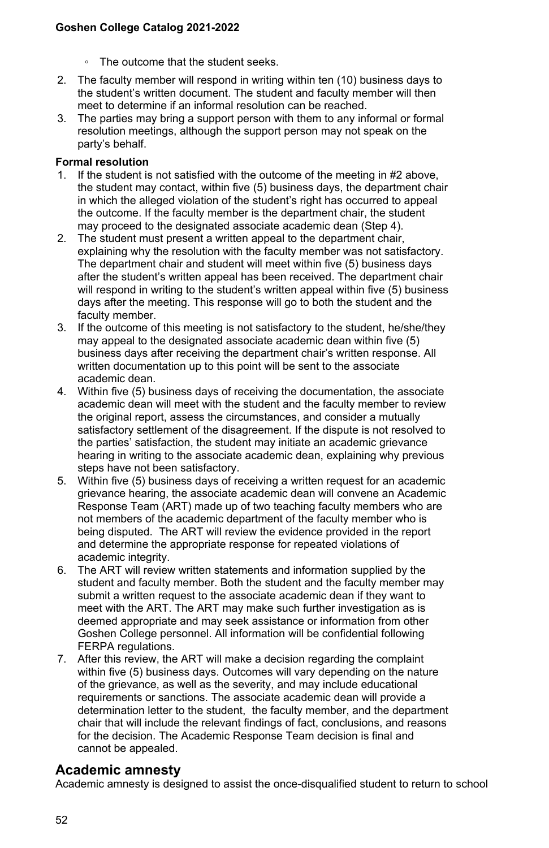- The outcome that the student seeks.
- 2. The faculty member will respond in writing within ten (10) business days to the student's written document. The student and faculty member will then meet to determine if an informal resolution can be reached.
- 3. The parties may bring a support person with them to any informal or formal resolution meetings, although the support person may not speak on the party's behalf.

## **Formal resolution**

- 1. If the student is not satisfied with the outcome of the meeting in #2 above, the student may contact, within five (5) business days, the department chair in which the alleged violation of the student's right has occurred to appeal the outcome. If the faculty member is the department chair, the student may proceed to the designated associate academic dean (Step 4).
- 2. The student must present a written appeal to the department chair, explaining why the resolution with the faculty member was not satisfactory. The department chair and student will meet within five (5) business days after the student's written appeal has been received. The department chair will respond in writing to the student's written appeal within five (5) business days after the meeting. This response will go to both the student and the faculty member.
- 3. If the outcome of this meeting is not satisfactory to the student, he/she/they may appeal to the designated associate academic dean within five (5) business days after receiving the department chair's written response. All written documentation up to this point will be sent to the associate academic dean.
- 4. Within five (5) business days of receiving the documentation, the associate academic dean will meet with the student and the faculty member to review the original report, assess the circumstances, and consider a mutually satisfactory settlement of the disagreement. If the dispute is not resolved to the parties' satisfaction, the student may initiate an academic grievance hearing in writing to the associate academic dean, explaining why previous steps have not been satisfactory.
- 5. Within five (5) business days of receiving a written request for an academic grievance hearing, the associate academic dean will convene an Academic Response Team (ART) made up of two teaching faculty members who are not members of the academic department of the faculty member who is being disputed. The ART will review the evidence provided in the report and determine the appropriate response for repeated violations of academic integrity.
- 6. The ART will review written statements and information supplied by the student and faculty member. Both the student and the faculty member may submit a written request to the associate academic dean if they want to meet with the ART. The ART may make such further investigation as is deemed appropriate and may seek assistance or information from other Goshen College personnel. All information will be confidential following FERPA regulations.
- 7. After this review, the ART will make a decision regarding the complaint within five (5) business days. Outcomes will vary depending on the nature of the grievance, as well as the severity, and may include educational requirements or sanctions. The associate academic dean will provide a determination letter to the student, the faculty member, and the department chair that will include the relevant findings of fact, conclusions, and reasons for the decision. The Academic Response Team decision is final and cannot be appealed.

## **Academic amnesty**

Academic amnesty is designed to assist the once-disqualified student to return to school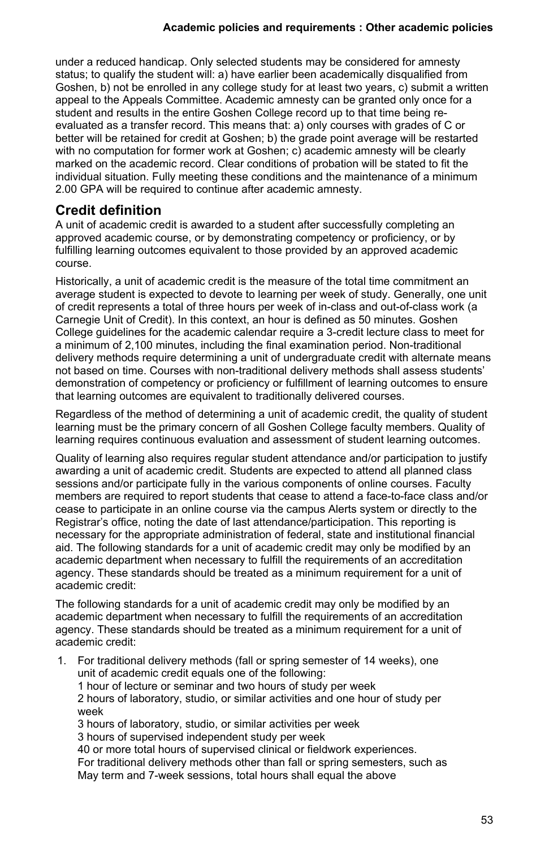under a reduced handicap. Only selected students may be considered for amnesty status; to qualify the student will: a) have earlier been academically disqualified from Goshen, b) not be enrolled in any college study for at least two years, c) submit a written appeal to the Appeals Committee. Academic amnesty can be granted only once for a student and results in the entire Goshen College record up to that time being reevaluated as a transfer record. This means that: a) only courses with grades of C or better will be retained for credit at Goshen; b) the grade point average will be restarted with no computation for former work at Goshen; c) academic amnesty will be clearly marked on the academic record. Clear conditions of probation will be stated to fit the individual situation. Fully meeting these conditions and the maintenance of a minimum 2.00 GPA will be required to continue after academic amnesty.

## **Credit definition**

A unit of academic credit is awarded to a student after successfully completing an approved academic course, or by demonstrating competency or proficiency, or by fulfilling learning outcomes equivalent to those provided by an approved academic course.

Historically, a unit of academic credit is the measure of the total time commitment an average student is expected to devote to learning per week of study. Generally, one unit of credit represents a total of three hours per week of in-class and out-of-class work (a Carnegie Unit of Credit). In this context, an hour is defined as 50 minutes. Goshen College guidelines for the academic calendar require a 3-credit lecture class to meet for a minimum of 2,100 minutes, including the final examination period. Non-traditional delivery methods require determining a unit of undergraduate credit with alternate means not based on time. Courses with non-traditional delivery methods shall assess students' demonstration of competency or proficiency or fulfillment of learning outcomes to ensure that learning outcomes are equivalent to traditionally delivered courses.

Regardless of the method of determining a unit of academic credit, the quality of student learning must be the primary concern of all Goshen College faculty members. Quality of learning requires continuous evaluation and assessment of student learning outcomes.

Quality of learning also requires regular student attendance and/or participation to justify awarding a unit of academic credit. Students are expected to attend all planned class sessions and/or participate fully in the various components of online courses. Faculty members are required to report students that cease to attend a face-to-face class and/or cease to participate in an online course via the campus Alerts system or directly to the Registrar's office, noting the date of last attendance/participation. This reporting is necessary for the appropriate administration of federal, state and institutional financial aid. The following standards for a unit of academic credit may only be modified by an academic department when necessary to fulfill the requirements of an accreditation agency. These standards should be treated as a minimum requirement for a unit of academic credit:

The following standards for a unit of academic credit may only be modified by an academic department when necessary to fulfill the requirements of an accreditation agency. These standards should be treated as a minimum requirement for a unit of academic credit:

1. For traditional delivery methods (fall or spring semester of 14 weeks), one unit of academic credit equals one of the following: 1 hour of lecture or seminar and two hours of study per week 2 hours of laboratory, studio, or similar activities and one hour of study per week 3 hours of laboratory, studio, or similar activities per week 3 hours of supervised independent study per week 40 or more total hours of supervised clinical or fieldwork experiences. For traditional delivery methods other than fall or spring semesters, such as May term and 7-week sessions, total hours shall equal the above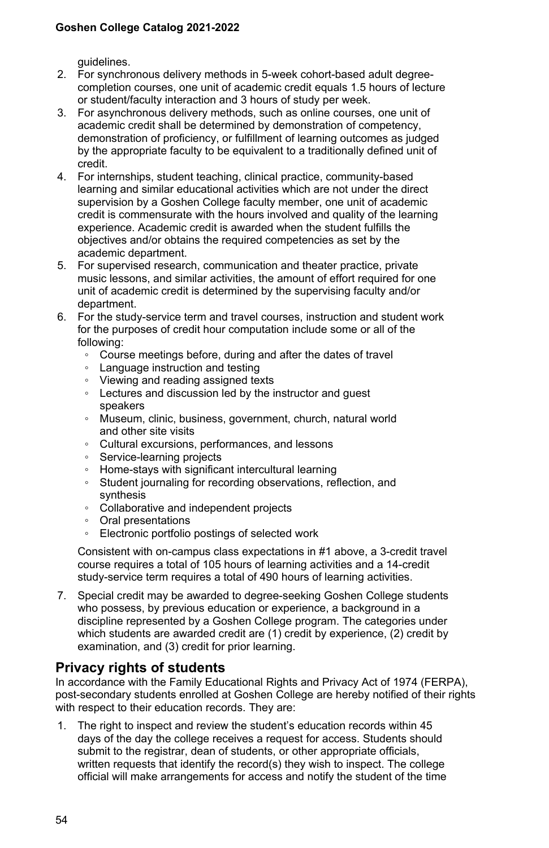guidelines.

- 2. For synchronous delivery methods in 5-week cohort-based adult degreecompletion courses, one unit of academic credit equals 1.5 hours of lecture or student/faculty interaction and 3 hours of study per week.
- 3. For asynchronous delivery methods, such as online courses, one unit of academic credit shall be determined by demonstration of competency, demonstration of proficiency, or fulfillment of learning outcomes as judged by the appropriate faculty to be equivalent to a traditionally defined unit of credit.
- 4. For internships, student teaching, clinical practice, community-based learning and similar educational activities which are not under the direct supervision by a Goshen College faculty member, one unit of academic credit is commensurate with the hours involved and quality of the learning experience. Academic credit is awarded when the student fulfills the objectives and/or obtains the required competencies as set by the academic department.
- 5. For supervised research, communication and theater practice, private music lessons, and similar activities, the amount of effort required for one unit of academic credit is determined by the supervising faculty and/or department.
- 6. For the study-service term and travel courses, instruction and student work for the purposes of credit hour computation include some or all of the following:
	- Course meetings before, during and after the dates of travel
	- Language instruction and testing
	- Viewing and reading assigned texts
	- Lectures and discussion led by the instructor and guest speakers
	- Museum, clinic, business, government, church, natural world and other site visits
	- Cultural excursions, performances, and lessons
	- Service-learning projects
	- Home-stays with significant intercultural learning
	- Student journaling for recording observations, reflection, and synthesis
	- Collaborative and independent projects
	- Oral presentations
	- Electronic portfolio postings of selected work

Consistent with on-campus class expectations in #1 above, a 3-credit travel course requires a total of 105 hours of learning activities and a 14-credit study-service term requires a total of 490 hours of learning activities.

7. Special credit may be awarded to degree-seeking Goshen College students who possess, by previous education or experience, a background in a discipline represented by a Goshen College program. The categories under which students are awarded credit are (1) credit by experience, (2) credit by examination, and (3) credit for prior learning.

## **Privacy rights of students**

In accordance with the Family Educational Rights and Privacy Act of 1974 (FERPA), post-secondary students enrolled at Goshen College are hereby notified of their rights with respect to their education records. They are:

1. The right to inspect and review the student's education records within 45 days of the day the college receives a request for access. Students should submit to the registrar, dean of students, or other appropriate officials, written requests that identify the record(s) they wish to inspect. The college official will make arrangements for access and notify the student of the time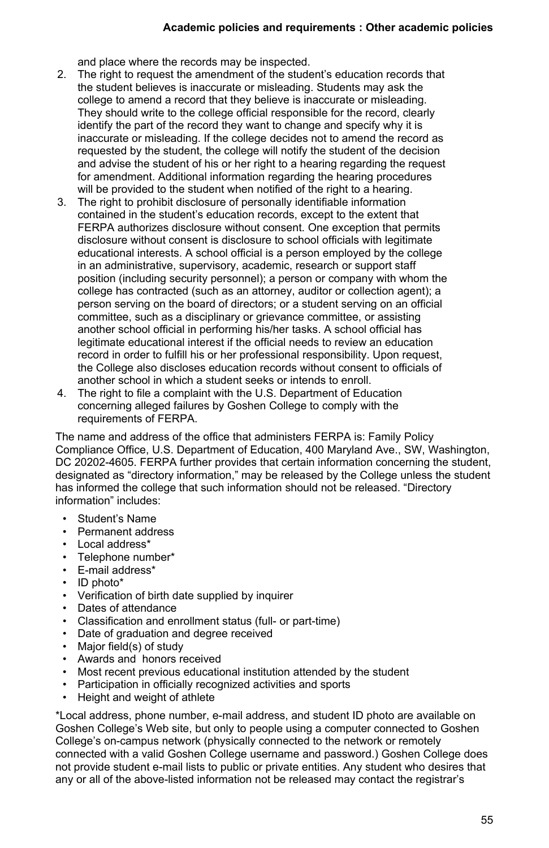## **Academic policies and requirements : Other academic policies**

and place where the records may be inspected.

- 2. The right to request the amendment of the student's education records that the student believes is inaccurate or misleading. Students may ask the college to amend a record that they believe is inaccurate or misleading. They should write to the college official responsible for the record, clearly identify the part of the record they want to change and specify why it is inaccurate or misleading. If the college decides not to amend the record as requested by the student, the college will notify the student of the decision and advise the student of his or her right to a hearing regarding the request for amendment. Additional information regarding the hearing procedures will be provided to the student when notified of the right to a hearing.
- 3. The right to prohibit disclosure of personally identifiable information contained in the student's education records, except to the extent that FERPA authorizes disclosure without consent. One exception that permits disclosure without consent is disclosure to school officials with legitimate educational interests. A school official is a person employed by the college in an administrative, supervisory, academic, research or support staff position (including security personnel); a person or company with whom the college has contracted (such as an attorney, auditor or collection agent); a person serving on the board of directors; or a student serving on an official committee, such as a disciplinary or grievance committee, or assisting another school official in performing his/her tasks. A school official has legitimate educational interest if the official needs to review an education record in order to fulfill his or her professional responsibility. Upon request, the College also discloses education records without consent to officials of another school in which a student seeks or intends to enroll.
- 4. The right to file a complaint with the U.S. Department of Education concerning alleged failures by Goshen College to comply with the requirements of FERPA.

The name and address of the office that administers FERPA is: Family Policy Compliance Office, U.S. Department of Education, 400 Maryland Ave., SW, Washington, DC 20202-4605. FERPA further provides that certain information concerning the student, designated as "directory information," may be released by the College unless the student has informed the college that such information should not be released. "Directory information" includes:

- Student's Name
- Permanent address
- Local address\*
- Telephone number\*
- E-mail address\*
- ID photo\*
- Verification of birth date supplied by inquirer
- Dates of attendance
- Classification and enrollment status (full- or part-time)
- Date of graduation and degree received
- Major field(s) of study
- Awards and honors received
- Most recent previous educational institution attended by the student
- Participation in officially recognized activities and sports
- Height and weight of athlete

\*Local address, phone number, e-mail address, and student ID photo are available on Goshen College's Web site, but only to people using a computer connected to Goshen College's on-campus network (physically connected to the network or remotely connected with a valid Goshen College username and password.) Goshen College does not provide student e-mail lists to public or private entities. Any student who desires that any or all of the above-listed information not be released may contact the registrar's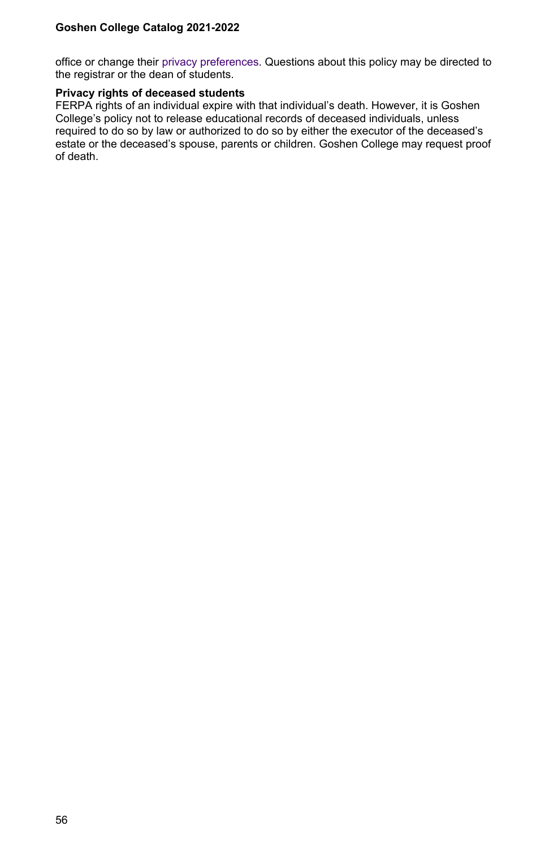office or change their [privacy preferences.](https://www.goshen.edu/registrar/privacy/) Questions about this policy may be directed to the registrar or the dean of students.

#### **Privacy rights of deceased students**

FERPA rights of an individual expire with that individual's death. However, it is Goshen College's policy not to release educational records of deceased individuals, unless required to do so by law or authorized to do so by either the executor of the deceased's estate or the deceased's spouse, parents or children. Goshen College may request proof of death.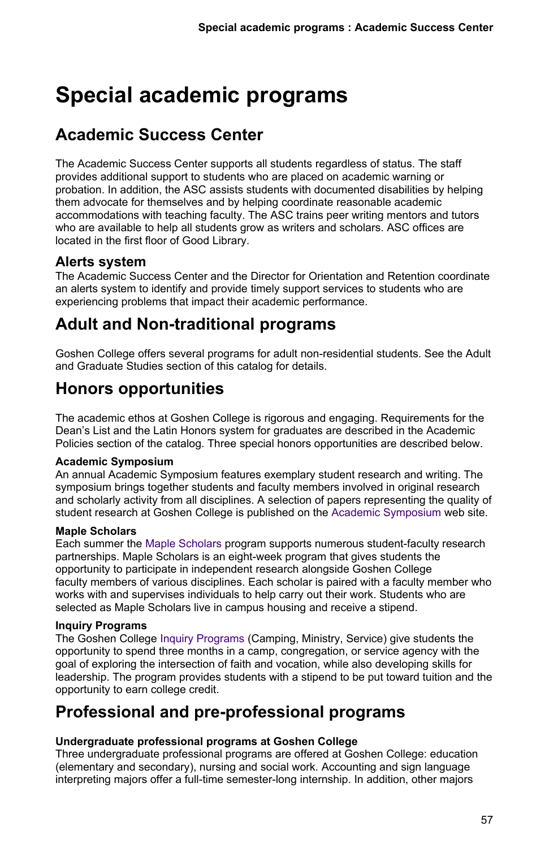# **Special academic programs**

## **Academic Success Center**

The Academic Success Center supports all students regardless of status. The staff provides additional support to students who are placed on academic warning or probation. In addition, the ASC assists students with documented disabilities by helping them advocate for themselves and by helping coordinate reasonable academic accommodations with teaching faculty. The ASC trains peer writing mentors and tutors who are available to help all students grow as writers and scholars. ASC offices are located in the first floor of Good Library.

## **Alerts system**

The Academic Success Center and the Director for Orientation and Retention coordinate an alerts system to identify and provide timely support services to students who are experiencing problems that impact their academic performance.

## **Adult and Non-traditional programs**

Goshen College offers several programs for adult non-residential students. See the Adult and Graduate Studies section of this catalog for details.

## **Honors opportunities**

The academic ethos at Goshen College is rigorous and engaging. Requirements for the Dean's List and the Latin Honors system for graduates are described in the Academic Policies section of the catalog. Three special honors opportunities are described below.

## **Academic Symposium**

An annual Academic Symposium features exemplary student research and writing. The symposium brings together students and faculty members involved in original research and scholarly activity from all disciplines. A selection of papers representing the quality of student research at Goshen College is published on the [Academic Symposium](https://www.goshen.edu/academics/honors-opportunities/academic-symposium/) web site.

## **Maple Scholars**

Each summer the [Maple Scholars](https://www.goshen.edu/academics/maple-scholars/) program supports numerous student-faculty research partnerships. Maple Scholars is an eight-week program that gives students the opportunity to participate in independent research alongside Goshen College faculty members of various disciplines. Each scholar is paired with a faculty member who works with and supervises individuals to help carry out their work. Students who are selected as Maple Scholars live in campus housing and receive a stipend.

## **Inquiry Programs**

The Goshen College [Inquiry Programs](https://www.goshen.edu/faith/campus-ministries/inquiry-programs/) (Camping, Ministry, Service) give students the opportunity to spend three months in a camp, congregation, or service agency with the goal of exploring the intersection of faith and vocation, while also developing skills for leadership. The program provides students with a stipend to be put toward tuition and the opportunity to earn college credit.

## **Professional and pre-professional programs**

## **Undergraduate professional programs at Goshen College**

Three undergraduate professional programs are offered at Goshen College: education (elementary and secondary), nursing and social work. Accounting and sign language interpreting majors offer a full-time semester-long internship. In addition, other majors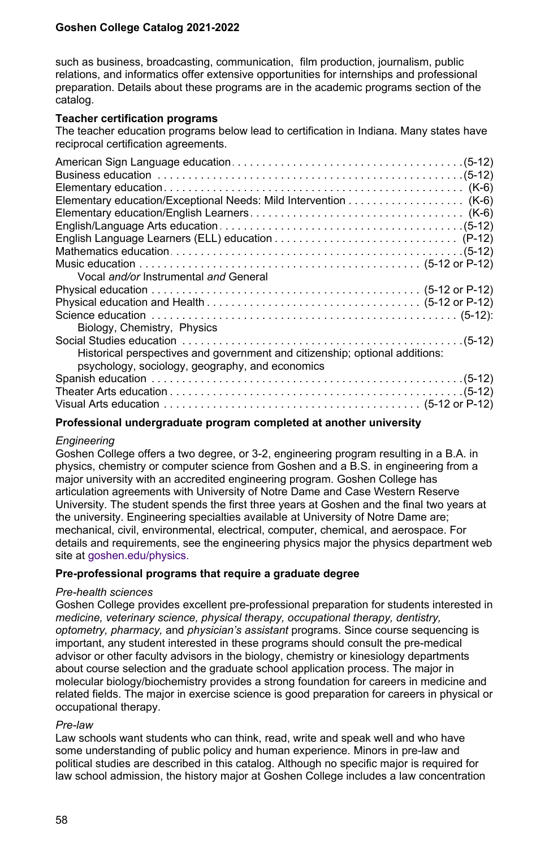such as business, broadcasting, communication, film production, journalism, public relations, and informatics offer extensive opportunities for internships and professional preparation. Details about these programs are in the academic programs section of the catalog.

#### **Teacher certification programs**

The teacher education programs below lead to certification in Indiana. Many states have reciprocal certification agreements.

| Vocal and/or Instrumental and General                                       |  |
|-----------------------------------------------------------------------------|--|
|                                                                             |  |
|                                                                             |  |
|                                                                             |  |
| Biology, Chemistry, Physics                                                 |  |
|                                                                             |  |
| Historical perspectives and government and citizenship; optional additions: |  |
| psychology, sociology, geography, and economics                             |  |
|                                                                             |  |
|                                                                             |  |
|                                                                             |  |
|                                                                             |  |

## **Professional undergraduate program completed at another university**

#### *Engineering*

Goshen College offers a two degree, or 3-2, engineering program resulting in a B.A. in physics, chemistry or computer science from Goshen and a B.S. in engineering from a major university with an accredited engineering program. Goshen College has articulation agreements with University of Notre Dame and Case Western Reserve University. The student spends the first three years at Goshen and the final two years at the university. Engineering specialties available at University of Notre Dame are; mechanical, civil, environmental, electrical, computer, chemical, and aerospace. For details and requirements, see the engineering physics major the physics department web site at [goshen.edu/physics.](temp/www.goshen.edu/physics/)

## **Pre-professional programs that require a graduate degree**

#### *Pre-health sciences*

Goshen College provides excellent pre-professional preparation for students interested in *medicine, veterinary science, physical therapy, occupational therapy, dentistry, optometry, pharmacy,* and *physician's assistant* programs. Since course sequencing is important, any student interested in these programs should consult the pre-medical advisor or other faculty advisors in the biology, chemistry or kinesiology departments about course selection and the graduate school application process. The major in molecular biology/biochemistry provides a strong foundation for careers in medicine and related fields. The major in exercise science is good preparation for careers in physical or occupational therapy.

#### *Pre-law*

Law schools want students who can think, read, write and speak well and who have some understanding of public policy and human experience. Minors in pre-law and political studies are described in this catalog. Although no specific major is required for law school admission, the history major at Goshen College includes a law concentration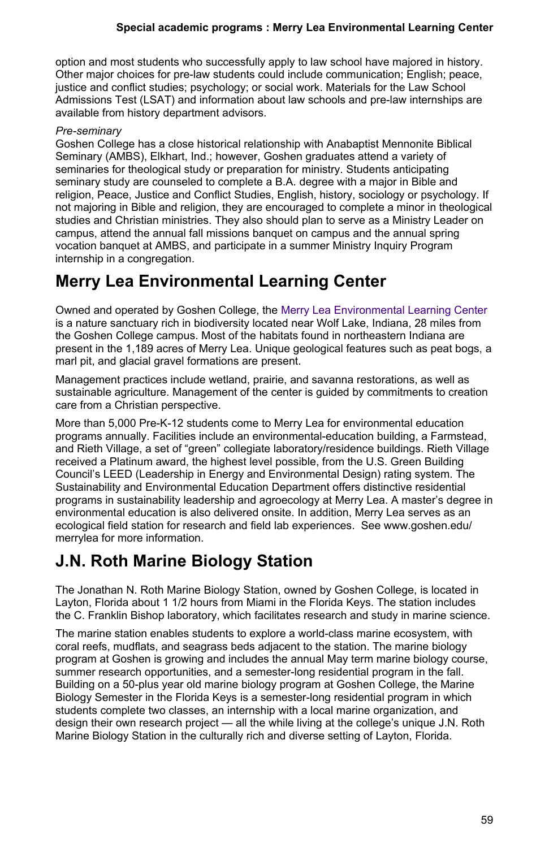option and most students who successfully apply to law school have majored in history. Other major choices for pre-law students could include communication; English; peace, justice and conflict studies; psychology; or social work. Materials for the Law School Admissions Test (LSAT) and information about law schools and pre-law internships are available from history department advisors.

## *Pre-seminary*

Goshen College has a close historical relationship with Anabaptist Mennonite Biblical Seminary (AMBS), Elkhart, Ind.; however, Goshen graduates attend a variety of seminaries for theological study or preparation for ministry. Students anticipating seminary study are counseled to complete a B.A. degree with a major in Bible and religion, Peace, Justice and Conflict Studies, English, history, sociology or psychology. If not majoring in Bible and religion, they are encouraged to complete a minor in theological studies and Christian ministries. They also should plan to serve as a Ministry Leader on campus, attend the annual fall missions banquet on campus and the annual spring vocation banquet at AMBS, and participate in a summer Ministry Inquiry Program internship in a congregation.

## **Merry Lea Environmental Learning Center**

Owned and operated by Goshen College, the [Merry Lea Environmental Learning Center](https://www.goshen.edu/merrylea/) is a nature sanctuary rich in biodiversity located near Wolf Lake, Indiana, 28 miles from the Goshen College campus. Most of the habitats found in northeastern Indiana are present in the 1,189 acres of Merry Lea. Unique geological features such as peat bogs, a marl pit, and glacial gravel formations are present.

Management practices include wetland, prairie, and savanna restorations, as well as sustainable agriculture. Management of the center is guided by commitments to creation care from a Christian perspective.

More than 5,000 Pre-K-12 students come to Merry Lea for environmental education programs annually. Facilities include an environmental-education building, a Farmstead, and Rieth Village, a set of "green" collegiate laboratory/residence buildings. Rieth Village received a Platinum award, the highest level possible, from the U.S. Green Building Council's LEED (Leadership in Energy and Environmental Design) rating system. The Sustainability and Environmental Education Department offers distinctive residential programs in sustainability leadership and agroecology at Merry Lea. A master's degree in environmental education is also delivered onsite. In addition, Merry Lea serves as an ecological field station for research and field lab experiences. See www.goshen.edu/ merrylea for more information.

## **J.N. Roth Marine Biology Station**

The Jonathan N. Roth Marine Biology Station, owned by Goshen College, is located in Layton, Florida about 1 1/2 hours from Miami in the Florida Keys. The station includes the C. Franklin Bishop laboratory, which facilitates research and study in marine science.

The marine station enables students to explore a world-class marine ecosystem, with coral reefs, mudflats, and seagrass beds adjacent to the station. The marine biology program at Goshen is growing and includes the annual May term marine biology course, summer research opportunities, and a semester-long residential program in the fall. Building on a 50-plus year old marine biology program at Goshen College, the Marine Biology Semester in the Florida Keys is a semester-long residential program in which students complete two classes, an internship with a local marine organization, and design their own research project — all the while living at the college's unique J.N. Roth Marine Biology Station in the culturally rich and diverse setting of Layton, Florida.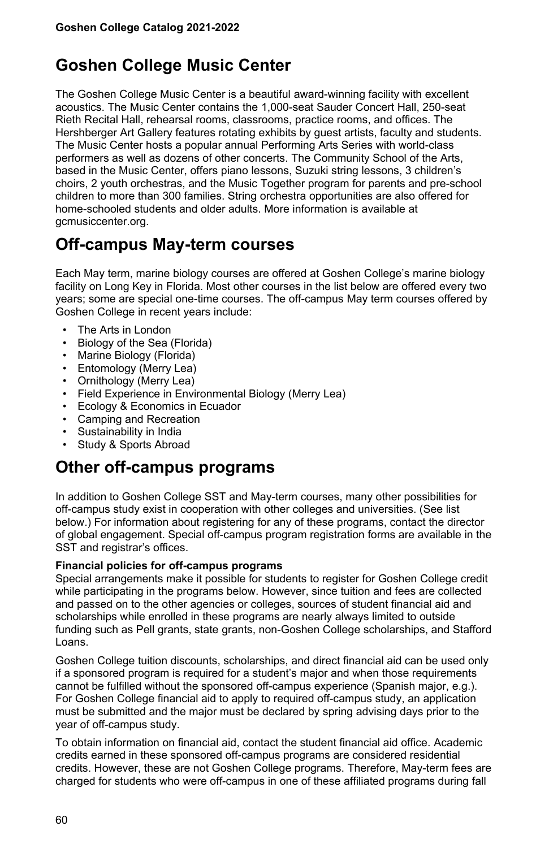## **Goshen College Music Center**

The Goshen College Music Center is a beautiful award-winning facility with excellent acoustics. The Music Center contains the 1,000-seat Sauder Concert Hall, 250-seat Rieth Recital Hall, rehearsal rooms, classrooms, practice rooms, and offices. The Hershberger Art Gallery features rotating exhibits by guest artists, faculty and students. The Music Center hosts a popular annual Performing Arts Series with world-class performers as well as dozens of other concerts. The Community School of the Arts, based in the Music Center, offers piano lessons, Suzuki string lessons, 3 children's choirs, 2 youth orchestras, and the Music Together program for parents and pre-school children to more than 300 families. String orchestra opportunities are also offered for home-schooled students and older adults. More information is available at gcmusiccenter.org.

## **Off-campus May-term courses**

Each May term, marine biology courses are offered at Goshen College's marine biology facility on Long Key in Florida. Most other courses in the list below are offered every two years; some are special one-time courses. The off-campus May term courses offered by Goshen College in recent years include:

- The Arts in London
- Biology of the Sea (Florida)
- Marine Biology (Florida)
- Entomology (Merry Lea)
- Ornithology (Merry Lea)
- Field Experience in Environmental Biology (Merry Lea)
- Ecology & Economics in Ecuador
- Camping and Recreation
- Sustainability in India
- Study & Sports Abroad

## **Other off-campus programs**

In addition to Goshen College SST and May-term courses, many other possibilities for off-campus study exist in cooperation with other colleges and universities. (See list below.) For information about registering for any of these programs, contact the director of global engagement. Special off-campus program registration forms are available in the SST and registrar's offices.

## **Financial policies for off-campus programs**

Special arrangements make it possible for students to register for Goshen College credit while participating in the programs below. However, since tuition and fees are collected and passed on to the other agencies or colleges, sources of student financial aid and scholarships while enrolled in these programs are nearly always limited to outside funding such as Pell grants, state grants, non-Goshen College scholarships, and Stafford Loans.

Goshen College tuition discounts, scholarships, and direct financial aid can be used only if a sponsored program is required for a student's major and when those requirements cannot be fulfilled without the sponsored off-campus experience (Spanish major, e.g.). For Goshen College financial aid to apply to required off-campus study, an application must be submitted and the major must be declared by spring advising days prior to the year of off-campus study.

To obtain information on financial aid, contact the student financial aid office. Academic credits earned in these sponsored off-campus programs are considered residential credits. However, these are not Goshen College programs. Therefore, May-term fees are charged for students who were off-campus in one of these affiliated programs during fall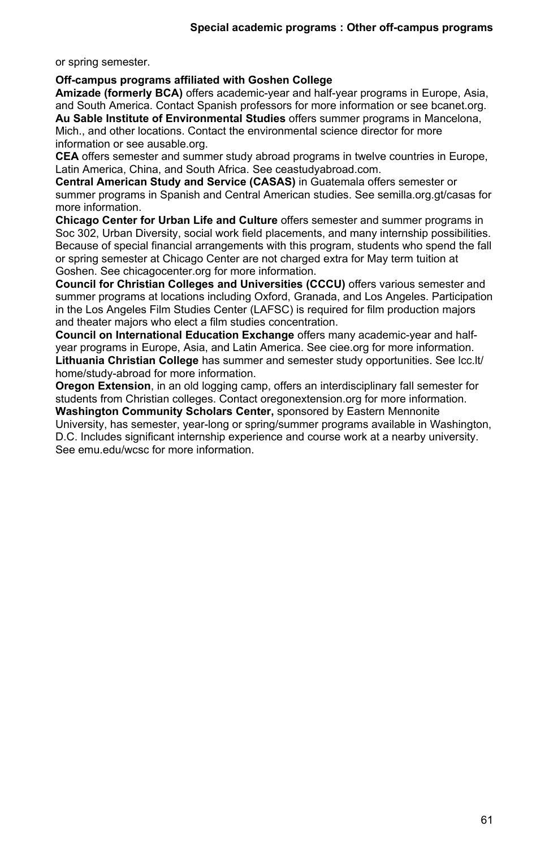or spring semester.

#### **Off-campus programs affiliated with Goshen College**

**Amizade (formerly BCA)** offers academic-year and half-year programs in Europe, Asia, and South America. Contact Spanish professors for more information or see bcanet.org. **Au Sable Institute of Environmental Studies** offers summer programs in Mancelona,

Mich., and other locations. Contact the environmental science director for more information or see ausable.org.

**CEA** offers semester and summer study abroad programs in twelve countries in Europe, Latin America, China, and South Africa. See ceastudyabroad.com.

**Central American Study and Service (CASAS)** in Guatemala offers semester or summer programs in Spanish and Central American studies. See semilla.org.gt/casas for more information.

**Chicago Center for Urban Life and Culture** offers semester and summer programs in Soc 302, Urban Diversity, social work field placements, and many internship possibilities. Because of special financial arrangements with this program, students who spend the fall or spring semester at Chicago Center are not charged extra for May term tuition at Goshen. See chicagocenter.org for more information.

**Council for Christian Colleges and Universities (CCCU)** offers various semester and summer programs at locations including Oxford, Granada, and Los Angeles. Participation in the Los Angeles Film Studies Center (LAFSC) is required for film production majors and theater majors who elect a film studies concentration.

**Council on International Education Exchange** offers many academic-year and halfyear programs in Europe, Asia, and Latin America. See ciee.org for more information. **Lithuania Christian College** has summer and semester study opportunities. See lcc.lt/ home/study-abroad for more information.

**Oregon Extension**, in an old logging camp, offers an interdisciplinary fall semester for students from Christian colleges. Contact oregonextension.org for more information.

**Washington Community Scholars Center,** sponsored by Eastern Mennonite University, has semester, year-long or spring/summer programs available in Washington, D.C. Includes significant internship experience and course work at a nearby university. See emu edu/wcsc for more information.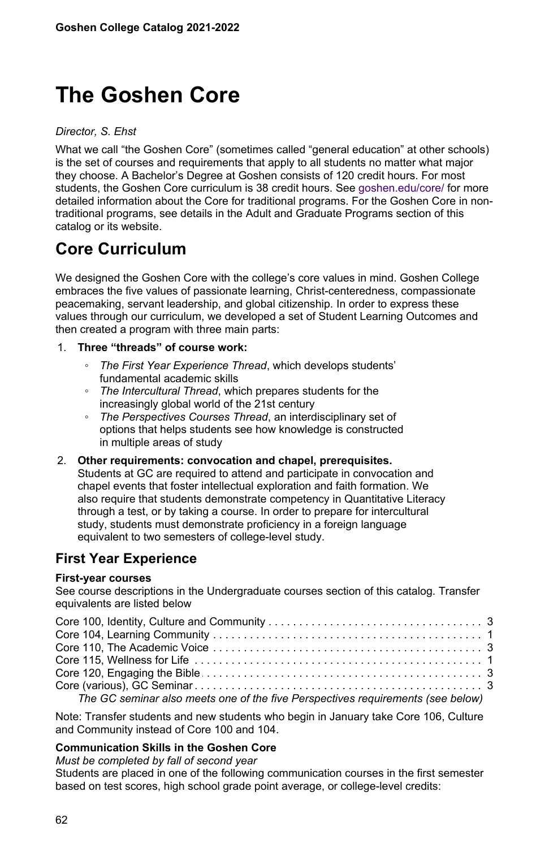# **The Goshen Core**

*Director, S. Ehst*

What we call "the Goshen Core" (sometimes called "general education" at other schools) is the set of courses and requirements that apply to all students no matter what major they choose. A Bachelor's Degree at Goshen consists of 120 credit hours. For most students, the Goshen Core curriculum is 38 credit hours. See [goshen.edu/core/](temp/www.goshen.edu/core/) for more detailed information about the Core for traditional programs. For the Goshen Core in nontraditional programs, see details in the Adult and Graduate Programs section of this catalog or its website.

## **Core Curriculum**

We designed the Goshen Core with the college's core values in mind. Goshen College embraces the five values of passionate learning, Christ-centeredness, compassionate peacemaking, servant leadership, and global citizenship. In order to express these values through our curriculum, we developed a set of Student Learning Outcomes and then created a program with three main parts:

## 1. **Three "threads" of course work:**

- *The First Year Experience Thread*, which develops students' fundamental academic skills
- *The Intercultural Thread*, which prepares students for the increasingly global world of the 21st century
- *The Perspectives Courses Thread*, an interdisciplinary set of options that helps students see how knowledge is constructed in multiple areas of study
- 2. **Other requirements: convocation and chapel, prerequisites.** Students at GC are required to attend and participate in convocation and chapel events that foster intellectual exploration and faith formation. We also require that students demonstrate competency in Quantitative Literacy through a test, or by taking a course. In order to prepare for intercultural study, students must demonstrate proficiency in a foreign language equivalent to two semesters of college-level study.

## **First Year Experience**

## **First-year courses**

See course descriptions in the Undergraduate courses section of this catalog. Transfer equivalents are listed below

| The GC seminar also meets one of the five Perspectives requirements (see below) |  |
|---------------------------------------------------------------------------------|--|

Note: Transfer students and new students who begin in January take Core 106, Culture and Community instead of Core 100 and 104.

## **Communication Skills in the Goshen Core**

*Must be completed by fall of second year*

Students are placed in one of the following communication courses in the first semester based on test scores, high school grade point average, or college-level credits: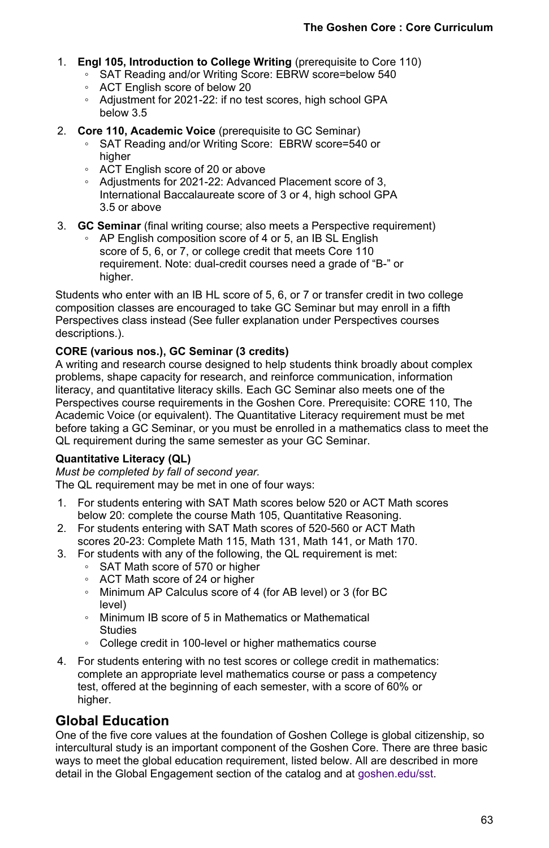- 1. **Engl 105, Introduction to College Writing** (prerequisite to Core 110)
	- SAT Reading and/or Writing Score: EBRW score=below 540
	- ACT English score of below 20
	- Adjustment for 2021-22: if no test scores, high school GPA below 3.5
- 2. **Core 110, Academic Voice** (prerequisite to GC Seminar)
	- SAT Reading and/or Writing Score: EBRW score=540 or higher
	- ACT English score of 20 or above
	- Adjustments for 2021-22: Advanced Placement score of 3, International Baccalaureate score of 3 or 4, high school GPA 3.5 or above
- 3. **GC Seminar** (final writing course; also meets a Perspective requirement)
	- AP English composition score of 4 or 5, an IB SL English score of 5, 6, or 7, or college credit that meets Core 110 requirement. Note: dual-credit courses need a grade of "B-" or higher.

Students who enter with an IB HL score of 5, 6, or 7 or transfer credit in two college composition classes are encouraged to take GC Seminar but may enroll in a fifth Perspectives class instead (See fuller explanation under Perspectives courses descriptions.).

## **CORE (various nos.), GC Seminar (3 credits)**

A writing and research course designed to help students think broadly about complex problems, shape capacity for research, and reinforce communication, information literacy, and quantitative literacy skills. Each GC Seminar also meets one of the Perspectives course requirements in the Goshen Core. Prerequisite: CORE 110, The Academic Voice (or equivalent). The Quantitative Literacy requirement must be met before taking a GC Seminar, or you must be enrolled in a mathematics class to meet the QL requirement during the same semester as your GC Seminar.

## **Quantitative Literacy (QL)**

*Must be completed by fall of second year.* The QL requirement may be met in one of four ways:

- 1. For students entering with SAT Math scores below 520 or ACT Math scores below 20: complete the course Math 105, Quantitative Reasoning.
- 2. For students entering with SAT Math scores of 520-560 or ACT Math scores 20-23: Complete Math 115, Math 131, Math 141, or Math 170.
- 3. For students with any of the following, the QL requirement is met:
	- SAT Math score of 570 or higher
	- ACT Math score of 24 or higher
	- Minimum AP Calculus score of 4 (for AB level) or 3 (for BC level)
	- Minimum IB score of 5 in Mathematics or Mathematical Studies
	- College credit in 100-level or higher mathematics course
- 4. For students entering with no test scores or college credit in mathematics: complete an appropriate level mathematics course or pass a competency test, offered at the beginning of each semester, with a score of 60% or higher.

## **Global Education**

One of the five core values at the foundation of Goshen College is global citizenship, so intercultural study is an important component of the Goshen Core. There are three basic ways to meet the global education requirement, listed below. All are described in more detail in the Global Engagement section of the catalog and at [goshen.edu/sst.](temp/www.goshen.edu/sst)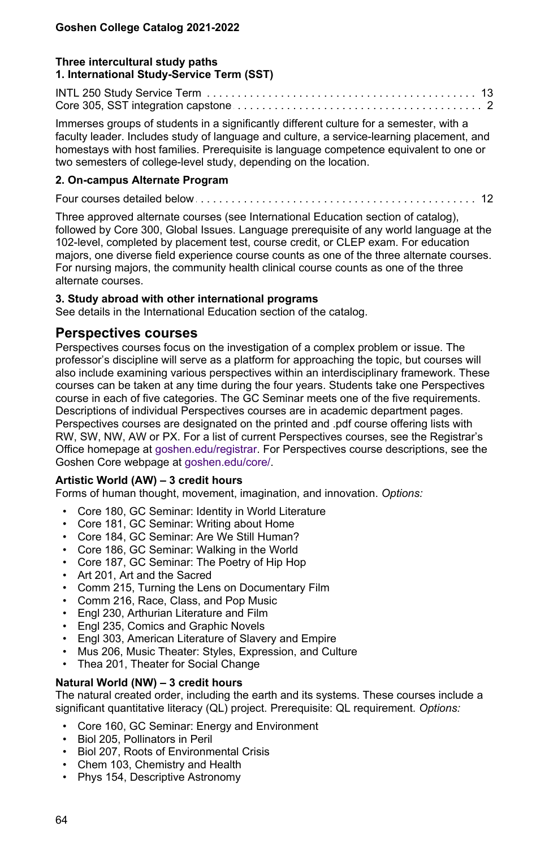## **Three intercultural study paths 1. International Study-Service Term (SST)**

INTL 250 Study Service Term . . . . . . . . . . . . . . . . . . . . . . . . . . . . . . . . . . . . . . . . . . . . . . . . . . . . . . . . . . . . . . . . . . .13 Core 305, SST integration capstone . . . . . . . . . . . . . . . . . . . . . . . . . . . . . . . . . . . . . . . . . . . . . . . . . . . . . . . . . . . . . . . . . . .2

Immerses groups of students in a significantly different culture for a semester, with a faculty leader. Includes study of language and culture, a service-learning placement, and homestays with host families. Prerequisite is language competence equivalent to one or two semesters of college-level study, depending on the location.

## **2. On-campus Alternate Program**

Four courses detailed below . . . . . . . . . . . . . . . . . . . . . . . . . . . . . . . . . . . . . . . . . . . . . . . . . . . . . . . . . . . . . . . . . . .12

Three approved alternate courses (see International Education section of catalog), followed by Core 300, Global Issues. Language prerequisite of any world language at the 102-level, completed by placement test, course credit, or CLEP exam. For education majors, one diverse field experience course counts as one of the three alternate courses. For nursing majors, the community health clinical course counts as one of the three alternate courses.

## **3. Study abroad with other international programs**

See details in the International Education section of the catalog.

## **Perspectives courses**

Perspectives courses focus on the investigation of a complex problem or issue. The professor's discipline will serve as a platform for approaching the topic, but courses will also include examining various perspectives within an interdisciplinary framework. These courses can be taken at any time during the four years. Students take one Perspectives course in each of five categories. The GC Seminar meets one of the five requirements. Descriptions of individual Perspectives courses are in academic department pages. Perspectives courses are designated on the printed and .pdf course offering lists with RW, SW, NW, AW or PX. For a list of current Perspectives courses, see the Registrar's Office homepage at [goshen.edu/registrar](temp/www.goshen.edu/registrar). For Perspectives course descriptions, see the Goshen Core webpage at [goshen.edu/core/](temp/www.goshen.edu/core/).

## **Artistic World (AW) – 3 credit hours**

Forms of human thought, movement, imagination, and innovation. *Options:*

- Core 180, GC Seminar: Identity in World Literature
- Core 181, GC Seminar: Writing about Home
- Core 184, GC Seminar: Are We Still Human?
- Core 186, GC Seminar: Walking in the World
- Core 187, GC Seminar: The Poetry of Hip Hop
- Art 201, Art and the Sacred
- Comm 215, Turning the Lens on Documentary Film
- Comm 216, Race, Class, and Pop Music
- Engl 230, Arthurian Literature and Film
- Engl 235, Comics and Graphic Novels
- Engl 303, American Literature of Slavery and Empire
- Mus 206, Music Theater: Styles, Expression, and Culture
- Thea 201, Theater for Social Change

## **Natural World (NW) – 3 credit hours**

The natural created order, including the earth and its systems. These courses include a significant quantitative literacy (QL) project. Prerequisite: QL requirement. *Options:*

- Core 160, GC Seminar: Energy and Environment
- Biol 205, Pollinators in Peril
- Biol 207, Roots of Environmental Crisis
- Chem 103, Chemistry and Health
- Phys 154, Descriptive Astronomy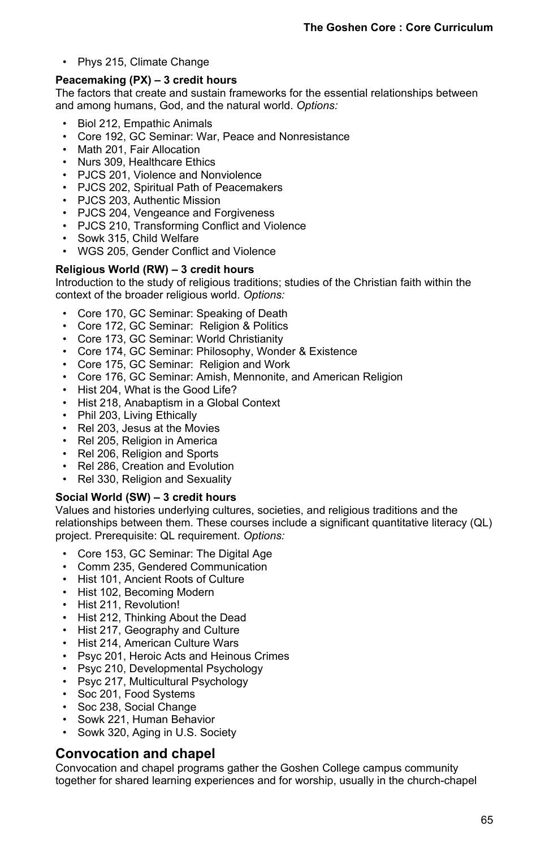• Phys 215, Climate Change

## **Peacemaking (PX) – 3 credit hours**

The factors that create and sustain frameworks for the essential relationships between and among humans, God, and the natural world. *Options:*

- Biol 212, Empathic Animals
- Core 192, GC Seminar: War, Peace and Nonresistance
- Math 201, Fair Allocation
- Nurs 309, Healthcare Ethics
- PJCS 201, Violence and Nonviolence
- PJCS 202, Spiritual Path of Peacemakers
- PJCS 203, Authentic Mission
- PJCS 204, Vengeance and Forgiveness
- PJCS 210, Transforming Conflict and Violence
- Sowk 315, Child Welfare
- WGS 205, Gender Conflict and Violence

## **Religious World (RW) – 3 credit hours**

Introduction to the study of religious traditions; studies of the Christian faith within the context of the broader religious world. *Options:*

- Core 170, GC Seminar: Speaking of Death
- Core 172, GC Seminar: Religion & Politics
- Core 173, GC Seminar: World Christianity
- Core 174, GC Seminar: Philosophy, Wonder & Existence
- Core 175, GC Seminar: Religion and Work
- Core 176, GC Seminar: Amish, Mennonite, and American Religion
- Hist 204, What is the Good Life?
- Hist 218, Anabaptism in a Global Context
- Phil 203, Living Ethically
- Rel 203, Jesus at the Movies
- Rel 205, Religion in America
- Rel 206, Religion and Sports
- Rel 286, Creation and Evolution
- Rel 330, Religion and Sexuality

## **Social World (SW) – 3 credit hours**

Values and histories underlying cultures, societies, and religious traditions and the relationships between them. These courses include a significant quantitative literacy (QL) project. Prerequisite: QL requirement. *Options:*

- Core 153, GC Seminar: The Digital Age
- Comm 235, Gendered Communication
- Hist 101, Ancient Roots of Culture
- Hist 102, Becoming Modern
- Hist 211, Revolution!
- Hist 212, Thinking About the Dead
- Hist 217, Geography and Culture
- Hist 214, American Culture Wars
- Psyc 201, Heroic Acts and Heinous Crimes
- Psyc 210, Developmental Psychology
- Psyc 217, Multicultural Psychology
- Soc 201, Food Systems
- Soc 238, Social Change
- Sowk 221, Human Behavior
- Sowk 320, Aging in U.S. Society

## **Convocation and chapel**

Convocation and chapel programs gather the Goshen College campus community together for shared learning experiences and for worship, usually in the church-chapel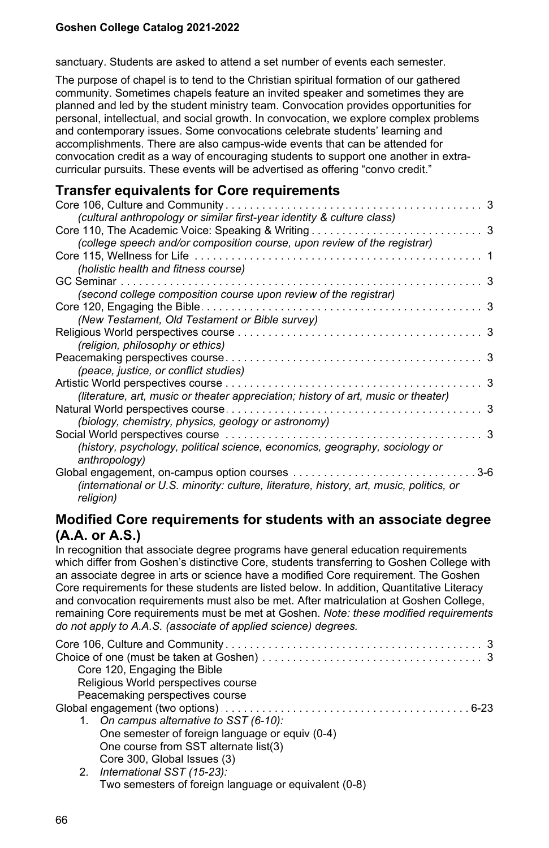sanctuary. Students are asked to attend a set number of events each semester.

The purpose of chapel is to tend to the Christian spiritual formation of our gathered community. Sometimes chapels feature an invited speaker and sometimes they are planned and led by the student ministry team. Convocation provides opportunities for personal, intellectual, and social growth. In convocation, we explore complex problems and contemporary issues. Some convocations celebrate students' learning and accomplishments. There are also campus-wide events that can be attended for convocation credit as a way of encouraging students to support one another in extracurricular pursuits. These events will be advertised as offering "convo credit."

## **Transfer equivalents for Core requirements**

| Core 106, Culture and Community<br>.                                                    | 3     |
|-----------------------------------------------------------------------------------------|-------|
| (cultural anthropology or similar first-year identity & culture class)                  |       |
|                                                                                         |       |
| (college speech and/or composition course, upon review of the registrar)                |       |
|                                                                                         |       |
| (holistic health and fitness course)                                                    |       |
|                                                                                         | 3     |
| (second college composition course upon review of the registrar)                        |       |
| Core 120, Engaging the Bible $\dots$ .                                                  | 3     |
| (New Testament, Old Testament or Bible survey)                                          |       |
|                                                                                         | 3     |
| (religion, philosophy or ethics)                                                        |       |
|                                                                                         | 3     |
| (peace, justice, or conflict studies)                                                   |       |
| Artistic World perspectives course                                                      | 3     |
| (literature, art, music or theater appreciation; history of art, music or theater)      |       |
|                                                                                         | 3     |
| (biology, chemistry, physics, geology or astronomy)                                     |       |
|                                                                                         | 3     |
| (history, psychology, political science, economics, geography, sociology or             |       |
| anthropology)                                                                           |       |
|                                                                                         | $3-6$ |
| (international or U.S. minority: culture, literature, history, art, music, politics, or |       |
| religion)                                                                               |       |

## **Modified Core requirements for students with an associate degree (A.A. or A.S.)**

In recognition that associate degree programs have general education requirements which differ from Goshen's distinctive Core, students transferring to Goshen College with an associate degree in arts or science have a modified Core requirement. The Goshen Core requirements for these students are listed below. In addition, Quantitative Literacy and convocation requirements must also be met. After matriculation at Goshen College, remaining Core requirements must be met at Goshen. *Note: these modified requirements do not apply to A.A.S. (associate of applied science) degrees.*

| Core 120, Engaging the Bible                    |
|-------------------------------------------------|
| Religious World perspectives course             |
| Peacemaking perspectives course                 |
|                                                 |
| 1. On campus alternative to SST (6-10):         |
| One semester of foreign language or equiv (0-4) |
| One course from SST alternate list(3)           |
| Core 300, Global Issues (3)                     |
| 2. International SST (15-23):                   |

Two semesters of foreign language or equivalent (0-8)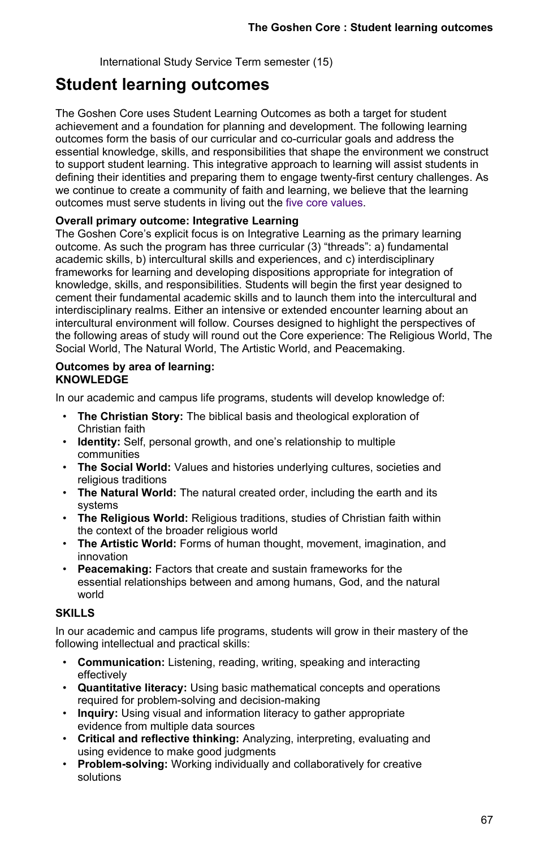International Study Service Term semester (15)

## **Student learning outcomes**

The Goshen Core uses Student Learning Outcomes as both a target for student achievement and a foundation for planning and development. The following learning outcomes form the basis of our curricular and co-curricular goals and address the essential knowledge, skills, and responsibilities that shape the environment we construct to support student learning. This integrative approach to learning will assist students in defining their identities and preparing them to engage twenty-first century challenges. As we continue to create a community of faith and learning, we believe that the learning outcomes must serve students in living out the [five core values.](https://www.goshen.edu/aboutgc/values/)

## **Overall primary outcome: Integrative Learning**

The Goshen Core's explicit focus is on Integrative Learning as the primary learning outcome. As such the program has three curricular (3) "threads": a) fundamental academic skills, b) intercultural skills and experiences, and c) interdisciplinary frameworks for learning and developing dispositions appropriate for integration of knowledge, skills, and responsibilities. Students will begin the first year designed to cement their fundamental academic skills and to launch them into the intercultural and interdisciplinary realms. Either an intensive or extended encounter learning about an intercultural environment will follow. Courses designed to highlight the perspectives of the following areas of study will round out the Core experience: The Religious World, The Social World, The Natural World, The Artistic World, and Peacemaking.

## **Outcomes by area of learning: KNOWLEDGE**

In our academic and campus life programs, students will develop knowledge of:

- **The Christian Story:** The biblical basis and theological exploration of Christian faith
- **Identity:** Self, personal growth, and one's relationship to multiple communities
- **The Social World:** Values and histories underlying cultures, societies and religious traditions
- **The Natural World:** The natural created order, including the earth and its systems
- **The Religious World:** Religious traditions, studies of Christian faith within the context of the broader religious world
- **The Artistic World:** Forms of human thought, movement, imagination, and innovation
- **Peacemaking:** Factors that create and sustain frameworks for the essential relationships between and among humans, God, and the natural world

## **SKILLS**

In our academic and campus life programs, students will grow in their mastery of the following intellectual and practical skills:

- **Communication:** Listening, reading, writing, speaking and interacting effectively
- **Quantitative literacy:** Using basic mathematical concepts and operations required for problem-solving and decision-making
- **Inquiry:** Using visual and information literacy to gather appropriate evidence from multiple data sources
- **Critical and reflective thinking:** Analyzing, interpreting, evaluating and using evidence to make good judgments
- **Problem-solving:** Working individually and collaboratively for creative solutions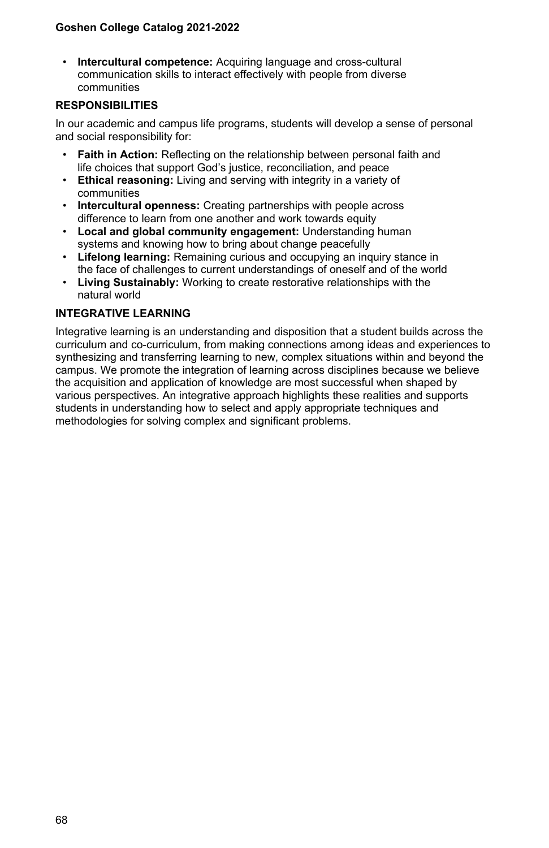• **Intercultural competence:** Acquiring language and cross-cultural communication skills to interact effectively with people from diverse communities

## **RESPONSIBILITIES**

In our academic and campus life programs, students will develop a sense of personal and social responsibility for:

- **Faith in Action:** Reflecting on the relationship between personal faith and life choices that support God's justice, reconciliation, and peace
- **Ethical reasoning:** Living and serving with integrity in a variety of communities
- **Intercultural openness:** Creating partnerships with people across difference to learn from one another and work towards equity
- **Local and global community engagement:** Understanding human systems and knowing how to bring about change peacefully
- **Lifelong learning:** Remaining curious and occupying an inquiry stance in the face of challenges to current understandings of oneself and of the world
- **Living Sustainably:** Working to create restorative relationships with the natural world

## **INTEGRATIVE LEARNING**

Integrative learning is an understanding and disposition that a student builds across the curriculum and co-curriculum, from making connections among ideas and experiences to synthesizing and transferring learning to new, complex situations within and beyond the campus. We promote the integration of learning across disciplines because we believe the acquisition and application of knowledge are most successful when shaped by various perspectives. An integrative approach highlights these realities and supports students in understanding how to select and apply appropriate techniques and methodologies for solving complex and significant problems.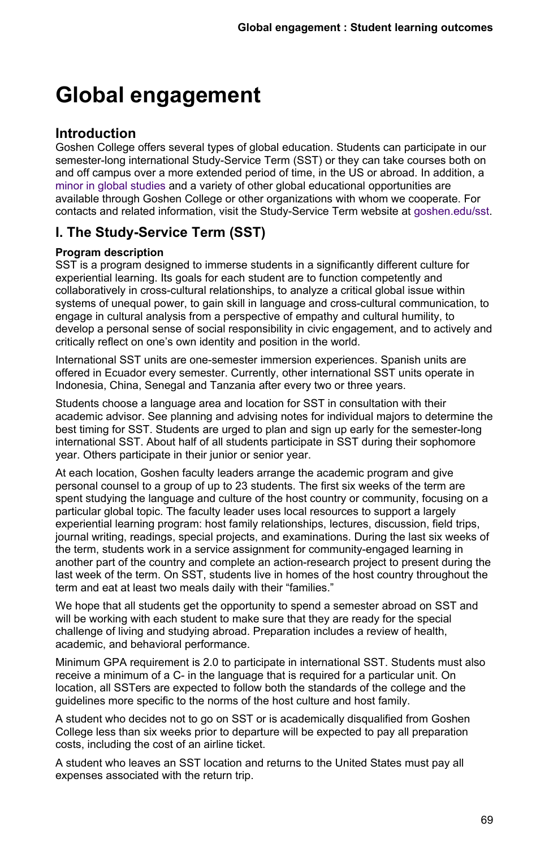# **Global engagement**

## **Introduction**

Goshen College offers several types of global education. Students can participate in our semester-long international Study-Service Term (SST) or they can take courses both on and off campus over a more extended period of time, in the US or abroad. In addition, a [minor in global studies](temp/international-studies) and a variety of other global educational opportunities are available through Goshen College or other organizations with whom we cooperate. For contacts and related information, visit the Study-Service Term website at [goshen.edu/sst](https://www.goshen.edu/sst/).

## **I. The Study-Service Term (SST)**

## **Program description**

SST is a program designed to immerse students in a significantly different culture for experiential learning. Its goals for each student are to function competently and collaboratively in cross-cultural relationships, to analyze a critical global issue within systems of unequal power, to gain skill in language and cross-cultural communication, to engage in cultural analysis from a perspective of empathy and cultural humility, to develop a personal sense of social responsibility in civic engagement, and to actively and critically reflect on one's own identity and position in the world.

International SST units are one-semester immersion experiences. Spanish units are offered in Ecuador every semester. Currently, other international SST units operate in Indonesia, China, Senegal and Tanzania after every two or three years.

Students choose a language area and location for SST in consultation with their academic advisor. See planning and advising notes for individual majors to determine the best timing for SST. Students are urged to plan and sign up early for the semester-long international SST. About half of all students participate in SST during their sophomore year. Others participate in their junior or senior year.

At each location, Goshen faculty leaders arrange the academic program and give personal counsel to a group of up to 23 students. The first six weeks of the term are spent studying the language and culture of the host country or community, focusing on a particular global topic. The faculty leader uses local resources to support a largely experiential learning program: host family relationships, lectures, discussion, field trips, journal writing, readings, special projects, and examinations. During the last six weeks of the term, students work in a service assignment for community-engaged learning in another part of the country and complete an action-research project to present during the last week of the term. On SST, students live in homes of the host country throughout the term and eat at least two meals daily with their "families."

We hope that all students get the opportunity to spend a semester abroad on SST and will be working with each student to make sure that they are ready for the special challenge of living and studying abroad. Preparation includes a review of health, academic, and behavioral performance.

Minimum GPA requirement is 2.0 to participate in international SST. Students must also receive a minimum of a C- in the language that is required for a particular unit. On location, all SSTers are expected to follow both the standards of the college and the guidelines more specific to the norms of the host culture and host family.

A student who decides not to go on SST or is academically disqualified from Goshen College less than six weeks prior to departure will be expected to pay all preparation costs, including the cost of an airline ticket.

A student who leaves an SST location and returns to the United States must pay all expenses associated with the return trip.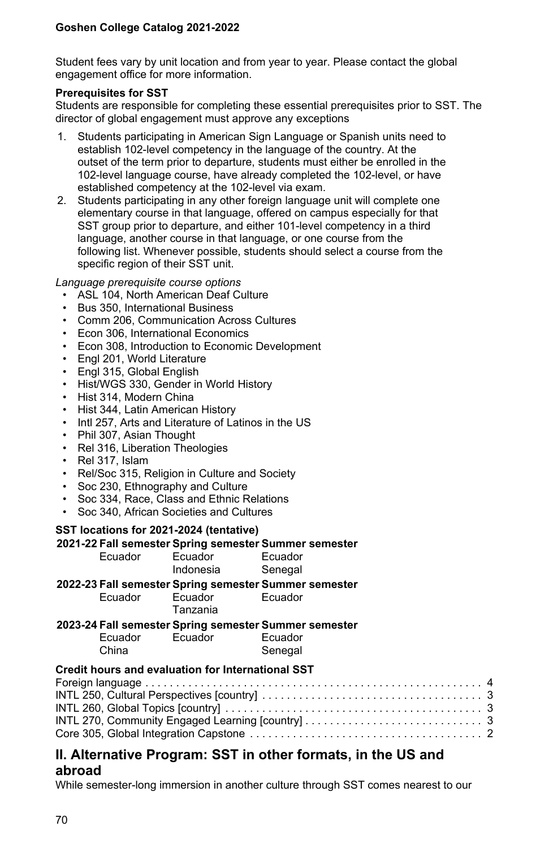Student fees vary by unit location and from year to year. Please contact the global engagement office for more information.

#### **Prerequisites for SST**

Students are responsible for completing these essential prerequisites prior to SST. The director of global engagement must approve any exceptions

- 1. Students participating in American Sign Language or Spanish units need to establish 102-level competency in the language of the country. At the outset of the term prior to departure, students must either be enrolled in the 102-level language course, have already completed the 102-level, or have established competency at the 102-level via exam.
- 2. Students participating in any other foreign language unit will complete one elementary course in that language, offered on campus especially for that SST group prior to departure, and either 101-level competency in a third language, another course in that language, or one course from the following list. Whenever possible, students should select a course from the specific region of their SST unit.

*Language prerequisite course options*

- ASL 104, North American Deaf Culture
- Bus 350, International Business
- Comm 206, Communication Across Cultures
- Econ 306, International Economics
- Econ 308, Introduction to Economic Development
- Engl 201, World Literature
- Engl 315, Global English
- Hist/WGS 330, Gender in World History
- Hist 314, Modern China
- Hist 344, Latin American History
- Intl 257, Arts and Literature of Latinos in the US
- Phil 307, Asian Thought
- Rel 316, Liberation Theologies
- Rel 317, Islam
- Rel/Soc 315, Religion in Culture and Society
- Soc 230, Ethnography and Culture
- Soc 334, Race, Class and Ethnic Relations
- Soc 340, African Societies and Cultures

## **SST locations for 2021-2024 (tentative)**

|         | 2021-22 Fall semester Spring semester Summer semester |         |  |  |  |  |  |
|---------|-------------------------------------------------------|---------|--|--|--|--|--|
| Ecuador | Ecuador                                               | Ecuador |  |  |  |  |  |
|         | Indonesia                                             | Senegal |  |  |  |  |  |
|         | 2022-23 Fall semester Spring semester Summer semester |         |  |  |  |  |  |
| Ecuador | Ecuador<br>Tanzania                                   | Ecuador |  |  |  |  |  |
|         | 2023-24 Fall semester Spring semester Summer semester |         |  |  |  |  |  |
| Ecuador | Ecuador                                               | Ecuador |  |  |  |  |  |
| China   |                                                       | Senegal |  |  |  |  |  |
|         | Credit hours and evaluation for International SST     |         |  |  |  |  |  |
|         |                                                       |         |  |  |  |  |  |
|         |                                                       |         |  |  |  |  |  |
|         |                                                       |         |  |  |  |  |  |
|         |                                                       |         |  |  |  |  |  |
|         |                                                       |         |  |  |  |  |  |

## **II. Alternative Program: SST in other formats, in the US and abroad**

While semester-long immersion in another culture through SST comes nearest to our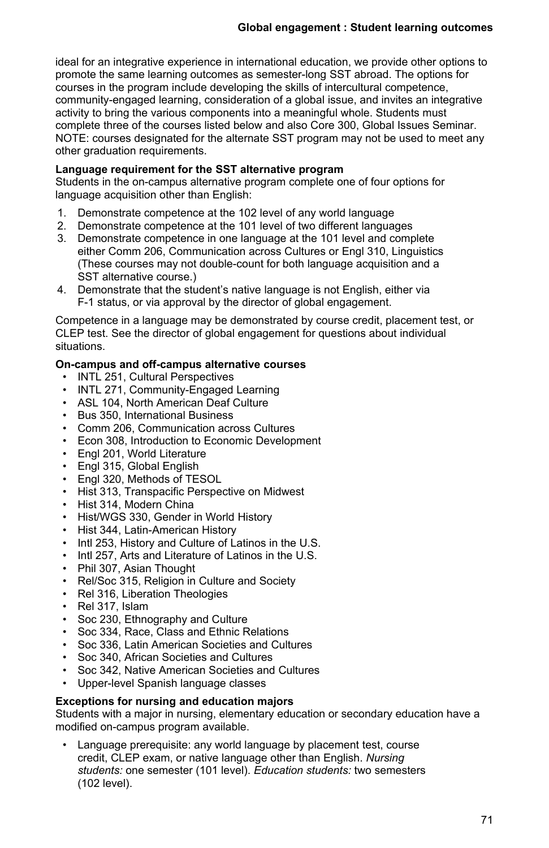ideal for an integrative experience in international education, we provide other options to promote the same learning outcomes as semester-long SST abroad. The options for courses in the program include developing the skills of intercultural competence, community-engaged learning, consideration of a global issue, and invites an integrative activity to bring the various components into a meaningful whole. Students must complete three of the courses listed below and also Core 300, Global Issues Seminar. NOTE: courses designated for the alternate SST program may not be used to meet any other graduation requirements.

## **Language requirement for the SST alternative program**

Students in the on-campus alternative program complete one of four options for language acquisition other than English:

- 1. Demonstrate competence at the 102 level of any world language
- 2. Demonstrate competence at the 101 level of two different languages
- 3. Demonstrate competence in one language at the 101 level and complete either Comm 206, Communication across Cultures or Engl 310, Linguistics (These courses may not double-count for both language acquisition and a SST alternative course.)
- 4. Demonstrate that the student's native language is not English, either via F-1 status, or via approval by the director of global engagement.

Competence in a language may be demonstrated by course credit, placement test, or CLEP test. See the director of global engagement for questions about individual situations.

## **On-campus and off-campus alternative courses**

- INTL 251, Cultural Perspectives
- INTL 271, Community-Engaged Learning
- ASL 104, North American Deaf Culture
- Bus 350, International Business
- Comm 206, Communication across Cultures
- Econ 308, Introduction to Economic Development
- Engl 201, World Literature
- Engl 315, Global English
- Engl 320, Methods of TESOL
- Hist 313, Transpacific Perspective on Midwest
- Hist 314, Modern China
- Hist/WGS 330, Gender in World History
- Hist 344, Latin-American History
- Intl 253, History and Culture of Latinos in the U.S.
- Intl 257, Arts and Literature of Latinos in the U.S.
- Phil 307, Asian Thought
- Rel/Soc 315, Religion in Culture and Society
- Rel 316, Liberation Theologies
- Rel 317, Islam
- Soc 230, Ethnography and Culture
- Soc 334, Race, Class and Ethnic Relations
- Soc 336, Latin American Societies and Cultures
- Soc 340, African Societies and Cultures
- Soc 342, Native American Societies and Cultures
- Upper-level Spanish language classes

## **Exceptions for nursing and education majors**

Students with a major in nursing, elementary education or secondary education have a modified on-campus program available.

Language prerequisite: any world language by placement test, course credit, CLEP exam, or native language other than English. *Nursing students:* one semester (101 level). *Education students:* two semesters (102 level).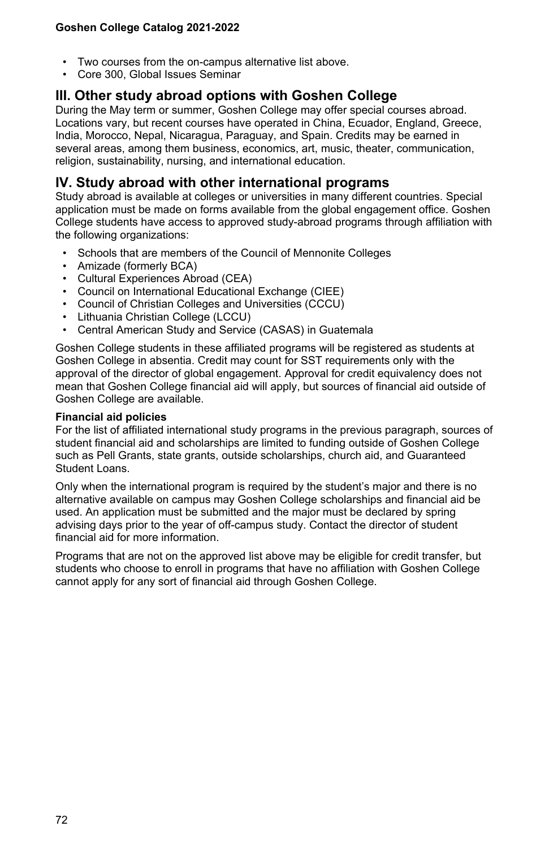- Two courses from the on-campus alternative list above.
- Core 300, Global Issues Seminar

## **III. Other study abroad options with Goshen College**

During the May term or summer, Goshen College may offer special courses abroad. Locations vary, but recent courses have operated in China, Ecuador, England, Greece, India, Morocco, Nepal, Nicaragua, Paraguay, and Spain. Credits may be earned in several areas, among them business, economics, art, music, theater, communication, religion, sustainability, nursing, and international education.

## **IV. Study abroad with other international programs**

Study abroad is available at colleges or universities in many different countries. Special application must be made on forms available from the global engagement office. Goshen College students have access to approved study-abroad programs through affiliation with the following organizations:

- Schools that are members of the Council of Mennonite Colleges
- Amizade (formerly BCA)
- Cultural Experiences Abroad (CEA)
- Council on International Educational Exchange (CIEE)
- Council of Christian Colleges and Universities (CCCU)
- Lithuania Christian College (LCCU)
- Central American Study and Service (CASAS) in Guatemala

Goshen College students in these affiliated programs will be registered as students at Goshen College in absentia. Credit may count for SST requirements only with the approval of the director of global engagement. Approval for credit equivalency does not mean that Goshen College financial aid will apply, but sources of financial aid outside of Goshen College are available.

## **Financial aid policies**

For the list of affiliated international study programs in the previous paragraph, sources of student financial aid and scholarships are limited to funding outside of Goshen College such as Pell Grants, state grants, outside scholarships, church aid, and Guaranteed Student Loans.

Only when the international program is required by the student's major and there is no alternative available on campus may Goshen College scholarships and financial aid be used. An application must be submitted and the major must be declared by spring advising days prior to the year of off-campus study. Contact the director of student financial aid for more information.

Programs that are not on the approved list above may be eligible for credit transfer, but students who choose to enroll in programs that have no affiliation with Goshen College cannot apply for any sort of financial aid through Goshen College.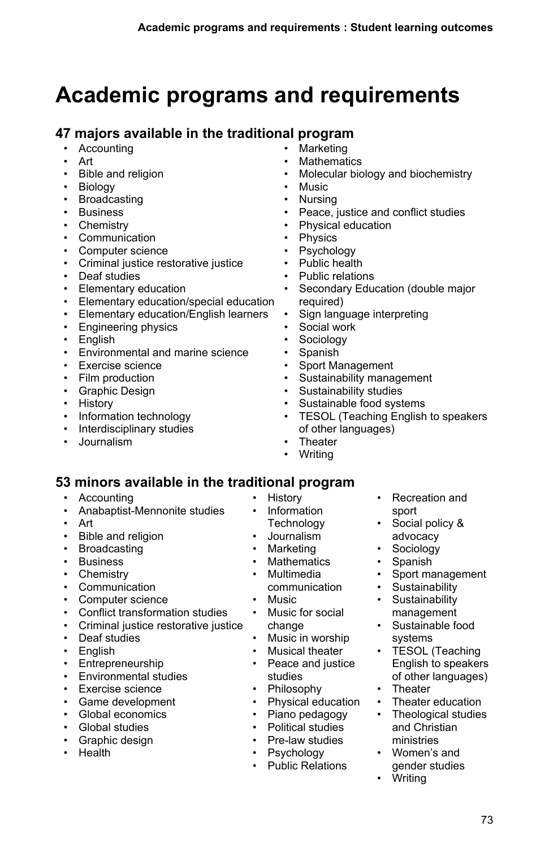# **Academic programs and requirements**

# **47 majors available in the traditional program**

- **Accounting**
- Art
- Bible and religion
- Biology
- Broadcasting
- Business
- Chemistry
- Communication
- Computer science
- Criminal justice restorative justice
- Deaf studies
- Elementary education
- Elementary education/special education
- Elementary education/English learners
- Engineering physics
- English
- Environmental and marine science
- Exercise science
- Film production
- Graphic Design
- History
- Information technology
- Interdisciplinary studies
- Journalism
- **Marketing**
- **Mathematics**
- Molecular biology and biochemistry
- Music
- Nursing
- Peace, justice and conflict studies
- Physical education
- Physics
- Psychology
- Public health
- Public relations
- Secondary Education (double major required)
- Sign language interpreting
- Social work
- Sociology
- Spanish
- Sport Management
- Sustainability management
- Sustainability studies
- Sustainable food systems
- TESOL (Teaching English to speakers of other languages)
- Theater
- Writing

# **53 minors available in the traditional program**

- Accounting
- Anabaptist-Mennonite studies
- Art
- Bible and religion
- Broadcasting
- Business
- Chemistry
- Communication
- Computer science
- Conflict transformation studies
- Criminal justice restorative justice
- Deaf studies
- English
- Entrepreneurship
- Environmental studies
- Exercise science
- Game development
- Global economics
- Global studies
- Graphic design
- Health
- History
- Information Technology
- Journalism
- Marketing
- Mathematics
- Multimedia
- communication
- Music
- Music for social change
- Music in worship
- Musical theater
- Peace and justice
- studies • Philosophy
	-
- Physical education
- Piano pedagogy • Political studies
- Pre-law studies
- Psychology
- 
- Public Relations
- Recreation and sport
- Social policy & advocacy
- Sociology
- Spanish

• Theater

• Writing

- Sport management
- Sustainability
- Sustainability management
- Sustainable food systems • TESOL (Teaching

English to speakers of other languages)

• Theater education • Theological studies and Christian ministries • Women's and gender studies

73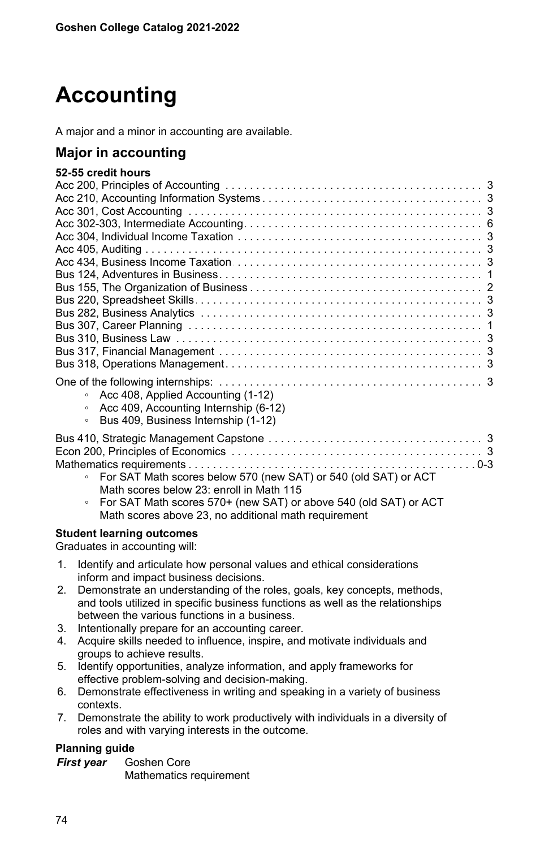# **Accounting**

A major and a minor in accounting are available.

# **Major in accounting**

| 52-55 credit hours                                                                                                              |
|---------------------------------------------------------------------------------------------------------------------------------|
|                                                                                                                                 |
|                                                                                                                                 |
|                                                                                                                                 |
|                                                                                                                                 |
|                                                                                                                                 |
|                                                                                                                                 |
|                                                                                                                                 |
|                                                                                                                                 |
|                                                                                                                                 |
|                                                                                                                                 |
|                                                                                                                                 |
|                                                                                                                                 |
|                                                                                                                                 |
|                                                                                                                                 |
|                                                                                                                                 |
|                                                                                                                                 |
| • Acc 408, Applied Accounting (1-12)<br>Acc 409, Accounting Internship (6-12)<br>Bus 409, Business Internship (1-12)<br>$\circ$ |
| For SAT Math scores below 570 (new SAT) or 540 (old SAT) or ACT                                                                 |
| Math scores below 23: enroll in Math 115                                                                                        |

◦ For SAT Math scores 570+ (new SAT) or above 540 (old SAT) or ACT Math scores above 23, no additional math requirement

### **Student learning outcomes**

Graduates in accounting will:

- 1. Identify and articulate how personal values and ethical considerations inform and impact business decisions.
- 2. Demonstrate an understanding of the roles, goals, key concepts, methods, and tools utilized in specific business functions as well as the relationships between the various functions in a business.
- 3. Intentionally prepare for an accounting career.
- 4. Acquire skills needed to influence, inspire, and motivate individuals and groups to achieve results.
- 5. Identify opportunities, analyze information, and apply frameworks for effective problem-solving and decision-making.
- 6. Demonstrate effectiveness in writing and speaking in a variety of business contexts.
- 7. Demonstrate the ability to work productively with individuals in a diversity of roles and with varying interests in the outcome.

## **Planning guide**

*First year* Goshen Core Mathematics requirement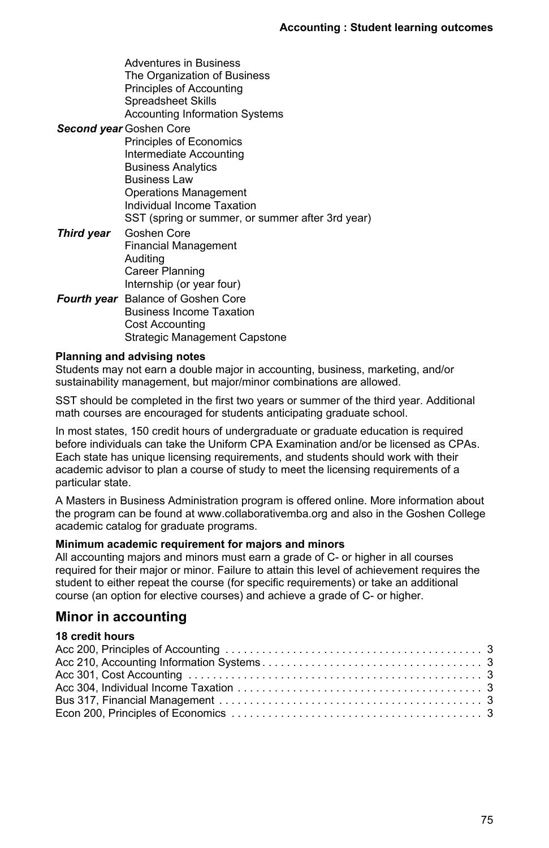| Adventures in Business<br>The Organization of Business |
|--------------------------------------------------------|
| Principles of Accounting                               |
| Spreadsheet Skills                                     |
| <b>Accounting Information Systems</b>                  |
| <b>Second year Goshen Core</b>                         |
| Principles of Economics                                |
| Intermediate Accounting                                |
| <b>Business Analytics</b>                              |
| <b>Business Law</b>                                    |
| Operations Management                                  |
| Individual Income Taxation                             |
| SST (spring or summer, or summer after 3rd year)       |
| <b>Third year</b> Goshen Core                          |
| <b>Financial Management</b>                            |
| Auditing                                               |
| Career Planning                                        |
| Internship (or year four)                              |
| Fourth year Balance of Goshen Core                     |
| <b>Business Income Taxation</b>                        |
| Cost Accounting                                        |
| Strategic Management Capstone                          |

#### **Planning and advising notes**

Students may not earn a double major in accounting, business, marketing, and/or sustainability management, but major/minor combinations are allowed.

SST should be completed in the first two years or summer of the third year. Additional math courses are encouraged for students anticipating graduate school.

In most states, 150 credit hours of undergraduate or graduate education is required before individuals can take the Uniform CPA Examination and/or be licensed as CPAs. Each state has unique licensing requirements, and students should work with their academic advisor to plan a course of study to meet the licensing requirements of a particular state.

A Masters in Business Administration program is offered online. More information about the program can be found at www.collaborativemba.org and also in the Goshen College academic catalog for graduate programs.

#### **Minimum academic requirement for majors and minors**

All accounting majors and minors must earn a grade of C- or higher in all courses required for their major or minor. Failure to attain this level of achievement requires the student to either repeat the course (for specific requirements) or take an additional course (an option for elective courses) and achieve a grade of C- or higher.

## **Minor in accounting**

## **18 credit hours**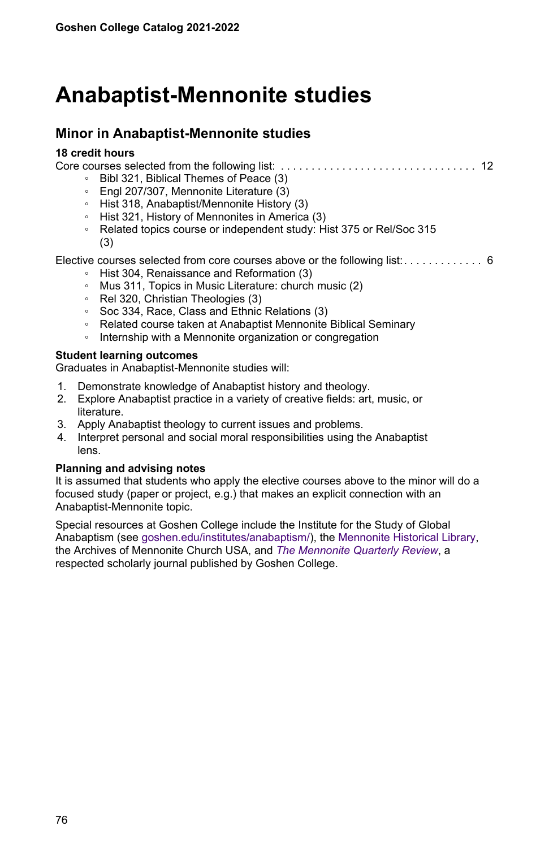# **Anabaptist-Mennonite studies**

## **Minor in Anabaptist-Mennonite studies**

#### **18 credit hours**

Core courses selected from the following list: . . . . . . . . . . . . . . . . . . . . . . . . . . . . . . . . . . . . . . . . . . . . . . . . . . . . . . . . . . . . . . . . . . .12 ◦ Bibl 321, Biblical Themes of Peace (3) ◦ Engl 207/307, Mennonite Literature (3) ◦ Hist 318, Anabaptist/Mennonite History (3) ◦ Hist 321, History of Mennonites in America (3) ◦ Related topics course or independent study: Hist 375 or Rel/Soc 315 (3) Elective courses selected from core courses above or the following list: . . . . . . . . . . . . . 6 ◦ Hist 304, Renaissance and Reformation (3) ◦ Mus 311, Topics in Music Literature: church music (2) ◦ Rel 320, Christian Theologies (3) ◦ Soc 334, Race, Class and Ethnic Relations (3) ◦ Related course taken at Anabaptist Mennonite Biblical Seminary ◦ Internship with a Mennonite organization or congregation **Student learning outcomes**

Graduates in Anabaptist-Mennonite studies will:

- 1. Demonstrate knowledge of Anabaptist history and theology.
- 2. Explore Anabaptist practice in a variety of creative fields: art, music, or literature.
- 3. Apply Anabaptist theology to current issues and problems.
- 4. Interpret personal and social moral responsibilities using the Anabaptist lens.

#### **Planning and advising notes**

It is assumed that students who apply the elective courses above to the minor will do a focused study (paper or project, e.g.) that makes an explicit connection with an Anabaptist-Mennonite topic.

Special resources at Goshen College include the Institute for the Study of Global Anabaptism (see [goshen.edu/institutes/anabaptism/\)](https://www.goshen.edu/institutes/anabaptism/), the [Mennonite Historical Library](/mhl), the Archives of Mennonite Church USA, and *[The Mennonite Quarterly Review](/mqr)*, a respected scholarly journal published by Goshen College.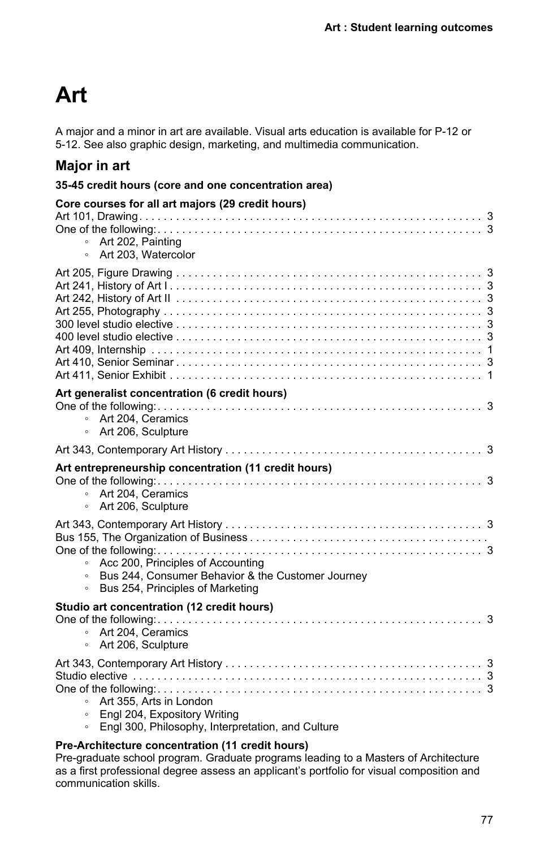# **Art**

A major and a minor in art are available. Visual arts education is available for P-12 or 5-12. See also graphic design, marketing, and multimedia communication.

# **Major in art**

|  | 35-45 credit hours (core and one concentration area) |
|--|------------------------------------------------------|
|--|------------------------------------------------------|

| Core courses for all art majors (29 credit hours)<br>• Art 202, Painting<br>Art 203. Watercolor<br>$\circ$                                       |  |
|--------------------------------------------------------------------------------------------------------------------------------------------------|--|
|                                                                                                                                                  |  |
| Art generalist concentration (6 credit hours)                                                                                                    |  |
| • Art 204, Ceramics<br>• Art 206, Sculpture                                                                                                      |  |
|                                                                                                                                                  |  |
| Art entrepreneurship concentration (11 credit hours)<br>• Art 204, Ceramics<br>Art 206, Sculpture<br>$\circ$                                     |  |
| Acc 200, Principles of Accounting<br>Bus 244, Consumer Behavior & the Customer Journey<br>$\circ$<br>Bus 254, Principles of Marketing<br>$\circ$ |  |
| Studio art concentration (12 credit hours)<br>• Art 204, Ceramics<br>• Art 206, Sculpture                                                        |  |
| Art 355, Arts in London<br>$\circ$<br>Engl 204, Expository Writing<br>$\circ$<br>Engl 300, Philosophy, Interpretation, and Culture               |  |

## **Pre-Architecture concentration (11 credit hours)**

Pre-graduate school program. Graduate programs leading to a Masters of Architecture as a first professional degree assess an applicant's portfolio for visual composition and communication skills.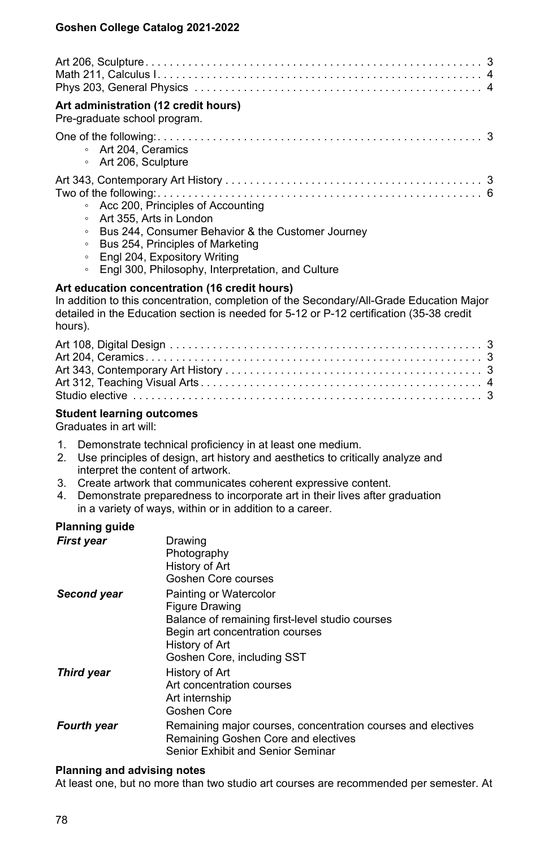| Art administration (12 credit hours)<br>Pre-graduate school program.                                                                                                                                                                                                                       |
|--------------------------------------------------------------------------------------------------------------------------------------------------------------------------------------------------------------------------------------------------------------------------------------------|
| • Art 204, Ceramics<br>∘ Art 206, Sculpture                                                                                                                                                                                                                                                |
| • Acc 200, Principles of Accounting<br>• Art 355, Arts in London<br>Bus 244, Consumer Behavior & the Customer Journey<br>$\circ$<br>Bus 254, Principles of Marketing<br>$\circ$<br>Engl 204, Expository Writing<br>$\circ$<br>Engl 300, Philosophy, Interpretation, and Culture<br>$\circ$ |
| Art education concentration (16 credit hours)<br>In addition to this concentration, completion of the Secondary/All-Grade Education Major<br>detailed in the Education section is needed for 5-12 or P-12 certification (35-38 credit<br>hours).                                           |
|                                                                                                                                                                                                                                                                                            |

Art 312, Teaching Visual Arts . . . . . . . . . . . . . . . . . . . . . . . . . . . . . . . . . . . . . . . . . . . . . . . . . . . . . . . . . . . . . . . . . . .4 Studio elective . . . . . . . . . . . . . . . . . . . . . . . . . . . . . . . . . . . . . . . . . . . . . . . . . . . . . . . . . . . . . . . . . . .3

|  | <b>Student learning outcomes</b> |
|--|----------------------------------|

Graduates in art will:

- 1. Demonstrate technical proficiency in at least one medium.
- 2. Use principles of design, art history and aesthetics to critically analyze and interpret the content of artwork.
- 3. Create artwork that communicates coherent expressive content.
- 4. Demonstrate preparedness to incorporate art in their lives after graduation in a variety of ways, within or in addition to a career.

#### **Planning guide**

| First year  | Drawing<br>Photography<br>History of Art<br>Goshen Core courses                                                                                                                |
|-------------|--------------------------------------------------------------------------------------------------------------------------------------------------------------------------------|
| Second vear | Painting or Watercolor<br>Figure Drawing<br>Balance of remaining first-level studio courses<br>Begin art concentration courses<br>History of Art<br>Goshen Core, including SST |
| Third year  | History of Art<br>Art concentration courses<br>Art internship<br>Goshen Core                                                                                                   |
| Fourth year | Remaining major courses, concentration courses and electives<br>Remaining Goshen Core and electives<br>Senior Exhibit and Senior Seminar                                       |

#### **Planning and advising notes**

At least one, but no more than two studio art courses are recommended per semester. At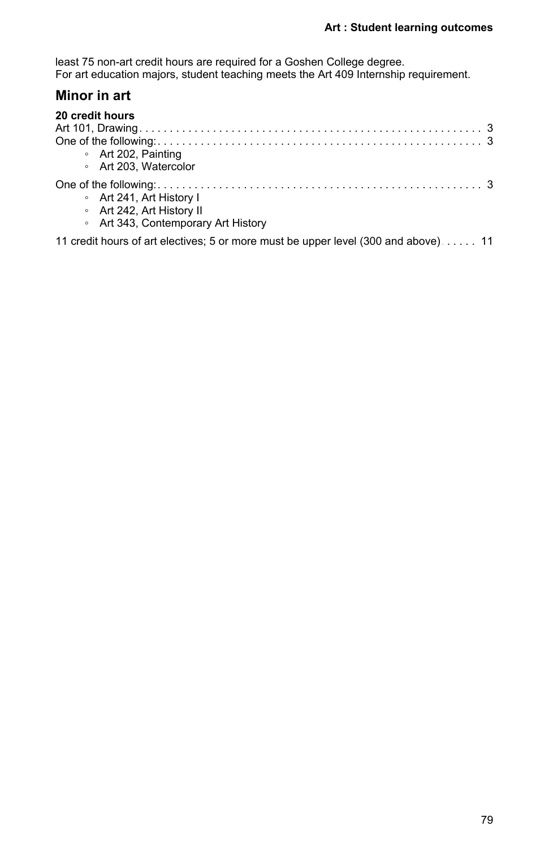least 75 non-art credit hours are required for a Goshen College degree. For art education majors, student teaching meets the Art 409 Internship requirement.

# **Minor in art**

| 20 credit hours                     |
|-------------------------------------|
|                                     |
|                                     |
| • Art 202, Painting                 |
| • Art 203, Watercolor               |
|                                     |
| • Art 241, Art History I            |
| • Art 242, Art History II           |
| • Art 343, Contemporary Art History |
|                                     |

11 credit hours of art electives; 5 or more must be upper level (300 and above) . . . . . 11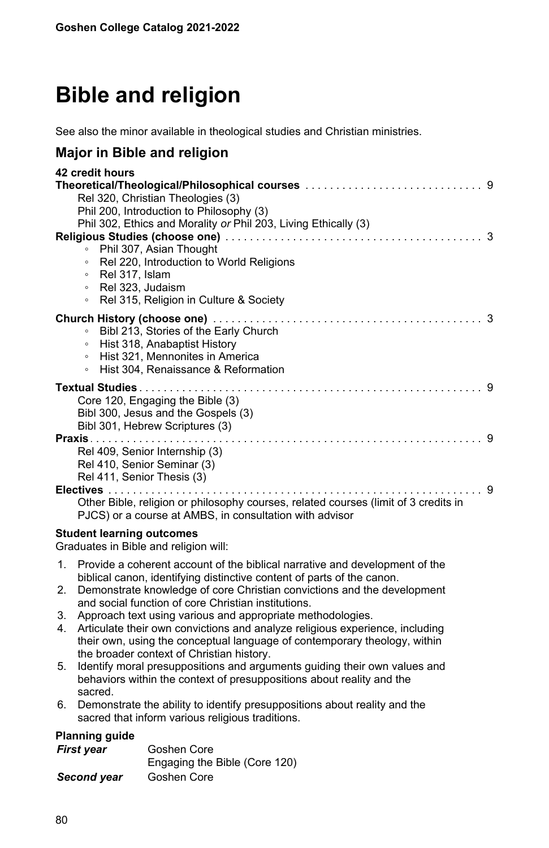# **Bible and religion**

See also the minor available in theological studies and Christian ministries.

## **Major in Bible and religion**

| 42 credit hours                                                                     |
|-------------------------------------------------------------------------------------|
|                                                                                     |
| Rel 320, Christian Theologies (3)                                                   |
| Phil 200, Introduction to Philosophy (3)                                            |
| Phil 302, Ethics and Morality or Phil 203, Living Ethically (3)                     |
| 3                                                                                   |
| Phil 307, Asian Thought<br>$\circ$                                                  |
| Rel 220, Introduction to World Religions<br>$\circ$                                 |
| Rel 317, Islam<br>$\circ$                                                           |
| Rel 323, Judaism<br>$\circ$                                                         |
| Rel 315, Religion in Culture & Society<br>$\circ$                                   |
| 3                                                                                   |
| Bibl 213, Stories of the Early Church<br>$\circ$                                    |
| Hist 318, Anabaptist History<br>$\circ$                                             |
| Hist 321, Mennonites in America<br>$\circ$                                          |
| Hist 304, Renaissance & Reformation<br>$\circ$                                      |
| -9                                                                                  |
| Core 120, Engaging the Bible (3)                                                    |
| Bibl 300, Jesus and the Gospels (3)                                                 |
| Bibl 301, Hebrew Scriptures (3)                                                     |
| <b>Praxis</b>                                                                       |
| Rel 409, Senior Internship (3)                                                      |
| Rel 410, Senior Seminar (3)                                                         |
| Rel 411, Senior Thesis (3)                                                          |
| Electives<br>9                                                                      |
| Other Bible, religion or philosophy courses, related courses (limit of 3 credits in |
| PJCS) or a course at AMBS, in consultation with advisor                             |
|                                                                                     |
| <b>Student learning outcomes</b>                                                    |

Graduates in Bible and religion will:

- 1. Provide a coherent account of the biblical narrative and development of the biblical canon, identifying distinctive content of parts of the canon.
- 2. Demonstrate knowledge of core Christian convictions and the development and social function of core Christian institutions.
- 3. Approach text using various and appropriate methodologies.
- 4. Articulate their own convictions and analyze religious experience, including their own, using the conceptual language of contemporary theology, within the broader context of Christian history.
- 5. Identify moral presuppositions and arguments guiding their own values and behaviors within the context of presuppositions about reality and the sacred.
- 6. Demonstrate the ability to identify presuppositions about reality and the sacred that inform various religious traditions.

## **Planning guide**

| First year  | Goshen Core                   |
|-------------|-------------------------------|
|             | Engaging the Bible (Core 120) |
| Second year | Goshen Core                   |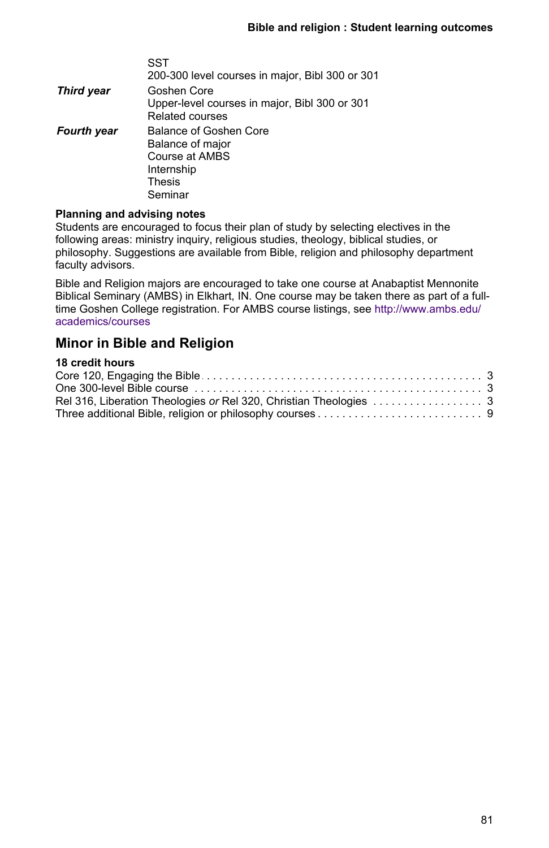|                    | SST<br>200-300 level courses in major, Bibl 300 or 301                                          |
|--------------------|-------------------------------------------------------------------------------------------------|
| Third year         | Goshen Core<br>Upper-level courses in major, Bibl 300 or 301<br>Related courses                 |
| <b>Fourth year</b> | Balance of Goshen Core<br>Balance of major<br>Course at AMBS<br>Internship<br>Thesis<br>Seminar |

#### **Planning and advising notes**

Students are encouraged to focus their plan of study by selecting electives in the following areas: ministry inquiry, religious studies, theology, biblical studies, or philosophy. Suggestions are available from Bible, religion and philosophy department faculty advisors.

Bible and Religion majors are encouraged to take one course at Anabaptist Mennonite Biblical Seminary (AMBS) in Elkhart, IN. One course may be taken there as part of a fulltime Goshen College registration. For AMBS course listings, see [http://www.ambs.edu/](http://www.ambs.edu/academics/courses) [academics/courses](http://www.ambs.edu/academics/courses)

# **Minor in Bible and Religion**

## **18 credit hours**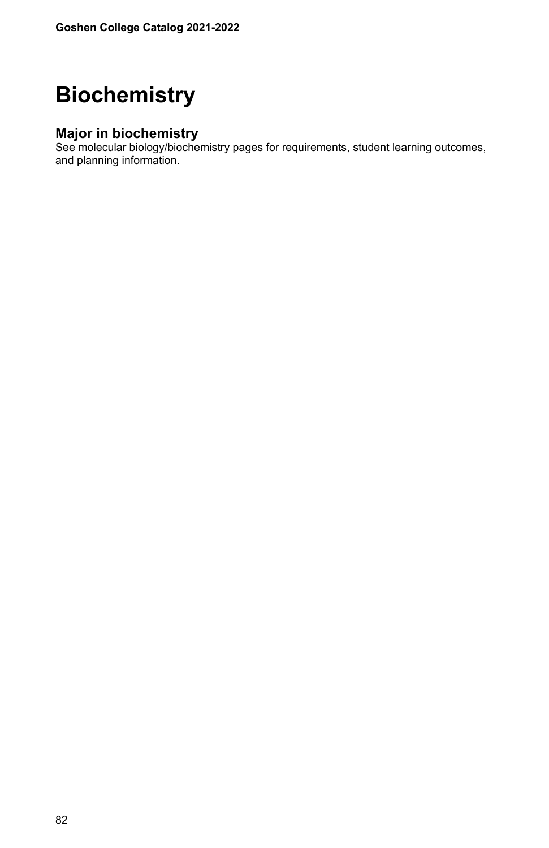# **Biochemistry**

# **Major in biochemistry**

See molecular biology/biochemistry pages for requirements, student learning outcomes, and planning information.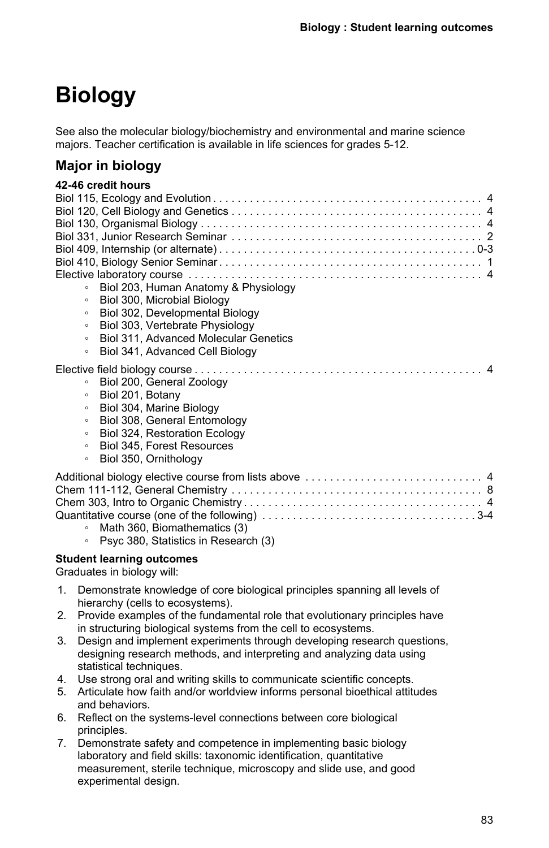# **Biology**

See also the molecular biology/biochemistry and environmental and marine science majors. Teacher certification is available in life sciences for grades 5-12.

# **Major in biology**

|         | 42-46 credit hours                    |
|---------|---------------------------------------|
|         |                                       |
|         |                                       |
|         |                                       |
|         |                                       |
|         |                                       |
|         |                                       |
|         |                                       |
| $\circ$ | Biol 203, Human Anatomy & Physiology  |
| $\circ$ | Biol 300, Microbial Biology           |
| $\circ$ | Biol 302, Developmental Biology       |
| $\circ$ | Biol 303, Vertebrate Physiology       |
| $\circ$ | Biol 311, Advanced Molecular Genetics |
| $\circ$ | Biol 341, Advanced Cell Biology       |
|         |                                       |
| $\circ$ | Biol 200, General Zoology             |
| $\circ$ | Biol 201, Botany                      |
| $\circ$ | Biol 304, Marine Biology              |
| $\circ$ | Biol 308, General Entomology          |
| $\circ$ | Biol 324, Restoration Ecology         |
| $\circ$ | Biol 345, Forest Resources            |
| $\circ$ | Biol 350, Ornithology                 |
|         |                                       |
|         |                                       |
|         |                                       |
|         |                                       |
| $\circ$ | Math 360, Biomathematics (3)          |
| $\circ$ | Psyc 380, Statistics in Research (3)  |
|         |                                       |

## **Student learning outcomes**

Graduates in biology will:

- 1. Demonstrate knowledge of core biological principles spanning all levels of hierarchy (cells to ecosystems).
- 2. Provide examples of the fundamental role that evolutionary principles have in structuring biological systems from the cell to ecosystems.
- 3. Design and implement experiments through developing research questions, designing research methods, and interpreting and analyzing data using statistical techniques.
- 4. Use strong oral and writing skills to communicate scientific concepts.
- 5. Articulate how faith and/or worldview informs personal bioethical attitudes and behaviors.
- 6. Reflect on the systems-level connections between core biological principles.
- 7. Demonstrate safety and competence in implementing basic biology laboratory and field skills: taxonomic identification, quantitative measurement, sterile technique, microscopy and slide use, and good experimental design.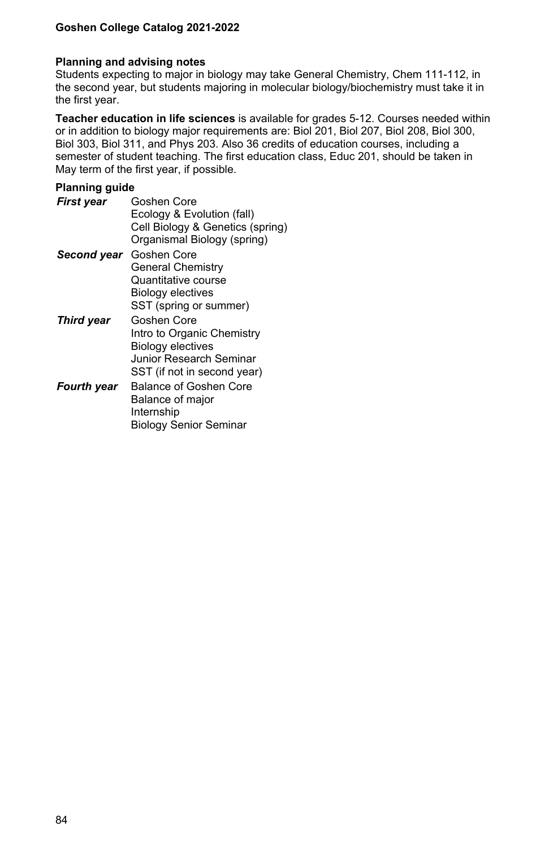#### **Planning and advising notes**

Students expecting to major in biology may take General Chemistry, Chem 111-112, in the second year, but students majoring in molecular biology/biochemistry must take it in the first year.

**Teacher education in life sciences** is available for grades 5-12. Courses needed within or in addition to biology major requirements are: Biol 201, Biol 207, Biol 208, Biol 300, Biol 303, Biol 311, and Phys 203. Also 36 credits of education courses, including a semester of student teaching. The first education class, Educ 201, should be taken in May term of the first year, if possible.

#### **Planning guide**

| First year  | Goshen Core                      |
|-------------|----------------------------------|
|             | Ecology & Evolution (fall)       |
|             | Cell Biology & Genetics (spring) |
|             | Organismal Biology (spring)      |
| Second vear | Goshen Core                      |
|             | <b>General Chemistry</b>         |
|             | Quantitative course              |
|             | Biology electives                |
|             | SST (spring or summer)           |
| Third year  | Goshen Core                      |
|             | Intro to Organic Chemistry       |
|             | <b>Biology electives</b>         |
|             | Junior Research Seminar          |
|             | SST (if not in second year)      |
| Fourth vear | Balance of Goshen Core           |
|             | Balance of major                 |
|             | Internship                       |

Biology Senior Seminar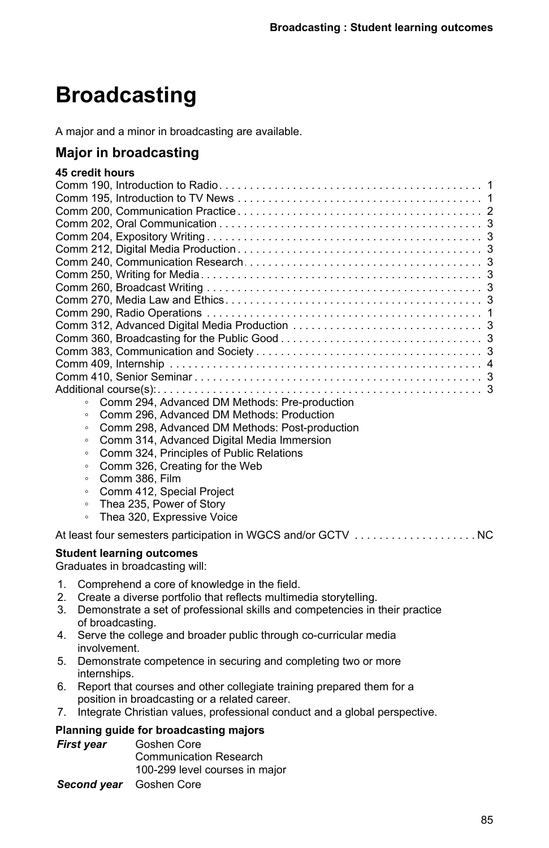# **Broadcasting**

A major and a minor in broadcasting are available.

# **Major in broadcasting**

#### **45 credit hours**

| Comm 294. Advanced DM Methods: Pre-production<br>$\circ$ |
|----------------------------------------------------------|
| Comm 296. Advanced DM Methods: Production                |

- Comm 298, Advanced DM Methods: Post-production
- Comm 314, Advanced Digital Media Immersion
- Comm 324, Principles of Public Relations
- Comm 326, Creating for the Web
- Comm 386, Film
- Comm 412, Special Project
- Thea 235, Power of Story
- Thea 320, Expressive Voice

At least four semesters participation in WGCS and/or GCTV . . . . . . . . . . . . . . . . . . NC

#### **Student learning outcomes**

Graduates in broadcasting will:

- 1. Comprehend a core of knowledge in the field.
- 2. Create a diverse portfolio that reflects multimedia storytelling.
- 3. Demonstrate a set of professional skills and competencies in their practice of broadcasting.
- 4. Serve the college and broader public through co-curricular media involvement.
- 5. Demonstrate competence in securing and completing two or more internships.
- 6. Report that courses and other collegiate training prepared them for a position in broadcasting or a related career.
- 7. Integrate Christian values, professional conduct and a global perspective.

#### **Planning guide for broadcasting majors**

| <b>First year</b> | Goshen Core                    |
|-------------------|--------------------------------|
|                   | <b>Communication Research</b>  |
|                   | 100-299 level courses in major |

*Second year* Goshen Core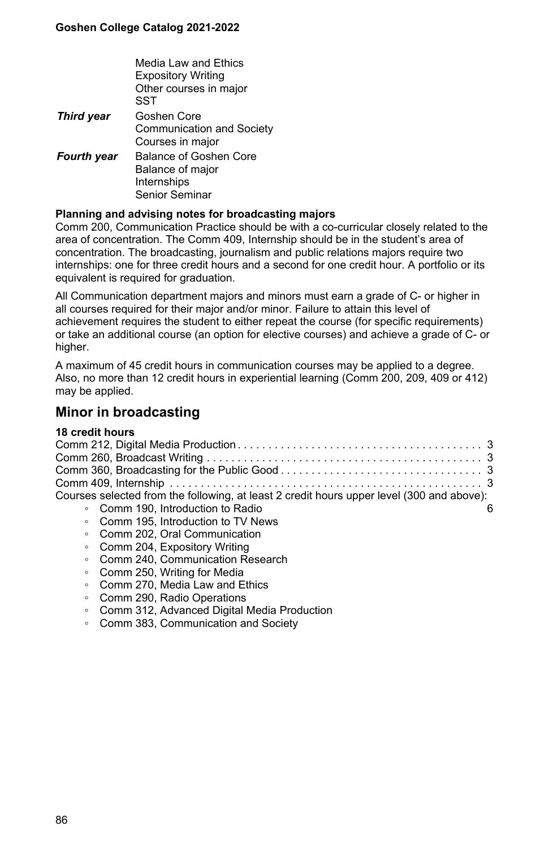|                    | Media Law and Ethics<br><b>Expository Writing</b><br>Other courses in major<br>SST |
|--------------------|------------------------------------------------------------------------------------|
| <b>Third year</b>  | Goshen Core<br>Communication and Society<br>Courses in major                       |
| <b>Fourth year</b> | Balance of Goshen Core<br>Balance of major<br>Internships<br>Senior Seminar        |

#### **Planning and advising notes for broadcasting majors**

Comm 200, Communication Practice should be with a co-curricular closely related to the area of concentration. The Comm 409, Internship should be in the student's area of concentration. The broadcasting, journalism and public relations majors require two internships: one for three credit hours and a second for one credit hour. A portfolio or its equivalent is required for graduation.

All Communication department majors and minors must earn a grade of C- or higher in all courses required for their major and/or minor. Failure to attain this level of achievement requires the student to either repeat the course (for specific requirements) or take an additional course (an option for elective courses) and achieve a grade of C- or higher.

A maximum of 45 credit hours in communication courses may be applied to a degree. Also, no more than 12 credit hours in experiential learning (Comm 200, 209, 409 or 412) may be applied.

## **Minor in broadcasting**

#### **18 credit hours**

| Courses selected from the following, at least 2 credit hours upper level (300 and above):                                                                                                                                                                                                                                                                                             |  |
|---------------------------------------------------------------------------------------------------------------------------------------------------------------------------------------------------------------------------------------------------------------------------------------------------------------------------------------------------------------------------------------|--|
| • Comm 190. Introduction to Radio                                                                                                                                                                                                                                                                                                                                                     |  |
| • Comm 195. Introduction to TV News                                                                                                                                                                                                                                                                                                                                                   |  |
| • Comm 202, Oral Communication                                                                                                                                                                                                                                                                                                                                                        |  |
| • Comm 204, Expository Writing                                                                                                                                                                                                                                                                                                                                                        |  |
| • Comm 240. Communication Research                                                                                                                                                                                                                                                                                                                                                    |  |
| $Q_{\text{max}}$ $Q_{\text{max}}$ $Q_{\text{max}}$ $Q_{\text{max}}$ $Q_{\text{max}}$ $Q_{\text{max}}$ $Q_{\text{max}}$ $Q_{\text{max}}$ $Q_{\text{max}}$ $Q_{\text{max}}$ $Q_{\text{max}}$ $Q_{\text{max}}$ $Q_{\text{max}}$ $Q_{\text{max}}$ $Q_{\text{max}}$ $Q_{\text{max}}$ $Q_{\text{max}}$ $Q_{\text{max}}$ $Q_{\text{max}}$ $Q_{\text{max}}$ $Q_{\text{max}}$ $Q_{\text{max}}$ |  |

- Comm 250, Writing for Media
- Comm 270, Media Law and Ethics
- Comm 290, Radio Operations
- Comm 312, Advanced Digital Media Production
- Comm 383, Communication and Society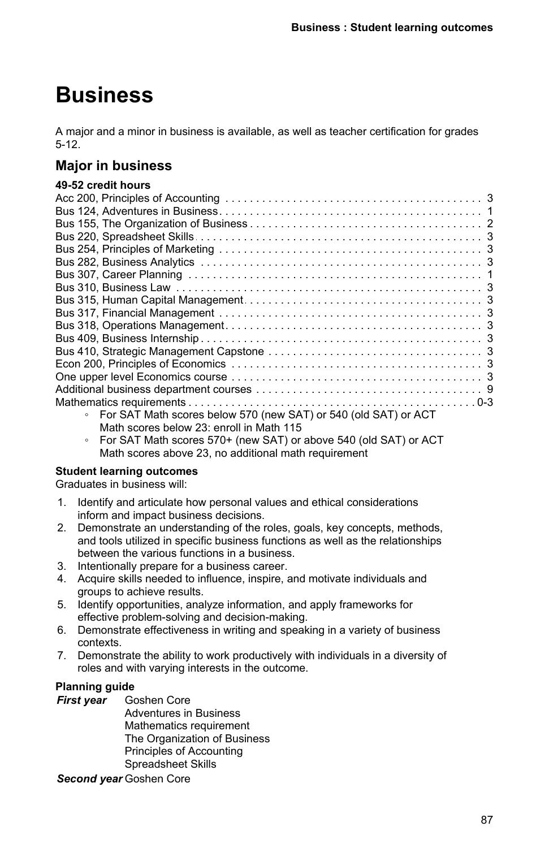# **Business**

A major and a minor in business is available, as well as teacher certification for grades 5-12.

# **Major in business**

### **49-52 credit hours**

- Math scores below 23: enroll in Math 115
- For SAT Math scores 570+ (new SAT) or above 540 (old SAT) or ACT Math scores above 23, no additional math requirement

## **Student learning outcomes**

Graduates in business will:

- 1. Identify and articulate how personal values and ethical considerations inform and impact business decisions.
- 2. Demonstrate an understanding of the roles, goals, key concepts, methods, and tools utilized in specific business functions as well as the relationships between the various functions in a business.
- 3. Intentionally prepare for a business career.
- 4. Acquire skills needed to influence, inspire, and motivate individuals and groups to achieve results.
- 5. Identify opportunities, analyze information, and apply frameworks for effective problem-solving and decision-making.
- 6. Demonstrate effectiveness in writing and speaking in a variety of business contexts.
- 7. Demonstrate the ability to work productively with individuals in a diversity of roles and with varying interests in the outcome.

## **Planning guide**

*First year* Goshen Core

Adventures in Business Mathematics requirement The Organization of Business Principles of Accounting Spreadsheet Skills

*Second year* Goshen Core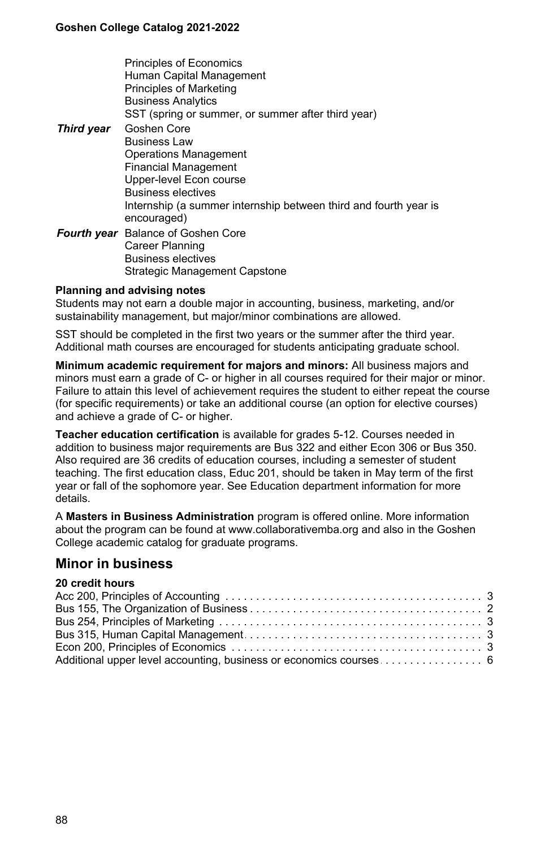|                   | <b>Principles of Economics</b><br>Human Capital Management<br><b>Principles of Marketing</b><br><b>Business Analytics</b><br>SST (spring or summer, or summer after third year)                                                     |
|-------------------|-------------------------------------------------------------------------------------------------------------------------------------------------------------------------------------------------------------------------------------|
| <b>Third year</b> | Goshen Core<br><b>Business Law</b><br><b>Operations Management</b><br><b>Financial Management</b><br>Upper-level Econ course                                                                                                        |
|                   | <b>Business electives</b><br>Internship (a summer internship between third and fourth year is<br>encouraged)<br>Fourth year Balance of Goshen Core<br>Career Planning<br><b>Business electives</b><br>Strategic Management Capstone |

#### **Planning and advising notes**

Students may not earn a double major in accounting, business, marketing, and/or sustainability management, but major/minor combinations are allowed.

SST should be completed in the first two years or the summer after the third year. Additional math courses are encouraged for students anticipating graduate school.

**Minimum academic requirement for majors and minors:** All business majors and minors must earn a grade of C- or higher in all courses required for their major or minor. Failure to attain this level of achievement requires the student to either repeat the course (for specific requirements) or take an additional course (an option for elective courses) and achieve a grade of C- or higher.

**Teacher education certification** is available for grades 5-12. Courses needed in addition to business major requirements are Bus 322 and either Econ 306 or Bus 350. Also required are 36 credits of education courses, including a semester of student teaching. The first education class, Educ 201, should be taken in May term of the first year or fall of the sophomore year. See Education department information for more details.

A **Masters in Business Administration** program is offered online. More information about the program can be found at www.collaborativemba.org and also in the Goshen College academic catalog for graduate programs.

## **Minor in business**

#### **20 credit hours**

| Additional upper level accounting, business or economics courses 6 |  |
|--------------------------------------------------------------------|--|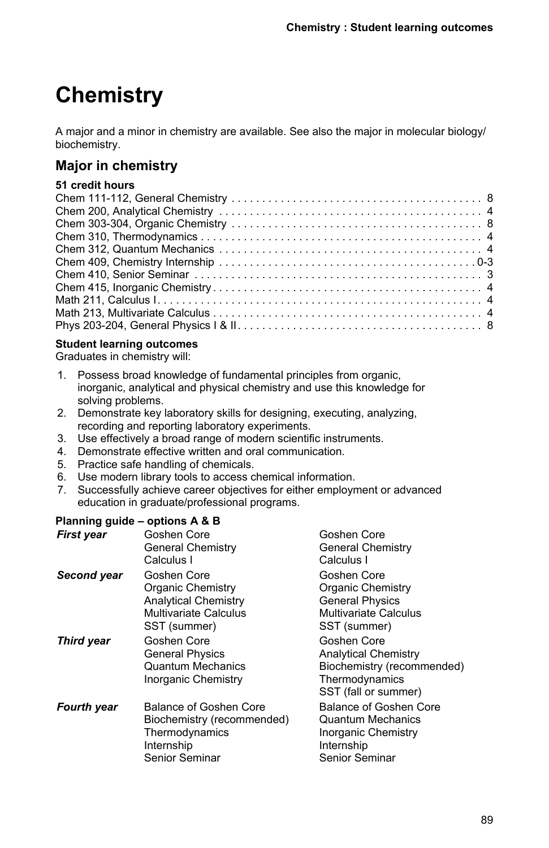# **Chemistry**

A major and a minor in chemistry are available. See also the major in molecular biology/ biochemistry.

# **Major in chemistry**

## **51 credit hours**

## **Student learning outcomes**

Graduates in chemistry will:

- 1. Possess broad knowledge of fundamental principles from organic, inorganic, analytical and physical chemistry and use this knowledge for solving problems.
- 2. Demonstrate key laboratory skills for designing, executing, analyzing, recording and reporting laboratory experiments.
- 3. Use effectively a broad range of modern scientific instruments.
- 4. Demonstrate effective written and oral communication.
- 5. Practice safe handling of chemicals.
- 6. Use modern library tools to access chemical information.
- 7. Successfully achieve career objectives for either employment or advanced education in graduate/professional programs.

## **Planning guide – options A & B**

| <b>First year</b>  | Goshen Core<br>General Chemistry<br>Calculus I                                                                  | Goshen Core<br><b>General Chemistry</b><br>Calculus I                                                              |
|--------------------|-----------------------------------------------------------------------------------------------------------------|--------------------------------------------------------------------------------------------------------------------|
| Second year        | Goshen Core<br><b>Organic Chemistry</b><br><b>Analytical Chemistry</b><br>Multivariate Calculus<br>SST (summer) | Goshen Core<br>Organic Chemistry<br><b>General Physics</b><br><b>Multivariate Calculus</b><br>SST (summer)         |
| <b>Third year</b>  | Goshen Core<br><b>General Physics</b><br><b>Quantum Mechanics</b><br>Inorganic Chemistry                        | Goshen Core<br><b>Analytical Chemistry</b><br>Biochemistry (recommended)<br>Thermodynamics<br>SST (fall or summer) |
| <b>Fourth year</b> | Balance of Goshen Core<br>Biochemistry (recommended)<br>Thermodynamics<br>Internship<br>Senior Seminar          | Balance of Goshen Core<br><b>Quantum Mechanics</b><br>Inorganic Chemistry<br>Internship<br>Senior Seminar          |
|                    |                                                                                                                 |                                                                                                                    |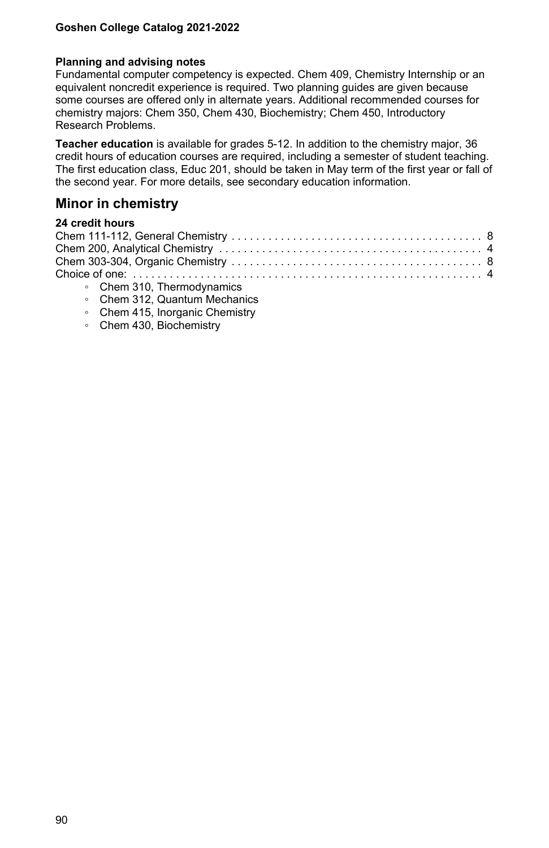#### **Planning and advising notes**

Fundamental computer competency is expected. Chem 409, Chemistry Internship or an equivalent noncredit experience is required. Two planning guides are given because some courses are offered only in alternate years. Additional recommended courses for chemistry majors: Chem 350, Chem 430, Biochemistry; Chem 450, Introductory Research Problems.

**Teacher education** is available for grades 5-12. In addition to the chemistry major, 36 credit hours of education courses are required, including a semester of student teaching. The first education class, Educ 201, should be taken in May term of the first year or fall of the second year. For more details, see secondary education information.

## **Minor in chemistry**

## **24 credit hours**

| $Q_{\text{base}} Q_{\text{A}} Q_{\text{B}}$ The space of properties |  |
|---------------------------------------------------------------------|--|

- Chem 310, Thermodynamics
- Chem 312, Quantum Mechanics
- Chem 415, Inorganic Chemistry
- Chem 430, Biochemistry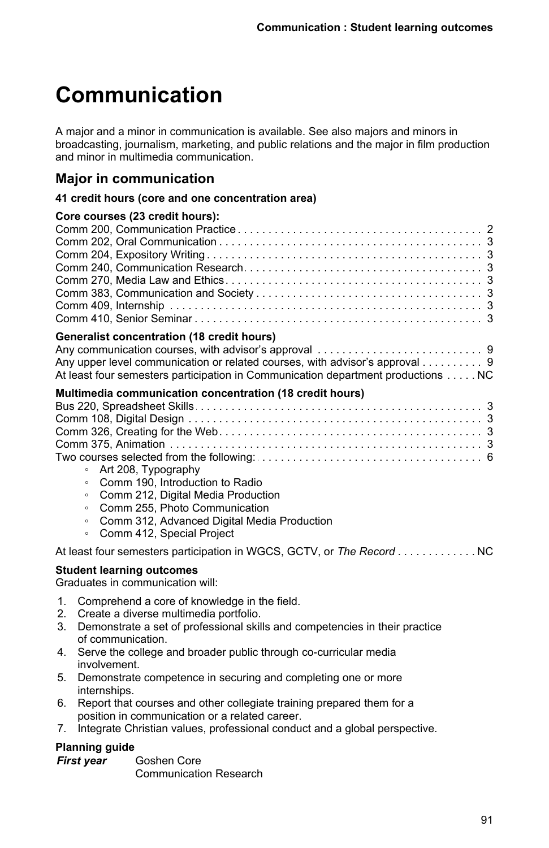# **Communication**

A major and a minor in communication is available. See also majors and minors in broadcasting, journalism, marketing, and public relations and the major in film production and minor in multimedia communication.

## **Major in communication**

#### **41 credit hours (core and one concentration area)**

|                                 | Core courses (23 credit hours):                                                                                                                                                                                                                                                                                                |  |
|---------------------------------|--------------------------------------------------------------------------------------------------------------------------------------------------------------------------------------------------------------------------------------------------------------------------------------------------------------------------------|--|
|                                 | Generalist concentration (18 credit hours)<br>Any upper level communication or related courses, with advisor's approval 9<br>At least four semesters participation in Communication department productions NC                                                                                                                  |  |
|                                 | Multimedia communication concentration (18 credit hours)<br>• Art 208, Typography<br>Comm 190, Introduction to Radio<br>$\circ$<br>Comm 212, Digital Media Production<br>$\circ$<br>Comm 255, Photo Communication<br>$\circ$<br>Comm 312, Advanced Digital Media Production<br>$\circ$<br>Comm 412, Special Project<br>$\circ$ |  |
|                                 | At least four semesters participation in WGCS, GCTV, or The Record NC                                                                                                                                                                                                                                                          |  |
|                                 | <b>Student learning outcomes</b><br>Graduates in communication will:                                                                                                                                                                                                                                                           |  |
| $1_{-}$<br>2 <sub>1</sub><br>3. | Comprehend a core of knowledge in the field.<br>Create a diverse multimedia portfolio.<br>Demonstrate a set of professional skills and competencies in their practice<br>of communication.                                                                                                                                     |  |

- 4. Serve the college and broader public through co-curricular media involvement.
- 5. Demonstrate competence in securing and completing one or more internships.
- 6. Report that courses and other collegiate training prepared them for a position in communication or a related career.
- 7. Integrate Christian values, professional conduct and a global perspective.

## **Planning guide**

*First year* Goshen Core Communication Research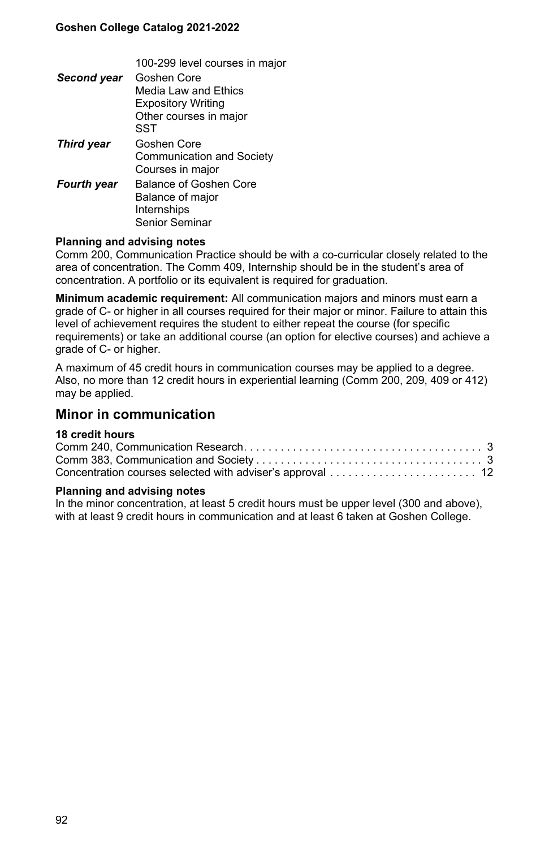100-299 level courses in major

| Second year        | Goshen Core               |
|--------------------|---------------------------|
|                    | Media Law and Ethics      |
|                    | <b>Expository Writing</b> |
|                    | Other courses in major    |
|                    | SST                       |
| <b>Third year</b>  | Goshen Core               |
|                    | Communication and Society |
|                    | Courses in major          |
| <b>Fourth year</b> | Balance of Goshen Core    |
|                    | Balance of major          |
|                    | Internships               |
|                    | Senior Seminar            |

#### **Planning and advising notes**

Comm 200, Communication Practice should be with a co-curricular closely related to the area of concentration. The Comm 409, Internship should be in the student's area of concentration. A portfolio or its equivalent is required for graduation.

**Minimum academic requirement:** All communication majors and minors must earn a grade of C- or higher in all courses required for their major or minor. Failure to attain this level of achievement requires the student to either repeat the course (for specific requirements) or take an additional course (an option for elective courses) and achieve a grade of C- or higher.

A maximum of 45 credit hours in communication courses may be applied to a degree. Also, no more than 12 credit hours in experiential learning (Comm 200, 209, 409 or 412) may be applied.

## **Minor in communication**

### **18 credit hours**

#### **Planning and advising notes**

In the minor concentration, at least 5 credit hours must be upper level (300 and above), with at least 9 credit hours in communication and at least 6 taken at Goshen College.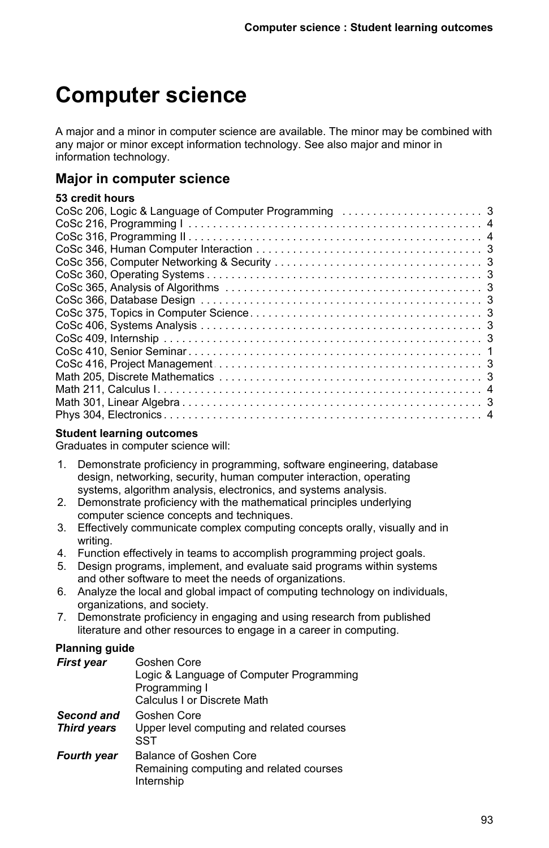# **Computer science**

A major and a minor in computer science are available. The minor may be combined with any major or minor except information technology. See also major and minor in information technology.

# **Major in computer science**

## **53 credit hours**

## **Student learning outcomes**

Graduates in computer science will:

- 1. Demonstrate proficiency in programming, software engineering, database design, networking, security, human computer interaction, operating systems, algorithm analysis, electronics, and systems analysis.
- 2. Demonstrate proficiency with the mathematical principles underlying computer science concepts and techniques.
- 3. Effectively communicate complex computing concepts orally, visually and in writing.
- 4. Function effectively in teams to accomplish programming project goals.
- 5. Design programs, implement, and evaluate said programs within systems and other software to meet the needs of organizations.
- 6. Analyze the local and global impact of computing technology on individuals, organizations, and society.
- 7. Demonstrate proficiency in engaging and using research from published literature and other resources to engage in a career in computing.

## **Planning guide**

| Goshen Core<br>Logic & Language of Computer Programming<br>Programming I<br>Calculus I or Discrete Math |
|---------------------------------------------------------------------------------------------------------|
| Goshen Core<br>Upper level computing and related courses                                                |
| SST                                                                                                     |
| Balance of Goshen Core<br>Remaining computing and related courses<br>Internship                         |
|                                                                                                         |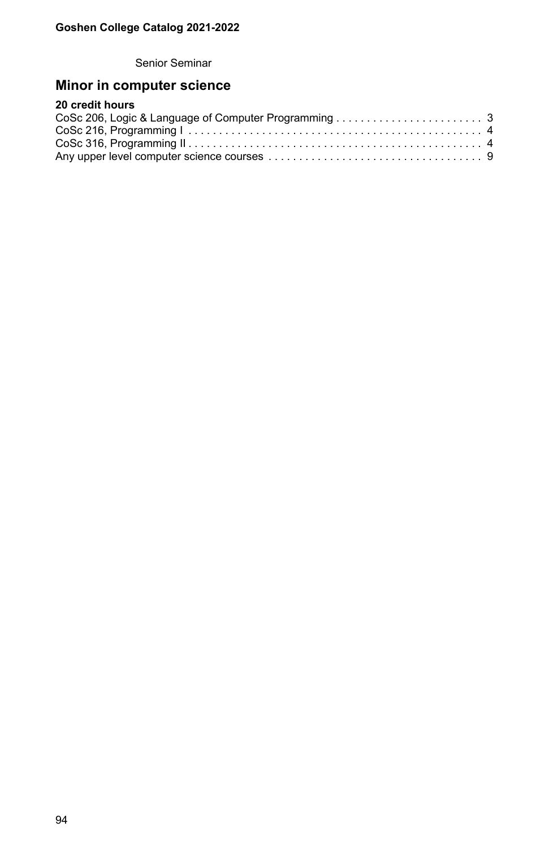Senior Seminar

# **Minor in computer science**

# **20 credit hours**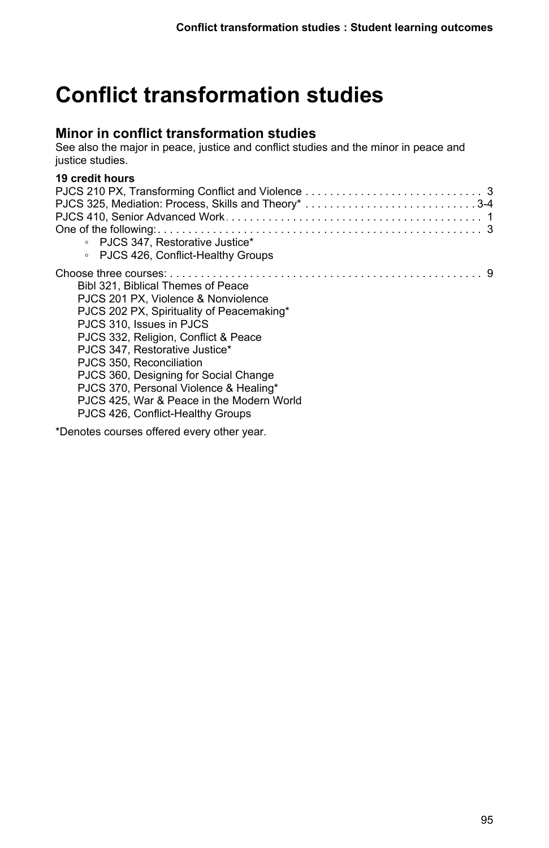# **Conflict transformation studies**

# **Minor in conflict transformation studies**

See also the major in peace, justice and conflict studies and the minor in peace and justice studies.

## **19 credit hours**

| • PJCS 347. Restorative Justice*          |  |
|-------------------------------------------|--|
| • PJCS 426, Conflict-Healthy Groups       |  |
|                                           |  |
| Bibl 321. Biblical Themes of Peace        |  |
| PJCS 201 PX, Violence & Nonviolence       |  |
| PJCS 202 PX, Spirituality of Peacemaking* |  |
| PJCS 310. Issues in PJCS                  |  |
| PJCS 332, Religion, Conflict & Peace      |  |
| PJCS 347. Restorative Justice*            |  |
| PJCS 350, Reconciliation                  |  |
| PJCS 360, Designing for Social Change     |  |
| PJCS 370, Personal Violence & Healing*    |  |
| PJCS 425. War & Peace in the Modern World |  |
| PJCS 426, Conflict-Healthy Groups         |  |
|                                           |  |

\*Denotes courses offered every other year.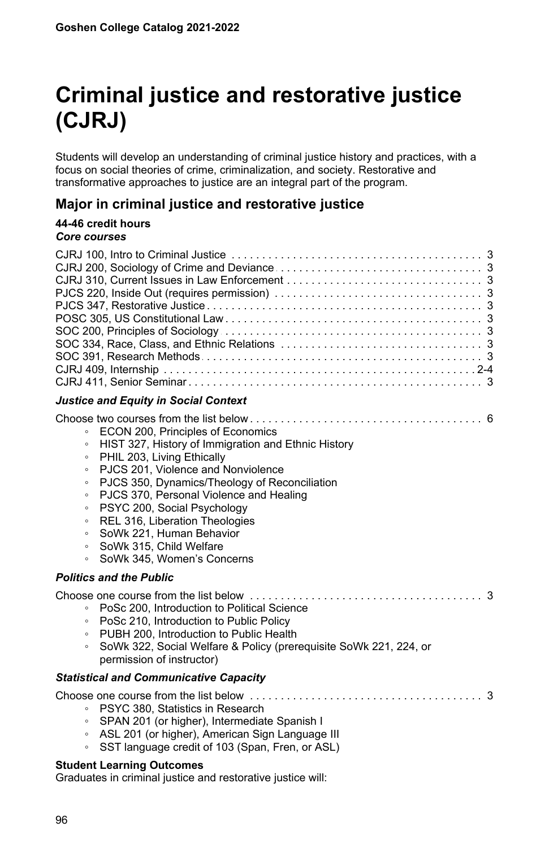# **Criminal justice and restorative justice (CJRJ)**

Students will develop an understanding of criminal justice history and practices, with a focus on social theories of crime, criminalization, and society. Restorative and transformative approaches to justice are an integral part of the program.

# **Major in criminal justice and restorative justice**

#### **44-46 credit hours** *Core courses*

| <b>Justice and Equity in Social Context</b>                                                                                                                                                                                                                                                                                                                                                                                                                                                                                             |
|-----------------------------------------------------------------------------------------------------------------------------------------------------------------------------------------------------------------------------------------------------------------------------------------------------------------------------------------------------------------------------------------------------------------------------------------------------------------------------------------------------------------------------------------|
| ECON 200, Principles of Economics<br>$\circ$<br>HIST 327, History of Immigration and Ethnic History<br>$\circ$<br>PHIL 203, Living Ethically<br>$\circ$<br>PJCS 201, Violence and Nonviolence<br>$\circ$<br>PJCS 350, Dynamics/Theology of Reconciliation<br>$\circ$<br>PJCS 370. Personal Violence and Healing<br>$\circ$<br>PSYC 200, Social Psychology<br>$\circ$<br>REL 316, Liberation Theologies<br>$\circ$<br>SoWk 221, Human Behavior<br>$\circ$<br>SoWk 315, Child Welfare<br>$\circ$<br>SoWk 345, Women's Concerns<br>$\circ$ |
| <b>Politics and the Public</b>                                                                                                                                                                                                                                                                                                                                                                                                                                                                                                          |
| PoSc 200, Introduction to Political Science<br>$\circ$<br>PoSc 210, Introduction to Public Policy<br>$\circ$<br>PUBH 200, Introduction to Public Health<br>$\circ$<br>SoWk 322, Social Welfare & Policy (prerequisite SoWk 221, 224, or<br>$\circ$<br>permission of instructor)                                                                                                                                                                                                                                                         |
| <b>Statistical and Communicative Capacity</b>                                                                                                                                                                                                                                                                                                                                                                                                                                                                                           |
| PSYC 380, Statistics in Research<br>$\circ$<br>SPAN 201 (or higher), Intermediate Spanish I<br>$\circ$<br>ASL 201 (or higher), American Sign Language III<br>$\circ$<br>SST language credit of 103 (Span, Fren, or ASL)<br>$\circ$                                                                                                                                                                                                                                                                                                      |

#### **Student Learning Outcomes**

Graduates in criminal justice and restorative justice will: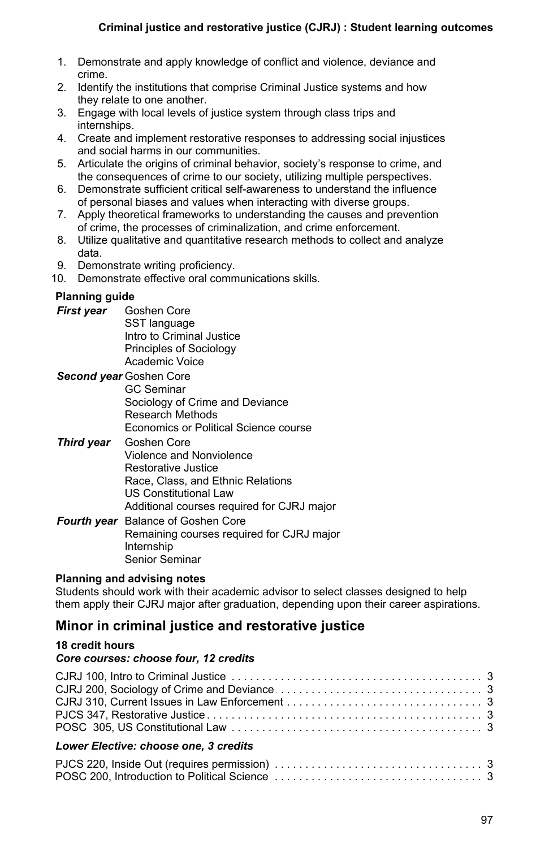- 1. Demonstrate and apply knowledge of conflict and violence, deviance and crime.
- 2. Identify the institutions that comprise Criminal Justice systems and how they relate to one another.
- 3. Engage with local levels of justice system through class trips and internships.
- 4. Create and implement restorative responses to addressing social injustices and social harms in our communities.
- 5. Articulate the origins of criminal behavior, society's response to crime, and the consequences of crime to our society, utilizing multiple perspectives.
- 6. Demonstrate sufficient critical self-awareness to understand the influence of personal biases and values when interacting with diverse groups.
- 7. Apply theoretical frameworks to understanding the causes and prevention of crime, the processes of criminalization, and crime enforcement.
- 8. Utilize qualitative and quantitative research methods to collect and analyze data.
- 9. Demonstrate writing proficiency.

10. Demonstrate effective oral communications skills.

## **Planning guide**

- *First year* Goshen Core SST language Intro to Criminal Justice Principles of Sociology Academic Voice
- *Second year* Goshen Core GC Seminar Sociology of Crime and Deviance Research Methods Economics or Political Science course
- *Third year* Goshen Core Violence and Nonviolence Restorative Justice Race, Class, and Ethnic Relations US Constitutional Law Additional courses required for CJRJ major

*Fourth year* Balance of Goshen Core Remaining courses required for CJRJ major Internship Senior Seminar

## **Planning and advising notes**

Students should work with their academic advisor to select classes designed to help them apply their CJRJ major after graduation, depending upon their career aspirations.

# **Minor in criminal justice and restorative justice**

## **18 credit hours**

## *Core courses: choose four, 12 credits*

| Lower Elective: choose one, 3 credits |  |
|---------------------------------------|--|
|                                       |  |

POSC. . . . . . . . . . . . . . . . . . . . . . . . . . . . . . . . . . . . . . . . . . . . . . . . . . . . . . . . . . . . . . . . . . . 200, Introduction to Political Science 3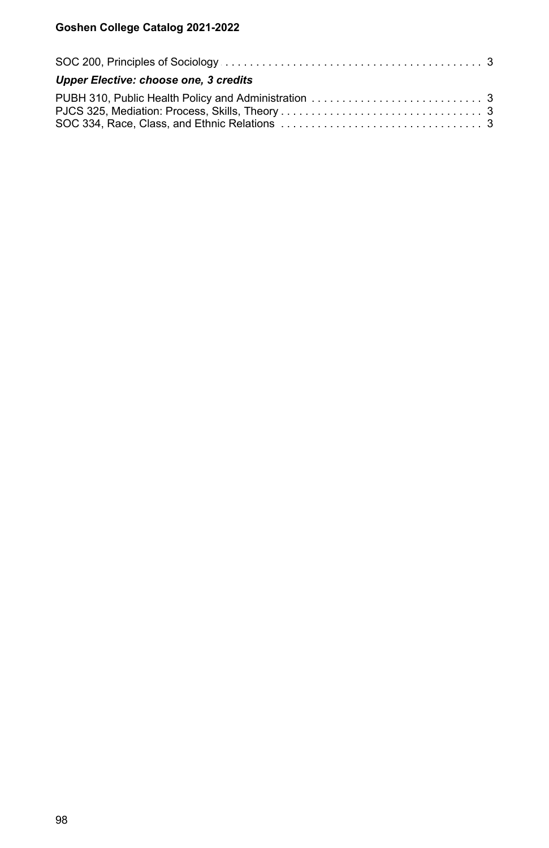| Upper Elective: choose one, 3 credits |  |
|---------------------------------------|--|
|                                       |  |
|                                       |  |
|                                       |  |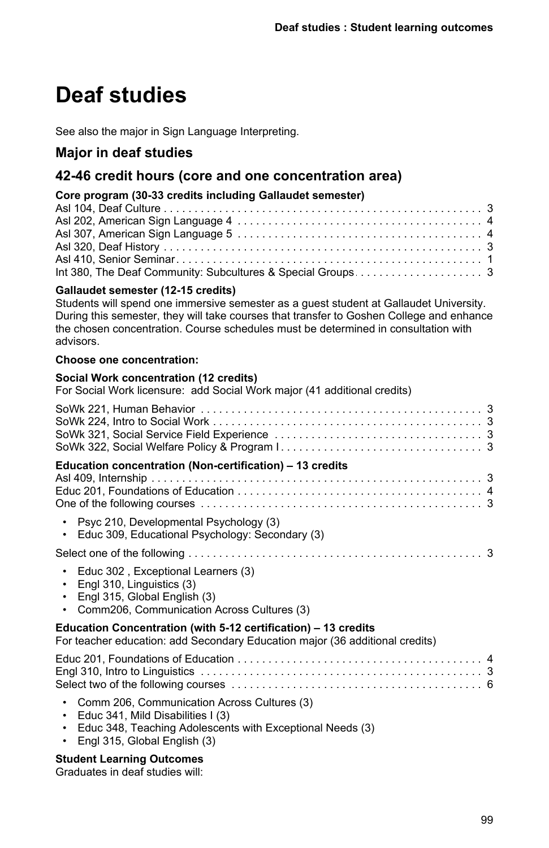# **Deaf studies**

See also the major in Sign Language Interpreting.

# **Major in deaf studies**

# **42-46 credit hours (core and one concentration area)**

## **Core program (30-33 credits including Gallaudet semester)**

## **Gallaudet semester (12-15 credits)**

Students will spend one immersive semester as a guest student at Gallaudet University. During this semester, they will take courses that transfer to Goshen College and enhance the chosen concentration. Course schedules must be determined in consultation with advisors.

#### **Choose one concentration:**

#### **Social Work concentration (12 credits)**

For Social Work licensure: add Social Work major (41 additional credits)

| Education concentration (Non-certification) – 13 credits                                                                                                                                                |  |
|---------------------------------------------------------------------------------------------------------------------------------------------------------------------------------------------------------|--|
| Psyc 210, Developmental Psychology (3)<br>Educ 309, Educational Psychology: Secondary (3)<br>٠                                                                                                          |  |
|                                                                                                                                                                                                         |  |
| Educ 302, Exceptional Learners (3)<br>$\bullet$<br>Engl 310, Linguistics (3)<br>$\bullet$<br>Engl 315, Global English (3)<br>Comm206, Communication Across Cultures (3)                                 |  |
| Education Concentration (with 5-12 certification) – 13 credits<br>For teacher education: add Secondary Education major (36 additional credits)                                                          |  |
|                                                                                                                                                                                                         |  |
| Comm 206, Communication Across Cultures (3)<br>Educ 341, Mild Disabilities I (3)<br>$\bullet$<br>Educ 348, Teaching Adolescents with Exceptional Needs (3)<br>$\bullet$<br>Engl 315, Global English (3) |  |

## **Student Learning Outcomes**

Graduates in deaf studies will: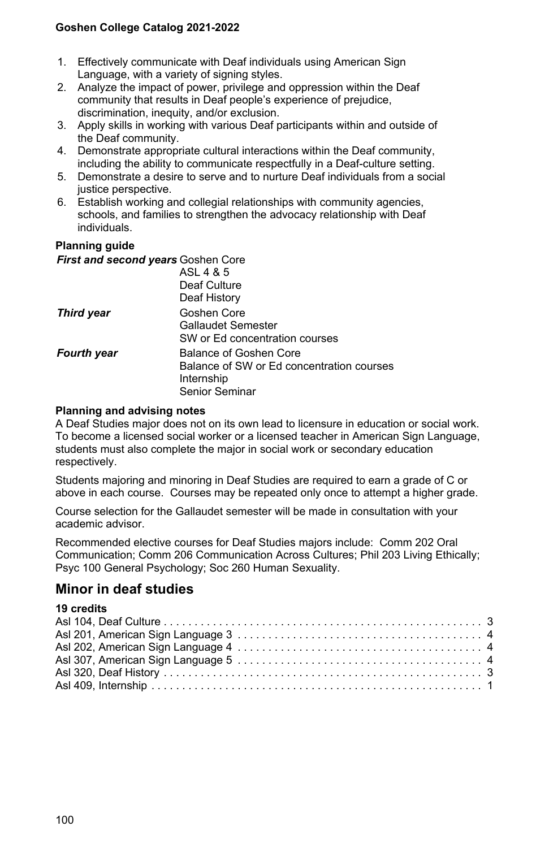- 1. Effectively communicate with Deaf individuals using American Sign Language, with a variety of signing styles.
- 2. Analyze the impact of power, privilege and oppression within the Deaf community that results in Deaf people's experience of prejudice, discrimination, inequity, and/or exclusion.
- 3. Apply skills in working with various Deaf participants within and outside of the Deaf community.
- 4. Demonstrate appropriate cultural interactions within the Deaf community, including the ability to communicate respectfully in a Deaf-culture setting.
- 5. Demonstrate a desire to serve and to nurture Deaf individuals from a social justice perspective.
- 6. Establish working and collegial relationships with community agencies, schools, and families to strengthen the advocacy relationship with Deaf individuals.

#### **Planning guide**

| First and second years Goshen Core |                                           |
|------------------------------------|-------------------------------------------|
|                                    | ASL 4 & 5                                 |
|                                    | Deaf Culture                              |
|                                    | Deaf History                              |
| <b>Third year</b>                  | Goshen Core                               |
|                                    | Gallaudet Semester                        |
|                                    | SW or Ed concentration courses            |
| <b>Fourth year</b>                 | Balance of Goshen Core                    |
|                                    | Balance of SW or Ed concentration courses |
|                                    | Internship                                |
|                                    | Senior Seminar                            |

#### **Planning and advising notes**

A Deaf Studies major does not on its own lead to licensure in education or social work. To become a licensed social worker or a licensed teacher in American Sign Language, students must also complete the major in social work or secondary education respectively.

Students majoring and minoring in Deaf Studies are required to earn a grade of C or above in each course. Courses may be repeated only once to attempt a higher grade.

Course selection for the Gallaudet semester will be made in consultation with your academic advisor.

Recommended elective courses for Deaf Studies majors include: Comm 202 Oral Communication; Comm 206 Communication Across Cultures; Phil 203 Living Ethically; Psyc 100 General Psychology; Soc 260 Human Sexuality.

## **Minor in deaf studies**

#### **19 credits**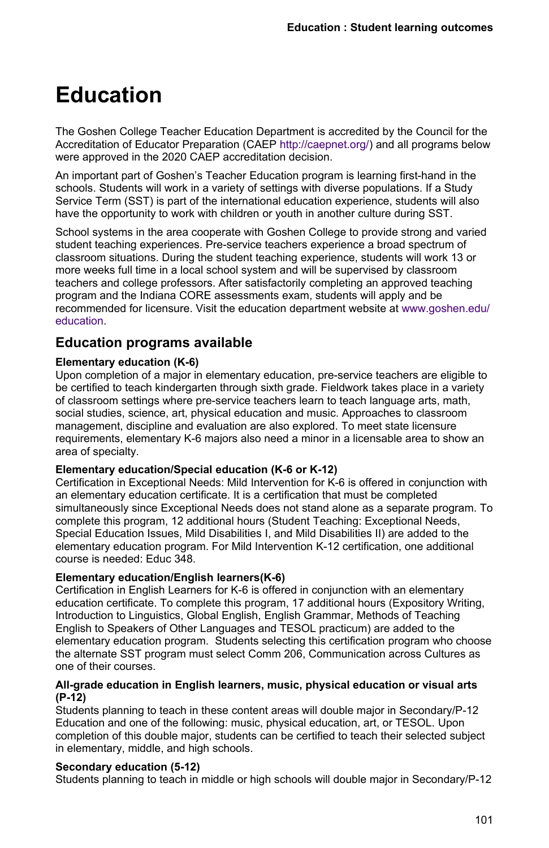# **Education**

The Goshen College Teacher Education Department is accredited by the Council for the Accreditation of Educator Preparation (CAEP <http://caepnet.org/>) and all programs below were approved in the 2020 CAEP accreditation decision.

An important part of Goshen's Teacher Education program is learning first-hand in the schools. Students will work in a variety of settings with diverse populations. If a Study Service Term (SST) is part of the international education experience, students will also have the opportunity to work with children or youth in another culture during SST.

School systems in the area cooperate with Goshen College to provide strong and varied student teaching experiences. Pre-service teachers experience a broad spectrum of classroom situations. During the student teaching experience, students will work 13 or more weeks full time in a local school system and will be supervised by classroom teachers and college professors. After satisfactorily completing an approved teaching program and the Indiana CORE assessments exam, students will apply and be recommended for licensure. Visit the education department website at [www.goshen.edu/](/education/) [education.](/education/)

# **Education programs available**

#### **Elementary education (K-6)**

Upon completion of a major in elementary education, pre-service teachers are eligible to be certified to teach kindergarten through sixth grade. Fieldwork takes place in a variety of classroom settings where pre-service teachers learn to teach language arts, math, social studies, science, art, physical education and music. Approaches to classroom management, discipline and evaluation are also explored. To meet state licensure requirements, elementary K-6 majors also need a minor in a licensable area to show an area of specialty.

#### **Elementary education/Special education (K-6 or K-12)**

Certification in Exceptional Needs: Mild Intervention for K-6 is offered in conjunction with an elementary education certificate. It is a certification that must be completed simultaneously since Exceptional Needs does not stand alone as a separate program. To complete this program, 12 additional hours (Student Teaching: Exceptional Needs, Special Education Issues, Mild Disabilities I, and Mild Disabilities II) are added to the elementary education program. For Mild Intervention K-12 certification, one additional course is needed: Educ 348.

## **Elementary education/English learners(K-6)**

Certification in English Learners for K-6 is offered in conjunction with an elementary education certificate. To complete this program, 17 additional hours (Expository Writing, Introduction to Linguistics, Global English, English Grammar, Methods of Teaching English to Speakers of Other Languages and TESOL practicum) are added to the elementary education program. Students selecting this certification program who choose the alternate SST program must select Comm 206, Communication across Cultures as one of their courses.

#### **All-grade education in English learners, music, physical education or visual arts (P-12)**

Students planning to teach in these content areas will double major in Secondary/P-12 Education and one of the following: music, physical education, art, or TESOL. Upon completion of this double major, students can be certified to teach their selected subject in elementary, middle, and high schools.

## **Secondary education (5-12)**

Students planning to teach in middle or high schools will double major in Secondary/P-12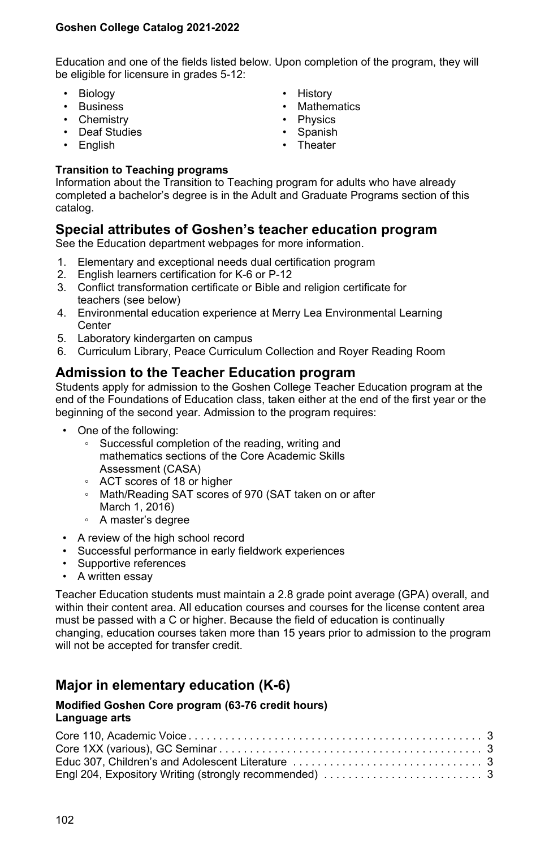Education and one of the fields listed below. Upon completion of the program, they will be eligible for licensure in grades 5-12:

- Biology
- Business
- Chemistry
- Deaf Studies
- English
- History
- Mathematics
- Physics
- Spanish
- Theater

### **Transition to Teaching programs**

Information about the Transition to Teaching program for adults who have already completed a bachelor's degree is in the Adult and Graduate Programs section of this catalog.

## **Special attributes of Goshen's teacher education program**

See the Education department webpages for more information.

- 1. Elementary and exceptional needs dual certification program
- 2. English learners certification for K-6 or P-12
- 3. Conflict transformation certificate or Bible and religion certificate for teachers (see below)
- 4. Environmental education experience at Merry Lea Environmental Learning **Center**
- 5. Laboratory kindergarten on campus
- 6. Curriculum Library, Peace Curriculum Collection and Royer Reading Room

## **Admission to the Teacher Education program**

Students apply for admission to the Goshen College Teacher Education program at the end of the Foundations of Education class, taken either at the end of the first year or the beginning of the second year. Admission to the program requires:

- One of the following:
	- Successful completion of the reading, writing and mathematics sections of the Core Academic Skills Assessment (CASA)
	- ACT scores of 18 or higher
	- Math/Reading SAT scores of 970 (SAT taken on or after March 1, 2016)
	- A master's degree
- A review of the high school record
- Successful performance in early fieldwork experiences
- Supportive references
- A written essay

Teacher Education students must maintain a 2.8 grade point average (GPA) overall, and within their content area. All education courses and courses for the license content area must be passed with a C or higher. Because the field of education is continually changing, education courses taken more than 15 years prior to admission to the program will not be accepted for transfer credit.

# **Major in elementary education (K-6)**

#### **Modified Goshen Core program (63-76 credit hours) Language arts**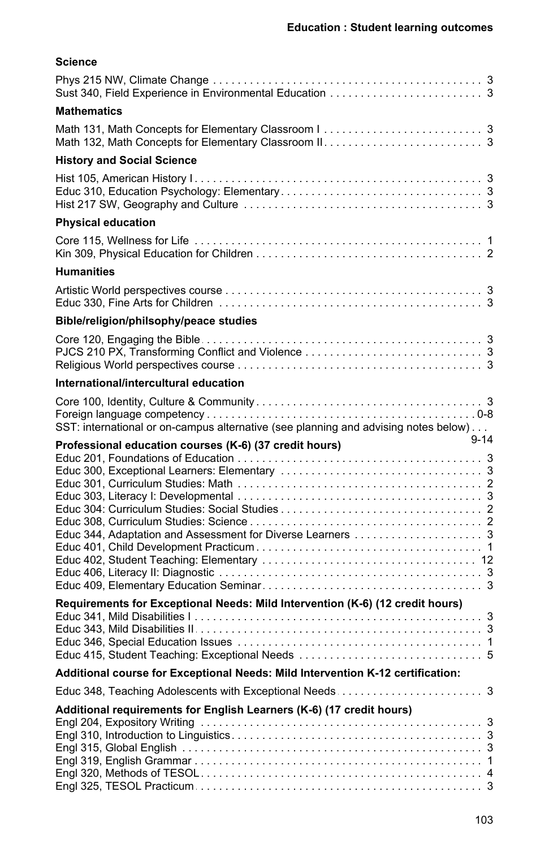| Science                                                                             |
|-------------------------------------------------------------------------------------|
|                                                                                     |
| <b>Mathematics</b>                                                                  |
|                                                                                     |
| <b>History and Social Science</b>                                                   |
|                                                                                     |
| <b>Physical education</b>                                                           |
|                                                                                     |
| <b>Humanities</b>                                                                   |
|                                                                                     |
| Bible/religion/philsophy/peace studies                                              |
|                                                                                     |
| International/intercultural education                                               |
|                                                                                     |
| SST: international or on-campus alternative (see planning and advising notes below) |
| $9 - 14$<br>Professional education courses (K-6) (37 credit hours)                  |
|                                                                                     |
| Requirements for Exceptional Needs: Mild Intervention (K-6) (12 credit hours)       |
|                                                                                     |
| Additional course for Exceptional Needs: Mild Intervention K-12 certification:      |
| Additional requirements for English Learners (K-6) (17 credit hours)                |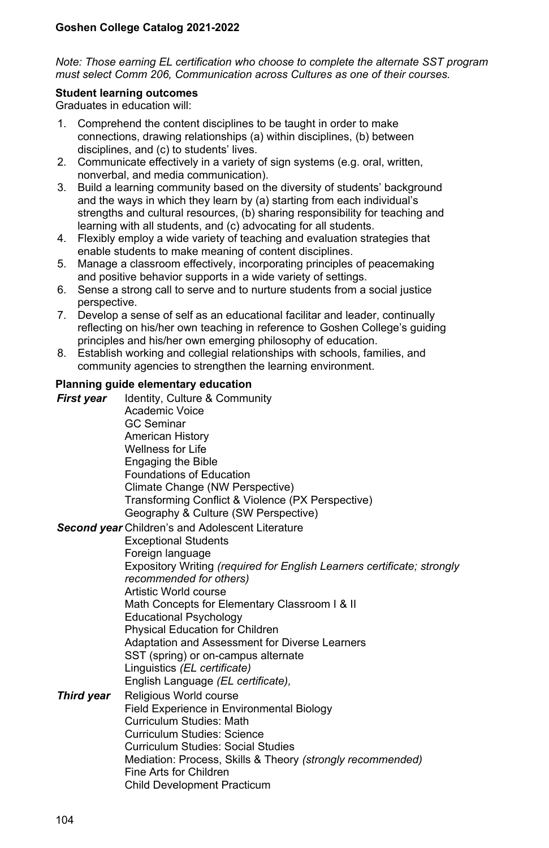#### *Note: Those earning EL certification who choose to complete the alternate SST program must select Comm 206, Communication across Cultures as one of their courses.*

#### **Student learning outcomes**

Graduates in education will:

- 1. Comprehend the content disciplines to be taught in order to make connections, drawing relationships (a) within disciplines, (b) between disciplines, and (c) to students' lives.
- 2. Communicate effectively in a variety of sign systems (e.g. oral, written, nonverbal, and media communication).
- 3. Build a learning community based on the diversity of students' background and the ways in which they learn by (a) starting from each individual's strengths and cultural resources, (b) sharing responsibility for teaching and learning with all students, and (c) advocating for all students.
- 4. Flexibly employ a wide variety of teaching and evaluation strategies that enable students to make meaning of content disciplines.
- 5. Manage a classroom effectively, incorporating principles of peacemaking and positive behavior supports in a wide variety of settings.
- 6. Sense a strong call to serve and to nurture students from a social justice perspective.
- 7. Develop a sense of self as an educational facilitar and leader, continually reflecting on his/her own teaching in reference to Goshen College's guiding principles and his/her own emerging philosophy of education.
- 8. Establish working and collegial relationships with schools, families, and community agencies to strengthen the learning environment.

#### **Planning guide elementary education**

*First year* Identity, Culture & Community Academic Voice GC Seminar American History Wellness for Life Engaging the Bible Foundations of Education Climate Change (NW Perspective) Transforming Conflict & Violence (PX Perspective) Geography & Culture (SW Perspective)

*Second year* Children's and Adolescent Literature

Exceptional Students Foreign language Expository Writing *(required for English Learners certificate; strongly recommended for others)* Artistic World course Math Concepts for Elementary Classroom I & II Educational Psychology Physical Education for Children Adaptation and Assessment for Diverse Learners SST (spring) or on-campus alternate Linguistics *(EL certificate)* English Language *(EL certificate),* **Third year** Religious World course Field Experience in Environmental Biology Curriculum Studies: Math

Curriculum Studies: Science Curriculum Studies: Social Studies Mediation: Process, Skills & Theory *(strongly recommended)* Fine Arts for Children Child Development Practicum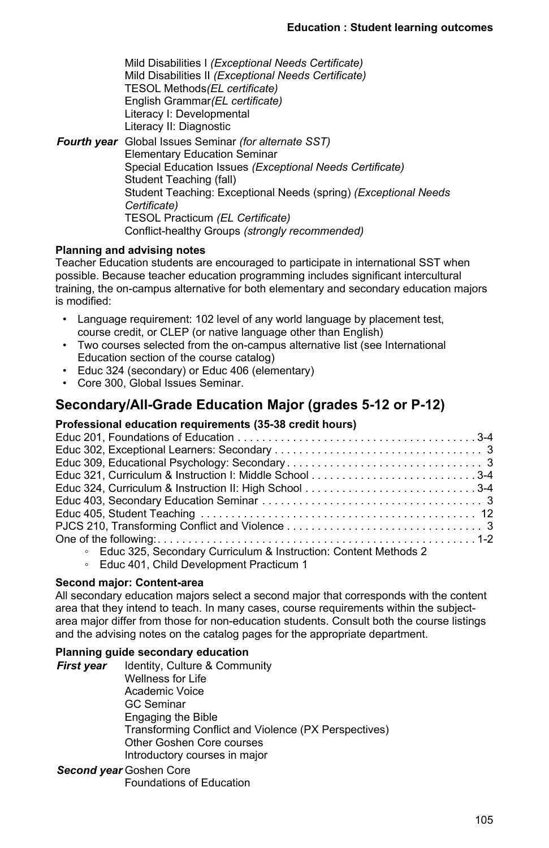Mild Disabilities I *(Exceptional Needs Certificate)* Mild Disabilities II *(Exceptional Needs Certificate)* TESOL Methods*(EL certificate)* English Grammar*(EL certificate)* Literacy I: Developmental Literacy II: Diagnostic *Fourth year* Global Issues Seminar *(for alternate SST)* Elementary Education Seminar Special Education Issues *(Exceptional Needs Certificate)* Student Teaching (fall) Student Teaching: Exceptional Needs (spring) *(Exceptional Needs Certificate)* TESOL Practicum *(EL Certificate)* Conflict-healthy Groups *(strongly recommended)*

## **Planning and advising notes**

Teacher Education students are encouraged to participate in international SST when possible. Because teacher education programming includes significant intercultural training, the on-campus alternative for both elementary and secondary education majors is modified:

- Language requirement: 102 level of any world language by placement test, course credit, or CLEP (or native language other than English)
- Two courses selected from the on-campus alternative list (see International Education section of the course catalog)
- Educ 324 (secondary) or Educ 406 (elementary)
- Core 300, Global Issues Seminar.

# **Secondary/All-Grade Education Major (grades 5-12 or P-12)**

#### **Professional education requirements (35-38 credit hours)**

| Educ 321, Curriculum & Instruction I: Middle School 3-4           |  |
|-------------------------------------------------------------------|--|
| Educ 324, Curriculum & Instruction II: High School 3-4            |  |
|                                                                   |  |
|                                                                   |  |
|                                                                   |  |
|                                                                   |  |
| ○ Educ 325, Secondary Curriculum & Instruction: Content Methods 2 |  |
|                                                                   |  |

◦ Educ 401, Child Development Practicum 1

## **Second major: Content-area**

All secondary education majors select a second major that corresponds with the content area that they intend to teach. In many cases, course requirements within the subjectarea major differ from those for non-education students. Consult both the course listings and the advising notes on the catalog pages for the appropriate department.

### **Planning guide secondary education**

**First year** Identity, Culture & Community Wellness for Life Academic Voice GC Seminar Engaging the Bible Transforming Conflict and Violence (PX Perspectives) Other Goshen Core courses Introductory courses in major

*Second year* Goshen Core

Foundations of Education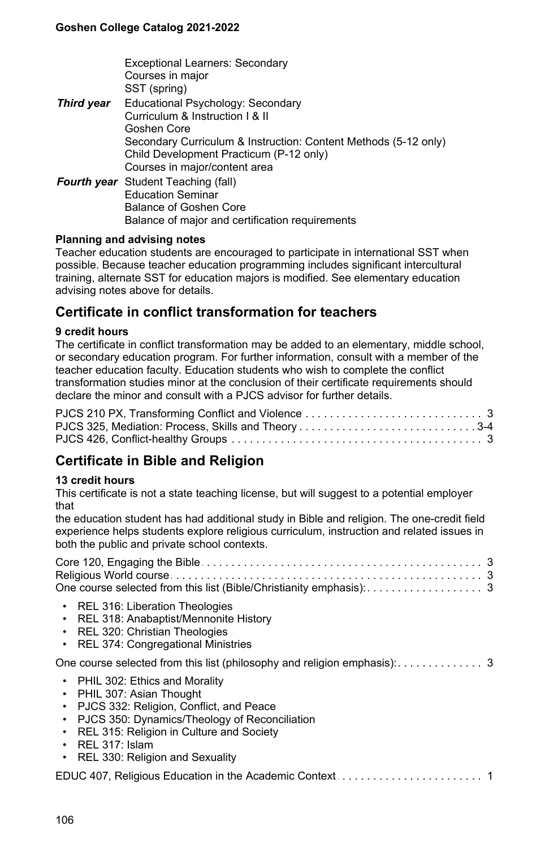|            | <b>Exceptional Learners: Secondary</b><br>Courses in major      |
|------------|-----------------------------------------------------------------|
|            | SST (spring)                                                    |
| Third year | Educational Psychology: Secondary                               |
|            | Curriculum & Instruction   & II                                 |
|            | Goshen Core                                                     |
|            | Secondary Curriculum & Instruction: Content Methods (5-12 only) |
|            | Child Development Practicum (P-12 only)                         |
|            | Courses in major/content area                                   |
|            | <b>Fourth year</b> Student Teaching (fall)                      |
|            | <b>Education Seminar</b>                                        |
|            | Balance of Goshen Core                                          |
|            | Balance of major and certification requirements                 |

#### **Planning and advising notes**

Teacher education students are encouraged to participate in international SST when possible. Because teacher education programming includes significant intercultural training, alternate SST for education majors is modified. See elementary education advising notes above for details.

# **Certificate in conflict transformation for teachers**

#### **9 credit hours**

The certificate in conflict transformation may be added to an elementary, middle school, or secondary education program. For further information, consult with a member of the teacher education faculty. Education students who wish to complete the conflict transformation studies minor at the conclusion of their certificate requirements should declare the minor and consult with a PJCS advisor for further details.

# **Certificate in Bible and Religion**

#### **13 credit hours**

This certificate is not a state teaching license, but will suggest to a potential employer that

the education student has had additional study in Bible and religion. The one-credit field experience helps students explore religious curriculum, instruction and related issues in both the public and private school contexts.

| One course selected from this list (Bible/Christianity emphasis): 3                                                                                                                                                                                                       |  |
|---------------------------------------------------------------------------------------------------------------------------------------------------------------------------------------------------------------------------------------------------------------------------|--|
| • REL 316: Liberation Theologies<br>• REL 318: Anabaptist/Mennonite History<br>• REL 320: Christian Theologies<br>• REL 374: Congregational Ministries                                                                                                                    |  |
|                                                                                                                                                                                                                                                                           |  |
| • PHIL 302: Ethics and Morality<br>• PHIL 307: Asian Thought<br>• PJCS 332: Religion, Conflict, and Peace<br>• PJCS 350: Dynamics/Theology of Reconciliation<br>• REL 315: Religion in Culture and Society<br>$\cdot$ REL 317: Islam<br>• REL 330: Religion and Sexuality |  |
|                                                                                                                                                                                                                                                                           |  |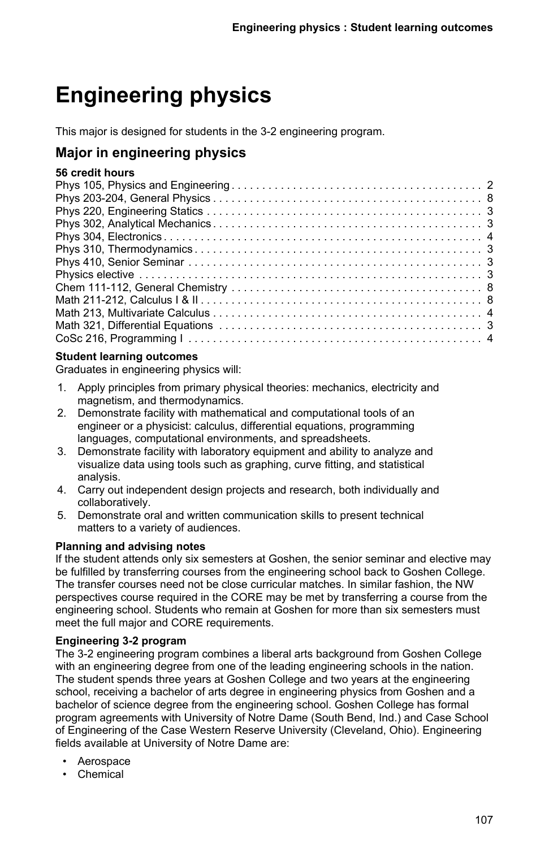# **Engineering physics**

This major is designed for students in the 3-2 engineering program.

# **Major in engineering physics**

## **56 credit hours**

#### **Student learning outcomes**

Graduates in engineering physics will:

- 1. Apply principles from primary physical theories: mechanics, electricity and magnetism, and thermodynamics.
- 2. Demonstrate facility with mathematical and computational tools of an engineer or a physicist: calculus, differential equations, programming languages, computational environments, and spreadsheets.
- 3. Demonstrate facility with laboratory equipment and ability to analyze and visualize data using tools such as graphing, curve fitting, and statistical analysis.
- 4. Carry out independent design projects and research, both individually and collaboratively.
- 5. Demonstrate oral and written communication skills to present technical matters to a variety of audiences.

## **Planning and advising notes**

If the student attends only six semesters at Goshen, the senior seminar and elective may be fulfilled by transferring courses from the engineering school back to Goshen College. The transfer courses need not be close curricular matches. In similar fashion, the NW perspectives course required in the CORE may be met by transferring a course from the engineering school. Students who remain at Goshen for more than six semesters must meet the full major and CORE requirements.

## **Engineering 3-2 program**

The 3-2 engineering program combines a liberal arts background from Goshen College with an engineering degree from one of the leading engineering schools in the nation. The student spends three years at Goshen College and two years at the engineering school, receiving a bachelor of arts degree in engineering physics from Goshen and a bachelor of science degree from the engineering school. Goshen College has formal program agreements with University of Notre Dame (South Bend, Ind.) and Case School of Engineering of the Case Western Reserve University (Cleveland, Ohio). Engineering fields available at University of Notre Dame are:

- Aerospace
- Chemical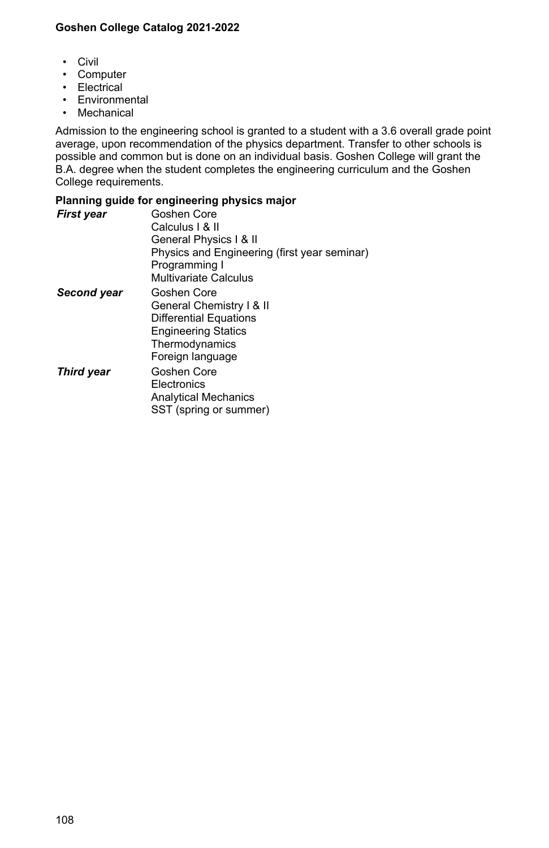- Civil
- Computer
- Electrical
- Environmental
- Mechanical

Admission to the engineering school is granted to a student with a 3.6 overall grade point average, upon recommendation of the physics department. Transfer to other schools is possible and common but is done on an individual basis. Goshen College will grant the B.A. degree when the student completes the engineering curriculum and the Goshen College requirements.

#### **Planning guide for engineering physics major**

| <b>First year</b> | Goshen Core<br>Calculus I & II<br>General Physics   & II<br>Physics and Engineering (first year seminar)<br>Programming I<br>Multivariate Calculus |
|-------------------|----------------------------------------------------------------------------------------------------------------------------------------------------|
| Second year       | Goshen Core<br>General Chemistry I & II<br><b>Differential Equations</b><br><b>Engineering Statics</b><br>Thermodynamics<br>Foreign language       |
| <b>Third year</b> | Goshen Core<br>Electronics<br><b>Analytical Mechanics</b><br>SST (spring or summer)                                                                |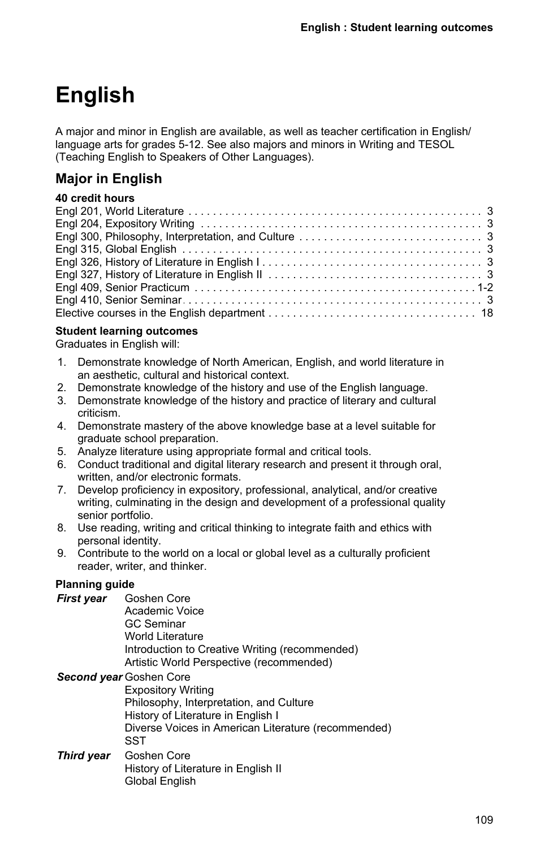# **English**

A major and minor in English are available, as well as teacher certification in English/ language arts for grades 5-12. See also majors and minors in Writing and TESOL (Teaching English to Speakers of Other Languages).

# **Major in English**

## **40 credit hours**

### **Student learning outcomes**

Graduates in English will:

- 1. Demonstrate knowledge of North American, English, and world literature in an aesthetic, cultural and historical context.
- 2. Demonstrate knowledge of the history and use of the English language.
- 3. Demonstrate knowledge of the history and practice of literary and cultural criticism.
- 4. Demonstrate mastery of the above knowledge base at a level suitable for graduate school preparation.
- 5. Analyze literature using appropriate formal and critical tools.
- 6. Conduct traditional and digital literary research and present it through oral, written, and/or electronic formats.
- 7. Develop proficiency in expository, professional, analytical, and/or creative writing, culminating in the design and development of a professional quality senior portfolio.
- 8. Use reading, writing and critical thinking to integrate faith and ethics with personal identity.
- 9. Contribute to the world on a local or global level as a culturally proficient reader, writer, and thinker.

### **Planning guide**

- *First year* Goshen Core Academic Voice GC Seminar
	- World Literature
	- Introduction to Creative Writing (recommended) Artistic World Perspective (recommended)

### *Second year* Goshen Core

Expository Writing Philosophy, Interpretation, and Culture History of Literature in English I Diverse Voices in American Literature (recommended) **SST** 

*Third year* Goshen Core History of Literature in English II Global English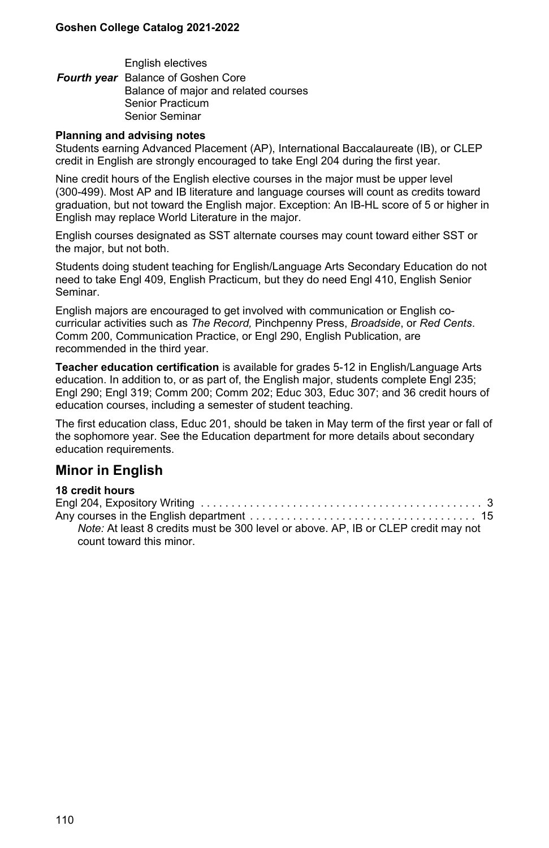English electives *Fourth year* Balance of Goshen Core Balance of major and related courses Senior Practicum Senior Seminar

#### **Planning and advising notes**

Students earning Advanced Placement (AP), International Baccalaureate (IB), or CLEP credit in English are strongly encouraged to take Engl 204 during the first year.

Nine credit hours of the English elective courses in the major must be upper level (300-499). Most AP and IB literature and language courses will count as credits toward graduation, but not toward the English major. Exception: An IB-HL score of 5 or higher in English may replace World Literature in the major.

English courses designated as SST alternate courses may count toward either SST or the major, but not both.

Students doing student teaching for English/Language Arts Secondary Education do not need to take Engl 409, English Practicum, but they do need Engl 410, English Senior Seminar.

English majors are encouraged to get involved with communication or English cocurricular activities such as *The Record,* Pinchpenny Press, *Broadside*, or *Red Cents*. Comm 200, Communication Practice, or Engl 290, English Publication, are recommended in the third year.

**Teacher education certification** is available for grades 5-12 in English/Language Arts education. In addition to, or as part of, the English major, students complete Engl 235; Engl 290; Engl 319; Comm 200; Comm 202; Educ 303, Educ 307; and 36 credit hours of education courses, including a semester of student teaching.

The first education class, Educ 201, should be taken in May term of the first year or fall of the sophomore year. See the Education department for more details about secondary education requirements.

### **Minor in English**

| Note: At least 8 credits must be 300 level or above. AP, IB or CLEP credit may not |  |
|------------------------------------------------------------------------------------|--|
| count toward this minor.                                                           |  |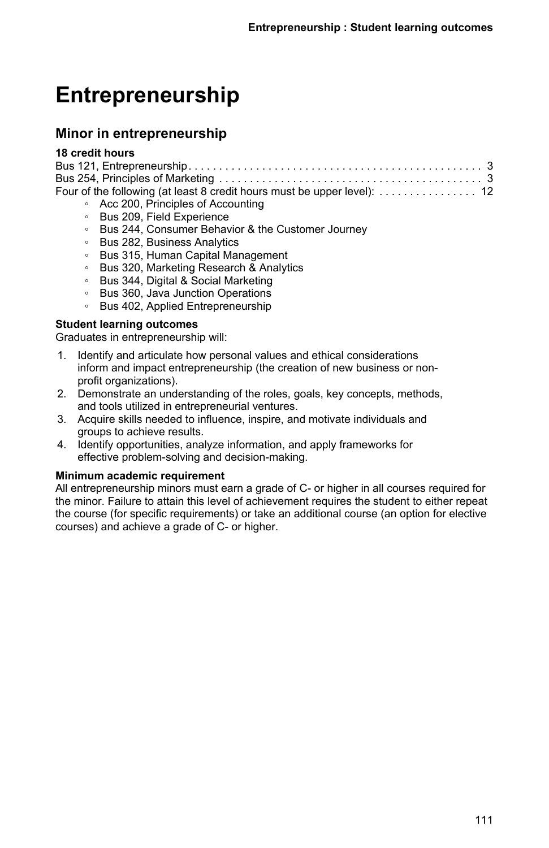# **Entrepreneurship**

## **Minor in entrepreneurship**

#### **18 credit hours**

|  | • Acc 200, Principles of Accounting |  |  |  |
|--|-------------------------------------|--|--|--|
|  | ○ Bus 209, Field Experience         |  |  |  |

- Bus 244, Consumer Behavior & the Customer Journey
- Bus 282, Business Analytics
- Bus 315, Human Capital Management
- Bus 320, Marketing Research & Analytics
- Bus 344, Digital & Social Marketing
- Bus 360, Java Junction Operations
- Bus 402, Applied Entrepreneurship

#### **Student learning outcomes**

Graduates in entrepreneurship will:

- 1. Identify and articulate how personal values and ethical considerations inform and impact entrepreneurship (the creation of new business or nonprofit organizations).
- 2. Demonstrate an understanding of the roles, goals, key concepts, methods, and tools utilized in entrepreneurial ventures.
- 3. Acquire skills needed to influence, inspire, and motivate individuals and groups to achieve results.
- 4. Identify opportunities, analyze information, and apply frameworks for effective problem-solving and decision-making.

#### **Minimum academic requirement**

All entrepreneurship minors must earn a grade of C- or higher in all courses required for the minor. Failure to attain this level of achievement requires the student to either repeat the course (for specific requirements) or take an additional course (an option for elective courses) and achieve a grade of C- or higher.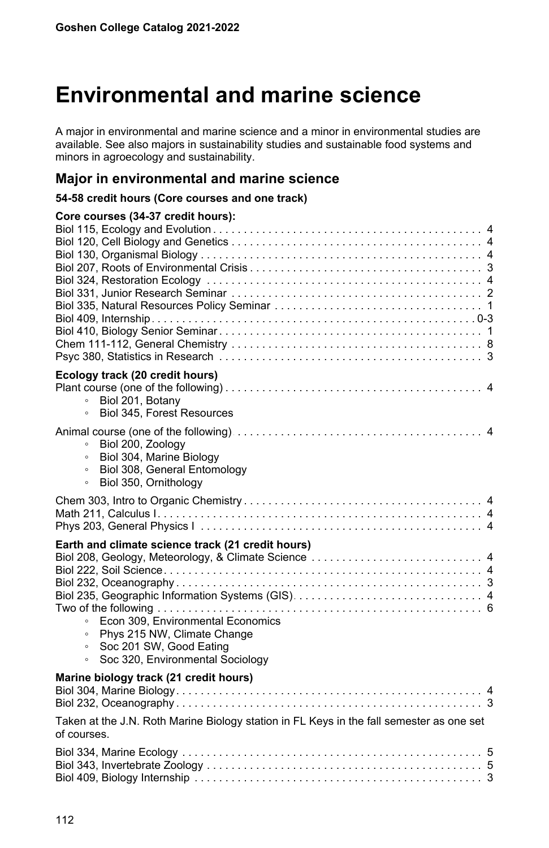# **Environmental and marine science**

A major in environmental and marine science and a minor in environmental studies are available. See also majors in sustainability studies and sustainable food systems and minors in agroecology and sustainability.

## **Major in environmental and marine science**

#### **54-58 credit hours (Core courses and one track)**

| Core courses (34-37 credit hours):                                                                      |
|---------------------------------------------------------------------------------------------------------|
|                                                                                                         |
|                                                                                                         |
|                                                                                                         |
|                                                                                                         |
|                                                                                                         |
|                                                                                                         |
|                                                                                                         |
|                                                                                                         |
|                                                                                                         |
|                                                                                                         |
|                                                                                                         |
|                                                                                                         |
| Ecology track (20 credit hours)                                                                         |
|                                                                                                         |
| Biol 201, Botany<br>$\circ$                                                                             |
| Biol 345. Forest Resources<br>$\circ$                                                                   |
|                                                                                                         |
| Biol 200, Zoology<br>$\circ$                                                                            |
| Biol 304, Marine Biology<br>$\circ$                                                                     |
| Biol 308, General Entomology<br>$\circ$                                                                 |
| Biol 350, Ornithology<br>$\circ$                                                                        |
|                                                                                                         |
|                                                                                                         |
|                                                                                                         |
|                                                                                                         |
| Earth and climate science track (21 credit hours)                                                       |
| Biol 208, Geology, Meteorology, & Climate Science  4                                                    |
|                                                                                                         |
|                                                                                                         |
|                                                                                                         |
|                                                                                                         |
| Econ 309, Environmental Economics<br>$\circ$                                                            |
| Phys 215 NW, Climate Change<br>$\circ$                                                                  |
| Soc 201 SW, Good Eating<br>$\circ$                                                                      |
| Soc 320, Environmental Sociology<br>$\circ$                                                             |
|                                                                                                         |
| Marine biology track (21 credit hours)                                                                  |
|                                                                                                         |
|                                                                                                         |
|                                                                                                         |
| Taken at the J.N. Roth Marine Biology station in FL Keys in the fall semester as one set<br>of courses. |
|                                                                                                         |
|                                                                                                         |
|                                                                                                         |
| 3                                                                                                       |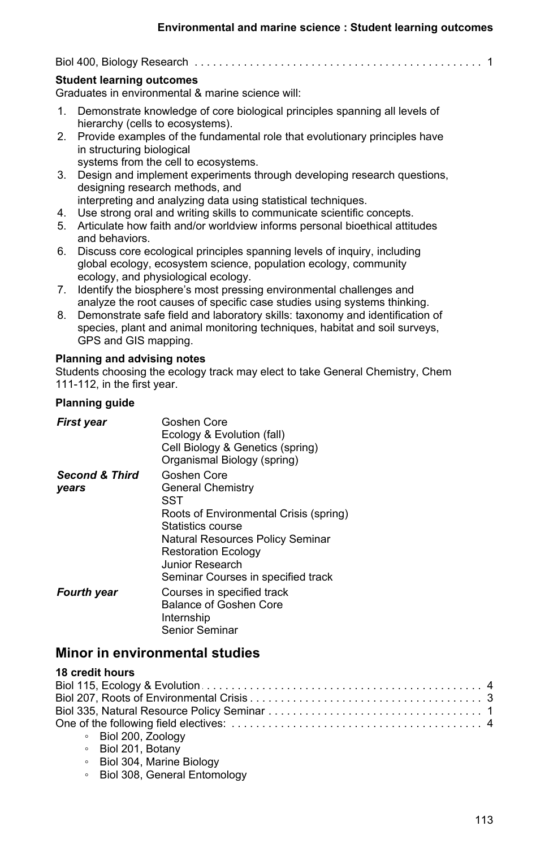Biol 400, Biology Research . . . . . . . . . . . . . . . . . . . . . . . . . . . . . . . . . . . . . . . . . . . . . . . . . . . . . . . . . . . . . . . . . . .1

#### **Student learning outcomes**

Graduates in environmental & marine science will:

- 1. Demonstrate knowledge of core biological principles spanning all levels of hierarchy (cells to ecosystems).
- 2. Provide examples of the fundamental role that evolutionary principles have in structuring biological
	- systems from the cell to ecosystems.
- 3. Design and implement experiments through developing research questions, designing research methods, and
	- interpreting and analyzing data using statistical techniques.
- 4. Use strong oral and writing skills to communicate scientific concepts.
- 5. Articulate how faith and/or worldview informs personal bioethical attitudes and behaviors.
- 6. Discuss core ecological principles spanning levels of inquiry, including global ecology, ecosystem science, population ecology, community ecology, and physiological ecology.
- 7. Identify the biosphere's most pressing environmental challenges and analyze the root causes of specific case studies using systems thinking.
- 8. Demonstrate safe field and laboratory skills: taxonomy and identification of species, plant and animal monitoring techniques, habitat and soil surveys, GPS and GIS mapping.

#### **Planning and advising notes**

Students choosing the ecology track may elect to take General Chemistry, Chem 111-112, in the first year.

#### **Planning guide**

| First year                         | Goshen Core<br>Ecology & Evolution (fall)<br>Cell Biology & Genetics (spring)<br>Organismal Biology (spring)                                                                           |
|------------------------------------|----------------------------------------------------------------------------------------------------------------------------------------------------------------------------------------|
| <b>Second &amp; Third</b><br>years | Goshen Core<br><b>General Chemistry</b><br>SST                                                                                                                                         |
|                                    | Roots of Environmental Crisis (spring)<br>Statistics course<br>Natural Resources Policy Seminar<br><b>Restoration Ecology</b><br>Junior Research<br>Seminar Courses in specified track |
| <b>Fourth year</b>                 | Courses in specified track<br>Balance of Goshen Core<br>Internship<br>Senior Seminar                                                                                                   |

## **Minor in environmental studies**

| ∘ Biol 200, Zoology |  |
|---------------------|--|

- Biol 201, Botany
- Biol 304, Marine Biology
- Biol 308, General Entomology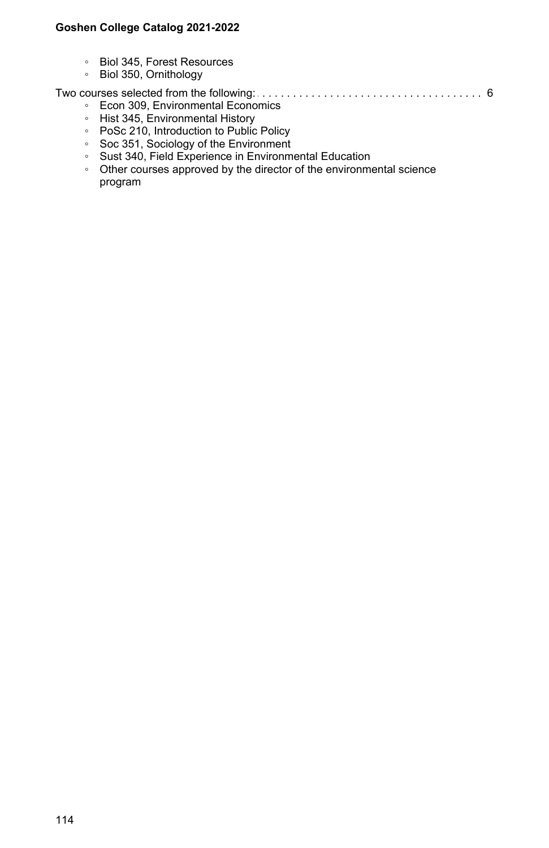- Biol 345, Forest Resources
- Biol 350, Ornithology

Two courses selected from the following: . . . . . . . . . . . . . . . . . . . . . . . . . . . . . . . . . . . . . . . . . . . . . . . . . . . . . . . . . . . . . . . . . . .6

- Econ 309, Environmental Economics
- Hist 345, Environmental History
- PoSc 210, Introduction to Public Policy
- Soc 351, Sociology of the Environment
- Sust 340, Field Experience in Environmental Education
- Other courses approved by the director of the environmental science program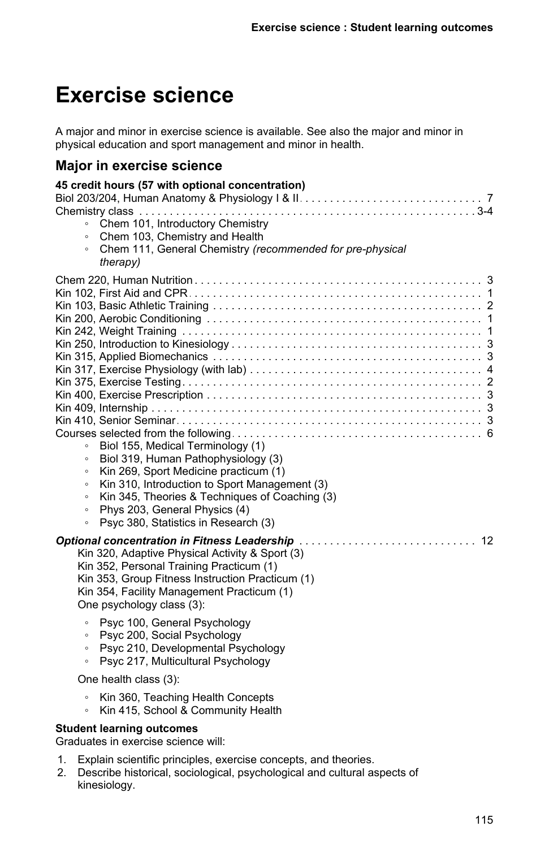# **Exercise science**

A major and minor in exercise science is available. See also the major and minor in physical education and sport management and minor in health.

## **Major in exercise science**

| 45 credit hours (57 with optional concentration)<br>Chem 101, Introductory Chemistry<br>$\circ$<br>Chem 103, Chemistry and Health<br>$\circ$<br>Chem 111, General Chemistry (recommended for pre-physical<br>$\circ$<br>therapy)                                                                                                                                                                                                                                                           |
|--------------------------------------------------------------------------------------------------------------------------------------------------------------------------------------------------------------------------------------------------------------------------------------------------------------------------------------------------------------------------------------------------------------------------------------------------------------------------------------------|
| Biol 155, Medical Terminology (1)<br>Biol 319, Human Pathophysiology (3)<br>$\circ$<br>Kin 269, Sport Medicine practicum (1)<br>$\circ$<br>Kin 310, Introduction to Sport Management (3)<br>$\circ$<br>Kin 345, Theories & Techniques of Coaching (3)<br>$\circ$<br>Phys 203, General Physics (4)<br>$\circ$<br>Psyc 380, Statistics in Research (3)<br>$\circ$                                                                                                                            |
| Kin 320, Adaptive Physical Activity & Sport (3)<br>Kin 352, Personal Training Practicum (1)<br>Kin 353, Group Fitness Instruction Practicum (1)<br>Kin 354, Facility Management Practicum (1)<br>One psychology class (3):<br>Psyc 100, General Psychology<br>$\circ$<br>Psyc 200, Social Psychology<br>$\circ$<br>Psyc 210, Developmental Psychology<br>$\circ$<br>Psyc 217, Multicultural Psychology<br>$\circ$<br>One health class (3):<br>Kin 360, Teaching Health Concepts<br>$\circ$ |
| Kin 415, School & Community Health<br>$\circ$<br><b>Student learning outcomes</b><br>Graduates in exercise science will:                                                                                                                                                                                                                                                                                                                                                                   |

- 1. Explain scientific principles, exercise concepts, and theories.
- 2. Describe historical, sociological, psychological and cultural aspects of kinesiology.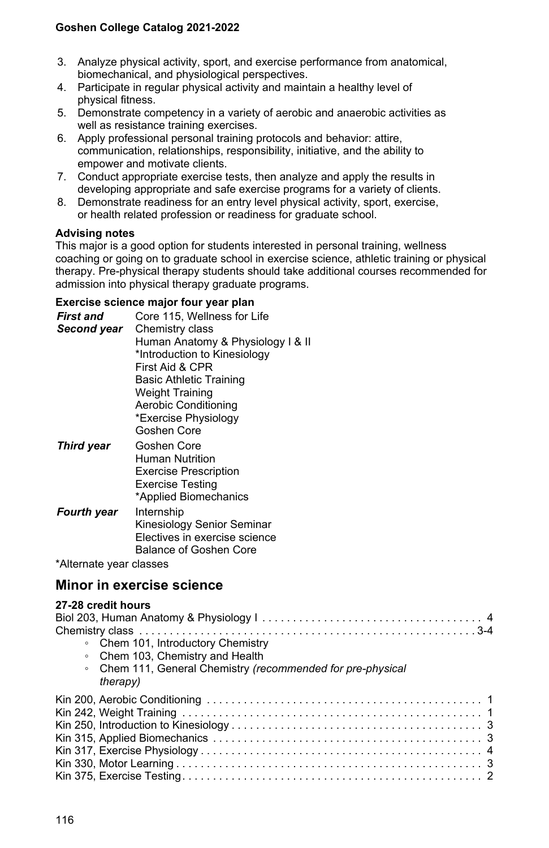- 3. Analyze physical activity, sport, and exercise performance from anatomical, biomechanical, and physiological perspectives.
- 4. Participate in regular physical activity and maintain a healthy level of physical fitness.
- 5. Demonstrate competency in a variety of aerobic and anaerobic activities as well as resistance training exercises.
- 6. Apply professional personal training protocols and behavior: attire, communication, relationships, responsibility, initiative, and the ability to empower and motivate clients.
- 7. Conduct appropriate exercise tests, then analyze and apply the results in developing appropriate and safe exercise programs for a variety of clients.
- 8. Demonstrate readiness for an entry level physical activity, sport, exercise, or health related profession or readiness for graduate school.

#### **Advising notes**

This major is a good option for students interested in personal training, wellness coaching or going on to graduate school in exercise science, athletic training or physical therapy. Pre-physical therapy students should take additional courses recommended for admission into physical therapy graduate programs.

#### **Exercise science major four year plan**

| First and<br>Second year | Core 115, Wellness for Life<br>Chemistry class                    |
|--------------------------|-------------------------------------------------------------------|
|                          | Human Anatomy & Physiology I & II<br>*Introduction to Kinesiology |
|                          | First Aid & CPR                                                   |
|                          | <b>Basic Athletic Training</b>                                    |
|                          | <b>Weight Training</b>                                            |
|                          | <b>Aerobic Conditioning</b>                                       |
|                          | *Exercise Physiology                                              |
|                          | Goshen Core                                                       |
| <b>Third year</b>        | Goshen Core                                                       |

| <i><b>HIIIW YGUI</b></i> | טוטטו וטטש                    |
|--------------------------|-------------------------------|
|                          | Human Nutrition               |
|                          | <b>Exercise Prescription</b>  |
|                          | <b>Exercise Testing</b>       |
|                          | *Applied Biomechanics         |
| <b>Fourth year</b>       | Internship                    |
|                          | Kinesiology Senior Seminar    |
|                          | Electives in exercise science |
|                          | <b>Balance of Goshen Core</b> |

\*Alternate year classes

## **Minor in exercise science**

| 27-28 credit hours<br>therapy) | • Chem 101, Introductory Chemistry<br>• Chem 103, Chemistry and Health<br>Chem 111, General Chemistry (recommended for pre-physical |  |
|--------------------------------|-------------------------------------------------------------------------------------------------------------------------------------|--|
|                                |                                                                                                                                     |  |
|                                |                                                                                                                                     |  |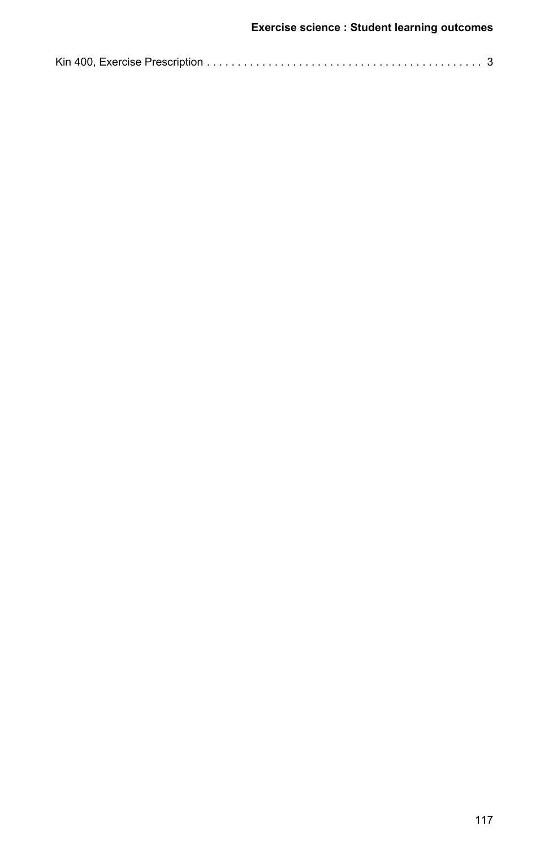|--|--|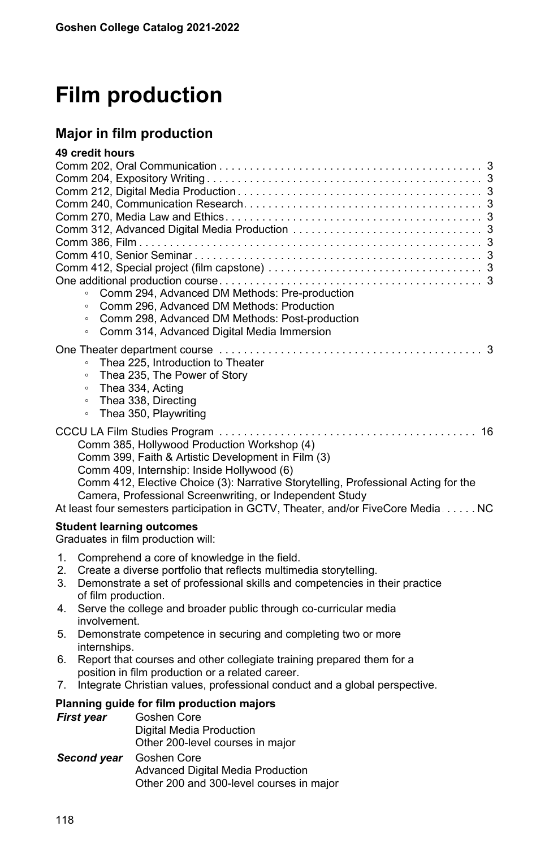# **Film production**

# **Major in film production**

| 49 credit hours                  |                                                                                                                                                                                                                                                                                                         |  |  |
|----------------------------------|---------------------------------------------------------------------------------------------------------------------------------------------------------------------------------------------------------------------------------------------------------------------------------------------------------|--|--|
|                                  |                                                                                                                                                                                                                                                                                                         |  |  |
|                                  |                                                                                                                                                                                                                                                                                                         |  |  |
|                                  |                                                                                                                                                                                                                                                                                                         |  |  |
|                                  |                                                                                                                                                                                                                                                                                                         |  |  |
|                                  |                                                                                                                                                                                                                                                                                                         |  |  |
|                                  |                                                                                                                                                                                                                                                                                                         |  |  |
|                                  |                                                                                                                                                                                                                                                                                                         |  |  |
|                                  |                                                                                                                                                                                                                                                                                                         |  |  |
|                                  |                                                                                                                                                                                                                                                                                                         |  |  |
| $\circ$                          | Comm 294, Advanced DM Methods: Pre-production                                                                                                                                                                                                                                                           |  |  |
| $\circ$                          | Comm 296, Advanced DM Methods: Production                                                                                                                                                                                                                                                               |  |  |
| $\circ$                          | Comm 298, Advanced DM Methods: Post-production                                                                                                                                                                                                                                                          |  |  |
| $\circ$                          | Comm 314, Advanced Digital Media Immersion                                                                                                                                                                                                                                                              |  |  |
|                                  |                                                                                                                                                                                                                                                                                                         |  |  |
|                                  | Thea 225, Introduction to Theater                                                                                                                                                                                                                                                                       |  |  |
| $\circ$                          | Thea 235, The Power of Story                                                                                                                                                                                                                                                                            |  |  |
| $\circ$                          | Thea 334, Acting                                                                                                                                                                                                                                                                                        |  |  |
| $\circ$                          | Thea 338, Directing                                                                                                                                                                                                                                                                                     |  |  |
| $\circ$                          | Thea 350, Playwriting                                                                                                                                                                                                                                                                                   |  |  |
|                                  | 16<br>Comm 385, Hollywood Production Workshop (4)<br>Comm 399, Faith & Artistic Development in Film (3)<br>Comm 409, Internship: Inside Hollywood (6)<br>Comm 412, Elective Choice (3): Narrative Storytelling, Professional Acting for the<br>Camera, Professional Screenwriting, or Independent Study |  |  |
|                                  | At least four semesters participation in GCTV, Theater, and/or FiveCore Media NC                                                                                                                                                                                                                        |  |  |
| <b>Student learning outcomes</b> | Graduates in film production will:                                                                                                                                                                                                                                                                      |  |  |
| 1.                               | Comprehend a core of knowledge in the field.                                                                                                                                                                                                                                                            |  |  |
| 2.                               | Create a diverse portfolio that reflects multimedia storytelling.                                                                                                                                                                                                                                       |  |  |
| 3.                               | Demonstrate a set of professional skills and competencies in their practice<br>of film production.                                                                                                                                                                                                      |  |  |
| 4.                               | Serve the college and broader public through co-curricular media<br>involvement.                                                                                                                                                                                                                        |  |  |
| 5.<br>internships.               | Demonstrate competence in securing and completing two or more                                                                                                                                                                                                                                           |  |  |
| 6.                               | Report that courses and other collegiate training prepared them for a                                                                                                                                                                                                                                   |  |  |
|                                  | position in film production or a related career.                                                                                                                                                                                                                                                        |  |  |
| 7.                               | Integrate Christian values, professional conduct and a global perspective.                                                                                                                                                                                                                              |  |  |
|                                  | Planning guide for film production majors                                                                                                                                                                                                                                                               |  |  |
| First year                       | Goshen Core                                                                                                                                                                                                                                                                                             |  |  |
|                                  | Digital Media Production                                                                                                                                                                                                                                                                                |  |  |
|                                  | Other 200-level courses in major                                                                                                                                                                                                                                                                        |  |  |
| Second year                      | Goshen Core                                                                                                                                                                                                                                                                                             |  |  |
|                                  | <b>Advanced Digital Media Production</b><br>Other 200 and 300-level courses in major                                                                                                                                                                                                                    |  |  |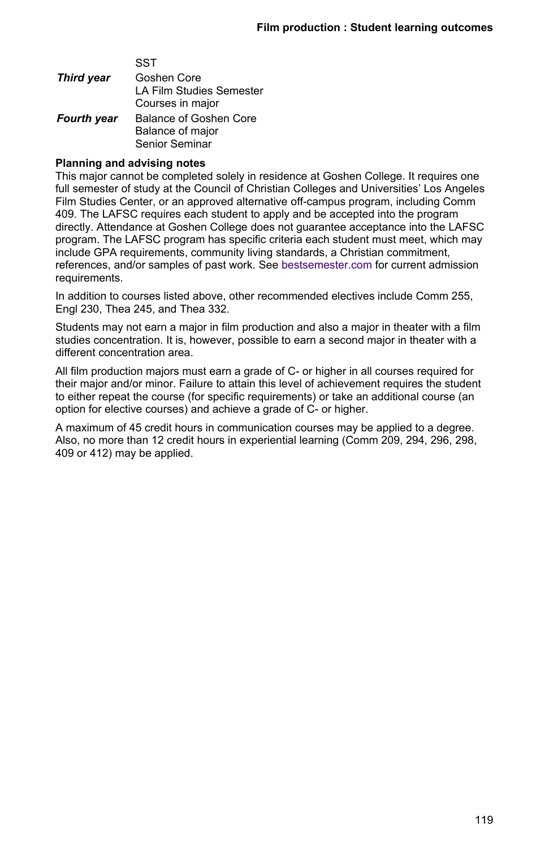|                   | SST                      |
|-------------------|--------------------------|
| <b>Third year</b> | Goshen Core              |
|                   | LA Film Studies Semester |
|                   | Courses in major         |
| Fourth year       | Balance of Goshen Core   |
|                   | Balance of major         |
|                   | Senior Seminar           |

 $\overline{\phantom{a}}$ 

#### **Planning and advising notes**

This major cannot be completed solely in residence at Goshen College. It requires one full semester of study at the Council of Christian Colleges and Universities' Los Angeles Film Studies Center, or an approved alternative off-campus program, including Comm 409. The LAFSC requires each student to apply and be accepted into the program directly. Attendance at Goshen College does not guarantee acceptance into the LAFSC program. The LAFSC program has specific criteria each student must meet, which may include GPA requirements, community living standards, a Christian commitment, references, and/or samples of past work. See [bestsemester.com](https://www.bestsemester.com/locationsandprograms/losangeles) for current admission requirements.

In addition to courses listed above, other recommended electives include Comm 255, Engl 230, Thea 245, and Thea 332.

Students may not earn a major in film production and also a major in theater with a film studies concentration. It is, however, possible to earn a second major in theater with a different concentration area.

All film production majors must earn a grade of C- or higher in all courses required for their major and/or minor. Failure to attain this level of achievement requires the student to either repeat the course (for specific requirements) or take an additional course (an option for elective courses) and achieve a grade of C- or higher.

A maximum of 45 credit hours in communication courses may be applied to a degree. Also, no more than 12 credit hours in experiential learning (Comm 209, 294, 296, 298, 409 or 412) may be applied.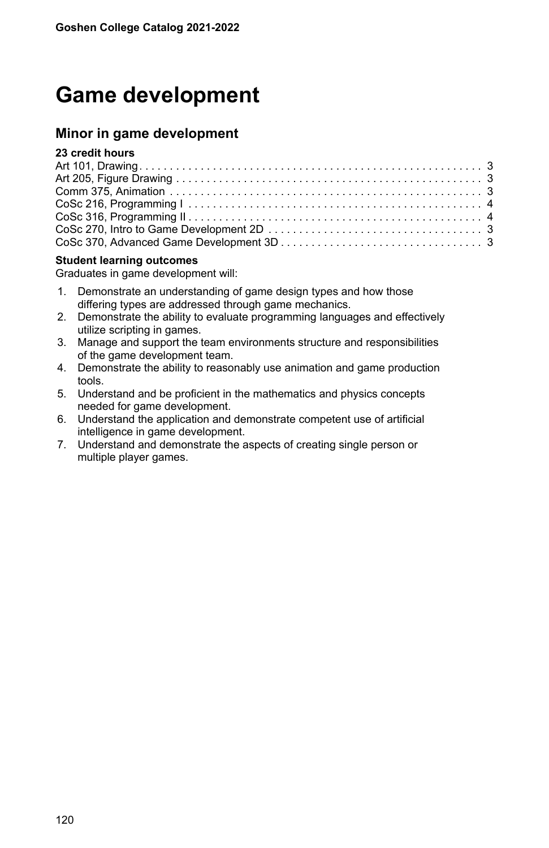# **Game development**

## **Minor in game development**

### **23 credit hours**

#### **Student learning outcomes**

Graduates in game development will:

- 1. Demonstrate an understanding of game design types and how those differing types are addressed through game mechanics.
- 2. Demonstrate the ability to evaluate programming languages and effectively utilize scripting in games.
- 3. Manage and support the team environments structure and responsibilities of the game development team.
- 4. Demonstrate the ability to reasonably use animation and game production tools.
- 5. Understand and be proficient in the mathematics and physics concepts needed for game development.
- 6. Understand the application and demonstrate competent use of artificial intelligence in game development.
- 7. Understand and demonstrate the aspects of creating single person or multiple player games.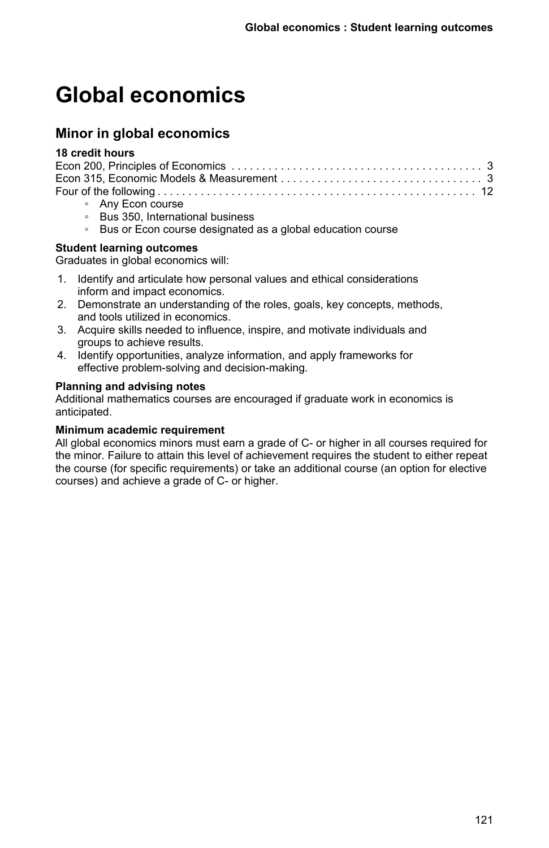# **Global economics**

# **Minor in global economics**

#### **18 credit hours**

| • Any Econ course |  |
|-------------------|--|

- Bus 350, International business
- Bus or Econ course designated as a global education course

#### **Student learning outcomes**

Graduates in global economics will:

- 1. Identify and articulate how personal values and ethical considerations inform and impact economics.
- 2. Demonstrate an understanding of the roles, goals, key concepts, methods, and tools utilized in economics.
- 3. Acquire skills needed to influence, inspire, and motivate individuals and groups to achieve results.
- 4. Identify opportunities, analyze information, and apply frameworks for effective problem-solving and decision-making.

#### **Planning and advising notes**

Additional mathematics courses are encouraged if graduate work in economics is anticipated.

#### **Minimum academic requirement**

All global economics minors must earn a grade of C- or higher in all courses required for the minor. Failure to attain this level of achievement requires the student to either repeat the course (for specific requirements) or take an additional course (an option for elective courses) and achieve a grade of C- or higher.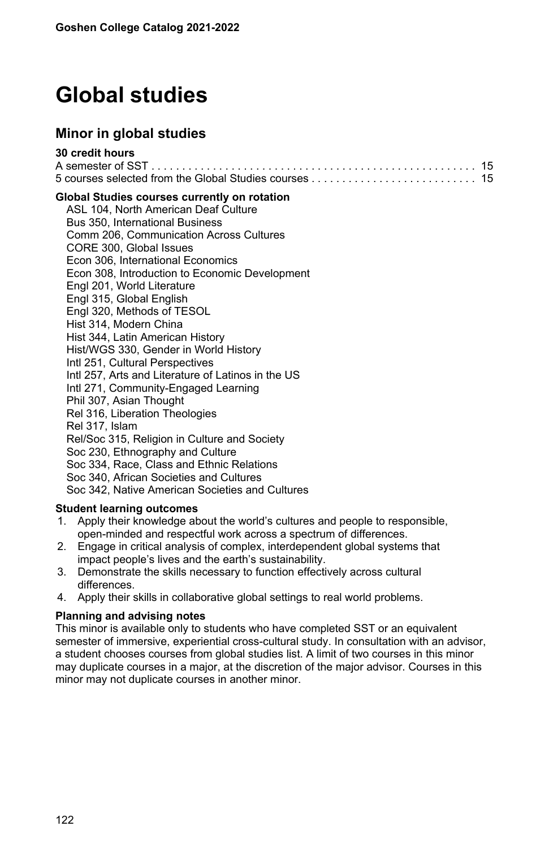# **Global studies**

# **Minor in global studies**

| 30 credit hours |  |
|-----------------|--|
|                 |  |
|                 |  |

#### **Global Studies courses currently on rotation**

ASL 104, North American Deaf Culture Bus 350, International Business Comm 206, Communication Across Cultures CORE 300, Global Issues Econ 306, International Economics Econ 308, Introduction to Economic Development Engl 201, World Literature Engl 315, Global English Engl 320, Methods of TESOL Hist 314, Modern China Hist 344, Latin American History Hist/WGS 330, Gender in World History Intl 251, Cultural Perspectives Intl 257, Arts and Literature of Latinos in the US Intl 271, Community-Engaged Learning Phil 307, Asian Thought Rel 316, Liberation Theologies Rel 317, Islam Rel/Soc 315, Religion in Culture and Society Soc 230, Ethnography and Culture Soc 334, Race, Class and Ethnic Relations Soc 340, African Societies and Cultures Soc 342, Native American Societies and Cultures

### **Student learning outcomes**

- 1. Apply their knowledge about the world's cultures and people to responsible, open-minded and respectful work across a spectrum of differences.
- 2. Engage in critical analysis of complex, interdependent global systems that impact people's lives and the earth's sustainability.
- 3. Demonstrate the skills necessary to function effectively across cultural differences.
- 4. Apply their skills in collaborative global settings to real world problems.

#### **Planning and advising notes**

This minor is available only to students who have completed SST or an equivalent semester of immersive, experiential cross-cultural study. In consultation with an advisor, a student chooses courses from global studies list. A limit of two courses in this minor may duplicate courses in a major, at the discretion of the major advisor. Courses in this minor may not duplicate courses in another minor.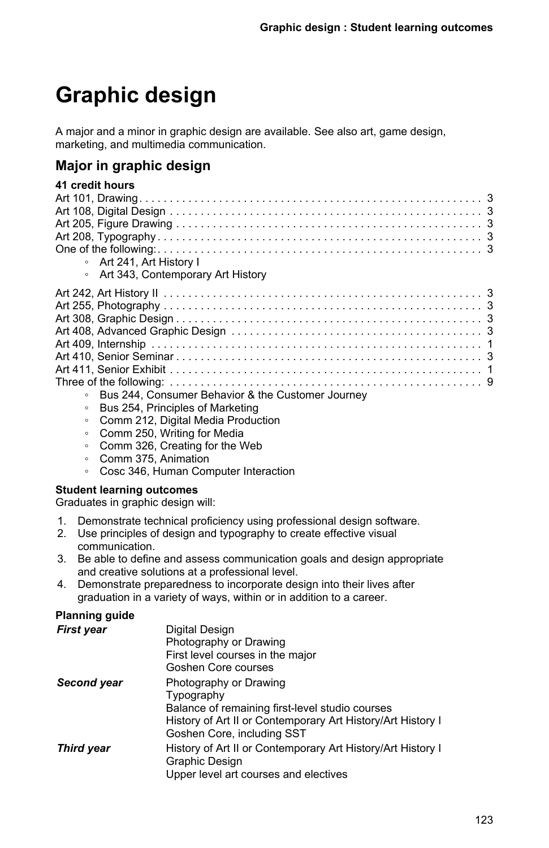# **Graphic design**

A major and a minor in graphic design are available. See also art, game design, marketing, and multimedia communication.

# **Major in graphic design**

| 41 credit hours |                                                   |
|-----------------|---------------------------------------------------|
|                 |                                                   |
|                 |                                                   |
|                 |                                                   |
|                 |                                                   |
|                 |                                                   |
|                 | • Art 241, Art History I                          |
|                 | • Art 343, Contemporary Art History               |
|                 |                                                   |
|                 |                                                   |
|                 |                                                   |
|                 |                                                   |
|                 |                                                   |
|                 |                                                   |
|                 |                                                   |
|                 |                                                   |
| $\circ$         | Bus 244. Consumer Behavior & the Customer Journey |
| $\circ$         | Bus 254. Principles of Marketing                  |
|                 |                                                   |

- Comm 212, Digital Media Production
- Comm 250, Writing for Media
- Comm 326, Creating for the Web
- Comm 375, Animation
	- Cosc 346, Human Computer Interaction

#### **Student learning outcomes**

Graduates in graphic design will:

- 1. Demonstrate technical proficiency using professional design software.
- 2. Use principles of design and typography to create effective visual communication.
- 3. Be able to define and assess communication goals and design appropriate and creative solutions at a professional level.
- 4. Demonstrate preparedness to incorporate design into their lives after graduation in a variety of ways, within or in addition to a career.

### **Planning guide**

| <b>First year</b> | Digital Design<br>Photography or Drawing<br>First level courses in the major<br>Goshen Core courses                                                                                  |
|-------------------|--------------------------------------------------------------------------------------------------------------------------------------------------------------------------------------|
| Second year       | Photography or Drawing<br>Typography<br>Balance of remaining first-level studio courses<br>History of Art II or Contemporary Art History/Art History I<br>Goshen Core, including SST |
| <b>Third year</b> | History of Art II or Contemporary Art History/Art History I<br>Graphic Design<br>Upper level art courses and electives                                                               |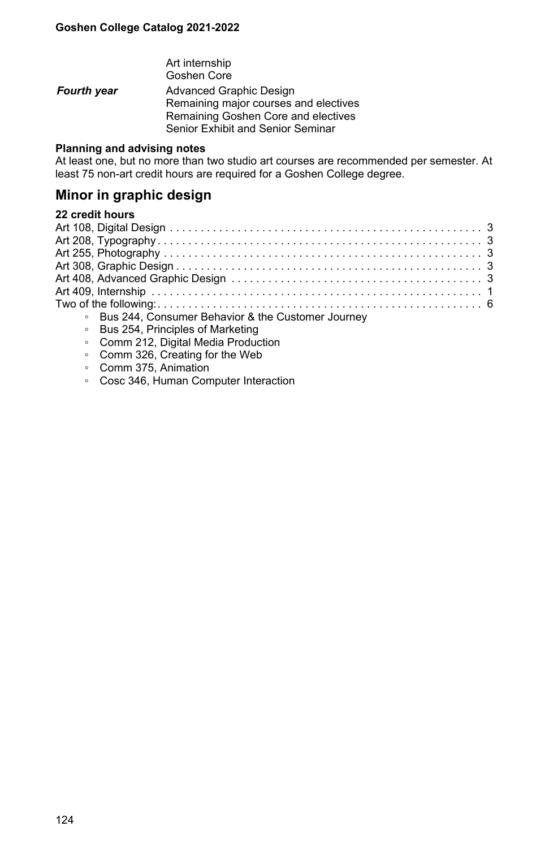Art internship Goshen Core **Fourth year** Advanced Graphic Design Remaining major courses and electives Remaining Goshen Core and electives Senior Exhibit and Senior Seminar

#### **Planning and advising notes**

At least one, but no more than two studio art courses are recommended per semester. At least 75 non-art credit hours are required for a Goshen College degree.

# **Minor in graphic design**

| • Bus 244, Consumer Behavior & the Customer Journey |
|-----------------------------------------------------|
| • Bus 254, Principles of Marketing                  |

- Comm 212, Digital Media Production
- Comm 326, Creating for the Web
- Comm 375, Animation
- Cosc 346, Human Computer Interaction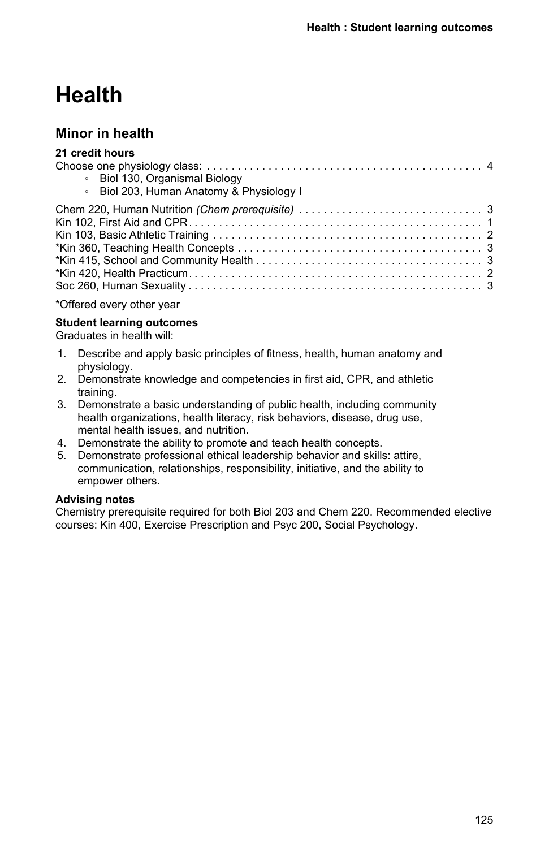# **Health**

# **Minor in health**

| 21 credit hours                          |
|------------------------------------------|
|                                          |
| • Biol 130, Organismal Biology           |
| • Biol 203, Human Anatomy & Physiology I |
|                                          |
|                                          |
|                                          |
|                                          |
|                                          |
|                                          |
|                                          |
|                                          |

\*Offered every other year

#### **Student learning outcomes**

Graduates in health will:

- 1. Describe and apply basic principles of fitness, health, human anatomy and physiology.
- 2. Demonstrate knowledge and competencies in first aid, CPR, and athletic training.
- 3. Demonstrate a basic understanding of public health, including community health organizations, health literacy, risk behaviors, disease, drug use, mental health issues, and nutrition.
- 4. Demonstrate the ability to promote and teach health concepts.
- 5. Demonstrate professional ethical leadership behavior and skills: attire, communication, relationships, responsibility, initiative, and the ability to empower others.

#### **Advising notes**

Chemistry prerequisite required for both Biol 203 and Chem 220. Recommended elective courses: Kin 400, Exercise Prescription and Psyc 200, Social Psychology.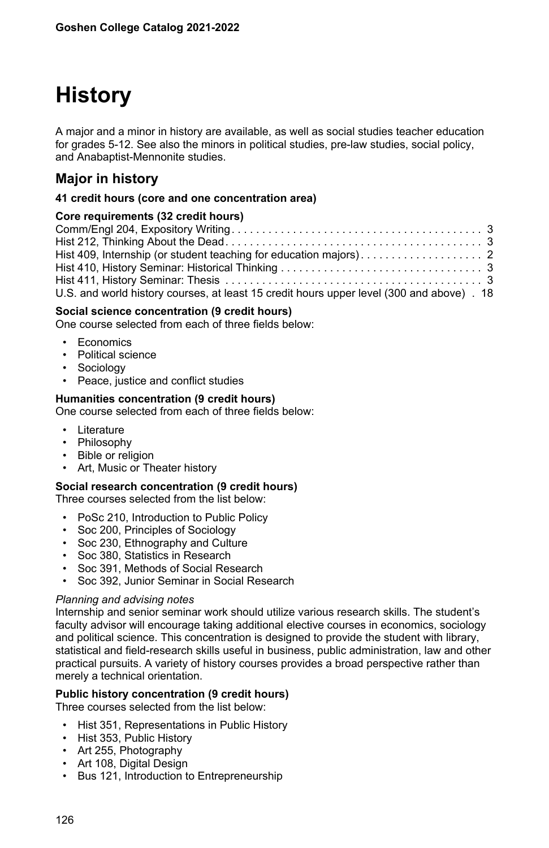# **History**

A major and a minor in history are available, as well as social studies teacher education for grades 5-12. See also the minors in political studies, pre-law studies, social policy, and Anabaptist-Mennonite studies.

# **Major in history**

#### **41 credit hours (core and one concentration area)**

#### **Core requirements (32 credit hours)**

| U.S. and world history courses, at least 15 credit hours upper level (300 and above) . 18 |  |
|-------------------------------------------------------------------------------------------|--|
|                                                                                           |  |

#### **Social science concentration (9 credit hours)**

One course selected from each of three fields below:

- Economics
- Political science
- **Sociology**
- Peace, justice and conflict studies

#### **Humanities concentration (9 credit hours)**

One course selected from each of three fields below:

- Literature
- Philosophy
- **Bible or religion**
- Art, Music or Theater history

#### **Social research concentration (9 credit hours)**

Three courses selected from the list below:

- PoSc 210, Introduction to Public Policy
- Soc 200, Principles of Sociology
- Soc 230, Ethnography and Culture
- Soc 380, Statistics in Research
- Soc 391, Methods of Social Research
- Soc 392, Junior Seminar in Social Research

#### *Planning and advising notes*

Internship and senior seminar work should utilize various research skills. The student's faculty advisor will encourage taking additional elective courses in economics, sociology and political science. This concentration is designed to provide the student with library, statistical and field-research skills useful in business, public administration, law and other practical pursuits. A variety of history courses provides a broad perspective rather than merely a technical orientation.

#### **Public history concentration (9 credit hours)**

Three courses selected from the list below:

- Hist 351, Representations in Public History
- Hist 353, Public History
- Art 255, Photography
- Art 108, Digital Design
- Bus 121, Introduction to Entrepreneurship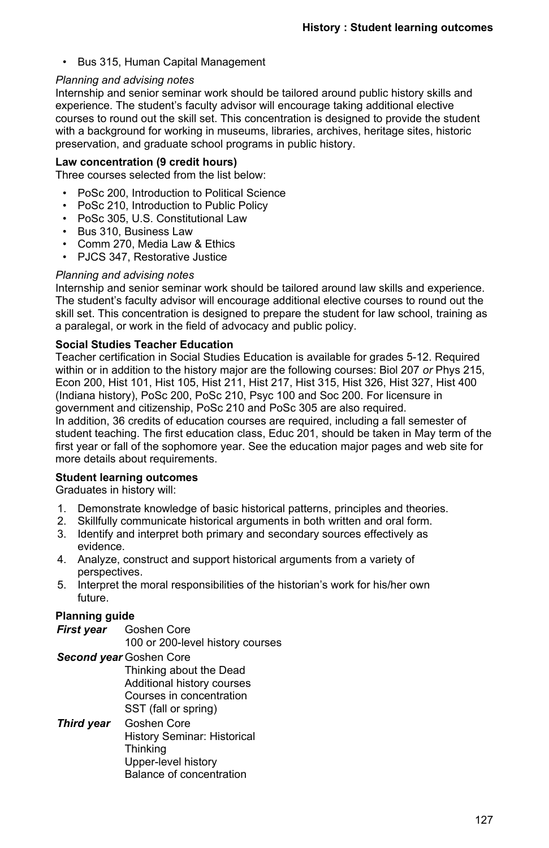• Bus 315, Human Capital Management

#### *Planning and advising notes*

Internship and senior seminar work should be tailored around public history skills and experience. The student's faculty advisor will encourage taking additional elective courses to round out the skill set. This concentration is designed to provide the student with a background for working in museums, libraries, archives, heritage sites, historic preservation, and graduate school programs in public history.

#### **Law concentration (9 credit hours)**

Three courses selected from the list below:

- PoSc 200, Introduction to Political Science
- PoSc 210, Introduction to Public Policy
- PoSc 305, U.S. Constitutional Law
- Bus 310, Business Law
- Comm 270, Media Law & Ethics
- PJCS 347, Restorative Justice

#### *Planning and advising notes*

Internship and senior seminar work should be tailored around law skills and experience. The student's faculty advisor will encourage additional elective courses to round out the skill set. This concentration is designed to prepare the student for law school, training as a paralegal, or work in the field of advocacy and public policy.

#### **Social Studies Teacher Education**

Teacher certification in Social Studies Education is available for grades 5-12. Required within or in addition to the history major are the following courses: Biol 207 *or* Phys 215, Econ 200, Hist 101, Hist 105, Hist 211, Hist 217, Hist 315, Hist 326, Hist 327, Hist 400 (Indiana history), PoSc 200, PoSc 210, Psyc 100 and Soc 200. For licensure in government and citizenship, PoSc 210 and PoSc 305 are also required. In addition, 36 credits of education courses are required, including a fall semester of student teaching. The first education class, Educ 201, should be taken in May term of the first year or fall of the sophomore year. See the education major pages and web site for more details about requirements.

#### **Student learning outcomes**

Graduates in history will:

- 1. Demonstrate knowledge of basic historical patterns, principles and theories.
- 2. Skillfully communicate historical arguments in both written and oral form.
- 3. Identify and interpret both primary and secondary sources effectively as evidence.
- 4. Analyze, construct and support historical arguments from a variety of perspectives.
- 5. Interpret the moral responsibilities of the historian's work for his/her own future.

#### **Planning guide**

- *First year* Goshen Core 100 or 200-level history courses *Second year* Goshen Core
	- Thinking about the Dead Additional history courses Courses in concentration SST (fall or spring)
- *Third year* Goshen Core History Seminar: Historical **Thinking** Upper-level history Balance of concentration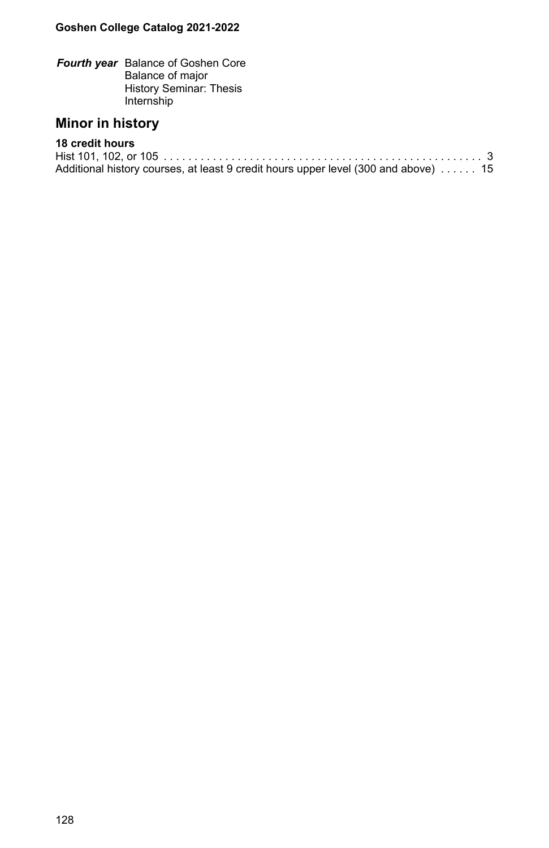*Fourth year* Balance of Goshen Core Balance of major History Seminar: Thesis Internship

# **Minor in history**

### **18 credit hours**

Hist 101, 102, or 105 . . . . . . . . . . . . . . . . . . . . . . . . . . . . . . . . . . . . . . . . . . . . . . . . . . . . . . . . . . . . . . . . . . .3 Additional history courses, at least 9 credit hours upper level (300 and above) . . . . . . 15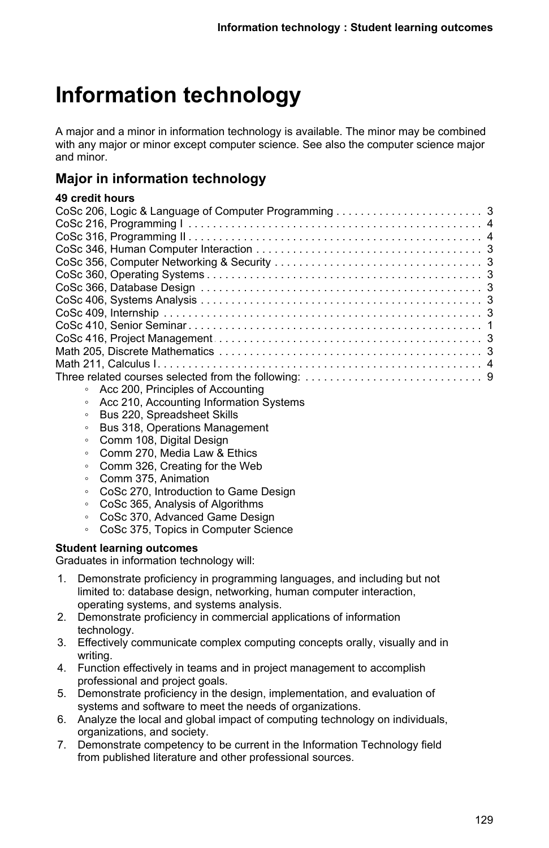# **Information technology**

A major and a minor in information technology is available. The minor may be combined with any major or minor except computer science. See also the computer science major and minor.

# **Major in information technology**

# **49 credit hours**

| Acc 200, Principles of Accounting<br>$\circ$ |  |
|----------------------------------------------|--|
|                                              |  |

- Acc 210, Accounting Information Systems
- Bus 220, Spreadsheet Skills
- Bus 318, Operations Management
- Comm 108, Digital Design
- Comm 270, Media Law & Ethics
- Comm 326, Creating for the Web
- Comm 375, Animation
- CoSc 270, Introduction to Game Design
- CoSc 365, Analysis of Algorithms
- CoSc 370, Advanced Game Design
- CoSc 375, Topics in Computer Science

### **Student learning outcomes**

Graduates in information technology will:

- 1. Demonstrate proficiency in programming languages, and including but not limited to: database design, networking, human computer interaction, operating systems, and systems analysis.
- 2. Demonstrate proficiency in commercial applications of information technology.
- 3. Effectively communicate complex computing concepts orally, visually and in writing.
- 4. Function effectively in teams and in project management to accomplish professional and project goals.
- 5. Demonstrate proficiency in the design, implementation, and evaluation of systems and software to meet the needs of organizations.
- 6. Analyze the local and global impact of computing technology on individuals, organizations, and society.
- 7. Demonstrate competency to be current in the Information Technology field from published literature and other professional sources.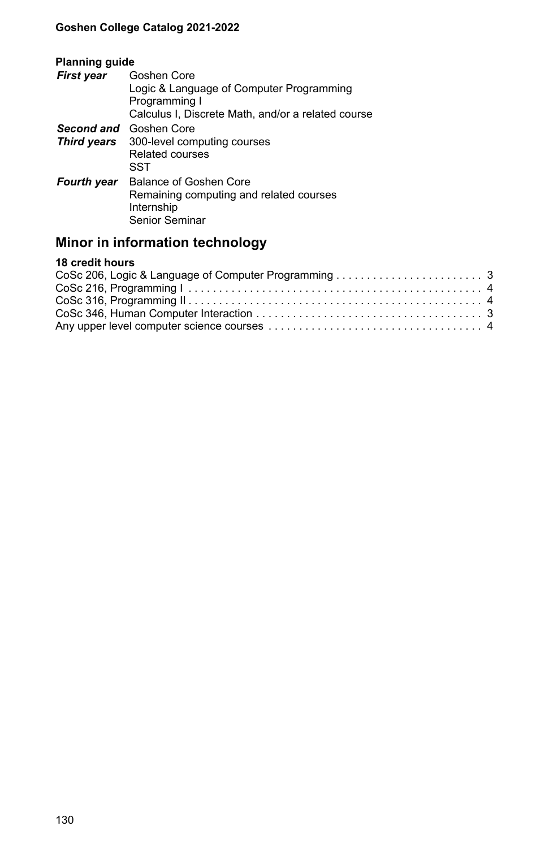## **Planning guide**

| <b>First year</b> | Goshen Core<br>Logic & Language of Computer Programming<br>Programming I<br>Calculus I, Discrete Math, and/or a related course |
|-------------------|--------------------------------------------------------------------------------------------------------------------------------|
|                   | <b>Second and</b> Goshen Core<br><b>Third years</b> 300-level computing courses<br>Related courses<br>SST                      |
| Fourth year       | Balance of Goshen Core<br>Remaining computing and related courses<br>Internship<br>Senior Seminar                              |

# **Minor in information technology**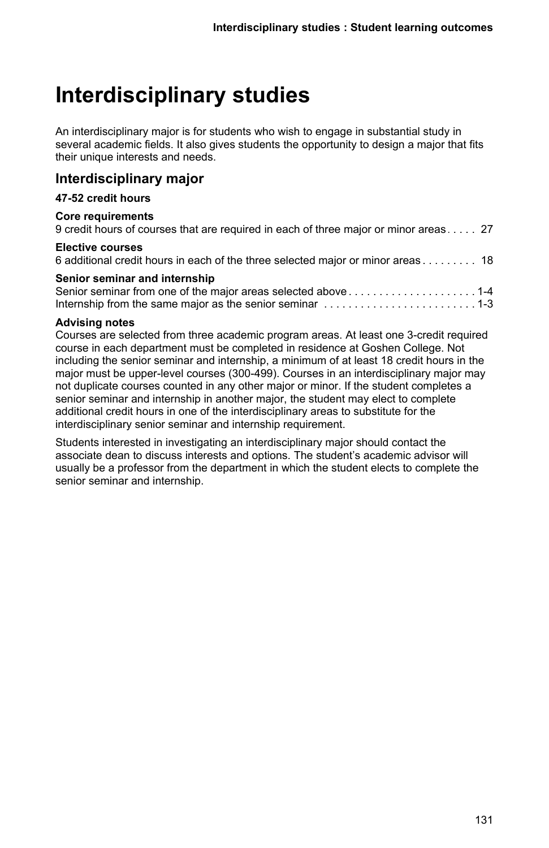# **Interdisciplinary studies**

An interdisciplinary major is for students who wish to engage in substantial study in several academic fields. It also gives students the opportunity to design a major that fits their unique interests and needs.

## **Interdisciplinary major**

### **47-52 credit hours**

#### **Core requirements**

| 9 credit hours of courses that are required in each of three major or minor areas  27 |  |  |
|---------------------------------------------------------------------------------------|--|--|
|                                                                                       |  |  |

#### **Elective courses**

| <u>sensi seniinai ana intennenip</u> |  |
|--------------------------------------|--|
|                                      |  |
|                                      |  |

#### **Advising notes**

Courses are selected from three academic program areas. At least one 3-credit required course in each department must be completed in residence at Goshen College. Not including the senior seminar and internship, a minimum of at least 18 credit hours in the major must be upper-level courses (300-499). Courses in an interdisciplinary major may not duplicate courses counted in any other major or minor. If the student completes a senior seminar and internship in another major, the student may elect to complete additional credit hours in one of the interdisciplinary areas to substitute for the interdisciplinary senior seminar and internship requirement.

Students interested in investigating an interdisciplinary major should contact the associate dean to discuss interests and options. The student's academic advisor will usually be a professor from the department in which the student elects to complete the senior seminar and internship.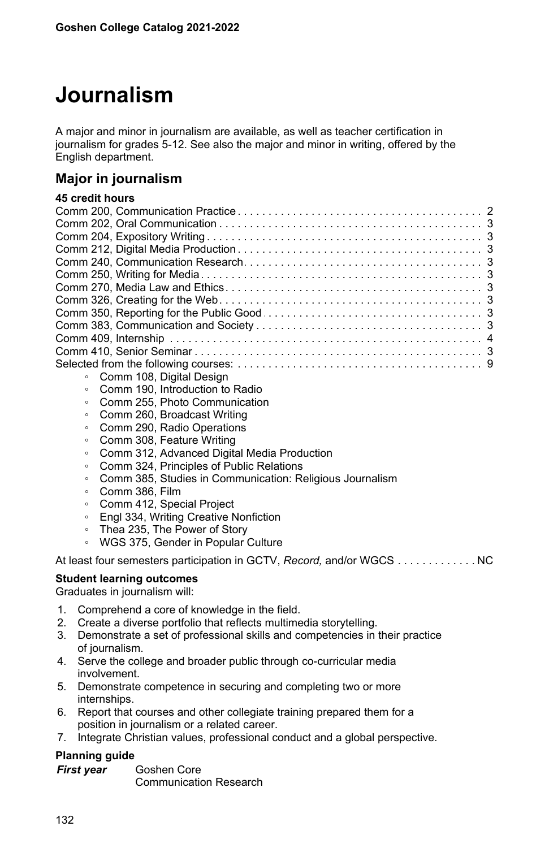# **Journalism**

A major and minor in journalism are available, as well as teacher certification in journalism for grades 5-12. See also the major and minor in writing, offered by the English department.

## **Major in journalism**

# **45 credit hours**

| • Comm 108, Digital Design |
|----------------------------|
|                            |

- Comm 190, Introduction to Radio
- Comm 255, Photo Communication
- Comm 260, Broadcast Writing
- Comm 290, Radio Operations
- Comm 308, Feature Writing
- Comm 312, Advanced Digital Media Production
- Comm 324, Principles of Public Relations
- Comm 385, Studies in Communication: Religious Journalism
- Comm 386, Film
- Comm 412, Special Project
- Engl 334, Writing Creative Nonfiction
- Thea 235, The Power of Story
- WGS 375, Gender in Popular Culture

At least four semesters participation in GCTV, Record, and/or WGCS . . . . . . . . . . . . . NC

#### **Student learning outcomes**

Graduates in journalism will:

- 1. Comprehend a core of knowledge in the field.
- 2. Create a diverse portfolio that reflects multimedia storytelling.
- 3. Demonstrate a set of professional skills and competencies in their practice of journalism.
- 4. Serve the college and broader public through co-curricular media involvement.
- 5. Demonstrate competence in securing and completing two or more internships.
- 6. Report that courses and other collegiate training prepared them for a position in journalism or a related career.
- 7. Integrate Christian values, professional conduct and a global perspective.

### **Planning guide**

| First year | Goshen Core                   |
|------------|-------------------------------|
|            | <b>Communication Research</b> |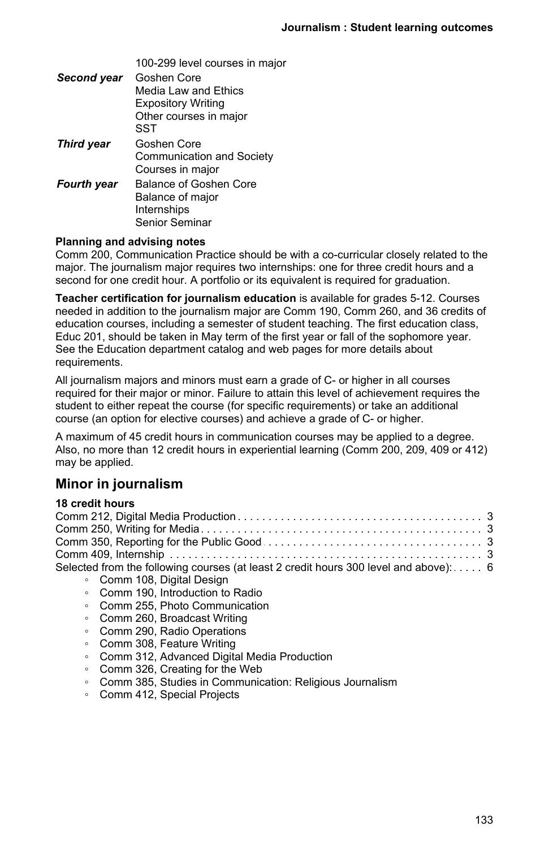| Second year       | Goshen Core               |
|-------------------|---------------------------|
|                   | Media Law and Ethics      |
|                   | <b>Expository Writing</b> |
|                   | Other courses in major    |
|                   | SST                       |
| <b>Third year</b> | Goshen Core               |
|                   | Communication and Society |
|                   | Courses in major          |
| Fourth year       | Balance of Goshen Core    |
|                   | Balance of major          |
|                   | Internships               |
|                   | Senior Seminar            |

#### **Planning and advising notes**

Comm 200, Communication Practice should be with a co-curricular closely related to the major. The journalism major requires two internships: one for three credit hours and a second for one credit hour. A portfolio or its equivalent is required for graduation.

**Teacher certification for journalism education** is available for grades 5-12. Courses needed in addition to the journalism major are Comm 190, Comm 260, and 36 credits of education courses, including a semester of student teaching. The first education class, Educ 201, should be taken in May term of the first year or fall of the sophomore year. See the Education department catalog and web pages for more details about requirements.

All journalism majors and minors must earn a grade of C- or higher in all courses required for their major or minor. Failure to attain this level of achievement requires the student to either repeat the course (for specific requirements) or take an additional course (an option for elective courses) and achieve a grade of C- or higher.

A maximum of 45 credit hours in communication courses may be applied to a degree. Also, no more than 12 credit hours in experiential learning (Comm 200, 209, 409 or 412) may be applied.

## **Minor in journalism**

| Selected from the following courses (at least 2 credit hours 300 level and above): 6 |
|--------------------------------------------------------------------------------------|
| • Comm 108, Digital Design                                                           |
| • Comm 190, Introduction to Radio                                                    |

- Comm 255, Photo Communication
- Comm 260, Broadcast Writing
- Comm 290, Radio Operations
- Comm 308, Feature Writing
- Comm 312, Advanced Digital Media Production
- Comm 326, Creating for the Web
- Comm 385, Studies in Communication: Religious Journalism
- Comm 412, Special Projects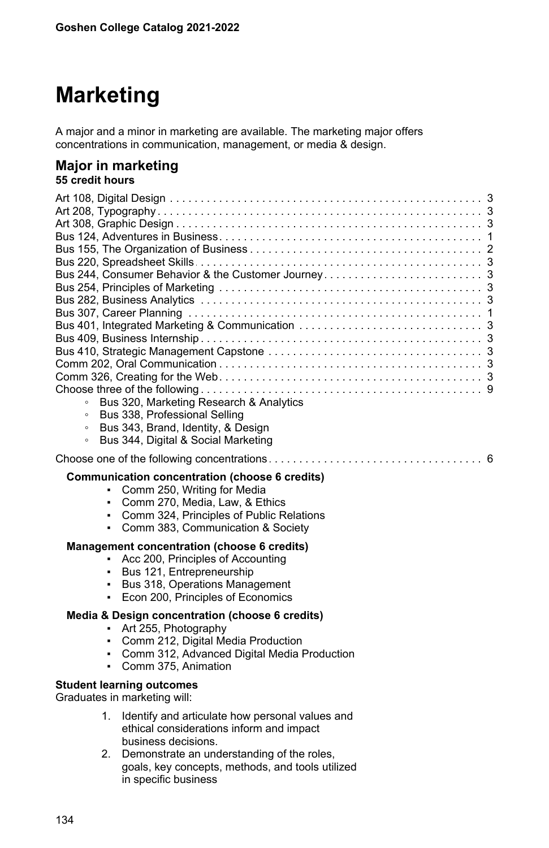# **Marketing**

A major and a minor in marketing are available. The marketing major offers concentrations in communication, management, or media & design.

#### **Major in marketing 55 credit hours**

| Bus 320, Marketing Research & Analytics<br>$\circ$<br>Bus 338, Professional Selling<br>$\circ$<br>Bus 343, Brand, Identity, & Design<br>$\circ$<br>Bus 344, Digital & Social Marketing<br>$\circ$                                                   |
|-----------------------------------------------------------------------------------------------------------------------------------------------------------------------------------------------------------------------------------------------------|
| Communication concentration (choose 6 credits)<br>Comm 250, Writing for Media<br>٠<br>Comm 270, Media, Law, & Ethics<br>٠<br>Comm 324, Principles of Public Relations<br>٠<br>Comm 383, Communication & Society                                     |
| Management concentration (choose 6 credits)<br>Acc 200, Principles of Accounting<br>٠<br>Bus 121, Entrepreneurship<br>$\mathbf{r}$<br>Bus 318, Operations Management<br>٠<br>Econ 200, Principles of Economics<br>٠                                 |
| Media & Design concentration (choose 6 credits)<br>- Art 255, Photography<br>Comm 212, Digital Media Production<br>$\mathbf{r}$<br>Comm 312, Advanced Digital Media Production<br>٠<br>Comm 375. Animation<br>٠<br><b>Student learning outcomes</b> |

Graduates in marketing will:

- 1. Identify and articulate how personal values and ethical considerations inform and impact business decisions.
- 2. Demonstrate an understanding of the roles, goals, key concepts, methods, and tools utilized in specific business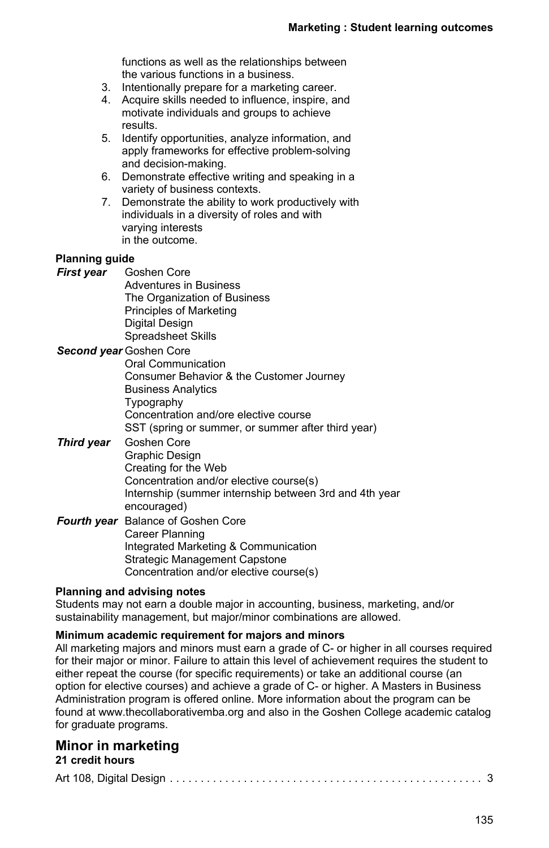functions as well as the relationships between the various functions in a business.

- 3. Intentionally prepare for a marketing career.
- 4. Acquire skills needed to influence, inspire, and motivate individuals and groups to achieve results.
- 5. Identify opportunities, analyze information, and apply frameworks for effective problem-solving and decision-making.
- 6. Demonstrate effective writing and speaking in a variety of business contexts.
- 7. Demonstrate the ability to work productively with individuals in a diversity of roles and with varying interests in the outcome.

#### **Planning guide**

- *First year* Goshen Core Adventures in Business The Organization of Business Principles of Marketing Digital Design Spreadsheet Skills
- *Second year* Goshen Core Oral Communication Consumer Behavior & the Customer Journey Business Analytics Typography Concentration and/ore elective course SST (spring or summer, or summer after third year)
- *Third year* Goshen Core Graphic Design Creating for the Web Concentration and/or elective course(s) Internship (summer internship between 3rd and 4th year encouraged) *Fourth year* Balance of Goshen Core
- Career Planning Integrated Marketing & Communication Strategic Management Capstone Concentration and/or elective course(s)

#### **Planning and advising notes**

Students may not earn a double major in accounting, business, marketing, and/or sustainability management, but major/minor combinations are allowed.

#### **Minimum academic requirement for majors and minors**

All marketing majors and minors must earn a grade of C- or higher in all courses required for their major or minor. Failure to attain this level of achievement requires the student to either repeat the course (for specific requirements) or take an additional course (an option for elective courses) and achieve a grade of C- or higher. A Masters in Business Administration program is offered online. More information about the program can be found at www.thecollaborativemba.org and also in the Goshen College academic catalog for graduate programs.

# **Minor in marketing**

|--|--|--|--|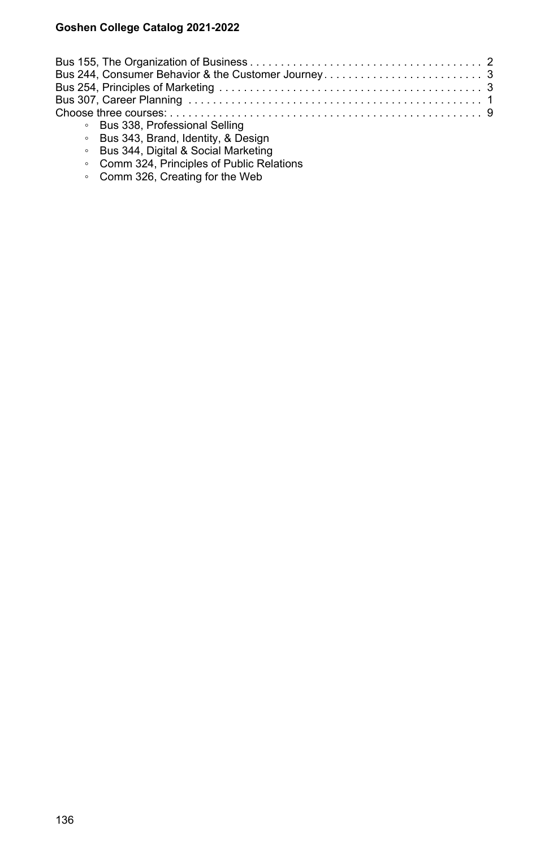| • Bus 338. Professional Selling |  |
|---------------------------------|--|

- Bus 343, Brand, Identity, & Design
- Bus 344, Digital & Social Marketing
- Comm 324, Principles of Public Relations
- Comm 326, Creating for the Web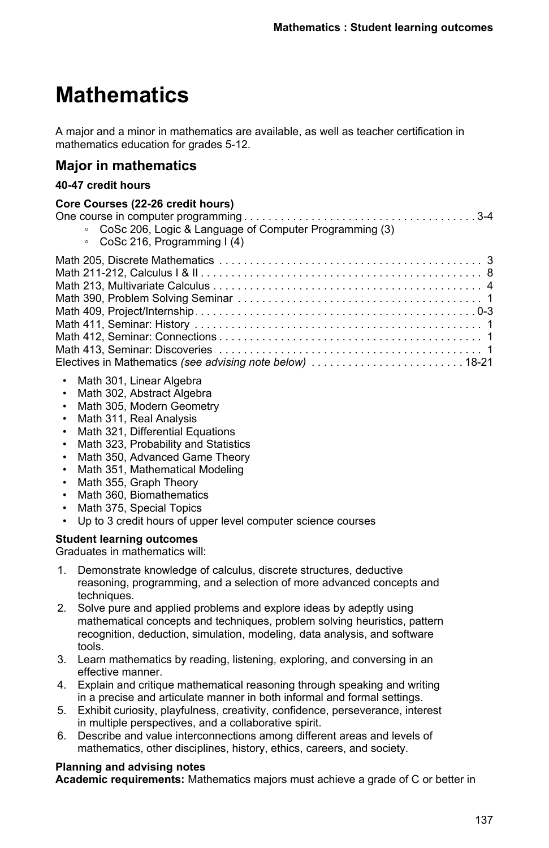# **Mathematics**

A major and a minor in mathematics are available, as well as teacher certification in mathematics education for grades 5-12.

# **Major in mathematics**

#### **40-47 credit hours**

#### **Core Courses (22-26 credit hours)** One course in computer programming . . . . . . . . . . . . . . . . . . . . . . . . . . . . . . . . . . . . . . . . . . . . . . . . . . . . . . . . . . . . . . . . . . . 3-4 ◦ CoSc 206, Logic & Language of Computer Programming (3) ◦ CoSc 216, Programming I (4) Math 205, Discrete Mathematics . . . . . . . . . . . . . . . . . . . . . . . . . . . . . . . . . . . . . . . . . . . . . . . . . . . . . . . . . . . . . . . . . . .3 Math 211-212, Calculus I & II . . . . . . . . . . . . . . . . . . . . . . . . . . . . . . . . . . . . . . . . . . . . . . . . . . . . . . . . . . . . . . . . . . .8 Math 213, Multivariate Calculus . . . . . . . . . . . . . . . . . . . . . . . . . . . . . . . . . . . . . . . . . . . . . . . . . . . . . . . . . . . . . . . . . . .4 Math 390, Problem Solving Seminar . . . . . . . . . . . . . . . . . . . . . . . . . . . . . . . . . . . . . . . . . . . . . . . . . . . . . . . . . . . . . . . . . . .1 Math 409, Project/Internship . . . . . . . . . . . . . . . . . . . . . . . . . . . . . . . . . . . . . . . . . . . . . . . . . . . . . . . . . . . . . . . . . . . 0-3 Math 411, Seminar: History . . . . . . . . . . . . . . . . . . . . . . . . . . . . . . . . . . . . . . . . . . . . . . . . . . . . . . . . . . . . . . . . . . .1 Math 412, Seminar: Connections . . . . . . . . . . . . . . . . . . . . . . . . . . . . . . . . . . . . . . . . . . . . . . . . . . . . . . . . . . . . . . . . . . .1 Math 413, Seminar: Discoveries . . . . . . . . . . . . . . . . . . . . . . . . . . . . . . . . . . . . . . . . . . . . . . . . . . . . . . . . . . . . . . . . . . .1 Electives in Mathematics . . . . . . . . . . . . . . . . . . . . . . . . . . . . . . . . . . . . . . . . . . . . . . . . . . . . . . . . . . . . . . . . . . . *(see advising note below)* 18-21

- Math 301, Linear Algebra
- Math 302. Abstract Algebra
- Math 305, Modern Geometry
- Math 311, Real Analysis
- Math 321, Differential Equations
- Math 323, Probability and Statistics
- Math 350, Advanced Game Theory
- Math 351, Mathematical Modeling
- Math 355, Graph Theory
- Math 360, Biomathematics
- Math 375, Special Topics
- Up to 3 credit hours of upper level computer science courses

### **Student learning outcomes**

Graduates in mathematics will:

- 1. Demonstrate knowledge of calculus, discrete structures, deductive reasoning, programming, and a selection of more advanced concepts and techniques.
- 2. Solve pure and applied problems and explore ideas by adeptly using mathematical concepts and techniques, problem solving heuristics, pattern recognition, deduction, simulation, modeling, data analysis, and software tools.
- 3. Learn mathematics by reading, listening, exploring, and conversing in an effective manner.
- 4. Explain and critique mathematical reasoning through speaking and writing in a precise and articulate manner in both informal and formal settings.
- 5. Exhibit curiosity, playfulness, creativity, confidence, perseverance, interest in multiple perspectives, and a collaborative spirit.
- 6. Describe and value interconnections among different areas and levels of mathematics, other disciplines, history, ethics, careers, and society.

#### **Planning and advising notes**

**Academic requirements:** Mathematics majors must achieve a grade of C or better in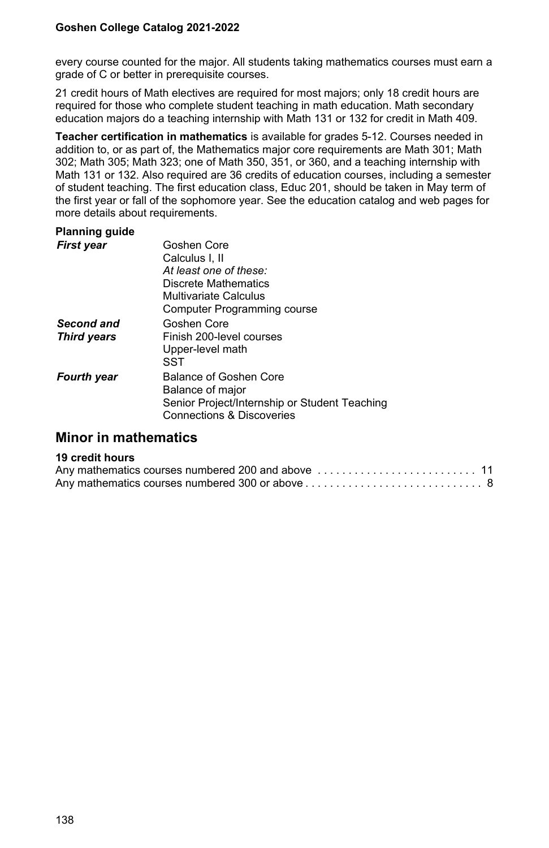every course counted for the major. All students taking mathematics courses must earn a grade of C or better in prerequisite courses.

21 credit hours of Math electives are required for most majors; only 18 credit hours are required for those who complete student teaching in math education. Math secondary education majors do a teaching internship with Math 131 or 132 for credit in Math 409.

**Teacher certification in mathematics** is available for grades 5-12. Courses needed in addition to, or as part of, the Mathematics major core requirements are Math 301; Math 302; Math 305; Math 323; one of Math 350, 351, or 360, and a teaching internship with Math 131 or 132. Also required are 36 credits of education courses, including a semester of student teaching. The first education class, Educ 201, should be taken in May term of the first year or fall of the sophomore year. See the education catalog and web pages for more details about requirements.

## **Planning guide**

| <b>First year</b>  | Goshen Core                                   |
|--------------------|-----------------------------------------------|
|                    | Calculus I. II                                |
|                    | At least one of these:                        |
|                    | Discrete Mathematics                          |
|                    | Multivariate Calculus                         |
|                    | Computer Programming course                   |
| Second and         | Goshen Core                                   |
| <b>Third years</b> | Finish 200-level courses                      |
|                    | Upper-level math                              |
|                    | SST                                           |
| <b>Fourth year</b> | Balance of Goshen Core                        |
|                    | Balance of major                              |
|                    | Senior Project/Internship or Student Teaching |
|                    | <b>Connections &amp; Discoveries</b>          |

# **Minor in mathematics**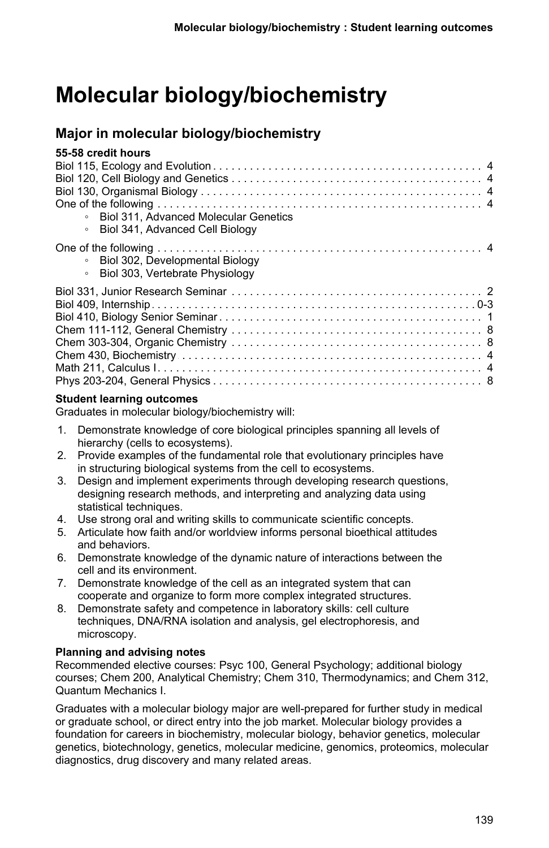# **Molecular biology/biochemistry**

# **Major in molecular biology/biochemistry**

| 55-58 credit hours                               |  |
|--------------------------------------------------|--|
|                                                  |  |
|                                                  |  |
|                                                  |  |
|                                                  |  |
| Biol 311. Advanced Molecular Genetics<br>$\circ$ |  |
| Biol 341, Advanced Cell Biology                  |  |
|                                                  |  |
| Biol 302, Developmental Biology<br>$\circ$       |  |
| Biol 303, Vertebrate Physiology                  |  |
|                                                  |  |
|                                                  |  |
|                                                  |  |
|                                                  |  |
|                                                  |  |
|                                                  |  |
|                                                  |  |
|                                                  |  |
|                                                  |  |

### **Student learning outcomes**

Graduates in molecular biology/biochemistry will:

- 1. Demonstrate knowledge of core biological principles spanning all levels of hierarchy (cells to ecosystems).
- 2. Provide examples of the fundamental role that evolutionary principles have in structuring biological systems from the cell to ecosystems.
- 3. Design and implement experiments through developing research questions, designing research methods, and interpreting and analyzing data using statistical techniques.
- 4. Use strong oral and writing skills to communicate scientific concepts.
- 5. Articulate how faith and/or worldview informs personal bioethical attitudes and behaviors.
- 6. Demonstrate knowledge of the dynamic nature of interactions between the cell and its environment.
- 7. Demonstrate knowledge of the cell as an integrated system that can cooperate and organize to form more complex integrated structures.
- 8. Demonstrate safety and competence in laboratory skills: cell culture techniques, DNA/RNA isolation and analysis, gel electrophoresis, and microscopy.

### **Planning and advising notes**

Recommended elective courses: Psyc 100, General Psychology; additional biology courses; Chem 200, Analytical Chemistry; Chem 310, Thermodynamics; and Chem 312, Quantum Mechanics I.

Graduates with a molecular biology major are well-prepared for further study in medical or graduate school, or direct entry into the job market. Molecular biology provides a foundation for careers in biochemistry, molecular biology, behavior genetics, molecular genetics, biotechnology, genetics, molecular medicine, genomics, proteomics, molecular diagnostics, drug discovery and many related areas.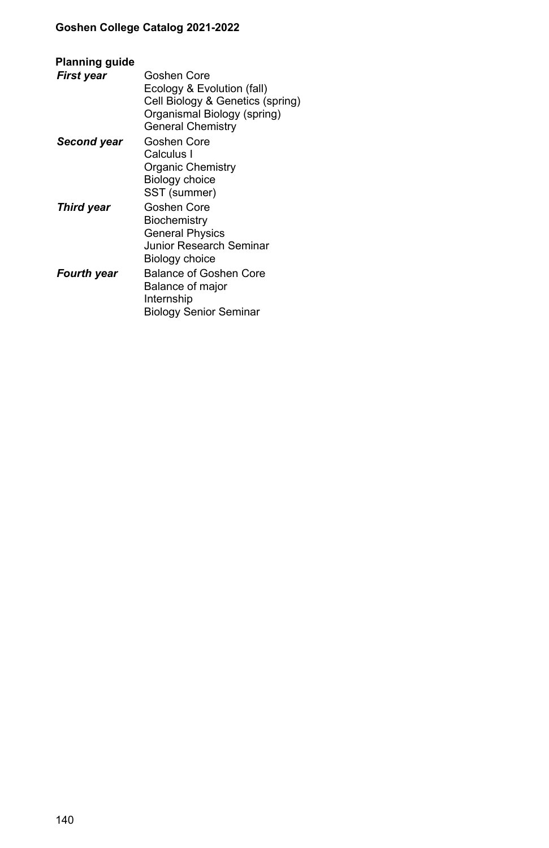| Planning guide |                                                                                                                                          |
|----------------|------------------------------------------------------------------------------------------------------------------------------------------|
| First year     | Goshen Core<br>Ecology & Evolution (fall)<br>Cell Biology & Genetics (spring)<br>Organismal Biology (spring)<br><b>General Chemistry</b> |
| Second year    | Goshen Core<br>Calculus I<br>Organic Chemistry<br>Biology choice<br>SST (summer)                                                         |
| Third year     | Goshen Core<br>Biochemistry<br>General Physics<br>Junior Research Seminar<br>Biology choice                                              |
| Fourth year    | Balance of Goshen Core<br>Balance of major<br>Internship<br>Biology Senior Seminar                                                       |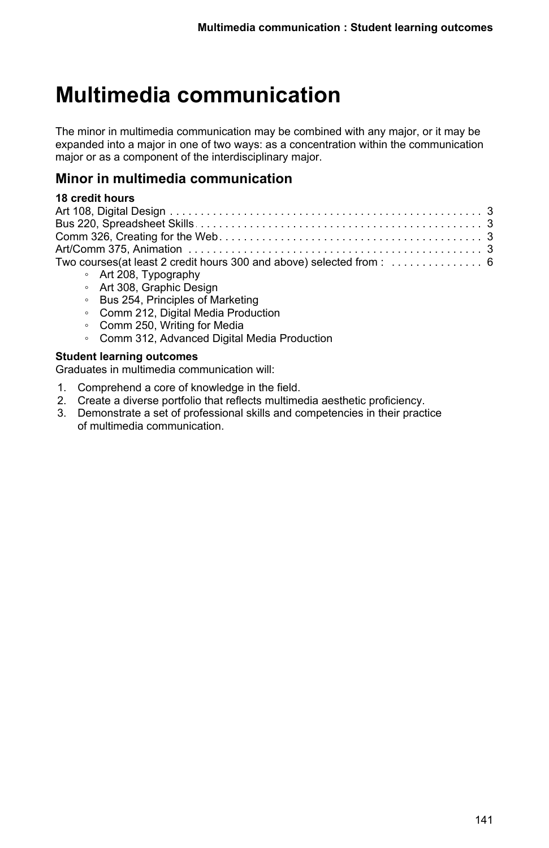# **Multimedia communication**

The minor in multimedia communication may be combined with any major, or it may be expanded into a major in one of two ways: as a concentration within the communication major or as a component of the interdisciplinary major.

## **Minor in multimedia communication**

## **18 credit hours**

| $\mathbf{A} + \mathbf{O} \mathbf{O} \mathbf{O} \mathbf{T}$ |
|------------------------------------------------------------|

- Art 208, Typography ◦ Art 308, Graphic Design
- Bus 254, Principles of Marketing
- Comm 212, Digital Media Production
- Comm 250, Writing for Media
- Comm 312, Advanced Digital Media Production

#### **Student learning outcomes**

Graduates in multimedia communication will:

- 1. Comprehend a core of knowledge in the field.
- 2. Create a diverse portfolio that reflects multimedia aesthetic proficiency.
- 3. Demonstrate a set of professional skills and competencies in their practice of multimedia communication.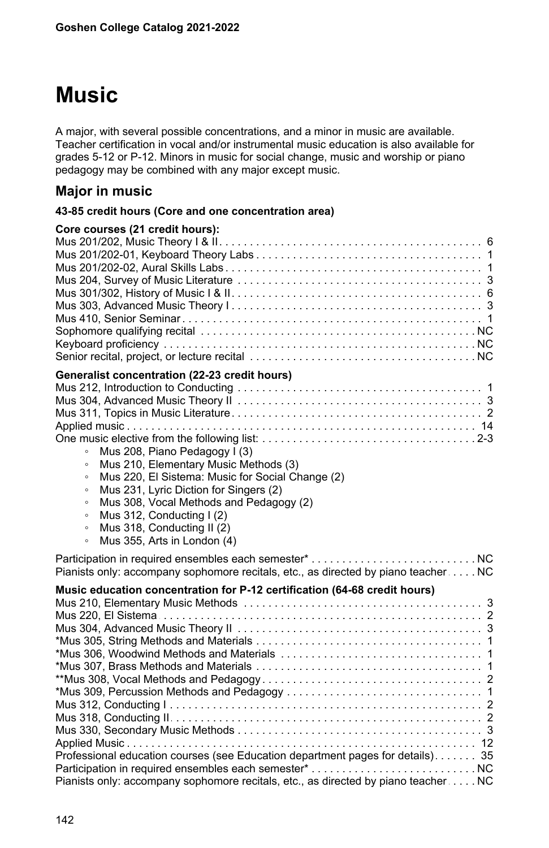# **Music**

A major, with several possible concentrations, and a minor in music are available. Teacher certification in vocal and/or instrumental music education is also available for grades 5-12 or P-12. Minors in music for social change, music and worship or piano pedagogy may be combined with any major except music.

# **Major in music**

### **43-85 credit hours (Core and one concentration area)**

| Core courses (21 credit hours):                                                    |  |
|------------------------------------------------------------------------------------|--|
|                                                                                    |  |
|                                                                                    |  |
|                                                                                    |  |
|                                                                                    |  |
|                                                                                    |  |
|                                                                                    |  |
|                                                                                    |  |
|                                                                                    |  |
|                                                                                    |  |
|                                                                                    |  |
| Generalist concentration (22-23 credit hours)                                      |  |
|                                                                                    |  |
|                                                                                    |  |
|                                                                                    |  |
|                                                                                    |  |
|                                                                                    |  |
| Mus 208, Piano Pedagogy I (3)<br>$\circ$                                           |  |
| Mus 210, Elementary Music Methods (3)<br>$\circ$                                   |  |
| Mus 220, El Sistema: Music for Social Change (2)<br>$\circ$                        |  |
| Mus 231, Lyric Diction for Singers (2)<br>$\circ$                                  |  |
| Mus 308, Vocal Methods and Pedagogy (2)<br>$\circ$                                 |  |
| Mus 312, Conducting I (2)<br>$\circ$                                               |  |
| Mus 318, Conducting II (2)<br>$\circ$                                              |  |
| Mus 355, Arts in London (4)<br>$\circ$                                             |  |
|                                                                                    |  |
|                                                                                    |  |
| Pianists only: accompany sophomore recitals, etc., as directed by piano teacher NC |  |
| Music education concentration for P-12 certification (64-68 credit hours)          |  |
|                                                                                    |  |
|                                                                                    |  |
|                                                                                    |  |
|                                                                                    |  |
|                                                                                    |  |
|                                                                                    |  |
|                                                                                    |  |
|                                                                                    |  |
|                                                                                    |  |
|                                                                                    |  |
|                                                                                    |  |
|                                                                                    |  |
| Professional education courses (see Education department pages for details) 35     |  |
|                                                                                    |  |
| Pianists only: accompany sophomore recitals, etc., as directed by piano teacher NC |  |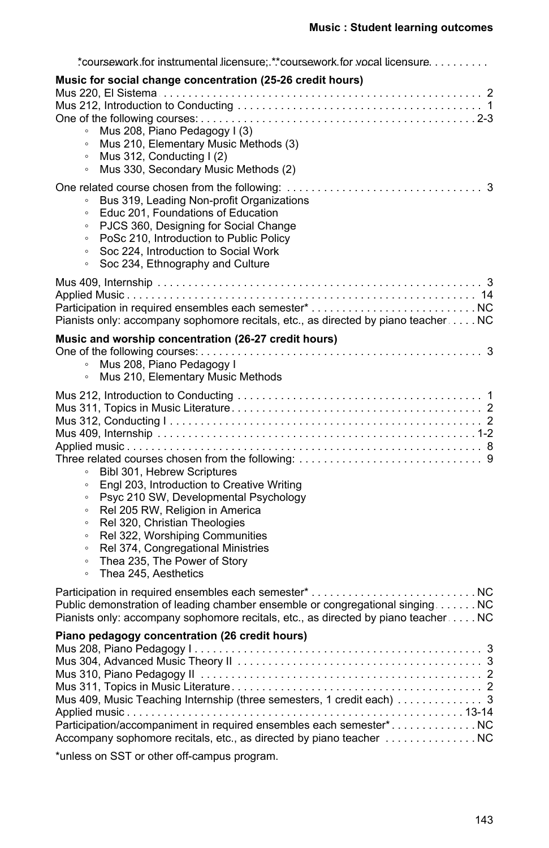| *coursework for instrumental licensure: **coursework for vocal licensure                                                                                                                                                                                                                                                                                                                                                   |
|----------------------------------------------------------------------------------------------------------------------------------------------------------------------------------------------------------------------------------------------------------------------------------------------------------------------------------------------------------------------------------------------------------------------------|
| Music for social change concentration (25-26 credit hours)<br>Mus 208, Piano Pedagogy I (3)<br>$\circ$<br>Mus 210, Elementary Music Methods (3)<br>$\circ$<br>Mus 312, Conducting I (2)<br>$\circ$<br>Mus 330, Secondary Music Methods (2)<br>$\circ$                                                                                                                                                                      |
| Bus 319, Leading Non-profit Organizations<br>$\circ$<br>Educ 201, Foundations of Education<br>$\circ$<br>PJCS 360, Designing for Social Change<br>$\circ$<br>PoSc 210, Introduction to Public Policy<br>$\circ$<br>Soc 224, Introduction to Social Work<br>$\circ$<br>Soc 234, Ethnography and Culture<br>$\circ$                                                                                                          |
| Pianists only: accompany sophomore recitals, etc., as directed by piano teacher NC                                                                                                                                                                                                                                                                                                                                         |
| Music and worship concentration (26-27 credit hours)<br>$\circ$<br>Mus 208, Piano Pedagogy I<br>Mus 210, Elementary Music Methods<br>$\circ$                                                                                                                                                                                                                                                                               |
| Bibl 301, Hebrew Scriptures<br>$\circ$<br>Engl 203, Introduction to Creative Writing<br>$\circ$<br>Psyc 210 SW, Developmental Psychology<br>$\circ$<br>Rel 205 RW, Religion in America<br>$\circ$<br>Rel 320, Christian Theologies<br>$\circ$<br>Rel 322, Worshiping Communities<br>$\circ$<br>Rel 374, Congregational Ministries<br>$\circ$<br>Thea 235, The Power of Story<br>$\circ$<br>Thea 245. Aesthetics<br>$\circ$ |
| Public demonstration of leading chamber ensemble or congregational singing NC<br>Pianists only: accompany sophomore recitals, etc., as directed by piano teacher NC                                                                                                                                                                                                                                                        |
| Piano pedagogy concentration (26 credit hours)<br>Mus 409, Music Teaching Internship (three semesters, 1 credit each) 3<br>Participation/accompaniment in required ensembles each semester*<br>Accompany sophomore recitals, etc., as directed by piano teacher  NC<br>*unless on SST or other off-campus program.                                                                                                         |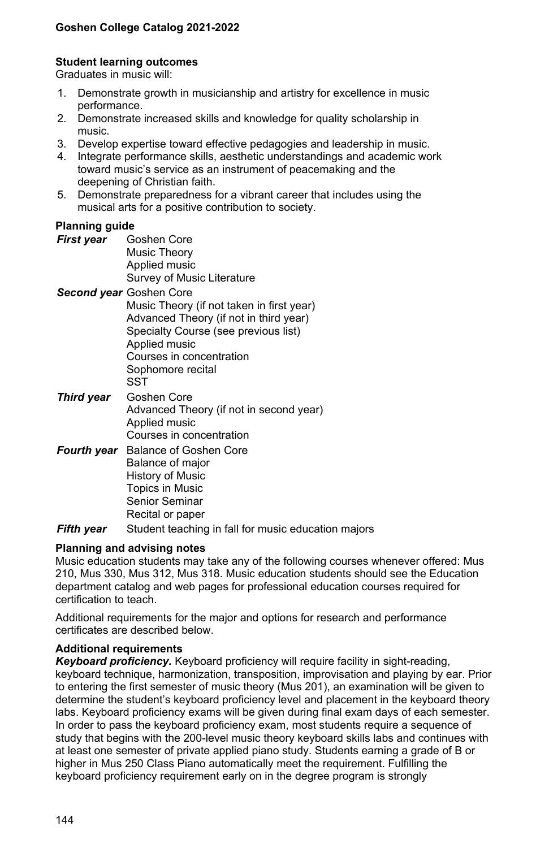#### **Student learning outcomes**

Graduates in music will:

- 1. Demonstrate growth in musicianship and artistry for excellence in music performance.
- 2. Demonstrate increased skills and knowledge for quality scholarship in music.
- 3. Develop expertise toward effective pedagogies and leadership in music.
- 4. Integrate performance skills, aesthetic understandings and academic work toward music's service as an instrument of peacemaking and the deepening of Christian faith.
- 5. Demonstrate preparedness for a vibrant career that includes using the musical arts for a positive contribution to society.

#### **Planning guide**

| First vear | Goshen Core                |
|------------|----------------------------|
|            | Music Theory               |
|            | Applied music              |
|            | Survey of Music Literature |

- *Second year* Goshen Core Music Theory (if not taken in first year) Advanced Theory (if not in third year) Specialty Course (see previous list) Applied music Courses in concentration Sophomore recital **SST** *Third year* Goshen Core
- Advanced Theory (if not in second year) Applied music Courses in concentration
- *Fourth year* Balance of Goshen Core Balance of major History of Music Topics in Music Senior Seminar Recital or paper
- **Fifth year** Student teaching in fall for music education majors

#### **Planning and advising notes**

Music education students may take any of the following courses whenever offered: Mus 210, Mus 330, Mus 312, Mus 318. Music education students should see the Education department catalog and web pages for professional education courses required for certification to teach.

Additional requirements for the major and options for research and performance certificates are described below.

#### **Additional requirements**

*Keyboard proficiency.* Keyboard proficiency will require facility in sight-reading, keyboard technique, harmonization, transposition, improvisation and playing by ear. Prior to entering the first semester of music theory (Mus 201), an examination will be given to determine the student's keyboard proficiency level and placement in the keyboard theory labs. Keyboard proficiency exams will be given during final exam days of each semester. In order to pass the keyboard proficiency exam, most students require a sequence of study that begins with the 200-level music theory keyboard skills labs and continues with at least one semester of private applied piano study. Students earning a grade of B or higher in Mus 250 Class Piano automatically meet the requirement. Fulfilling the keyboard proficiency requirement early on in the degree program is strongly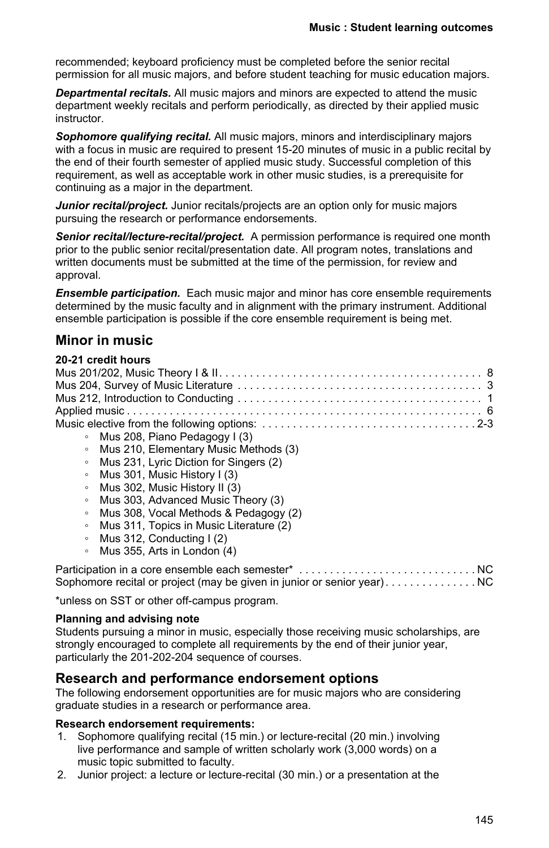recommended; keyboard proficiency must be completed before the senior recital permission for all music majors, and before student teaching for music education majors.

*Departmental recitals.* All music majors and minors are expected to attend the music department weekly recitals and perform periodically, as directed by their applied music instructor.

*Sophomore qualifying recital.* All music majors, minors and interdisciplinary majors with a focus in music are required to present 15-20 minutes of music in a public recital by the end of their fourth semester of applied music study. Successful completion of this requirement, as well as acceptable work in other music studies, is a prerequisite for continuing as a major in the department.

*Junior recital/project.* Junior recitals/projects are an option only for music majors pursuing the research or performance endorsements.

*Senior recital/lecture-recital/project.* A permission performance is required one month prior to the public senior recital/presentation date. All program notes, translations and written documents must be submitted at the time of the permission, for review and approval.

*Ensemble participation.* Each music major and minor has core ensemble requirements determined by the music faculty and in alignment with the primary instrument. Additional ensemble participation is possible if the core ensemble requirement is being met.

# **Minor in music**

#### **20-21 credit hours**

| • Mus 208, Piano Pedagogy I (3)          |
|------------------------------------------|
| Mus 210, Elementary Music Methods (3)    |
| • Mus 231, Lyric Diction for Singers (2) |
| • Mus 301, Music History $(3)$           |
| • Mus 302, Music History II (3)          |
| Mus 303, Advanced Music Theory (3)       |

- Mus 308, Vocal Methods & Pedagogy (2)
- Mus 311, Topics in Music Literature (2)
- Mus 312, Conducting I (2)
- Mus 355, Arts in London (4)

```
Participation in a core ensemble each semester* . . . . . . . . . . . . . . . . . . . . . . . . . . . . . . . . . . . . . . . . . . . . . . . . . . . . . . . . . . . . . . . . . . . NC
Sophomore recital or project (may be given in junior or senior year) . . . . . . . . . . . . . . . NC
```
\*unless on SST or other off-campus program.

### **Planning and advising note**

Students pursuing a minor in music, especially those receiving music scholarships, are strongly encouraged to complete all requirements by the end of their junior year. particularly the 201-202-204 sequence of courses.

## **Research and performance endorsement options**

The following endorsement opportunities are for music majors who are considering graduate studies in a research or performance area.

### **Research endorsement requirements:**

- 1. Sophomore qualifying recital (15 min.) or lecture-recital (20 min.) involving live performance and sample of written scholarly work (3,000 words) on a music topic submitted to faculty.
- 2. Junior project: a lecture or lecture-recital (30 min.) or a presentation at the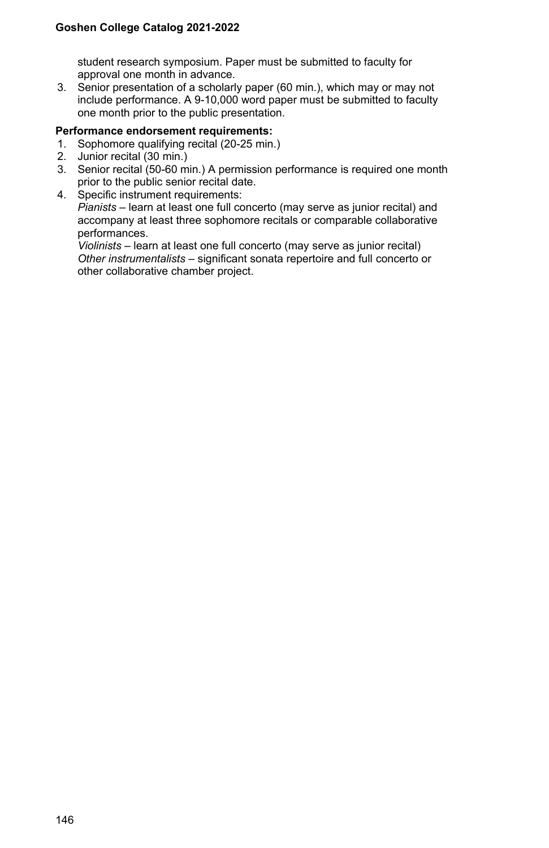student research symposium. Paper must be submitted to faculty for approval one month in advance.

3. Senior presentation of a scholarly paper (60 min.), which may or may not include performance. A 9-10,000 word paper must be submitted to faculty one month prior to the public presentation.

#### **Performance endorsement requirements:**

- 1. Sophomore qualifying recital (20-25 min.)
- 2. Junior recital (30 min.)
- 3. Senior recital (50-60 min.) A permission performance is required one month prior to the public senior recital date.
- 4. Specific instrument requirements: *Pianists* – learn at least one full concerto (may serve as junior recital) and accompany at least three sophomore recitals or comparable collaborative performances.

*Violinists* – learn at least one full concerto (may serve as junior recital) *Other instrumentalists* – significant sonata repertoire and full concerto or other collaborative chamber project.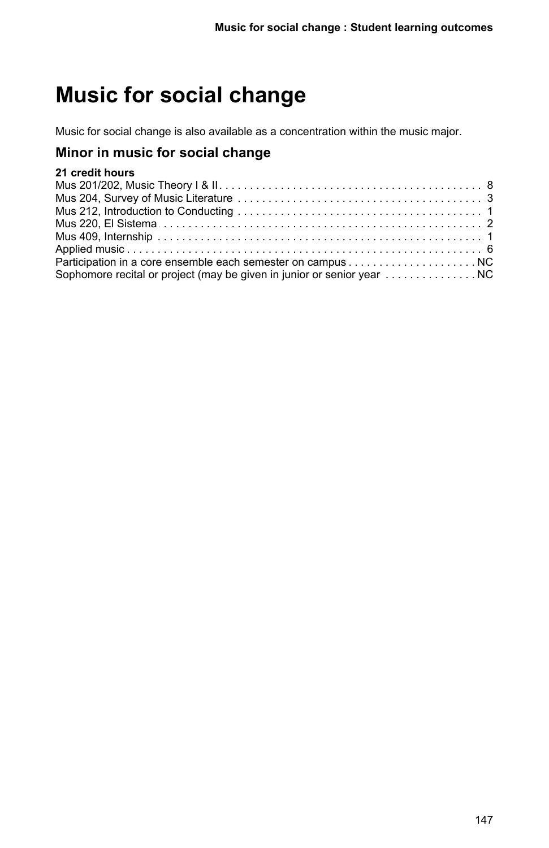# **Music for social change**

Music for social change is also available as a concentration within the music major.

# **Minor in music for social change**

# **21 credit hours**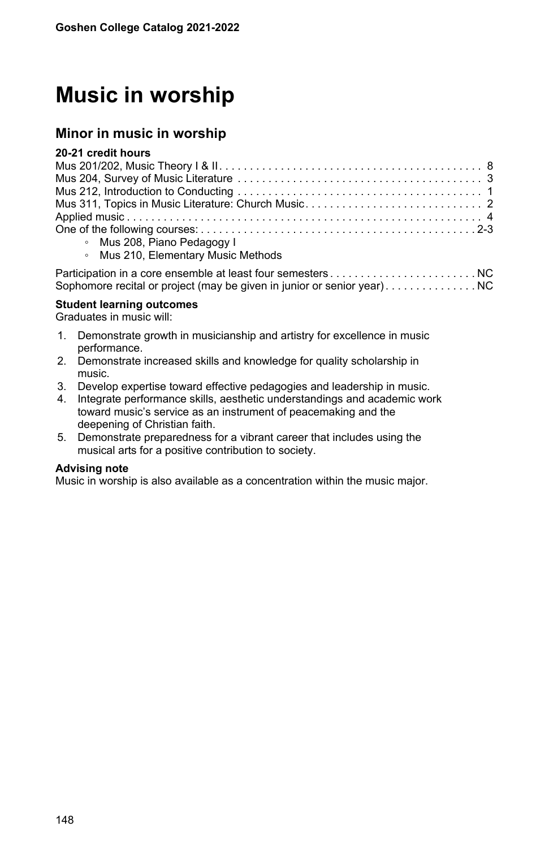# **Music in worship**

## **Minor in music in worship**

#### **20-21 credit hours**

| Mus 208, Piano Pedagogy I           |  |  |  |
|-------------------------------------|--|--|--|
| • Mus 210, Elementary Music Methods |  |  |  |
|                                     |  |  |  |

Participation in a core ensemble at least four semesters . . . . . . . . . . . . . . . . . . . . . . . . . . . . . . . . . . . . . . . . . . . . . . . . . . . . . . . . . . . . . . . . . . . NC Sophomore recital or project (may be given in junior or senior year) . . . . . . . . . . . . . . . NC

#### **Student learning outcomes**

Graduates in music will:

- 1. Demonstrate growth in musicianship and artistry for excellence in music performance.
- 2. Demonstrate increased skills and knowledge for quality scholarship in music.
- 3. Develop expertise toward effective pedagogies and leadership in music.
- 4. Integrate performance skills, aesthetic understandings and academic work toward music's service as an instrument of peacemaking and the deepening of Christian faith.
- 5. Demonstrate preparedness for a vibrant career that includes using the musical arts for a positive contribution to society.

#### **Advising note**

Music in worship is also available as a concentration within the music major.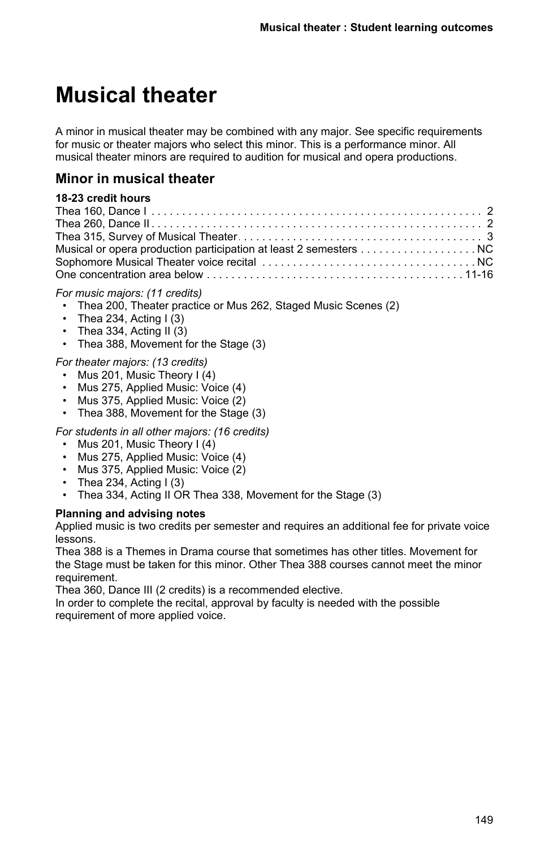# **Musical theater**

A minor in musical theater may be combined with any major. See specific requirements for music or theater majors who select this minor. This is a performance minor. All musical theater minors are required to audition for musical and opera productions.

# **Minor in musical theater**

## **18-23 credit hours**

| Musical or opera production participation at least 2 semesters NC |  |
|-------------------------------------------------------------------|--|
|                                                                   |  |
|                                                                   |  |

### *For music majors: (11 credits)*

- Thea 200, Theater practice or Mus 262, Staged Music Scenes (2)
- Thea 234, Acting  $I(3)$
- Thea 334, Acting II  $(3)$
- Thea 388, Movement for the Stage (3)

## *For theater majors: (13 credits)*

- Mus 201, Music Theory I (4)
- Mus 275, Applied Music: Voice (4)
- Mus 375, Applied Music: Voice (2)
- Thea 388, Movement for the Stage (3)

*For students in all other majors: (16 credits)*

- Mus 201, Music Theory I (4)
- Mus 275, Applied Music: Voice (4)
- Mus 375, Applied Music: Voice (2)
- Thea 234, Acting  $(3)$
- Thea 334, Acting II OR Thea 338, Movement for the Stage (3)

#### **Planning and advising notes**

Applied music is two credits per semester and requires an additional fee for private voice lessons.

Thea 388 is a Themes in Drama course that sometimes has other titles. Movement for the Stage must be taken for this minor. Other Thea 388 courses cannot meet the minor requirement.

Thea 360, Dance III (2 credits) is a recommended elective.

In order to complete the recital, approval by faculty is needed with the possible requirement of more applied voice.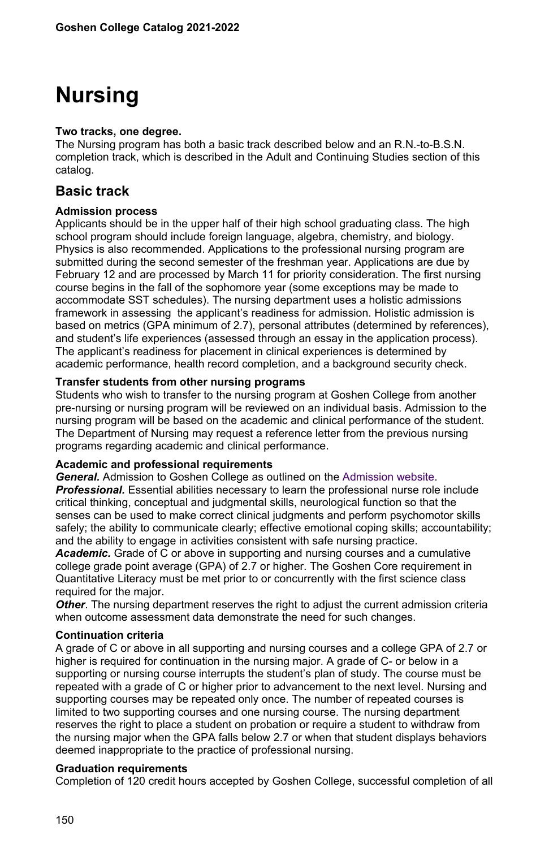# **Nursing**

#### **Two tracks, one degree.**

The Nursing program has both a basic track described below and an R.N.-to-B.S.N. completion track, which is described in the Adult and Continuing Studies section of this catalog.

# **Basic track**

### **Admission process**

Applicants should be in the upper half of their high school graduating class. The high school program should include foreign language, algebra, chemistry, and biology. Physics is also recommended. Applications to the professional nursing program are submitted during the second semester of the freshman year. Applications are due by February 12 and are processed by March 11 for priority consideration. The first nursing course begins in the fall of the sophomore year (some exceptions may be made to accommodate SST schedules). The nursing department uses a holistic admissions framework in assessing the applicant's readiness for admission. Holistic admission is based on metrics (GPA minimum of 2.7), personal attributes (determined by references), and student's life experiences (assessed through an essay in the application process). The applicant's readiness for placement in clinical experiences is determined by academic performance, health record completion, and a background security check.

### **Transfer students from other nursing programs**

Students who wish to transfer to the nursing program at Goshen College from another pre-nursing or nursing program will be reviewed on an individual basis. Admission to the nursing program will be based on the academic and clinical performance of the student. The Department of Nursing may request a reference letter from the previous nursing programs regarding academic and clinical performance.

#### **Academic and professional requirements**

*General.* Admission to Goshen College as outlined on the [Admission website](/admission). *Professional.* Essential abilities necessary to learn the professional nurse role include critical thinking, conceptual and judgmental skills, neurological function so that the senses can be used to make correct clinical judgments and perform psychomotor skills safely; the ability to communicate clearly; effective emotional coping skills; accountability; and the ability to engage in activities consistent with safe nursing practice.

*Academic.* Grade of C or above in supporting and nursing courses and a cumulative college grade point average (GPA) of 2.7 or higher. The Goshen Core requirement in Quantitative Literacy must be met prior to or concurrently with the first science class required for the major.

*Other*. The nursing department reserves the right to adjust the current admission criteria when outcome assessment data demonstrate the need for such changes.

#### **Continuation criteria**

A grade of C or above in all supporting and nursing courses and a college GPA of 2.7 or higher is required for continuation in the nursing major. A grade of C- or below in a supporting or nursing course interrupts the student's plan of study. The course must be repeated with a grade of C or higher prior to advancement to the next level. Nursing and supporting courses may be repeated only once. The number of repeated courses is limited to two supporting courses and one nursing course. The nursing department reserves the right to place a student on probation or require a student to withdraw from the nursing major when the GPA falls below 2.7 or when that student displays behaviors deemed inappropriate to the practice of professional nursing.

#### **Graduation requirements**

Completion of 120 credit hours accepted by Goshen College, successful completion of all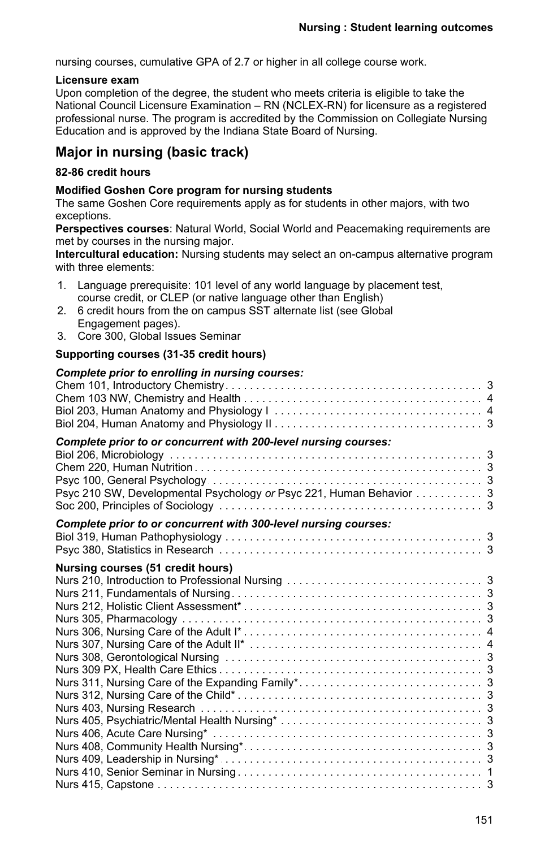nursing courses, cumulative GPA of 2.7 or higher in all college course work.

## **Licensure exam**

Upon completion of the degree, the student who meets criteria is eligible to take the National Council Licensure Examination – RN (NCLEX-RN) for licensure as a registered professional nurse. The program is accredited by the Commission on Collegiate Nursing Education and is approved by the Indiana State Board of Nursing.

# **Major in nursing (basic track)**

## **82-86 credit hours**

## **Modified Goshen Core program for nursing students**

The same Goshen Core requirements apply as for students in other majors, with two exceptions.

**Perspectives courses**: Natural World, Social World and Peacemaking requirements are met by courses in the nursing major.

**Intercultural education:** Nursing students may select an on-campus alternative program with three elements:

| 1. Language prerequisite: 101 level of any world language by placement test, |
|------------------------------------------------------------------------------|
| course credit, or CLEP (or native language other than English)               |

- 2. 6 credit hours from the on campus SST alternate list (see Global Engagement pages).
- 3. Core 300, Global Issues Seminar

## **Supporting courses (31-35 credit hours)**

| Complete prior to enrolling in nursing courses:                                                                                        |  |
|----------------------------------------------------------------------------------------------------------------------------------------|--|
| Complete prior to or concurrent with 200-level nursing courses:<br>Psyc 210 SW, Developmental Psychology or Psyc 221, Human Behavior 3 |  |
| Complete prior to or concurrent with 300-level nursing courses:                                                                        |  |
| Nursing courses (51 credit hours)                                                                                                      |  |
|                                                                                                                                        |  |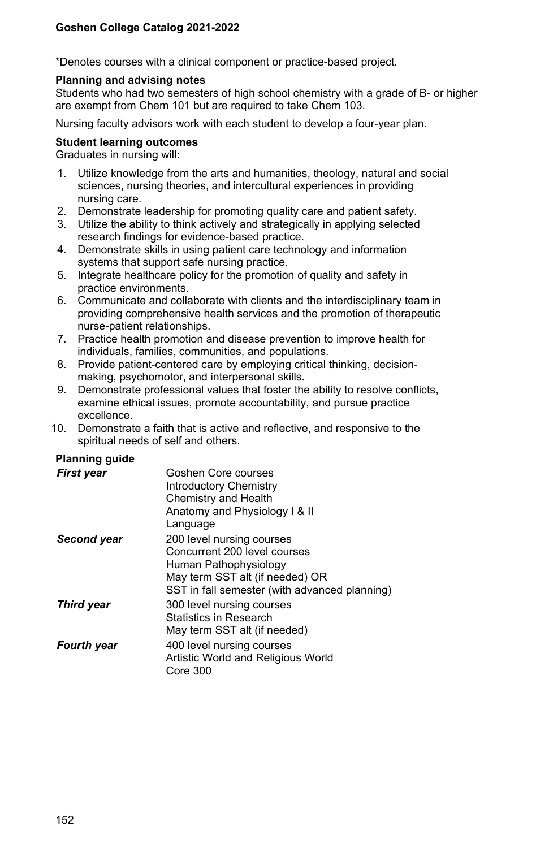\*Denotes courses with a clinical component or practice-based project.

#### **Planning and advising notes**

Students who had two semesters of high school chemistry with a grade of B- or higher are exempt from Chem 101 but are required to take Chem 103.

Nursing faculty advisors work with each student to develop a four-year plan.

### **Student learning outcomes**

Graduates in nursing will:

- 1. Utilize knowledge from the arts and humanities, theology, natural and social sciences, nursing theories, and intercultural experiences in providing nursing care.
- 2. Demonstrate leadership for promoting quality care and patient safety.
- 3. Utilize the ability to think actively and strategically in applying selected research findings for evidence-based practice.
- 4. Demonstrate skills in using patient care technology and information systems that support safe nursing practice.
- 5. Integrate healthcare policy for the promotion of quality and safety in practice environments.
- 6. Communicate and collaborate with clients and the interdisciplinary team in providing comprehensive health services and the promotion of therapeutic nurse-patient relationships.
- 7. Practice health promotion and disease prevention to improve health for individuals, families, communities, and populations.
- 8. Provide patient-centered care by employing critical thinking, decisionmaking, psychomotor, and interpersonal skills.
- 9. Demonstrate professional values that foster the ability to resolve conflicts, examine ethical issues, promote accountability, and pursue practice excellence.
- 10. Demonstrate a faith that is active and reflective, and responsive to the spiritual needs of self and others.

## **Planning guide**

| <b>First year</b>  | Goshen Core courses<br>Introductory Chemistry |
|--------------------|-----------------------------------------------|
|                    | Chemistry and Health                          |
|                    | Anatomy and Physiology I & II                 |
|                    | Language                                      |
| Second year        | 200 level nursing courses                     |
|                    | Concurrent 200 level courses                  |
|                    | Human Pathophysiology                         |
|                    | May term SST alt (if needed) OR               |
|                    | SST in fall semester (with advanced planning) |
| <b>Third year</b>  | 300 level nursing courses                     |
|                    | Statistics in Research                        |
|                    | May term SST alt (if needed)                  |
| <b>Fourth year</b> | 400 level nursing courses                     |
|                    | Artistic World and Religious World            |
|                    | Core 300                                      |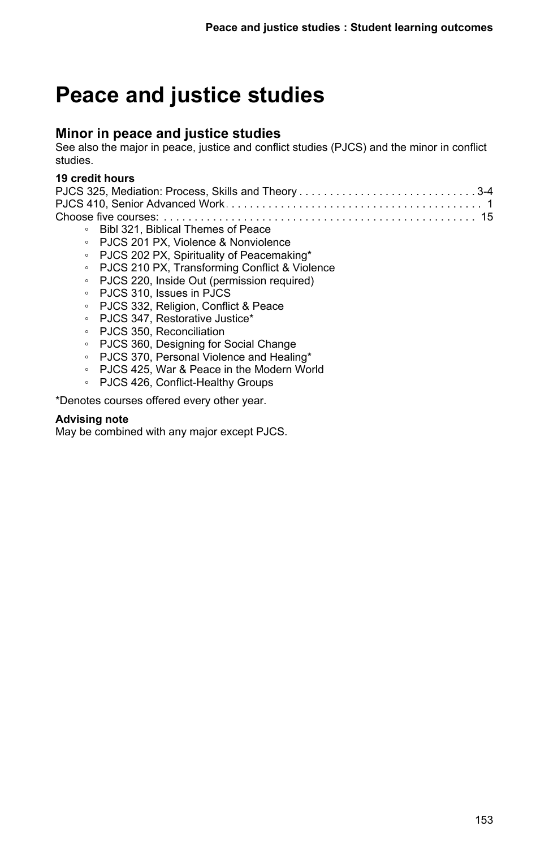# **Peace and justice studies**

# **Minor in peace and justice studies**

See also the major in peace, justice and conflict studies (PJCS) and the minor in conflict studies.

## **19 credit hours**

| PJCS 325, Mediation: Process, Skills and Theory3-4 |  |
|----------------------------------------------------|--|
|                                                    |  |
|                                                    |  |

- Bibl 321, Biblical Themes of Peace
- PJCS 201 PX, Violence & Nonviolence
- PJCS 202 PX, Spirituality of Peacemaking\*
- PJCS 210 PX, Transforming Conflict & Violence
- PJCS 220, Inside Out (permission required)
- PJCS 310, Issues in PJCS
- PJCS 332, Religion, Conflict & Peace
- PJCS 347, Restorative Justice\*
- PJCS 350, Reconciliation
- PJCS 360, Designing for Social Change
- PJCS 370, Personal Violence and Healing\*
- PJCS 425, War & Peace in the Modern World
- PJCS 426, Conflict-Healthy Groups

\*Denotes courses offered every other year.

#### **Advising note**

May be combined with any major except PJCS.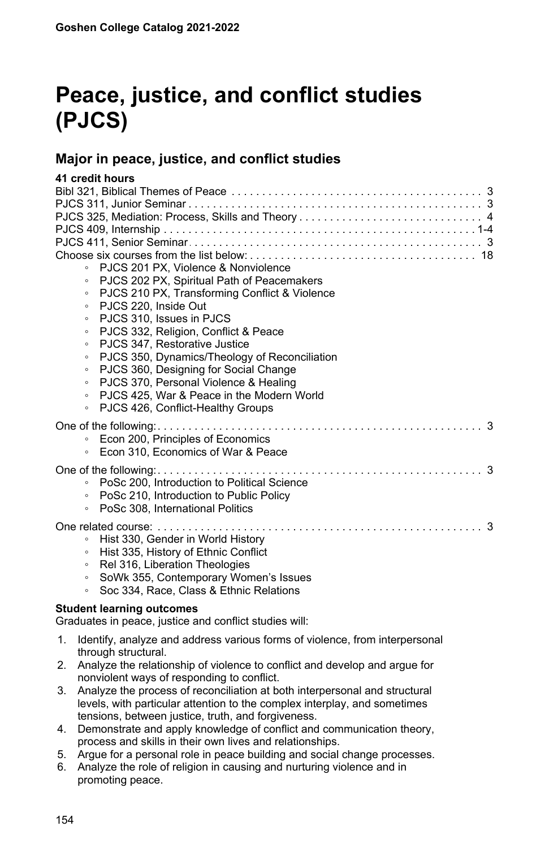# **Peace, justice, and conflict studies (PJCS)**

# **Major in peace, justice, and conflict studies**

## **41 credit hours**

| PJCS 201 PX. Violence & Nonviolence<br>$\circ$           |  |  |
|----------------------------------------------------------|--|--|
| PJCS 202 PX, Spiritual Path of Peacemakers<br>$\circ$    |  |  |
| PJCS 210 PX, Transforming Conflict & Violence<br>$\circ$ |  |  |
| PJCS 220, Inside Out<br>$\circ$                          |  |  |
| PJCS 310, Issues in PJCS<br>$\circ$                      |  |  |
| PJCS 332, Religion, Conflict & Peace<br>$\circ$          |  |  |
| PJCS 347. Restorative Justice<br>$\circ$                 |  |  |
| PJCS 350, Dynamics/Theology of Reconciliation<br>$\circ$ |  |  |
| PJCS 360, Designing for Social Change<br>$\circ$         |  |  |
| PJCS 370, Personal Violence & Healing<br>$\circ$         |  |  |
| PJCS 425, War & Peace in the Modern World<br>$\circ$     |  |  |
| PJCS 426, Conflict-Healthy Groups<br>$\circ$             |  |  |
|                                                          |  |  |
| Econ 200, Principles of Economics<br>$\circ$             |  |  |
| Econ 310. Economics of War & Peace<br>$\circ$            |  |  |
|                                                          |  |  |
|                                                          |  |  |
| PoSc 200, Introduction to Political Science<br>$\circ$   |  |  |
| PoSc 210, Introduction to Public Policy<br>$\circ$       |  |  |
| PoSc 308, International Politics<br>$\circ$              |  |  |
|                                                          |  |  |
| Hist 330, Gender in World History<br>$\circ$             |  |  |
| Hist 335, History of Ethnic Conflict<br>$\circ$          |  |  |
| Rel 316, Liberation Theologies<br>$\circ$                |  |  |
| SoWk 355, Contemporary Women's Issues<br>$\circ$         |  |  |
| Soc 334, Race, Class & Ethnic Relations<br>$\circ$       |  |  |
| <b>Student learning outcomes</b>                         |  |  |

Graduates in peace, justice and conflict studies will:

- 1. Identify, analyze and address various forms of violence, from interpersonal through structural.
- 2. Analyze the relationship of violence to conflict and develop and argue for nonviolent ways of responding to conflict.
- 3. Analyze the process of reconciliation at both interpersonal and structural levels, with particular attention to the complex interplay, and sometimes tensions, between justice, truth, and forgiveness.
- 4. Demonstrate and apply knowledge of conflict and communication theory, process and skills in their own lives and relationships.
- 5. Argue for a personal role in peace building and social change processes.
- 6. Analyze the role of religion in causing and nurturing violence and in promoting peace.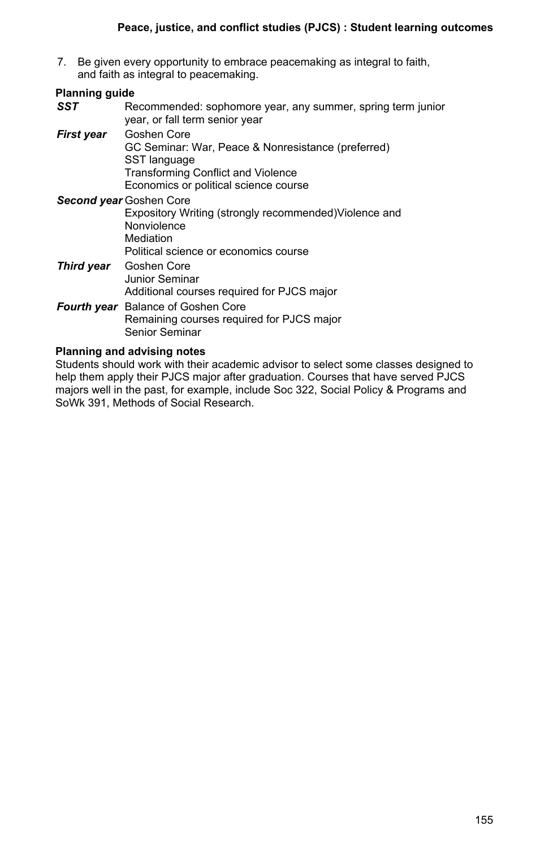7. Be given every opportunity to embrace peacemaking as integral to faith, and faith as integral to peacemaking.

#### **Planning guide** *SST* Recommended: sophomore year, any summer, spring term junior year, or fall term senior year *First year* Goshen Core GC Seminar: War, Peace & Nonresistance (preferred) SST language Transforming Conflict and Violence Economics or political science course *Second year* Goshen Core Expository Writing (strongly recommended)Violence and **Nonviolence** Mediation Political science or economics course *Third year* Goshen Core Junior Seminar Additional courses required for PJCS major

*Fourth year* Balance of Goshen Core Remaining courses required for PJCS major Senior Seminar

### **Planning and advising notes**

Students should work with their academic advisor to select some classes designed to help them apply their PJCS major after graduation. Courses that have served PJCS majors well in the past, for example, include Soc 322, Social Policy & Programs and SoWk 391, Methods of Social Research.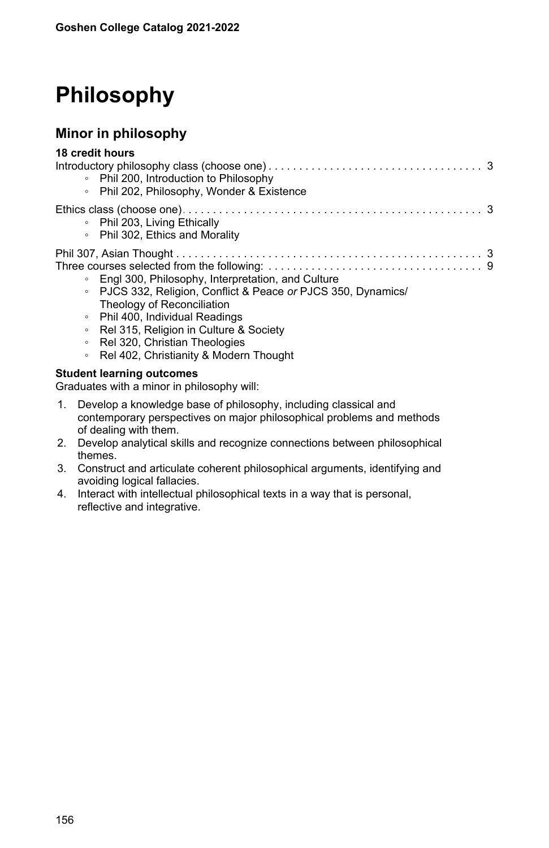# **Philosophy**

# **Minor in philosophy**

| 18 credit hours |                                                               |  |  |
|-----------------|---------------------------------------------------------------|--|--|
|                 | • Phil 200, Introduction to Philosophy                        |  |  |
|                 | • Phil 202, Philosophy, Wonder & Existence                    |  |  |
|                 |                                                               |  |  |
|                 | • Phil 203, Living Ethically                                  |  |  |
|                 | • Phil 302, Ethics and Morality                               |  |  |
|                 |                                                               |  |  |
|                 |                                                               |  |  |
|                 | • Engl 300, Philosophy, Interpretation, and Culture           |  |  |
|                 | • PJCS 332, Religion, Conflict & Peace or PJCS 350, Dynamics/ |  |  |
|                 | Theology of Reconciliation                                    |  |  |
|                 | • Phil 400, Individual Readings                               |  |  |
| $\circ$         | Rel 315, Religion in Culture & Society                        |  |  |
| $\circ$         | Rel 320, Christian Theologies                                 |  |  |
| $\circ$         | Rel 402, Christianity & Modern Thought                        |  |  |
|                 |                                                               |  |  |

## **Student learning outcomes**

Graduates with a minor in philosophy will:

- 1. Develop a knowledge base of philosophy, including classical and contemporary perspectives on major philosophical problems and methods of dealing with them.
- 2. Develop analytical skills and recognize connections between philosophical themes.
- 3. Construct and articulate coherent philosophical arguments, identifying and avoiding logical fallacies.
- 4. Interact with intellectual philosophical texts in a way that is personal, reflective and integrative.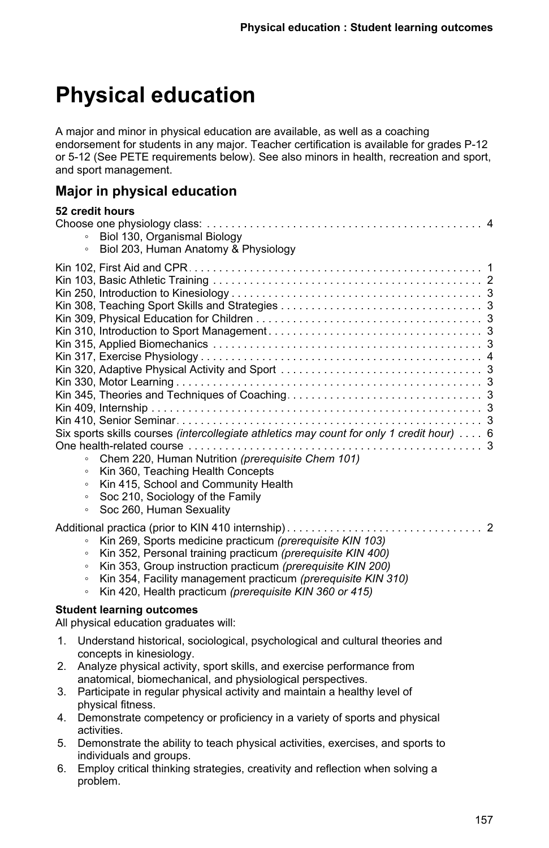# **Physical education**

A major and minor in physical education are available, as well as a coaching endorsement for students in any major. Teacher certification is available for grades P-12 or 5-12 (See PETE requirements below). See also minors in health, recreation and sport, and sport management.

# **Major in physical education**

| 52 credit hours |                                                                                           |  |
|-----------------|-------------------------------------------------------------------------------------------|--|
|                 |                                                                                           |  |
| $\circ$         | Biol 130, Organismal Biology                                                              |  |
| $\circ$         | Biol 203, Human Anatomy & Physiology                                                      |  |
|                 |                                                                                           |  |
|                 |                                                                                           |  |
|                 |                                                                                           |  |
|                 |                                                                                           |  |
|                 |                                                                                           |  |
|                 |                                                                                           |  |
|                 |                                                                                           |  |
|                 |                                                                                           |  |
|                 |                                                                                           |  |
|                 |                                                                                           |  |
|                 |                                                                                           |  |
|                 |                                                                                           |  |
|                 |                                                                                           |  |
|                 | Six sports skills courses (intercollegiate athletics may count for only 1 credit hour)  6 |  |
|                 |                                                                                           |  |
| $\circ$         | Chem 220, Human Nutrition (prerequisite Chem 101)                                         |  |
| $\circ$         | Kin 360, Teaching Health Concepts                                                         |  |
| $\circ$         | Kin 415, School and Community Health                                                      |  |
| $\circ$         | Soc 210, Sociology of the Family                                                          |  |
| $\circ$         | Soc 260, Human Sexuality                                                                  |  |
|                 |                                                                                           |  |
| $\circ$         | Kin 269, Sports medicine practicum (prerequisite KIN 103)                                 |  |
| $\circ$         | Kin 352, Personal training practicum (prerequisite KIN 400)                               |  |
| $\circ$         | Kin 353, Group instruction practicum (prerequisite KIN 200)                               |  |
| $\circ$         | Kin 354, Facility management practicum (prerequisite KIN 310)                             |  |
| $\circ$         | Kin 420, Health practicum (prerequisite KIN 360 or 415)                                   |  |
|                 | <b>Student learning outcomes</b>                                                          |  |
|                 | All physical education graduates will:                                                    |  |

- 1. Understand historical, sociological, psychological and cultural theories and concepts in kinesiology.
- 2. Analyze physical activity, sport skills, and exercise performance from anatomical, biomechanical, and physiological perspectives.
- 3. Participate in regular physical activity and maintain a healthy level of physical fitness.
- 4. Demonstrate competency or proficiency in a variety of sports and physical activities.
- 5. Demonstrate the ability to teach physical activities, exercises, and sports to individuals and groups.
- 6. Employ critical thinking strategies, creativity and reflection when solving a problem.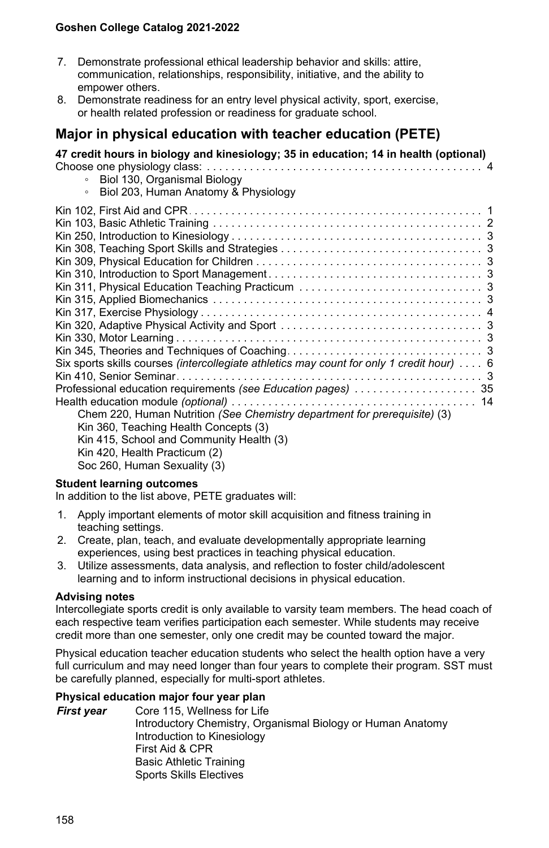- 7. Demonstrate professional ethical leadership behavior and skills: attire, communication, relationships, responsibility, initiative, and the ability to empower others.
- 8. Demonstrate readiness for an entry level physical activity, sport, exercise, or health related profession or readiness for graduate school.

# **Major in physical education with teacher education (PETE)**

**47 credit hours in biology and kinesiology; 35 in education; 14 in health (optional)** Choose one physiology class: . . . . . . . . . . . . . . . . . . . . . . . . . . . . . . . . . . . . . . . . . . . . . . . . . . . . . . . . . . . . . . . . . . .4

- Biol 130, Organismal Biology Biol 203, Human Anatomy & Physiology
- Kin 102, First Aid and CPR . . . . . . . . . . . . . . . . . . . . . . . . . . . . . . . . . . . . . . . . . . . . . . . . . . . . . . . . . . . . . . . . . . .1 Kin 103, Basic Athletic Training . . . . . . . . . . . . . . . . . . . . . . . . . . . . . . . . . . . . . . . . . . . . . . . . . . . . . . . . . . . . . . . . . . .2 Kin 250, Introduction to Kinesiology . . . . . . . . . . . . . . . . . . . . . . . . . . . . . . . . . . . . . . . . . . . . . . . . . . . . . . . . . . . . . . . . . . .3 Kin 308, Teaching Sport Skills and Strategies . . . . . . . . . . . . . . . . . . . . . . . . . . . . . . . . . . . . . . . . . . . . . . . . . . . . . . . . . . . . . . . . . . .3 Kin 309, Physical Education for Children . . . . . . . . . . . . . . . . . . . . . . . . . . . . . . . . . . . . . . . . . . . . . . . . . . . . . . . . . . . . . . . . . . .3 Kin 310, Introduction to Sport Management . . . . . . . . . . . . . . . . . . . . . . . . . . . . . . . . . . . . . . . . . . . . . . . . . . . . . . . . . . . . . . . . . . .3 Kin 311, Physical Education Teaching Practicum . . . . . . . . . . . . . . . . . . . . . . . . . . . . . . . . . . . . . . . . . . . . . . . . . . . . . . . . . . . . . . . . . . .3 Kin 315, Applied Biomechanics . . . . . . . . . . . . . . . . . . . . . . . . . . . . . . . . . . . . . . . . . . . . . . . . . . . . . . . . . . . . . . . . . . .3 Kin 317, Exercise Physiology . . . . . . . . . . . . . . . . . . . . . . . . . . . . . . . . . . . . . . . . . . . . . . . . . . . . . . . . . . . . . . . . . . .4 Kin 320, Adaptive Physical Activity and Sport . . . . . . . . . . . . . . . . . . . . . . . . . . . . . . . . . . . . . . . . . . . . . . . . . . . . . . . . . . . . . . . . . . .3 Kin 330, Motor Learning . . . . . . . . . . . . . . . . . . . . . . . . . . . . . . . . . . . . . . . . . . . . . . . . . . . . . . . . . . . . . . . . . . .3 Kin 345, Theories and Techniques of Coaching . . . . . . . . . . . . . . . . . . . . . . . . . . . . . . . . . . . . . . . . . . . . . . . . . . . . . . . . . . . . . . . . . . .3 Six sports skills courses (intercollegiate athletics may count for only 1 credit hour) ... . 6 Kin 410, Senior Seminar . . . . . . . . . . . . . . . . . . . . . . . . . . . . . . . . . . . . . . . . . . . . . . . . . . . . . . . . . . . . . . . . . . .3 Professional education requirements . . . . . . . . . . . . . . . . . . . . . . . . . . . . . . . . . . . . . . . . . . . . . . . . . . . . . . . . . . . . . . . . . . . *(see Education pages)* 35 Health education module . . . . . . . . . . . . . . . . . . . . . . . . . . . . . . . . . . . . . . . . . . . . . . . . . . . . . . . . . . . . . . . . . . . *(optional)* 14 Chem 220, Human Nutrition *(See Chemistry department for prerequisite)* (3)

Kin 360, Teaching Health Concepts (3)

Kin 415, School and Community Health (3)

Kin 420, Health Practicum (2)

Soc 260, Human Sexuality (3)

#### **Student learning outcomes**

In addition to the list above, PETE graduates will:

- 1. Apply important elements of motor skill acquisition and fitness training in teaching settings.
- 2. Create, plan, teach, and evaluate developmentally appropriate learning experiences, using best practices in teaching physical education.
- 3. Utilize assessments, data analysis, and reflection to foster child/adolescent learning and to inform instructional decisions in physical education.

### **Advising notes**

Intercollegiate sports credit is only available to varsity team members. The head coach of each respective team verifies participation each semester. While students may receive credit more than one semester, only one credit may be counted toward the major.

Physical education teacher education students who select the health option have a very full curriculum and may need longer than four years to complete their program. SST must be carefully planned, especially for multi-sport athletes.

### **Physical education major four year plan**

*First year* Core 115, Wellness for Life Introductory Chemistry, Organismal Biology or Human Anatomy Introduction to Kinesiology First Aid & CPR Basic Athletic Training Sports Skills Electives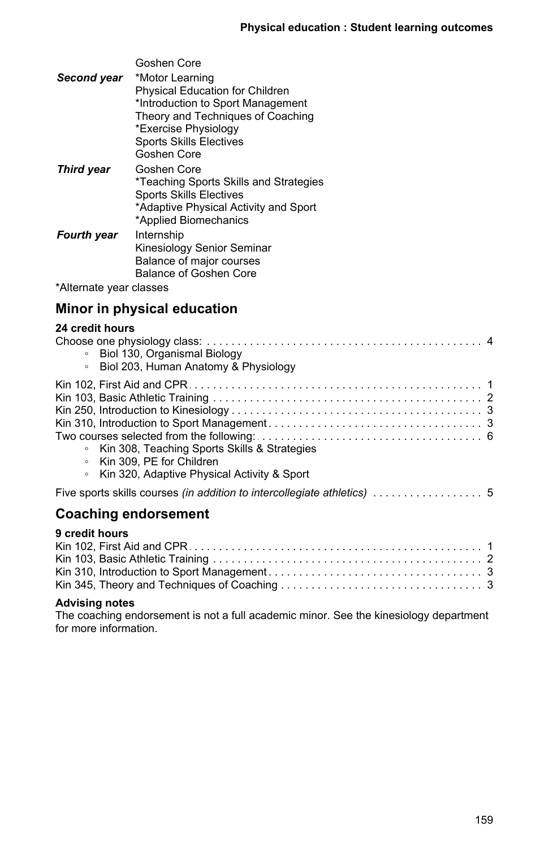| Goshen Core                            |
|----------------------------------------|
| *Motor Learning                        |
| <b>Physical Education for Children</b> |
| *Introduction to Sport Management      |
| Theory and Techniques of Coaching      |
| *Exercise Physiology                   |
| <b>Sports Skills Electives</b>         |
| Goshen Core                            |
| Goshen Core                            |
| *Teaching Sports Skills and Strategies |
| <b>Sports Skills Electives</b>         |
| *Adaptive Physical Activity and Sport  |
| *Applied Biomechanics                  |
| Internship                             |
| Kinesiology Senior Seminar             |
| Balance of major courses               |
| Balance of Goshen Core                 |
| *Alternate year classes                |
|                                        |

# **Minor in physical education**

# **24 credit hours**

| • Biol 130, Organismal Biology<br>Biol 203, Human Anatomy & Physiology<br>$\circ$                                                               |  |  |  |
|-------------------------------------------------------------------------------------------------------------------------------------------------|--|--|--|
| Kin 308, Teaching Sports Skills & Strategies<br>$\circ$<br>○ Kin 309. PE for Children<br>Kin 320, Adaptive Physical Activity & Sport<br>$\circ$ |  |  |  |
|                                                                                                                                                 |  |  |  |
| <b>Coaching endorsement</b>                                                                                                                     |  |  |  |
| 9 credit hours                                                                                                                                  |  |  |  |

#### **Advising notes**

The coaching endorsement is not a full academic minor. See the kinesiology department for more information.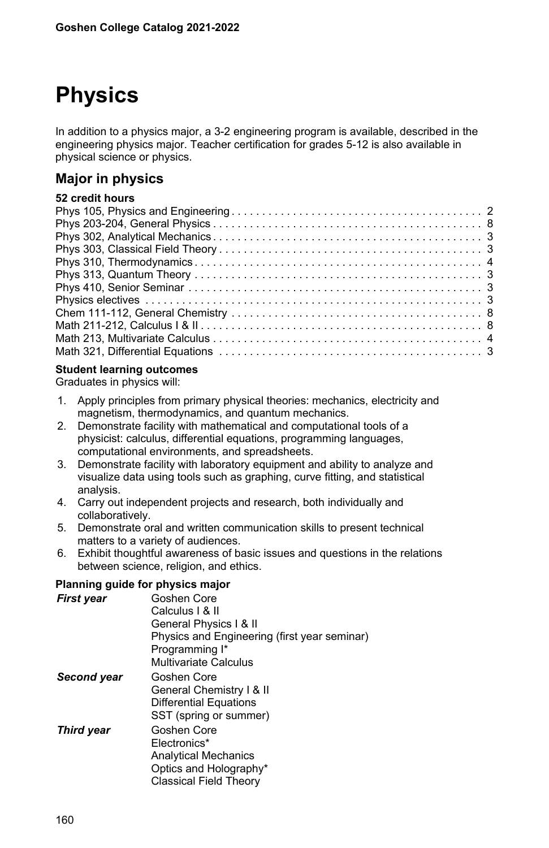# **Physics**

In addition to a physics major, a 3-2 engineering program is available, described in the engineering physics major. Teacher certification for grades 5-12 is also available in physical science or physics.

# **Major in physics**

## **52 credit hours**

## **Student learning outcomes**

Graduates in physics will:

- 1. Apply principles from primary physical theories: mechanics, electricity and magnetism, thermodynamics, and quantum mechanics.
- 2. Demonstrate facility with mathematical and computational tools of a physicist: calculus, differential equations, programming languages, computational environments, and spreadsheets.
- 3. Demonstrate facility with laboratory equipment and ability to analyze and visualize data using tools such as graphing, curve fitting, and statistical analysis.
- 4. Carry out independent projects and research, both individually and collaboratively.
- 5. Demonstrate oral and written communication skills to present technical matters to a variety of audiences.
- 6. Exhibit thoughtful awareness of basic issues and questions in the relations between science, religion, and ethics.

### **Planning guide for physics major**

| First year        | Goshen Core                                  |
|-------------------|----------------------------------------------|
|                   |                                              |
|                   | Calculus I & II                              |
|                   | General Physics   & II                       |
|                   | Physics and Engineering (first year seminar) |
|                   | Programming I*                               |
|                   | <b>Multivariate Calculus</b>                 |
|                   |                                              |
| Second year       | Goshen Core                                  |
|                   | General Chemistry   & II                     |
|                   | Differential Equations                       |
|                   | SST (spring or summer)                       |
|                   |                                              |
| <b>Third year</b> | Goshen Core                                  |
|                   | Electronics*                                 |
|                   | <b>Analytical Mechanics</b>                  |
|                   | Optics and Holography*                       |
|                   | Classical Field Theory                       |
|                   |                                              |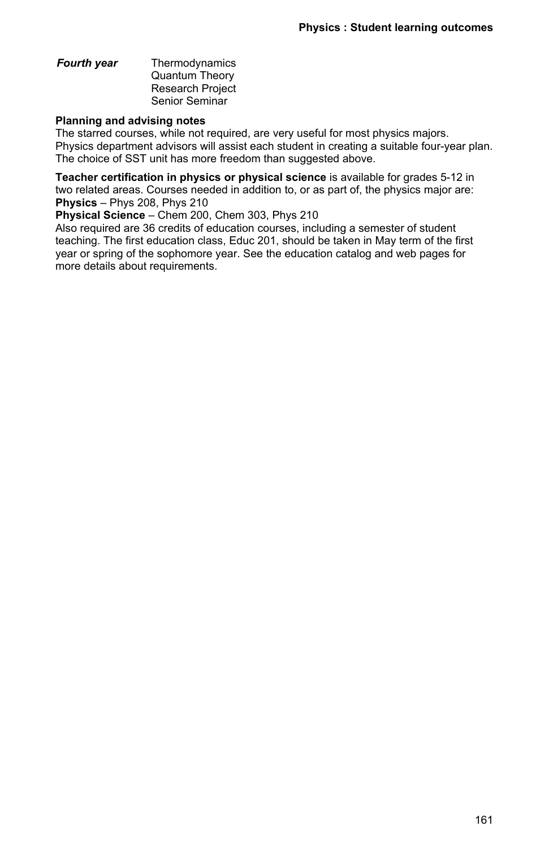#### *Fourth year* Thermodynamics Quantum Theory Research Project Senior Seminar

#### **Planning and advising notes**

The starred courses, while not required, are very useful for most physics majors. Physics department advisors will assist each student in creating a suitable four-year plan. The choice of SST unit has more freedom than suggested above.

**Teacher certification in physics or physical science** is available for grades 5-12 in two related areas. Courses needed in addition to, or as part of, the physics major are: **Physics** – Phys 208, Phys 210

**Physical Science** – Chem 200, Chem 303, Phys 210

Also required are 36 credits of education courses, including a semester of student teaching. The first education class, Educ 201, should be taken in May term of the first year or spring of the sophomore year. See the education catalog and web pages for more details about requirements.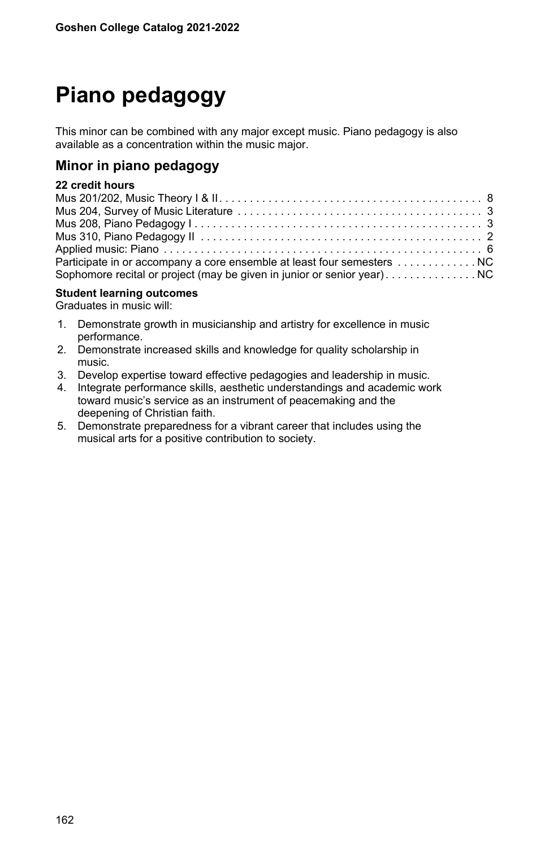# **Piano pedagogy**

This minor can be combined with any major except music. Piano pedagogy is also available as a concentration within the music major.

## **Minor in piano pedagogy**

## **22 credit hours**

| Participate in or accompany a core ensemble at least four semesters NC |  |
|------------------------------------------------------------------------|--|
|                                                                        |  |

#### **Student learning outcomes**

Graduates in music will:

- 1. Demonstrate growth in musicianship and artistry for excellence in music performance.
- 2. Demonstrate increased skills and knowledge for quality scholarship in music.
- 3. Develop expertise toward effective pedagogies and leadership in music.
- 4. Integrate performance skills, aesthetic understandings and academic work toward music's service as an instrument of peacemaking and the deepening of Christian faith.
- 5. Demonstrate preparedness for a vibrant career that includes using the musical arts for a positive contribution to society.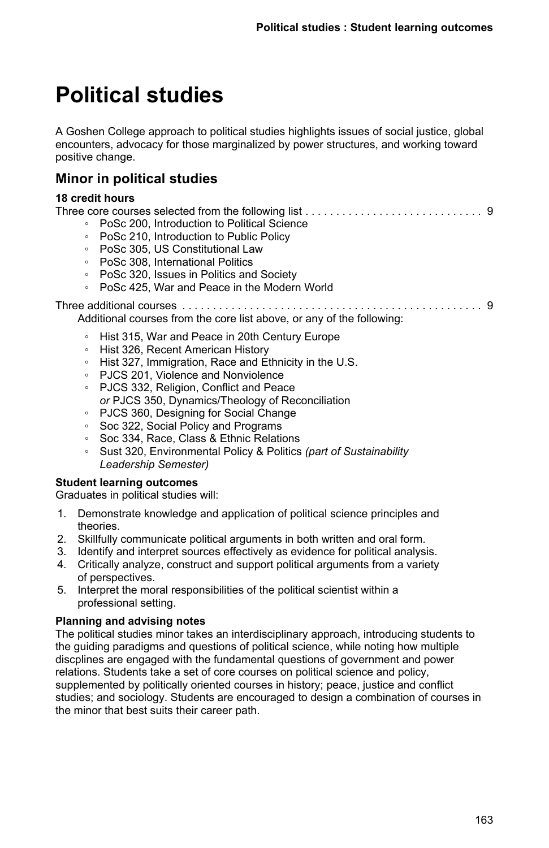# **Political studies**

A Goshen College approach to political studies highlights issues of social justice, global encounters, advocacy for those marginalized by power structures, and working toward positive change.

# **Minor in political studies**

### **18 credit hours**

|                                                                       | • PoSc 200, Introduction to Political Science |  |
|-----------------------------------------------------------------------|-----------------------------------------------|--|
|                                                                       | • PoSc 210, Introduction to Public Policy     |  |
|                                                                       | • PoSc 305, US Constitutional Law             |  |
|                                                                       | • PoSc 308. International Politics            |  |
|                                                                       | • PoSc 320, Issues in Politics and Society    |  |
|                                                                       | • PoSc 425. War and Peace in the Modern World |  |
| Additional courses from the core list above, or any of the following: |                                               |  |
|                                                                       |                                               |  |

- Hist 315, War and Peace in 20th Century Europe
- Hist 326, Recent American History
- Hist 327, Immigration, Race and Ethnicity in the U.S.
- PJCS 201, Violence and Nonviolence
- PJCS 332, Religion, Conflict and Peace
- *or* PJCS 350, Dynamics/Theology of Reconciliation
- PJCS 360, Designing for Social Change
- Soc 322, Social Policy and Programs
- Soc 334, Race, Class & Ethnic Relations
- Sust 320, Environmental Policy & Politics *(part of Sustainability Leadership Semester)*

#### **Student learning outcomes**

Graduates in political studies will:

- 1. Demonstrate knowledge and application of political science principles and theories.
- 2. Skillfully communicate political arguments in both written and oral form.
- 3. Identify and interpret sources effectively as evidence for political analysis.
- 4. Critically analyze, construct and support political arguments from a variety of perspectives.
- 5. Interpret the moral responsibilities of the political scientist within a professional setting.

## **Planning and advising notes**

The political studies minor takes an interdisciplinary approach, introducing students to the guiding paradigms and questions of political science, while noting how multiple discplines are engaged with the fundamental questions of government and power relations. Students take a set of core courses on political science and policy, supplemented by politically oriented courses in history; peace, justice and conflict studies; and sociology. Students are encouraged to design a combination of courses in the minor that best suits their career path.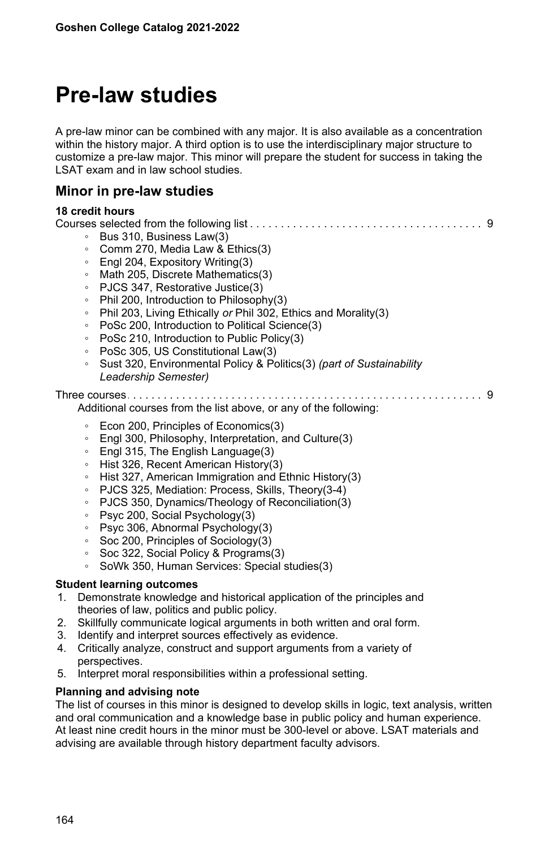# **Pre-law studies**

A pre-law minor can be combined with any major. It is also available as a concentration within the history major. A third option is to use the interdisciplinary major structure to customize a pre-law major. This minor will prepare the student for success in taking the LSAT exam and in law school studies.

## **Minor in pre-law studies**

#### **18 credit hours**

|    | Bus 310, Business Law(3)<br>$\circ$                                             |  |  |
|----|---------------------------------------------------------------------------------|--|--|
|    | Comm 270, Media Law & Ethics(3)<br>$\circ$                                      |  |  |
|    | Engl 204, Expository Writing(3)<br>$\circ$                                      |  |  |
|    | Math 205, Discrete Mathematics(3)<br>$\circ$                                    |  |  |
|    | PJCS 347, Restorative Justice(3)<br>$\circ$                                     |  |  |
|    | Phil 200, Introduction to Philosophy(3)<br>$\circ$                              |  |  |
|    | Phil 203, Living Ethically or Phil 302, Ethics and Morality(3)<br>$\circ$       |  |  |
|    | PoSc 200, Introduction to Political Science(3)<br>$\circ$                       |  |  |
|    | PoSc 210, Introduction to Public Policy(3)<br>$\circ$                           |  |  |
|    | PoSc 305, US Constitutional Law(3)<br>$\circ$                                   |  |  |
|    | Sust 320, Environmental Policy & Politics(3) (part of Sustainability<br>$\circ$ |  |  |
|    | Leadership Semester)                                                            |  |  |
|    | Additional courses from the list above, or any of the following:                |  |  |
|    | Econ 200, Principles of Economics(3)<br>$\circ$                                 |  |  |
|    | Engl 300, Philosophy, Interpretation, and Culture(3)<br>$\circ$                 |  |  |
|    | Engl 315, The English Language(3)<br>$\circ$                                    |  |  |
|    | Hist 326, Recent American History(3)<br>$\circ$                                 |  |  |
|    | Hist 327, American Immigration and Ethnic History(3)<br>$\circ$                 |  |  |
|    | PJCS 325, Mediation: Process, Skills, Theory (3-4)<br>$\circ$                   |  |  |
|    | PJCS 350, Dynamics/Theology of Reconciliation(3)<br>$\circ$                     |  |  |
|    | Psyc 200, Social Psychology(3)<br>$\circ$                                       |  |  |
|    | Psyc 306, Abnormal Psychology(3)<br>$\circ$                                     |  |  |
|    | Soc 200, Principles of Sociology(3)<br>$\circ$                                  |  |  |
|    | Soc 322, Social Policy & Programs(3)<br>$\circ$                                 |  |  |
|    | SoWk 350, Human Services: Special studies(3)<br>$\circ$                         |  |  |
|    | <b>Student learning outcomes</b>                                                |  |  |
| 1. | Demonstrate knowledge and historical application of the principles and          |  |  |
|    | theories of law, politics and public policy.                                    |  |  |
| 2. | Skillfully communicate logical arguments in both written and oral form.         |  |  |
| 3. | Identify and interpret sources effectively as evidence.                         |  |  |
| 4. | Critically analyze, construct and support arguments from a variety of           |  |  |
|    | perspectives.                                                                   |  |  |
| 5. | Interpret moral responsibilities within a professional setting.                 |  |  |

#### **Planning and advising note**

The list of courses in this minor is designed to develop skills in logic, text analysis, written and oral communication and a knowledge base in public policy and human experience. At least nine credit hours in the minor must be 300-level or above. LSAT materials and advising are available through history department faculty advisors.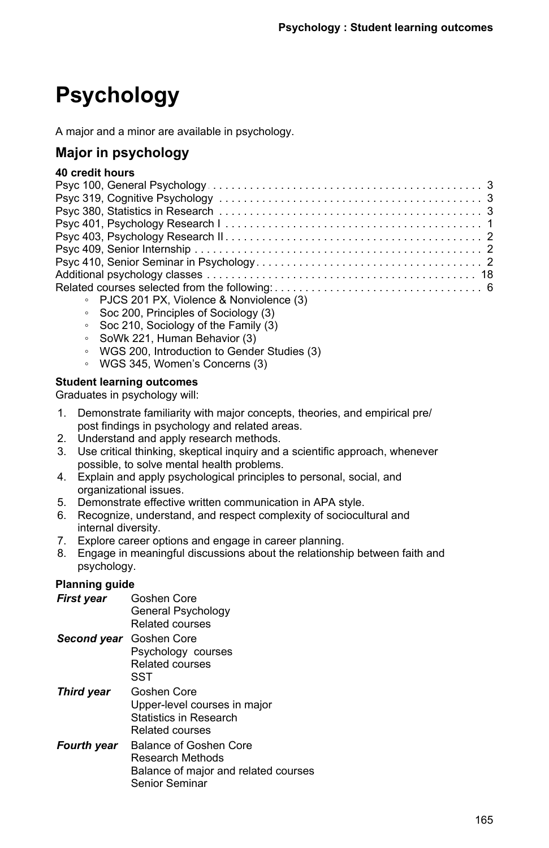# **Psychology**

A major and a minor are available in psychology.

# **Major in psychology**

## **40 credit hours**

| • PJCS 201 PX, Violence & Nonviolence (3) |
|-------------------------------------------|

- Soc 200, Principles of Sociology (3)
- Soc 210, Sociology of the Family (3)
- SoWk 221, Human Behavior (3)
- WGS 200, Introduction to Gender Studies (3)
- WGS 345, Women's Concerns (3)

### **Student learning outcomes**

Graduates in psychology will:

- 1. Demonstrate familiarity with major concepts, theories, and empirical pre/ post findings in psychology and related areas.
- 2. Understand and apply research methods.
- 3. Use critical thinking, skeptical inquiry and a scientific approach, whenever possible, to solve mental health problems.
- 4. Explain and apply psychological principles to personal, social, and organizational issues.
- 5. Demonstrate effective written communication in APA style.
- 6. Recognize, understand, and respect complexity of sociocultural and internal diversity.
- 7. Explore career options and engage in career planning.
- 8. Engage in meaningful discussions about the relationship between faith and psychology.

## **Planning guide**

| First year  | Goshen Core<br>General Psychology<br>Related courses                                                 |
|-------------|------------------------------------------------------------------------------------------------------|
| Second year | Goshen Core<br>Psychology courses<br>Related courses<br>SST                                          |
| Third year  | Goshen Core<br>Upper-level courses in major<br>Statistics in Research<br>Related courses             |
| Fourth year | Balance of Goshen Core<br>Research Methods<br>Balance of major and related courses<br>Senior Seminar |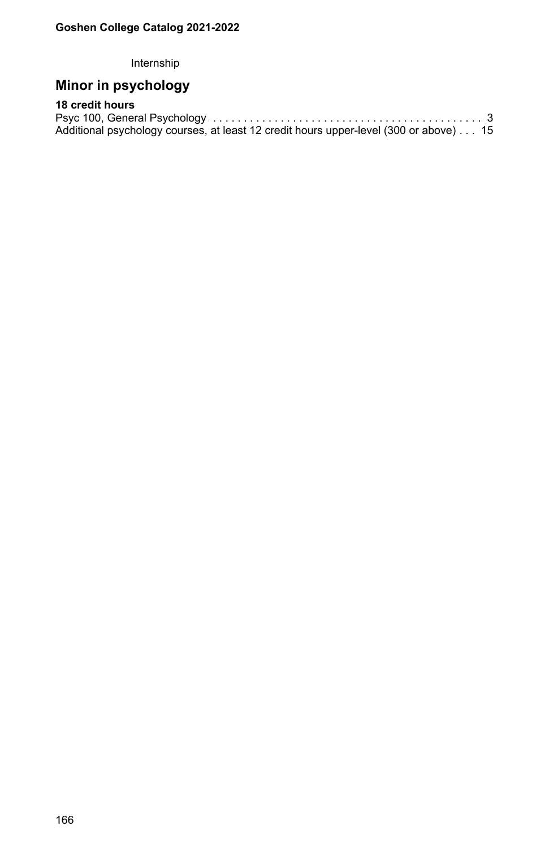Internship

# **Minor in psychology**

# **18 credit hours**

| Additional psychology courses, at least 12 credit hours upper-level (300 or above) 15 |  |
|---------------------------------------------------------------------------------------|--|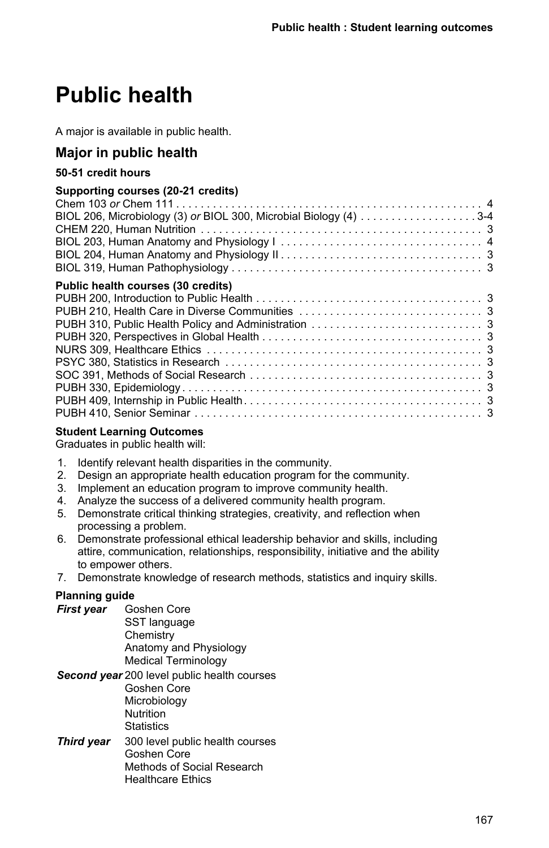# **Public health**

A major is available in public health.

# **Major in public health**

## **50-51 credit hours**

### **Supporting courses (20-21 credits)**

| BIOL 206, Microbiology (3) or BIOL 300, Microbial Biology (4) 3-4 |  |
|-------------------------------------------------------------------|--|
|                                                                   |  |
|                                                                   |  |
|                                                                   |  |
|                                                                   |  |
| Public health courses (30 credits)                                |  |
|                                                                   |  |
|                                                                   |  |
|                                                                   |  |
|                                                                   |  |
|                                                                   |  |
|                                                                   |  |
|                                                                   |  |
|                                                                   |  |
|                                                                   |  |
|                                                                   |  |
|                                                                   |  |

## **Student Learning Outcomes**

Graduates in public health will:

- 1. Identify relevant health disparities in the community.
- 2. Design an appropriate health education program for the community.
- 3. Implement an education program to improve community health.
- 4. Analyze the success of a delivered community health program.
- 5. Demonstrate critical thinking strategies, creativity, and reflection when processing a problem.
- 6. Demonstrate professional ethical leadership behavior and skills, including attire, communication, relationships, responsibility, initiative and the ability to empower others.
- 7. Demonstrate knowledge of research methods, statistics and inquiry skills.

## **Planning guide**

*First year* Goshen Core SST language **Chemistry** Anatomy and Physiology Medical Terminology

*Second year* 200 level public health courses Goshen Core **Microbiology** Nutrition **Statistics** 

*Third year* 300 level public health courses Goshen Core Methods of Social Research Healthcare Ethics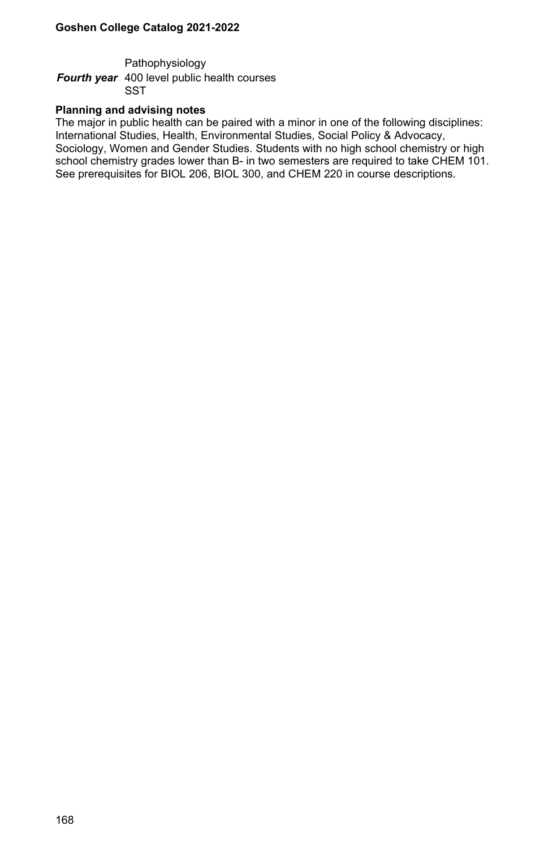Pathophysiology

*Fourth year* 400 level public health courses **SST** 

#### **Planning and advising notes**

The major in public health can be paired with a minor in one of the following disciplines: International Studies, Health, Environmental Studies, Social Policy & Advocacy, Sociology, Women and Gender Studies. Students with no high school chemistry or high school chemistry grades lower than B- in two semesters are required to take CHEM 101. See prerequisites for BIOL 206, BIOL 300, and CHEM 220 in course descriptions.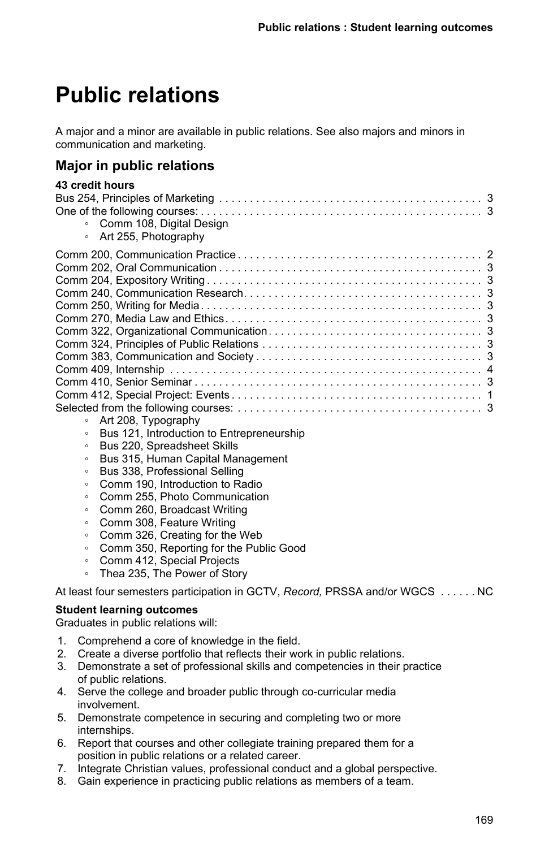# **Public relations**

A major and a minor are available in public relations. See also majors and minors in communication and marketing.

# **Major in public relations**

| 43 credit hours            |
|----------------------------|
|                            |
|                            |
| • Comm 108, Digital Design |
| • Art 255, Photography     |
|                            |
|                            |
|                            |
|                            |
|                            |
|                            |
|                            |
|                            |
|                            |
|                            |
|                            |
|                            |
|                            |
| • Art 208, Typography      |
|                            |

- Bus 121, Introduction to Entrepreneurship
- Bus 220, Spreadsheet Skills
- Bus 315, Human Capital Management
- Bus 338, Professional Selling
- Comm 190, Introduction to Radio
- Comm 255, Photo Communication
- Comm 260, Broadcast Writing
- Comm 308, Feature Writing
- Comm 326, Creating for the Web
- Comm 350, Reporting for the Public Good
- Comm 412, Special Projects
- Thea 235, The Power of Story

At least four semesters participation in GCTV, Record, PRSSA and/or WGCS . . . . . . NC

### **Student learning outcomes**

Graduates in public relations will:

- 1. Comprehend a core of knowledge in the field.
- 2. Create a diverse portfolio that reflects their work in public relations.
- 3. Demonstrate a set of professional skills and competencies in their practice of public relations.
- 4. Serve the college and broader public through co-curricular media involvement.
- 5. Demonstrate competence in securing and completing two or more internships.
- 6. Report that courses and other collegiate training prepared them for a position in public relations or a related career.
- 7. Integrate Christian values, professional conduct and a global perspective.
- 8. Gain experience in practicing public relations as members of a team.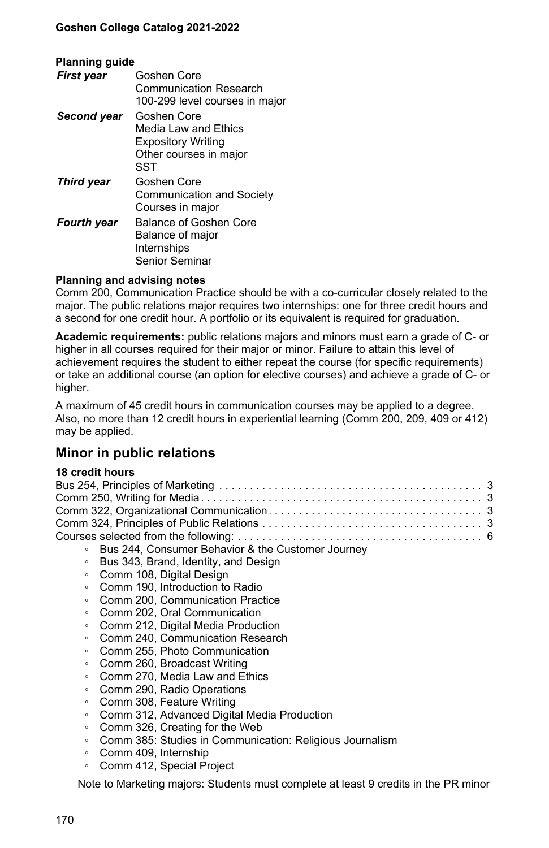| <b>Planning guide</b> |                                |  |
|-----------------------|--------------------------------|--|
| First year            | Goshen Core                    |  |
|                       | Communication Research         |  |
|                       | 100-299 level courses in major |  |
| Second year           | Goshen Core                    |  |
|                       | Media I aw and Ethics          |  |
|                       | <b>Expository Writing</b>      |  |
|                       | Other courses in major         |  |
|                       | SST                            |  |
| <b>Third year</b>     | Goshen Core                    |  |
|                       | Communication and Society      |  |
|                       | Courses in major               |  |
| <b>Fourth year</b>    | Balance of Goshen Core         |  |
|                       | Balance of major               |  |
|                       | Internships                    |  |
|                       | <b>Senior Seminar</b>          |  |

#### **Planning and advising notes**

Comm 200, Communication Practice should be with a co-curricular closely related to the major. The public relations major requires two internships: one for three credit hours and a second for one credit hour. A portfolio or its equivalent is required for graduation.

**Academic requirements:** public relations majors and minors must earn a grade of C- or higher in all courses required for their major or minor. Failure to attain this level of achievement requires the student to either repeat the course (for specific requirements) or take an additional course (an option for elective courses) and achieve a grade of C- or higher.

A maximum of 45 credit hours in communication courses may be applied to a degree. Also, no more than 12 credit hours in experiential learning (Comm 200, 209, 409 or 412) may be applied.

## **Minor in public relations**

#### **18 credit hours**

| ○ Bus 244, Consumer Behavior & the Customer Journey |
|-----------------------------------------------------|

- Bus 343, Brand, Identity, and Design
- Comm 108, Digital Design
- Comm 190, Introduction to Radio
- Comm 200, Communication Practice
- Comm 202, Oral Communication
- Comm 212, Digital Media Production
- Comm 240, Communication Research
- Comm 255, Photo Communication
- Comm 260, Broadcast Writing
- Comm 270, Media Law and Ethics
- Comm 290, Radio Operations
- Comm 308, Feature Writing
- Comm 312, Advanced Digital Media Production
- Comm 326, Creating for the Web
- Comm 385: Studies in Communication: Religious Journalism
- Comm 409, Internship
- Comm 412, Special Project

Note to Marketing majors: Students must complete at least 9 credits in the PR minor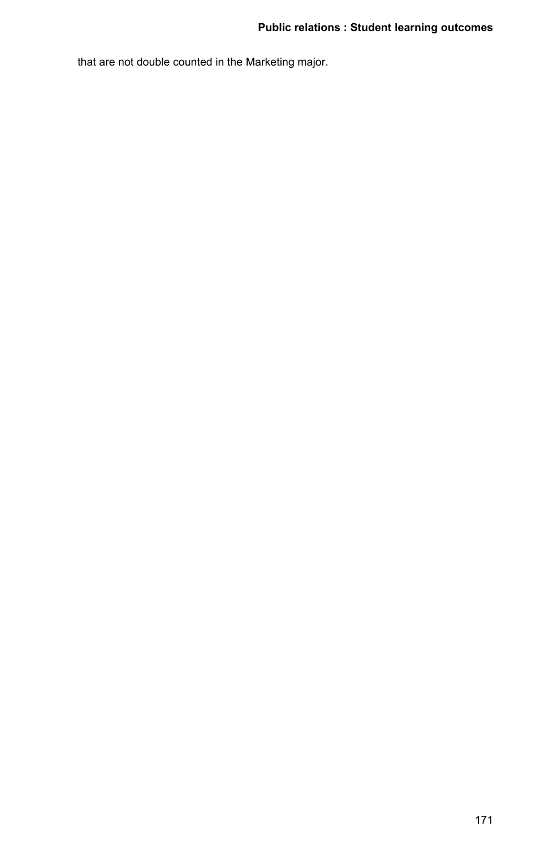that are not double counted in the Marketing major.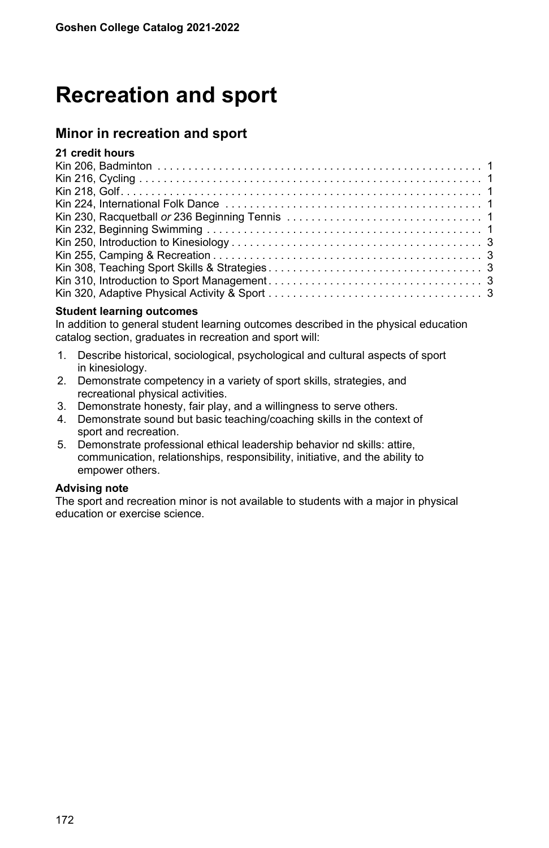# **Recreation and sport**

# **Minor in recreation and sport**

## **21 credit hours**

#### **Student learning outcomes**

In addition to general student learning outcomes described in the physical education catalog section, graduates in recreation and sport will:

- 1. Describe historical, sociological, psychological and cultural aspects of sport in kinesiology.
- 2. Demonstrate competency in a variety of sport skills, strategies, and recreational physical activities.
- 3. Demonstrate honesty, fair play, and a willingness to serve others.
- 4. Demonstrate sound but basic teaching/coaching skills in the context of sport and recreation.
- 5. Demonstrate professional ethical leadership behavior nd skills: attire, communication, relationships, responsibility, initiative, and the ability to empower others.

### **Advising note**

The sport and recreation minor is not available to students with a major in physical education or exercise science.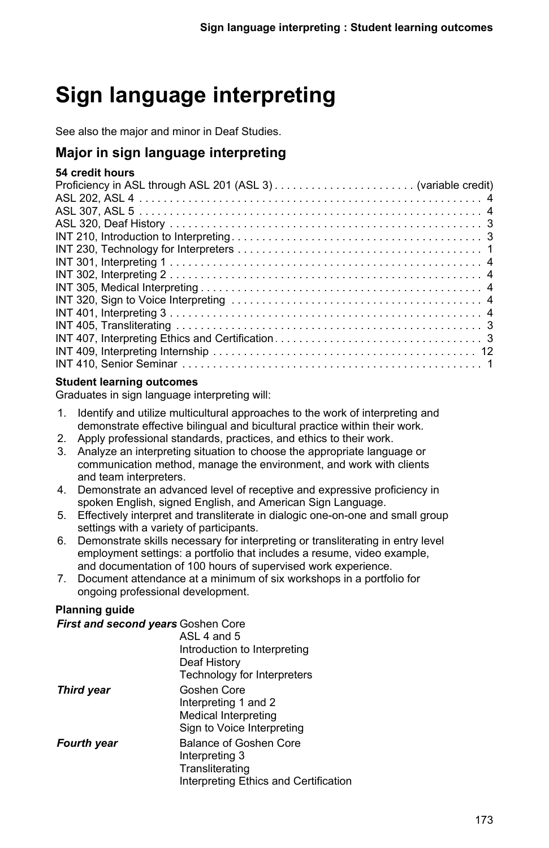# **Sign language interpreting**

See also the major and minor in Deaf Studies.

# **Major in sign language interpreting**

## **54 credit hours**

### **Student learning outcomes**

Graduates in sign language interpreting will:

- 1. Identify and utilize multicultural approaches to the work of interpreting and demonstrate effective bilingual and bicultural practice within their work.
- 2. Apply professional standards, practices, and ethics to their work.
- 3. Analyze an interpreting situation to choose the appropriate language or communication method, manage the environment, and work with clients and team interpreters.
- 4. Demonstrate an advanced level of receptive and expressive proficiency in spoken English, signed English, and American Sign Language.
- 5. Effectively interpret and transliterate in dialogic one-on-one and small group settings with a variety of participants.
- 6. Demonstrate skills necessary for interpreting or transliterating in entry level employment settings: a portfolio that includes a resume, video example, and documentation of 100 hours of supervised work experience.
- 7. Document attendance at a minimum of six workshops in a portfolio for ongoing professional development.

## **Planning guide**

| First and second years Goshen Core |                                       |
|------------------------------------|---------------------------------------|
|                                    | ASL 4 and 5                           |
|                                    | Introduction to Interpreting          |
|                                    | Deaf History                          |
|                                    | Technology for Interpreters           |
| <b>Third year</b>                  | Goshen Core                           |
|                                    | Interpreting 1 and 2                  |
|                                    | Medical Interpreting                  |
|                                    | Sign to Voice Interpreting            |
| <b>Fourth year</b>                 | Balance of Goshen Core                |
|                                    | Interpreting 3                        |
|                                    | Transliterating                       |
|                                    | Interpreting Ethics and Certification |
|                                    |                                       |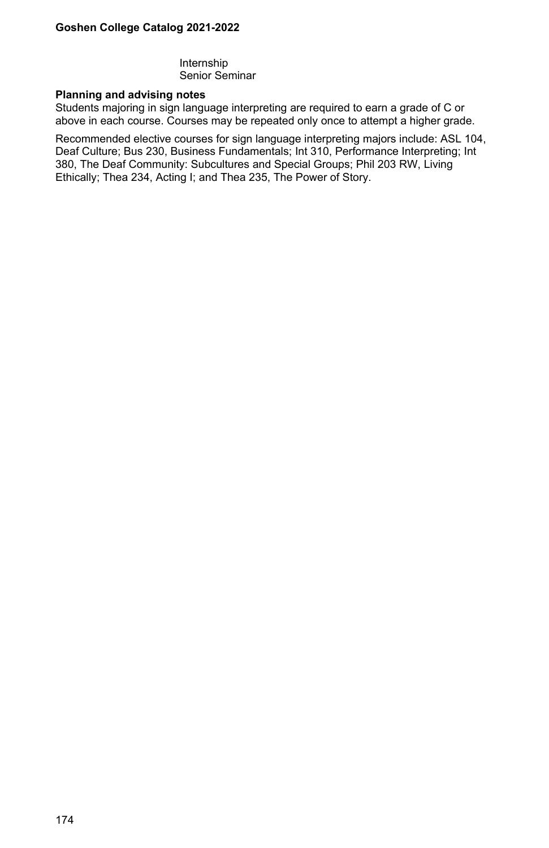Internship Senior Seminar

#### **Planning and advising notes**

Students majoring in sign language interpreting are required to earn a grade of C or above in each course. Courses may be repeated only once to attempt a higher grade.

Recommended elective courses for sign language interpreting majors include: ASL 104, Deaf Culture; Bus 230, Business Fundamentals; Int 310, Performance Interpreting; Int 380, The Deaf Community: Subcultures and Special Groups; Phil 203 RW, Living Ethically; Thea 234, Acting I; and Thea 235, The Power of Story.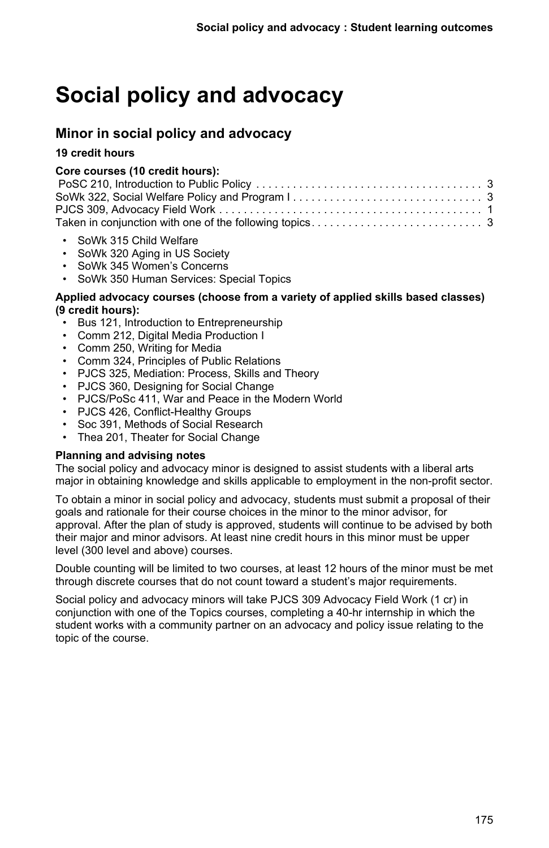# **Social policy and advocacy**

# **Minor in social policy and advocacy**

## **19 credit hours**

## **Core courses (10 credit hours):**

| Taken in conjunction with one of the following topics $\ldots \ldots \ldots \ldots \ldots \ldots \ldots \ldots$ |  |
|-----------------------------------------------------------------------------------------------------------------|--|

- SoWk 315 Child Welfare
- SoWk 320 Aging in US Society
- SoWk 345 Women's Concerns
- SoWk 350 Human Services: Special Topics

#### **Applied advocacy courses (choose from a variety of applied skills based classes) (9 credit hours):**

- Bus 121, Introduction to Entrepreneurship
- Comm 212, Digital Media Production I
- Comm 250, Writing for Media
- Comm 324, Principles of Public Relations
- PJCS 325, Mediation: Process, Skills and Theory
- PJCS 360, Designing for Social Change
- PJCS/PoSc 411, War and Peace in the Modern World
- PJCS 426, Conflict-Healthy Groups
- Soc 391, Methods of Social Research
- Thea 201, Theater for Social Change

#### **Planning and advising notes**

The social policy and advocacy minor is designed to assist students with a liberal arts major in obtaining knowledge and skills applicable to employment in the non-profit sector.

To obtain a minor in social policy and advocacy, students must submit a proposal of their goals and rationale for their course choices in the minor to the minor advisor, for approval. After the plan of study is approved, students will continue to be advised by both their major and minor advisors. At least nine credit hours in this minor must be upper level (300 level and above) courses.

Double counting will be limited to two courses, at least 12 hours of the minor must be met through discrete courses that do not count toward a student's major requirements.

Social policy and advocacy minors will take PJCS 309 Advocacy Field Work (1 cr) in conjunction with one of the Topics courses, completing a 40-hr internship in which the student works with a community partner on an advocacy and policy issue relating to the topic of the course.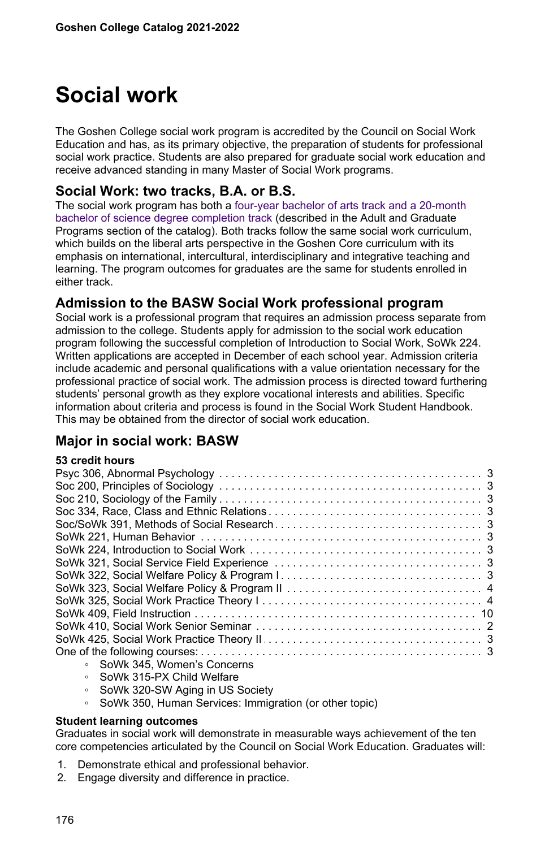# **Social work**

The Goshen College social work program is accredited by the Council on Social Work Education and has, as its primary objective, the preparation of students for professional social work practice. Students are also prepared for graduate social work education and receive advanced standing in many Master of Social Work programs.

## **Social Work: two tracks, B.A. or B.S.**

The social work program has both a [four-year bachelor of arts track and a 20-month](https://www.goshen.edu/catalog/bs-social-work/) [bachelor of science degree completion track](https://www.goshen.edu/catalog/bs-social-work/) (described in the Adult and Graduate Programs section of the catalog). Both tracks follow the same social work curriculum, which builds on the liberal arts perspective in the Goshen Core curriculum with its emphasis on international, intercultural, interdisciplinary and integrative teaching and learning. The program outcomes for graduates are the same for students enrolled in either track.

## **Admission to the BASW Social Work professional program**

Social work is a professional program that requires an admission process separate from admission to the college. Students apply for admission to the social work education program following the successful completion of Introduction to Social Work, SoWk 224. Written applications are accepted in December of each school year. Admission criteria include academic and personal qualifications with a value orientation necessary for the professional practice of social work. The admission process is directed toward furthering students' personal growth as they explore vocational interests and abilities. Specific information about criteria and process is found in the Social Work Student Handbook. This may be obtained from the director of social work education.

# **Major in social work: BASW**

|  |  | 53 credit hours |
|--|--|-----------------|
|--|--|-----------------|

| SoWk 345. Women's Concerns<br>$\circ$ |  |
|---------------------------------------|--|
| $CAML 24E$ DV Child $Molfane$         |  |

- SoWk 315-PX Child Welfare
- SoWk 320-SW Aging in US Society
- SoWk 350, Human Services: Immigration (or other topic)

#### **Student learning outcomes**

Graduates in social work will demonstrate in measurable ways achievement of the ten core competencies articulated by the Council on Social Work Education. Graduates will:

- 1. Demonstrate ethical and professional behavior.
- 2. Engage diversity and difference in practice.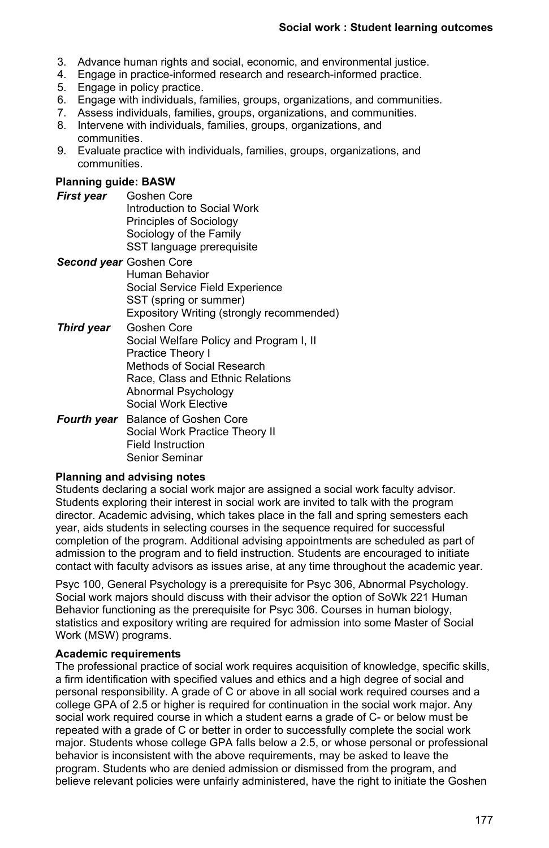- 3. Advance human rights and social, economic, and environmental justice.
- 4. Engage in practice-informed research and research-informed practice.
- 5. Engage in policy practice.
- 6. Engage with individuals, families, groups, organizations, and communities.
- 7. Assess individuals, families, groups, organizations, and communities.
- 8. Intervene with individuals, families, groups, organizations, and communities.
- 9. Evaluate practice with individuals, families, groups, organizations, and communities.

#### **Planning guide: BASW**

- *First year* Goshen Core Introduction to Social Work Principles of Sociology Sociology of the Family SST language prerequisite
- *Second year* Goshen Core Human Behavior Social Service Field Experience SST (spring or summer) Expository Writing (strongly recommended)
- *Third year* Goshen Core Social Welfare Policy and Program I, II Practice Theory I Methods of Social Research Race, Class and Ethnic Relations Abnormal Psychology Social Work Elective
- *Fourth year* Balance of Goshen Core Social Work Practice Theory II Field Instruction Senior Seminar

#### **Planning and advising notes**

Students declaring a social work major are assigned a social work faculty advisor. Students exploring their interest in social work are invited to talk with the program director. Academic advising, which takes place in the fall and spring semesters each year, aids students in selecting courses in the sequence required for successful completion of the program. Additional advising appointments are scheduled as part of admission to the program and to field instruction. Students are encouraged to initiate contact with faculty advisors as issues arise, at any time throughout the academic year.

Psyc 100, General Psychology is a prerequisite for Psyc 306, Abnormal Psychology. Social work majors should discuss with their advisor the option of SoWk 221 Human Behavior functioning as the prerequisite for Psyc 306. Courses in human biology, statistics and expository writing are required for admission into some Master of Social Work (MSW) programs.

#### **Academic requirements**

The professional practice of social work requires acquisition of knowledge, specific skills, a firm identification with specified values and ethics and a high degree of social and personal responsibility. A grade of C or above in all social work required courses and a college GPA of 2.5 or higher is required for continuation in the social work major. Any social work required course in which a student earns a grade of C- or below must be repeated with a grade of C or better in order to successfully complete the social work major. Students whose college GPA falls below a 2.5, or whose personal or professional behavior is inconsistent with the above requirements, may be asked to leave the program. Students who are denied admission or dismissed from the program, and believe relevant policies were unfairly administered, have the right to initiate the Goshen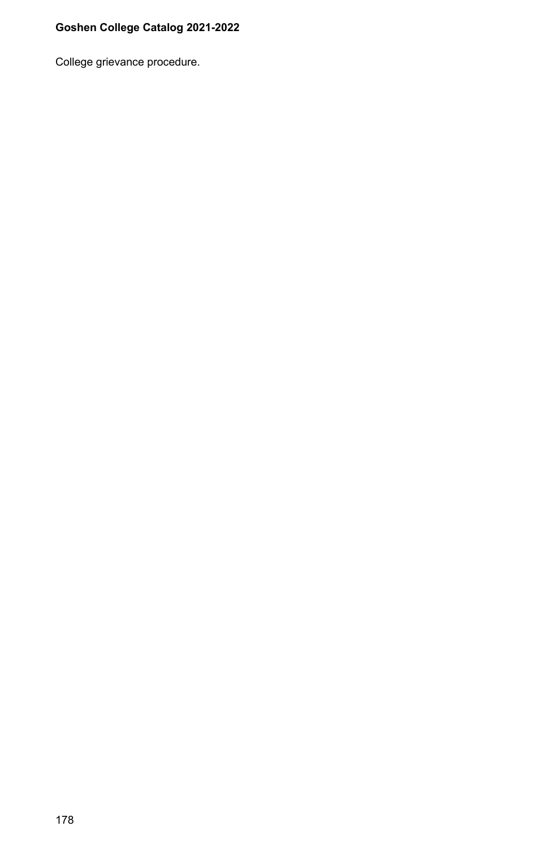College grievance procedure.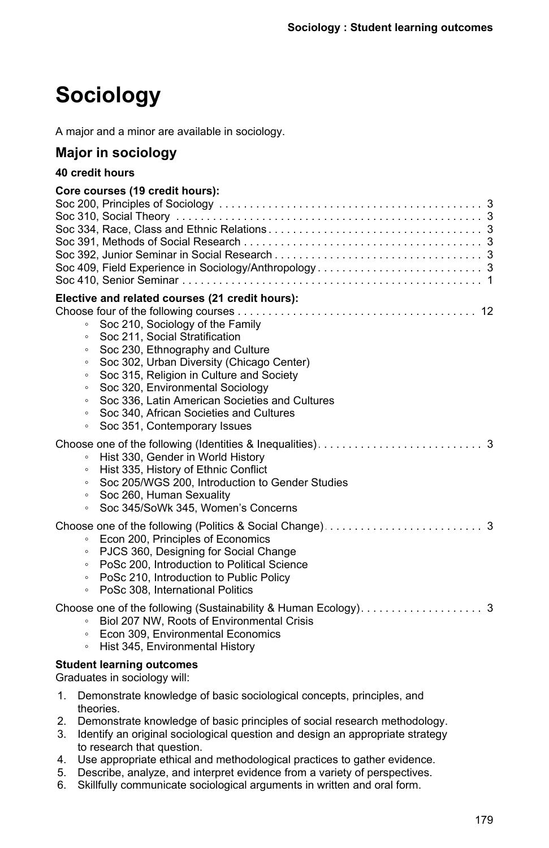# **Sociology**

A major and a minor are available in sociology.

# **Major in sociology**

# **40 credit hours**

|    | Core courses (19 credit hours):                                               |
|----|-------------------------------------------------------------------------------|
|    |                                                                               |
|    |                                                                               |
|    |                                                                               |
|    |                                                                               |
|    |                                                                               |
|    |                                                                               |
|    | Elective and related courses (21 credit hours):                               |
|    |                                                                               |
|    | Soc 210, Sociology of the Family<br>$\circ$                                   |
|    | Soc 211, Social Stratification<br>$\circ$                                     |
|    | Soc 230, Ethnography and Culture<br>$\circ$                                   |
|    | Soc 302, Urban Diversity (Chicago Center)<br>$\circ$                          |
|    | Soc 315, Religion in Culture and Society<br>$\circ$                           |
|    | Soc 320, Environmental Sociology<br>$\circ$                                   |
|    | Soc 336. Latin American Societies and Cultures<br>$\circ$                     |
|    | Soc 340, African Societies and Cultures<br>$\circ$                            |
|    | Soc 351, Contemporary Issues<br>$\circ$                                       |
|    |                                                                               |
|    | Hist 330, Gender in World History<br>$\circ$                                  |
|    | Hist 335, History of Ethnic Conflict<br>$\circ$                               |
|    | Soc 205/WGS 200, Introduction to Gender Studies<br>$\circ$                    |
|    | Soc 260, Human Sexuality<br>$\circ$                                           |
|    | Soc 345/SoWk 345, Women's Concerns<br>$\circ$                                 |
|    |                                                                               |
|    | Econ 200, Principles of Economics<br>$\circ$                                  |
|    | PJCS 360, Designing for Social Change<br>$\circ$                              |
|    | PoSc 200, Introduction to Political Science<br>$\circ$                        |
|    | PoSc 210, Introduction to Public Policy<br>$\circ$                            |
|    | PoSc 308, International Politics<br>$\circ$                                   |
|    |                                                                               |
|    | Biol 207 NW, Roots of Environmental Crisis<br>$\circ$                         |
|    | Econ 309, Environmental Economics<br>$\circ$                                  |
|    | Hist 345, Environmental History<br>$\circ$                                    |
|    | <b>Student learning outcomes</b>                                              |
|    | Graduates in sociology will:                                                  |
| 1. | Demonstrate knowledge of basic sociological concepts, principles, and         |
|    | theories.                                                                     |
| 2. | Demonstrate knowledge of basic principles of social research methodology.     |
| 3. | Identify an original sociological question and design an appropriate strategy |
|    | to research that question.                                                    |

- 4. Use appropriate ethical and methodological practices to gather evidence.
- 5. Describe, analyze, and interpret evidence from a variety of perspectives.
- 6. Skillfully communicate sociological arguments in written and oral form.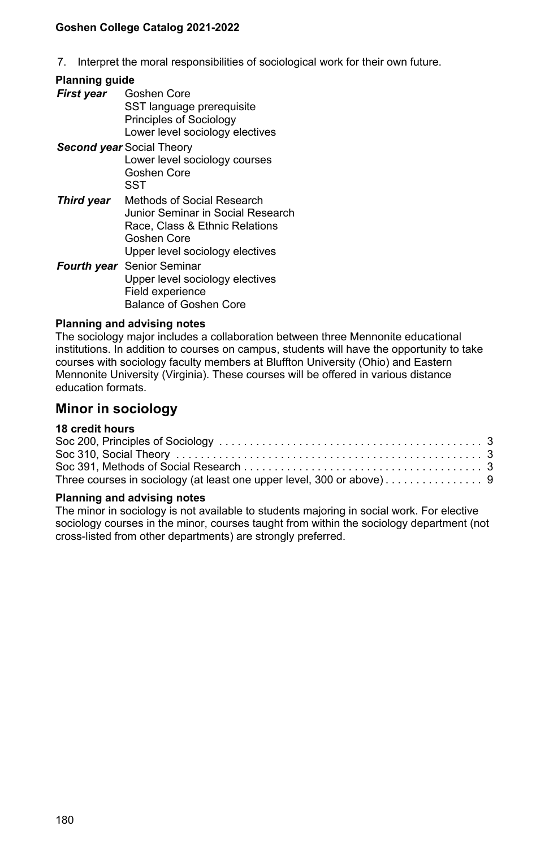7. Interpret the moral responsibilities of sociological work for their own future.

### **Planning guide**

*First year* Goshen Core SST language prerequisite Principles of Sociology Lower level sociology electives *Second year* Social Theory Lower level sociology courses Goshen Core

**SST** 

- *Third year* Methods of Social Research Junior Seminar in Social Research Race, Class & Ethnic Relations Goshen Core Upper level sociology electives
- *Fourth year* Senior Seminar Upper level sociology electives Field experience Balance of Goshen Core

### **Planning and advising notes**

The sociology major includes a collaboration between three Mennonite educational institutions. In addition to courses on campus, students will have the opportunity to take courses with sociology faculty members at Bluffton University (Ohio) and Eastern Mennonite University (Virginia). These courses will be offered in various distance education formats.

# **Minor in sociology**

## **18 credit hours**

| Three courses in sociology (at least one upper level, 300 or above) 9 |  |
|-----------------------------------------------------------------------|--|

#### **Planning and advising notes**

The minor in sociology is not available to students majoring in social work. For elective sociology courses in the minor, courses taught from within the sociology department (not cross-listed from other departments) are strongly preferred.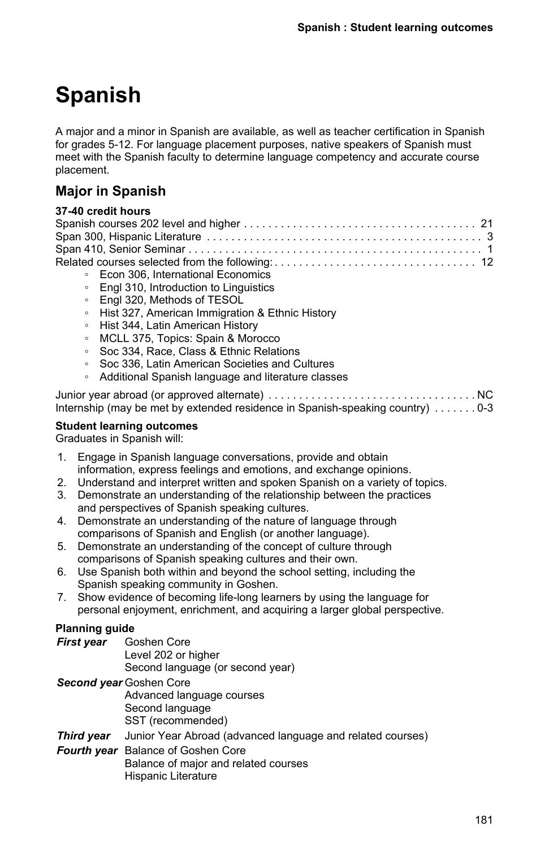# **Spanish**

A major and a minor in Spanish are available, as well as teacher certification in Spanish for grades 5-12. For language placement purposes, native speakers of Spanish must meet with the Spanish faculty to determine language competency and accurate course placement.

# **Major in Spanish**

| 37-40 credit hours |  |
|--------------------|--|
|                    |  |
|                    |  |
|                    |  |
|                    |  |

- Econ 306, International Economics
- Engl 310, Introduction to Linguistics
- Engl 320, Methods of TESOL
- Hist 327, American Immigration & Ethnic History
- Hist 344, Latin American History
- MCLL 375, Topics: Spain & Morocco
- Soc 334, Race, Class & Ethnic Relations
- Soc 336, Latin American Societies and Cultures
- Additional Spanish language and literature classes

| Internship (may be met by extended residence in Spanish-speaking country) $\dots \dots 0-3$ |  |
|---------------------------------------------------------------------------------------------|--|

### **Student learning outcomes**

Graduates in Spanish will:

- 1. Engage in Spanish language conversations, provide and obtain information, express feelings and emotions, and exchange opinions.
- 2. Understand and interpret written and spoken Spanish on a variety of topics.
- 3. Demonstrate an understanding of the relationship between the practices and perspectives of Spanish speaking cultures.
- 4. Demonstrate an understanding of the nature of language through comparisons of Spanish and English (or another language).
- 5. Demonstrate an understanding of the concept of culture through comparisons of Spanish speaking cultures and their own.
- 6. Use Spanish both within and beyond the school setting, including the Spanish speaking community in Goshen.
- 7. Show evidence of becoming life-long learners by using the language for personal enjoyment, enrichment, and acquiring a larger global perspective.

## **Planning guide**

| First vear | Goshen Core                      |
|------------|----------------------------------|
|            | Level 202 or higher              |
|            | Second language (or second year) |
|            | <b>Connection</b> Contain Caro   |

*Second year* Goshen Core Advanced language courses Second language SST (recommended)

- **Third year** Junior Year Abroad (advanced language and related courses)
- *Fourth year* Balance of Goshen Core Balance of major and related courses Hispanic Literature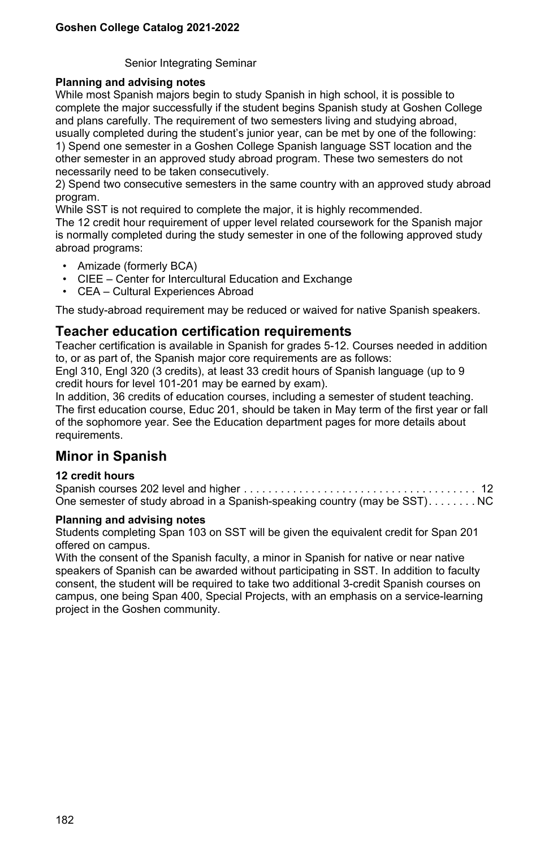Senior Integrating Seminar

### **Planning and advising notes**

While most Spanish majors begin to study Spanish in high school, it is possible to complete the major successfully if the student begins Spanish study at Goshen College and plans carefully. The requirement of two semesters living and studying abroad, usually completed during the student's junior year, can be met by one of the following: 1) Spend one semester in a Goshen College Spanish language SST location and the other semester in an approved study abroad program. These two semesters do not necessarily need to be taken consecutively.

2) Spend two consecutive semesters in the same country with an approved study abroad program.

While SST is not required to complete the major, it is highly recommended. The 12 credit hour requirement of upper level related coursework for the Spanish major is normally completed during the study semester in one of the following approved study

• Amizade (formerly BCA)

abroad programs:

- CIEE Center for Intercultural Education and Exchange
- CEA Cultural Experiences Abroad

The study-abroad requirement may be reduced or waived for native Spanish speakers.

## **Teacher education certification requirements**

Teacher certification is available in Spanish for grades 5-12. Courses needed in addition to, or as part of, the Spanish major core requirements are as follows:

Engl 310, Engl 320 (3 credits), at least 33 credit hours of Spanish language (up to 9 credit hours for level 101-201 may be earned by exam).

In addition, 36 credits of education courses, including a semester of student teaching. The first education course, Educ 201, should be taken in May term of the first year or fall of the sophomore year. See the Education department pages for more details about requirements.

## **Minor in Spanish**

## **12 credit hours**

| One semester of study abroad in a Spanish-speaking country (may be SST)NC |  |
|---------------------------------------------------------------------------|--|

### **Planning and advising notes**

Students completing Span 103 on SST will be given the equivalent credit for Span 201 offered on campus.

With the consent of the Spanish faculty, a minor in Spanish for native or near native speakers of Spanish can be awarded without participating in SST. In addition to faculty consent, the student will be required to take two additional 3-credit Spanish courses on campus, one being Span 400, Special Projects, with an emphasis on a service-learning project in the Goshen community.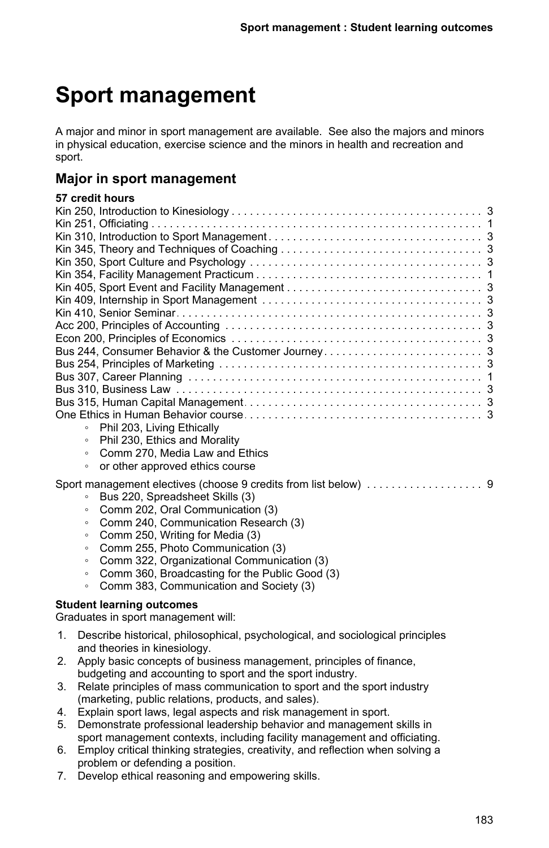# **Sport management**

A major and minor in sport management are available. See also the majors and minors in physical education, exercise science and the minors in health and recreation and sport.

## **Major in sport management**

## **57 credit hours**

| Phil 203, Living Ethically<br>$\circ$                                   |
|-------------------------------------------------------------------------|
| Phil 230, Ethics and Morality<br>$\circ$                                |
| Comm 270, Media Law and Ethics<br>$\circ$                               |
| or other approved ethics course<br>$\circ$                              |
|                                                                         |
| Bus 220, Spreadsheet Skills (3)<br>$\circ$                              |
| Comm 202, Oral Communication (3)<br>$\circ$                             |
| Comm 240, Communication Research (3)<br>$\circ$                         |
| Comm 250, Writing for Media (3)<br>$\circ$                              |
| Comm 255, Photo Communication (3)<br>$\circ$                            |
| Comm 322, Organizational Communication (3)<br>$\circ$                   |
| Comm 360, Broadcasting for the Public Good (3)<br>$\circ$               |
| Comm 383, Communication and Society (3)<br>$\circ$                      |
| <b>Student learning outcomes</b><br>Graduates in sport management will: |

- 1. Describe historical, philosophical, psychological, and sociological principles and theories in kinesiology.
- 2. Apply basic concepts of business management, principles of finance, budgeting and accounting to sport and the sport industry.
- 3. Relate principles of mass communication to sport and the sport industry (marketing, public relations, products, and sales).
- 4. Explain sport laws, legal aspects and risk management in sport.
- 5. Demonstrate professional leadership behavior and management skills in sport management contexts, including facility management and officiating.
- 6. Employ critical thinking strategies, creativity, and reflection when solving a problem or defending a position.
- 7. Develop ethical reasoning and empowering skills.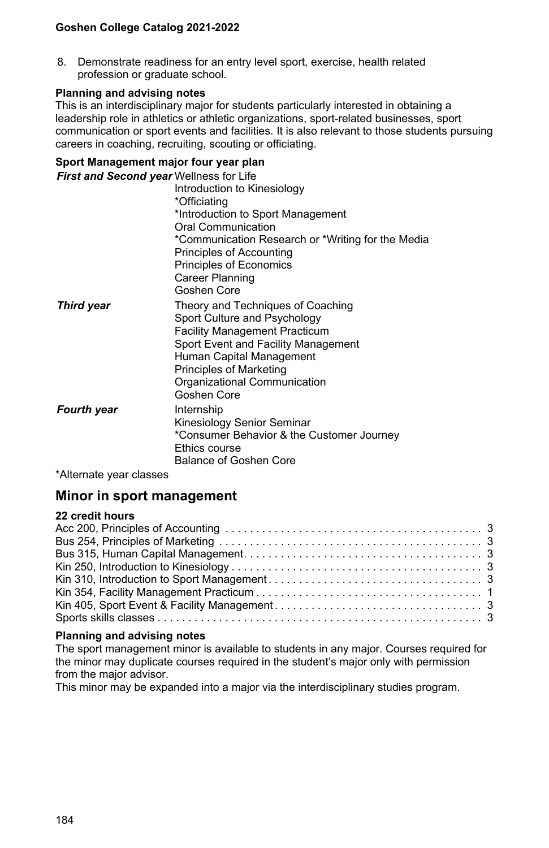8. Demonstrate readiness for an entry level sport, exercise, health related profession or graduate school.

### **Planning and advising notes**

This is an interdisciplinary major for students particularly interested in obtaining a leadership role in athletics or athletic organizations, sport-related businesses, sport communication or sport events and facilities. It is also relevant to those students pursuing careers in coaching, recruiting, scouting or officiating.

## **Sport Management major four year plan**

| First and Second year Wellness for Life |                                                                                                                                                                                                                                                               |
|-----------------------------------------|---------------------------------------------------------------------------------------------------------------------------------------------------------------------------------------------------------------------------------------------------------------|
|                                         | Introduction to Kinesiology                                                                                                                                                                                                                                   |
|                                         | *Officiating                                                                                                                                                                                                                                                  |
|                                         | *Introduction to Sport Management                                                                                                                                                                                                                             |
|                                         | Oral Communication                                                                                                                                                                                                                                            |
|                                         | *Communication Research or *Writing for the Media                                                                                                                                                                                                             |
|                                         | Principles of Accounting                                                                                                                                                                                                                                      |
|                                         | Principles of Economics                                                                                                                                                                                                                                       |
|                                         | Career Planning                                                                                                                                                                                                                                               |
|                                         | Goshen Core                                                                                                                                                                                                                                                   |
| <b>Third year</b>                       | Theory and Techniques of Coaching<br>Sport Culture and Psychology<br><b>Facility Management Practicum</b><br>Sport Event and Facility Management<br>Human Capital Management<br><b>Principles of Marketing</b><br>Organizational Communication<br>Goshen Core |
| <b>Fourth year</b><br>$\cdots$          | Internship<br>Kinesiology Senior Seminar<br>*Consumer Behavior & the Customer Journey<br>Ethics course<br>Balance of Goshen Core                                                                                                                              |

\*Alternate year classes

## **Minor in sport management**

### **22 credit hours**

### **Planning and advising notes**

The sport management minor is available to students in any major. Courses required for the minor may duplicate courses required in the student's major only with permission from the major advisor.

This minor may be expanded into a major via the interdisciplinary studies program.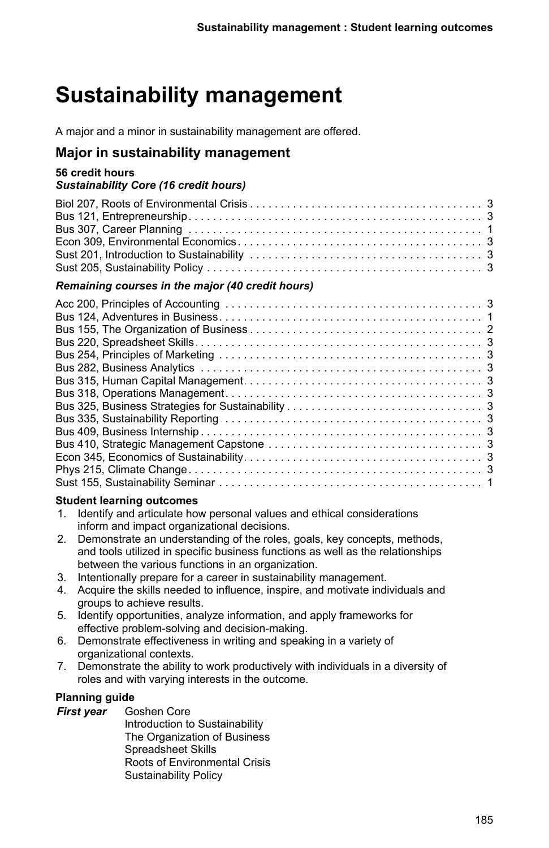# **Sustainability management**

A major and a minor in sustainability management are offered.

## **Major in sustainability management**

## **56 credit hours**

## *Sustainability Core (16 credit hours)*

## *Remaining courses in the major (40 credit hours)*

## **Student learning outcomes**

- 1. Identify and articulate how personal values and ethical considerations inform and impact organizational decisions.
- 2. Demonstrate an understanding of the roles, goals, key concepts, methods, and tools utilized in specific business functions as well as the relationships between the various functions in an organization.
- 3. Intentionally prepare for a career in sustainability management.
- 4. Acquire the skills needed to influence, inspire, and motivate individuals and groups to achieve results.
- 5. Identify opportunities, analyze information, and apply frameworks for effective problem-solving and decision-making.
- 6. Demonstrate effectiveness in writing and speaking in a variety of organizational contexts.
- 7. Demonstrate the ability to work productively with individuals in a diversity of roles and with varying interests in the outcome.

## **Planning guide**

*First year* Goshen Core

Introduction to Sustainability The Organization of Business Spreadsheet Skills Roots of Environmental Crisis Sustainability Policy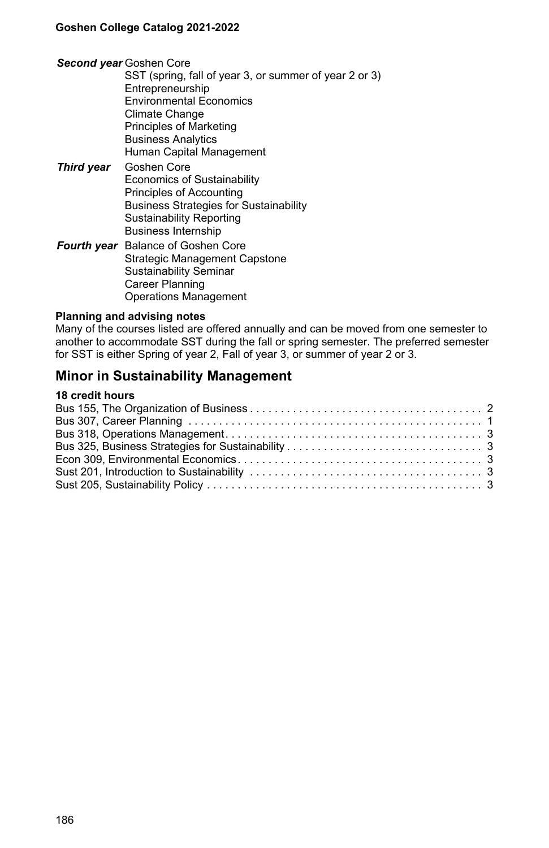#### *Second year* Goshen Core

- SST (spring, fall of year 3, or summer of year 2 or 3) **Entrepreneurship** Environmental Economics Climate Change Principles of Marketing Business Analytics Human Capital Management *Third year* Goshen Core Economics of Sustainability Principles of Accounting Business Strategies for Sustainability Sustainability Reporting Business Internship
- *Fourth year* Balance of Goshen Core Strategic Management Capstone Sustainability Seminar Career Planning Operations Management

#### **Planning and advising notes**

Many of the courses listed are offered annually and can be moved from one semester to another to accommodate SST during the fall or spring semester. The preferred semester for SST is either Spring of year 2, Fall of year 3, or summer of year 2 or 3.

## **Minor in Sustainability Management**

## **18 credit hours**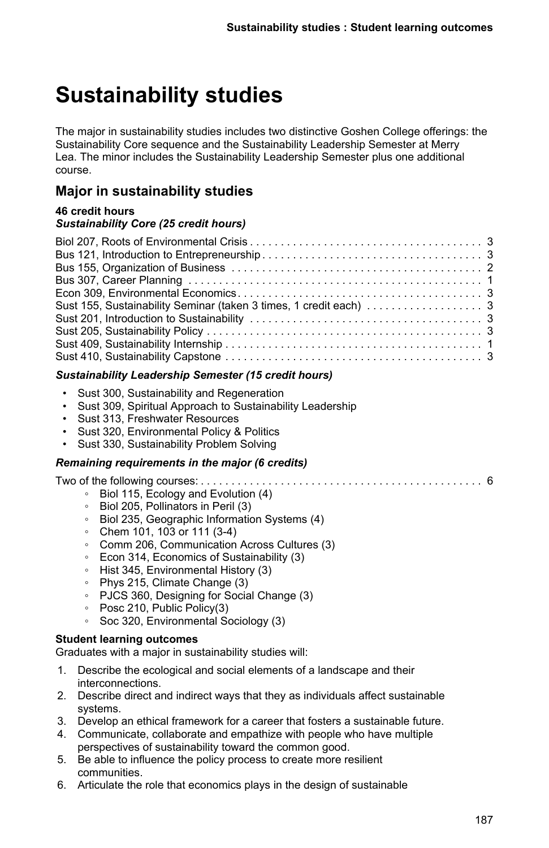# **Sustainability studies**

The major in sustainability studies includes two distinctive Goshen College offerings: the Sustainability Core sequence and the Sustainability Leadership Semester at Merry Lea. The minor includes the Sustainability Leadership Semester plus one additional course.

# **Major in sustainability studies**

### **46 credit hours** *Sustainability Core (25 credit hours)*

## *Sustainability Leadership Semester (15 credit hours)*

- Sust 300, Sustainability and Regeneration
- Sust 309, Spiritual Approach to Sustainability Leadership
- Sust 313, Freshwater Resources
- Sust 320, Environmental Policy & Politics
- Sust 330, Sustainability Problem Solving

## *Remaining requirements in the major (6 credits)*

Two of the following courses: . . . . . . . . . . . . . . . . . . . . . . . . . . . . . . . . . . . . . . . . . . . . . . . . . . . . . . . . . . . . . . . . . . .6

- Biol 115, Ecology and Evolution (4)
- Biol 205, Pollinators in Peril (3)
- Biol 235, Geographic Information Systems (4)
- Chem 101, 103 or 111 (3-4)
- Comm 206, Communication Across Cultures (3)
- Econ 314, Economics of Sustainability (3)
- Hist 345, Environmental History (3)
- Phys 215, Climate Change (3)
- PJCS 360, Designing for Social Change (3)
- Posc 210, Public Policy(3)
- Soc 320, Environmental Sociology (3)

### **Student learning outcomes**

Graduates with a major in sustainability studies will:

- 1. Describe the ecological and social elements of a landscape and their interconnections.
- 2. Describe direct and indirect ways that they as individuals affect sustainable systems.
- 3. Develop an ethical framework for a career that fosters a sustainable future.
- 4. Communicate, collaborate and empathize with people who have multiple perspectives of sustainability toward the common good.
- 5. Be able to influence the policy process to create more resilient communities.
- 6. Articulate the role that economics plays in the design of sustainable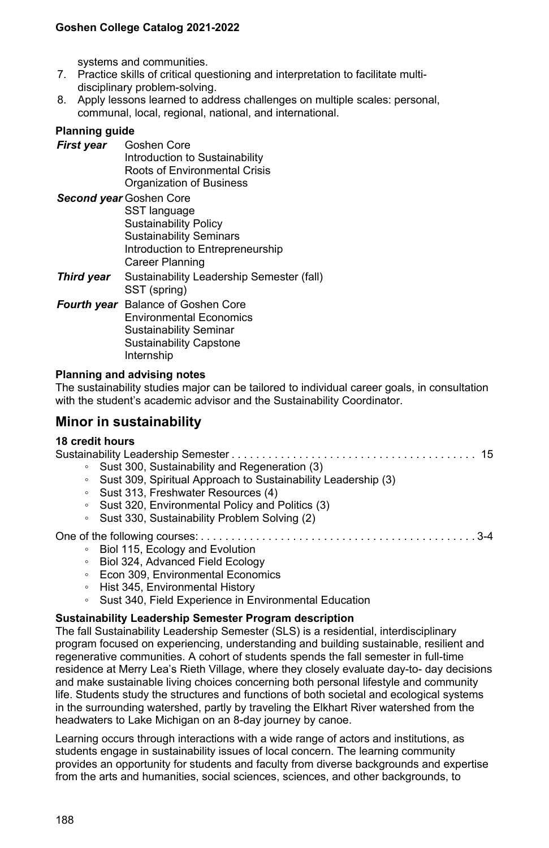systems and communities.

- 7. Practice skills of critical questioning and interpretation to facilitate multidisciplinary problem-solving.
- 8. Apply lessons learned to address challenges on multiple scales: personal, communal, local, regional, national, and international.

#### **Planning guide**

*First year* Goshen Core Introduction to Sustainability Roots of Environmental Crisis Organization of Business

*Second year* Goshen Core SST language Sustainability Policy Sustainability Seminars Introduction to Entrepreneurship Career Planning

- **Third year** Sustainability Leadership Semester (fall) SST (spring)
- *Fourth year* Balance of Goshen Core Environmental Economics Sustainability Seminar Sustainability Capstone Internship

#### **Planning and advising notes**

The sustainability studies major can be tailored to individual career goals, in consultation with the student's academic advisor and the Sustainability Coordinator.

## **Minor in sustainability**

#### **18 credit hours**

Sustainability Leadership Semester . . . . . . . . . . . . . . . . . . . . . . . . . . . . . . . . . . . . . . . . . . . . . . . . . . . . . . . . . . . . . . . . . . .15 Sust 300, Sustainability and Regeneration (3) ◦ Sust 309, Spiritual Approach to Sustainability Leadership (3) ◦ Sust 313, Freshwater Resources (4) ◦ Sust 320, Environmental Policy and Politics (3) ◦ Sust 330, Sustainability Problem Solving (2) One of the following courses: . . . . . . . . . . . . . . . . . . . . . . . . . . . . . . . . . . . . . . . . . . . . . . . . . . . . . . . . . . . . . . . . . . . 3-4 ◦ Biol 115, Ecology and Evolution ◦ Biol 324, Advanced Field Ecology ◦ Econ 309, Environmental Economics ◦ Hist 345, Environmental History ◦ Sust 340, Field Experience in Environmental Education

## **Sustainability Leadership Semester Program description**

The fall Sustainability Leadership Semester (SLS) is a residential, interdisciplinary program focused on experiencing, understanding and building sustainable, resilient and regenerative communities. A cohort of students spends the fall semester in full-time residence at Merry Lea's Rieth Village, where they closely evaluate day-to- day decisions and make sustainable living choices concerning both personal lifestyle and community life. Students study the structures and functions of both societal and ecological systems in the surrounding watershed, partly by traveling the Elkhart River watershed from the headwaters to Lake Michigan on an 8-day journey by canoe.

Learning occurs through interactions with a wide range of actors and institutions, as students engage in sustainability issues of local concern. The learning community provides an opportunity for students and faculty from diverse backgrounds and expertise from the arts and humanities, social sciences, sciences, and other backgrounds, to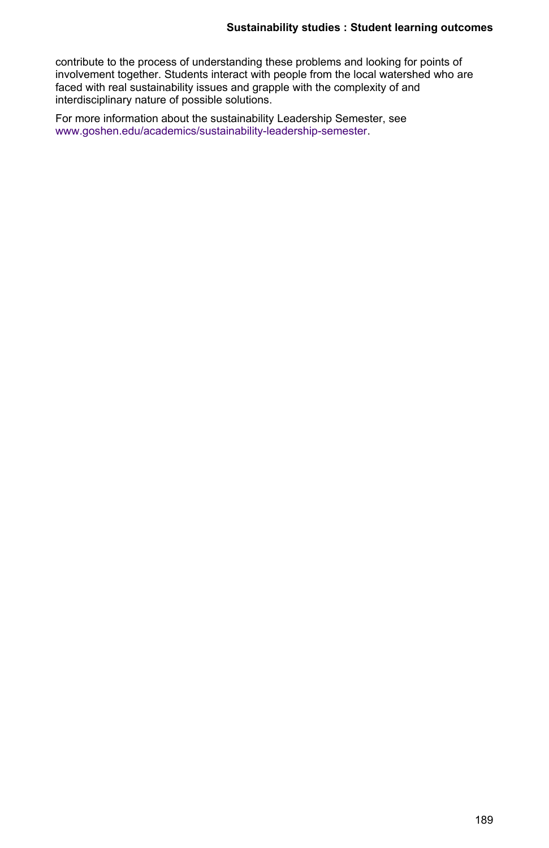contribute to the process of understanding these problems and looking for points of involvement together. Students interact with people from the local watershed who are faced with real sustainability issues and grapple with the complexity of and interdisciplinary nature of possible solutions.

For more information about the sustainability Leadership Semester, see [www.goshen.edu/academics/sustainability-leadership-semester.](https://www.goshen.edu/academics/sustainability-leadership-semester/)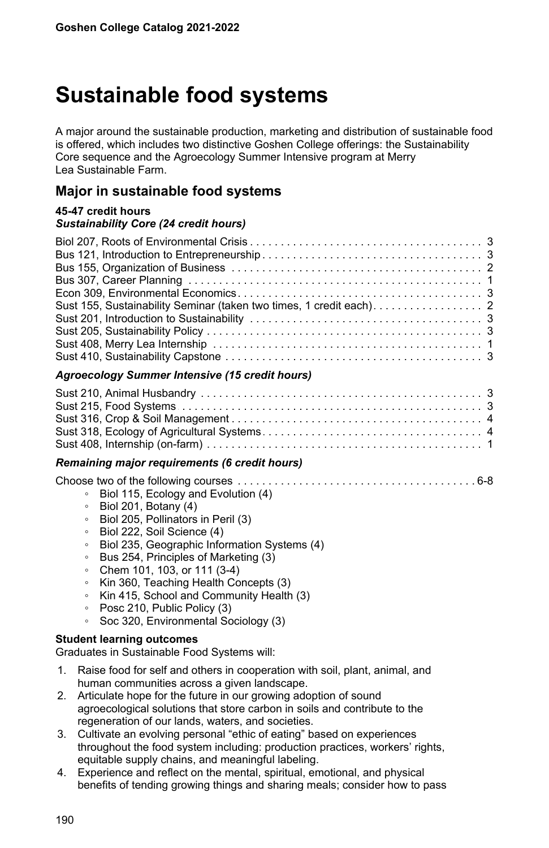# **Sustainable food systems**

A major around the sustainable production, marketing and distribution of sustainable food is offered, which includes two distinctive Goshen College offerings: the Sustainability Core sequence and the Agroecology Summer Intensive program at Merry Lea Sustainable Farm.

## **Major in sustainable food systems**

### **45-47 credit hours** *Sustainability Core (24 credit hours)*

| Aguanantary Cummay Intensive (45 exercit beyon) |
|-------------------------------------------------|

### *Agroecology Summer Intensive (15 credit hours)*

### *Remaining major requirements (6 credit hours)*

|--|--|--|

- Biol 115, Ecology and Evolution (4)
- Biol 201, Botany (4)
- Biol 205, Pollinators in Peril (3)
- Biol 222, Soil Science (4)
- Biol 235, Geographic Information Systems (4)
- Bus 254, Principles of Marketing (3)
- Chem 101, 103, or 111 (3-4)
- Kin 360, Teaching Health Concepts (3)
- Kin 415, School and Community Health (3)
- Posc 210, Public Policy (3)
- Soc 320, Environmental Sociology (3)

### **Student learning outcomes**

Graduates in Sustainable Food Systems will:

- 1. Raise food for self and others in cooperation with soil, plant, animal, and human communities across a given landscape.
- 2. Articulate hope for the future in our growing adoption of sound agroecological solutions that store carbon in soils and contribute to the regeneration of our lands, waters, and societies.
- 3. Cultivate an evolving personal "ethic of eating" based on experiences throughout the food system including: production practices, workers' rights, equitable supply chains, and meaningful labeling.
- 4. Experience and reflect on the mental, spiritual, emotional, and physical benefits of tending growing things and sharing meals; consider how to pass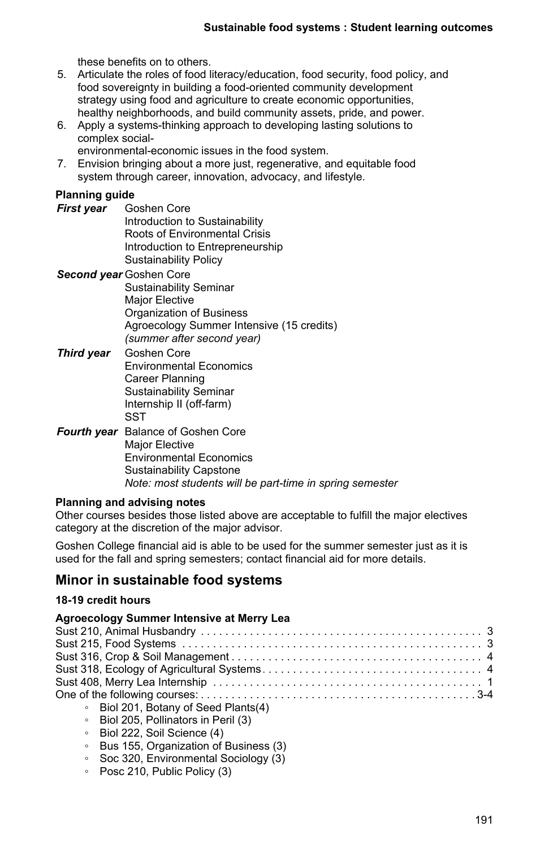these benefits on to others.

- 5. Articulate the roles of food literacy/education, food security, food policy, and food sovereignty in building a food-oriented community development strategy using food and agriculture to create economic opportunities, healthy neighborhoods, and build community assets, pride, and power.
- 6. Apply a systems-thinking approach to developing lasting solutions to complex social
	- environmental-economic issues in the food system.
- 7. Envision bringing about a more just, regenerative, and equitable food system through career, innovation, advocacy, and lifestyle.

## **Planning guide**

*First year* Goshen Core Introduction to Sustainability Roots of Environmental Crisis Introduction to Entrepreneurship Sustainability Policy

#### *Second year* Goshen Core Sustainability Seminar Major Elective Organization of Business Agroecology Summer Intensive (15 credits) *(summer after second year)*

- *Third year* Goshen Core Environmental Economics Career Planning Sustainability Seminar Internship II (off-farm) **SST**
- *Fourth year* Balance of Goshen Core Major Elective Environmental Economics Sustainability Capstone *Note: most students will be part-time in spring semester*

### **Planning and advising notes**

Other courses besides those listed above are acceptable to fulfill the major electives category at the discretion of the major advisor.

Goshen College financial aid is able to be used for the summer semester just as it is used for the fall and spring semesters; contact financial aid for more details.

## **Minor in sustainable food systems**

### **18-19 credit hours**

### **Agroecology Summer Intensive at Merry Lea**

| • Biol 201, Botany of Seed Plants(4)   |
|----------------------------------------|
| • Biol 205. Pollinators in Peril (3)   |
| $\alpha$ - Riol 222 - Soil Science (1) |

- 222, Soil Science (4)
- Bus 155, Organization of Business (3)
- Soc 320, Environmental Sociology (3)
- Posc 210, Public Policy (3)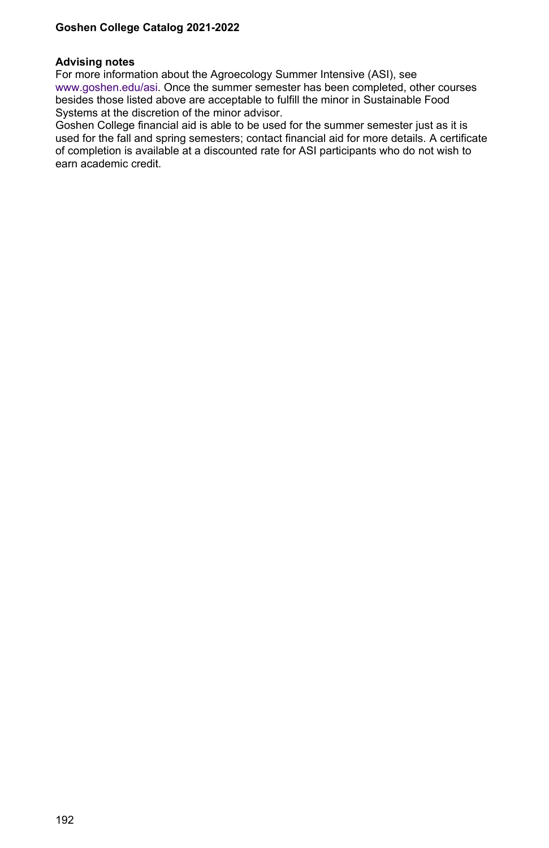#### **Advising notes**

For more information about the Agroecology Summer Intensive (ASI), see [www.goshen.edu/asi.](http://www.goshen.edu/asi) Once the summer semester has been completed, other courses besides those listed above are acceptable to fulfill the minor in Sustainable Food Systems at the discretion of the minor advisor.

Goshen College financial aid is able to be used for the summer semester just as it is used for the fall and spring semesters; contact financial aid for more details. A certificate of completion is available at a discounted rate for ASI participants who do not wish to earn academic credit.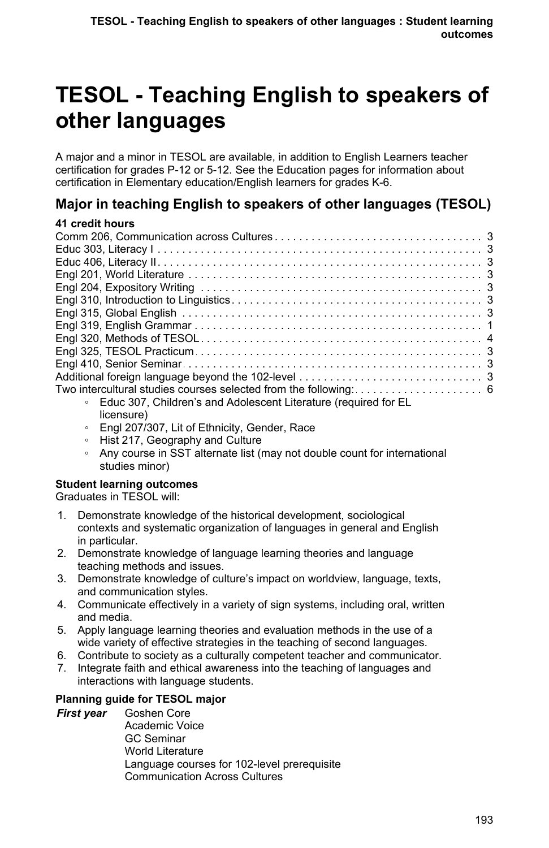# **TESOL - Teaching English to speakers of other languages**

A major and a minor in TESOL are available, in addition to English Learners teacher certification for grades P-12 or 5-12. See the Education pages for information about certification in Elementary education/English learners for grades K-6.

# **Major in teaching English to speakers of other languages (TESOL)**

## **41 credit hours**

| Educ 307, Children's and Adolescent Literature (required for EL<br>$\circ$ |  |
|----------------------------------------------------------------------------|--|
|                                                                            |  |

- licensure) ◦ Engl 207/307, Lit of Ethnicity, Gender, Race
- 
- Hist 217, Geography and Culture
- Any course in SST alternate list (may not double count for international studies minor)

## **Student learning outcomes**

Graduates in TESOL will:

- 1. Demonstrate knowledge of the historical development, sociological contexts and systematic organization of languages in general and English in particular.
- 2. Demonstrate knowledge of language learning theories and language teaching methods and issues.
- 3. Demonstrate knowledge of culture's impact on worldview, language, texts, and communication styles.
- 4. Communicate effectively in a variety of sign systems, including oral, written and media.
- 5. Apply language learning theories and evaluation methods in the use of a wide variety of effective strategies in the teaching of second languages.
- 6. Contribute to society as a culturally competent teacher and communicator.
- 7. Integrate faith and ethical awareness into the teaching of languages and interactions with language students.

## **Planning guide for TESOL major**

*First year* Goshen Core Academic Voice GC Seminar World Literature Language courses for 102-level prerequisite Communication Across Cultures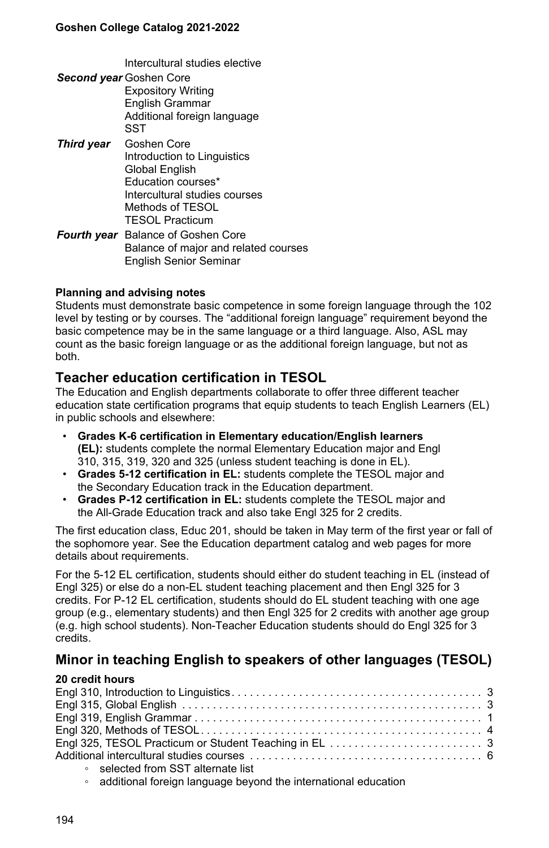Intercultural studies elective

- *Second year* Goshen Core Expository Writing English Grammar Additional foreign language **SST**
- *Third year* Goshen Core Introduction to Linguistics Global English Education courses\* Intercultural studies courses Methods of TESOL TESOL Practicum
- *Fourth year* Balance of Goshen Core Balance of major and related courses English Senior Seminar

### **Planning and advising notes**

Students must demonstrate basic competence in some foreign language through the 102 level by testing or by courses. The "additional foreign language" requirement beyond the basic competence may be in the same language or a third language. Also, ASL may count as the basic foreign language or as the additional foreign language, but not as both.

## **Teacher education certification in TESOL**

The Education and English departments collaborate to offer three different teacher education state certification programs that equip students to teach English Learners (EL) in public schools and elsewhere:

- **Grades K-6 certification in Elementary education/English learners (EL):** students complete the normal Elementary Education major and Engl 310, 315, 319, 320 and 325 (unless student teaching is done in EL).
- **Grades 5-12 certification in EL:** students complete the TESOL major and the Secondary Education track in the Education department.
- **Grades P-12 certification in EL:** students complete the TESOL major and the All-Grade Education track and also take Engl 325 for 2 credits.

The first education class, Educ 201, should be taken in May term of the first year or fall of the sophomore year. See the Education department catalog and web pages for more details about requirements.

For the 5-12 EL certification, students should either do student teaching in EL (instead of Engl 325) or else do a non-EL student teaching placement and then Engl 325 for 3 credits. For P-12 EL certification, students should do EL student teaching with one age group (e.g., elementary students) and then Engl 325 for 2 credits with another age group (e.g. high school students). Non-Teacher Education students should do Engl 325 for 3 credits.

# **Minor in teaching English to speakers of other languages (TESOL)**

### **20 credit hours**

| • selected from SST alternate list |  |
|------------------------------------|--|
|                                    |  |

◦ additional foreign language beyond the international education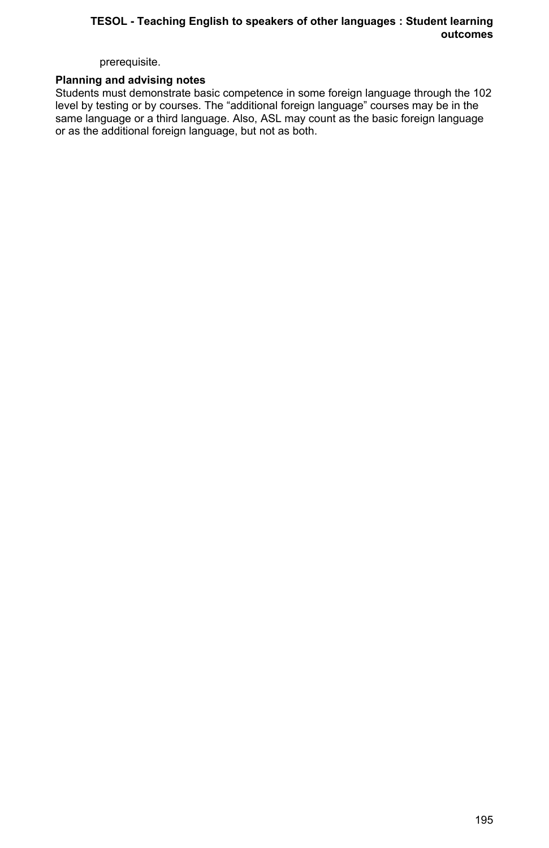## **TESOL - Teaching English to speakers of other languages : Student learning outcomes**

prerequisite.

### **Planning and advising notes**

Students must demonstrate basic competence in some foreign language through the 102 level by testing or by courses. The "additional foreign language" courses may be in the same language or a third language. Also, ASL may count as the basic foreign language or as the additional foreign language, but not as both.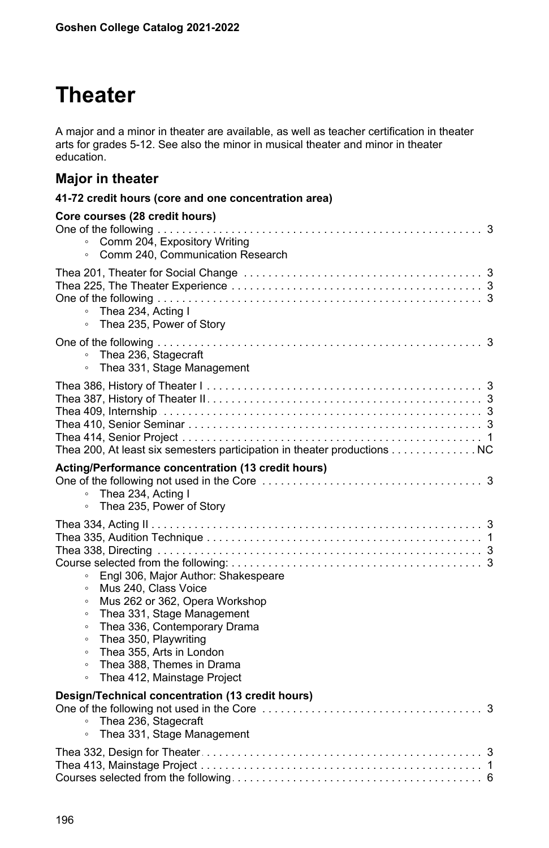# **Theater**

A major and a minor in theater are available, as well as teacher certification in theater arts for grades 5-12. See also the minor in musical theater and minor in theater education.

# **Major in theater**

| Core courses (28 credit hours)<br>Comm 204, Expository Writing<br>Comm 240, Communication Research<br>$\circ$                                                                                                                                                                                                                                                                   |
|---------------------------------------------------------------------------------------------------------------------------------------------------------------------------------------------------------------------------------------------------------------------------------------------------------------------------------------------------------------------------------|
| Thea 234. Acting I<br>$\circ$<br>Thea 235, Power of Story<br>$\circ$                                                                                                                                                                                                                                                                                                            |
| Thea 236, Stagecraft<br>$\circ$<br>Thea 331, Stage Management<br>$\circ$                                                                                                                                                                                                                                                                                                        |
| Thea 200, At least six semesters participation in theater productions NC                                                                                                                                                                                                                                                                                                        |
| Acting/Performance concentration (13 credit hours)<br>$\circ$<br>Thea 234, Acting I<br>Thea 235, Power of Story<br>$\circ$                                                                                                                                                                                                                                                      |
| Engl 306, Major Author: Shakespeare<br>$\circ$<br>Mus 240. Class Voice<br>$\circ$<br>Mus 262 or 362, Opera Workshop<br>$\circ$<br>Thea 331, Stage Management<br>$\circ$<br>Thea 336, Contemporary Drama<br>$\circ$<br>Thea 350, Playwriting<br>$\circ$<br>Thea 355, Arts in London<br>$\circ$<br>Thea 388, Themes in Drama<br>$\circ$<br>Thea 412, Mainstage Project<br>$\circ$ |
| Design/Technical concentration (13 credit hours)<br>Thea 236, Stagecraft<br>$\circ$<br>Thea 331, Stage Management<br>$\circ$                                                                                                                                                                                                                                                    |
|                                                                                                                                                                                                                                                                                                                                                                                 |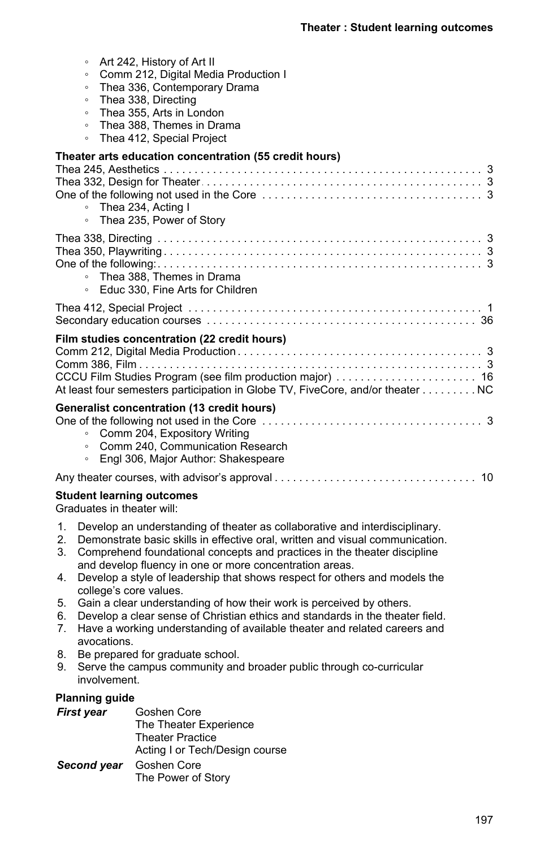| Art 242, History of Art II<br>$\circ$<br>Comm 212, Digital Media Production I<br>$\circ$<br>Thea 336, Contemporary Drama<br>$\circ$<br>Thea 338, Directing<br>$\circ$<br>Thea 355, Arts in London<br>$\circ$<br>Thea 388, Themes in Drama<br>$\circ$<br>Thea 412, Special Project<br>$\circ$ |  |
|----------------------------------------------------------------------------------------------------------------------------------------------------------------------------------------------------------------------------------------------------------------------------------------------|--|
| Theater arts education concentration (55 credit hours)<br>• Thea 234, Acting I<br>Thea 235, Power of Story<br>$\circ$                                                                                                                                                                        |  |
| • Thea 388, Themes in Drama<br>○ Educ 330. Fine Arts for Children                                                                                                                                                                                                                            |  |
|                                                                                                                                                                                                                                                                                              |  |
| Film studies concentration (22 credit hours)<br>At least four semesters participation in Globe TV, FiveCore, and/or theater NC                                                                                                                                                               |  |
| <b>Generalist concentration (13 credit hours)</b><br>○ Comm 204, Expository Writing<br>• Comm 240. Communication Research<br>Engl 306, Major Author: Shakespeare<br>$\circ$                                                                                                                  |  |
|                                                                                                                                                                                                                                                                                              |  |
| <b>Student learning outcomes</b>                                                                                                                                                                                                                                                             |  |

Graduates in theater will:

- 1. Develop an understanding of theater as collaborative and interdisciplinary.
- 2. Demonstrate basic skills in effective oral, written and visual communication.
- 3. Comprehend foundational concepts and practices in the theater discipline and develop fluency in one or more concentration areas.
- 4. Develop a style of leadership that shows respect for others and models the college's core values.
- 5. Gain a clear understanding of how their work is perceived by others.
- 6. Develop a clear sense of Christian ethics and standards in the theater field.
- 7. Have a working understanding of available theater and related careers and avocations.
- 8. Be prepared for graduate school.
- 9. Serve the campus community and broader public through co-curricular involvement.

## **Planning guide**

| First year  | Goshen Core                    |
|-------------|--------------------------------|
|             | The Theater Experience         |
|             | <b>Theater Practice</b>        |
|             | Acting I or Tech/Design course |
| Second year | Goshen Core                    |
|             | The Power of Story             |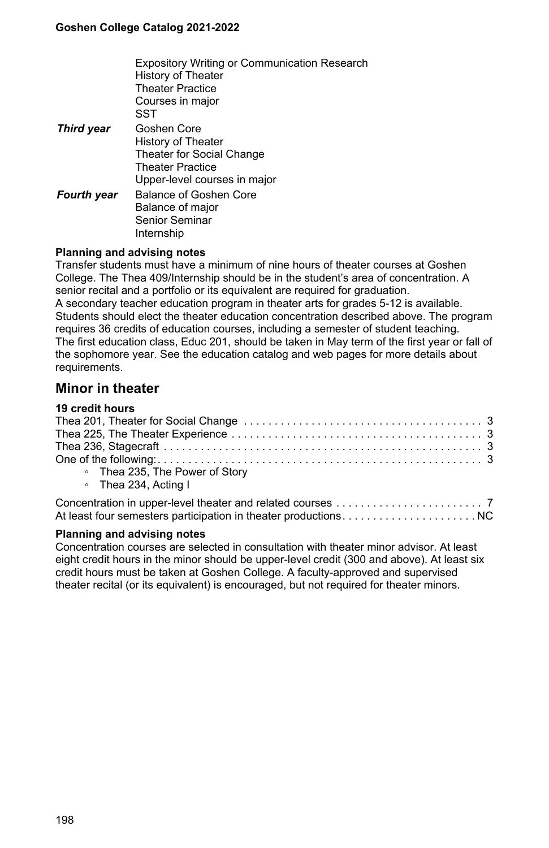|                    | <b>Expository Writing or Communication Research</b><br>History of Theater<br><b>Theater Practice</b><br>Courses in major<br>SST |
|--------------------|---------------------------------------------------------------------------------------------------------------------------------|
| <b>Third year</b>  | Goshen Core<br>History of Theater<br>Theater for Social Change<br><b>Theater Practice</b><br>Upper-level courses in major       |
| <b>Fourth year</b> | Balance of Goshen Core<br>Balance of major<br>Senior Seminar<br>Internship                                                      |

### **Planning and advising notes**

Transfer students must have a minimum of nine hours of theater courses at Goshen College. The Thea 409/Internship should be in the student's area of concentration. A senior recital and a portfolio or its equivalent are required for graduation. A secondary teacher education program in theater arts for grades 5-12 is available. Students should elect the theater education concentration described above. The program requires 36 credits of education courses, including a semester of student teaching. The first education class, Educ 201, should be taken in May term of the first year or fall of the sophomore year. See the education catalog and web pages for more details about requirements.

## **Minor in theater**

| 19 credit hours                |
|--------------------------------|
|                                |
|                                |
|                                |
|                                |
| • Thea 235, The Power of Story |
| ∘ Thea 234, Acting I           |
|                                |
|                                |

### **Planning and advising notes**

Concentration courses are selected in consultation with theater minor advisor. At least eight credit hours in the minor should be upper-level credit (300 and above). At least six credit hours must be taken at Goshen College. A faculty-approved and supervised theater recital (or its equivalent) is encouraged, but not required for theater minors.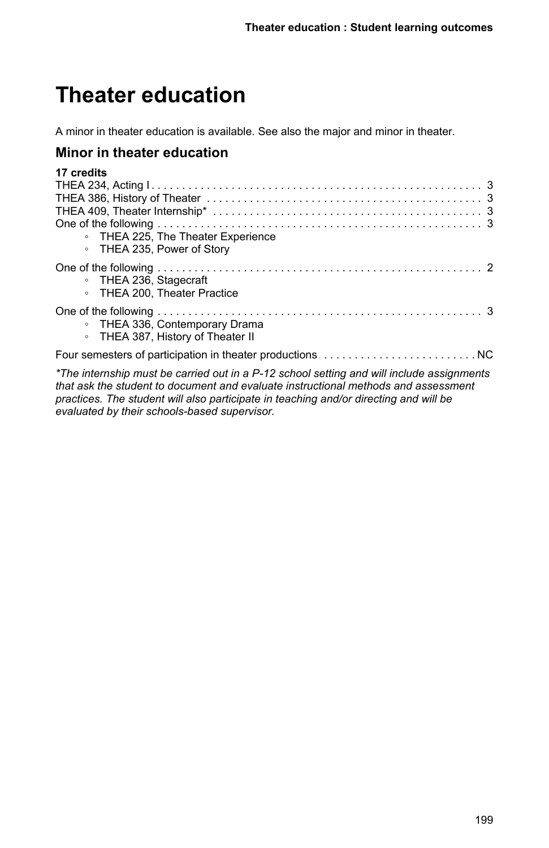# **Theater education**

A minor in theater education is available. See also the major and minor in theater.

## **Minor in theater education**

| 17 credits                                                                                  |
|---------------------------------------------------------------------------------------------|
|                                                                                             |
| THEA 386, History of Theater<br>THEA 409, Theater Internship*<br>One of the following<br>3  |
|                                                                                             |
|                                                                                             |
| • THEA 225, The Theater Experience<br>• THEA 235, Power of Story                            |
| • THEA 236, Stagecraft<br>• THEA 200. Theater Practice                                      |
| • THEA 336, Contemporary Drama<br>• THEA 387, History of Theater II                         |
|                                                                                             |
| $*$ The internation must be corried out in a D 10 sepace cotting and will include conjugate |

*\*The internship must be carried out in a P-12 school setting and will include assignments that ask the student to document and evaluate instructional methods and assessment practices. The student will also participate in teaching and/or directing and will be evaluated by their schools-based supervisor.*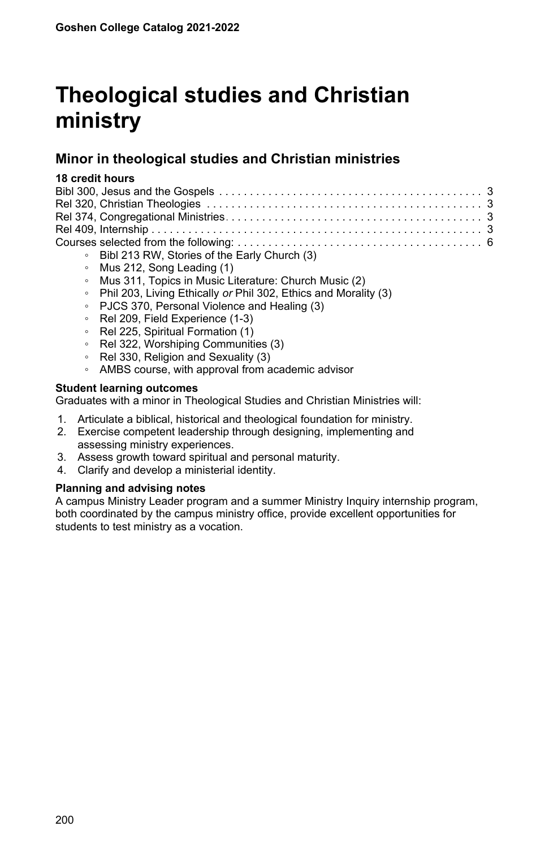# **Theological studies and Christian ministry**

# **Minor in theological studies and Christian ministries**

### **18 credit hours**

- Bibl 213 RW, Stories of the Early Church (3)
- Mus 212, Song Leading (1)
- Mus 311, Topics in Music Literature: Church Music (2)
- Phil 203, Living Ethically *or* Phil 302, Ethics and Morality (3)
- PJCS 370, Personal Violence and Healing (3)
- Rel 209, Field Experience (1-3)
- Rel 225, Spiritual Formation (1)
- Rel 322, Worshiping Communities (3)
- Rel 330, Religion and Sexuality (3)
- AMBS course, with approval from academic advisor

### **Student learning outcomes**

Graduates with a minor in Theological Studies and Christian Ministries will:

- 1. Articulate a biblical, historical and theological foundation for ministry.
- 2. Exercise competent leadership through designing, implementing and assessing ministry experiences.
- 3. Assess growth toward spiritual and personal maturity.
- 4. Clarify and develop a ministerial identity.

## **Planning and advising notes**

A campus Ministry Leader program and a summer Ministry Inquiry internship program, both coordinated by the campus ministry office, provide excellent opportunities for students to test ministry as a vocation.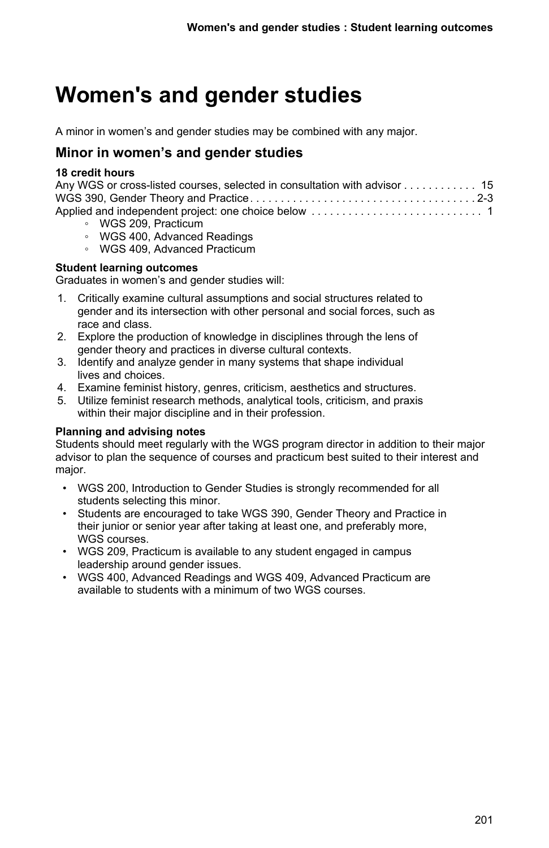# **Women's and gender studies**

A minor in women's and gender studies may be combined with any major.

## **Minor in women's and gender studies**

## **18 credit hours**

| Any WGS or cross-listed courses, selected in consultation with advisor 15 |  |
|---------------------------------------------------------------------------|--|
|                                                                           |  |
|                                                                           |  |
| $MCR$ 000 $D_{\text{total}}$                                              |  |

- WGS 209, Practicum
- WGS 400, Advanced Readings
- WGS 409, Advanced Practicum

## **Student learning outcomes**

Graduates in women's and gender studies will:

- 1. Critically examine cultural assumptions and social structures related to gender and its intersection with other personal and social forces, such as race and class.
- 2. Explore the production of knowledge in disciplines through the lens of gender theory and practices in diverse cultural contexts.
- 3. Identify and analyze gender in many systems that shape individual lives and choices.
- 4. Examine feminist history, genres, criticism, aesthetics and structures.
- 5. Utilize feminist research methods, analytical tools, criticism, and praxis within their major discipline and in their profession.

## **Planning and advising notes**

Students should meet regularly with the WGS program director in addition to their major advisor to plan the sequence of courses and practicum best suited to their interest and major.

- WGS 200, Introduction to Gender Studies is strongly recommended for all students selecting this minor.
- Students are encouraged to take WGS 390, Gender Theory and Practice in their junior or senior year after taking at least one, and preferably more, WGS courses.
- WGS 209, Practicum is available to any student engaged in campus leadership around gender issues.
- WGS 400, Advanced Readings and WGS 409, Advanced Practicum are available to students with a minimum of two WGS courses.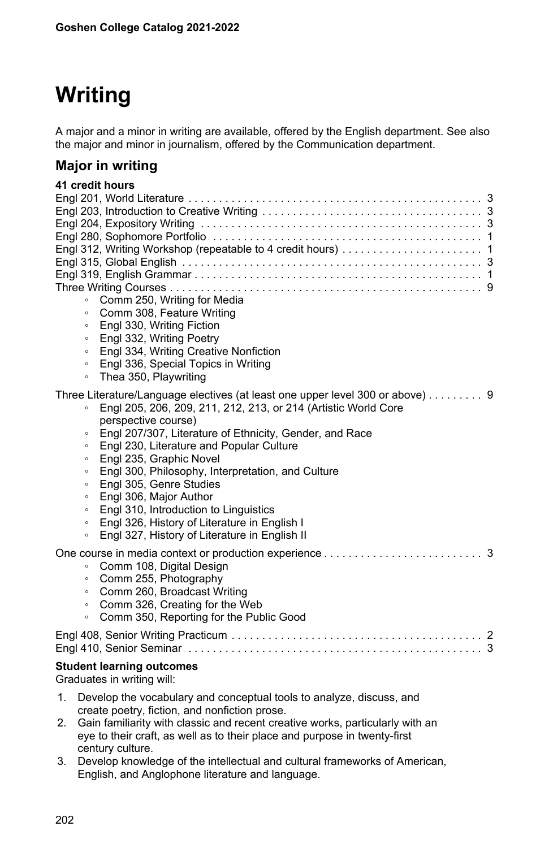# **Writing**

A major and a minor in writing are available, offered by the English department. See also the major and minor in journalism, offered by the Communication department.

## **Major in writing**

# **41 credit hours**

| Comm 250, Writing for Media<br>$\circ$<br>Comm 308, Feature Writing<br>$\circ$<br>Engl 330, Writing Fiction<br>$\circ$<br>Engl 332, Writing Poetry<br>$\circ$<br>Engl 334, Writing Creative Nonfiction<br>$\circ$<br>Engl 336, Special Topics in Writing<br>$\circ$<br>Thea 350, Playwriting<br>$\circ$                                                                                                                                                                                                                                                                                                                                                                    |
|----------------------------------------------------------------------------------------------------------------------------------------------------------------------------------------------------------------------------------------------------------------------------------------------------------------------------------------------------------------------------------------------------------------------------------------------------------------------------------------------------------------------------------------------------------------------------------------------------------------------------------------------------------------------------|
| Three Literature/Language electives (at least one upper level 300 or above) 9<br>Engl 205, 206, 209, 211, 212, 213, or 214 (Artistic World Core<br>$\circ$<br>perspective course)<br>Engl 207/307, Literature of Ethnicity, Gender, and Race<br>$\circ$<br>Engl 230, Literature and Popular Culture<br>$\circ$<br>Engl 235, Graphic Novel<br>$\circ$<br>Engl 300, Philosophy, Interpretation, and Culture<br>$\circ$<br>Engl 305, Genre Studies<br>$\circ$<br>Engl 306, Major Author<br>$\circ$<br>Engl 310, Introduction to Linguistics<br>$\circ$<br>Engl 326, History of Literature in English I<br>$\circ$<br>Engl 327, History of Literature in English II<br>$\circ$ |
| Comm 108, Digital Design<br>$\circ$<br>Comm 255, Photography<br>$\circ$<br>Comm 260, Broadcast Writing<br>$\circ$<br>Comm 326, Creating for the Web<br>$\circ$<br>Comm 350, Reporting for the Public Good<br>$\circ$                                                                                                                                                                                                                                                                                                                                                                                                                                                       |
|                                                                                                                                                                                                                                                                                                                                                                                                                                                                                                                                                                                                                                                                            |
| <b>Student learning outcomes</b><br>Graduates in writing will:                                                                                                                                                                                                                                                                                                                                                                                                                                                                                                                                                                                                             |
| Develop the vocabulary and conceptual tools to analyze, discuss, and<br>1.<br>create poetry, fiction, and nonfiction prose.<br>Gain familiarity with classic and recent creative works, particularly with an<br>2.                                                                                                                                                                                                                                                                                                                                                                                                                                                         |

- eye to their craft, as well as to their place and purpose in twenty-first century culture. 3. Develop knowledge of the intellectual and cultural frameworks of American,
- English, and Anglophone literature and language.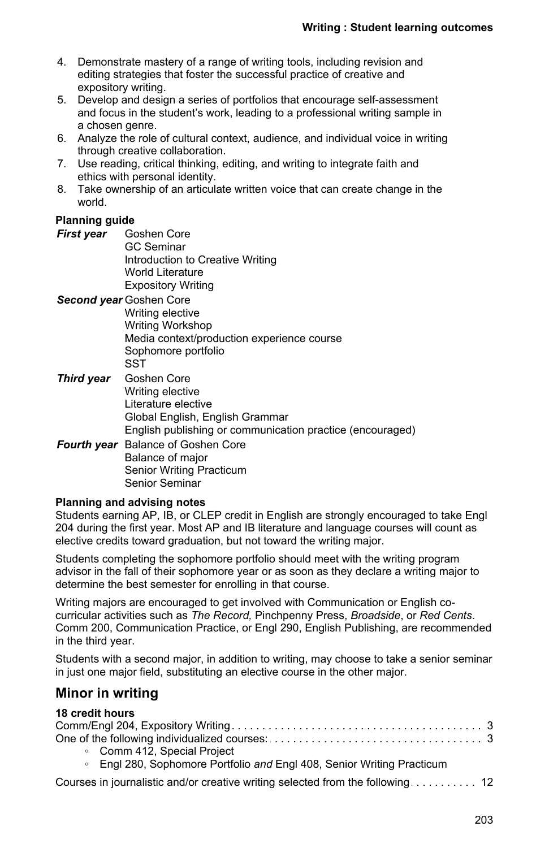- 4. Demonstrate mastery of a range of writing tools, including revision and editing strategies that foster the successful practice of creative and expository writing.
- 5. Develop and design a series of portfolios that encourage self-assessment and focus in the student's work, leading to a professional writing sample in a chosen genre.
- 6. Analyze the role of cultural context, audience, and individual voice in writing through creative collaboration.
- 7. Use reading, critical thinking, editing, and writing to integrate faith and ethics with personal identity.
- 8. Take ownership of an articulate written voice that can create change in the world.

## **Planning guide**

*First year* Goshen Core GC Seminar Introduction to Creative Writing World Literature Expository Writing

*Second year* Goshen Core

Writing elective Writing Workshop Media context/production experience course Sophomore portfolio **SST** 

- *Third year* Goshen Core Writing elective Literature elective Global English, English Grammar English publishing or communication practice (encouraged)
- *Fourth year* Balance of Goshen Core Balance of major Senior Writing Practicum Senior Seminar

### **Planning and advising notes**

Students earning AP, IB, or CLEP credit in English are strongly encouraged to take Engl 204 during the first year. Most AP and IB literature and language courses will count as elective credits toward graduation, but not toward the writing major.

Students completing the sophomore portfolio should meet with the writing program advisor in the fall of their sophomore year or as soon as they declare a writing major to determine the best semester for enrolling in that course.

Writing majors are encouraged to get involved with Communication or English cocurricular activities such as *The Record,* Pinchpenny Press, *Broadside*, or *Red Cents*. Comm 200, Communication Practice, or Engl 290, English Publishing, are recommended in the third year.

Students with a second major, in addition to writing, may choose to take a senior seminar in just one major field, substituting an elective course in the other major.

## **Minor in writing**

## **18 credit hours**

| • Comm 412, Special Project                                            |
|------------------------------------------------------------------------|
| • Engl 280, Sophomore Portfolio and Engl 408, Senior Writing Practicum |
|                                                                        |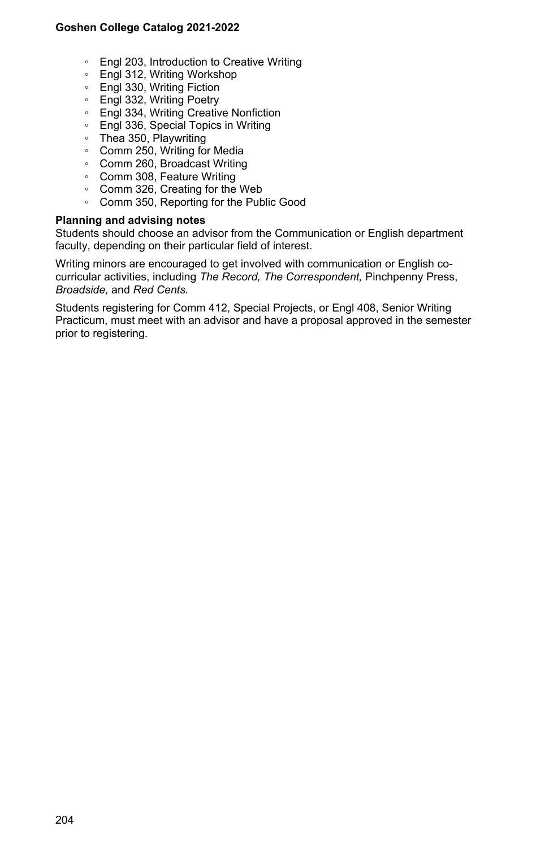- Engl 203, Introduction to Creative Writing
- Engl 312, Writing Workshop
- Engl 330, Writing Fiction
- Engl 332, Writing Poetry
- Engl 334, Writing Creative Nonfiction
- Engl 336, Special Topics in Writing
- Thea 350, Playwriting
- Comm 250, Writing for Media
- Comm 260, Broadcast Writing
- Comm 308, Feature Writing
- Comm 326, Creating for the Web
- Comm 350, Reporting for the Public Good

### **Planning and advising notes**

Students should choose an advisor from the Communication or English department faculty, depending on their particular field of interest.

Writing minors are encouraged to get involved with communication or English cocurricular activities, including *The Record, The Correspondent,* Pinchpenny Press, *Broadside,* and *Red Cents.*

Students registering for Comm 412, Special Projects, or Engl 408, Senior Writing Practicum, must meet with an advisor and have a proposal approved in the semester prior to registering.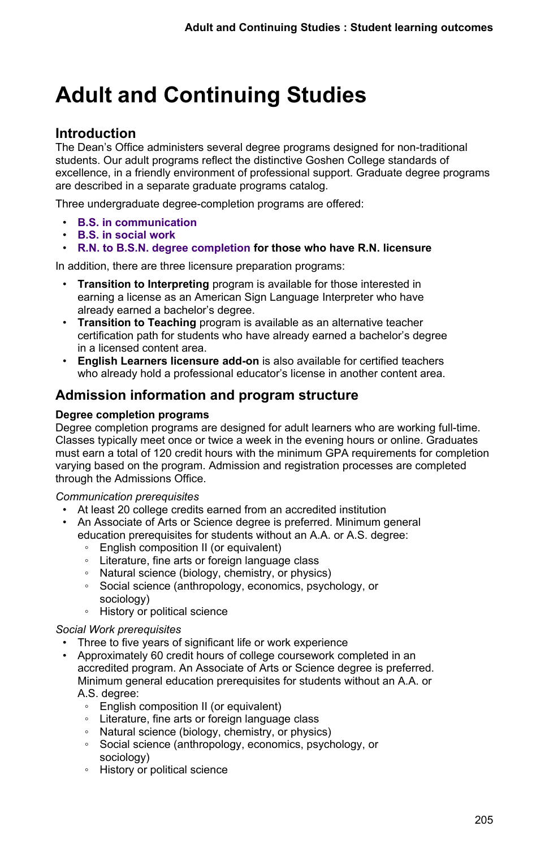# **Adult and Continuing Studies**

# **Introduction**

The Dean's Office administers several degree programs designed for non-traditional students. Our adult programs reflect the distinctive Goshen College standards of excellence, in a friendly environment of professional support. Graduate degree programs are described in a separate graduate programs catalog.

Three undergraduate degree-completion programs are offered:

- **B.S. in communication**
- **B.S. in social work**
- **R.N. to B.S.N. degree completion for those who have R.N. licensure**

In addition, there are three licensure preparation programs:

- **Transition to Interpreting** program is available for those interested in earning a license as an American Sign Language Interpreter who have already earned a bachelor's degree.
- **Transition to Teaching** program is available as an alternative teacher certification path for students who have already earned a bachelor's degree in a licensed content area.
- **English Learners licensure add-on** is also available for certified teachers who already hold a professional educator's license in another content area.

# **Admission information and program structure**

### **Degree completion programs**

Degree completion programs are designed for adult learners who are working full-time. Classes typically meet once or twice a week in the evening hours or online. Graduates must earn a total of 120 credit hours with the minimum GPA requirements for completion varying based on the program. Admission and registration processes are completed through the Admissions Office.

*Communication prerequisites*

- At least 20 college credits earned from an accredited institution
- An Associate of Arts or Science degree is preferred. Minimum general education prerequisites for students without an A.A. or A.S. degree:
	- English composition II (or equivalent)
	- Literature, fine arts or foreign language class
	- Natural science (biology, chemistry, or physics)
	- Social science (anthropology, economics, psychology, or sociology)
	- History or political science

### *Social Work prerequisites*

- Three to five years of significant life or work experience
- Approximately 60 credit hours of college coursework completed in an accredited program. An Associate of Arts or Science degree is preferred. Minimum general education prerequisites for students without an A.A. or A.S. degree:
	- English composition II (or equivalent)
	- Literature, fine arts or foreign language class
	- Natural science (biology, chemistry, or physics)
	- Social science (anthropology, economics, psychology, or sociology)
	- History or political science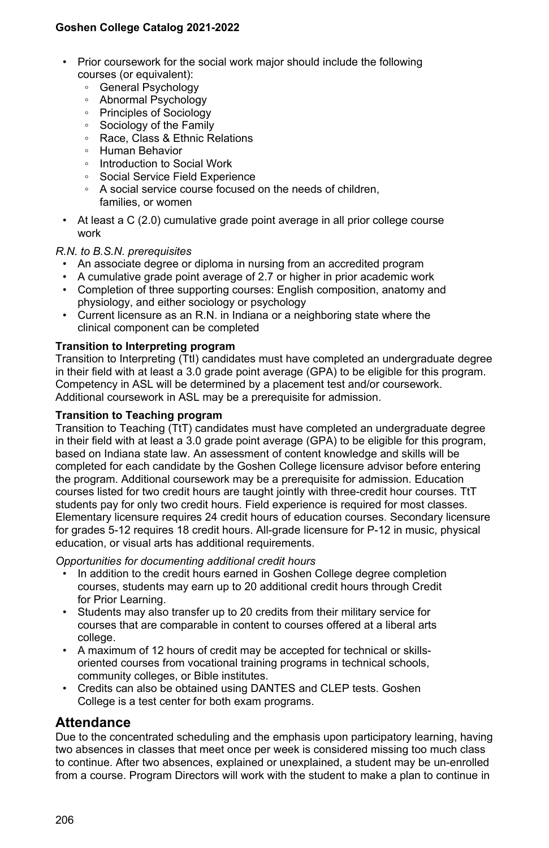- Prior coursework for the social work major should include the following courses (or equivalent):
	- General Psychology
	- Abnormal Psychology
	- Principles of Sociology
	- Sociology of the Family
	- Race, Class & Ethnic Relations
	- Human Behavior
	- Introduction to Social Work
	- Social Service Field Experience
	- A social service course focused on the needs of children, families, or women
- At least a C (2.0) cumulative grade point average in all prior college course work

### *R.N. to B.S.N. prerequisites*

- An associate degree or diploma in nursing from an accredited program
- A cumulative grade point average of 2.7 or higher in prior academic work
- Completion of three supporting courses: English composition, anatomy and physiology, and either sociology or psychology
- Current licensure as an R.N. in Indiana or a neighboring state where the clinical component can be completed

### **Transition to Interpreting program**

Transition to Interpreting (TtI) candidates must have completed an undergraduate degree in their field with at least a 3.0 grade point average (GPA) to be eligible for this program. Competency in ASL will be determined by a placement test and/or coursework. Additional coursework in ASL may be a prerequisite for admission.

### **Transition to Teaching program**

Transition to Teaching (TtT) candidates must have completed an undergraduate degree in their field with at least a 3.0 grade point average (GPA) to be eligible for this program, based on Indiana state law. An assessment of content knowledge and skills will be completed for each candidate by the Goshen College licensure advisor before entering the program. Additional coursework may be a prerequisite for admission. Education courses listed for two credit hours are taught jointly with three-credit hour courses. TtT students pay for only two credit hours. Field experience is required for most classes. Elementary licensure requires 24 credit hours of education courses. Secondary licensure for grades 5-12 requires 18 credit hours. All-grade licensure for P-12 in music, physical education, or visual arts has additional requirements.

*Opportunities for documenting additional credit hours*

- In addition to the credit hours earned in Goshen College degree completion courses, students may earn up to 20 additional credit hours through Credit for Prior Learning.
- Students may also transfer up to 20 credits from their military service for courses that are comparable in content to courses offered at a liberal arts college.
- A maximum of 12 hours of credit may be accepted for technical or skillsoriented courses from vocational training programs in technical schools, community colleges, or Bible institutes.
- Credits can also be obtained using DANTES and CLEP tests. Goshen College is a test center for both exam programs.

## **Attendance**

Due to the concentrated scheduling and the emphasis upon participatory learning, having two absences in classes that meet once per week is considered missing too much class to continue. After two absences, explained or unexplained, a student may be un-enrolled from a course. Program Directors will work with the student to make a plan to continue in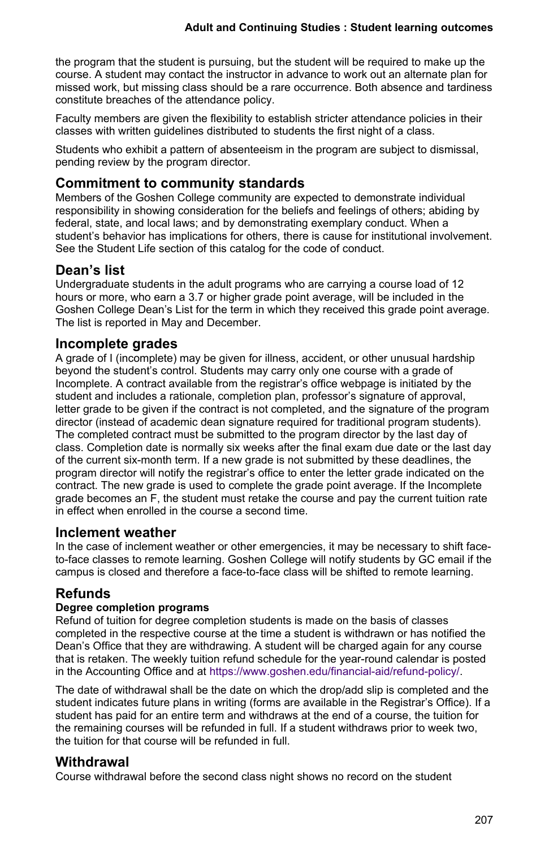the program that the student is pursuing, but the student will be required to make up the course. A student may contact the instructor in advance to work out an alternate plan for missed work, but missing class should be a rare occurrence. Both absence and tardiness constitute breaches of the attendance policy.

Faculty members are given the flexibility to establish stricter attendance policies in their classes with written guidelines distributed to students the first night of a class.

Students who exhibit a pattern of absenteeism in the program are subject to dismissal, pending review by the program director.

## **Commitment to community standards**

Members of the Goshen College community are expected to demonstrate individual responsibility in showing consideration for the beliefs and feelings of others; abiding by federal, state, and local laws; and by demonstrating exemplary conduct. When a student's behavior has implications for others, there is cause for institutional involvement. See the Student Life section of this catalog for the code of conduct.

## **Dean's list**

Undergraduate students in the adult programs who are carrying a course load of 12 hours or more, who earn a 3.7 or higher grade point average, will be included in the Goshen College Dean's List for the term in which they received this grade point average. The list is reported in May and December.

## **Incomplete grades**

A grade of I (incomplete) may be given for illness, accident, or other unusual hardship beyond the student's control. Students may carry only one course with a grade of Incomplete. A contract available from the registrar's office webpage is initiated by the student and includes a rationale, completion plan, professor's signature of approval, letter grade to be given if the contract is not completed, and the signature of the program director (instead of academic dean signature required for traditional program students). The completed contract must be submitted to the program director by the last day of class. Completion date is normally six weeks after the final exam due date or the last day of the current six-month term. If a new grade is not submitted by these deadlines, the program director will notify the registrar's office to enter the letter grade indicated on the contract. The new grade is used to complete the grade point average. If the Incomplete grade becomes an F, the student must retake the course and pay the current tuition rate in effect when enrolled in the course a second time.

## **Inclement weather**

In the case of inclement weather or other emergencies, it may be necessary to shift faceto-face classes to remote learning. Goshen College will notify students by GC email if the campus is closed and therefore a face-to-face class will be shifted to remote learning.

## **Refunds**

## **Degree completion programs**

Refund of tuition for degree completion students is made on the basis of classes completed in the respective course at the time a student is withdrawn or has notified the Dean's Office that they are withdrawing. A student will be charged again for any course that is retaken. The weekly tuition refund schedule for the year-round calendar is posted in the Accounting Office and at [https://www.goshen.edu/financial-aid/refund-policy/.](https://www.goshen.edu/financial-aid/refund-policy/)

The date of withdrawal shall be the date on which the drop/add slip is completed and the student indicates future plans in writing (forms are available in the Registrar's Office). If a student has paid for an entire term and withdraws at the end of a course, the tuition for the remaining courses will be refunded in full. If a student withdraws prior to week two, the tuition for that course will be refunded in full.

## **Withdrawal**

Course withdrawal before the second class night shows no record on the student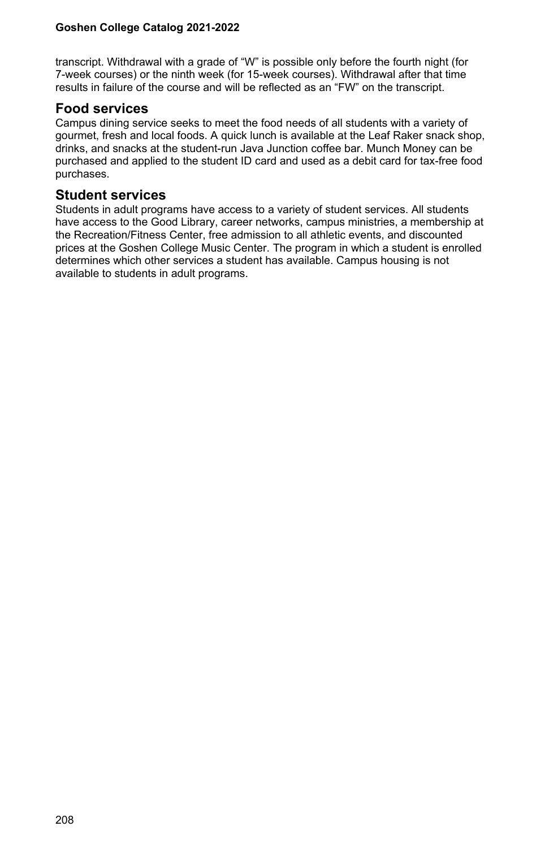transcript. Withdrawal with a grade of "W" is possible only before the fourth night (for 7-week courses) or the ninth week (for 15-week courses). Withdrawal after that time results in failure of the course and will be reflected as an "FW" on the transcript.

## **Food services**

Campus dining service seeks to meet the food needs of all students with a variety of gourmet, fresh and local foods. A quick lunch is available at the Leaf Raker snack shop, drinks, and snacks at the student-run Java Junction coffee bar. Munch Money can be purchased and applied to the student ID card and used as a debit card for tax-free food purchases.

## **Student services**

Students in adult programs have access to a variety of student services. All students have access to the Good Library, career networks, campus ministries, a membership at the Recreation/Fitness Center, free admission to all athletic events, and discounted prices at the Goshen College Music Center. The program in which a student is enrolled determines which other services a student has available. Campus housing is not available to students in adult programs.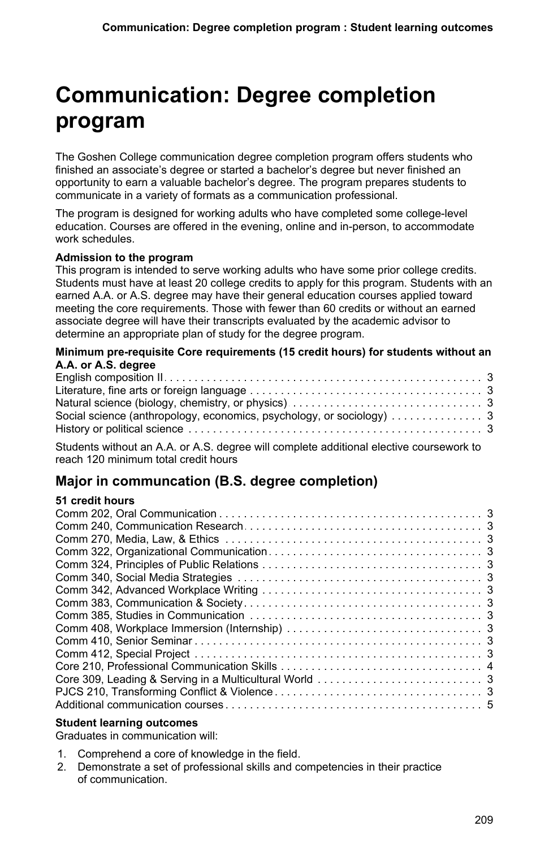# **Communication: Degree completion program**

The Goshen College communication degree completion program offers students who finished an associate's degree or started a bachelor's degree but never finished an opportunity to earn a valuable bachelor's degree. The program prepares students to communicate in a variety of formats as a communication professional.

The program is designed for working adults who have completed some college-level education. Courses are offered in the evening, online and in-person, to accommodate work schedules.

### **Admission to the program**

This program is intended to serve working adults who have some prior college credits. Students must have at least 20 college credits to apply for this program. Students with an earned A.A. or A.S. degree may have their general education courses applied toward meeting the core requirements. Those with fewer than 60 credits or without an earned associate degree will have their transcripts evaluated by the academic advisor to determine an appropriate plan of study for the degree program.

### **Minimum pre-requisite Core requirements (15 credit hours) for students without an A.A. or A.S. degree**

Students without an A.A. or A.S. degree will complete additional elective coursework to reach 120 minimum total credit hours

## **Major in communcation (B.S. degree completion)**

### **51 credit hours**

### **Student learning outcomes**

Graduates in communication will:

- 1. Comprehend a core of knowledge in the field.
- 2. Demonstrate a set of professional skills and competencies in their practice of communication.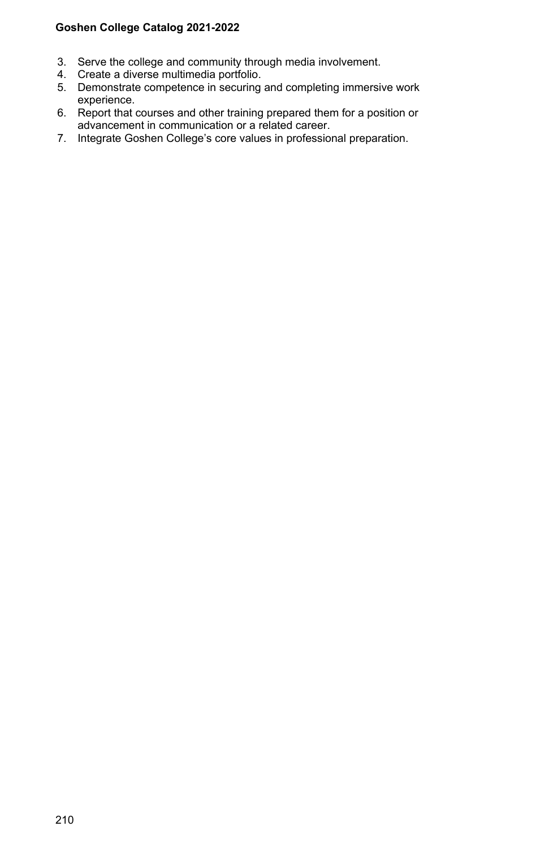- 3. Serve the college and community through media involvement.
- 4. Create a diverse multimedia portfolio.
- 5. Demonstrate competence in securing and completing immersive work experience.
- 6. Report that courses and other training prepared them for a position or advancement in communication or a related career.
- 7. Integrate Goshen College's core values in professional preparation.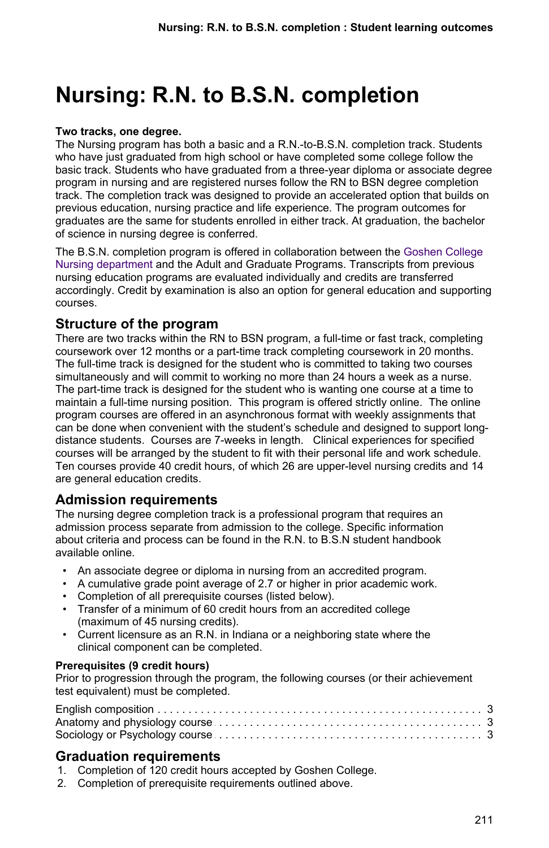# **Nursing: R.N. to B.S.N. completion**

### **Two tracks, one degree.**

The Nursing program has both a basic and a R.N.-to-B.S.N. completion track. Students who have just graduated from high school or have completed some college follow the basic track. Students who have graduated from a three-year diploma or associate degree program in nursing and are registered nurses follow the RN to BSN degree completion track. The completion track was designed to provide an accelerated option that builds on previous education, nursing practice and life experience. The program outcomes for graduates are the same for students enrolled in either track. At graduation, the bachelor of science in nursing degree is conferred.

The B.S.N. completion program is offered in collaboration between the [Goshen College](/nursing) [Nursing department](/nursing) and the Adult and Graduate Programs. Transcripts from previous nursing education programs are evaluated individually and credits are transferred accordingly. Credit by examination is also an option for general education and supporting courses.

## **Structure of the program**

There are two tracks within the RN to BSN program, a full-time or fast track, completing coursework over 12 months or a part-time track completing coursework in 20 months. The full-time track is designed for the student who is committed to taking two courses simultaneously and will commit to working no more than 24 hours a week as a nurse. The part-time track is designed for the student who is wanting one course at a time to maintain a full-time nursing position. This program is offered strictly online. The online program courses are offered in an asynchronous format with weekly assignments that can be done when convenient with the student's schedule and designed to support longdistance students. Courses are 7-weeks in length. Clinical experiences for specified courses will be arranged by the student to fit with their personal life and work schedule. Ten courses provide 40 credit hours, of which 26 are upper-level nursing credits and 14 are general education credits.

## **Admission requirements**

The nursing degree completion track is a professional program that requires an admission process separate from admission to the college. Specific information about criteria and process can be found in the R.N. to B.S.N student handbook available online.

- An associate degree or diploma in nursing from an accredited program.
- A cumulative grade point average of 2.7 or higher in prior academic work.
- Completion of all prerequisite courses (listed below).
- Transfer of a minimum of 60 credit hours from an accredited college (maximum of 45 nursing credits).
- Current licensure as an R.N. in Indiana or a neighboring state where the clinical component can be completed.

### **Prerequisites (9 credit hours)**

Prior to progression through the program, the following courses (or their achievement test equivalent) must be completed.

## **Graduation requirements**

- 1. Completion of 120 credit hours accepted by Goshen College.
- 2. Completion of prerequisite requirements outlined above.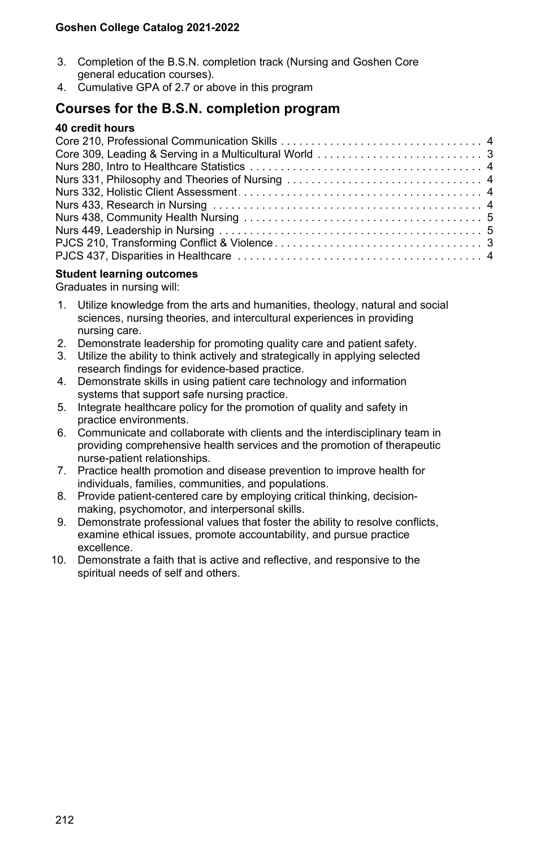- 3. Completion of the B.S.N. completion track (Nursing and Goshen Core general education courses).
- 4. Cumulative GPA of 2.7 or above in this program

## **Courses for the B.S.N. completion program**

#### **40 credit hours**

### **Student learning outcomes**

Graduates in nursing will:

- 1. Utilize knowledge from the arts and humanities, theology, natural and social sciences, nursing theories, and intercultural experiences in providing nursing care.
- 2. Demonstrate leadership for promoting quality care and patient safety.
- 3. Utilize the ability to think actively and strategically in applying selected research findings for evidence-based practice.
- 4. Demonstrate skills in using patient care technology and information systems that support safe nursing practice.
- 5. Integrate healthcare policy for the promotion of quality and safety in practice environments.
- 6. Communicate and collaborate with clients and the interdisciplinary team in providing comprehensive health services and the promotion of therapeutic nurse-patient relationships.
- 7. Practice health promotion and disease prevention to improve health for individuals, families, communities, and populations.
- 8. Provide patient-centered care by employing critical thinking, decisionmaking, psychomotor, and interpersonal skills.
- 9. Demonstrate professional values that foster the ability to resolve conflicts, examine ethical issues, promote accountability, and pursue practice excellence.
- 10. Demonstrate a faith that is active and reflective, and responsive to the spiritual needs of self and others.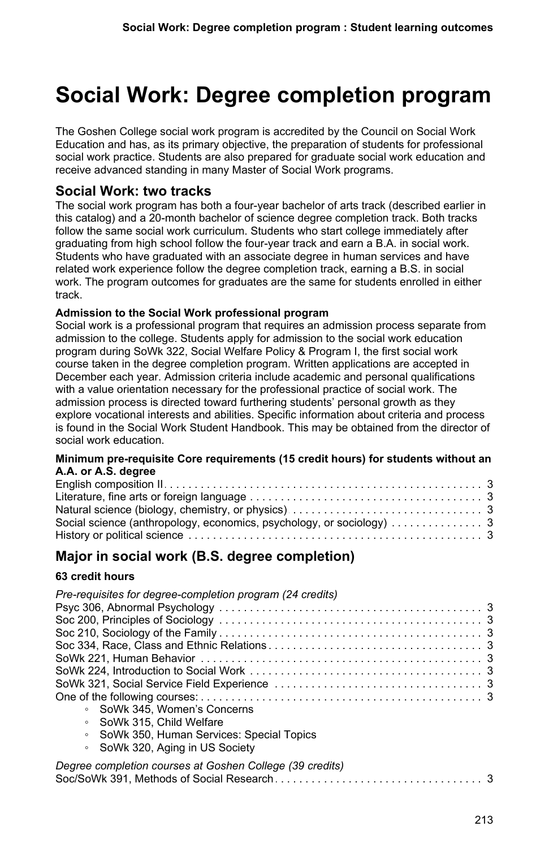# **Social Work: Degree completion program**

The Goshen College social work program is accredited by the Council on Social Work Education and has, as its primary objective, the preparation of students for professional social work practice. Students are also prepared for graduate social work education and receive advanced standing in many Master of Social Work programs.

## **Social Work: two tracks**

The social work program has both a four-year bachelor of arts track (described earlier in this catalog) and a 20-month bachelor of science degree completion track. Both tracks follow the same social work curriculum. Students who start college immediately after graduating from high school follow the four-year track and earn a B.A. in social work. Students who have graduated with an associate degree in human services and have related work experience follow the degree completion track, earning a B.S. in social work. The program outcomes for graduates are the same for students enrolled in either track.

### **Admission to the Social Work professional program**

Social work is a professional program that requires an admission process separate from admission to the college. Students apply for admission to the social work education program during SoWk 322, Social Welfare Policy & Program I, the first social work course taken in the degree completion program. Written applications are accepted in December each year. Admission criteria include academic and personal qualifications with a value orientation necessary for the professional practice of social work. The admission process is directed toward furthering students' personal growth as they explore vocational interests and abilities. Specific information about criteria and process is found in the Social Work Student Handbook. This may be obtained from the director of social work education.

### **Minimum pre-requisite Core requirements (15 credit hours) for students without an A.A. or A.S. degree**

# **Major in social work (B.S. degree completion)**

## **63 credit hours**

| Pre-requisites for degree-completion program (24 credits)                  |
|----------------------------------------------------------------------------|
|                                                                            |
|                                                                            |
|                                                                            |
|                                                                            |
|                                                                            |
|                                                                            |
|                                                                            |
|                                                                            |
| • SoWk 345. Women's Concerns                                               |
| • SoWk 315, Child Welfare                                                  |
| • SoWk 350, Human Services: Special Topics                                 |
| • SoWk 320, Aging in US Society                                            |
| Degree completion courses at Goshen College (39 credits)                   |
| Soc/SoWk 391. Methods of Social Research entertainment of the society of 3 |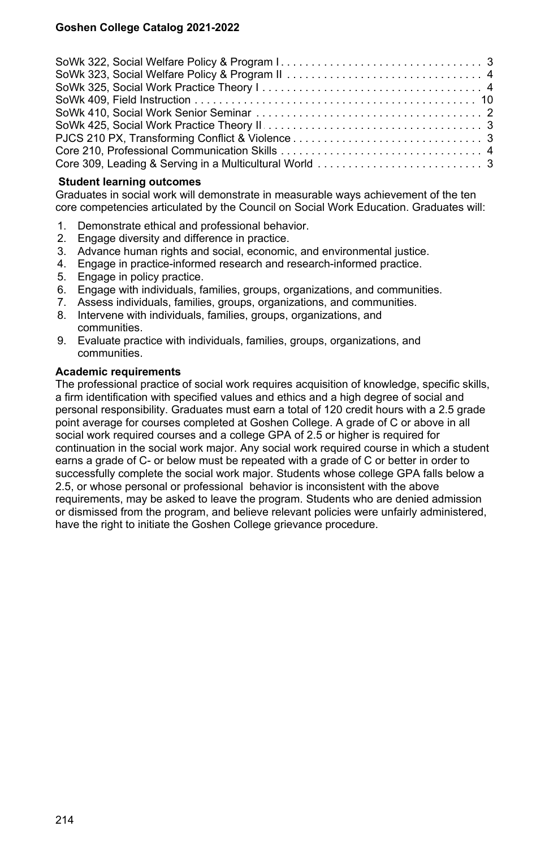### **Student learning outcomes**

Graduates in social work will demonstrate in measurable ways achievement of the ten core competencies articulated by the Council on Social Work Education. Graduates will:

- 1. Demonstrate ethical and professional behavior.
- 2. Engage diversity and difference in practice.
- 3. Advance human rights and social, economic, and environmental justice.
- 4. Engage in practice-informed research and research-informed practice.
- 5. Engage in policy practice.
- 6. Engage with individuals, families, groups, organizations, and communities.
- 7. Assess individuals, families, groups, organizations, and communities.
- 8. Intervene with individuals, families, groups, organizations, and communities.
- 9. Evaluate practice with individuals, families, groups, organizations, and communities.

### **Academic requirements**

The professional practice of social work requires acquisition of knowledge, specific skills, a firm identification with specified values and ethics and a high degree of social and personal responsibility. Graduates must earn a total of 120 credit hours with a 2.5 grade point average for courses completed at Goshen College. A grade of C or above in all social work required courses and a college GPA of 2.5 or higher is required for continuation in the social work major. Any social work required course in which a student earns a grade of C- or below must be repeated with a grade of C or better in order to successfully complete the social work major. Students whose college GPA falls below a 2.5, or whose personal or professional behavior is inconsistent with the above requirements, may be asked to leave the program. Students who are denied admission or dismissed from the program, and believe relevant policies were unfairly administered, have the right to initiate the Goshen College grievance procedure.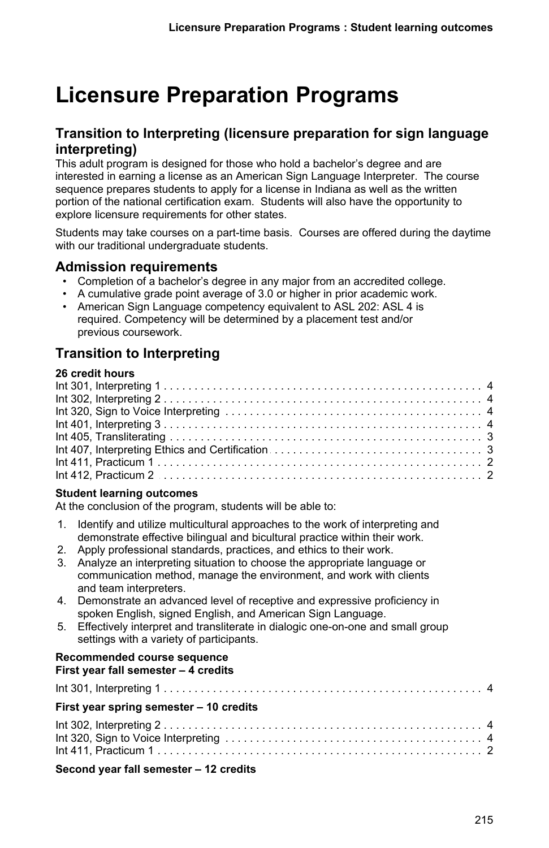# **Licensure Preparation Programs**

## **Transition to Interpreting (licensure preparation for sign language interpreting)**

This adult program is designed for those who hold a bachelor's degree and are interested in earning a license as an American Sign Language Interpreter. The course sequence prepares students to apply for a license in Indiana as well as the written portion of the national certification exam. Students will also have the opportunity to explore licensure requirements for other states.

Students may take courses on a part-time basis. Courses are offered during the daytime with our traditional undergraduate students.

## **Admission requirements**

- Completion of a bachelor's degree in any major from an accredited college.
- A cumulative grade point average of 3.0 or higher in prior academic work.
- American Sign Language competency equivalent to ASL 202: ASL 4 is required. Competency will be determined by a placement test and/or previous coursework.

# **Transition to Interpreting**

### **26 credit hours**

| $Int 412, Practicum 2 2$ |  |
|--------------------------|--|

### **Student learning outcomes**

At the conclusion of the program, students will be able to:

- 1. Identify and utilize multicultural approaches to the work of interpreting and demonstrate effective bilingual and bicultural practice within their work.
- 2. Apply professional standards, practices, and ethics to their work.
- 3. Analyze an interpreting situation to choose the appropriate language or communication method, manage the environment, and work with clients and team interpreters.
- 4. Demonstrate an advanced level of receptive and expressive proficiency in spoken English, signed English, and American Sign Language.
- 5. Effectively interpret and transliterate in dialogic one-on-one and small group settings with a variety of participants.

#### **Recommended course sequence First year fall semester – 4 credits**

## Int 301, Interpreting 1 . . . . . . . . . . . . . . . . . . . . . . . . . . . . . . . . . . . . . . . . . . . . . . . . . . . . . . . . . . . . . . . . . . .4 **First year spring semester – 10 credits** Int 302, Interpreting 2 . . . . . . . . . . . . . . . . . . . . . . . . . . . . . . . . . . . . . . . . . . . . . . . . . . . . . . . . . . . . . . . . . . .4 Int 320, Sign to Voice Interpreting . . . . . . . . . . . . . . . . . . . . . . . . . . . . . . . . . . . . . . . . . . . . . . . . . . . . . . . . . . . . . . . . . . .4 Int 411, Practicum 1 . . . . . . . . . . . . . . . . . . . . . . . . . . . . . . . . . . . . . . . . . . . . . . . . . . . . . . . . . . . . . . . . . . .2

### **Second year fall semester – 12 credits**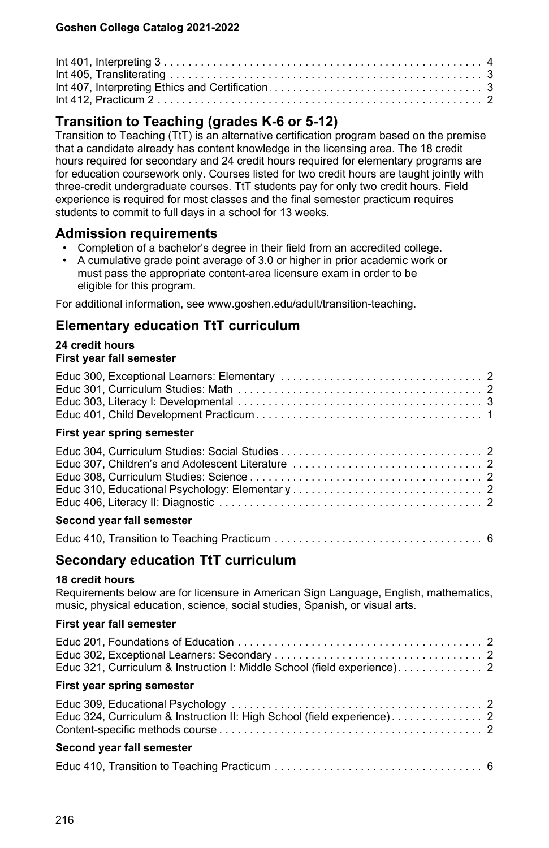| $Int 412, Practicum 2 2$ |  |
|--------------------------|--|

# **Transition to Teaching (grades K-6 or 5-12)**

Transition to Teaching (TtT) is an alternative certification program based on the premise that a candidate already has content knowledge in the licensing area. The 18 credit hours required for secondary and 24 credit hours required for elementary programs are for education coursework only. Courses listed for two credit hours are taught jointly with three-credit undergraduate courses. TtT students pay for only two credit hours. Field experience is required for most classes and the final semester practicum requires students to commit to full days in a school for 13 weeks.

## **Admission requirements**

- Completion of a bachelor's degree in their field from an accredited college.
- A cumulative grade point average of 3.0 or higher in prior academic work or must pass the appropriate content-area licensure exam in order to be eligible for this program.

For additional information, see www.goshen.edu/adult/transition-teaching.

# **Elementary education TtT curriculum**

#### **24 credit hours First year fall semester**

| First year spring semester |  |
|----------------------------|--|
|                            |  |
| Second year fall semester  |  |
|                            |  |

## **Secondary education TtT curriculum**

## **18 credit hours**

Requirements below are for licensure in American Sign Language, English, mathematics, music, physical education, science, social studies, Spanish, or visual arts.

## **First year fall semester**

| First year spring semester |  |
|----------------------------|--|
|                            |  |
|                            |  |
|                            |  |
| Second year fall semester  |  |
|                            |  |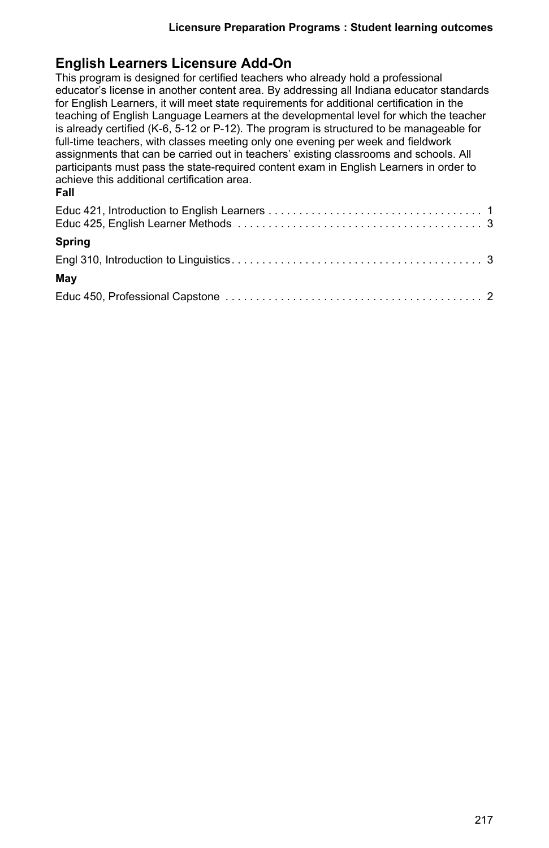# **English Learners Licensure Add-On**

This program is designed for certified teachers who already hold a professional educator's license in another content area. By addressing all Indiana educator standards for English Learners, it will meet state requirements for additional certification in the teaching of English Language Learners at the developmental level for which the teacher is already certified (K-6, 5-12 or P-12). The program is structured to be manageable for full-time teachers, with classes meeting only one evening per week and fieldwork assignments that can be carried out in teachers' existing classrooms and schools. All participants must pass the state-required content exam in English Learners in order to achieve this additional certification area. **Fall**

| Spring |  |
|--------|--|
|        |  |
| May    |  |
|        |  |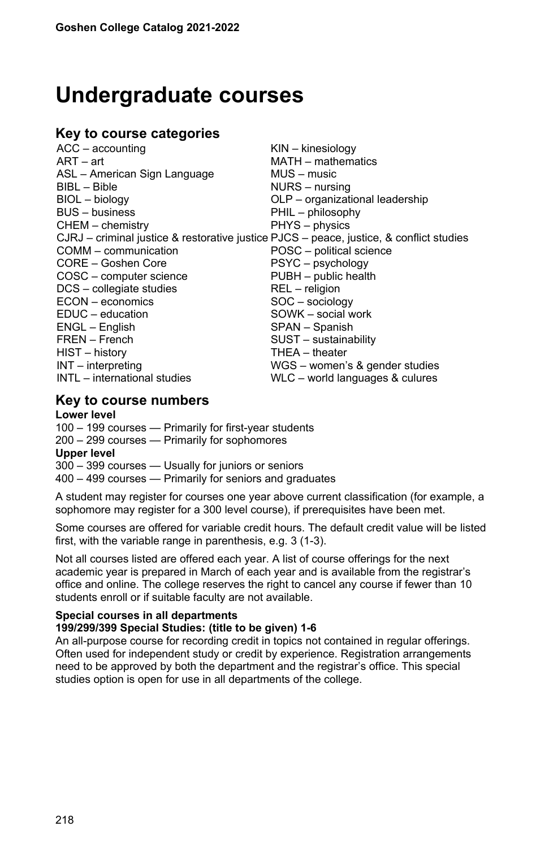# **Undergraduate courses**

# **Key to course categories**

| $ACC - accounting$                                                                      | $KIN -$ kinesiology             |
|-----------------------------------------------------------------------------------------|---------------------------------|
| $ART - art$                                                                             | MATH - mathematics              |
| ASL - American Sign Language                                                            | MUS - music                     |
| $BIBL - Bible$                                                                          | NURS - nursing                  |
| BIOL - biology                                                                          | OLP - organizational leadership |
| <b>BUS</b> - business                                                                   | PHIL - philosophy               |
| CHEM - chemistry                                                                        | PHYS - physics                  |
| CJRJ – criminal justice & restorative justice PJCS – peace, justice, & conflict studies |                                 |
| COMM - communication                                                                    | POSC - political science        |
| CORE - Goshen Core                                                                      | PSYC - psychology               |
| COSC - computer science                                                                 | PUBH - public health            |
| DCS - collegiate studies                                                                | REL - religion                  |
| $ECON$ – economics                                                                      | SOC - sociology                 |
| EDUC - education                                                                        | SOWK - social work              |
| ENGL - English                                                                          | SPAN - Spanish                  |
| FREN - French                                                                           | SUST - sustainability           |
| HIST - history                                                                          | THEA - theater                  |
| $INT - interpreting$                                                                    | WGS - women's & gender studies  |
| INTL - international studies                                                            | WLC - world languages & culures |
|                                                                                         |                                 |

# **Key to course numbers**

#### **Lower level**

100 – 199 courses — Primarily for first-year students 200 – 299 courses — Primarily for sophomores

#### **Upper level**

300 – 399 courses — Usually for juniors or seniors

400 – 499 courses — Primarily for seniors and graduates

A student may register for courses one year above current classification (for example, a sophomore may register for a 300 level course), if prerequisites have been met.

Some courses are offered for variable credit hours. The default credit value will be listed first, with the variable range in parenthesis, e.g. 3 (1-3).

Not all courses listed are offered each year. A list of course offerings for the next academic year is prepared in March of each year and is available from the registrar's office and online. The college reserves the right to cancel any course if fewer than 10 students enroll or if suitable faculty are not available.

#### **Special courses in all departments 199/299/399 Special Studies: (title to be given) 1-6**

An all-purpose course for recording credit in topics not contained in regular offerings. Often used for independent study or credit by experience. Registration arrangements need to be approved by both the department and the registrar's office. This special studies option is open for use in all departments of the college.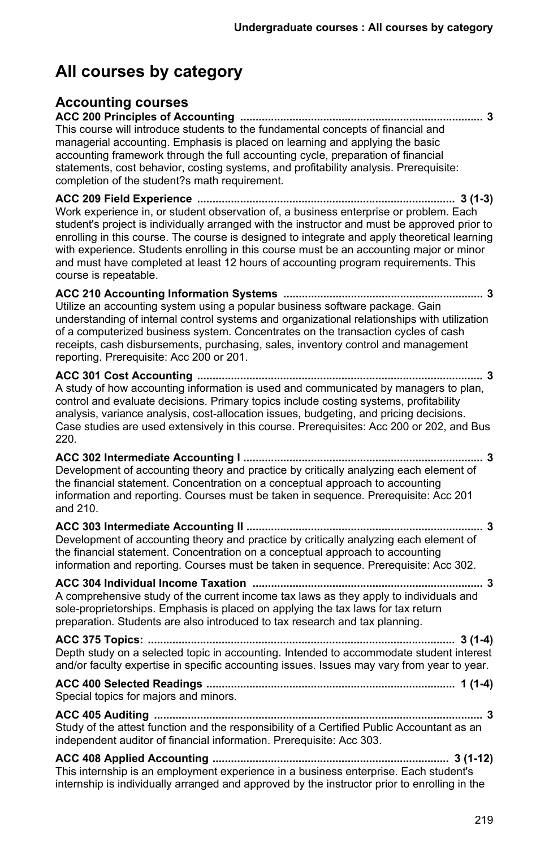# **All courses by category**

# **Accounting courses**

**ACC 200 Principles of Accounting ............................................................................... 3** This course will introduce students to the fundamental concepts of financial and managerial accounting. Emphasis is placed on learning and applying the basic accounting framework through the full accounting cycle, preparation of financial statements, cost behavior, costing systems, and profitability analysis. Prerequisite: completion of the student?s math requirement.

**ACC 209 Field Experience .................................................................................... 3 (1-3)** Work experience in, or student observation of, a business enterprise or problem. Each student's project is individually arranged with the instructor and must be approved prior to enrolling in this course. The course is designed to integrate and apply theoretical learning with experience. Students enrolling in this course must be an accounting major or minor and must have completed at least 12 hours of accounting program requirements. This course is repeatable.

**ACC 210 Accounting Information Systems ................................................................. 3** Utilize an accounting system using a popular business software package. Gain understanding of internal control systems and organizational relationships with utilization of a computerized business system. Concentrates on the transaction cycles of cash receipts, cash disbursements, purchasing, sales, inventory control and management reporting. Prerequisite: Acc 200 or 201.

**ACC 301 Cost Accounting ............................................................................................. 3** A study of how accounting information is used and communicated by managers to plan, control and evaluate decisions. Primary topics include costing systems, profitability analysis, variance analysis, cost-allocation issues, budgeting, and pricing decisions. Case studies are used extensively in this course. Prerequisites: Acc 200 or 202, and Bus 220.

**ACC 302 Intermediate Accounting I .............................................................................. 3** Development of accounting theory and practice by critically analyzing each element of the financial statement. Concentration on a conceptual approach to accounting information and reporting. Courses must be taken in sequence. Prerequisite: Acc 201 and 210.

**ACC 303 Intermediate Accounting II ............................................................................. 3** Development of accounting theory and practice by critically analyzing each element of the financial statement. Concentration on a conceptual approach to accounting information and reporting. Courses must be taken in sequence. Prerequisite: Acc 302.

**ACC 304 Individual Income Taxation ........................................................................... 3** A comprehensive study of the current income tax laws as they apply to individuals and sole-proprietorships. Emphasis is placed on applying the tax laws for tax return preparation. Students are also introduced to tax research and tax planning.

**ACC 375 Topics: .................................................................................................... 3 (1-4)** Depth study on a selected topic in accounting. Intended to accommodate student interest and/or faculty expertise in specific accounting issues. Issues may vary from year to year.

**ACC 400 Selected Readings ................................................................................. 1 (1-4)** Special topics for majors and minors.

**ACC 405 Auditing ........................................................................................................... 3** Study of the attest function and the responsibility of a Certified Public Accountant as an independent auditor of financial information. Prerequisite: Acc 303.

**ACC 408 Applied Accounting ............................................................................. 3 (1-12)** This internship is an employment experience in a business enterprise. Each student's internship is individually arranged and approved by the instructor prior to enrolling in the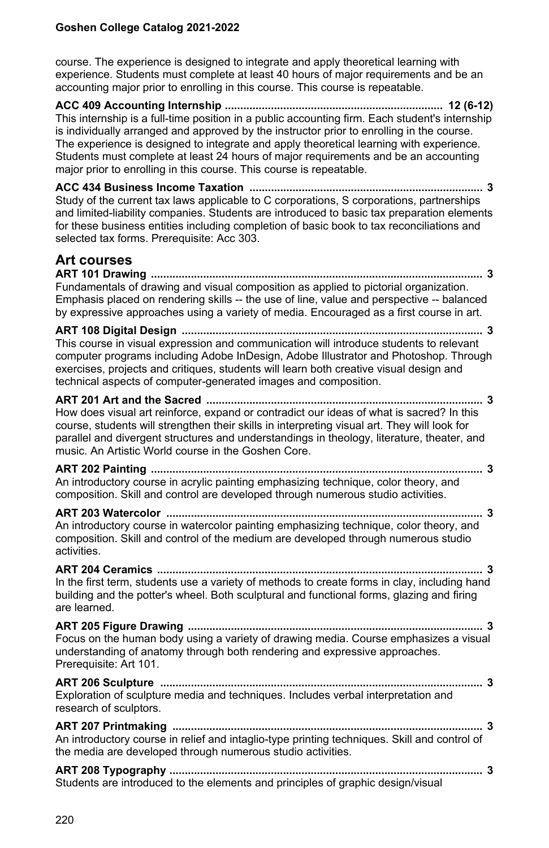course. The experience is designed to integrate and apply theoretical learning with experience. Students must complete at least 40 hours of major requirements and be an accounting major prior to enrolling in this course. This course is repeatable.

**ACC 409 Accounting Internship ....................................................................... 12 (6-12)** This internship is a full-time position in a public accounting firm. Each student's internship is individually arranged and approved by the instructor prior to enrolling in the course. The experience is designed to integrate and apply theoretical learning with experience. Students must complete at least 24 hours of major requirements and be an accounting major prior to enrolling in this course. This course is repeatable.

**ACC 434 Business Income Taxation ............................................................................ 3** Study of the current tax laws applicable to C corporations, S corporations, partnerships and limited-liability companies. Students are introduced to basic tax preparation elements for these business entities including completion of basic book to tax reconciliations and selected tax forms. Prerequisite: Acc 303.

# **Art courses**

**ART 101 Drawing ............................................................................................................ 3** Fundamentals of drawing and visual composition as applied to pictorial organization. Emphasis placed on rendering skills -- the use of line, value and perspective -- balanced by expressive approaches using a variety of media. Encouraged as a first course in art.

**ART 108 Digital Design .................................................................................................. 3** This course in visual expression and communication will introduce students to relevant computer programs including Adobe InDesign, Adobe Illustrator and Photoshop. Through exercises, projects and critiques, students will learn both creative visual design and technical aspects of computer-generated images and composition.

#### **ART 201 Art and the Sacred .......................................................................................... 3** How does visual art reinforce, expand or contradict our ideas of what is sacred? In this course, students will strengthen their skills in interpreting visual art. They will look for parallel and divergent structures and understandings in theology, literature, theater, and music. An Artistic World course in the Goshen Core.

**ART 202 Painting ............................................................................................................ 3** An introductory course in acrylic painting emphasizing technique, color theory, and composition. Skill and control are developed through numerous studio activities.

#### **ART 203 Watercolor ....................................................................................................... 3** An introductory course in watercolor painting emphasizing technique, color theory, and composition. Skill and control of the medium are developed through numerous studio activities.

**ART 204 Ceramics .......................................................................................................... 3** In the first term, students use a variety of methods to create forms in clay, including hand building and the potter's wheel. Both sculptural and functional forms, glazing and firing are learned.

**ART 205 Figure Drawing ................................................................................................ 3** Focus on the human body using a variety of drawing media. Course emphasizes a visual understanding of anatomy through both rendering and expressive approaches. Prerequisite: Art 101.

**ART 206 Sculpture ......................................................................................................... 3** Exploration of sculpture media and techniques. Includes verbal interpretation and research of sculptors.

#### **ART 207 Printmaking ..................................................................................................... 3** An introductory course in relief and intaglio-type printing techniques. Skill and control of the media are developed through numerous studio activities.

**ART 208 Typography ...................................................................................................... 3** Students are introduced to the elements and principles of graphic design/visual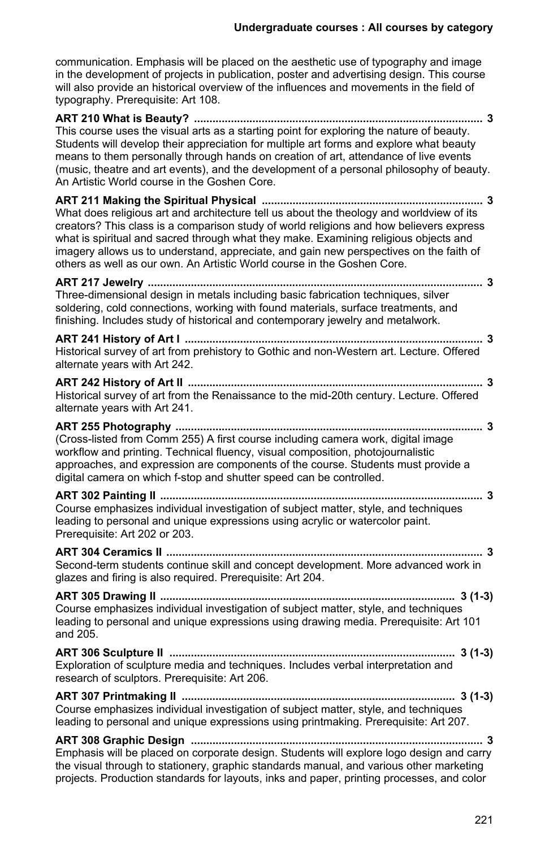communication. Emphasis will be placed on the aesthetic use of typography and image in the development of projects in publication, poster and advertising design. This course will also provide an historical overview of the influences and movements in the field of typography. Prerequisite: Art 108.

| This course uses the visual arts as a starting point for exploring the nature of beauty.<br>Students will develop their appreciation for multiple art forms and explore what beauty<br>means to them personally through hands on creation of art, attendance of live events<br>(music, theatre and art events), and the development of a personal philosophy of beauty.<br>An Artistic World course in the Goshen Core.                          |
|--------------------------------------------------------------------------------------------------------------------------------------------------------------------------------------------------------------------------------------------------------------------------------------------------------------------------------------------------------------------------------------------------------------------------------------------------|
| What does religious art and architecture tell us about the theology and worldview of its<br>creators? This class is a comparison study of world religions and how believers express<br>what is spiritual and sacred through what they make. Examining religious objects and<br>imagery allows us to understand, appreciate, and gain new perspectives on the faith of<br>others as well as our own. An Artistic World course in the Goshen Core. |
| Three-dimensional design in metals including basic fabrication techniques, silver<br>soldering, cold connections, working with found materials, surface treatments, and<br>finishing. Includes study of historical and contemporary jewelry and metalwork.                                                                                                                                                                                       |
| Historical survey of art from prehistory to Gothic and non-Western art. Lecture. Offered<br>alternate years with Art 242.                                                                                                                                                                                                                                                                                                                        |
| Historical survey of art from the Renaissance to the mid-20th century. Lecture. Offered<br>alternate years with Art 241.                                                                                                                                                                                                                                                                                                                         |
| (Cross-listed from Comm 255) A first course including camera work, digital image<br>workflow and printing. Technical fluency, visual composition, photojournalistic<br>approaches, and expression are components of the course. Students must provide a<br>digital camera on which f-stop and shutter speed can be controlled.                                                                                                                   |
| Course emphasizes individual investigation of subject matter, style, and techniques<br>leading to personal and unique expressions using acrylic or watercolor paint.<br>Prerequisite: Art 202 or 203.                                                                                                                                                                                                                                            |
| Second-term students continue skill and concept development. More advanced work in<br>glazes and firing is also required. Prerequisite: Art 204.                                                                                                                                                                                                                                                                                                 |
| Course emphasizes individual investigation of subject matter, style, and techniques<br>leading to personal and unique expressions using drawing media. Prerequisite: Art 101<br>and 205.                                                                                                                                                                                                                                                         |
| Exploration of sculpture media and techniques. Includes verbal interpretation and<br>research of sculptors. Prerequisite: Art 206.                                                                                                                                                                                                                                                                                                               |
| Course emphasizes individual investigation of subject matter, style, and techniques<br>leading to personal and unique expressions using printmaking. Prerequisite: Art 207.                                                                                                                                                                                                                                                                      |
| Emphasis will be placed on corporate design. Students will explore logo design and carry<br>the visual through to stationery, graphic standards manual, and various other marketing                                                                                                                                                                                                                                                              |

projects. Production standards for layouts, inks and paper, printing processes, and color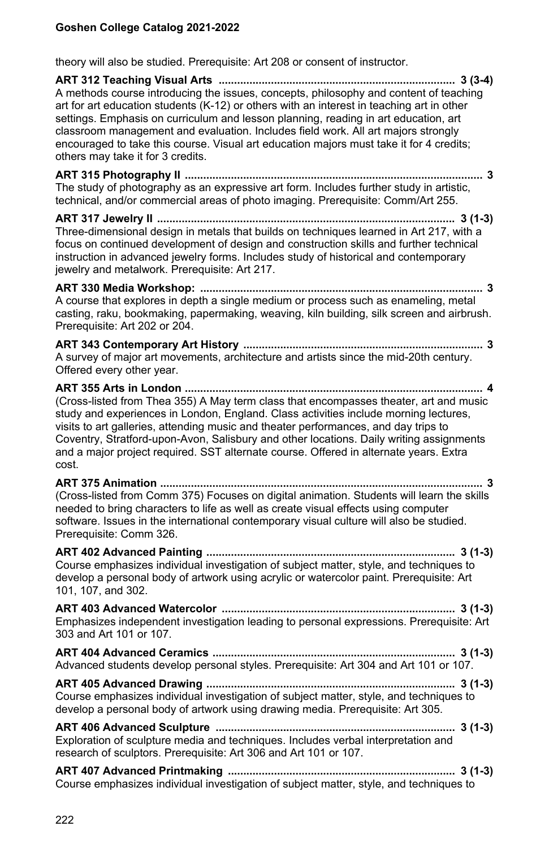theory will also be studied. Prerequisite: Art 208 or consent of instructor.

**ART 312 Teaching Visual Arts ............................................................................. 3 (3-4)** A methods course introducing the issues, concepts, philosophy and content of teaching art for art education students (K-12) or others with an interest in teaching art in other settings. Emphasis on curriculum and lesson planning, reading in art education, art classroom management and evaluation. Includes field work. All art majors strongly encouraged to take this course. Visual art education majors must take it for 4 credits; others may take it for 3 credits. **ART 315 Photography II ................................................................................................. 3** The study of photography as an expressive art form. Includes further study in artistic, technical, and/or commercial areas of photo imaging. Prerequisite: Comm/Art 255. **ART 317 Jewelry II ................................................................................................. 3 (1-3)** Three-dimensional design in metals that builds on techniques learned in Art 217, with a focus on continued development of design and construction skills and further technical instruction in advanced jewelry forms. Includes study of historical and contemporary jewelry and metalwork. Prerequisite: Art 217. **ART 330 Media Workshop: ............................................................................................ 3** A course that explores in depth a single medium or process such as enameling, metal casting, raku, bookmaking, papermaking, weaving, kiln building, silk screen and airbrush. Prerequisite: Art 202 or 204. **ART 343 Contemporary Art History .............................................................................. 3** A survey of major art movements, architecture and artists since the mid-20th century. Offered every other year. **ART 355 Arts in London ................................................................................................. 4** (Cross-listed from Thea 355) A May term class that encompasses theater, art and music study and experiences in London, England. Class activities include morning lectures, visits to art galleries, attending music and theater performances, and day trips to Coventry, Stratford-upon-Avon, Salisbury and other locations. Daily writing assignments and a major project required. SST alternate course. Offered in alternate years. Extra cost. **ART 375 Animation ......................................................................................................... 3** (Cross-listed from Comm 375) Focuses on digital animation. Students will learn the skills needed to bring characters to life as well as create visual effects using computer software. Issues in the international contemporary visual culture will also be studied. Prerequisite: Comm 326. **ART 402 Advanced Painting ................................................................................. 3 (1-3)** Course emphasizes individual investigation of subject matter, style, and techniques to develop a personal body of artwork using acrylic or watercolor paint. Prerequisite: Art 101, 107, and 302. **ART 403 Advanced Watercolor ............................................................................ 3 (1-3)** Emphasizes independent investigation leading to personal expressions. Prerequisite: Art 303 and Art 101 or 107. **ART 404 Advanced Ceramics ............................................................................... 3 (1-3)** Advanced students develop personal styles. Prerequisite: Art 304 and Art 101 or 107. **ART 405 Advanced Drawing ................................................................................. 3 (1-3)** Course emphasizes individual investigation of subject matter, style, and techniques to develop a personal body of artwork using drawing media. Prerequisite: Art 305. **ART 406 Advanced Sculpture .............................................................................. 3 (1-3)** Exploration of sculpture media and techniques. Includes verbal interpretation and research of sculptors. Prerequisite: Art 306 and Art 101 or 107. **ART 407 Advanced Printmaking .......................................................................... 3 (1-3)** Course emphasizes individual investigation of subject matter, style, and techniques to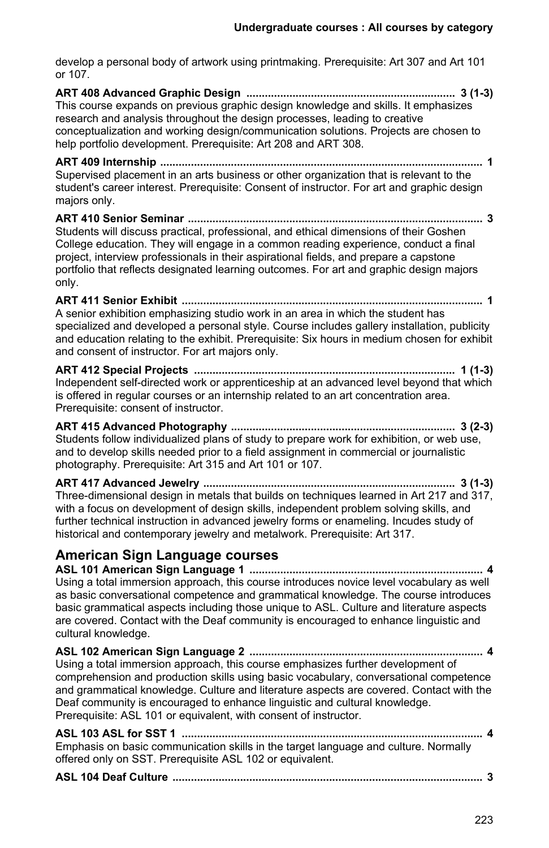develop a personal body of artwork using printmaking. Prerequisite: Art 307 and Art 101 or 107.

**ART 408 Advanced Graphic Design .................................................................... 3 (1-3)** This course expands on previous graphic design knowledge and skills. It emphasizes research and analysis throughout the design processes, leading to creative conceptualization and working design/communication solutions. Projects are chosen to help portfolio development. Prerequisite: Art 208 and ART 308.

**ART 409 Internship ......................................................................................................... 1** Supervised placement in an arts business or other organization that is relevant to the student's career interest. Prerequisite: Consent of instructor. For art and graphic design majors only.

**ART 410 Senior Seminar ................................................................................................ 3** Students will discuss practical, professional, and ethical dimensions of their Goshen College education. They will engage in a common reading experience, conduct a final project, interview professionals in their aspirational fields, and prepare a capstone portfolio that reflects designated learning outcomes. For art and graphic design majors only.

**ART 411 Senior Exhibit .................................................................................................. 1** A senior exhibition emphasizing studio work in an area in which the student has specialized and developed a personal style. Course includes gallery installation, publicity and education relating to the exhibit. Prerequisite: Six hours in medium chosen for exhibit and consent of instructor. For art majors only.

**ART 412 Special Projects ..................................................................................... 1 (1-3)** Independent self-directed work or apprenticeship at an advanced level beyond that which is offered in regular courses or an internship related to an art concentration area. Prerequisite: consent of instructor.

**ART 415 Advanced Photography ......................................................................... 3 (2-3)** Students follow individualized plans of study to prepare work for exhibition, or web use, and to develop skills needed prior to a field assignment in commercial or journalistic photography. Prerequisite: Art 315 and Art 101 or 107.

**ART 417 Advanced Jewelry .................................................................................. 3 (1-3)** Three-dimensional design in metals that builds on techniques learned in Art 217 and 317, with a focus on development of design skills, independent problem solving skills, and further technical instruction in advanced jewelry forms or enameling. Incudes study of historical and contemporary jewelry and metalwork. Prerequisite: Art 317.

# **American Sign Language courses**

**ASL 101 American Sign Language 1 ............................................................................ 4** Using a total immersion approach, this course introduces novice level vocabulary as well as basic conversational competence and grammatical knowledge. The course introduces basic grammatical aspects including those unique to ASL. Culture and literature aspects are covered. Contact with the Deaf community is encouraged to enhance linguistic and cultural knowledge.

**ASL 102 American Sign Language 2 ............................................................................ 4** Using a total immersion approach, this course emphasizes further development of comprehension and production skills using basic vocabulary, conversational competence and grammatical knowledge. Culture and literature aspects are covered. Contact with the Deaf community is encouraged to enhance linguistic and cultural knowledge. Prerequisite: ASL 101 or equivalent, with consent of instructor.

**ASL 103 ASL for SST 1 .................................................................................................. 4** Emphasis on basic communication skills in the target language and culture. Normally offered only on SST. Prerequisite ASL 102 or equivalent.

```
ASL 104 Deaf Culture ..................................................................................................... 3
```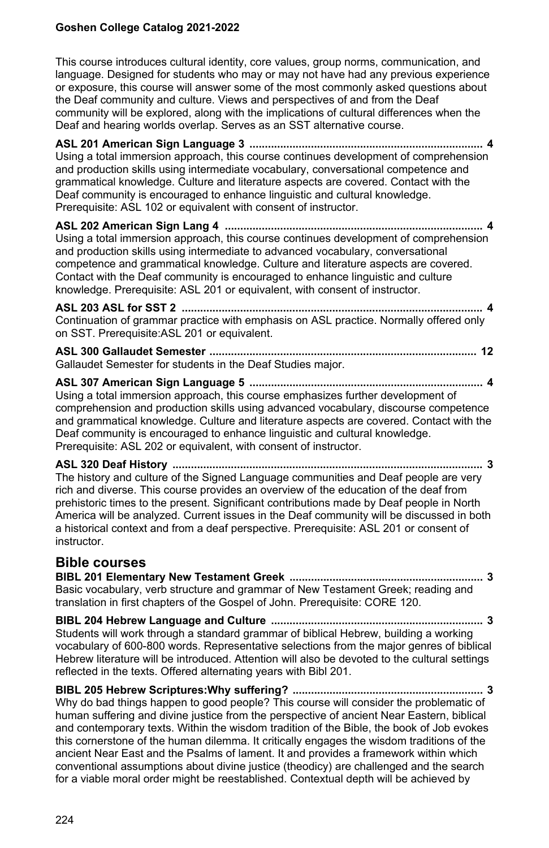This course introduces cultural identity, core values, group norms, communication, and language. Designed for students who may or may not have had any previous experience or exposure, this course will answer some of the most commonly asked questions about the Deaf community and culture. Views and perspectives of and from the Deaf community will be explored, along with the implications of cultural differences when the Deaf and hearing worlds overlap. Serves as an SST alternative course.

**ASL 201 American Sign Language 3 ............................................................................ 4** Using a total immersion approach, this course continues development of comprehension and production skills using intermediate vocabulary, conversational competence and grammatical knowledge. Culture and literature aspects are covered. Contact with the Deaf community is encouraged to enhance linguistic and cultural knowledge. Prerequisite: ASL 102 or equivalent with consent of instructor.

**ASL 202 American Sign Lang 4 .................................................................................... 4** Using a total immersion approach, this course continues development of comprehension and production skills using intermediate to advanced vocabulary, conversational competence and grammatical knowledge. Culture and literature aspects are covered. Contact with the Deaf community is encouraged to enhance linguistic and culture knowledge. Prerequisite: ASL 201 or equivalent, with consent of instructor.

**ASL 203 ASL for SST 2 .................................................................................................. 4** Continuation of grammar practice with emphasis on ASL practice. Normally offered only on SST. Prerequisite:ASL 201 or equivalent.

**ASL 300 Gallaudet Semester ....................................................................................... 12** Gallaudet Semester for students in the Deaf Studies major.

**ASL 307 American Sign Language 5 ............................................................................ 4** Using a total immersion approach, this course emphasizes further development of comprehension and production skills using advanced vocabulary, discourse competence and grammatical knowledge. Culture and literature aspects are covered. Contact with the Deaf community is encouraged to enhance linguistic and cultural knowledge. Prerequisite: ASL 202 or equivalent, with consent of instructor.

**ASL 320 Deaf History ..................................................................................................... 3** The history and culture of the Signed Language communities and Deaf people are very rich and diverse. This course provides an overview of the education of the deaf from prehistoric times to the present. Significant contributions made by Deaf people in North America will be analyzed. Current issues in the Deaf community will be discussed in both a historical context and from a deaf perspective. Prerequisite: ASL 201 or consent of instructor.

## **Bible courses**

**BIBL 201 Elementary New Testament Greek ............................................................... 3** Basic vocabulary, verb structure and grammar of New Testament Greek; reading and translation in first chapters of the Gospel of John. Prerequisite: CORE 120.

**BIBL 204 Hebrew Language and Culture ..................................................................... 3** Students will work through a standard grammar of biblical Hebrew, building a working vocabulary of 600-800 words. Representative selections from the major genres of biblical Hebrew literature will be introduced. Attention will also be devoted to the cultural settings reflected in the texts. Offered alternating years with Bibl 201.

**BIBL 205 Hebrew Scriptures:Why suffering? .............................................................. 3** Why do bad things happen to good people? This course will consider the problematic of human suffering and divine justice from the perspective of ancient Near Eastern, biblical and contemporary texts. Within the wisdom tradition of the Bible, the book of Job evokes this cornerstone of the human dilemma. It critically engages the wisdom traditions of the ancient Near East and the Psalms of lament. It and provides a framework within which conventional assumptions about divine justice (theodicy) are challenged and the search for a viable moral order might be reestablished. Contextual depth will be achieved by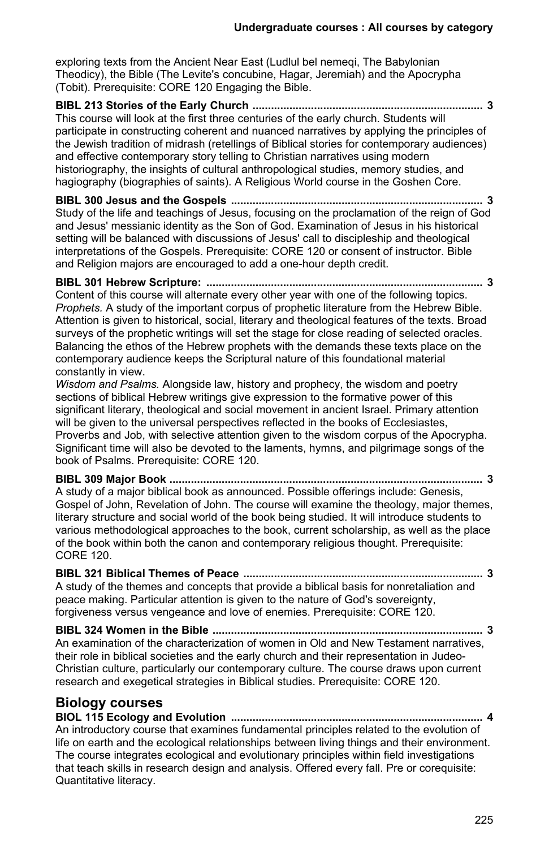exploring texts from the Ancient Near East (Ludlul bel nemegi. The Babylonian Theodicy), the Bible (The Levite's concubine, Hagar, Jeremiah) and the Apocrypha (Tobit). Prerequisite: CORE 120 Engaging the Bible.

**BIBL 213 Stories of the Early Church ........................................................................... 3** This course will look at the first three centuries of the early church. Students will participate in constructing coherent and nuanced narratives by applying the principles of the Jewish tradition of midrash (retellings of Biblical stories for contemporary audiences) and effective contemporary story telling to Christian narratives using modern historiography, the insights of cultural anthropological studies, memory studies, and hagiography (biographies of saints). A Religious World course in the Goshen Core.

**BIBL 300 Jesus and the Gospels .................................................................................. 3** Study of the life and teachings of Jesus, focusing on the proclamation of the reign of God and Jesus' messianic identity as the Son of God. Examination of Jesus in his historical setting will be balanced with discussions of Jesus' call to discipleship and theological interpretations of the Gospels. Prerequisite: CORE 120 or consent of instructor. Bible and Religion majors are encouraged to add a one-hour depth credit.

**BIBL 301 Hebrew Scripture: .......................................................................................... 3** Content of this course will alternate every other year with one of the following topics. *Prophets.* A study of the important corpus of prophetic literature from the Hebrew Bible. Attention is given to historical, social, literary and theological features of the texts. Broad surveys of the prophetic writings will set the stage for close reading of selected oracles. Balancing the ethos of the Hebrew prophets with the demands these texts place on the contemporary audience keeps the Scriptural nature of this foundational material constantly in view.

*Wisdom and Psalms.* Alongside law, history and prophecy, the wisdom and poetry sections of biblical Hebrew writings give expression to the formative power of this significant literary, theological and social movement in ancient Israel. Primary attention will be given to the universal perspectives reflected in the books of Ecclesiastes, Proverbs and Job, with selective attention given to the wisdom corpus of the Apocrypha. Significant time will also be devoted to the laments, hymns, and pilgrimage songs of the book of Psalms. Prerequisite: CORE 120.

**BIBL 309 Major Book ...................................................................................................... 3** A study of a major biblical book as announced. Possible offerings include: Genesis, Gospel of John, Revelation of John. The course will examine the theology, major themes, literary structure and social world of the book being studied. It will introduce students to various methodological approaches to the book, current scholarship, as well as the place of the book within both the canon and contemporary religious thought. Prerequisite: CORE 120.

**BIBL 321 Biblical Themes of Peace .............................................................................. 3** A study of the themes and concepts that provide a biblical basis for nonretaliation and peace making. Particular attention is given to the nature of God's sovereignty, forgiveness versus vengeance and love of enemies. Prerequisite: CORE 120.

**BIBL 324 Women in the Bible ........................................................................................ 3** An examination of the characterization of women in Old and New Testament narratives, their role in biblical societies and the early church and their representation in Judeo-Christian culture, particularly our contemporary culture. The course draws upon current research and exegetical strategies in Biblical studies. Prerequisite: CORE 120.

## **Biology courses**

**BIOL 115 Ecology and Evolution .................................................................................. 4** An introductory course that examines fundamental principles related to the evolution of life on earth and the ecological relationships between living things and their environment. The course integrates ecological and evolutionary principles within field investigations that teach skills in research design and analysis. Offered every fall. Pre or corequisite: Quantitative literacy.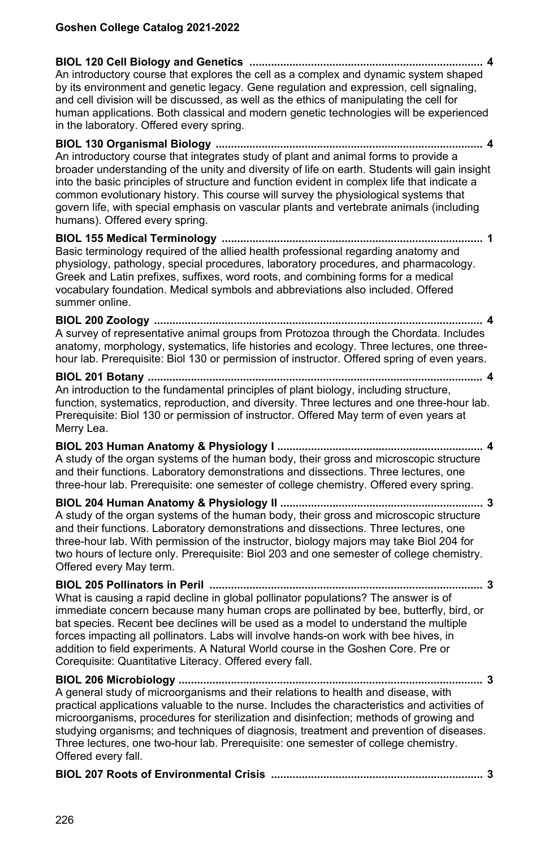**BIOL 120 Cell Biology and Genetics ............................................................................ 4** An introductory course that explores the cell as a complex and dynamic system shaped by its environment and genetic legacy. Gene regulation and expression, cell signaling, and cell division will be discussed, as well as the ethics of manipulating the cell for human applications. Both classical and modern genetic technologies will be experienced in the laboratory. Offered every spring.

**BIOL 130 Organismal Biology ....................................................................................... 4** An introductory course that integrates study of plant and animal forms to provide a broader understanding of the unity and diversity of life on earth. Students will gain insight into the basic principles of structure and function evident in complex life that indicate a common evolutionary history. This course will survey the physiological systems that govern life, with special emphasis on vascular plants and vertebrate animals (including humans). Offered every spring.

**BIOL 155 Medical Terminology ..................................................................................... 1** Basic terminology required of the allied health professional regarding anatomy and physiology, pathology, special procedures, laboratory procedures, and pharmacology. Greek and Latin prefixes, suffixes, word roots, and combining forms for a medical vocabulary foundation. Medical symbols and abbreviations also included. Offered summer online.

**BIOL 200 Zoology ........................................................................................................... 4** A survey of representative animal groups from Protozoa through the Chordata. Includes anatomy, morphology, systematics, life histories and ecology. Three lectures, one threehour lab. Prerequisite: Biol 130 or permission of instructor. Offered spring of even years.

**BIOL 201 Botany ............................................................................................................. 4** An introduction to the fundamental principles of plant biology, including structure, function, systematics, reproduction, and diversity. Three lectures and one three-hour lab. Prerequisite: Biol 130 or permission of instructor. Offered May term of even years at Merry Lea.

**BIOL 203 Human Anatomy & Physiology I ................................................................... 4** A study of the organ systems of the human body, their gross and microscopic structure and their functions. Laboratory demonstrations and dissections. Three lectures, one three-hour lab. Prerequisite: one semester of college chemistry. Offered every spring.

**BIOL 204 Human Anatomy & Physiology II .................................................................. 3** A study of the organ systems of the human body, their gross and microscopic structure and their functions. Laboratory demonstrations and dissections. Three lectures, one three-hour lab. With permission of the instructor, biology majors may take Biol 204 for two hours of lecture only. Prerequisite: Biol 203 and one semester of college chemistry. Offered every May term.

**BIOL 205 Pollinators in Peril ......................................................................................... 3** What is causing a rapid decline in global pollinator populations? The answer is of immediate concern because many human crops are pollinated by bee, butterfly, bird, or bat species. Recent bee declines will be used as a model to understand the multiple forces impacting all pollinators. Labs will involve hands-on work with bee hives, in addition to field experiments. A Natural World course in the Goshen Core. Pre or Corequisite: Quantitative Literacy. Offered every fall.

**BIOL 206 Microbiology ................................................................................................... 3** A general study of microorganisms and their relations to health and disease, with practical applications valuable to the nurse. Includes the characteristics and activities of microorganisms, procedures for sterilization and disinfection; methods of growing and studying organisms; and techniques of diagnosis, treatment and prevention of diseases. Three lectures, one two-hour lab. Prerequisite: one semester of college chemistry. Offered every fall.

|--|--|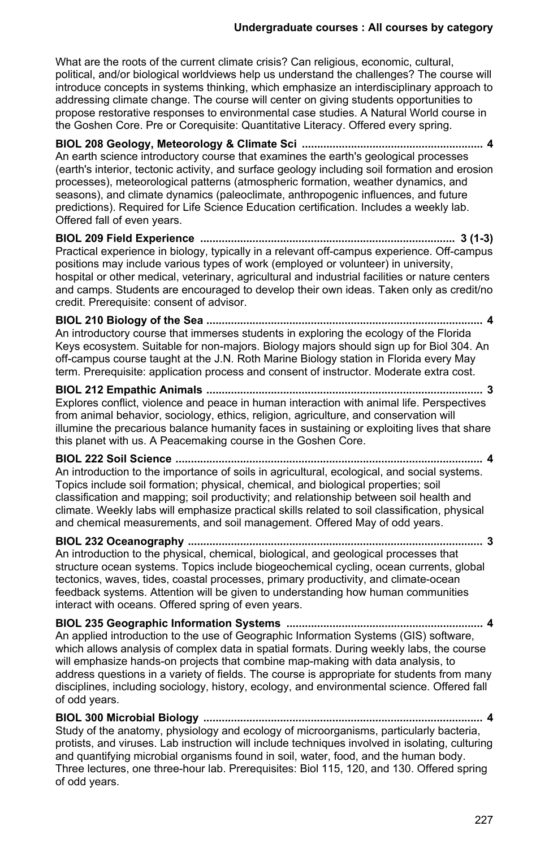What are the roots of the current climate crisis? Can religious, economic, cultural, political, and/or biological worldviews help us understand the challenges? The course will introduce concepts in systems thinking, which emphasize an interdisciplinary approach to addressing climate change. The course will center on giving students opportunities to propose restorative responses to environmental case studies. A Natural World course in the Goshen Core. Pre or Corequisite: Quantitative Literacy. Offered every spring.

**BIOL 208 Geology, Meteorology & Climate Sci ........................................................... 4** An earth science introductory course that examines the earth's geological processes (earth's interior, tectonic activity, and surface geology including soil formation and erosion processes), meteorological patterns (atmospheric formation, weather dynamics, and seasons), and climate dynamics (paleoclimate, anthropogenic influences, and future predictions). Required for Life Science Education certification. Includes a weekly lab. Offered fall of even years.

#### **BIOL 209 Field Experience ................................................................................... 3 (1-3)** Practical experience in biology, typically in a relevant off-campus experience. Off-campus positions may include various types of work (employed or volunteer) in university, hospital or other medical, veterinary, agricultural and industrial facilities or nature centers and camps. Students are encouraged to develop their own ideas. Taken only as credit/no credit. Prerequisite: consent of advisor.

**BIOL 210 Biology of the Sea .......................................................................................... 4** An introductory course that immerses students in exploring the ecology of the Florida Keys ecosystem. Suitable for non-majors. Biology majors should sign up for Biol 304. An off-campus course taught at the J.N. Roth Marine Biology station in Florida every May term. Prerequisite: application process and consent of instructor. Moderate extra cost.

#### **BIOL 212 Empathic Animals .......................................................................................... 3** Explores conflict, violence and peace in human interaction with animal life. Perspectives from animal behavior, sociology, ethics, religion, agriculture, and conservation will illumine the precarious balance humanity faces in sustaining or exploiting lives that share this planet with us. A Peacemaking course in the Goshen Core.

**BIOL 222 Soil Science .................................................................................................... 4** An introduction to the importance of soils in agricultural, ecological, and social systems. Topics include soil formation; physical, chemical, and biological properties; soil classification and mapping; soil productivity; and relationship between soil health and climate. Weekly labs will emphasize practical skills related to soil classification, physical and chemical measurements, and soil management. Offered May of odd years.

## **BIOL 232 Oceanography ................................................................................................ 3**

An introduction to the physical, chemical, biological, and geological processes that structure ocean systems. Topics include biogeochemical cycling, ocean currents, global tectonics, waves, tides, coastal processes, primary productivity, and climate-ocean feedback systems. Attention will be given to understanding how human communities interact with oceans. Offered spring of even years.

**BIOL 235 Geographic Information Systems ................................................................ 4** An applied introduction to the use of Geographic Information Systems (GIS) software, which allows analysis of complex data in spatial formats. During weekly labs, the course will emphasize hands-on projects that combine map-making with data analysis, to address questions in a variety of fields. The course is appropriate for students from many disciplines, including sociology, history, ecology, and environmental science. Offered fall of odd years.

**BIOL 300 Microbial Biology ........................................................................................... 4** Study of the anatomy, physiology and ecology of microorganisms, particularly bacteria, protists, and viruses. Lab instruction will include techniques involved in isolating, culturing and quantifying microbial organisms found in soil, water, food, and the human body. Three lectures, one three-hour lab. Prerequisites: Biol 115, 120, and 130. Offered spring of odd years.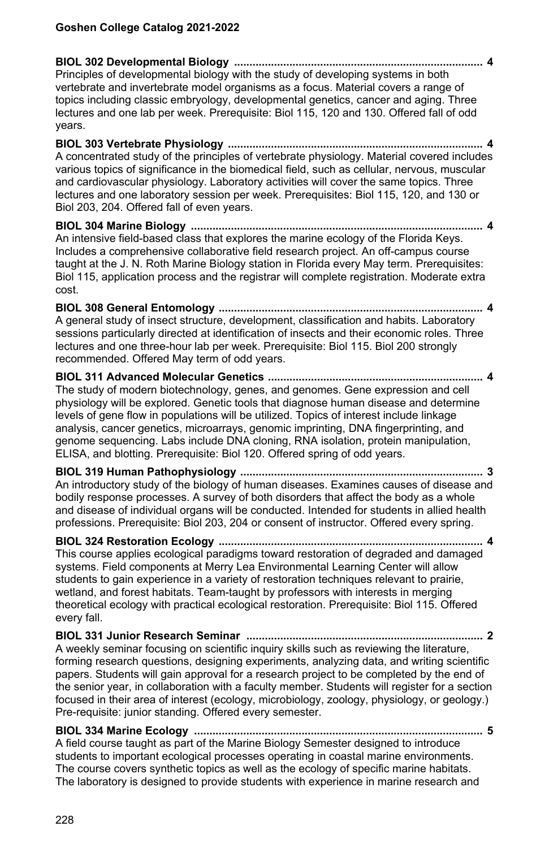**BIOL 302 Developmental Biology ................................................................................. 4** Principles of developmental biology with the study of developing systems in both vertebrate and invertebrate model organisms as a focus. Material covers a range of topics including classic embryology, developmental genetics, cancer and aging. Three lectures and one lab per week. Prerequisite: Biol 115, 120 and 130. Offered fall of odd years.

**BIOL 303 Vertebrate Physiology ................................................................................... 4** A concentrated study of the principles of vertebrate physiology. Material covered includes various topics of significance in the biomedical field, such as cellular, nervous, muscular and cardiovascular physiology. Laboratory activities will cover the same topics. Three lectures and one laboratory session per week. Prerequisites: Biol 115, 120, and 130 or Biol 203, 204. Offered fall of even years.

**BIOL 304 Marine Biology ............................................................................................... 4** An intensive field-based class that explores the marine ecology of the Florida Keys. Includes a comprehensive collaborative field research project. An off-campus course taught at the J. N. Roth Marine Biology station in Florida every May term. Prerequisites: Biol 115, application process and the registrar will complete registration. Moderate extra cost.

**BIOL 308 General Entomology ...................................................................................... 4** A general study of insect structure, development, classification and habits. Laboratory sessions particularly directed at identification of insects and their economic roles. Three lectures and one three-hour lab per week. Prerequisite: Biol 115. Biol 200 strongly recommended. Offered May term of odd years.

**BIOL 311 Advanced Molecular Genetics ...................................................................... 4** The study of modern biotechnology, genes, and genomes. Gene expression and cell physiology will be explored. Genetic tools that diagnose human disease and determine levels of gene flow in populations will be utilized. Topics of interest include linkage analysis, cancer genetics, microarrays, genomic imprinting, DNA fingerprinting, and genome sequencing. Labs include DNA cloning, RNA isolation, protein manipulation, ELISA, and blotting. Prerequisite: Biol 120. Offered spring of odd years.

**BIOL 319 Human Pathophysiology ............................................................................... 3** An introductory study of the biology of human diseases. Examines causes of disease and bodily response processes. A survey of both disorders that affect the body as a whole and disease of individual organs will be conducted. Intended for students in allied health professions. Prerequisite: Biol 203, 204 or consent of instructor. Offered every spring.

**BIOL 324 Restoration Ecology ...................................................................................... 4** This course applies ecological paradigms toward restoration of degraded and damaged systems. Field components at Merry Lea Environmental Learning Center will allow students to gain experience in a variety of restoration techniques relevant to prairie, wetland, and forest habitats. Team-taught by professors with interests in merging theoretical ecology with practical ecological restoration. Prerequisite: Biol 115. Offered every fall.

**BIOL 331 Junior Research Seminar ............................................................................. 2** A weekly seminar focusing on scientific inquiry skills such as reviewing the literature, forming research questions, designing experiments, analyzing data, and writing scientific papers. Students will gain approval for a research project to be completed by the end of the senior year, in collaboration with a faculty member. Students will register for a section focused in their area of interest (ecology, microbiology, zoology, physiology, or geology.) Pre-requisite: junior standing. Offered every semester.

**BIOL 334 Marine Ecology .............................................................................................. 5** A field course taught as part of the Marine Biology Semester designed to introduce students to important ecological processes operating in coastal marine environments. The course covers synthetic topics as well as the ecology of specific marine habitats. The laboratory is designed to provide students with experience in marine research and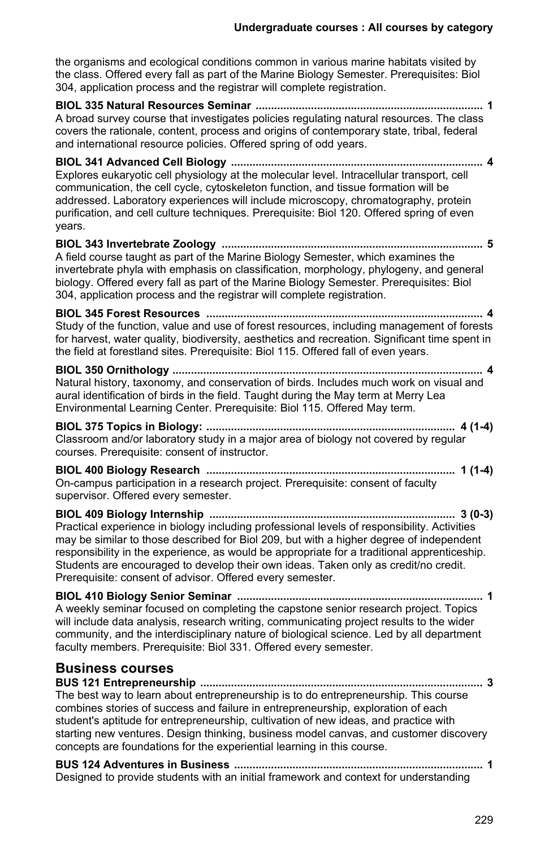the organisms and ecological conditions common in various marine habitats visited by the class. Offered every fall as part of the Marine Biology Semester. Prerequisites: Biol 304, application process and the registrar will complete registration.

**BIOL 335 Natural Resources Seminar .......................................................................... 1** A broad survey course that investigates policies regulating natural resources. The class covers the rationale, content, process and origins of contemporary state, tribal, federal and international resource policies. Offered spring of odd years.

**BIOL 341 Advanced Cell Biology .................................................................................. 4** Explores eukaryotic cell physiology at the molecular level. Intracellular transport, cell communication, the cell cycle, cytoskeleton function, and tissue formation will be addressed. Laboratory experiences will include microscopy, chromatography, protein purification, and cell culture techniques. Prerequisite: Biol 120. Offered spring of even years.

**BIOL 343 Invertebrate Zoology ..................................................................................... 5** A field course taught as part of the Marine Biology Semester, which examines the invertebrate phyla with emphasis on classification, morphology, phylogeny, and general biology. Offered every fall as part of the Marine Biology Semester. Prerequisites: Biol 304, application process and the registrar will complete registration.

**BIOL 345 Forest Resources .......................................................................................... 4** Study of the function, value and use of forest resources, including management of forests for harvest, water quality, biodiversity, aesthetics and recreation. Significant time spent in the field at forestland sites. Prerequisite: Biol 115. Offered fall of even years.

**BIOL 350 Ornithology ..................................................................................................... 4** Natural history, taxonomy, and conservation of birds. Includes much work on visual and aural identification of birds in the field. Taught during the May term at Merry Lea Environmental Learning Center. Prerequisite: Biol 115. Offered May term.

**BIOL 375 Topics in Biology: ................................................................................. 4 (1-4)** Classroom and/or laboratory study in a major area of biology not covered by regular courses. Prerequisite: consent of instructor.

**BIOL 400 Biology Research ................................................................................. 1 (1-4)** On-campus participation in a research project. Prerequisite: consent of faculty supervisor. Offered every semester.

**BIOL 409 Biology Internship ................................................................................ 3 (0-3)** Practical experience in biology including professional levels of responsibility. Activities may be similar to those described for Biol 209, but with a higher degree of independent responsibility in the experience, as would be appropriate for a traditional apprenticeship. Students are encouraged to develop their own ideas. Taken only as credit/no credit. Prerequisite: consent of advisor. Offered every semester.

**BIOL 410 Biology Senior Seminar ................................................................................ 1** A weekly seminar focused on completing the capstone senior research project. Topics will include data analysis, research writing, communicating project results to the wider community, and the interdisciplinary nature of biological science. Led by all department faculty members. Prerequisite: Biol 331. Offered every semester.

## **Business courses**

**BUS 121 Entrepreneurship ............................................................................................ 3** The best way to learn about entrepreneurship is to do entrepreneurship. This course combines stories of success and failure in entrepreneurship, exploration of each student's aptitude for entrepreneurship, cultivation of new ideas, and practice with starting new ventures. Design thinking, business model canvas, and customer discovery concepts are foundations for the experiential learning in this course.

**BUS 124 Adventures in Business ................................................................................. 1** Designed to provide students with an initial framework and context for understanding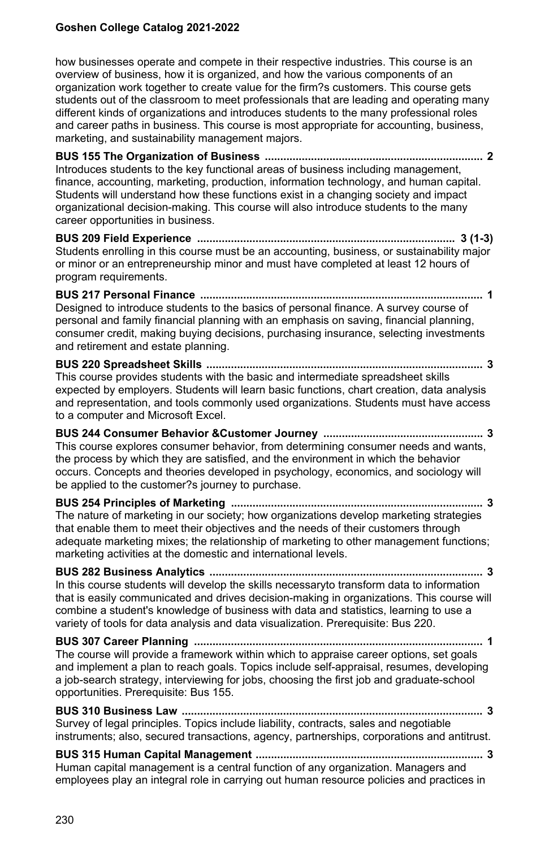how businesses operate and compete in their respective industries. This course is an overview of business, how it is organized, and how the various components of an organization work together to create value for the firm?s customers. This course gets students out of the classroom to meet professionals that are leading and operating many different kinds of organizations and introduces students to the many professional roles and career paths in business. This course is most appropriate for accounting, business, marketing, and sustainability management majors.

**BUS 155 The Organization of Business ....................................................................... 2** Introduces students to the key functional areas of business including management, finance, accounting, marketing, production, information technology, and human capital. Students will understand how these functions exist in a changing society and impact organizational decision-making. This course will also introduce students to the many career opportunities in business.

**BUS 209 Field Experience .................................................................................... 3 (1-3)** Students enrolling in this course must be an accounting, business, or sustainability major or minor or an entrepreneurship minor and must have completed at least 12 hours of program requirements.

**BUS 217 Personal Finance ............................................................................................ 1** Designed to introduce students to the basics of personal finance. A survey course of personal and family financial planning with an emphasis on saving, financial planning, consumer credit, making buying decisions, purchasing insurance, selecting investments and retirement and estate planning.

**BUS 220 Spreadsheet Skills .......................................................................................... 3** This course provides students with the basic and intermediate spreadsheet skills expected by employers. Students will learn basic functions, chart creation, data analysis and representation, and tools commonly used organizations. Students must have access to a computer and Microsoft Excel.

**BUS 244 Consumer Behavior &Customer Journey .................................................... 3** This course explores consumer behavior, from determining consumer needs and wants, the process by which they are satisfied, and the environment in which the behavior occurs. Concepts and theories developed in psychology, economics, and sociology will be applied to the customer?s journey to purchase.

**BUS 254 Principles of Marketing .................................................................................. 3** The nature of marketing in our society; how organizations develop marketing strategies that enable them to meet their objectives and the needs of their customers through adequate marketing mixes; the relationship of marketing to other management functions; marketing activities at the domestic and international levels.

**BUS 282 Business Analytics ......................................................................................... 3** In this course students will develop the skills necessaryto transform data to information that is easily communicated and drives decision-making in organizations. This course will combine a student's knowledge of business with data and statistics, learning to use a variety of tools for data analysis and data visualization. Prerequisite: Bus 220.

**BUS 307 Career Planning .............................................................................................. 1** The course will provide a framework within which to appraise career options, set goals and implement a plan to reach goals. Topics include self-appraisal, resumes, developing a job-search strategy, interviewing for jobs, choosing the first job and graduate-school opportunities. Prerequisite: Bus 155.

**BUS 310 Business Law .................................................................................................. 3** Survey of legal principles. Topics include liability, contracts, sales and negotiable instruments; also, secured transactions, agency, partnerships, corporations and antitrust.

**BUS 315 Human Capital Management .......................................................................... 3** Human capital management is a central function of any organization. Managers and employees play an integral role in carrying out human resource policies and practices in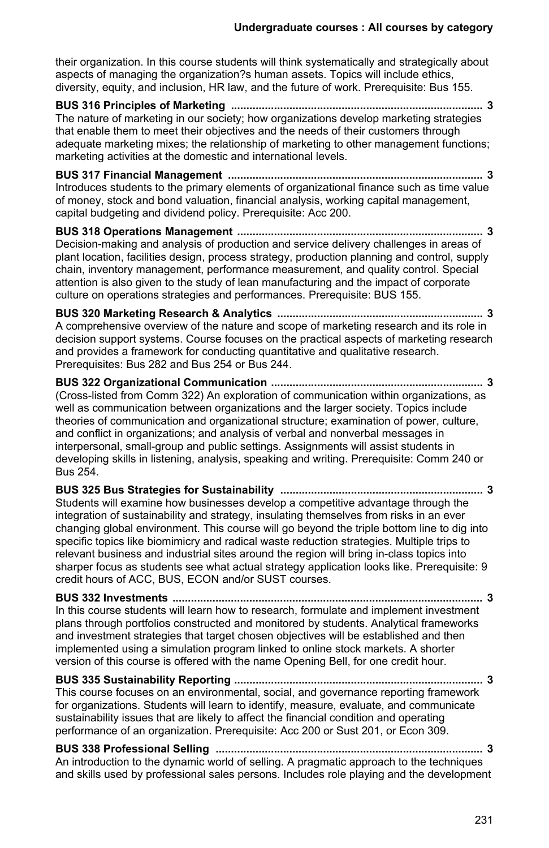their organization. In this course students will think systematically and strategically about aspects of managing the organization?s human assets. Topics will include ethics, diversity, equity, and inclusion, HR law, and the future of work. Prerequisite: Bus 155.

**BUS 316 Principles of Marketing .................................................................................. 3** The nature of marketing in our society; how organizations develop marketing strategies that enable them to meet their objectives and the needs of their customers through adequate marketing mixes; the relationship of marketing to other management functions; marketing activities at the domestic and international levels.

**BUS 317 Financial Management ................................................................................... 3** Introduces students to the primary elements of organizational finance such as time value of money, stock and bond valuation, financial analysis, working capital management, capital budgeting and dividend policy. Prerequisite: Acc 200.

**BUS 318 Operations Management ................................................................................ 3** Decision-making and analysis of production and service delivery challenges in areas of plant location, facilities design, process strategy, production planning and control, supply chain, inventory management, performance measurement, and quality control. Special attention is also given to the study of lean manufacturing and the impact of corporate culture on operations strategies and performances. Prerequisite: BUS 155.

**BUS 320 Marketing Research & Analytics ................................................................... 3** A comprehensive overview of the nature and scope of marketing research and its role in decision support systems. Course focuses on the practical aspects of marketing research and provides a framework for conducting quantitative and qualitative research. Prerequisites: Bus 282 and Bus 254 or Bus 244.

**BUS 322 Organizational Communication ..................................................................... 3** (Cross-listed from Comm 322) An exploration of communication within organizations, as well as communication between organizations and the larger society. Topics include theories of communication and organizational structure; examination of power, culture, and conflict in organizations; and analysis of verbal and nonverbal messages in interpersonal, small-group and public settings. Assignments will assist students in developing skills in listening, analysis, speaking and writing. Prerequisite: Comm 240 or Bus 254.

**BUS 325 Bus Strategies for Sustainability .................................................................. 3** Students will examine how businesses develop a competitive advantage through the integration of sustainability and strategy, insulating themselves from risks in an ever changing global environment. This course will go beyond the triple bottom line to dig into specific topics like biomimicry and radical waste reduction strategies. Multiple trips to relevant business and industrial sites around the region will bring in-class topics into sharper focus as students see what actual strategy application looks like. Prerequisite: 9 credit hours of ACC, BUS, ECON and/or SUST courses.

**BUS 332 Investments ..................................................................................................... 3** In this course students will learn how to research, formulate and implement investment plans through portfolios constructed and monitored by students. Analytical frameworks and investment strategies that target chosen objectives will be established and then implemented using a simulation program linked to online stock markets. A shorter version of this course is offered with the name Opening Bell, for one credit hour.

**BUS 335 Sustainability Reporting ................................................................................. 3** This course focuses on an environmental, social, and governance reporting framework for organizations. Students will learn to identify, measure, evaluate, and communicate sustainability issues that are likely to affect the financial condition and operating performance of an organization. Prerequisite: Acc 200 or Sust 201, or Econ 309.

**BUS 338 Professional Selling ....................................................................................... 3** An introduction to the dynamic world of selling. A pragmatic approach to the techniques and skills used by professional sales persons. Includes role playing and the development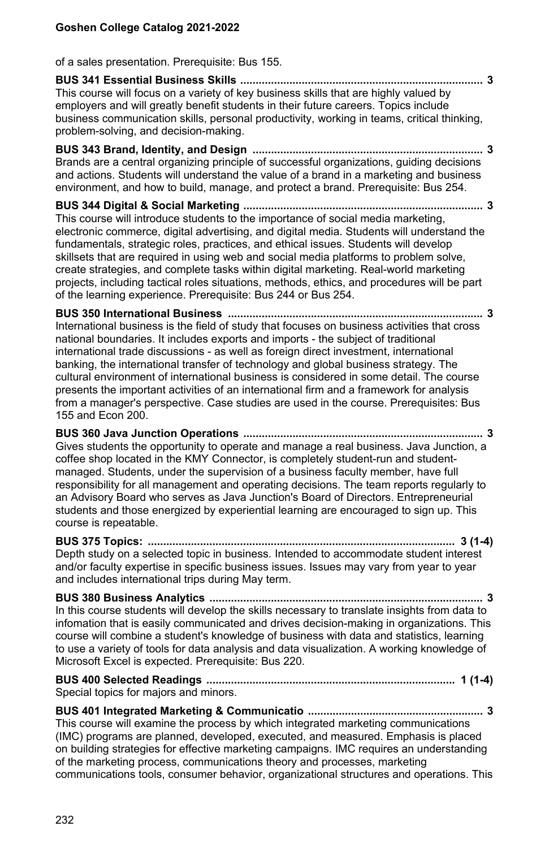of a sales presentation. Prerequisite: Bus 155.

## **BUS 341 Essential Business Skills ............................................................................... 3** This course will focus on a variety of key business skills that are highly valued by employers and will greatly benefit students in their future careers. Topics include business communication skills, personal productivity, working in teams, critical thinking, problem-solving, and decision-making.

**BUS 343 Brand, Identity, and Design ........................................................................... 3** Brands are a central organizing principle of successful organizations, guiding decisions and actions. Students will understand the value of a brand in a marketing and business environment, and how to build, manage, and protect a brand. Prerequisite: Bus 254.

**BUS 344 Digital & Social Marketing .............................................................................. 3** This course will introduce students to the importance of social media marketing, electronic commerce, digital advertising, and digital media. Students will understand the fundamentals, strategic roles, practices, and ethical issues. Students will develop skillsets that are required in using web and social media platforms to problem solve, create strategies, and complete tasks within digital marketing. Real-world marketing projects, including tactical roles situations, methods, ethics, and procedures will be part of the learning experience. Prerequisite: Bus 244 or Bus 254.

**BUS 350 International Business ................................................................................... 3** International business is the field of study that focuses on business activities that cross national boundaries. It includes exports and imports - the subject of traditional international trade discussions - as well as foreign direct investment, international banking, the international transfer of technology and global business strategy. The cultural environment of international business is considered in some detail. The course presents the important activities of an international firm and a framework for analysis from a manager's perspective. Case studies are used in the course. Prerequisites: Bus 155 and Econ 200.

**BUS 360 Java Junction Operations .............................................................................. 3** Gives students the opportunity to operate and manage a real business. Java Junction, a coffee shop located in the KMY Connector, is completely student-run and studentmanaged. Students, under the supervision of a business faculty member, have full responsibility for all management and operating decisions. The team reports regularly to an Advisory Board who serves as Java Junction's Board of Directors. Entrepreneurial students and those energized by experiential learning are encouraged to sign up. This course is repeatable.

**BUS 375 Topics: .................................................................................................... 3 (1-4)** Depth study on a selected topic in business. Intended to accommodate student interest and/or faculty expertise in specific business issues. Issues may vary from year to year and includes international trips during May term.

**BUS 380 Business Analytics ......................................................................................... 3** In this course students will develop the skills necessary to translate insights from data to infomation that is easily communicated and drives decision-making in organizations. This course will combine a student's knowledge of business with data and statistics, learning to use a variety of tools for data analysis and data visualization. A working knowledge of Microsoft Excel is expected. Prerequisite: Bus 220.

**BUS 400 Selected Readings ................................................................................. 1 (1-4)** Special topics for majors and minors.

**BUS 401 Integrated Marketing & Communicatio ......................................................... 3** This course will examine the process by which integrated marketing communications (IMC) programs are planned, developed, executed, and measured. Emphasis is placed on building strategies for effective marketing campaigns. IMC requires an understanding of the marketing process, communications theory and processes, marketing communications tools, consumer behavior, organizational structures and operations. This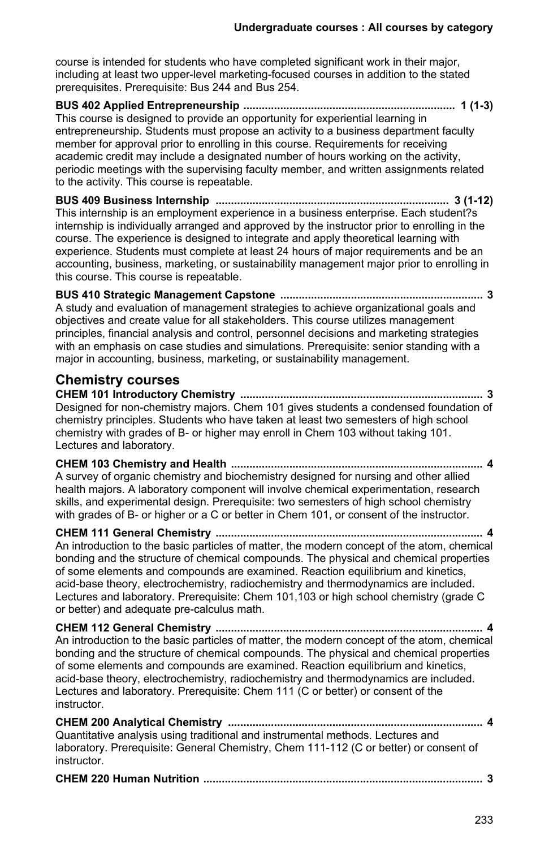course is intended for students who have completed significant work in their major, including at least two upper-level marketing-focused courses in addition to the stated prerequisites. Prerequisite: Bus 244 and Bus 254.

#### **BUS 402 Applied Entrepreneurship ..................................................................... 1 (1-3)** This course is designed to provide an opportunity for experiential learning in

entrepreneurship. Students must propose an activity to a business department faculty member for approval prior to enrolling in this course. Requirements for receiving academic credit may include a designated number of hours working on the activity, periodic meetings with the supervising faculty member, and written assignments related to the activity. This course is repeatable.

**BUS 409 Business Internship ............................................................................ 3 (1-12)** This internship is an employment experience in a business enterprise. Each student?s internship is individually arranged and approved by the instructor prior to enrolling in the course. The experience is designed to integrate and apply theoretical learning with experience. Students must complete at least 24 hours of major requirements and be an accounting, business, marketing, or sustainability management major prior to enrolling in this course. This course is repeatable.

**BUS 410 Strategic Management Capstone .................................................................. 3** A study and evaluation of management strategies to achieve organizational goals and objectives and create value for all stakeholders. This course utilizes management principles, financial analysis and control, personnel decisions and marketing strategies with an emphasis on case studies and simulations. Prerequisite: senior standing with a major in accounting, business, marketing, or sustainability management.

# **Chemistry courses**

**CHEM 101 Introductory Chemistry ............................................................................... 3** Designed for non-chemistry majors. Chem 101 gives students a condensed foundation of chemistry principles. Students who have taken at least two semesters of high school chemistry with grades of B- or higher may enroll in Chem 103 without taking 101. Lectures and laboratory.

**CHEM 103 Chemistry and Health .................................................................................. 4** A survey of organic chemistry and biochemistry designed for nursing and other allied health majors. A laboratory component will involve chemical experimentation, research skills, and experimental design. Prerequisite: two semesters of high school chemistry with grades of B- or higher or a C or better in Chem 101, or consent of the instructor.

**CHEM 111 General Chemistry ....................................................................................... 4** An introduction to the basic particles of matter, the modern concept of the atom, chemical bonding and the structure of chemical compounds. The physical and chemical properties of some elements and compounds are examined. Reaction equilibrium and kinetics, acid-base theory, electrochemistry, radiochemistry and thermodynamics are included. Lectures and laboratory. Prerequisite: Chem 101,103 or high school chemistry (grade C or better) and adequate pre-calculus math.

**CHEM 112 General Chemistry ....................................................................................... 4** An introduction to the basic particles of matter, the modern concept of the atom, chemical bonding and the structure of chemical compounds. The physical and chemical properties of some elements and compounds are examined. Reaction equilibrium and kinetics, acid-base theory, electrochemistry, radiochemistry and thermodynamics are included. Lectures and laboratory. Prerequisite: Chem 111 (C or better) or consent of the instructor.

**CHEM 200 Analytical Chemistry ................................................................................... 4** Quantitative analysis using traditional and instrumental methods. Lectures and laboratory. Prerequisite: General Chemistry, Chem 111-112 (C or better) or consent of instructor.

```
CHEM 220 Human Nutrition ........................................................................................... 3
```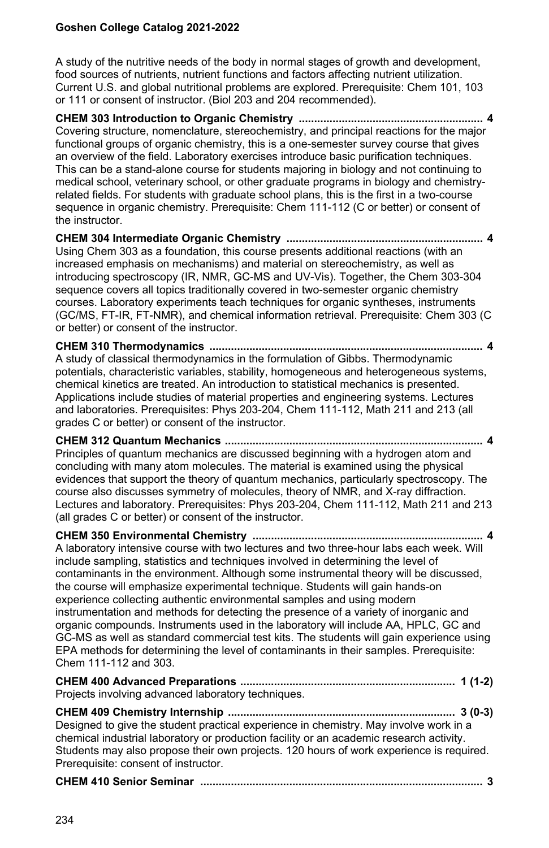A study of the nutritive needs of the body in normal stages of growth and development, food sources of nutrients, nutrient functions and factors affecting nutrient utilization. Current U.S. and global nutritional problems are explored. Prerequisite: Chem 101, 103 or 111 or consent of instructor. (Biol 203 and 204 recommended).

**CHEM 303 Introduction to Organic Chemistry ............................................................ 4** Covering structure, nomenclature, stereochemistry, and principal reactions for the major functional groups of organic chemistry, this is a one-semester survey course that gives an overview of the field. Laboratory exercises introduce basic purification techniques. This can be a stand-alone course for students majoring in biology and not continuing to medical school, veterinary school, or other graduate programs in biology and chemistryrelated fields. For students with graduate school plans, this is the first in a two-course sequence in organic chemistry. Prerequisite: Chem 111-112 (C or better) or consent of the instructor.

**CHEM 304 Intermediate Organic Chemistry ................................................................ 4** Using Chem 303 as a foundation, this course presents additional reactions (with an increased emphasis on mechanisms) and material on stereochemistry, as well as introducing spectroscopy (IR, NMR, GC-MS and UV-Vis). Together, the Chem 303-304 sequence covers all topics traditionally covered in two-semester organic chemistry courses. Laboratory experiments teach techniques for organic syntheses, instruments (GC/MS, FT-IR, FT-NMR), and chemical information retrieval. Prerequisite: Chem 303 (C or better) or consent of the instructor.

**CHEM 310 Thermodynamics ......................................................................................... 4** A study of classical thermodynamics in the formulation of Gibbs. Thermodynamic potentials, characteristic variables, stability, homogeneous and heterogeneous systems, chemical kinetics are treated. An introduction to statistical mechanics is presented. Applications include studies of material properties and engineering systems. Lectures and laboratories. Prerequisites: Phys 203-204, Chem 111-112, Math 211 and 213 (all grades C or better) or consent of the instructor.

**CHEM 312 Quantum Mechanics .................................................................................... 4** Principles of quantum mechanics are discussed beginning with a hydrogen atom and concluding with many atom molecules. The material is examined using the physical evidences that support the theory of quantum mechanics, particularly spectroscopy. The course also discusses symmetry of molecules, theory of NMR, and X-ray diffraction. Lectures and laboratory. Prerequisites: Phys 203-204, Chem 111-112, Math 211 and 213 (all grades C or better) or consent of the instructor.

| A laboratory intensive course with two lectures and two three-hour labs each week. Will<br>include sampling, statistics and techniques involved in determining the level of<br>contaminants in the environment. Although some instrumental theory will be discussed,<br>the course will emphasize experimental technique. Students will gain hands-on<br>experience collecting authentic environmental samples and using modern<br>instrumentation and methods for detecting the presence of a variety of inorganic and<br>organic compounds. Instruments used in the laboratory will include AA, HPLC, GC and<br>GC-MS as well as standard commercial test kits. The students will gain experience using<br>EPA methods for determining the level of contaminants in their samples. Prerequisite:<br>Chem 111-112 and 303. |
|-----------------------------------------------------------------------------------------------------------------------------------------------------------------------------------------------------------------------------------------------------------------------------------------------------------------------------------------------------------------------------------------------------------------------------------------------------------------------------------------------------------------------------------------------------------------------------------------------------------------------------------------------------------------------------------------------------------------------------------------------------------------------------------------------------------------------------|
| Projects involving advanced laboratory techniques.                                                                                                                                                                                                                                                                                                                                                                                                                                                                                                                                                                                                                                                                                                                                                                          |

**CHEM 409 Chemistry Internship .......................................................................... 3 (0-3)** Designed to give the student practical experience in chemistry. May involve work in a chemical industrial laboratory or production facility or an academic research activity. Students may also propose their own projects. 120 hours of work experience is required. Prerequisite: consent of instructor.

|--|--|--|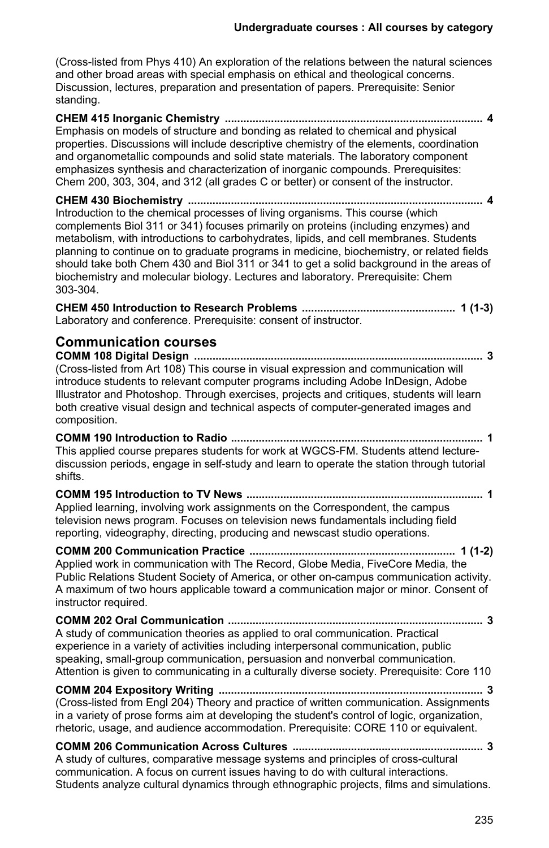(Cross-listed from Phys 410) An exploration of the relations between the natural sciences and other broad areas with special emphasis on ethical and theological concerns. Discussion, lectures, preparation and presentation of papers. Prerequisite: Senior standing.

**CHEM 415 Inorganic Chemistry .................................................................................... 4** Emphasis on models of structure and bonding as related to chemical and physical properties. Discussions will include descriptive chemistry of the elements, coordination and organometallic compounds and solid state materials. The laboratory component emphasizes synthesis and characterization of inorganic compounds. Prerequisites: Chem 200, 303, 304, and 312 (all grades C or better) or consent of the instructor.

**CHEM 430 Biochemistry ................................................................................................ 4** Introduction to the chemical processes of living organisms. This course (which complements Biol 311 or 341) focuses primarily on proteins (including enzymes) and metabolism, with introductions to carbohydrates, lipids, and cell membranes. Students planning to continue on to graduate programs in medicine, biochemistry, or related fields should take both Chem 430 and Biol 311 or 341 to get a solid background in the areas of biochemistry and molecular biology. Lectures and laboratory. Prerequisite: Chem 303-304.

**CHEM 450 Introduction to Research Problems .................................................. 1 (1-3)** Laboratory and conference. Prerequisite: consent of instructor.

# **Communication courses**

**COMM 108 Digital Design .............................................................................................. 3** (Cross-listed from Art 108) This course in visual expression and communication will introduce students to relevant computer programs including Adobe InDesign, Adobe Illustrator and Photoshop. Through exercises, projects and critiques, students will learn both creative visual design and technical aspects of computer-generated images and composition.

**COMM 190 Introduction to Radio .................................................................................. 1** This applied course prepares students for work at WGCS-FM. Students attend lecturediscussion periods, engage in self-study and learn to operate the station through tutorial shifts.

**COMM 195 Introduction to TV News ............................................................................. 1** Applied learning, involving work assignments on the Correspondent, the campus television news program. Focuses on television news fundamentals including field reporting, videography, directing, producing and newscast studio operations.

**COMM 200 Communication Practice ................................................................... 1 (1-2)** Applied work in communication with The Record, Globe Media, FiveCore Media, the Public Relations Student Society of America, or other on-campus communication activity. A maximum of two hours applicable toward a communication major or minor. Consent of instructor required.

**COMM 202 Oral Communication ................................................................................... 3** A study of communication theories as applied to oral communication. Practical experience in a variety of activities including interpersonal communication, public speaking, small-group communication, persuasion and nonverbal communication. Attention is given to communicating in a culturally diverse society. Prerequisite: Core 110

#### **COMM 204 Expository Writing ...................................................................................... 3** (Cross-listed from Engl 204) Theory and practice of written communication. Assignments in a variety of prose forms aim at developing the student's control of logic, organization, rhetoric, usage, and audience accommodation. Prerequisite: CORE 110 or equivalent.

**COMM 206 Communication Across Cultures .............................................................. 3** A study of cultures, comparative message systems and principles of cross-cultural communication. A focus on current issues having to do with cultural interactions. Students analyze cultural dynamics through ethnographic projects, films and simulations.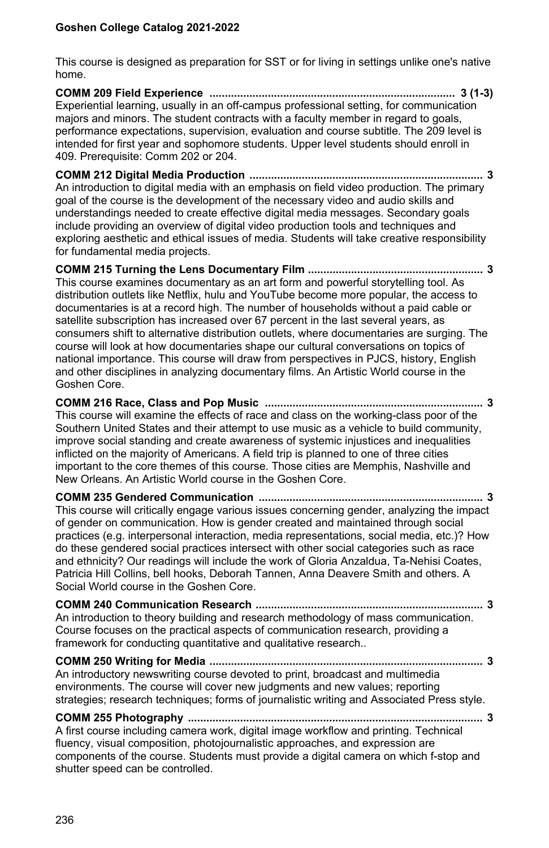This course is designed as preparation for SST or for living in settings unlike one's native home.

**COMM 209 Field Experience ................................................................................ 3 (1-3)** Experiential learning, usually in an off-campus professional setting, for communication majors and minors. The student contracts with a faculty member in regard to goals, performance expectations, supervision, evaluation and course subtitle. The 209 level is intended for first year and sophomore students. Upper level students should enroll in 409. Prerequisite: Comm 202 or 204.

**COMM 212 Digital Media Production ............................................................................ 3** An introduction to digital media with an emphasis on field video production. The primary goal of the course is the development of the necessary video and audio skills and understandings needed to create effective digital media messages. Secondary goals include providing an overview of digital video production tools and techniques and exploring aesthetic and ethical issues of media. Students will take creative responsibility for fundamental media projects.

**COMM 215 Turning the Lens Documentary Film ......................................................... 3** This course examines documentary as an art form and powerful storytelling tool. As distribution outlets like Netflix, hulu and YouTube become more popular, the access to documentaries is at a record high. The number of households without a paid cable or satellite subscription has increased over 67 percent in the last several years, as consumers shift to alternative distribution outlets, where documentaries are surging. The course will look at how documentaries shape our cultural conversations on topics of national importance. This course will draw from perspectives in PJCS, history, English and other disciplines in analyzing documentary films. An Artistic World course in the Goshen Core.

**COMM 216 Race, Class and Pop Music ....................................................................... 3** This course will examine the effects of race and class on the working-class poor of the Southern United States and their attempt to use music as a vehicle to build community, improve social standing and create awareness of systemic injustices and inequalities inflicted on the majority of Americans. A field trip is planned to one of three cities important to the core themes of this course. Those cities are Memphis, Nashville and New Orleans. An Artistic World course in the Goshen Core.

**COMM 235 Gendered Communication ......................................................................... 3** This course will critically engage various issues concerning gender, analyzing the impact of gender on communication. How is gender created and maintained through social practices (e.g. interpersonal interaction, media representations, social media, etc.)? How do these gendered social practices intersect with other social categories such as race and ethnicity? Our readings will include the work of Gloria Anzaldua, Ta-Nehisi Coates, Patricia Hill Collins, bell hooks, Deborah Tannen, Anna Deavere Smith and others. A Social World course in the Goshen Core.

**COMM 240 Communication Research .......................................................................... 3** An introduction to theory building and research methodology of mass communication. Course focuses on the practical aspects of communication research, providing a framework for conducting quantitative and qualitative research..

#### **COMM 250 Writing for Media ......................................................................................... 3** An introductory newswriting course devoted to print, broadcast and multimedia environments. The course will cover new judgments and new values; reporting strategies; research techniques; forms of journalistic writing and Associated Press style.

**COMM 255 Photography ................................................................................................ 3** A first course including camera work, digital image workflow and printing. Technical fluency, visual composition, photojournalistic approaches, and expression are components of the course. Students must provide a digital camera on which f-stop and shutter speed can be controlled.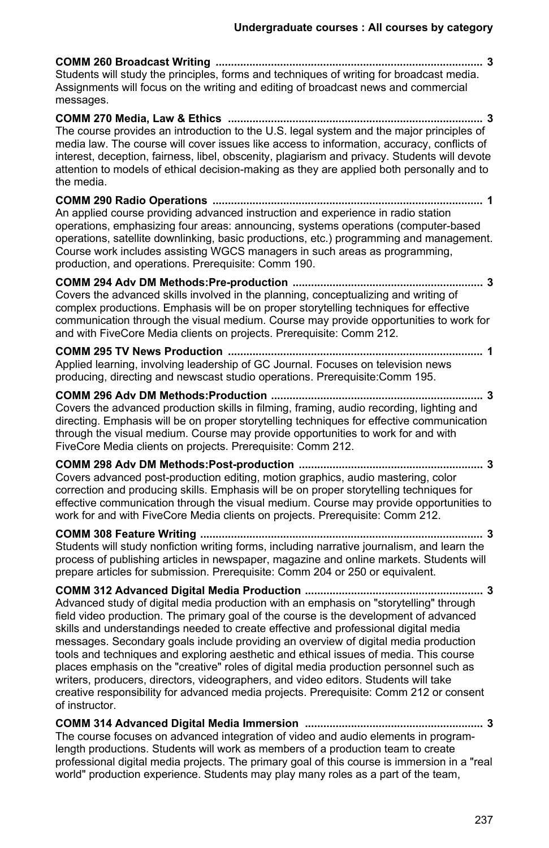**COMM 260 Broadcast Writing ....................................................................................... 3** Students will study the principles, forms and techniques of writing for broadcast media. Assignments will focus on the writing and editing of broadcast news and commercial messages. **COMM 270 Media, Law & Ethics ................................................................................... 3** The course provides an introduction to the U.S. legal system and the major principles of media law. The course will cover issues like access to information, accuracy, conflicts of interest, deception, fairness, libel, obscenity, plagiarism and privacy. Students will devote attention to models of ethical decision-making as they are applied both personally and to the media. **COMM 290 Radio Operations ........................................................................................ 1** An applied course providing advanced instruction and experience in radio station operations, emphasizing four areas: announcing, systems operations (computer-based operations, satellite downlinking, basic productions, etc.) programming and management. Course work includes assisting WGCS managers in such areas as programming, production, and operations. Prerequisite: Comm 190. **COMM 294 Adv DM Methods:Pre-production .............................................................. 3** Covers the advanced skills involved in the planning, conceptualizing and writing of complex productions. Emphasis will be on proper storytelling techniques for effective communication through the visual medium. Course may provide opportunities to work for and with FiveCore Media clients on projects. Prerequisite: Comm 212.

**COMM 295 TV News Production ................................................................................... 1** Applied learning, involving leadership of GC Journal. Focuses on television news producing, directing and newscast studio operations. Prerequisite:Comm 195.

**COMM 296 Adv DM Methods:Production ..................................................................... 3** Covers the advanced production skills in filming, framing, audio recording, lighting and directing. Emphasis will be on proper storytelling techniques for effective communication through the visual medium. Course may provide opportunities to work for and with FiveCore Media clients on projects. Prerequisite: Comm 212.

**COMM 298 Adv DM Methods:Post-production ............................................................ 3** Covers advanced post-production editing, motion graphics, audio mastering, color correction and producing skills. Emphasis will be on proper storytelling techniques for effective communication through the visual medium. Course may provide opportunities to work for and with FiveCore Media clients on projects. Prerequisite: Comm 212.

**COMM 308 Feature Writing ............................................................................................ 3** Students will study nonfiction writing forms, including narrative journalism, and learn the process of publishing articles in newspaper, magazine and online markets. Students will prepare articles for submission. Prerequisite: Comm 204 or 250 or equivalent.

**COMM 312 Advanced Digital Media Production .......................................................... 3** Advanced study of digital media production with an emphasis on "storytelling" through field video production. The primary goal of the course is the development of advanced skills and understandings needed to create effective and professional digital media messages. Secondary goals include providing an overview of digital media production tools and techniques and exploring aesthetic and ethical issues of media. This course places emphasis on the "creative" roles of digital media production personnel such as writers, producers, directors, videographers, and video editors. Students will take creative responsibility for advanced media projects. Prerequisite: Comm 212 or consent of instructor.

**COMM 314 Advanced Digital Media Immersion .......................................................... 3** The course focuses on advanced integration of video and audio elements in programlength productions. Students will work as members of a production team to create professional digital media projects. The primary goal of this course is immersion in a "real world" production experience. Students may play many roles as a part of the team,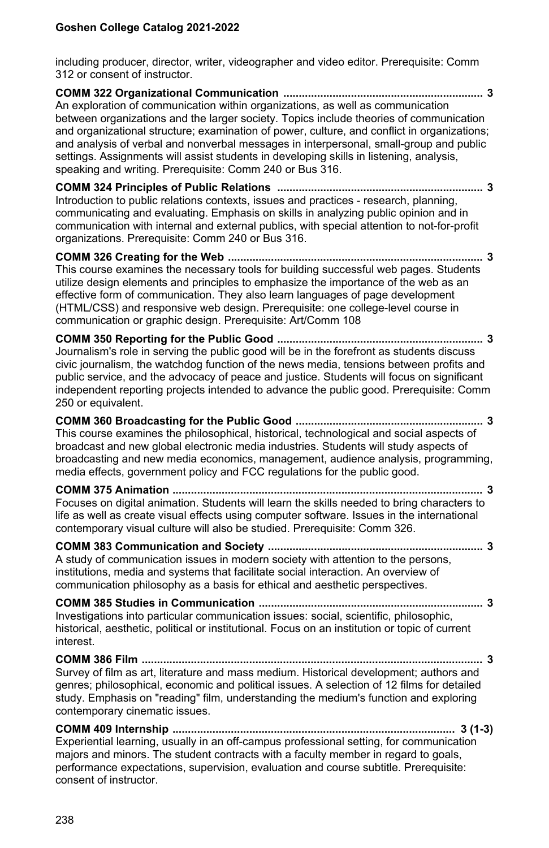including producer, director, writer, videographer and video editor. Prerequisite: Comm 312 or consent of instructor.

**COMM 322 Organizational Communication ................................................................. 3** An exploration of communication within organizations, as well as communication between organizations and the larger society. Topics include theories of communication and organizational structure; examination of power, culture, and conflict in organizations; and analysis of verbal and nonverbal messages in interpersonal, small-group and public settings. Assignments will assist students in developing skills in listening, analysis, speaking and writing. Prerequisite: Comm 240 or Bus 316.

**COMM 324 Principles of Public Relations ................................................................... 3** Introduction to public relations contexts, issues and practices - research, planning, communicating and evaluating. Emphasis on skills in analyzing public opinion and in communication with internal and external publics, with special attention to not-for-profit organizations. Prerequisite: Comm 240 or Bus 316.

**COMM 326 Creating for the Web ................................................................................... 3** This course examines the necessary tools for building successful web pages. Students utilize design elements and principles to emphasize the importance of the web as an effective form of communication. They also learn languages of page development (HTML/CSS) and responsive web design. Prerequisite: one college-level course in communication or graphic design. Prerequisite: Art/Comm 108

**COMM 350 Reporting for the Public Good ................................................................... 3** Journalism's role in serving the public good will be in the forefront as students discuss civic journalism, the watchdog function of the news media, tensions between profits and public service, and the advocacy of peace and justice. Students will focus on significant independent reporting projects intended to advance the public good. Prerequisite: Comm 250 or equivalent.

**COMM 360 Broadcasting for the Public Good ............................................................. 3** This course examines the philosophical, historical, technological and social aspects of broadcast and new global electronic media industries. Students will study aspects of broadcasting and new media economics, management, audience analysis, programming, media effects, government policy and FCC regulations for the public good.

**COMM 375 Animation ..................................................................................................... 3** Focuses on digital animation. Students will learn the skills needed to bring characters to life as well as create visual effects using computer software. Issues in the international contemporary visual culture will also be studied. Prerequisite: Comm 326.

**COMM 383 Communication and Society ...................................................................... 3** A study of communication issues in modern society with attention to the persons, institutions, media and systems that facilitate social interaction. An overview of communication philosophy as a basis for ethical and aesthetic perspectives.

**COMM 385 Studies in Communication ......................................................................... 3** Investigations into particular communication issues: social, scientific, philosophic, historical, aesthetic, political or institutional. Focus on an institution or topic of current interest.

**COMM 386 Film ............................................................................................................... 3** Survey of film as art, literature and mass medium. Historical development; authors and genres; philosophical, economic and political issues. A selection of 12 films for detailed study. Emphasis on "reading" film, understanding the medium's function and exploring contemporary cinematic issues.

**COMM 409 Internship ............................................................................................ 3 (1-3)** Experiential learning, usually in an off-campus professional setting, for communication majors and minors. The student contracts with a faculty member in regard to goals, performance expectations, supervision, evaluation and course subtitle. Prerequisite: consent of instructor.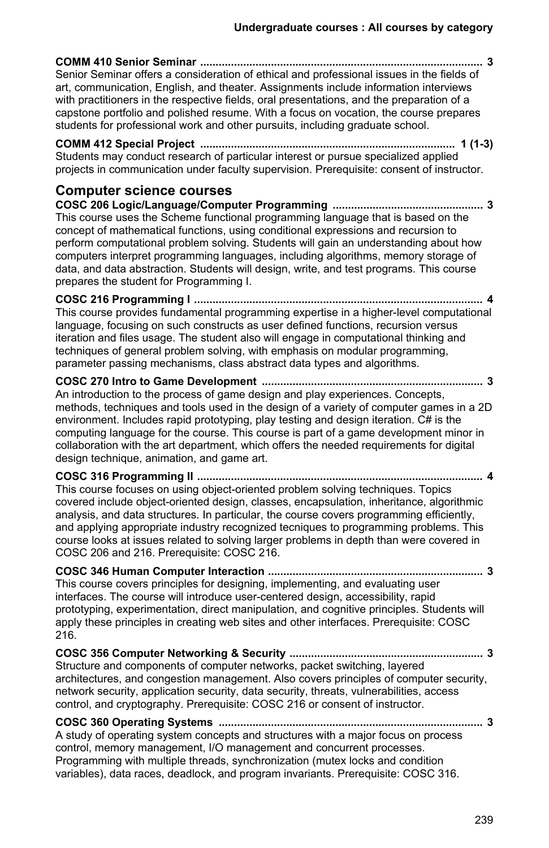**COMM 410 Senior Seminar ............................................................................................ 3** Senior Seminar offers a consideration of ethical and professional issues in the fields of art, communication, English, and theater. Assignments include information interviews with practitioners in the respective fields, oral presentations, and the preparation of a capstone portfolio and polished resume. With a focus on vocation, the course prepares students for professional work and other pursuits, including graduate school. **COMM 412 Special Project ................................................................................... 1 (1-3)** Students may conduct research of particular interest or pursue specialized applied projects in communication under faculty supervision. Prerequisite: consent of instructor. **Computer science courses COSC 206 Logic/Language/Computer Programming ................................................. 3** This course uses the Scheme functional programming language that is based on the concept of mathematical functions, using conditional expressions and recursion to perform computational problem solving. Students will gain an understanding about how computers interpret programming languages, including algorithms, memory storage of data, and data abstraction. Students will design, write, and test programs. This course prepares the student for Programming I. **COSC 216 Programming I .............................................................................................. 4** This course provides fundamental programming expertise in a higher-level computational language, focusing on such constructs as user defined functions, recursion versus iteration and files usage. The student also will engage in computational thinking and techniques of general problem solving, with emphasis on modular programming, parameter passing mechanisms, class abstract data types and algorithms. **COSC 270 Intro to Game Development ........................................................................ 3** An introduction to the process of game design and play experiences. Concepts, methods, techniques and tools used in the design of a variety of computer games in a 2D environment. Includes rapid prototyping, play testing and design iteration. C# is the computing language for the course. This course is part of a game development minor in collaboration with the art department, which offers the needed requirements for digital design technique, animation, and game art. **COSC 316 Programming II ............................................................................................. 4** This course focuses on using object-oriented problem solving techniques. Topics covered include object-oriented design, classes, encapsulation, inheritance, algorithmic analysis, and data structures. In particular, the course covers programming efficiently, and applying appropriate industry recognized tecniques to programming problems. This course looks at issues related to solving larger problems in depth than were covered in COSC 206 and 216. Prerequisite: COSC 216. **COSC 346 Human Computer Interaction ...................................................................... 3** This course covers principles for designing, implementing, and evaluating user interfaces. The course will introduce user-centered design, accessibility, rapid prototyping, experimentation, direct manipulation, and cognitive principles. Students will apply these principles in creating web sites and other interfaces. Prerequisite: COSC 216. **COSC 356 Computer Networking & Security ............................................................... 3** Structure and components of computer networks, packet switching, layered architectures, and congestion management. Also covers principles of computer security, network security, application security, data security, threats, vulnerabilities, access control, and cryptography. Prerequisite: COSC 216 or consent of instructor. **COSC 360 Operating Systems ...................................................................................... 3** A study of operating system concepts and structures with a major focus on process

control, memory management, I/O management and concurrent processes. Programming with multiple threads, synchronization (mutex locks and condition variables), data races, deadlock, and program invariants. Prerequisite: COSC 316.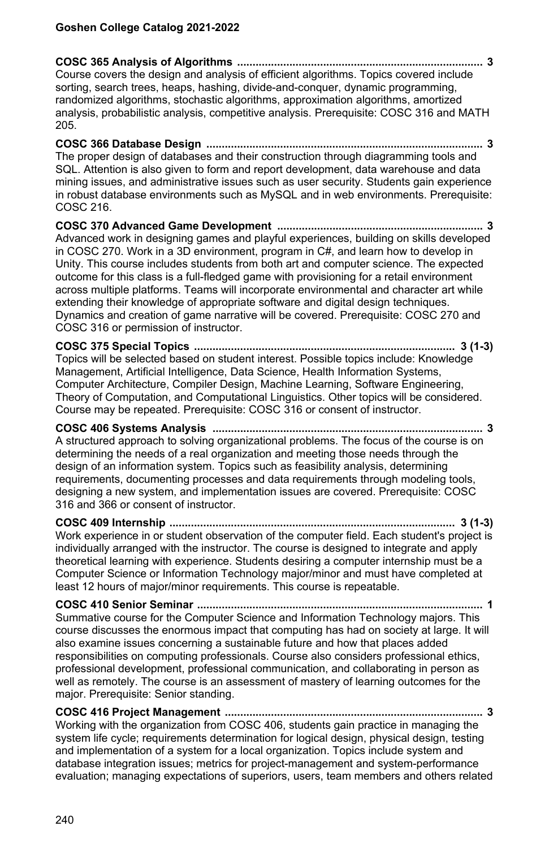**COSC 365 Analysis of Algorithms ................................................................................ 3** Course covers the design and analysis of efficient algorithms. Topics covered include sorting, search trees, heaps, hashing, divide-and-conquer, dynamic programming, randomized algorithms, stochastic algorithms, approximation algorithms, amortized analysis, probabilistic analysis, competitive analysis. Prerequisite: COSC 316 and MATH 205.

**COSC 366 Database Design .......................................................................................... 3** The proper design of databases and their construction through diagramming tools and SQL. Attention is also given to form and report development, data warehouse and data mining issues, and administrative issues such as user security. Students gain experience in robust database environments such as MySQL and in web environments. Prerequisite: COSC 216.

**COSC 370 Advanced Game Development ................................................................... 3** Advanced work in designing games and playful experiences, building on skills developed in COSC 270. Work in a 3D environment, program in C#, and learn how to develop in Unity. This course includes students from both art and computer science. The expected outcome for this class is a full-fledged game with provisioning for a retail environment across multiple platforms. Teams will incorporate environmental and character art while extending their knowledge of appropriate software and digital design techniques. Dynamics and creation of game narrative will be covered. Prerequisite: COSC 270 and COSC 316 or permission of instructor.

**COSC 375 Special Topics ..................................................................................... 3 (1-3)** Topics will be selected based on student interest. Possible topics include: Knowledge Management, Artificial Intelligence, Data Science, Health Information Systems, Computer Architecture, Compiler Design, Machine Learning, Software Engineering, Theory of Computation, and Computational Linguistics. Other topics will be considered. Course may be repeated. Prerequisite: COSC 316 or consent of instructor.

**COSC 406 Systems Analysis ........................................................................................ 3** A structured approach to solving organizational problems. The focus of the course is on determining the needs of a real organization and meeting those needs through the design of an information system. Topics such as feasibility analysis, determining requirements, documenting processes and data requirements through modeling tools, designing a new system, and implementation issues are covered. Prerequisite: COSC 316 and 366 or consent of instructor.

**COSC 409 Internship ............................................................................................. 3 (1-3)** Work experience in or student observation of the computer field. Each student's project is individually arranged with the instructor. The course is designed to integrate and apply theoretical learning with experience. Students desiring a computer internship must be a Computer Science or Information Technology major/minor and must have completed at least 12 hours of major/minor requirements. This course is repeatable.

**COSC 410 Senior Seminar ............................................................................................. 1** Summative course for the Computer Science and Information Technology majors. This course discusses the enormous impact that computing has had on society at large. It will also examine issues concerning a sustainable future and how that places added responsibilities on computing professionals. Course also considers professional ethics, professional development, professional communication, and collaborating in person as well as remotely. The course is an assessment of mastery of learning outcomes for the major. Prerequisite: Senior standing.

**COSC 416 Project Management .................................................................................... 3** Working with the organization from COSC 406, students gain practice in managing the system life cycle; requirements determination for logical design, physical design, testing and implementation of a system for a local organization. Topics include system and database integration issues; metrics for project-management and system-performance evaluation; managing expectations of superiors, users, team members and others related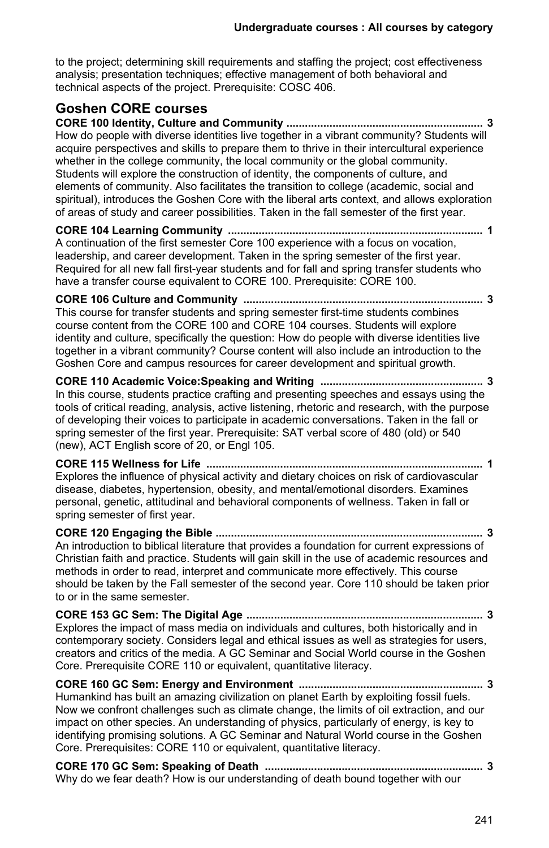to the project; determining skill requirements and staffing the project; cost effectiveness analysis; presentation techniques; effective management of both behavioral and technical aspects of the project. Prerequisite: COSC 406.

# **Goshen CORE courses**

**CORE 100 Identity, Culture and Community ................................................................ 3** How do people with diverse identities live together in a vibrant community? Students will acquire perspectives and skills to prepare them to thrive in their intercultural experience whether in the college community, the local community or the global community. Students will explore the construction of identity, the components of culture, and elements of community. Also facilitates the transition to college (academic, social and spiritual), introduces the Goshen Core with the liberal arts context, and allows exploration of areas of study and career possibilities. Taken in the fall semester of the first year.

**CORE 104 Learning Community ................................................................................... 1** A continuation of the first semester Core 100 experience with a focus on vocation, leadership, and career development. Taken in the spring semester of the first year. Required for all new fall first-year students and for fall and spring transfer students who have a transfer course equivalent to CORE 100. Prerequisite: CORE 100.

**CORE 106 Culture and Community .............................................................................. 3** This course for transfer students and spring semester first-time students combines course content from the CORE 100 and CORE 104 courses. Students will explore identity and culture, specifically the question: How do people with diverse identities live together in a vibrant community? Course content will also include an introduction to the Goshen Core and campus resources for career development and spiritual growth.

**CORE 110 Academic Voice:Speaking and Writing ..................................................... 3** In this course, students practice crafting and presenting speeches and essays using the tools of critical reading, analysis, active listening, rhetoric and research, with the purpose of developing their voices to participate in academic conversations. Taken in the fall or spring semester of the first year. Prerequisite: SAT verbal score of 480 (old) or 540 (new), ACT English score of 20, or Engl 105.

**CORE 115 Wellness for Life .......................................................................................... 1** Explores the influence of physical activity and dietary choices on risk of cardiovascular disease, diabetes, hypertension, obesity, and mental/emotional disorders. Examines personal, genetic, attitudinal and behavioral components of wellness. Taken in fall or spring semester of first year.

**CORE 120 Engaging the Bible ....................................................................................... 3** An introduction to biblical literature that provides a foundation for current expressions of Christian faith and practice. Students will gain skill in the use of academic resources and methods in order to read, interpret and communicate more effectively. This course should be taken by the Fall semester of the second year. Core 110 should be taken prior to or in the same semester.

**CORE 153 GC Sem: The Digital Age ............................................................................. 3** Explores the impact of mass media on individuals and cultures, both historically and in contemporary society. Considers legal and ethical issues as well as strategies for users, creators and critics of the media. A GC Seminar and Social World course in the Goshen Core. Prerequisite CORE 110 or equivalent, quantitative literacy.

**CORE 160 GC Sem: Energy and Environment ............................................................ 3** Humankind has built an amazing civilization on planet Earth by exploiting fossil fuels. Now we confront challenges such as climate change, the limits of oil extraction, and our impact on other species. An understanding of physics, particularly of energy, is key to identifying promising solutions. A GC Seminar and Natural World course in the Goshen Core. Prerequisites: CORE 110 or equivalent, quantitative literacy.

**CORE 170 GC Sem: Speaking of Death ....................................................................... 3** Why do we fear death? How is our understanding of death bound together with our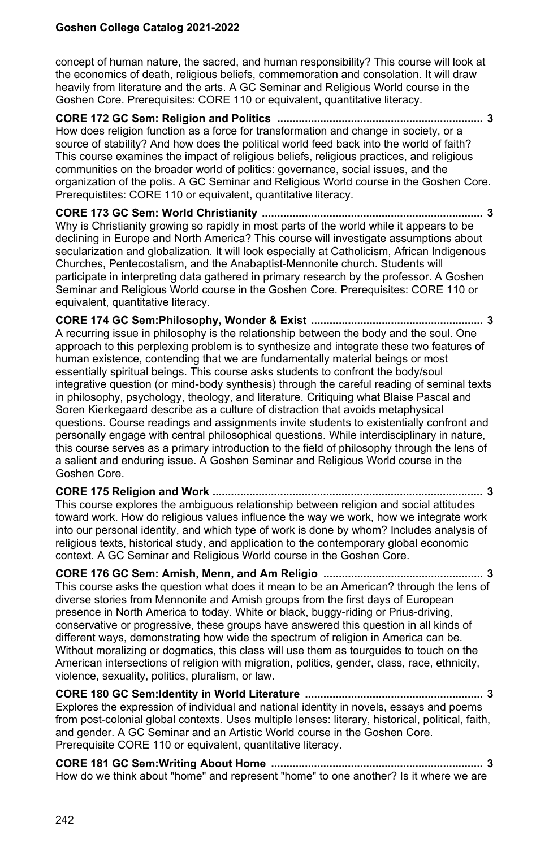concept of human nature, the sacred, and human responsibility? This course will look at the economics of death, religious beliefs, commemoration and consolation. It will draw heavily from literature and the arts. A GC Seminar and Religious World course in the Goshen Core. Prerequisites: CORE 110 or equivalent, quantitative literacy.

**CORE 172 GC Sem: Religion and Politics ................................................................... 3** How does religion function as a force for transformation and change in society, or a source of stability? And how does the political world feed back into the world of faith? This course examines the impact of religious beliefs, religious practices, and religious communities on the broader world of politics: governance, social issues, and the organization of the polis. A GC Seminar and Religious World course in the Goshen Core. Prerequistites: CORE 110 or equivalent, quantitative literacy.

**CORE 173 GC Sem: World Christianity ........................................................................ 3** Why is Christianity growing so rapidly in most parts of the world while it appears to be declining in Europe and North America? This course will investigate assumptions about secularization and globalization. It will look especially at Catholicism, African Indigenous Churches, Pentecostalism, and the Anabaptist-Mennonite church. Students will participate in interpreting data gathered in primary research by the professor. A Goshen Seminar and Religious World course in the Goshen Core. Prerequisites: CORE 110 or equivalent, quantitative literacy.

**CORE 174 GC Sem:Philosophy, Wonder & Exist ........................................................ 3** A recurring issue in philosophy is the relationship between the body and the soul. One approach to this perplexing problem is to synthesize and integrate these two features of human existence, contending that we are fundamentally material beings or most essentially spiritual beings. This course asks students to confront the body/soul integrative question (or mind-body synthesis) through the careful reading of seminal texts in philosophy, psychology, theology, and literature. Critiquing what Blaise Pascal and Soren Kierkegaard describe as a culture of distraction that avoids metaphysical questions. Course readings and assignments invite students to existentially confront and personally engage with central philosophical questions. While interdisciplinary in nature, this course serves as a primary introduction to the field of philosophy through the lens of a salient and enduring issue. A Goshen Seminar and Religious World course in the Goshen Core.

**CORE 175 Religion and Work ........................................................................................ 3** This course explores the ambiguous relationship between religion and social attitudes toward work. How do religious values influence the way we work, how we integrate work into our personal identity, and which type of work is done by whom? Includes analysis of religious texts, historical study, and application to the contemporary global economic context. A GC Seminar and Religious World course in the Goshen Core.

**CORE 176 GC Sem: Amish, Menn, and Am Religio .................................................... 3** This course asks the question what does it mean to be an American? through the lens of diverse stories from Mennonite and Amish groups from the first days of European presence in North America to today. White or black, buggy-riding or Prius-driving, conservative or progressive, these groups have answered this question in all kinds of different ways, demonstrating how wide the spectrum of religion in America can be. Without moralizing or dogmatics, this class will use them as tourguides to touch on the American intersections of religion with migration, politics, gender, class, race, ethnicity, violence, sexuality, politics, pluralism, or law.

**CORE 180 GC Sem:Identity in World Literature .......................................................... 3** Explores the expression of individual and national identity in novels, essays and poems from post-colonial global contexts. Uses multiple lenses: literary, historical, political, faith, and gender. A GC Seminar and an Artistic World course in the Goshen Core. Prerequisite CORE 110 or equivalent, quantitative literacy.

**CORE 181 GC Sem:Writing About Home ..................................................................... 3** How do we think about "home" and represent "home" to one another? Is it where we are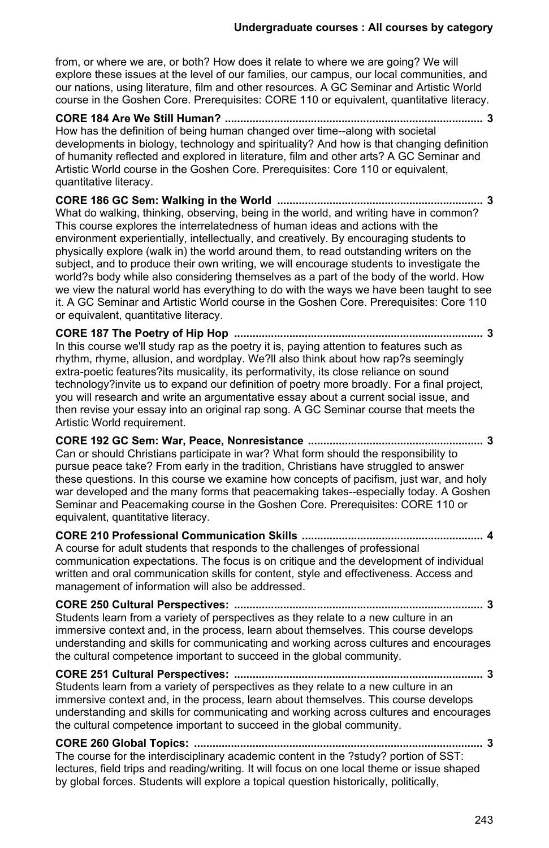from, or where we are, or both? How does it relate to where we are going? We will explore these issues at the level of our families, our campus, our local communities, and our nations, using literature, film and other resources. A GC Seminar and Artistic World course in the Goshen Core. Prerequisites: CORE 110 or equivalent, quantitative literacy.

**CORE 184 Are We Still Human? .................................................................................... 3** How has the definition of being human changed over time--along with societal developments in biology, technology and spirituality? And how is that changing definition of humanity reflected and explored in literature, film and other arts? A GC Seminar and Artistic World course in the Goshen Core. Prerequisites: Core 110 or equivalent, quantitative literacy.

**CORE 186 GC Sem: Walking in the World ................................................................... 3** What do walking, thinking, observing, being in the world, and writing have in common? This course explores the interrelatedness of human ideas and actions with the environment experientially, intellectually, and creatively. By encouraging students to physically explore (walk in) the world around them, to read outstanding writers on the subject, and to produce their own writing, we will encourage students to investigate the world?s body while also considering themselves as a part of the body of the world. How we view the natural world has everything to do with the ways we have been taught to see it. A GC Seminar and Artistic World course in the Goshen Core. Prerequisites: Core 110 or equivalent, quantitative literacy.

**CORE 187 The Poetry of Hip Hop ................................................................................. 3** In this course we'll study rap as the poetry it is, paying attention to features such as rhythm, rhyme, allusion, and wordplay. We?ll also think about how rap?s seemingly extra-poetic features?its musicality, its performativity, its close reliance on sound technology?invite us to expand our definition of poetry more broadly. For a final project, you will research and write an argumentative essay about a current social issue, and then revise your essay into an original rap song. A GC Seminar course that meets the Artistic World requirement.

**CORE 192 GC Sem: War, Peace, Nonresistance ......................................................... 3** Can or should Christians participate in war? What form should the responsibility to pursue peace take? From early in the tradition, Christians have struggled to answer these questions. In this course we examine how concepts of pacifism, just war, and holy war developed and the many forms that peacemaking takes--especially today. A Goshen Seminar and Peacemaking course in the Goshen Core. Prerequisites: CORE 110 or equivalent, quantitative literacy.

**CORE 210 Professional Communication Skills ........................................................... 4** A course for adult students that responds to the challenges of professional communication expectations. The focus is on critique and the development of individual written and oral communication skills for content, style and effectiveness. Access and management of information will also be addressed.

**CORE 250 Cultural Perspectives: ................................................................................. 3** Students learn from a variety of perspectives as they relate to a new culture in an immersive context and, in the process, learn about themselves. This course develops understanding and skills for communicating and working across cultures and encourages the cultural competence important to succeed in the global community.

**CORE 251 Cultural Perspectives: ................................................................................. 3** Students learn from a variety of perspectives as they relate to a new culture in an immersive context and, in the process, learn about themselves. This course develops understanding and skills for communicating and working across cultures and encourages the cultural competence important to succeed in the global community.

**CORE 260 Global Topics: .............................................................................................. 3** The course for the interdisciplinary academic content in the ?study? portion of SST: lectures, field trips and reading/writing. It will focus on one local theme or issue shaped by global forces. Students will explore a topical question historically, politically,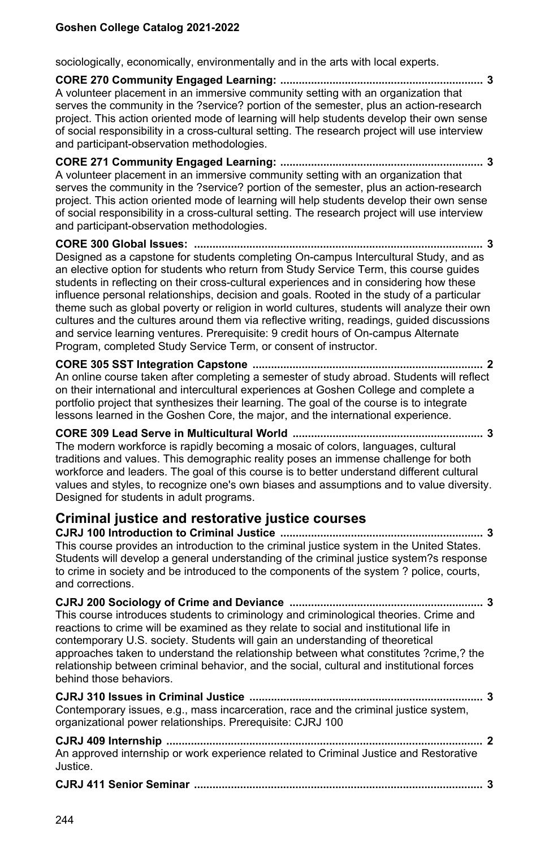sociologically, economically, environmentally and in the arts with local experts.

**CORE 270 Community Engaged Learning: .................................................................. 3** A volunteer placement in an immersive community setting with an organization that serves the community in the ?service? portion of the semester, plus an action-research project. This action oriented mode of learning will help students develop their own sense of social responsibility in a cross-cultural setting. The research project will use interview and participant-observation methodologies.

**CORE 271 Community Engaged Learning: .................................................................. 3** A volunteer placement in an immersive community setting with an organization that serves the community in the ?service? portion of the semester, plus an action-research project. This action oriented mode of learning will help students develop their own sense of social responsibility in a cross-cultural setting. The research project will use interview and participant-observation methodologies.

**CORE 300 Global Issues: .............................................................................................. 3** Designed as a capstone for students completing On-campus Intercultural Study, and as an elective option for students who return from Study Service Term, this course guides students in reflecting on their cross-cultural experiences and in considering how these influence personal relationships, decision and goals. Rooted in the study of a particular theme such as global poverty or religion in world cultures, students will analyze their own cultures and the cultures around them via reflective writing, readings, guided discussions and service learning ventures. Prerequisite: 9 credit hours of On-campus Alternate Program, completed Study Service Term, or consent of instructor.

**CORE 305 SST Integration Capstone ........................................................................... 2** An online course taken after completing a semester of study abroad. Students will reflect on their international and intercultural experiences at Goshen College and complete a portfolio project that synthesizes their learning. The goal of the course is to integrate lessons learned in the Goshen Core, the major, and the international experience.

**CORE 309 Lead Serve in Multicultural World .............................................................. 3** The modern workforce is rapidly becoming a mosaic of colors, languages, cultural traditions and values. This demographic reality poses an immense challenge for both workforce and leaders. The goal of this course is to better understand different cultural values and styles, to recognize one's own biases and assumptions and to value diversity. Designed for students in adult programs.

# **Criminal justice and restorative justice courses**

**CJRJ 100 Introduction to Criminal Justice .................................................................. 3** This course provides an introduction to the criminal justice system in the United States. Students will develop a general understanding of the criminal justice system?s response to crime in society and be introduced to the components of the system ? police, courts, and corrections.

**CJRJ 200 Sociology of Crime and Deviance ............................................................... 3** This course introduces students to criminology and criminological theories. Crime and reactions to crime will be examined as they relate to social and institutional life in contemporary U.S. society. Students will gain an understanding of theoretical approaches taken to understand the relationship between what constitutes ?crime,? the relationship between criminal behavior, and the social, cultural and institutional forces behind those behaviors.

**CJRJ 310 Issues in Criminal Justice ............................................................................ 3** Contemporary issues, e.g., mass incarceration, race and the criminal justice system, organizational power relationships. Prerequisite: CJRJ 100

**CJRJ 409 Internship ....................................................................................................... 2** An approved internship or work experience related to Criminal Justice and Restorative Justice.

|--|--|--|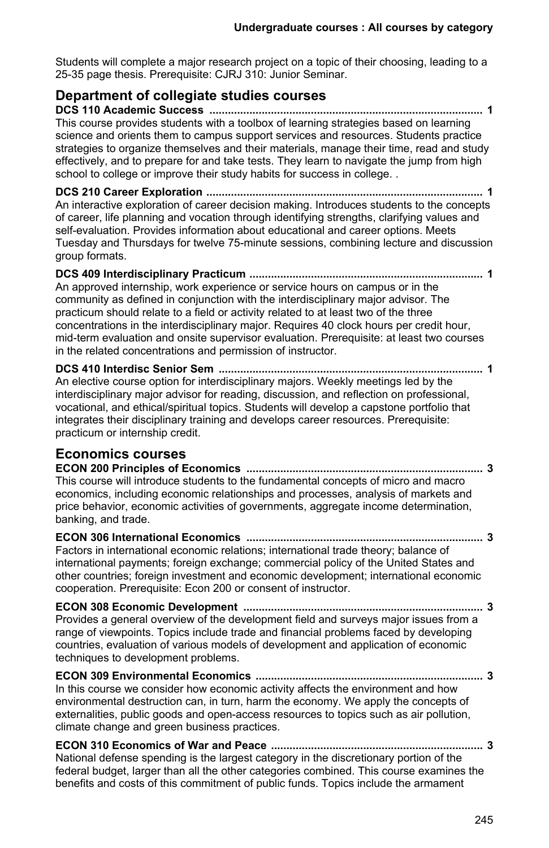Students will complete a major research project on a topic of their choosing, leading to a 25-35 page thesis. Prerequisite: CJRJ 310: Junior Seminar.

# **Department of collegiate studies courses**

**DCS 110 Academic Success ......................................................................................... 1** This course provides students with a toolbox of learning strategies based on learning science and orients them to campus support services and resources. Students practice strategies to organize themselves and their materials, manage their time, read and study effectively, and to prepare for and take tests. They learn to navigate the jump from high school to college or improve their study habits for success in college. .

**DCS 210 Career Exploration .......................................................................................... 1** An interactive exploration of career decision making. Introduces students to the concepts of career, life planning and vocation through identifying strengths, clarifying values and self-evaluation. Provides information about educational and career options. Meets Tuesday and Thursdays for twelve 75-minute sessions, combining lecture and discussion group formats.

**DCS 409 Interdisciplinary Practicum ............................................................................ 1** An approved internship, work experience or service hours on campus or in the community as defined in conjunction with the interdisciplinary major advisor. The practicum should relate to a field or activity related to at least two of the three concentrations in the interdisciplinary major. Requires 40 clock hours per credit hour, mid-term evaluation and onsite supervisor evaluation. Prerequisite: at least two courses in the related concentrations and permission of instructor.

**DCS 410 Interdisc Senior Sem ...................................................................................... 1** An elective course option for interdisciplinary majors. Weekly meetings led by the interdisciplinary major advisor for reading, discussion, and reflection on professional, vocational, and ethical/spiritual topics. Students will develop a capstone portfolio that integrates their disciplinary training and develops career resources. Prerequisite: practicum or internship credit.

## **Economics courses**

**ECON 200 Principles of Economics ............................................................................. 3** This course will introduce students to the fundamental concepts of micro and macro economics, including economic relationships and processes, analysis of markets and price behavior, economic activities of governments, aggregate income determination, banking, and trade.

**ECON 306 International Economics ............................................................................. 3** Factors in international economic relations; international trade theory; balance of international payments; foreign exchange; commercial policy of the United States and other countries; foreign investment and economic development; international economic cooperation. Prerequisite: Econ 200 or consent of instructor.

**ECON 308 Economic Development .............................................................................. 3** Provides a general overview of the development field and surveys major issues from a range of viewpoints. Topics include trade and financial problems faced by developing countries, evaluation of various models of development and application of economic techniques to development problems.

**ECON 309 Environmental Economics .......................................................................... 3** In this course we consider how economic activity affects the environment and how environmental destruction can, in turn, harm the economy. We apply the concepts of externalities, public goods and open-access resources to topics such as air pollution, climate change and green business practices.

**ECON 310 Economics of War and Peace ..................................................................... 3** National defense spending is the largest category in the discretionary portion of the federal budget, larger than all the other categories combined. This course examines the benefits and costs of this commitment of public funds. Topics include the armament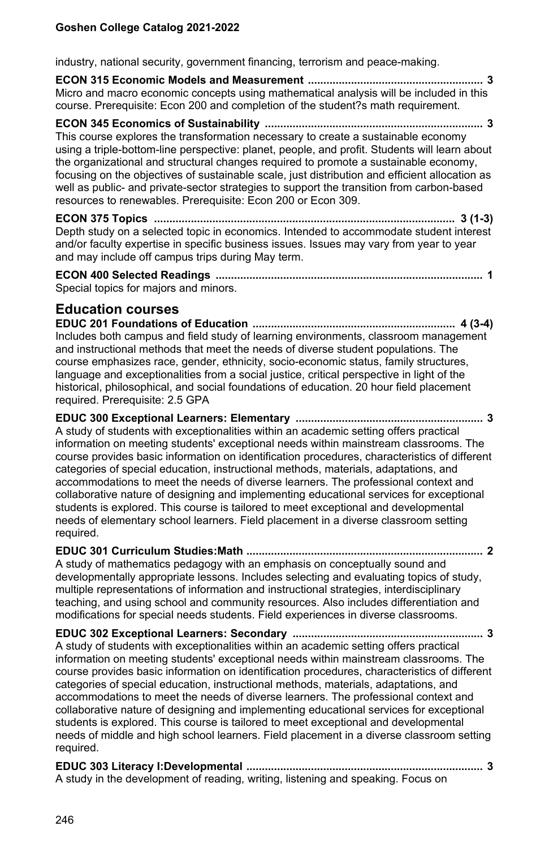industry, national security, government financing, terrorism and peace-making.

**ECON 315 Economic Models and Measurement ......................................................... 3** Micro and macro economic concepts using mathematical analysis will be included in this course. Prerequisite: Econ 200 and completion of the student?s math requirement.

**ECON 345 Economics of Sustainability ....................................................................... 3** This course explores the transformation necessary to create a sustainable economy using a triple-bottom-line perspective: planet, people, and profit. Students will learn about the organizational and structural changes required to promote a sustainable economy, focusing on the objectives of sustainable scale, just distribution and efficient allocation as well as public- and private-sector strategies to support the transition from carbon-based resources to renewables. Prerequisite: Econ 200 or Econ 309.

**ECON 375 Topics .................................................................................................. 3 (1-3)** Depth study on a selected topic in economics. Intended to accommodate student interest and/or faculty expertise in specific business issues. Issues may vary from year to year and may include off campus trips during May term.

**ECON 400 Selected Readings ....................................................................................... 1** Special topics for majors and minors.

## **Education courses**

**EDUC 201 Foundations of Education .................................................................. 4 (3-4)** Includes both campus and field study of learning environments, classroom management and instructional methods that meet the needs of diverse student populations. The course emphasizes race, gender, ethnicity, socio-economic status, family structures, language and exceptionalities from a social justice, critical perspective in light of the historical, philosophical, and social foundations of education. 20 hour field placement required. Prerequisite: 2.5 GPA

**EDUC 300 Exceptional Learners: Elementary ............................................................. 3** A study of students with exceptionalities within an academic setting offers practical information on meeting students' exceptional needs within mainstream classrooms. The course provides basic information on identification procedures, characteristics of different categories of special education, instructional methods, materials, adaptations, and accommodations to meet the needs of diverse learners. The professional context and collaborative nature of designing and implementing educational services for exceptional students is explored. This course is tailored to meet exceptional and developmental needs of elementary school learners. Field placement in a diverse classroom setting required.

**EDUC 301 Curriculum Studies:Math ............................................................................. 2** A study of mathematics pedagogy with an emphasis on conceptually sound and developmentally appropriate lessons. Includes selecting and evaluating topics of study, multiple representations of information and instructional strategies, interdisciplinary teaching, and using school and community resources. Also includes differentiation and modifications for special needs students. Field experiences in diverse classrooms.

**EDUC 302 Exceptional Learners: Secondary .............................................................. 3** A study of students with exceptionalities within an academic setting offers practical information on meeting students' exceptional needs within mainstream classrooms. The course provides basic information on identification procedures, characteristics of different categories of special education, instructional methods, materials, adaptations, and accommodations to meet the needs of diverse learners. The professional context and collaborative nature of designing and implementing educational services for exceptional students is explored. This course is tailored to meet exceptional and developmental needs of middle and high school learners. Field placement in a diverse classroom setting required.

**EDUC 303 Literacy I:Developmental ............................................................................. 3** A study in the development of reading, writing, listening and speaking. Focus on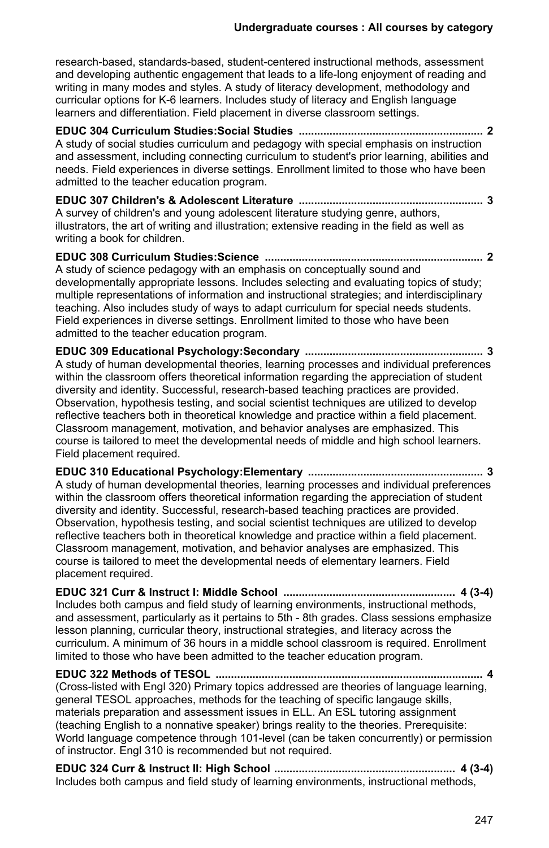research-based, standards-based, student-centered instructional methods, assessment and developing authentic engagement that leads to a life-long enjoyment of reading and writing in many modes and styles. A study of literacy development, methodology and curricular options for K-6 learners. Includes study of literacy and English language learners and differentiation. Field placement in diverse classroom settings.

**EDUC 304 Curriculum Studies:Social Studies ............................................................ 2** A study of social studies curriculum and pedagogy with special emphasis on instruction and assessment, including connecting curriculum to student's prior learning, abilities and needs. Field experiences in diverse settings. Enrollment limited to those who have been admitted to the teacher education program.

**EDUC 307 Children's & Adolescent Literature ............................................................ 3** A survey of children's and young adolescent literature studying genre, authors, illustrators, the art of writing and illustration; extensive reading in the field as well as writing a book for children

**EDUC 308 Curriculum Studies:Science ....................................................................... 2** A study of science pedagogy with an emphasis on conceptually sound and developmentally appropriate lessons. Includes selecting and evaluating topics of study; multiple representations of information and instructional strategies; and interdisciplinary teaching. Also includes study of ways to adapt curriculum for special needs students. Field experiences in diverse settings. Enrollment limited to those who have been admitted to the teacher education program.

**EDUC 309 Educational Psychology:Secondary .......................................................... 3** A study of human developmental theories, learning processes and individual preferences within the classroom offers theoretical information regarding the appreciation of student diversity and identity. Successful, research-based teaching practices are provided. Observation, hypothesis testing, and social scientist techniques are utilized to develop reflective teachers both in theoretical knowledge and practice within a field placement. Classroom management, motivation, and behavior analyses are emphasized. This course is tailored to meet the developmental needs of middle and high school learners. Field placement required.

**EDUC 310 Educational Psychology:Elementary ......................................................... 3** A study of human developmental theories, learning processes and individual preferences within the classroom offers theoretical information regarding the appreciation of student diversity and identity. Successful, research-based teaching practices are provided. Observation, hypothesis testing, and social scientist techniques are utilized to develop reflective teachers both in theoretical knowledge and practice within a field placement. Classroom management, motivation, and behavior analyses are emphasized. This course is tailored to meet the developmental needs of elementary learners. Field placement required.

**EDUC 321 Curr & Instruct I: Middle School ........................................................ 4 (3-4)** Includes both campus and field study of learning environments, instructional methods, and assessment, particularly as it pertains to 5th - 8th grades. Class sessions emphasize lesson planning, curricular theory, instructional strategies, and literacy across the curriculum. A minimum of 36 hours in a middle school classroom is required. Enrollment limited to those who have been admitted to the teacher education program.

**EDUC 322 Methods of TESOL ....................................................................................... 4** (Cross-listed with Engl 320) Primary topics addressed are theories of language learning, general TESOL approaches, methods for the teaching of specific langauge skills, materials preparation and assessment issues in ELL. An ESL tutoring assignment (teaching English to a nonnative speaker) brings reality to the theories. Prerequisite: World language competence through 101-level (can be taken concurrently) or permission of instructor. Engl 310 is recommended but not required.

**EDUC 324 Curr & Instruct II: High School ........................................................... 4 (3-4)** Includes both campus and field study of learning environments, instructional methods,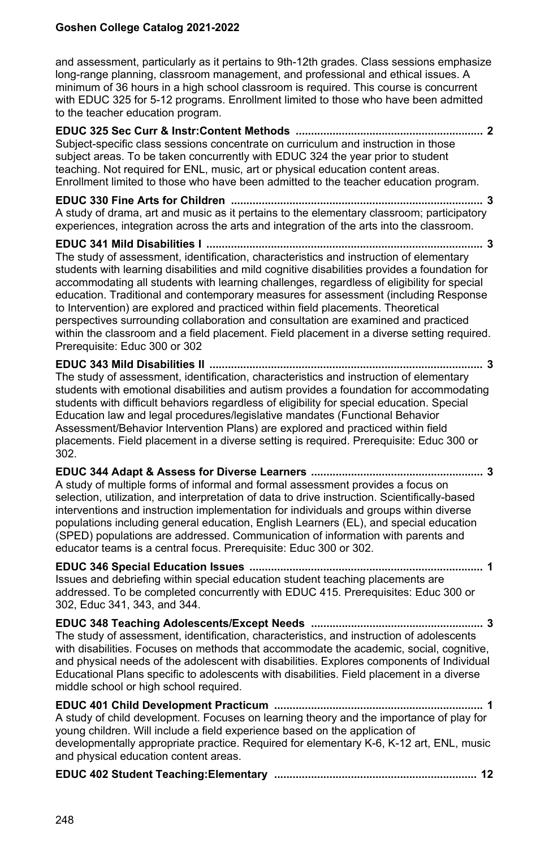and assessment, particularly as it pertains to 9th-12th grades. Class sessions emphasize long-range planning, classroom management, and professional and ethical issues. A minimum of 36 hours in a high school classroom is required. This course is concurrent with EDUC 325 for 5-12 programs. Enrollment limited to those who have been admitted to the teacher education program.

**EDUC 325 Sec Curr & Instr:Content Methods ............................................................. 2** Subject-specific class sessions concentrate on curriculum and instruction in those subject areas. To be taken concurrently with EDUC 324 the year prior to student teaching. Not required for ENL, music, art or physical education content areas. Enrollment limited to those who have been admitted to the teacher education program.

**EDUC 330 Fine Arts for Children .................................................................................. 3** A study of drama, art and music as it pertains to the elementary classroom; participatory experiences, integration across the arts and integration of the arts into the classroom.

**EDUC 341 Mild Disabilities I .......................................................................................... 3** The study of assessment, identification, characteristics and instruction of elementary students with learning disabilities and mild cognitive disabilities provides a foundation for accommodating all students with learning challenges, regardless of eligibility for special education. Traditional and contemporary measures for assessment (including Response to Intervention) are explored and practiced within field placements. Theoretical perspectives surrounding collaboration and consultation are examined and practiced within the classroom and a field placement. Field placement in a diverse setting required. Prerequisite: Educ 300 or 302

**EDUC 343 Mild Disabilities II ......................................................................................... 3** The study of assessment, identification, characteristics and instruction of elementary students with emotional disabilities and autism provides a foundation for accommodating students with difficult behaviors regardless of eligibility for special education. Special Education law and legal procedures/legislative mandates (Functional Behavior Assessment/Behavior Intervention Plans) are explored and practiced within field placements. Field placement in a diverse setting is required. Prerequisite: Educ 300 or 302.

**EDUC 344 Adapt & Assess for Diverse Learners ........................................................ 3** A study of multiple forms of informal and formal assessment provides a focus on selection, utilization, and interpretation of data to drive instruction. Scientifically-based interventions and instruction implementation for individuals and groups within diverse populations including general education, English Learners (EL), and special education (SPED) populations are addressed. Communication of information with parents and educator teams is a central focus. Prerequisite: Educ 300 or 302.

**EDUC 346 Special Education Issues ............................................................................ 1** Issues and debriefing within special education student teaching placements are addressed. To be completed concurrently with EDUC 415. Prerequisites: Educ 300 or 302, Educ 341, 343, and 344.

**EDUC 348 Teaching Adolescents/Except Needs ........................................................ 3** The study of assessment, identification, characteristics, and instruction of adolescents with disabilities. Focuses on methods that accommodate the academic, social, cognitive, and physical needs of the adolescent with disabilities. Explores components of Individual Educational Plans specific to adolescents with disabilities. Field placement in a diverse middle school or high school required.

**EDUC 401 Child Development Practicum .................................................................... 1** A study of child development. Focuses on learning theory and the importance of play for young children. Will include a field experience based on the application of developmentally appropriate practice. Required for elementary K-6, K-12 art, ENL, music and physical education content areas.

|--|--|--|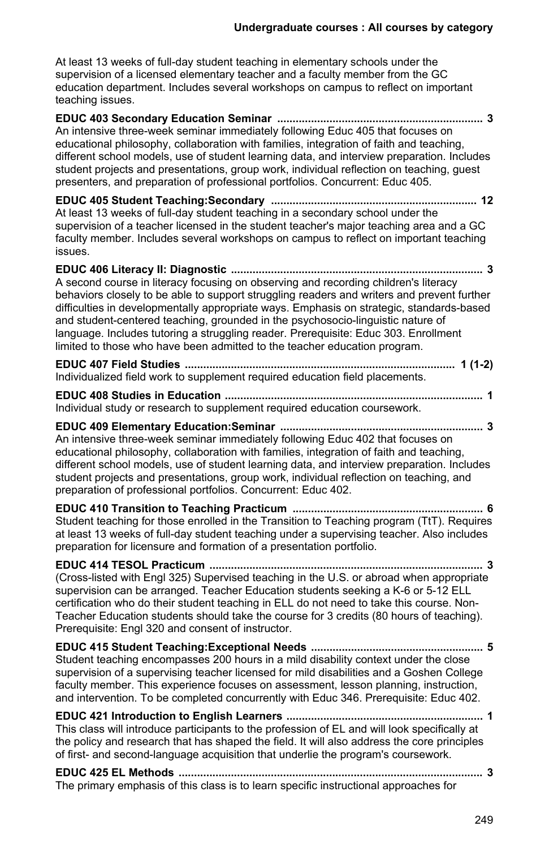At least 13 weeks of full-day student teaching in elementary schools under the supervision of a licensed elementary teacher and a faculty member from the GC education department. Includes several workshops on campus to reflect on important teaching issues.

**EDUC 403 Secondary Education Seminar ................................................................... 3** An intensive three-week seminar immediately following Educ 405 that focuses on educational philosophy, collaboration with families, integration of faith and teaching, different school models, use of student learning data, and interview preparation. Includes student projects and presentations, group work, individual reflection on teaching, guest presenters, and preparation of professional portfolios. Concurrent: Educ 405.

**EDUC 405 Student Teaching:Secondary ................................................................... 12** At least 13 weeks of full-day student teaching in a secondary school under the supervision of a teacher licensed in the student teacher's major teaching area and a GC faculty member. Includes several workshops on campus to reflect on important teaching issues.

**EDUC 406 Literacy II: Diagnostic .................................................................................. 3** A second course in literacy focusing on observing and recording children's literacy behaviors closely to be able to support struggling readers and writers and prevent further difficulties in developmentally appropriate ways. Emphasis on strategic, standards-based and student-centered teaching, grounded in the psychosocio-linguistic nature of language. Includes tutoring a struggling reader. Prerequisite: Educ 303. Enrollment limited to those who have been admitted to the teacher education program.

| Individualized field work to supplement required education field placements. |  |
|------------------------------------------------------------------------------|--|

**EDUC 408 Studies in Education .................................................................................... 1** Individual study or research to supplement required education coursework.

**EDUC 409 Elementary Education:Seminar .................................................................. 3** An intensive three-week seminar immediately following Educ 402 that focuses on educational philosophy, collaboration with families, integration of faith and teaching, different school models, use of student learning data, and interview preparation. Includes student projects and presentations, group work, individual reflection on teaching, and preparation of professional portfolios. Concurrent: Educ 402.

**EDUC 410 Transition to Teaching Practicum .............................................................. 6** Student teaching for those enrolled in the Transition to Teaching program (TtT). Requires at least 13 weeks of full-day student teaching under a supervising teacher. Also includes preparation for licensure and formation of a presentation portfolio.

**EDUC 414 TESOL Practicum ......................................................................................... 3** (Cross-listed with Engl 325) Supervised teaching in the U.S. or abroad when appropriate supervision can be arranged. Teacher Education students seeking a K-6 or 5-12 ELL certification who do their student teaching in ELL do not need to take this course. Non-Teacher Education students should take the course for 3 credits (80 hours of teaching). Prerequisite: Engl 320 and consent of instructor.

**EDUC 415 Student Teaching:Exceptional Needs ........................................................ 5** Student teaching encompasses 200 hours in a mild disability context under the close supervision of a supervising teacher licensed for mild disabilities and a Goshen College faculty member. This experience focuses on assessment, lesson planning, instruction, and intervention. To be completed concurrently with Educ 346. Prerequisite: Educ 402.

**EDUC 421 Introduction to English Learners ................................................................ 1** This class will introduce participants to the profession of EL and will look specifically at the policy and research that has shaped the field. It will also address the core principles of first- and second-language acquisition that underlie the program's coursework.

**EDUC 425 EL Methods ................................................................................................... 3** The primary emphasis of this class is to learn specific instructional approaches for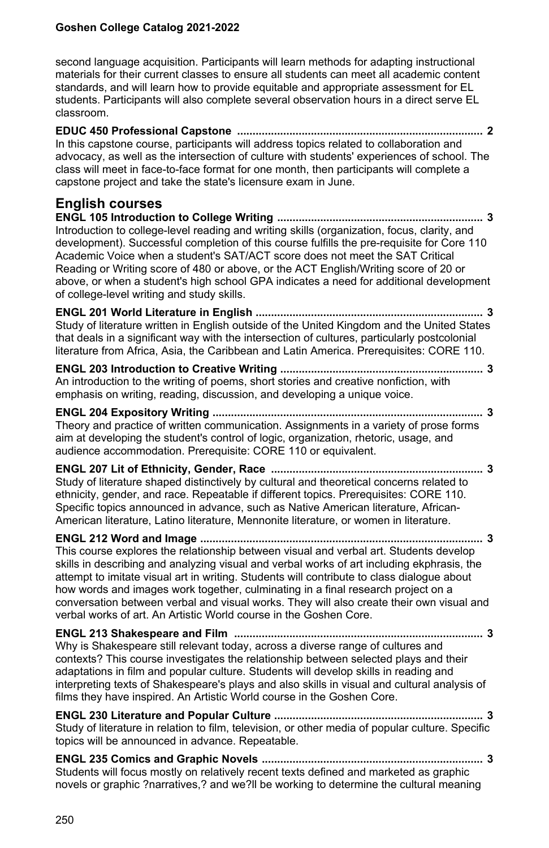second language acquisition. Participants will learn methods for adapting instructional materials for their current classes to ensure all students can meet all academic content standards, and will learn how to provide equitable and appropriate assessment for EL students. Participants will also complete several observation hours in a direct serve EL classroom.

**EDUC 450 Professional Capstone ................................................................................ 2** In this capstone course, participants will address topics related to collaboration and advocacy, as well as the intersection of culture with students' experiences of school. The class will meet in face-to-face format for one month, then participants will complete a capstone project and take the state's licensure exam in June.

## **English courses**

**ENGL 105 Introduction to College Writing ................................................................... 3** Introduction to college-level reading and writing skills (organization, focus, clarity, and development). Successful completion of this course fulfills the pre-requisite for Core 110 Academic Voice when a student's SAT/ACT score does not meet the SAT Critical Reading or Writing score of 480 or above, or the ACT English/Writing score of 20 or above, or when a student's high school GPA indicates a need for additional development of college-level writing and study skills.

**ENGL 201 World Literature in English .......................................................................... 3** Study of literature written in English outside of the United Kingdom and the United States that deals in a significant way with the intersection of cultures, particularly postcolonial literature from Africa, Asia, the Caribbean and Latin America. Prerequisites: CORE 110.

**ENGL 203 Introduction to Creative Writing .................................................................. 3** An introduction to the writing of poems, short stories and creative nonfiction, with emphasis on writing, reading, discussion, and developing a unique voice.

**ENGL 204 Expository Writing ........................................................................................ 3** Theory and practice of written communication. Assignments in a variety of prose forms aim at developing the student's control of logic, organization, rhetoric, usage, and audience accommodation. Prerequisite: CORE 110 or equivalent.

**ENGL 207 Lit of Ethnicity, Gender, Race ..................................................................... 3** Study of literature shaped distinctively by cultural and theoretical concerns related to ethnicity, gender, and race. Repeatable if different topics. Prerequisites: CORE 110. Specific topics announced in advance, such as Native American literature, African-American literature, Latino literature, Mennonite literature, or women in literature.

**ENGL 212 Word and Image ............................................................................................ 3**

This course explores the relationship between visual and verbal art. Students develop skills in describing and analyzing visual and verbal works of art including ekphrasis, the attempt to imitate visual art in writing. Students will contribute to class dialogue about how words and images work together, culminating in a final research project on a conversation between verbal and visual works. They will also create their own visual and verbal works of art. An Artistic World course in the Goshen Core.

**ENGL 213 Shakespeare and Film ................................................................................. 3** Why is Shakespeare still relevant today, across a diverse range of cultures and contexts? This course investigates the relationship between selected plays and their adaptations in film and popular culture. Students will develop skills in reading and interpreting texts of Shakespeare's plays and also skills in visual and cultural analysis of films they have inspired. An Artistic World course in the Goshen Core.

**ENGL 230 Literature and Popular Culture .................................................................... 3** Study of literature in relation to film, television, or other media of popular culture. Specific topics will be announced in advance. Repeatable.

**ENGL 235 Comics and Graphic Novels ........................................................................ 3** Students will focus mostly on relatively recent texts defined and marketed as graphic novels or graphic ?narratives,? and we?ll be working to determine the cultural meaning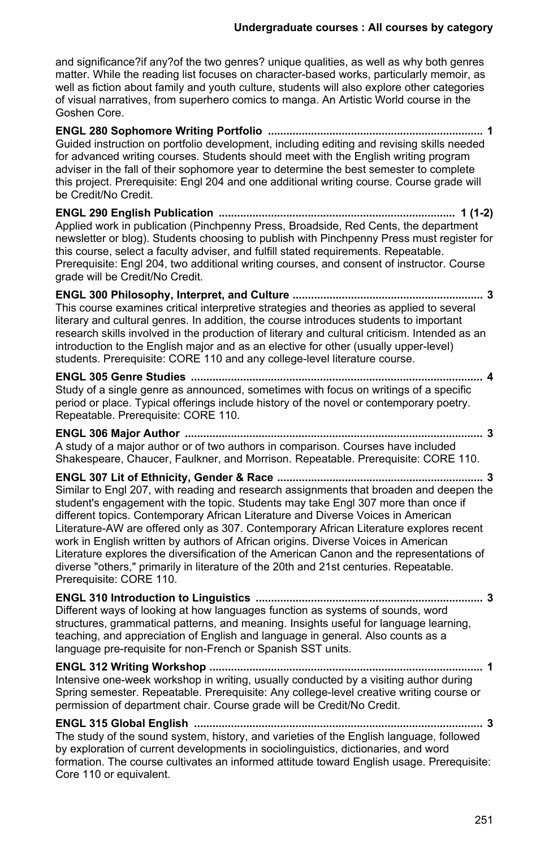and significance?if any?of the two genres? unique qualities, as well as why both genres matter. While the reading list focuses on character-based works, particularly memoir, as well as fiction about family and youth culture, students will also explore other categories of visual narratives, from superhero comics to manga. An Artistic World course in the Goshen Core.

**ENGL 280 Sophomore Writing Portfolio ...................................................................... 1** Guided instruction on portfolio development, including editing and revising skills needed for advanced writing courses. Students should meet with the English writing program adviser in the fall of their sophomore year to determine the best semester to complete this project. Prerequisite: Engl 204 and one additional writing course. Course grade will be Credit/No Credit. **ENGL 290 English Publication ............................................................................. 1 (1-2)** Applied work in publication (Pinchpenny Press, Broadside, Red Cents, the department newsletter or blog). Students choosing to publish with Pinchpenny Press must register for this course, select a faculty adviser, and fulfill stated requirements. Repeatable. Prerequisite: Engl 204, two additional writing courses, and consent of instructor. Course grade will be Credit/No Credit. **ENGL 300 Philosophy, Interpret, and Culture .............................................................. 3** This course examines critical interpretive strategies and theories as applied to several literary and cultural genres. In addition, the course introduces students to important research skills involved in the production of literary and cultural criticism. Intended as an introduction to the English major and as an elective for other (usually upper-level) students. Prerequisite: CORE 110 and any college-level literature course. **ENGL 305 Genre Studies ............................................................................................... 4** Study of a single genre as announced, sometimes with focus on writings of a specific period or place. Typical offerings include history of the novel or contemporary poetry. Repeatable. Prerequisite: CORE 110. **ENGL 306 Major Author ................................................................................................. 3** A study of a major author or of two authors in comparison. Courses have included Shakespeare, Chaucer, Faulkner, and Morrison. Repeatable. Prerequisite: CORE 110. **ENGL 307 Lit of Ethnicity, Gender & Race ................................................................... 3** Similar to Engl 207, with reading and research assignments that broaden and deepen the student's engagement with the topic. Students may take Engl 307 more than once if different topics. Contemporary African Literature and Diverse Voices in American Literature-AW are offered only as 307. Contemporary African Literature explores recent work in English written by authors of African origins. Diverse Voices in American Literature explores the diversification of the American Canon and the representations of diverse "others," primarily in literature of the 20th and 21st centuries. Repeatable. Prerequisite: CORE 110. **ENGL 310 Introduction to Linguistics .......................................................................... 3**

Different ways of looking at how languages function as systems of sounds, word structures, grammatical patterns, and meaning. Insights useful for language learning, teaching, and appreciation of English and language in general. Also counts as a language pre-requisite for non-French or Spanish SST units.

**ENGL 312 Writing Workshop ......................................................................................... 1** Intensive one-week workshop in writing, usually conducted by a visiting author during Spring semester. Repeatable. Prerequisite: Any college-level creative writing course or permission of department chair. Course grade will be Credit/No Credit.

**ENGL 315 Global English .............................................................................................. 3** The study of the sound system, history, and varieties of the English language, followed by exploration of current developments in sociolinguistics, dictionaries, and word formation. The course cultivates an informed attitude toward English usage. Prerequisite: Core 110 or equivalent.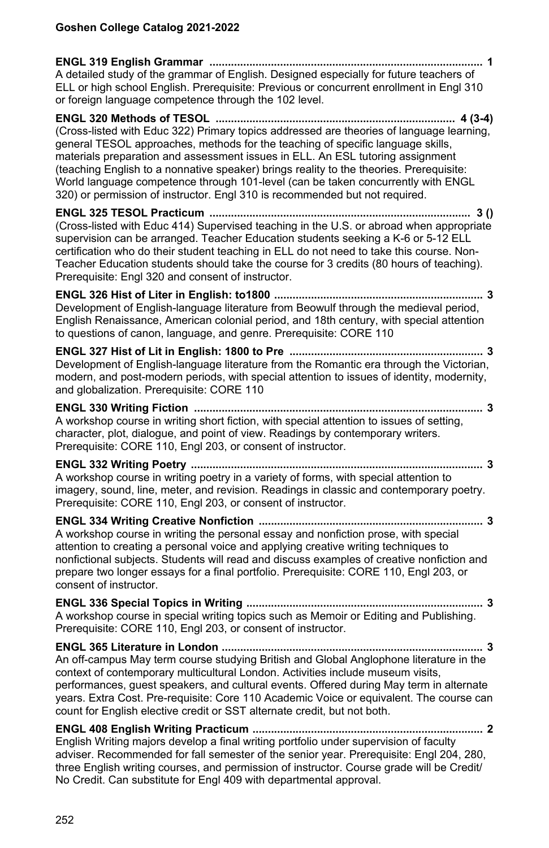| A detailed study of the grammar of English. Designed especially for future teachers of<br>ELL or high school English. Prerequisite: Previous or concurrent enrollment in Engl 310<br>or foreign language competence through the 102 level.                                                                                                                                                                                                                                                                                  |
|-----------------------------------------------------------------------------------------------------------------------------------------------------------------------------------------------------------------------------------------------------------------------------------------------------------------------------------------------------------------------------------------------------------------------------------------------------------------------------------------------------------------------------|
| (Cross-listed with Educ 322) Primary topics addressed are theories of language learning,<br>general TESOL approaches, methods for the teaching of specific language skills,<br>materials preparation and assessment issues in ELL. An ESL tutoring assignment<br>(teaching English to a nonnative speaker) brings reality to the theories. Prerequisite:<br>World language competence through 101-level (can be taken concurrently with ENGL<br>320) or permission of instructor. Engl 310 is recommended but not required. |
| (Cross-listed with Educ 414) Supervised teaching in the U.S. or abroad when appropriate<br>supervision can be arranged. Teacher Education students seeking a K-6 or 5-12 ELL<br>certification who do their student teaching in ELL do not need to take this course. Non-<br>Teacher Education students should take the course for 3 credits (80 hours of teaching).<br>Prerequisite: Engl 320 and consent of instructor.                                                                                                    |
| . 3<br>Development of English-language literature from Beowulf through the medieval period,<br>English Renaissance, American colonial period, and 18th century, with special attention<br>to questions of canon, language, and genre. Prerequisite: CORE 110                                                                                                                                                                                                                                                                |
| . 3<br>Development of English-language literature from the Romantic era through the Victorian,<br>modern, and post-modern periods, with special attention to issues of identity, modernity,<br>and globalization. Prerequisite: CORE 110                                                                                                                                                                                                                                                                                    |
| . 3<br>A workshop course in writing short fiction, with special attention to issues of setting,<br>character, plot, dialogue, and point of view. Readings by contemporary writers.<br>Prerequisite: CORE 110, Engl 203, or consent of instructor.                                                                                                                                                                                                                                                                           |
| A workshop course in writing poetry in a variety of forms, with special attention to<br>imagery, sound, line, meter, and revision. Readings in classic and contemporary poetry.<br>Prerequisite: CORE 110, Engl 203, or consent of instructor.                                                                                                                                                                                                                                                                              |
| . 3<br>A workshop course in writing the personal essay and nonfiction prose, with special<br>attention to creating a personal voice and applying creative writing techniques to<br>nonfictional subjects. Students will read and discuss examples of creative nonfiction and<br>prepare two longer essays for a final portfolio. Prerequisite: CORE 110, Engl 203, or<br>consent of instructor.                                                                                                                             |
| A workshop course in special writing topics such as Memoir or Editing and Publishing.<br>Prerequisite: CORE 110, Engl 203, or consent of instructor.                                                                                                                                                                                                                                                                                                                                                                        |
| ENGL 365 Literature in London<br>. 3<br>An off-campus May term course studying British and Global Anglophone literature in the<br>context of contemporary multicultural London. Activities include museum visits,<br>performances, guest speakers, and cultural events. Offered during May term in alternate<br>years. Extra Cost. Pre-requisite: Core 110 Academic Voice or equivalent. The course can<br>count for English elective credit or SST alternate credit, but not both.                                         |
| English Writing majors develop a final writing portfolio under supervision of faculty<br>adviser. Recommended for fall semester of the senior year. Prerequisite: Engl 204, 280,<br>three English writing courses, and permission of instructor. Course grade will be Credit/<br>No Credit. Can substitute for Engl 409 with departmental approval.                                                                                                                                                                         |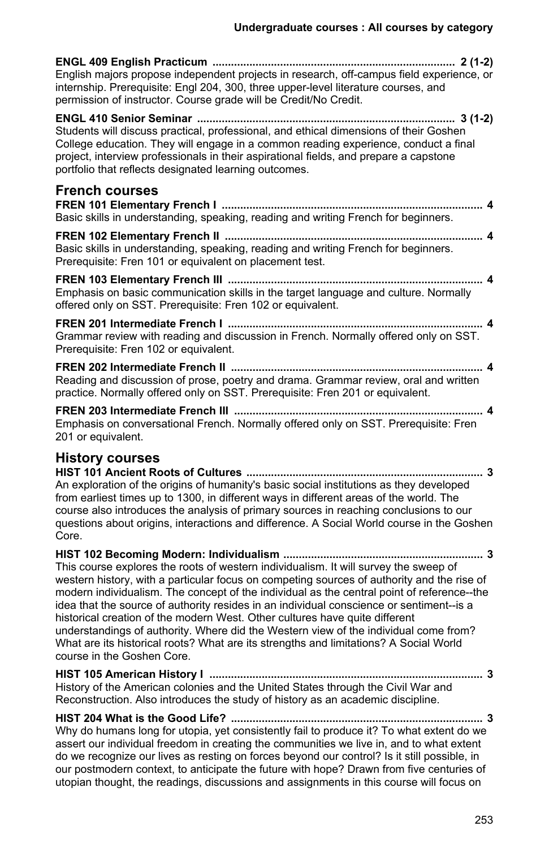| English majors propose independent projects in research, off-campus field experience, or<br>internship. Prerequisite: Engl 204, 300, three upper-level literature courses, and<br>permission of instructor. Course grade will be Credit/No Credit.                                                                                                                                                                                                                                                                                                                                                                                                                         |
|----------------------------------------------------------------------------------------------------------------------------------------------------------------------------------------------------------------------------------------------------------------------------------------------------------------------------------------------------------------------------------------------------------------------------------------------------------------------------------------------------------------------------------------------------------------------------------------------------------------------------------------------------------------------------|
| Students will discuss practical, professional, and ethical dimensions of their Goshen<br>College education. They will engage in a common reading experience, conduct a final<br>project, interview professionals in their aspirational fields, and prepare a capstone<br>portfolio that reflects designated learning outcomes.                                                                                                                                                                                                                                                                                                                                             |
| <b>French courses</b><br>Basic skills in understanding, speaking, reading and writing French for beginners.                                                                                                                                                                                                                                                                                                                                                                                                                                                                                                                                                                |
| Basic skills in understanding, speaking, reading and writing French for beginners.<br>Prerequisite: Fren 101 or equivalent on placement test.                                                                                                                                                                                                                                                                                                                                                                                                                                                                                                                              |
| Emphasis on basic communication skills in the target language and culture. Normally<br>offered only on SST. Prerequisite: Fren 102 or equivalent.                                                                                                                                                                                                                                                                                                                                                                                                                                                                                                                          |
| Grammar review with reading and discussion in French. Normally offered only on SST.<br>Prerequisite: Fren 102 or equivalent.                                                                                                                                                                                                                                                                                                                                                                                                                                                                                                                                               |
| Reading and discussion of prose, poetry and drama. Grammar review, oral and written<br>practice. Normally offered only on SST. Prerequisite: Fren 201 or equivalent.                                                                                                                                                                                                                                                                                                                                                                                                                                                                                                       |
| Emphasis on conversational French. Normally offered only on SST. Prerequisite: Fren<br>201 or equivalent.                                                                                                                                                                                                                                                                                                                                                                                                                                                                                                                                                                  |
| <b>History courses</b><br>An exploration of the origins of humanity's basic social institutions as they developed<br>from earliest times up to 1300, in different ways in different areas of the world. The<br>course also introduces the analysis of primary sources in reaching conclusions to our<br>questions about origins, interactions and difference. A Social World course in the Goshen<br>Core.                                                                                                                                                                                                                                                                 |
| This course explores the roots of western individualism. It will survey the sweep of<br>western history, with a particular focus on competing sources of authority and the rise of<br>modern individualism. The concept of the individual as the central point of reference--the<br>idea that the source of authority resides in an individual conscience or sentiment--is a<br>historical creation of the modern West. Other cultures have quite different<br>understandings of authority. Where did the Western view of the individual come from?<br>What are its historical roots? What are its strengths and limitations? A Social World<br>course in the Goshen Core. |
| History of the American colonies and the United States through the Civil War and<br>Reconstruction. Also introduces the study of history as an academic discipline.                                                                                                                                                                                                                                                                                                                                                                                                                                                                                                        |
| Why do humans long for utopia, yet consistently fail to produce it? To what extent do we                                                                                                                                                                                                                                                                                                                                                                                                                                                                                                                                                                                   |

assert our individual freedom in creating the communities we live in, and to what extent do we recognize our lives as resting on forces beyond our control? Is it still possible, in our postmodern context, to anticipate the future with hope? Drawn from five centuries of utopian thought, the readings, discussions and assignments in this course will focus on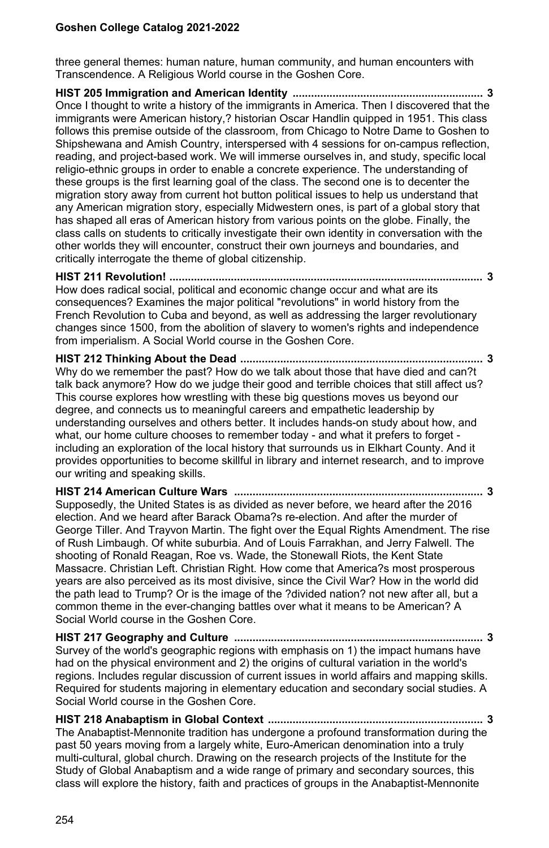three general themes: human nature, human community, and human encounters with Transcendence. A Religious World course in the Goshen Core.

**HIST 205 Immigration and American Identity .............................................................. 3** Once I thought to write a history of the immigrants in America. Then I discovered that the immigrants were American history,? historian Oscar Handlin quipped in 1951. This class follows this premise outside of the classroom, from Chicago to Notre Dame to Goshen to Shipshewana and Amish Country, interspersed with 4 sessions for on-campus reflection, reading, and project-based work. We will immerse ourselves in, and study, specific local religio-ethnic groups in order to enable a concrete experience. The understanding of these groups is the first learning goal of the class. The second one is to decenter the migration story away from current hot button political issues to help us understand that any American migration story, especially Midwestern ones, is part of a global story that has shaped all eras of American history from various points on the globe. Finally, the class calls on students to critically investigate their own identity in conversation with the other worlds they will encounter, construct their own journeys and boundaries, and critically interrogate the theme of global citizenship.

**HIST 211 Revolution! ...................................................................................................... 3** How does radical social, political and economic change occur and what are its consequences? Examines the major political "revolutions" in world history from the French Revolution to Cuba and beyond, as well as addressing the larger revolutionary changes since 1500, from the abolition of slavery to women's rights and independence from imperialism. A Social World course in the Goshen Core.

**HIST 212 Thinking About the Dead ............................................................................... 3** Why do we remember the past? How do we talk about those that have died and can?t talk back anymore? How do we judge their good and terrible choices that still affect us? This course explores how wrestling with these big questions moves us beyond our degree, and connects us to meaningful careers and empathetic leadership by understanding ourselves and others better. It includes hands-on study about how, and what, our home culture chooses to remember today - and what it prefers to forget including an exploration of the local history that surrounds us in Elkhart County. And it provides opportunities to become skillful in library and internet research, and to improve our writing and speaking skills.

**HIST 214 American Culture Wars ................................................................................. 3** Supposedly, the United States is as divided as never before, we heard after the 2016 election. And we heard after Barack Obama?s re-election. And after the murder of George Tiller. And Trayvon Martin. The fight over the Equal Rights Amendment. The rise of Rush Limbaugh. Of white suburbia. And of Louis Farrakhan, and Jerry Falwell. The shooting of Ronald Reagan, Roe vs. Wade, the Stonewall Riots, the Kent State Massacre. Christian Left. Christian Right. How come that America?s most prosperous years are also perceived as its most divisive, since the Civil War? How in the world did the path lead to Trump? Or is the image of the ?divided nation? not new after all, but a common theme in the ever-changing battles over what it means to be American? A Social World course in the Goshen Core.

**HIST 217 Geography and Culture ................................................................................. 3** Survey of the world's geographic regions with emphasis on 1) the impact humans have had on the physical environment and 2) the origins of cultural variation in the world's regions. Includes regular discussion of current issues in world affairs and mapping skills. Required for students majoring in elementary education and secondary social studies. A Social World course in the Goshen Core.

**HIST 218 Anabaptism in Global Context ...................................................................... 3** The Anabaptist-Mennonite tradition has undergone a profound transformation during the past 50 years moving from a largely white, Euro-American denomination into a truly multi-cultural, global church. Drawing on the research projects of the Institute for the Study of Global Anabaptism and a wide range of primary and secondary sources, this class will explore the history, faith and practices of groups in the Anabaptist-Mennonite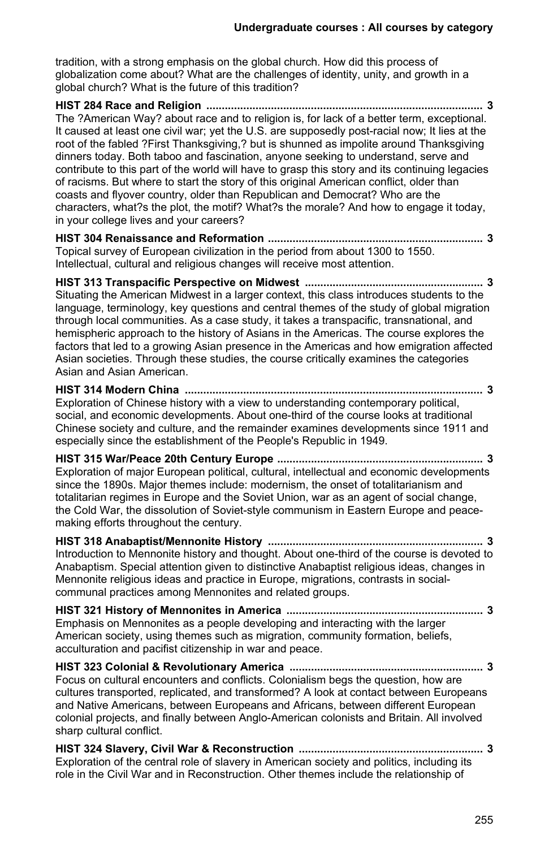tradition, with a strong emphasis on the global church. How did this process of globalization come about? What are the challenges of identity, unity, and growth in a global church? What is the future of this tradition?

**HIST 284 Race and Religion .......................................................................................... 3** The ?American Way? about race and to religion is, for lack of a better term, exceptional. It caused at least one civil war; yet the U.S. are supposedly post-racial now; It lies at the root of the fabled ?First Thanksgiving,? but is shunned as impolite around Thanksgiving dinners today. Both taboo and fascination, anyone seeking to understand, serve and contribute to this part of the world will have to grasp this story and its continuing legacies of racisms. But where to start the story of this original American conflict, older than coasts and flyover country, older than Republican and Democrat? Who are the characters, what?s the plot, the motif? What?s the morale? And how to engage it today, in your college lives and your careers?

**HIST 304 Renaissance and Reformation ...................................................................... 3** Topical survey of European civilization in the period from about 1300 to 1550. Intellectual, cultural and religious changes will receive most attention.

**HIST 313 Transpacific Perspective on Midwest .......................................................... 3** Situating the American Midwest in a larger context, this class introduces students to the language, terminology, key questions and central themes of the study of global migration through local communities. As a case study, it takes a transpacific, transnational, and hemispheric approach to the history of Asians in the Americas. The course explores the factors that led to a growing Asian presence in the Americas and how emigration affected Asian societies. Through these studies, the course critically examines the categories Asian and Asian American.

**HIST 314 Modern China ................................................................................................. 3** Exploration of Chinese history with a view to understanding contemporary political, social, and economic developments. About one-third of the course looks at traditional Chinese society and culture, and the remainder examines developments since 1911 and especially since the establishment of the People's Republic in 1949.

**HIST 315 War/Peace 20th Century Europe ................................................................... 3** Exploration of major European political, cultural, intellectual and economic developments since the 1890s. Major themes include: modernism, the onset of totalitarianism and totalitarian regimes in Europe and the Soviet Union, war as an agent of social change, the Cold War, the dissolution of Soviet-style communism in Eastern Europe and peacemaking efforts throughout the century.

**HIST 318 Anabaptist/Mennonite History ...................................................................... 3** Introduction to Mennonite history and thought. About one-third of the course is devoted to Anabaptism. Special attention given to distinctive Anabaptist religious ideas, changes in Mennonite religious ideas and practice in Europe, migrations, contrasts in socialcommunal practices among Mennonites and related groups.

**HIST 321 History of Mennonites in America ................................................................ 3** Emphasis on Mennonites as a people developing and interacting with the larger American society, using themes such as migration, community formation, beliefs, acculturation and pacifist citizenship in war and peace.

**HIST 323 Colonial & Revolutionary America ............................................................... 3** Focus on cultural encounters and conflicts. Colonialism begs the question, how are cultures transported, replicated, and transformed? A look at contact between Europeans and Native Americans, between Europeans and Africans, between different European colonial projects, and finally between Anglo-American colonists and Britain. All involved sharp cultural conflict.

**HIST 324 Slavery, Civil War & Reconstruction ............................................................ 3** Exploration of the central role of slavery in American society and politics, including its role in the Civil War and in Reconstruction. Other themes include the relationship of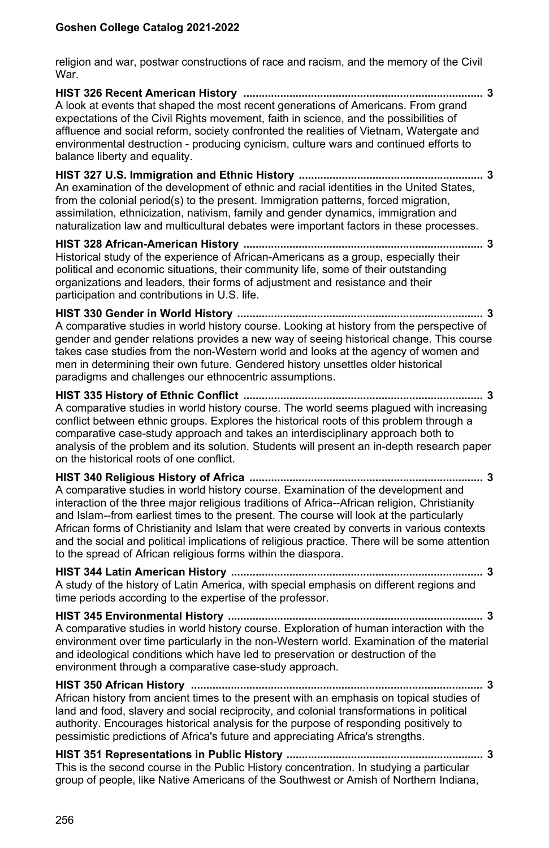religion and war, postwar constructions of race and racism, and the memory of the Civil War.

**HIST 326 Recent American History .............................................................................. 3** A look at events that shaped the most recent generations of Americans. From grand expectations of the Civil Rights movement, faith in science, and the possibilities of affluence and social reform, society confronted the realities of Vietnam, Watergate and environmental destruction - producing cynicism, culture wars and continued efforts to balance liberty and equality.

**HIST 327 U.S. Immigration and Ethnic History ............................................................ 3** An examination of the development of ethnic and racial identities in the United States, from the colonial period(s) to the present. Immigration patterns, forced migration, assimilation, ethnicization, nativism, family and gender dynamics, immigration and naturalization law and multicultural debates were important factors in these processes.

**HIST 328 African-American History .............................................................................. 3** Historical study of the experience of African-Americans as a group, especially their political and economic situations, their community life, some of their outstanding organizations and leaders, their forms of adjustment and resistance and their participation and contributions in U.S. life.

**HIST 330 Gender in World History ................................................................................ 3** A comparative studies in world history course. Looking at history from the perspective of gender and gender relations provides a new way of seeing historical change. This course takes case studies from the non-Western world and looks at the agency of women and men in determining their own future. Gendered history unsettles older historical paradigms and challenges our ethnocentric assumptions.

**HIST 335 History of Ethnic Conflict .............................................................................. 3** A comparative studies in world history course. The world seems plagued with increasing conflict between ethnic groups. Explores the historical roots of this problem through a comparative case-study approach and takes an interdisciplinary approach both to analysis of the problem and its solution. Students will present an in-depth research paper on the historical roots of one conflict.

**HIST 340 Religious History of Africa ............................................................................ 3** A comparative studies in world history course. Examination of the development and interaction of the three major religious traditions of Africa--African religion, Christianity and Islam--from earliest times to the present. The course will look at the particularly African forms of Christianity and Islam that were created by converts in various contexts and the social and political implications of religious practice. There will be some attention to the spread of African religious forms within the diaspora.

**HIST 344 Latin American History .................................................................................. 3** A study of the history of Latin America, with special emphasis on different regions and time periods according to the expertise of the professor.

**HIST 345 Environmental History ................................................................................... 3** A comparative studies in world history course. Exploration of human interaction with the environment over time particularly in the non-Western world. Examination of the material and ideological conditions which have led to preservation or destruction of the environment through a comparative case-study approach.

**HIST 350 African History ............................................................................................... 3** African history from ancient times to the present with an emphasis on topical studies of land and food, slavery and social reciprocity, and colonial transformations in political authority. Encourages historical analysis for the purpose of responding positively to pessimistic predictions of Africa's future and appreciating Africa's strengths.

**HIST 351 Representations in Public History ................................................................ 3** This is the second course in the Public History concentration. In studying a particular group of people, like Native Americans of the Southwest or Amish of Northern Indiana,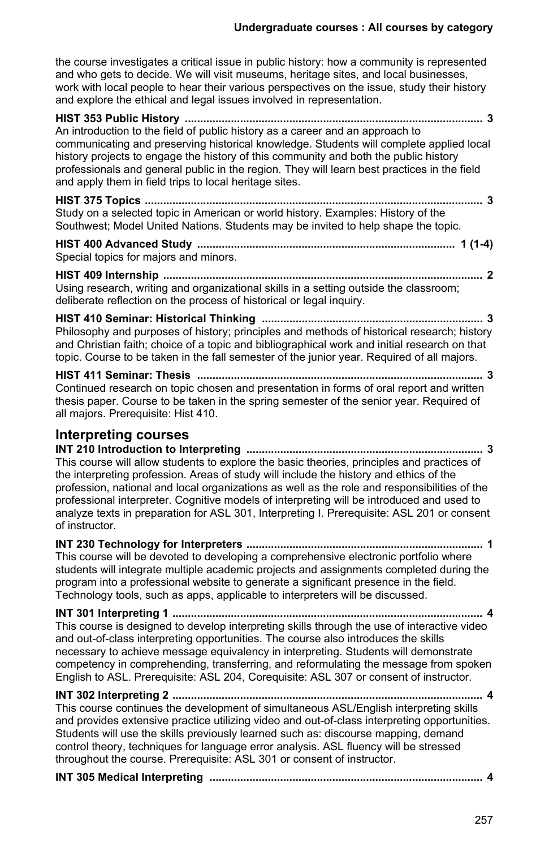the course investigates a critical issue in public history: how a community is represented and who gets to decide. We will visit museums, heritage sites, and local businesses, work with local people to hear their various perspectives on the issue, study their history and explore the ethical and legal issues involved in representation.

| An introduction to the field of public history as a career and an approach to<br>communicating and preserving historical knowledge. Students will complete applied local<br>history projects to engage the history of this community and both the public history<br>professionals and general public in the region. They will learn best practices in the field<br>and apply them in field trips to local heritage sites. |
|---------------------------------------------------------------------------------------------------------------------------------------------------------------------------------------------------------------------------------------------------------------------------------------------------------------------------------------------------------------------------------------------------------------------------|
| Study on a selected topic in American or world history. Examples: History of the<br>Southwest; Model United Nations. Students may be invited to help shape the topic.                                                                                                                                                                                                                                                     |
| Special topics for majors and minors.                                                                                                                                                                                                                                                                                                                                                                                     |
| Using research, writing and organizational skills in a setting outside the classroom;                                                                                                                                                                                                                                                                                                                                     |

**HIST 410 Seminar: Historical Thinking ........................................................................ 3** Philosophy and purposes of history; principles and methods of historical research; history and Christian faith; choice of a topic and bibliographical work and initial research on that topic. Course to be taken in the fall semester of the junior year. Required of all majors.

deliberate reflection on the process of historical or legal inquiry.

**HIST 411 Seminar: Thesis ............................................................................................. 3** Continued research on topic chosen and presentation in forms of oral report and written thesis paper. Course to be taken in the spring semester of the senior year. Required of all majors. Prerequisite: Hist 410.

#### **Interpreting courses**

**INT 210 Introduction to Interpreting ............................................................................. 3** This course will allow students to explore the basic theories, principles and practices of the interpreting profession. Areas of study will include the history and ethics of the profession, national and local organizations as well as the role and responsibilities of the professional interpreter. Cognitive models of interpreting will be introduced and used to analyze texts in preparation for ASL 301, Interpreting I. Prerequisite: ASL 201 or consent of instructor.

**INT 230 Technology for Interpreters ............................................................................. 1** This course will be devoted to developing a comprehensive electronic portfolio where students will integrate multiple academic projects and assignments completed during the program into a professional website to generate a significant presence in the field. Technology tools, such as apps, applicable to interpreters will be discussed.

**INT 301 Interpreting 1 ..................................................................................................... 4** This course is designed to develop interpreting skills through the use of interactive video and out-of-class interpreting opportunities. The course also introduces the skills necessary to achieve message equivalency in interpreting. Students will demonstrate competency in comprehending, transferring, and reformulating the message from spoken English to ASL. Prerequisite: ASL 204, Corequisite: ASL 307 or consent of instructor.

#### **INT 302 Interpreting 2 ..................................................................................................... 4**

This course continues the development of simultaneous ASL/English interpreting skills and provides extensive practice utilizing video and out-of-class interpreting opportunities. Students will use the skills previously learned such as: discourse mapping, demand control theory, techniques for language error analysis. ASL fluency will be stressed throughout the course. Prerequisite: ASL 301 or consent of instructor.

|--|--|--|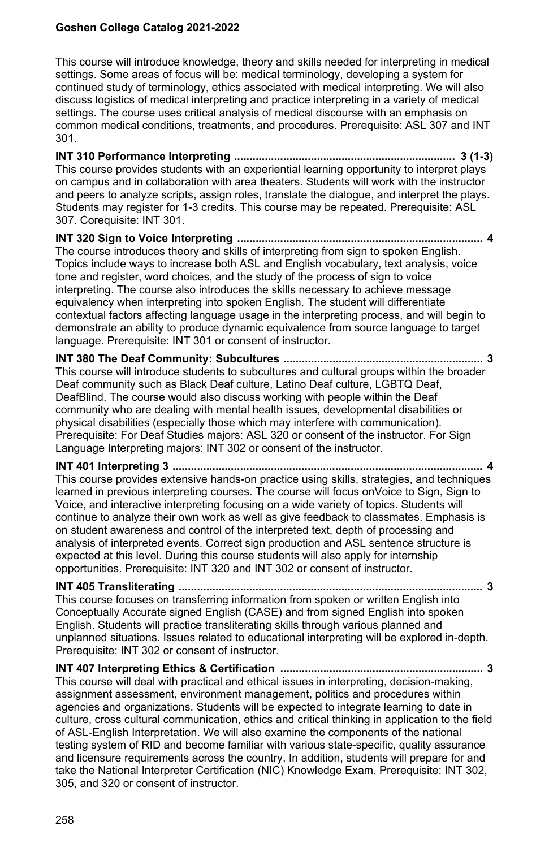This course will introduce knowledge, theory and skills needed for interpreting in medical settings. Some areas of focus will be: medical terminology, developing a system for continued study of terminology, ethics associated with medical interpreting. We will also discuss logistics of medical interpreting and practice interpreting in a variety of medical settings. The course uses critical analysis of medical discourse with an emphasis on common medical conditions, treatments, and procedures. Prerequisite: ASL 307 and INT 301.

**INT 310 Performance Interpreting ........................................................................ 3 (1-3)** This course provides students with an experiential learning opportunity to interpret plays on campus and in collaboration with area theaters. Students will work with the instructor and peers to analyze scripts, assign roles, translate the dialogue, and interpret the plays. Students may register for 1-3 credits. This course may be repeated. Prerequisite: ASL 307. Corequisite: INT 301.

**INT 320 Sign to Voice Interpreting ................................................................................ 4** The course introduces theory and skills of interpreting from sign to spoken English. Topics include ways to increase both ASL and English vocabulary, text analysis, voice tone and register, word choices, and the study of the process of sign to voice interpreting. The course also introduces the skills necessary to achieve message equivalency when interpreting into spoken English. The student will differentiate contextual factors affecting language usage in the interpreting process, and will begin to demonstrate an ability to produce dynamic equivalence from source language to target language. Prerequisite: INT 301 or consent of instructor.

**INT 380 The Deaf Community: Subcultures ................................................................. 3** This course will introduce students to subcultures and cultural groups within the broader Deaf community such as Black Deaf culture, Latino Deaf culture, LGBTQ Deaf, DeafBlind. The course would also discuss working with people within the Deaf community who are dealing with mental health issues, developmental disabilities or physical disabilities (especially those which may interfere with communication). Prerequisite: For Deaf Studies majors: ASL 320 or consent of the instructor. For Sign Language Interpreting majors: INT 302 or consent of the instructor.

**INT 401 Interpreting 3 ..................................................................................................... 4** This course provides extensive hands-on practice using skills, strategies, and techniques

learned in previous interpreting courses. The course will focus onVoice to Sign, Sign to Voice, and interactive interpreting focusing on a wide variety of topics. Students will continue to analyze their own work as well as give feedback to classmates. Emphasis is on student awareness and control of the interpreted text, depth of processing and analysis of interpreted events. Correct sign production and ASL sentence structure is expected at this level. During this course students will also apply for internship opportunities. Prerequisite: INT 320 and INT 302 or consent of instructor.

**INT 405 Transliterating ................................................................................................... 3**

This course focuses on transferring information from spoken or written English into Conceptually Accurate signed English (CASE) and from signed English into spoken English. Students will practice transliterating skills through various planned and unplanned situations. Issues related to educational interpreting will be explored in-depth. Prerequisite: INT 302 or consent of instructor.

**INT 407 Interpreting Ethics & Certification .................................................................. 3** This course will deal with practical and ethical issues in interpreting, decision-making, assignment assessment, environment management, politics and procedures within agencies and organizations. Students will be expected to integrate learning to date in culture, cross cultural communication, ethics and critical thinking in application to the field of ASL-English Interpretation. We will also examine the components of the national testing system of RID and become familiar with various state-specific, quality assurance and licensure requirements across the country. In addition, students will prepare for and take the National Interpreter Certification (NIC) Knowledge Exam. Prerequisite: INT 302, 305, and 320 or consent of instructor.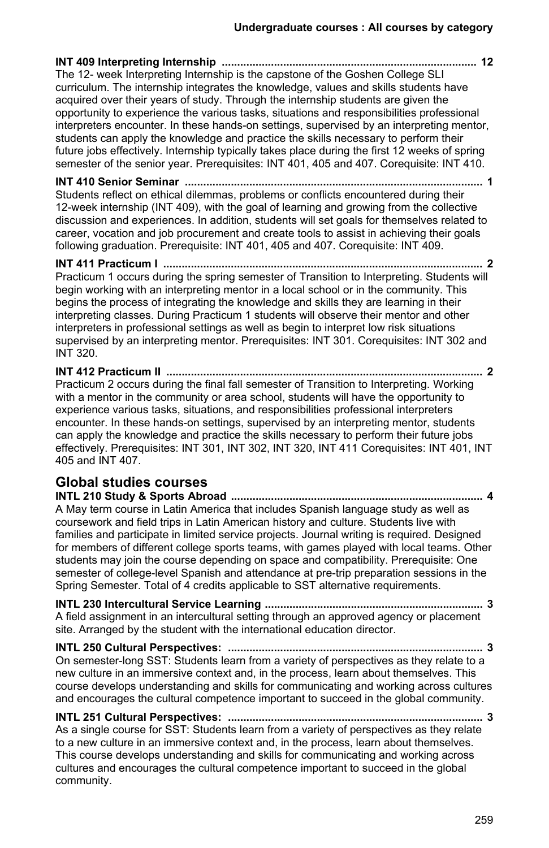**INT 409 Interpreting Internship ................................................................................... 12** The 12- week Interpreting Internship is the capstone of the Goshen College SLI curriculum. The internship integrates the knowledge, values and skills students have acquired over their years of study. Through the internship students are given the opportunity to experience the various tasks, situations and responsibilities professional interpreters encounter. In these hands-on settings, supervised by an interpreting mentor, students can apply the knowledge and practice the skills necessary to perform their future jobs effectively. Internship typically takes place during the first 12 weeks of spring semester of the senior year. Prerequisites: INT 401, 405 and 407. Corequisite: INT 410.

**INT 410 Senior Seminar ................................................................................................. 1** Students reflect on ethical dilemmas, problems or conflicts encountered during their 12-week internship (INT 409), with the goal of learning and growing from the collective discussion and experiences. In addition, students will set goals for themselves related to career, vocation and job procurement and create tools to assist in achieving their goals following graduation. Prerequisite: INT 401, 405 and 407. Corequisite: INT 409.

**INT 411 Practicum I ........................................................................................................ 2** Practicum 1 occurs during the spring semester of Transition to Interpreting. Students will begin working with an interpreting mentor in a local school or in the community. This begins the process of integrating the knowledge and skills they are learning in their interpreting classes. During Practicum 1 students will observe their mentor and other interpreters in professional settings as well as begin to interpret low risk situations supervised by an interpreting mentor. Prerequisites: INT 301. Corequisites: INT 302 and INT 320.

**INT 412 Practicum II ....................................................................................................... 2** Practicum 2 occurs during the final fall semester of Transition to Interpreting. Working with a mentor in the community or area school, students will have the opportunity to experience various tasks, situations, and responsibilities professional interpreters encounter. In these hands-on settings, supervised by an interpreting mentor, students can apply the knowledge and practice the skills necessary to perform their future jobs effectively. Prerequisites: INT 301, INT 302, INT 320, INT 411 Corequisites: INT 401, INT 405 and INT 407.

# **Global studies courses**

**INTL 210 Study & Sports Abroad .................................................................................. 4** A May term course in Latin America that includes Spanish language study as well as coursework and field trips in Latin American history and culture. Students live with families and participate in limited service projects. Journal writing is required. Designed for members of different college sports teams, with games played with local teams. Other students may join the course depending on space and compatibility. Prerequisite: One semester of college-level Spanish and attendance at pre-trip preparation sessions in the Spring Semester. Total of 4 credits applicable to SST alternative requirements.

**INTL 230 Intercultural Service Learning ....................................................................... 3** A field assignment in an intercultural setting through an approved agency or placement site. Arranged by the student with the international education director.

**INTL 250 Cultural Perspectives: ................................................................................... 3** On semester-long SST: Students learn from a variety of perspectives as they relate to a new culture in an immersive context and, in the process, learn about themselves. This course develops understanding and skills for communicating and working across cultures and encourages the cultural competence important to succeed in the global community.

**INTL 251 Cultural Perspectives: ................................................................................... 3** As a single course for SST: Students learn from a variety of perspectives as they relate to a new culture in an immersive context and, in the process, learn about themselves. This course develops understanding and skills for communicating and working across cultures and encourages the cultural competence important to succeed in the global community.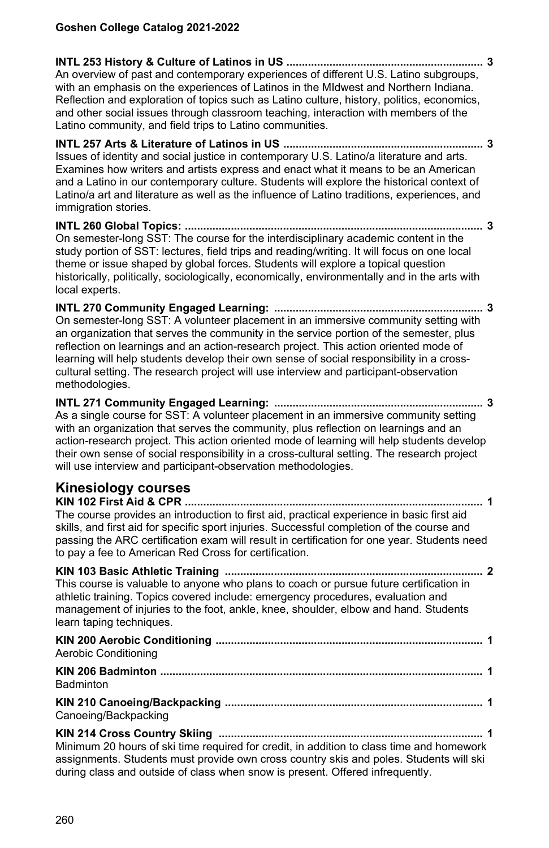**INTL 253 History & Culture of Latinos in US ................................................................ 3** An overview of past and contemporary experiences of different U.S. Latino subgroups, with an emphasis on the experiences of Latinos in the MIdwest and Northern Indiana. Reflection and exploration of topics such as Latino culture, history, politics, economics, and other social issues through classroom teaching, interaction with members of the Latino community, and field trips to Latino communities.

**INTL 257 Arts & Literature of Latinos in US ................................................................. 3** Issues of identity and social justice in contemporary U.S. Latino/a literature and arts. Examines how writers and artists express and enact what it means to be an American and a Latino in our contemporary culture. Students will explore the historical context of Latino/a art and literature as well as the influence of Latino traditions, experiences, and immigration stories.

**INTL 260 Global Topics: ................................................................................................. 3** On semester-long SST: The course for the interdisciplinary academic content in the study portion of SST: lectures, field trips and reading/writing. It will focus on one local theme or issue shaped by global forces. Students will explore a topical question historically, politically, sociologically, economically, environmentally and in the arts with local experts.

**INTL 270 Community Engaged Learning: .................................................................... 3** On semester-long SST: A volunteer placement in an immersive community setting with an organization that serves the community in the service portion of the semester, plus reflection on learnings and an action-research project. This action oriented mode of learning will help students develop their own sense of social responsibility in a crosscultural setting. The research project will use interview and participant-observation methodologies.

**INTL 271 Community Engaged Learning: .................................................................... 3** As a single course for SST: A volunteer placement in an immersive community setting with an organization that serves the community, plus reflection on learnings and an action-research project. This action oriented mode of learning will help students develop their own sense of social responsibility in a cross-cultural setting. The research project will use interview and participant-observation methodologies.

## **Kinesiology courses**

**KIN 102 First Aid & CPR ................................................................................................. 1** The course provides an introduction to first aid, practical experience in basic first aid skills, and first aid for specific sport injuries. Successful completion of the course and passing the ARC certification exam will result in certification for one year. Students need to pay a fee to American Red Cross for certification.

**KIN 103 Basic Athletic Training .................................................................................... 2** This course is valuable to anyone who plans to coach or pursue future certification in athletic training. Topics covered include: emergency procedures, evaluation and management of injuries to the foot, ankle, knee, shoulder, elbow and hand. Students learn taping techniques.

**KIN 200 Aerobic Conditioning ....................................................................................... 1** Aerobic Conditioning **KIN 206 Badminton ......................................................................................................... 1 Badminton KIN 210 Canoeing/Backpacking .................................................................................... 1** Canoeing/Backpacking **KIN 214 Cross Country Skiing ...................................................................................... 1**

Minimum 20 hours of ski time required for credit, in addition to class time and homework assignments. Students must provide own cross country skis and poles. Students will ski during class and outside of class when snow is present. Offered infrequently.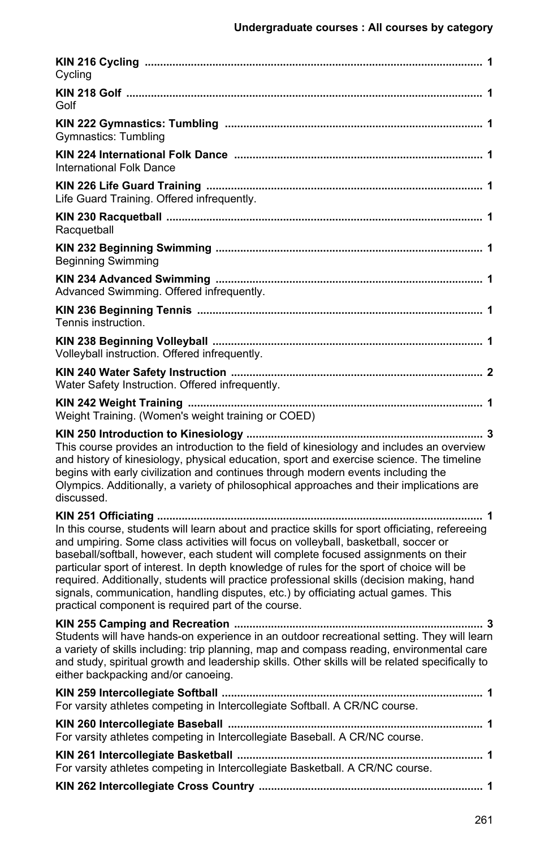| Cycling                                                                                                                                                                                                                                                                                                                                                                                                                                                                                                                                                                                                                     |
|-----------------------------------------------------------------------------------------------------------------------------------------------------------------------------------------------------------------------------------------------------------------------------------------------------------------------------------------------------------------------------------------------------------------------------------------------------------------------------------------------------------------------------------------------------------------------------------------------------------------------------|
| Golf                                                                                                                                                                                                                                                                                                                                                                                                                                                                                                                                                                                                                        |
| <b>Gymnastics: Tumbling</b>                                                                                                                                                                                                                                                                                                                                                                                                                                                                                                                                                                                                 |
| International Folk Dance                                                                                                                                                                                                                                                                                                                                                                                                                                                                                                                                                                                                    |
| Life Guard Training. Offered infrequently.                                                                                                                                                                                                                                                                                                                                                                                                                                                                                                                                                                                  |
| Racquetball                                                                                                                                                                                                                                                                                                                                                                                                                                                                                                                                                                                                                 |
| <b>Beginning Swimming</b>                                                                                                                                                                                                                                                                                                                                                                                                                                                                                                                                                                                                   |
| Advanced Swimming. Offered infrequently.                                                                                                                                                                                                                                                                                                                                                                                                                                                                                                                                                                                    |
| Tennis instruction.                                                                                                                                                                                                                                                                                                                                                                                                                                                                                                                                                                                                         |
| Volleyball instruction. Offered infrequently.                                                                                                                                                                                                                                                                                                                                                                                                                                                                                                                                                                               |
| Water Safety Instruction. Offered infrequently.                                                                                                                                                                                                                                                                                                                                                                                                                                                                                                                                                                             |
| Weight Training. (Women's weight training or COED)                                                                                                                                                                                                                                                                                                                                                                                                                                                                                                                                                                          |
| This course provides an introduction to the field of kinesiology and includes an overview<br>and history of kinesiology, physical education, sport and exercise science. The timeline<br>begins with early civilization and continues through modern events including the<br>Olympics. Additionally, a variety of philosophical approaches and their implications are<br>discussed.                                                                                                                                                                                                                                         |
| . 1<br>In this course, students will learn about and practice skills for sport officiating, refereeing<br>and umpiring. Some class activities will focus on volleyball, basketball, soccer or<br>baseball/softball, however, each student will complete focused assignments on their<br>particular sport of interest. In depth knowledge of rules for the sport of choice will be<br>required. Additionally, students will practice professional skills (decision making, hand<br>signals, communication, handling disputes, etc.) by officiating actual games. This<br>practical component is required part of the course. |
| Students will have hands-on experience in an outdoor recreational setting. They will learn<br>a variety of skills including: trip planning, map and compass reading, environmental care<br>and study, spiritual growth and leadership skills. Other skills will be related specifically to<br>either backpacking and/or canoeing.                                                                                                                                                                                                                                                                                           |
| For varsity athletes competing in Intercollegiate Softball. A CR/NC course.                                                                                                                                                                                                                                                                                                                                                                                                                                                                                                                                                 |
| For varsity athletes competing in Intercollegiate Baseball. A CR/NC course.                                                                                                                                                                                                                                                                                                                                                                                                                                                                                                                                                 |
| For varsity athletes competing in Intercollegiate Basketball. A CR/NC course.                                                                                                                                                                                                                                                                                                                                                                                                                                                                                                                                               |
|                                                                                                                                                                                                                                                                                                                                                                                                                                                                                                                                                                                                                             |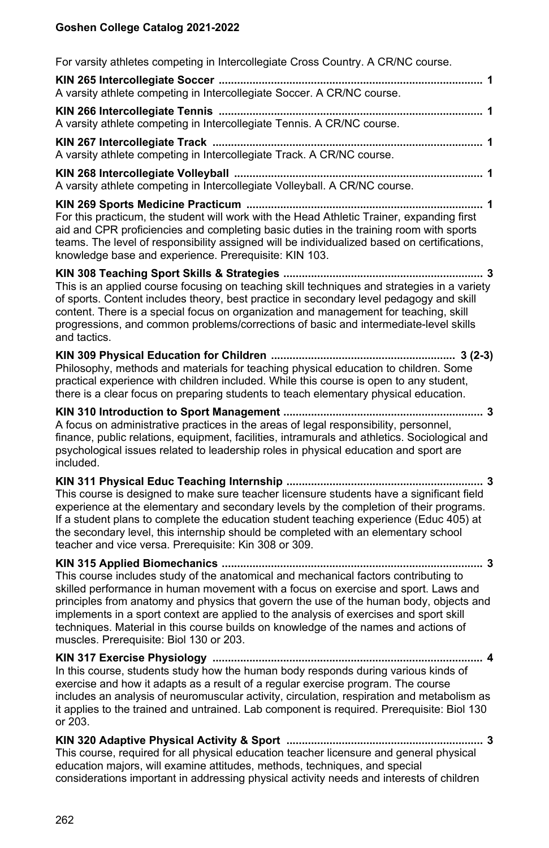For varsity athletes competing in Intercollegiate Cross Country. A CR/NC course.

| A varsity athlete competing in Intercollegiate Soccer. A CR/NC course.                                                                                                                                                                                                                                                                                                                                                                                                                          |
|-------------------------------------------------------------------------------------------------------------------------------------------------------------------------------------------------------------------------------------------------------------------------------------------------------------------------------------------------------------------------------------------------------------------------------------------------------------------------------------------------|
| A varsity athlete competing in Intercollegiate Tennis. A CR/NC course.                                                                                                                                                                                                                                                                                                                                                                                                                          |
| A varsity athlete competing in Intercollegiate Track. A CR/NC course.                                                                                                                                                                                                                                                                                                                                                                                                                           |
| A varsity athlete competing in Intercollegiate Volleyball. A CR/NC course.                                                                                                                                                                                                                                                                                                                                                                                                                      |
| For this practicum, the student will work with the Head Athletic Trainer, expanding first<br>aid and CPR proficiencies and completing basic duties in the training room with sports<br>teams. The level of responsibility assigned will be individualized based on certifications,<br>knowledge base and experience. Prerequisite: KIN 103.                                                                                                                                                     |
| This is an applied course focusing on teaching skill techniques and strategies in a variety<br>of sports. Content includes theory, best practice in secondary level pedagogy and skill<br>content. There is a special focus on organization and management for teaching, skill<br>progressions, and common problems/corrections of basic and intermediate-level skills<br>and tactics.                                                                                                          |
| Philosophy, methods and materials for teaching physical education to children. Some<br>practical experience with children included. While this course is open to any student,<br>there is a clear focus on preparing students to teach elementary physical education.                                                                                                                                                                                                                           |
| A focus on administrative practices in the areas of legal responsibility, personnel,<br>finance, public relations, equipment, facilities, intramurals and athletics. Sociological and<br>psychological issues related to leadership roles in physical education and sport are<br>included.                                                                                                                                                                                                      |
| This course is designed to make sure teacher licensure students have a significant field<br>experience at the elementary and secondary levels by the completion of their programs.<br>If a student plans to complete the education student teaching experience (Educ 405) at<br>the secondary level, this internship should be completed with an elementary school<br>teacher and vice versa. Prerequisite: Kin 308 or 309.                                                                     |
| This course includes study of the anatomical and mechanical factors contributing to<br>skilled performance in human movement with a focus on exercise and sport. Laws and<br>principles from anatomy and physics that govern the use of the human body, objects and<br>implements in a sport context are applied to the analysis of exercises and sport skill<br>techniques. Material in this course builds on knowledge of the names and actions of<br>muscles. Prerequisite: Biol 130 or 203. |
| In this course, students study how the human body responds during various kinds of<br>exercise and how it adapts as a result of a regular exercise program. The course<br>includes an analysis of neuromuscular activity, circulation, respiration and metabolism as<br>it applies to the trained and untrained. Lab component is required. Prerequisite: Biol 130<br>or 203.                                                                                                                   |
| This course, required for all physical education teacher licensure and general physical<br>education majors, will examine attitudes, methods, techniques, and special<br>considerations important in addressing physical activity needs and interests of children                                                                                                                                                                                                                               |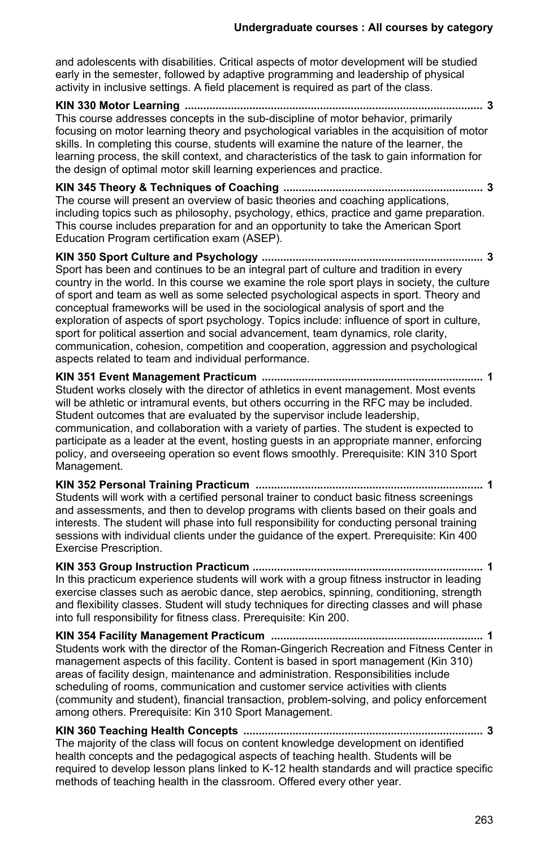and adolescents with disabilities. Critical aspects of motor development will be studied early in the semester, followed by adaptive programming and leadership of physical activity in inclusive settings. A field placement is required as part of the class.

**KIN 330 Motor Learning ................................................................................................. 3** This course addresses concepts in the sub-discipline of motor behavior, primarily focusing on motor learning theory and psychological variables in the acquisition of motor skills. In completing this course, students will examine the nature of the learner, the learning process, the skill context, and characteristics of the task to gain information for the design of optimal motor skill learning experiences and practice.

**KIN 345 Theory & Techniques of Coaching ................................................................. 3** The course will present an overview of basic theories and coaching applications, including topics such as philosophy, psychology, ethics, practice and game preparation. This course includes preparation for and an opportunity to take the American Sport Education Program certification exam (ASEP).

**KIN 350 Sport Culture and Psychology ........................................................................ 3** Sport has been and continues to be an integral part of culture and tradition in every country in the world. In this course we examine the role sport plays in society, the culture of sport and team as well as some selected psychological aspects in sport. Theory and conceptual frameworks will be used in the sociological analysis of sport and the exploration of aspects of sport psychology. Topics include: influence of sport in culture, sport for political assertion and social advancement, team dynamics, role clarity, communication, cohesion, competition and cooperation, aggression and psychological aspects related to team and individual performance.

**KIN 351 Event Management Practicum ........................................................................ 1** Student works closely with the director of athletics in event management. Most events will be athletic or intramural events, but others occurring in the RFC may be included. Student outcomes that are evaluated by the supervisor include leadership, communication, and collaboration with a variety of parties. The student is expected to participate as a leader at the event, hosting guests in an appropriate manner, enforcing policy, and overseeing operation so event flows smoothly. Prerequisite: KIN 310 Sport Management.

**KIN 352 Personal Training Practicum .......................................................................... 1** Students will work with a certified personal trainer to conduct basic fitness screenings and assessments, and then to develop programs with clients based on their goals and interests. The student will phase into full responsibility for conducting personal training sessions with individual clients under the guidance of the expert. Prerequisite: Kin 400 Exercise Prescription.

**KIN 353 Group Instruction Practicum ........................................................................... 1** In this practicum experience students will work with a group fitness instructor in leading exercise classes such as aerobic dance, step aerobics, spinning, conditioning, strength and flexibility classes. Student will study techniques for directing classes and will phase into full responsibility for fitness class. Prerequisite: Kin 200.

**KIN 354 Facility Management Practicum ..................................................................... 1** Students work with the director of the Roman-Gingerich Recreation and Fitness Center in management aspects of this facility. Content is based in sport management (Kin 310) areas of facility design, maintenance and administration. Responsibilities include scheduling of rooms, communication and customer service activities with clients (community and student), financial transaction, problem-solving, and policy enforcement among others. Prerequisite: Kin 310 Sport Management.

**KIN 360 Teaching Health Concepts .............................................................................. 3** The majority of the class will focus on content knowledge development on identified health concepts and the pedagogical aspects of teaching health. Students will be required to develop lesson plans linked to K-12 health standards and will practice specific methods of teaching health in the classroom. Offered every other year.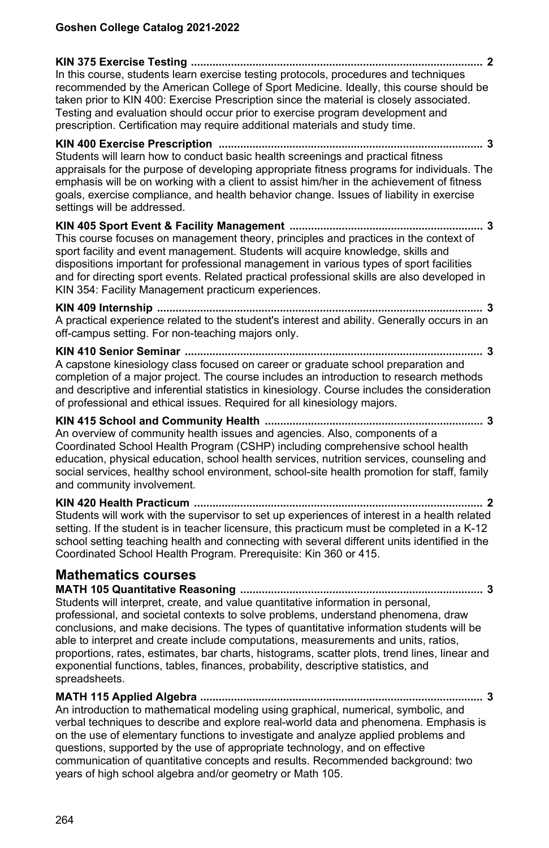**KIN 375 Exercise Testing ............................................................................................... 2** In this course, students learn exercise testing protocols, procedures and techniques recommended by the American College of Sport Medicine. Ideally, this course should be taken prior to KIN 400: Exercise Prescription since the material is closely associated. Testing and evaluation should occur prior to exercise program development and prescription. Certification may require additional materials and study time. **KIN 400 Exercise Prescription ...................................................................................... 3** Students will learn how to conduct basic health screenings and practical fitness appraisals for the purpose of developing appropriate fitness programs for individuals. The emphasis will be on working with a client to assist him/her in the achievement of fitness goals, exercise compliance, and health behavior change. Issues of liability in exercise settings will be addressed. **KIN 405 Sport Event & Facility Management ............................................................... 3** This course focuses on management theory, principles and practices in the context of sport facility and event management. Students will acquire knowledge, skills and dispositions important for professional management in various types of sport facilities and for directing sport events. Related practical professional skills are also developed in KIN 354: Facility Management practicum experiences. **KIN 409 Internship .......................................................................................................... 3** A practical experience related to the student's interest and ability. Generally occurs in an off-campus setting. For non-teaching majors only. **KIN 410 Senior Seminar ................................................................................................. 3** A capstone kinesiology class focused on career or graduate school preparation and completion of a major project. The course includes an introduction to research methods and descriptive and inferential statistics in kinesiology. Course includes the consideration of professional and ethical issues. Required for all kinesiology majors. **KIN 415 School and Community Health ....................................................................... 3** An overview of community health issues and agencies. Also, components of a Coordinated School Health Program (CSHP) including comprehensive school health education, physical education, school health services, nutrition services, counseling and social services, healthy school environment, school-site health promotion for staff, family and community involvement. **KIN 420 Health Practicum .............................................................................................. 2** Students will work with the supervisor to set up experiences of interest in a health related setting. If the student is in teacher licensure, this practicum must be completed in a K-12 school setting teaching health and connecting with several different units identified in the

#### **Mathematics courses**

**MATH 105 Quantitative Reasoning ............................................................................... 3** Students will interpret, create, and value quantitative information in personal, professional, and societal contexts to solve problems, understand phenomena, draw conclusions, and make decisions. The types of quantitative information students will be able to interpret and create include computations, measurements and units, ratios, proportions, rates, estimates, bar charts, histograms, scatter plots, trend lines, linear and exponential functions, tables, finances, probability, descriptive statistics, and spreadsheets.

Coordinated School Health Program. Prerequisite: Kin 360 or 415.

**MATH 115 Applied Algebra ............................................................................................ 3** An introduction to mathematical modeling using graphical, numerical, symbolic, and verbal techniques to describe and explore real-world data and phenomena. Emphasis is on the use of elementary functions to investigate and analyze applied problems and questions, supported by the use of appropriate technology, and on effective communication of quantitative concepts and results. Recommended background: two years of high school algebra and/or geometry or Math 105.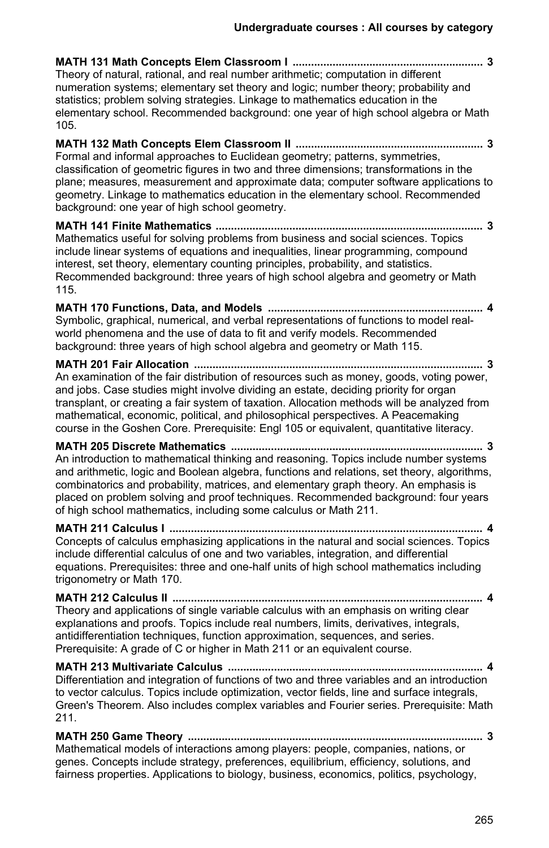**MATH 131 Math Concepts Elem Classroom I .............................................................. 3** Theory of natural, rational, and real number arithmetic; computation in different numeration systems; elementary set theory and logic; number theory; probability and statistics; problem solving strategies. Linkage to mathematics education in the elementary school. Recommended background: one year of high school algebra or Math 105.

**MATH 132 Math Concepts Elem Classroom II ............................................................. 3** Formal and informal approaches to Euclidean geometry; patterns, symmetries, classification of geometric figures in two and three dimensions; transformations in the plane; measures, measurement and approximate data; computer software applications to geometry. Linkage to mathematics education in the elementary school. Recommended background: one year of high school geometry.

**MATH 141 Finite Mathematics ....................................................................................... 3** Mathematics useful for solving problems from business and social sciences. Topics include linear systems of equations and inequalities, linear programming, compound interest, set theory, elementary counting principles, probability, and statistics. Recommended background: three years of high school algebra and geometry or Math 115.

**MATH 170 Functions, Data, and Models ...................................................................... 4** Symbolic, graphical, numerical, and verbal representations of functions to model realworld phenomena and the use of data to fit and verify models. Recommended background: three years of high school algebra and geometry or Math 115.

**MATH 201 Fair Allocation .............................................................................................. 3** An examination of the fair distribution of resources such as money, goods, voting power, and jobs. Case studies might involve dividing an estate, deciding priority for organ transplant, or creating a fair system of taxation. Allocation methods will be analyzed from mathematical, economic, political, and philosophical perspectives. A Peacemaking course in the Goshen Core. Prerequisite: Engl 105 or equivalent, quantitative literacy.

**MATH 205 Discrete Mathematics .................................................................................. 3** An introduction to mathematical thinking and reasoning. Topics include number systems and arithmetic, logic and Boolean algebra, functions and relations, set theory, algorithms, combinatorics and probability, matrices, and elementary graph theory. An emphasis is placed on problem solving and proof techniques. Recommended background: four years of high school mathematics, including some calculus or Math 211.

**MATH 211 Calculus I ...................................................................................................... 4** Concepts of calculus emphasizing applications in the natural and social sciences. Topics include differential calculus of one and two variables, integration, and differential equations. Prerequisites: three and one-half units of high school mathematics including trigonometry or Math 170.

**MATH 212 Calculus II ..................................................................................................... 4** Theory and applications of single variable calculus with an emphasis on writing clear explanations and proofs. Topics include real numbers, limits, derivatives, integrals, antidifferentiation techniques, function approximation, sequences, and series. Prerequisite: A grade of C or higher in Math 211 or an equivalent course.

**MATH 213 Multivariate Calculus ................................................................................... 4** Differentiation and integration of functions of two and three variables and an introduction to vector calculus. Topics include optimization, vector fields, line and surface integrals, Green's Theorem. Also includes complex variables and Fourier series. Prerequisite: Math 211.

**MATH 250 Game Theory ................................................................................................ 3**

Mathematical models of interactions among players: people, companies, nations, or genes. Concepts include strategy, preferences, equilibrium, efficiency, solutions, and fairness properties. Applications to biology, business, economics, politics, psychology,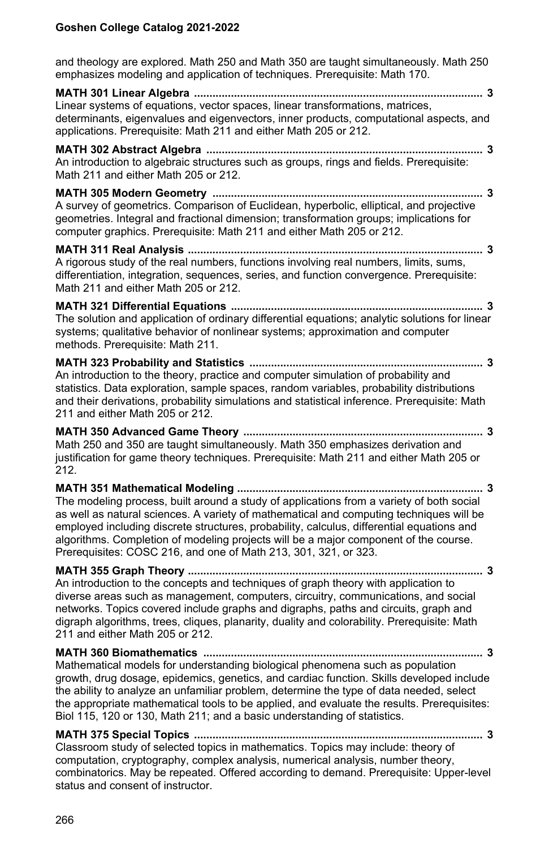and theology are explored. Math 250 and Math 350 are taught simultaneously. Math 250 emphasizes modeling and application of techniques. Prerequisite: Math 170.

**MATH 301 Linear Algebra .............................................................................................. 3** Linear systems of equations, vector spaces, linear transformations, matrices, determinants, eigenvalues and eigenvectors, inner products, computational aspects, and applications. Prerequisite: Math 211 and either Math 205 or 212.

**MATH 302 Abstract Algebra .......................................................................................... 3** An introduction to algebraic structures such as groups, rings and fields. Prerequisite: Math 211 and either Math 205 or 212.

**MATH 305 Modern Geometry ........................................................................................ 3** A survey of geometrics. Comparison of Euclidean, hyperbolic, elliptical, and projective geometries. Integral and fractional dimension; transformation groups; implications for computer graphics. Prerequisite: Math 211 and either Math 205 or 212.

**MATH 311 Real Analysis ................................................................................................ 3** A rigorous study of the real numbers, functions involving real numbers, limits, sums, differentiation, integration, sequences, series, and function convergence. Prerequisite: Math 211 and either Math 205 or 212.

**MATH 321 Differential Equations .................................................................................. 3** The solution and application of ordinary differential equations; analytic solutions for linear systems; qualitative behavior of nonlinear systems; approximation and computer methods. Prerequisite: Math 211.

**MATH 323 Probability and Statistics ............................................................................ 3** An introduction to the theory, practice and computer simulation of probability and statistics. Data exploration, sample spaces, random variables, probability distributions and their derivations, probability simulations and statistical inference. Prerequisite: Math 211 and either Math 205 or 212.

**MATH 350 Advanced Game Theory .............................................................................. 3** Math 250 and 350 are taught simultaneously. Math 350 emphasizes derivation and justification for game theory techniques. Prerequisite: Math 211 and either Math 205 or 212.

**MATH 351 Mathematical Modeling ................................................................................ 3** The modeling process, built around a study of applications from a variety of both social as well as natural sciences. A variety of mathematical and computing techniques will be employed including discrete structures, probability, calculus, differential equations and algorithms. Completion of modeling projects will be a major component of the course. Prerequisites: COSC 216, and one of Math 213, 301, 321, or 323.

**MATH 355 Graph Theory ................................................................................................ 3** An introduction to the concepts and techniques of graph theory with application to diverse areas such as management, computers, circuitry, communications, and social networks. Topics covered include graphs and digraphs, paths and circuits, graph and digraph algorithms, trees, cliques, planarity, duality and colorability. Prerequisite: Math 211 and either Math 205 or 212.

**MATH 360 Biomathematics ........................................................................................... 3** Mathematical models for understanding biological phenomena such as population growth, drug dosage, epidemics, genetics, and cardiac function. Skills developed include the ability to analyze an unfamiliar problem, determine the type of data needed, select the appropriate mathematical tools to be applied, and evaluate the results. Prerequisites: Biol 115, 120 or 130, Math 211; and a basic understanding of statistics.

**MATH 375 Special Topics .............................................................................................. 3** Classroom study of selected topics in mathematics. Topics may include: theory of computation, cryptography, complex analysis, numerical analysis, number theory, combinatorics. May be repeated. Offered according to demand. Prerequisite: Upper-level status and consent of instructor.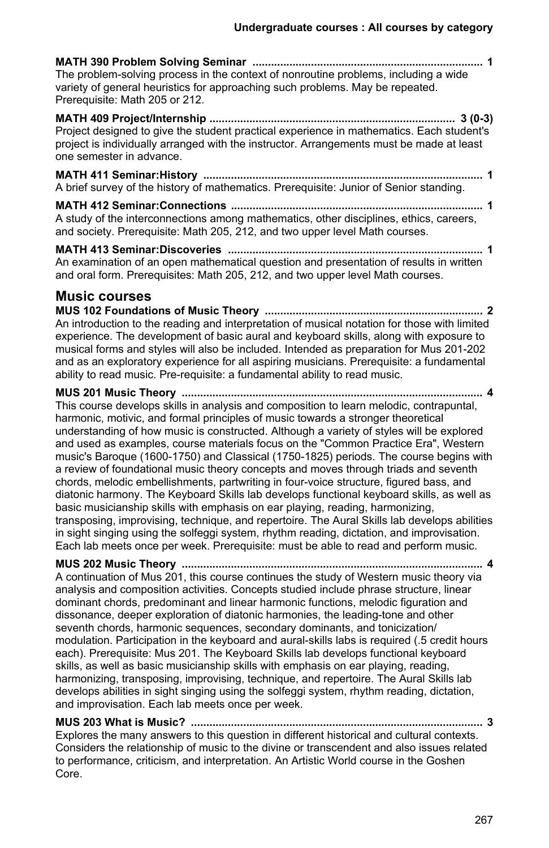**MATH 390 Problem Solving Seminar ........................................................................... 1** The problem-solving process in the context of nonroutine problems, including a wide variety of general heuristics for approaching such problems. May be repeated. Prerequisite: Math 205 or 212. **MATH 409 Project/Internship ................................................................................ 3 (0-3)** Project designed to give the student practical experience in mathematics. Each student's project is individually arranged with the instructor. Arrangements must be made at least one semester in advance.

**MATH 411 Seminar:History ........................................................................................... 1** A brief survey of the history of mathematics. Prerequisite: Junior of Senior standing.

**MATH 412 Seminar:Connections .................................................................................. 1** A study of the interconnections among mathematics, other disciplines, ethics, careers, and society. Prerequisite: Math 205, 212, and two upper level Math courses.

**MATH 413 Seminar:Discoveries ................................................................................... 1** An examination of an open mathematical question and presentation of results in written and oral form. Prerequisites: Math 205, 212, and two upper level Math courses.

### **Music courses**

**MUS 102 Foundations of Music Theory ....................................................................... 2** An introduction to the reading and interpretation of musical notation for those with limited experience. The development of basic aural and keyboard skills, along with exposure to musical forms and styles will also be included. Intended as preparation for Mus 201-202 and as an exploratory experience for all aspiring musicians. Prerequisite: a fundamental ability to read music. Pre-requisite: a fundamental ability to read music.

**MUS 201 Music Theory .................................................................................................. 4** This course develops skills in analysis and composition to learn melodic, contrapuntal, harmonic, motivic, and formal principles of music towards a stronger theoretical understanding of how music is constructed. Although a variety of styles will be explored and used as examples, course materials focus on the "Common Practice Era", Western music's Baroque (1600-1750) and Classical (1750-1825) periods. The course begins with a review of foundational music theory concepts and moves through triads and seventh chords, melodic embellishments, partwriting in four-voice structure, figured bass, and diatonic harmony. The Keyboard Skills lab develops functional keyboard skills, as well as basic musicianship skills with emphasis on ear playing, reading, harmonizing, transposing, improvising, technique, and repertoire. The Aural Skills lab develops abilities in sight singing using the solfeggi system, rhythm reading, dictation, and improvisation. Each lab meets once per week. Prerequisite: must be able to read and perform music.

**MUS 202 Music Theory .................................................................................................. 4** A continuation of Mus 201, this course continues the study of Western music theory via analysis and composition activities. Concepts studied include phrase structure, linear dominant chords, predominant and linear harmonic functions, melodic figuration and dissonance, deeper exploration of diatonic harmonies, the leading-tone and other seventh chords, harmonic sequences, secondary dominants, and tonicization/ modulation. Participation in the keyboard and aural-skills labs is required (.5 credit hours each). Prerequisite: Mus 201. The Keyboard Skills lab develops functional keyboard skills, as well as basic musicianship skills with emphasis on ear playing, reading, harmonizing, transposing, improvising, technique, and repertoire. The Aural Skills lab develops abilities in sight singing using the solfeggi system, rhythm reading, dictation, and improvisation. Each lab meets once per week.

**MUS 203 What is Music? ............................................................................................... 3** Explores the many answers to this question in different historical and cultural contexts. Considers the relationship of music to the divine or transcendent and also issues related to performance, criticism, and interpretation. An Artistic World course in the Goshen Core.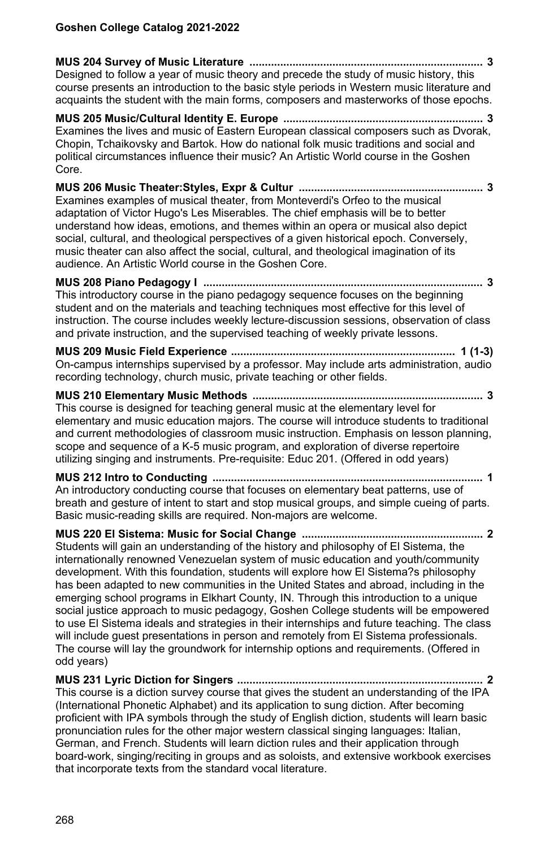**MUS 204 Survey of Music Literature ............................................................................ 3** Designed to follow a year of music theory and precede the study of music history, this course presents an introduction to the basic style periods in Western music literature and acquaints the student with the main forms, composers and masterworks of those epochs. **MUS 205 Music/Cultural Identity E. Europe ................................................................. 3** Examines the lives and music of Eastern European classical composers such as Dvorak, Chopin, Tchaikovsky and Bartok. How do national folk music traditions and social and political circumstances influence their music? An Artistic World course in the Goshen Core. **MUS 206 Music Theater:Styles, Expr & Cultur ............................................................ 3** Examines examples of musical theater, from Monteverdi's Orfeo to the musical adaptation of Victor Hugo's Les Miserables. The chief emphasis will be to better understand how ideas, emotions, and themes within an opera or musical also depict social, cultural, and theological perspectives of a given historical epoch. Conversely, music theater can also affect the social, cultural, and theological imagination of its audience. An Artistic World course in the Goshen Core. **MUS 208 Piano Pedagogy I ........................................................................................... 3** This introductory course in the piano pedagogy sequence focuses on the beginning student and on the materials and teaching techniques most effective for this level of instruction. The course includes weekly lecture-discussion sessions, observation of class and private instruction, and the supervised teaching of weekly private lessons. **MUS 209 Music Field Experience ......................................................................... 1 (1-3)** On-campus internships supervised by a professor. May include arts administration, audio recording technology, church music, private teaching or other fields. **MUS 210 Elementary Music Methods ........................................................................... 3** This course is designed for teaching general music at the elementary level for elementary and music education majors. The course will introduce students to traditional and current methodologies of classroom music instruction. Emphasis on lesson planning, scope and sequence of a K-5 music program, and exploration of diverse repertoire utilizing singing and instruments. Pre-requisite: Educ 201. (Offered in odd years) **MUS 212 Intro to Conducting ........................................................................................ 1** An introductory conducting course that focuses on elementary beat patterns, use of breath and gesture of intent to start and stop musical groups, and simple cueing of parts. Basic music-reading skills are required. Non-majors are welcome. **MUS 220 El Sistema: Music for Social Change ........................................................... 2** Students will gain an understanding of the history and philosophy of El Sistema, the internationally renowned Venezuelan system of music education and youth/community development. With this foundation, students will explore how El Sistema?s philosophy has been adapted to new communities in the United States and abroad, including in the emerging school programs in Elkhart County, IN. Through this introduction to a unique social justice approach to music pedagogy, Goshen College students will be empowered to use El Sistema ideals and strategies in their internships and future teaching. The class will include guest presentations in person and remotely from El Sistema professionals. The course will lay the groundwork for internship options and requirements. (Offered in odd years)

**MUS 231 Lyric Diction for Singers ................................................................................ 2** This course is a diction survey course that gives the student an understanding of the IPA (International Phonetic Alphabet) and its application to sung diction. After becoming proficient with IPA symbols through the study of English diction, students will learn basic pronunciation rules for the other major western classical singing languages: Italian, German, and French. Students will learn diction rules and their application through board-work, singing/reciting in groups and as soloists, and extensive workbook exercises that incorporate texts from the standard vocal literature.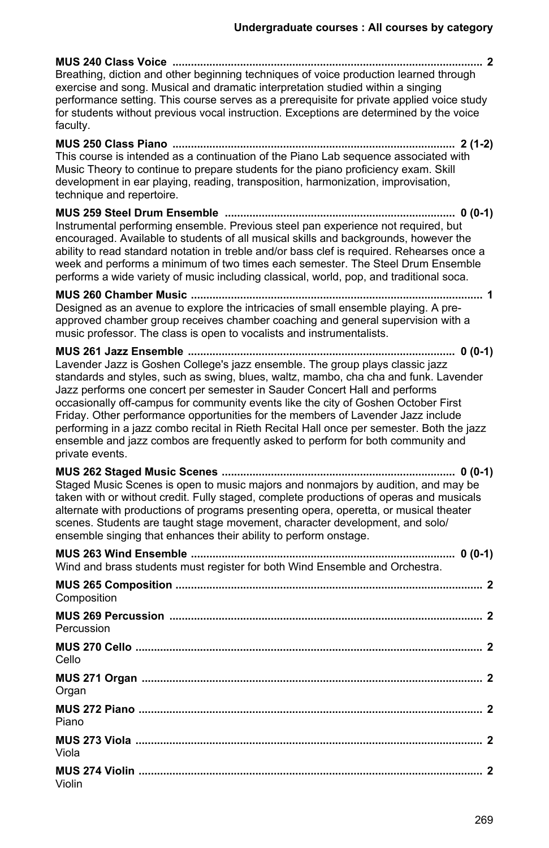| Breathing, diction and other beginning techniques of voice production learned through<br>exercise and song. Musical and dramatic interpretation studied within a singing<br>performance setting. This course serves as a prerequisite for private applied voice study<br>for students without previous vocal instruction. Exceptions are determined by the voice<br>faculty.                                                                                                                                                                                                                                                                                                                   |
|------------------------------------------------------------------------------------------------------------------------------------------------------------------------------------------------------------------------------------------------------------------------------------------------------------------------------------------------------------------------------------------------------------------------------------------------------------------------------------------------------------------------------------------------------------------------------------------------------------------------------------------------------------------------------------------------|
| This course is intended as a continuation of the Piano Lab sequence associated with<br>Music Theory to continue to prepare students for the piano proficiency exam. Skill<br>development in ear playing, reading, transposition, harmonization, improvisation,<br>technique and repertoire.                                                                                                                                                                                                                                                                                                                                                                                                    |
| Instrumental performing ensemble. Previous steel pan experience not required, but<br>encouraged. Available to students of all musical skills and backgrounds, however the<br>ability to read standard notation in treble and/or bass clef is required. Rehearses once a<br>week and performs a minimum of two times each semester. The Steel Drum Ensemble<br>performs a wide variety of music including classical, world, pop, and traditional soca.                                                                                                                                                                                                                                          |
| Designed as an avenue to explore the intricacies of small ensemble playing. A pre-<br>approved chamber group receives chamber coaching and general supervision with a<br>music professor. The class is open to vocalists and instrumentalists.                                                                                                                                                                                                                                                                                                                                                                                                                                                 |
| MUS 261 Jazz Ensemble ………………………………………………………………………… 0 (0-1)<br>Lavender Jazz is Goshen College's jazz ensemble. The group plays classic jazz<br>standards and styles, such as swing, blues, waltz, mambo, cha cha and funk. Lavender<br>Jazz performs one concert per semester in Sauder Concert Hall and performs<br>occasionally off-campus for community events like the city of Goshen October First<br>Friday. Other performance opportunities for the members of Lavender Jazz include<br>performing in a jazz combo recital in Rieth Recital Hall once per semester. Both the jazz<br>ensemble and jazz combos are frequently asked to perform for both community and<br>private events. |
| Staged Music Scenes is open to music majors and nonmajors by audition, and may be<br>taken with or without credit. Fully staged, complete productions of operas and musicals<br>alternate with productions of programs presenting opera, operetta, or musical theater<br>scenes. Students are taught stage movement, character development, and solo/<br>ensemble singing that enhances their ability to perform onstage.                                                                                                                                                                                                                                                                      |
| Wind and brass students must register for both Wind Ensemble and Orchestra.                                                                                                                                                                                                                                                                                                                                                                                                                                                                                                                                                                                                                    |
| Composition                                                                                                                                                                                                                                                                                                                                                                                                                                                                                                                                                                                                                                                                                    |
| Percussion                                                                                                                                                                                                                                                                                                                                                                                                                                                                                                                                                                                                                                                                                     |
| Cello                                                                                                                                                                                                                                                                                                                                                                                                                                                                                                                                                                                                                                                                                          |
| 2<br>Organ                                                                                                                                                                                                                                                                                                                                                                                                                                                                                                                                                                                                                                                                                     |
| Piano                                                                                                                                                                                                                                                                                                                                                                                                                                                                                                                                                                                                                                                                                          |
| Viola                                                                                                                                                                                                                                                                                                                                                                                                                                                                                                                                                                                                                                                                                          |
| Violin                                                                                                                                                                                                                                                                                                                                                                                                                                                                                                                                                                                                                                                                                         |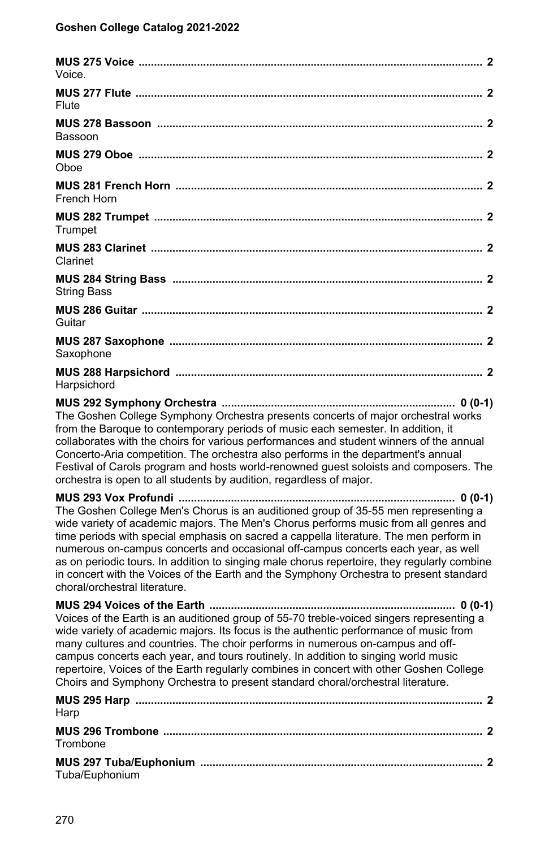| Voice.                                                                                                                                                                                                                                                                                                                                                                                                                                                                                                                                                                                                      |
|-------------------------------------------------------------------------------------------------------------------------------------------------------------------------------------------------------------------------------------------------------------------------------------------------------------------------------------------------------------------------------------------------------------------------------------------------------------------------------------------------------------------------------------------------------------------------------------------------------------|
| Flute                                                                                                                                                                                                                                                                                                                                                                                                                                                                                                                                                                                                       |
| Bassoon                                                                                                                                                                                                                                                                                                                                                                                                                                                                                                                                                                                                     |
| Oboe                                                                                                                                                                                                                                                                                                                                                                                                                                                                                                                                                                                                        |
| French Horn                                                                                                                                                                                                                                                                                                                                                                                                                                                                                                                                                                                                 |
| Trumpet                                                                                                                                                                                                                                                                                                                                                                                                                                                                                                                                                                                                     |
| Clarinet                                                                                                                                                                                                                                                                                                                                                                                                                                                                                                                                                                                                    |
| <b>String Bass</b>                                                                                                                                                                                                                                                                                                                                                                                                                                                                                                                                                                                          |
| Guitar                                                                                                                                                                                                                                                                                                                                                                                                                                                                                                                                                                                                      |
| Saxophone                                                                                                                                                                                                                                                                                                                                                                                                                                                                                                                                                                                                   |
| Harpsichord                                                                                                                                                                                                                                                                                                                                                                                                                                                                                                                                                                                                 |
| The Goshen College Symphony Orchestra presents concerts of major orchestral works<br>from the Baroque to contemporary periods of music each semester. In addition, it<br>collaborates with the choirs for various performances and student winners of the annual<br>Concerto-Aria competition. The orchestra also performs in the department's annual<br>Festival of Carols program and hosts world-renowned guest soloists and composers. The<br>orchestra is open to all students by audition, regardless of major.                                                                                       |
|                                                                                                                                                                                                                                                                                                                                                                                                                                                                                                                                                                                                             |
| The Goshen College Men's Chorus is an auditioned group of 35-55 men representing a<br>wide variety of academic majors. The Men's Chorus performs music from all genres and<br>time periods with special emphasis on sacred a cappella literature. The men perform in<br>numerous on-campus concerts and occasional off-campus concerts each year, as well<br>as on periodic tours. In addition to singing male chorus repertoire, they regularly combine<br>in concert with the Voices of the Earth and the Symphony Orchestra to present standard<br>choral/orchestral literature.                         |
| MUS 294 Voices of the Earth ………………………………………………………………………… 0 (0-1)<br>Voices of the Earth is an auditioned group of 55-70 treble-voiced singers representing a<br>wide variety of academic majors. Its focus is the authentic performance of music from<br>many cultures and countries. The choir performs in numerous on-campus and off-<br>campus concerts each year, and tours routinely. In addition to singing world music<br>repertoire, Voices of the Earth regularly combines in concert with other Goshen College<br>Choirs and Symphony Orchestra to present standard choral/orchestral literature. |
| Harp                                                                                                                                                                                                                                                                                                                                                                                                                                                                                                                                                                                                        |
| Trombone                                                                                                                                                                                                                                                                                                                                                                                                                                                                                                                                                                                                    |
|                                                                                                                                                                                                                                                                                                                                                                                                                                                                                                                                                                                                             |

| MUS 297 Tuba/E |  |
|----------------|--|
| Tuba/Euphonium |  |
|                |  |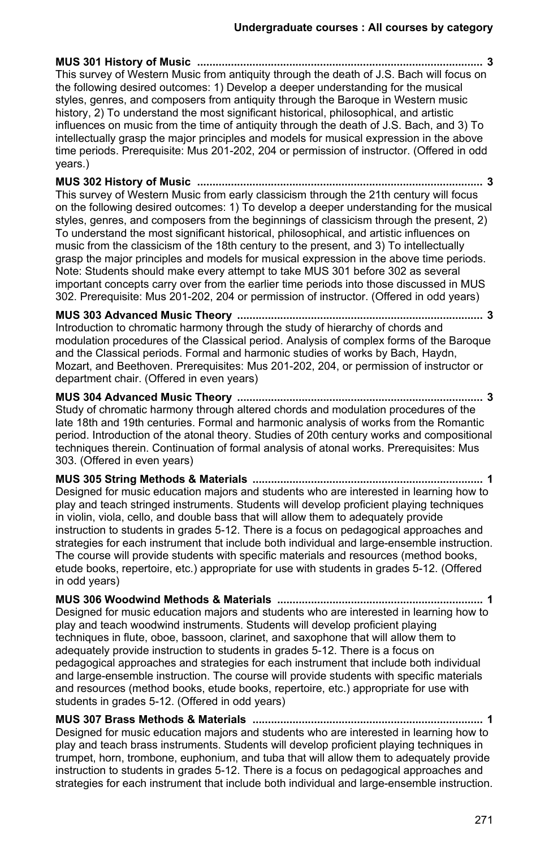**MUS 301 History of Music ............................................................................................. 3** This survey of Western Music from antiquity through the death of J.S. Bach will focus on the following desired outcomes: 1) Develop a deeper understanding for the musical styles, genres, and composers from antiquity through the Baroque in Western music history, 2) To understand the most significant historical, philosophical, and artistic influences on music from the time of antiquity through the death of J.S. Bach, and 3) To intellectually grasp the major principles and models for musical expression in the above time periods. Prerequisite: Mus 201-202, 204 or permission of instructor. (Offered in odd years.)

**MUS 302 History of Music ............................................................................................. 3** This survey of Western Music from early classicism through the 21th century will focus on the following desired outcomes: 1) To develop a deeper understanding for the musical styles, genres, and composers from the beginnings of classicism through the present, 2) To understand the most significant historical, philosophical, and artistic influences on music from the classicism of the 18th century to the present, and 3) To intellectually grasp the major principles and models for musical expression in the above time periods. Note: Students should make every attempt to take MUS 301 before 302 as several important concepts carry over from the earlier time periods into those discussed in MUS 302. Prerequisite: Mus 201-202, 204 or permission of instructor. (Offered in odd years)

**MUS 303 Advanced Music Theory ................................................................................ 3** Introduction to chromatic harmony through the study of hierarchy of chords and modulation procedures of the Classical period. Analysis of complex forms of the Baroque and the Classical periods. Formal and harmonic studies of works by Bach, Haydn, Mozart, and Beethoven. Prerequisites: Mus 201-202, 204, or permission of instructor or department chair. (Offered in even years)

**MUS 304 Advanced Music Theory ................................................................................ 3** Study of chromatic harmony through altered chords and modulation procedures of the late 18th and 19th centuries. Formal and harmonic analysis of works from the Romantic period. Introduction of the atonal theory. Studies of 20th century works and compositional techniques therein. Continuation of formal analysis of atonal works. Prerequisites: Mus 303. (Offered in even years)

**MUS 305 String Methods & Materials ........................................................................... 1** Designed for music education majors and students who are interested in learning how to play and teach stringed instruments. Students will develop proficient playing techniques in violin, viola, cello, and double bass that will allow them to adequately provide instruction to students in grades 5-12. There is a focus on pedagogical approaches and strategies for each instrument that include both individual and large-ensemble instruction. The course will provide students with specific materials and resources (method books, etude books, repertoire, etc.) appropriate for use with students in grades 5-12. (Offered in odd years)

**MUS 306 Woodwind Methods & Materials ................................................................... 1** Designed for music education majors and students who are interested in learning how to play and teach woodwind instruments. Students will develop proficient playing techniques in flute, oboe, bassoon, clarinet, and saxophone that will allow them to adequately provide instruction to students in grades 5-12. There is a focus on pedagogical approaches and strategies for each instrument that include both individual and large-ensemble instruction. The course will provide students with specific materials and resources (method books, etude books, repertoire, etc.) appropriate for use with students in grades 5-12. (Offered in odd years)

**MUS 307 Brass Methods & Materials ........................................................................... 1** Designed for music education majors and students who are interested in learning how to play and teach brass instruments. Students will develop proficient playing techniques in trumpet, horn, trombone, euphonium, and tuba that will allow them to adequately provide instruction to students in grades 5-12. There is a focus on pedagogical approaches and strategies for each instrument that include both individual and large-ensemble instruction.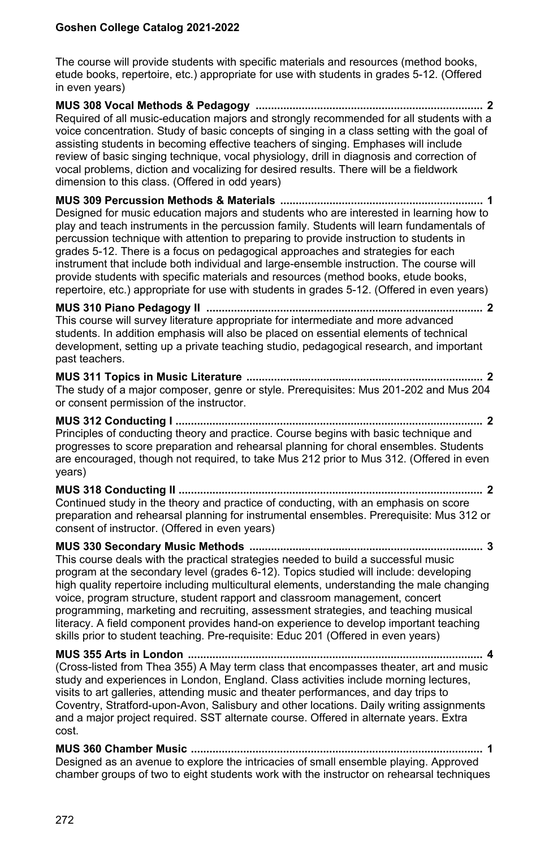The course will provide students with specific materials and resources (method books, etude books, repertoire, etc.) appropriate for use with students in grades 5-12. (Offered in even years)

**MUS 308 Vocal Methods & Pedagogy .......................................................................... 2** Required of all music-education majors and strongly recommended for all students with a voice concentration. Study of basic concepts of singing in a class setting with the goal of assisting students in becoming effective teachers of singing. Emphases will include review of basic singing technique, vocal physiology, drill in diagnosis and correction of vocal problems, diction and vocalizing for desired results. There will be a fieldwork dimension to this class. (Offered in odd years) **MUS 309 Percussion Methods & Materials .................................................................. 1** Designed for music education majors and students who are interested in learning how to play and teach instruments in the percussion family. Students will learn fundamentals of percussion technique with attention to preparing to provide instruction to students in grades 5-12. There is a focus on pedagogical approaches and strategies for each instrument that include both individual and large-ensemble instruction. The course will provide students with specific materials and resources (method books, etude books, repertoire, etc.) appropriate for use with students in grades 5-12. (Offered in even years) **MUS 310 Piano Pedagogy II .......................................................................................... 2** This course will survey literature appropriate for intermediate and more advanced students. In addition emphasis will also be placed on essential elements of technical development, setting up a private teaching studio, pedagogical research, and important past teachers. **MUS 311 Topics in Music Literature ............................................................................. 2** The study of a major composer, genre or style. Prerequisites: Mus 201-202 and Mus 204 or consent permission of the instructor. **MUS 312 Conducting I .................................................................................................... 2** Principles of conducting theory and practice. Course begins with basic technique and progresses to score preparation and rehearsal planning for choral ensembles. Students are encouraged, though not required, to take Mus 212 prior to Mus 312. (Offered in even years) **MUS 318 Conducting II ................................................................................................... 2** Continued study in the theory and practice of conducting, with an emphasis on score preparation and rehearsal planning for instrumental ensembles. Prerequisite: Mus 312 or consent of instructor. (Offered in even years) **MUS 330 Secondary Music Methods ............................................................................ 3** This course deals with the practical strategies needed to build a successful music program at the secondary level (grades 6-12). Topics studied will include: developing high quality repertoire including multicultural elements, understanding the male changing voice, program structure, student rapport and classroom management, concert programming, marketing and recruiting, assessment strategies, and teaching musical literacy. A field component provides hand-on experience to develop important teaching skills prior to student teaching. Pre-requisite: Educ 201 (Offered in even years) **MUS 355 Arts in London ................................................................................................ 4**

(Cross-listed from Thea 355) A May term class that encompasses theater, art and music study and experiences in London, England. Class activities include morning lectures, visits to art galleries, attending music and theater performances, and day trips to Coventry, Stratford-upon-Avon, Salisbury and other locations. Daily writing assignments and a major project required. SST alternate course. Offered in alternate years. Extra cost.

**MUS 360 Chamber Music ............................................................................................... 1** Designed as an avenue to explore the intricacies of small ensemble playing. Approved chamber groups of two to eight students work with the instructor on rehearsal techniques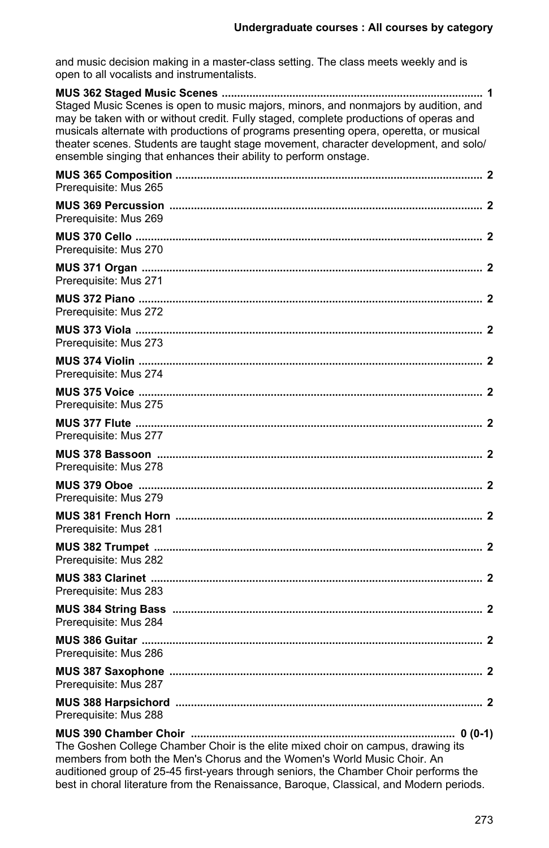and music decision making in a master-class setting. The class meets weekly and is open to all vocalists and instrumentalists.

| Staged Music Scenes is open to music majors, minors, and nonmajors by audition, and<br>may be taken with or without credit. Fully staged, complete productions of operas and<br>musicals alternate with productions of programs presenting opera, operetta, or musical<br>theater scenes. Students are taught stage movement, character development, and solo/<br>ensemble singing that enhances their ability to perform onstage. |  |
|------------------------------------------------------------------------------------------------------------------------------------------------------------------------------------------------------------------------------------------------------------------------------------------------------------------------------------------------------------------------------------------------------------------------------------|--|
| Prerequisite: Mus 265                                                                                                                                                                                                                                                                                                                                                                                                              |  |
| Prerequisite: Mus 269                                                                                                                                                                                                                                                                                                                                                                                                              |  |
| Prerequisite: Mus 270                                                                                                                                                                                                                                                                                                                                                                                                              |  |
| Prerequisite: Mus 271                                                                                                                                                                                                                                                                                                                                                                                                              |  |
| Prerequisite: Mus 272                                                                                                                                                                                                                                                                                                                                                                                                              |  |
| Prerequisite: Mus 273                                                                                                                                                                                                                                                                                                                                                                                                              |  |
| Prerequisite: Mus 274                                                                                                                                                                                                                                                                                                                                                                                                              |  |
| Prerequisite: Mus 275                                                                                                                                                                                                                                                                                                                                                                                                              |  |
| Prerequisite: Mus 277                                                                                                                                                                                                                                                                                                                                                                                                              |  |
| Prerequisite: Mus 278                                                                                                                                                                                                                                                                                                                                                                                                              |  |
| Prerequisite: Mus 279                                                                                                                                                                                                                                                                                                                                                                                                              |  |
| Prerequisite: Mus 281                                                                                                                                                                                                                                                                                                                                                                                                              |  |
| Prerequisite: Mus 282                                                                                                                                                                                                                                                                                                                                                                                                              |  |
| Prerequisite: Mus 283                                                                                                                                                                                                                                                                                                                                                                                                              |  |
| Prerequisite: Mus 284                                                                                                                                                                                                                                                                                                                                                                                                              |  |
| Prerequisite: Mus 286                                                                                                                                                                                                                                                                                                                                                                                                              |  |
| Prerequisite: Mus 287                                                                                                                                                                                                                                                                                                                                                                                                              |  |
| Prerequisite: Mus 288                                                                                                                                                                                                                                                                                                                                                                                                              |  |
| The Goshen College Chamber Choir is the elite mixed choir on campus, drawing its<br>members from both the Men's Chorus and the Women's World Music Choir. An<br>auditioned group of 25-45 first-years through seniors, the Chamber Choir performs the                                                                                                                                                                              |  |

best in choral literature from the Renaissance, Baroque, Classical, and Modern periods.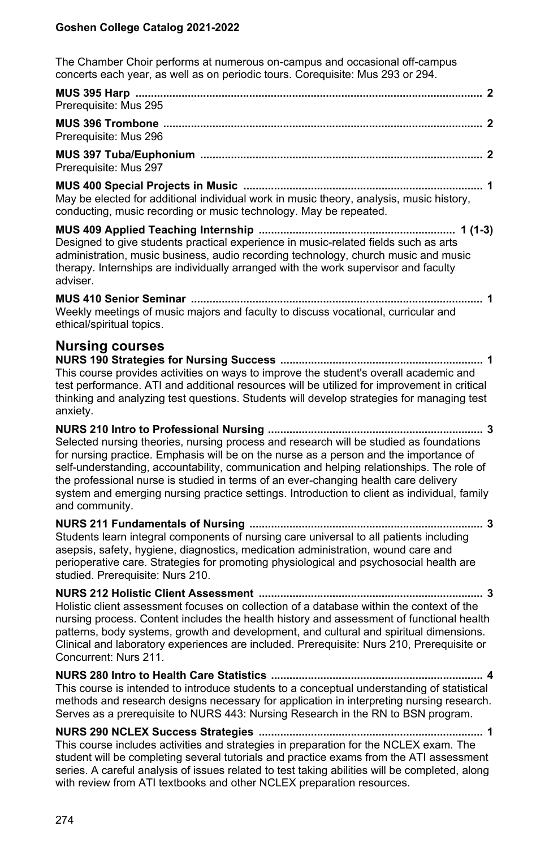The Chamber Choir performs at numerous on-campus and occasional off-campus concerts each year, as well as on periodic tours. Corequisite: Mus 293 or 294.

| Prerequisite: Mus 295 |  |
|-----------------------|--|
| $\mathbf{r}$          |  |

**MUS 396 Trombone ........................................................................................................ 2** Prerequisite: Mus 296

**MUS 397 Tuba/Euphonium ............................................................................................ 2** Prerequisite: Mus 297

**MUS 400 Special Projects in Music .............................................................................. 1** May be elected for additional individual work in music theory, analysis, music history, conducting, music recording or music technology. May be repeated.

**MUS 409 Applied Teaching Internship ................................................................ 1 (1-3)** Designed to give students practical experience in music-related fields such as arts administration, music business, audio recording technology, church music and music therapy. Internships are individually arranged with the work supervisor and faculty adviser.

**MUS 410 Senior Seminar ............................................................................................... 1** Weekly meetings of music majors and faculty to discuss vocational, curricular and ethical/spiritual topics.

## **Nursing courses**

**NURS 190 Strategies for Nursing Success .................................................................. 1** This course provides activities on ways to improve the student's overall academic and test performance. ATI and additional resources will be utilized for improvement in critical thinking and analyzing test questions. Students will develop strategies for managing test anxiety.

**NURS 210 Intro to Professional Nursing ...................................................................... 3** Selected nursing theories, nursing process and research will be studied as foundations for nursing practice. Emphasis will be on the nurse as a person and the importance of self-understanding, accountability, communication and helping relationships. The role of the professional nurse is studied in terms of an ever-changing health care delivery system and emerging nursing practice settings. Introduction to client as individual, family and community.

**NURS 211 Fundamentals of Nursing ............................................................................ 3** Students learn integral components of nursing care universal to all patients including asepsis, safety, hygiene, diagnostics, medication administration, wound care and perioperative care. Strategies for promoting physiological and psychosocial health are studied. Prerequisite: Nurs 210.

**NURS 212 Holistic Client Assessment ......................................................................... 3** Holistic client assessment focuses on collection of a database within the context of the nursing process. Content includes the health history and assessment of functional health patterns, body systems, growth and development, and cultural and spiritual dimensions. Clinical and laboratory experiences are included. Prerequisite: Nurs 210, Prerequisite or Concurrent: Nurs 211.

**NURS 280 Intro to Health Care Statistics ..................................................................... 4** This course is intended to introduce students to a conceptual understanding of statistical methods and research designs necessary for application in interpreting nursing research. Serves as a prerequisite to NURS 443: Nursing Research in the RN to BSN program.

**NURS 290 NCLEX Success Strategies ......................................................................... 1** This course includes activities and strategies in preparation for the NCLEX exam. The student will be completing several tutorials and practice exams from the ATI assessment series. A careful analysis of issues related to test taking abilities will be completed, along with review from ATI textbooks and other NCLEX preparation resources.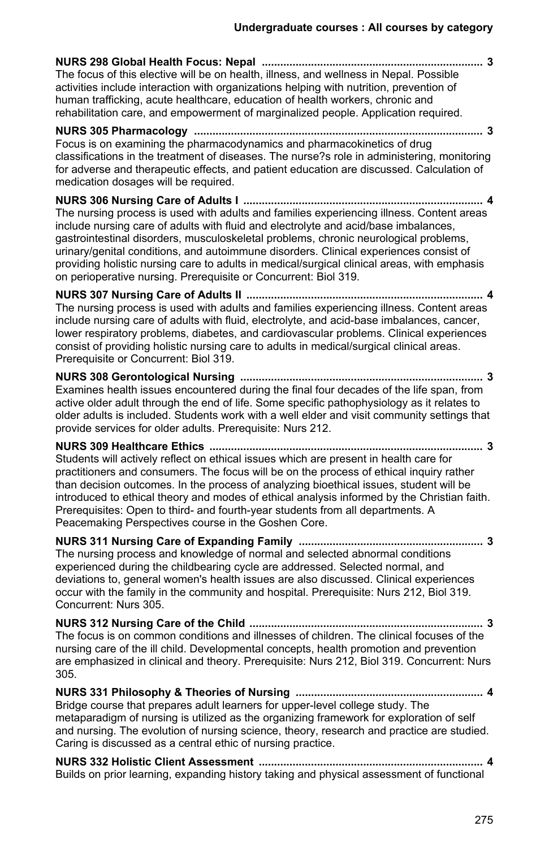**NURS 298 Global Health Focus: Nepal ........................................................................ 3** The focus of this elective will be on health, illness, and wellness in Nepal. Possible activities include interaction with organizations helping with nutrition, prevention of human trafficking, acute healthcare, education of health workers, chronic and rehabilitation care, and empowerment of marginalized people. Application required. **NURS 305 Pharmacology .............................................................................................. 3** Focus is on examining the pharmacodynamics and pharmacokinetics of drug classifications in the treatment of diseases. The nurse?s role in administering, monitoring for adverse and therapeutic effects, and patient education are discussed. Calculation of medication dosages will be required. **NURS 306 Nursing Care of Adults I .............................................................................. 4** The nursing process is used with adults and families experiencing illness. Content areas include nursing care of adults with fluid and electrolyte and acid/base imbalances, gastrointestinal disorders, musculoskeletal problems, chronic neurological problems, urinary/genital conditions, and autoimmune disorders. Clinical experiences consist of providing holistic nursing care to adults in medical/surgical clinical areas, with emphasis on perioperative nursing. Prerequisite or Concurrent: Biol 319. **NURS 307 Nursing Care of Adults II ............................................................................. 4** The nursing process is used with adults and families experiencing illness. Content areas include nursing care of adults with fluid, electrolyte, and acid-base imbalances, cancer, lower respiratory problems, diabetes, and cardiovascular problems. Clinical experiences consist of providing holistic nursing care to adults in medical/surgical clinical areas. Prerequisite or Concurrent: Biol 319. **NURS 308 Gerontological Nursing ............................................................................... 3** Examines health issues encountered during the final four decades of the life span, from active older adult through the end of life. Some specific pathophysiology as it relates to older adults is included. Students work with a well elder and visit community settings that provide services for older adults. Prerequisite: Nurs 212. **NURS 309 Healthcare Ethics ......................................................................................... 3** Students will actively reflect on ethical issues which are present in health care for practitioners and consumers. The focus will be on the process of ethical inquiry rather than decision outcomes. In the process of analyzing bioethical issues, student will be introduced to ethical theory and modes of ethical analysis informed by the Christian faith. Prerequisites: Open to third- and fourth-year students from all departments. A Peacemaking Perspectives course in the Goshen Core. **NURS 311 Nursing Care of Expanding Family ............................................................ 3** The nursing process and knowledge of normal and selected abnormal conditions experienced during the childbearing cycle are addressed. Selected normal, and deviations to, general women's health issues are also discussed. Clinical experiences occur with the family in the community and hospital. Prerequisite: Nurs 212, Biol 319. Concurrent: Nurs 305. **NURS 312 Nursing Care of the Child ............................................................................ 3** The focus is on common conditions and illnesses of children. The clinical focuses of the nursing care of the ill child. Developmental concepts, health promotion and prevention are emphasized in clinical and theory. Prerequisite: Nurs 212, Biol 319. Concurrent: Nurs 305. **NURS 331 Philosophy & Theories of Nursing ............................................................. 4** Bridge course that prepares adult learners for upper-level college study. The metaparadigm of nursing is utilized as the organizing framework for exploration of self and nursing. The evolution of nursing science, theory, research and practice are studied. Caring is discussed as a central ethic of nursing practice.

**NURS 332 Holistic Client Assessment ......................................................................... 4** Builds on prior learning, expanding history taking and physical assessment of functional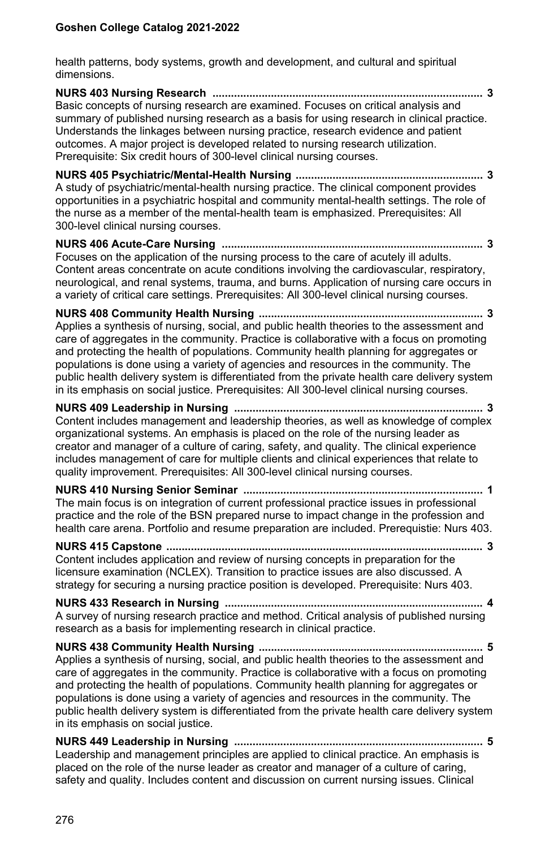health patterns, body systems, growth and development, and cultural and spiritual dimensions.

**NURS 403 Nursing Research ........................................................................................ 3** Basic concepts of nursing research are examined. Focuses on critical analysis and summary of published nursing research as a basis for using research in clinical practice. Understands the linkages between nursing practice, research evidence and patient outcomes. A major project is developed related to nursing research utilization. Prerequisite: Six credit hours of 300-level clinical nursing courses.

**NURS 405 Psychiatric/Mental-Health Nursing ............................................................. 3** A study of psychiatric/mental-health nursing practice. The clinical component provides opportunities in a psychiatric hospital and community mental-health settings. The role of the nurse as a member of the mental-health team is emphasized. Prerequisites: All 300-level clinical nursing courses.

**NURS 406 Acute-Care Nursing ..................................................................................... 3** Focuses on the application of the nursing process to the care of acutely ill adults. Content areas concentrate on acute conditions involving the cardiovascular, respiratory, neurological, and renal systems, trauma, and burns. Application of nursing care occurs in a variety of critical care settings. Prerequisites: All 300-level clinical nursing courses.

**NURS 408 Community Health Nursing ......................................................................... 3** Applies a synthesis of nursing, social, and public health theories to the assessment and care of aggregates in the community. Practice is collaborative with a focus on promoting and protecting the health of populations. Community health planning for aggregates or populations is done using a variety of agencies and resources in the community. The public health delivery system is differentiated from the private health care delivery system in its emphasis on social justice. Prerequisites: All 300-level clinical nursing courses.

#### **NURS 409 Leadership in Nursing ................................................................................. 3** Content includes management and leadership theories, as well as knowledge of complex organizational systems. An emphasis is placed on the role of the nursing leader as creator and manager of a culture of caring, safety, and quality. The clinical experience includes management of care for multiple clients and clinical experiences that relate to quality improvement. Prerequisites: All 300-level clinical nursing courses.

**NURS 410 Nursing Senior Seminar .............................................................................. 1** The main focus is on integration of current professional practice issues in professional practice and the role of the BSN prepared nurse to impact change in the profession and health care arena. Portfolio and resume preparation are included. Prerequistie: Nurs 403.

**NURS 415 Capstone ....................................................................................................... 3** Content includes application and review of nursing concepts in preparation for the licensure examination (NCLEX). Transition to practice issues are also discussed. A strategy for securing a nursing practice position is developed. Prerequisite: Nurs 403.

**NURS 433 Research in Nursing .................................................................................... 4** A survey of nursing research practice and method. Critical analysis of published nursing research as a basis for implementing research in clinical practice.

**NURS 438 Community Health Nursing ......................................................................... 5** Applies a synthesis of nursing, social, and public health theories to the assessment and care of aggregates in the community. Practice is collaborative with a focus on promoting and protecting the health of populations. Community health planning for aggregates or populations is done using a variety of agencies and resources in the community. The public health delivery system is differentiated from the private health care delivery system in its emphasis on social justice.

**NURS 449 Leadership in Nursing ................................................................................. 5** Leadership and management principles are applied to clinical practice. An emphasis is placed on the role of the nurse leader as creator and manager of a culture of caring, safety and quality. Includes content and discussion on current nursing issues. Clinical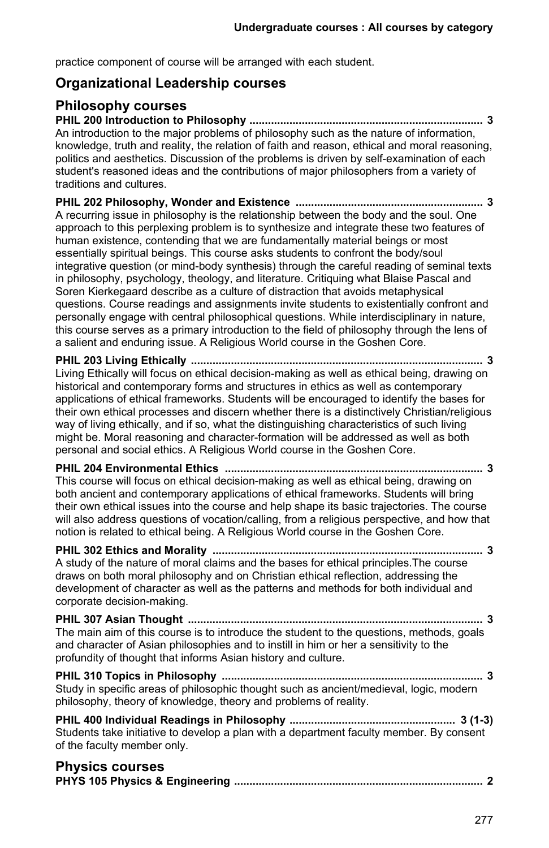practice component of course will be arranged with each student.

## **Organizational Leadership courses**

## **Philosophy courses**

**PHIL 200 Introduction to Philosophy ............................................................................ 3** An introduction to the major problems of philosophy such as the nature of information, knowledge, truth and reality, the relation of faith and reason, ethical and moral reasoning, politics and aesthetics. Discussion of the problems is driven by self-examination of each student's reasoned ideas and the contributions of major philosophers from a variety of traditions and cultures.

**PHIL 202 Philosophy, Wonder and Existence ............................................................. 3** A recurring issue in philosophy is the relationship between the body and the soul. One approach to this perplexing problem is to synthesize and integrate these two features of human existence, contending that we are fundamentally material beings or most essentially spiritual beings. This course asks students to confront the body/soul integrative question (or mind-body synthesis) through the careful reading of seminal texts in philosophy, psychology, theology, and literature. Critiquing what Blaise Pascal and Soren Kierkegaard describe as a culture of distraction that avoids metaphysical questions. Course readings and assignments invite students to existentially confront and personally engage with central philosophical questions. While interdisciplinary in nature, this course serves as a primary introduction to the field of philosophy through the lens of a salient and enduring issue. A Religious World course in the Goshen Core.

**PHIL 203 Living Ethically ............................................................................................... 3** Living Ethically will focus on ethical decision-making as well as ethical being, drawing on historical and contemporary forms and structures in ethics as well as contemporary applications of ethical frameworks. Students will be encouraged to identify the bases for their own ethical processes and discern whether there is a distinctively Christian/religious way of living ethically, and if so, what the distinguishing characteristics of such living might be. Moral reasoning and character-formation will be addressed as well as both personal and social ethics. A Religious World course in the Goshen Core.

**PHIL 204 Environmental Ethics .................................................................................... 3** This course will focus on ethical decision-making as well as ethical being, drawing on both ancient and contemporary applications of ethical frameworks. Students will bring their own ethical issues into the course and help shape its basic trajectories. The course will also address questions of vocation/calling, from a religious perspective, and how that notion is related to ethical being. A Religious World course in the Goshen Core.

#### **PHIL 302 Ethics and Morality ........................................................................................ 3** A study of the nature of moral claims and the bases for ethical principles.The course draws on both moral philosophy and on Christian ethical reflection, addressing the development of character as well as the patterns and methods for both individual and corporate decision-making.

**PHIL 307 Asian Thought ................................................................................................ 3** The main aim of this course is to introduce the student to the questions, methods, goals and character of Asian philosophies and to instill in him or her a sensitivity to the profundity of thought that informs Asian history and culture.

**PHIL 310 Topics in Philosophy ..................................................................................... 3** Study in specific areas of philosophic thought such as ancient/medieval, logic, modern philosophy, theory of knowledge, theory and problems of reality.

**PHIL 400 Individual Readings in Philosophy ...................................................... 3 (1-3)** Students take initiative to develop a plan with a department faculty member. By consent of the faculty member only.

#### **Physics courses**

|--|--|--|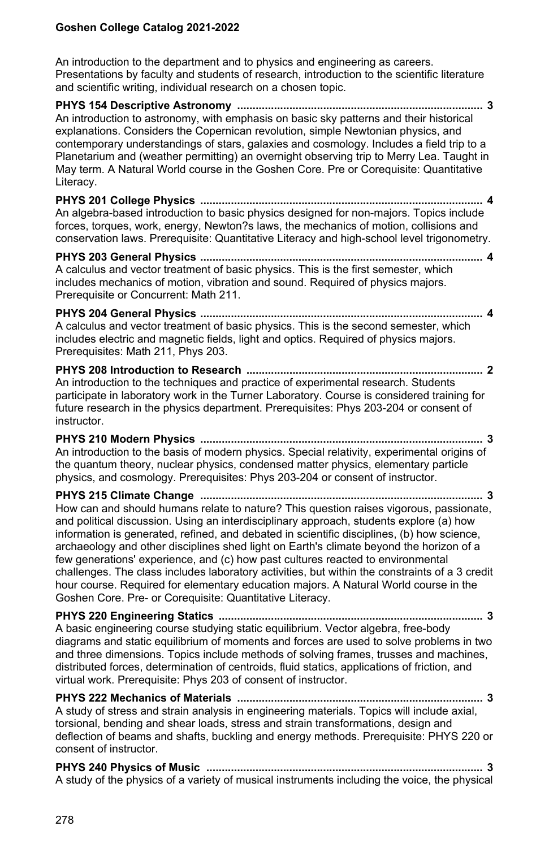An introduction to the department and to physics and engineering as careers. Presentations by faculty and students of research, introduction to the scientific literature and scientific writing, individual research on a chosen topic.

**PHYS 154 Descriptive Astronomy ................................................................................ 3** An introduction to astronomy, with emphasis on basic sky patterns and their historical explanations. Considers the Copernican revolution, simple Newtonian physics, and contemporary understandings of stars, galaxies and cosmology. Includes a field trip to a Planetarium and (weather permitting) an overnight observing trip to Merry Lea. Taught in May term. A Natural World course in the Goshen Core. Pre or Corequisite: Quantitative Literacy.

**PHYS 201 College Physics ............................................................................................ 4** An algebra-based introduction to basic physics designed for non-majors. Topics include forces, torques, work, energy, Newton?s laws, the mechanics of motion, collisions and conservation laws. Prerequisite: Quantitative Literacy and high-school level trigonometry.

**PHYS 203 General Physics ............................................................................................ 4** A calculus and vector treatment of basic physics. This is the first semester, which includes mechanics of motion, vibration and sound. Required of physics majors. Prerequisite or Concurrent: Math 211.

**PHYS 204 General Physics ............................................................................................ 4** A calculus and vector treatment of basic physics. This is the second semester, which includes electric and magnetic fields, light and optics. Required of physics majors. Prerequisites: Math 211, Phys 203.

**PHYS 208 Introduction to Research ............................................................................. 2** An introduction to the techniques and practice of experimental research. Students participate in laboratory work in the Turner Laboratory. Course is considered training for future research in the physics department. Prerequisites: Phys 203-204 or consent of instructor.

**PHYS 210 Modern Physics ............................................................................................ 3** An introduction to the basis of modern physics. Special relativity, experimental origins of the quantum theory, nuclear physics, condensed matter physics, elementary particle physics, and cosmology. Prerequisites: Phys 203-204 or consent of instructor.

**PHYS 215 Climate Change ............................................................................................ 3** How can and should humans relate to nature? This question raises vigorous, passionate, and political discussion. Using an interdisciplinary approach, students explore (a) how information is generated, refined, and debated in scientific disciplines, (b) how science, archaeology and other disciplines shed light on Earth's climate beyond the horizon of a few generations' experience, and (c) how past cultures reacted to environmental challenges. The class includes laboratory activities, but within the constraints of a 3 credit hour course. Required for elementary education majors. A Natural World course in the Goshen Core. Pre- or Corequisite: Quantitative Literacy.

**PHYS 220 Engineering Statics ...................................................................................... 3** A basic engineering course studying static equilibrium. Vector algebra, free-body diagrams and static equilibrium of moments and forces are used to solve problems in two and three dimensions. Topics include methods of solving frames, trusses and machines, distributed forces, determination of centroids, fluid statics, applications of friction, and virtual work. Prerequisite: Phys 203 of consent of instructor.

**PHYS 222 Mechanics of Materials ................................................................................ 3** A study of stress and strain analysis in engineering materials. Topics will include axial, torsional, bending and shear loads, stress and strain transformations, design and deflection of beams and shafts, buckling and energy methods. Prerequisite: PHYS 220 or consent of instructor.

**PHYS 240 Physics of Music .......................................................................................... 3** A study of the physics of a variety of musical instruments including the voice, the physical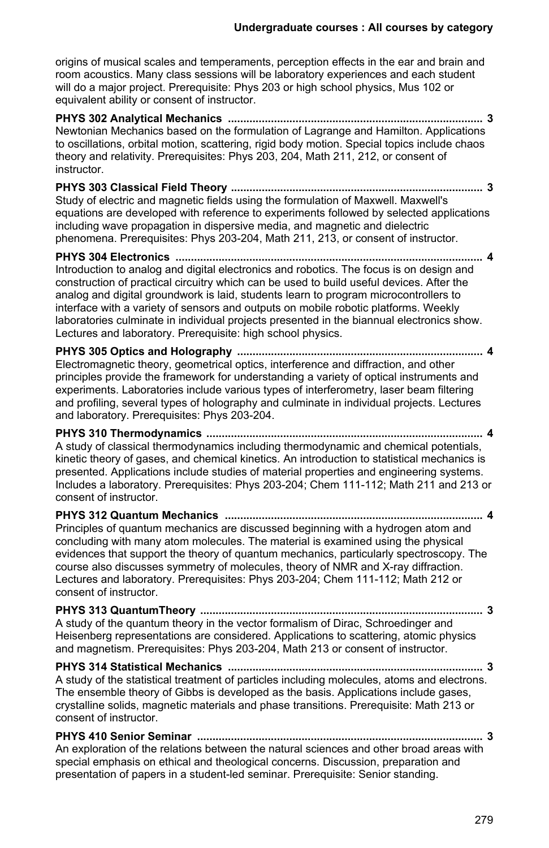origins of musical scales and temperaments, perception effects in the ear and brain and room acoustics. Many class sessions will be laboratory experiences and each student will do a major project. Prerequisite: Phys 203 or high school physics, Mus 102 or equivalent ability or consent of instructor.

**PHYS 302 Analytical Mechanics ................................................................................... 3** Newtonian Mechanics based on the formulation of Lagrange and Hamilton. Applications to oscillations, orbital motion, scattering, rigid body motion. Special topics include chaos theory and relativity. Prerequisites: Phys 203, 204, Math 211, 212, or consent of instructor.

**PHYS 303 Classical Field Theory .................................................................................. 3** Study of electric and magnetic fields using the formulation of Maxwell. Maxwell's equations are developed with reference to experiments followed by selected applications including wave propagation in dispersive media, and magnetic and dielectric phenomena. Prerequisites: Phys 203-204, Math 211, 213, or consent of instructor.

**PHYS 304 Electronics .................................................................................................... 4** Introduction to analog and digital electronics and robotics. The focus is on design and construction of practical circuitry which can be used to build useful devices. After the analog and digital groundwork is laid, students learn to program microcontrollers to interface with a variety of sensors and outputs on mobile robotic platforms. Weekly laboratories culminate in individual projects presented in the biannual electronics show. Lectures and laboratory. Prerequisite: high school physics.

**PHYS 305 Optics and Holography ................................................................................ 4** Electromagnetic theory, geometrical optics, interference and diffraction, and other principles provide the framework for understanding a variety of optical instruments and experiments. Laboratories include various types of interferometry, laser beam filtering and profiling, several types of holography and culminate in individual projects. Lectures and laboratory. Prerequisites: Phys 203-204.

**PHYS 310 Thermodynamics .......................................................................................... 4** A study of classical thermodynamics including thermodynamic and chemical potentials, kinetic theory of gases, and chemical kinetics. An introduction to statistical mechanics is presented. Applications include studies of material properties and engineering systems. Includes a laboratory. Prerequisites: Phys 203-204; Chem 111-112; Math 211 and 213 or consent of instructor.

**PHYS 312 Quantum Mechanics .................................................................................... 4** Principles of quantum mechanics are discussed beginning with a hydrogen atom and concluding with many atom molecules. The material is examined using the physical evidences that support the theory of quantum mechanics, particularly spectroscopy. The course also discusses symmetry of molecules, theory of NMR and X-ray diffraction. Lectures and laboratory. Prerequisites: Phys 203-204; Chem 111-112; Math 212 or consent of instructor.

**PHYS 313 QuantumTheory ............................................................................................ 3** A study of the quantum theory in the vector formalism of Dirac, Schroedinger and Heisenberg representations are considered. Applications to scattering, atomic physics and magnetism. Prerequisites: Phys 203-204, Math 213 or consent of instructor.

**PHYS 314 Statistical Mechanics ................................................................................... 3** A study of the statistical treatment of particles including molecules, atoms and electrons. The ensemble theory of Gibbs is developed as the basis. Applications include gases, crystalline solids, magnetic materials and phase transitions. Prerequisite: Math 213 or consent of instructor.

**PHYS 410 Senior Seminar ............................................................................................. 3** An exploration of the relations between the natural sciences and other broad areas with

special emphasis on ethical and theological concerns. Discussion, preparation and presentation of papers in a student-led seminar. Prerequisite: Senior standing.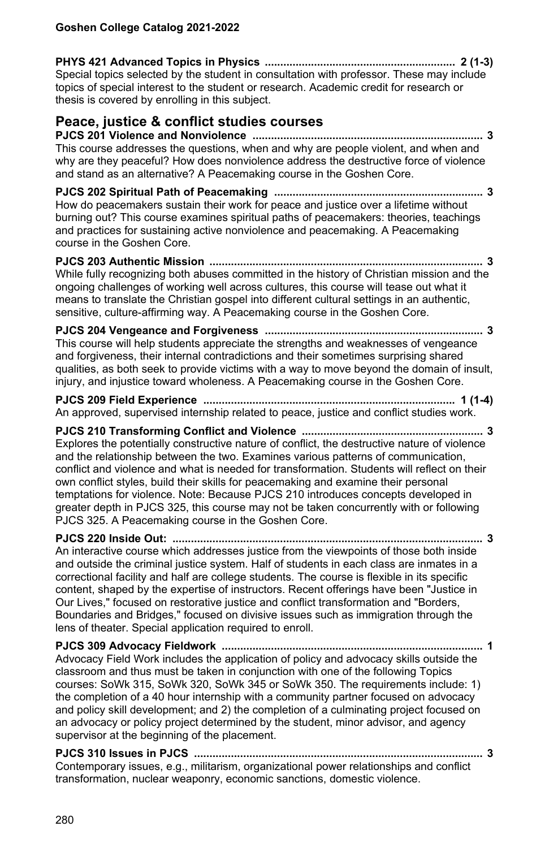**PHYS 421 Advanced Topics in Physics .............................................................. 2 (1-3)** Special topics selected by the student in consultation with professor. These may include topics of special interest to the student or research. Academic credit for research or thesis is covered by enrolling in this subject.

## **Peace, justice & conflict studies courses**

**PJCS 201 Violence and Nonviolence ........................................................................... 3** This course addresses the questions, when and why are people violent, and when and why are they peaceful? How does nonviolence address the destructive force of violence and stand as an alternative? A Peacemaking course in the Goshen Core.

**PJCS 202 Spiritual Path of Peacemaking .................................................................... 3** How do peacemakers sustain their work for peace and justice over a lifetime without burning out? This course examines spiritual paths of peacemakers: theories, teachings and practices for sustaining active nonviolence and peacemaking. A Peacemaking course in the Goshen Core.

**PJCS 203 Authentic Mission ......................................................................................... 3** While fully recognizing both abuses committed in the history of Christian mission and the ongoing challenges of working well across cultures, this course will tease out what it means to translate the Christian gospel into different cultural settings in an authentic, sensitive, culture-affirming way. A Peacemaking course in the Goshen Core.

**PJCS 204 Vengeance and Forgiveness ....................................................................... 3** This course will help students appreciate the strengths and weaknesses of vengeance and forgiveness, their internal contradictions and their sometimes surprising shared qualities, as both seek to provide victims with a way to move beyond the domain of insult, injury, and injustice toward wholeness. A Peacemaking course in the Goshen Core.

**PJCS 209 Field Experience .................................................................................. 1 (1-4)** An approved, supervised internship related to peace, justice and conflict studies work.

**PJCS 210 Transforming Conflict and Violence ........................................................... 3** Explores the potentially constructive nature of conflict, the destructive nature of violence and the relationship between the two. Examines various patterns of communication, conflict and violence and what is needed for transformation. Students will reflect on their own conflict styles, build their skills for peacemaking and examine their personal temptations for violence. Note: Because PJCS 210 introduces concepts developed in greater depth in PJCS 325, this course may not be taken concurrently with or following PJCS 325. A Peacemaking course in the Goshen Core.

**PJCS 220 Inside Out: ..................................................................................................... 3** An interactive course which addresses justice from the viewpoints of those both inside and outside the criminal justice system. Half of students in each class are inmates in a correctional facility and half are college students. The course is flexible in its specific content, shaped by the expertise of instructors. Recent offerings have been "Justice in Our Lives," focused on restorative justice and conflict transformation and "Borders, Boundaries and Bridges," focused on divisive issues such as immigration through the lens of theater. Special application required to enroll.

**PJCS 309 Advocacy Fieldwork ..................................................................................... 1** Advocacy Field Work includes the application of policy and advocacy skills outside the classroom and thus must be taken in conjunction with one of the following Topics courses: SoWk 315, SoWk 320, SoWk 345 or SoWk 350. The requirements include: 1) the completion of a 40 hour internship with a community partner focused on advocacy and policy skill development; and 2) the completion of a culminating project focused on an advocacy or policy project determined by the student, minor advisor, and agency supervisor at the beginning of the placement.

**PJCS 310 Issues in PJCS .............................................................................................. 3** Contemporary issues, e.g., militarism, organizational power relationships and conflict transformation, nuclear weaponry, economic sanctions, domestic violence.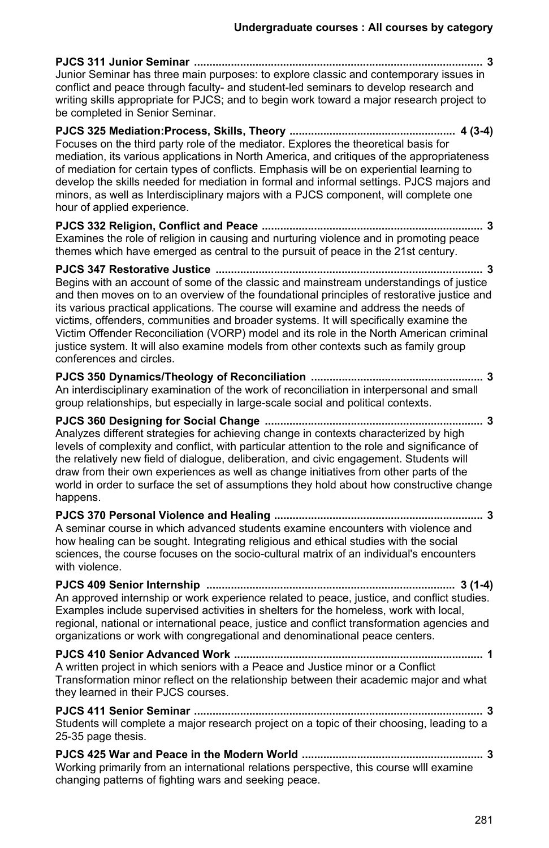| Junior Seminar has three main purposes: to explore classic and contemporary issues in<br>conflict and peace through faculty- and student-led seminars to develop research and<br>writing skills appropriate for PJCS; and to begin work toward a major research project to<br>be completed in Senior Seminar.                                                                                                                                                                                                                                                                        |
|--------------------------------------------------------------------------------------------------------------------------------------------------------------------------------------------------------------------------------------------------------------------------------------------------------------------------------------------------------------------------------------------------------------------------------------------------------------------------------------------------------------------------------------------------------------------------------------|
| Focuses on the third party role of the mediator. Explores the theoretical basis for<br>mediation, its various applications in North America, and critiques of the appropriateness<br>of mediation for certain types of conflicts. Emphasis will be on experiential learning to<br>develop the skills needed for mediation in formal and informal settings. PJCS majors and<br>minors, as well as Interdisciplinary majors with a PJCS component, will complete one<br>hour of applied experience.                                                                                    |
| Examines the role of religion in causing and nurturing violence and in promoting peace<br>themes which have emerged as central to the pursuit of peace in the 21st century.                                                                                                                                                                                                                                                                                                                                                                                                          |
| Begins with an account of some of the classic and mainstream understandings of justice<br>and then moves on to an overview of the foundational principles of restorative justice and<br>its various practical applications. The course will examine and address the needs of<br>victims, offenders, communities and broader systems. It will specifically examine the<br>Victim Offender Reconciliation (VORP) model and its role in the North American criminal<br>justice system. It will also examine models from other contexts such as family group<br>conferences and circles. |
| An interdisciplinary examination of the work of reconciliation in interpersonal and small<br>group relationships, but especially in large-scale social and political contexts.                                                                                                                                                                                                                                                                                                                                                                                                       |
| Analyzes different strategies for achieving change in contexts characterized by high<br>levels of complexity and conflict, with particular attention to the role and significance of<br>the relatively new field of dialogue, deliberation, and civic engagement. Students will<br>draw from their own experiences as well as change initiatives from other parts of the<br>world in order to surface the set of assumptions they hold about how constructive change<br>happens.                                                                                                     |
| A seminar course in which advanced students examine encounters with violence and<br>how healing can be sought. Integrating religious and ethical studies with the social<br>sciences, the course focuses on the socio-cultural matrix of an individual's encounters<br>with violence.                                                                                                                                                                                                                                                                                                |
| An approved internship or work experience related to peace, justice, and conflict studies.<br>Examples include supervised activities in shelters for the homeless, work with local,<br>regional, national or international peace, justice and conflict transformation agencies and<br>organizations or work with congregational and denominational peace centers.                                                                                                                                                                                                                    |
| A written project in which seniors with a Peace and Justice minor or a Conflict<br>Transformation minor reflect on the relationship between their academic major and what<br>they learned in their PJCS courses.                                                                                                                                                                                                                                                                                                                                                                     |
| Students will complete a major research project on a topic of their choosing, leading to a<br>25-35 page thesis.                                                                                                                                                                                                                                                                                                                                                                                                                                                                     |
| Working primarily from an international relations perspective, this course will examine<br>changing patterns of fighting wars and seeking peace.                                                                                                                                                                                                                                                                                                                                                                                                                                     |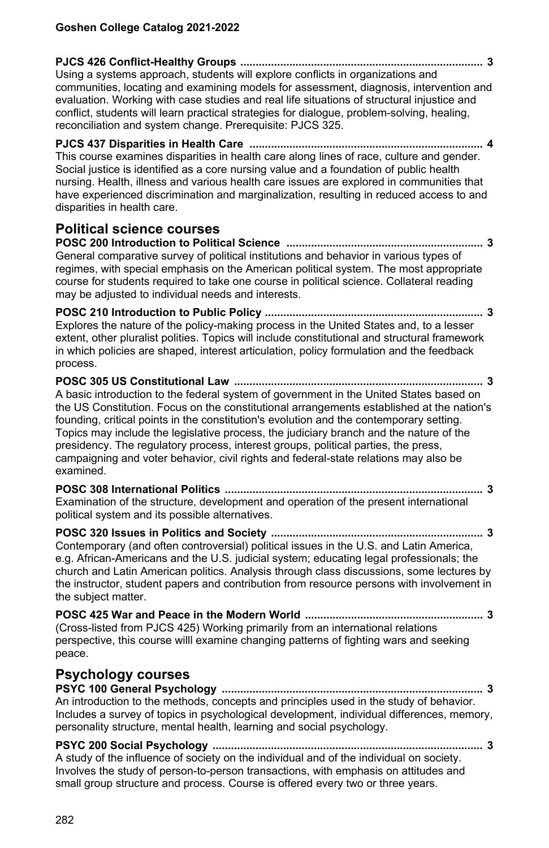| Using a systems approach, students will explore conflicts in organizations and<br>communities, locating and examining models for assessment, diagnosis, intervention and<br>evaluation. Working with case studies and real life situations of structural injustice and<br>conflict, students will learn practical strategies for dialogue, problem-solving, healing,<br>reconciliation and system change. Prerequisite: PJCS 325.                                                                                                                                   |
|---------------------------------------------------------------------------------------------------------------------------------------------------------------------------------------------------------------------------------------------------------------------------------------------------------------------------------------------------------------------------------------------------------------------------------------------------------------------------------------------------------------------------------------------------------------------|
| . 4<br>This course examines disparities in health care along lines of race, culture and gender.<br>Social justice is identified as a core nursing value and a foundation of public health<br>nursing. Health, illness and various health care issues are explored in communities that<br>have experienced discrimination and marginalization, resulting in reduced access to and<br>disparities in health care.                                                                                                                                                     |
| <b>Political science courses</b><br>General comparative survey of political institutions and behavior in various types of<br>regimes, with special emphasis on the American political system. The most appropriate<br>course for students required to take one course in political science. Collateral reading<br>may be adjusted to individual needs and interests.                                                                                                                                                                                                |
| Explores the nature of the policy-making process in the United States and, to a lesser<br>extent, other pluralist polities. Topics will include constitutional and structural framework<br>in which policies are shaped, interest articulation, policy formulation and the feedback<br>process.                                                                                                                                                                                                                                                                     |
| A basic introduction to the federal system of government in the United States based on<br>the US Constitution. Focus on the constitutional arrangements established at the nation's<br>founding, critical points in the constitution's evolution and the contemporary setting.<br>Topics may include the legislative process, the judiciary branch and the nature of the<br>presidency. The regulatory process, interest groups, political parties, the press,<br>campaigning and voter behavior, civil rights and federal-state relations may also be<br>examined. |
| Examination of the structure, development and operation of the present international<br>political system and its possible alternatives.                                                                                                                                                                                                                                                                                                                                                                                                                             |
| Contemporary (and often controversial) political issues in the U.S. and Latin America,<br>e.g. African-Americans and the U.S. judicial system; educating legal professionals; the<br>church and Latin American politics. Analysis through class discussions, some lectures by<br>the instructor, student papers and contribution from resource persons with involvement in<br>the subject matter.                                                                                                                                                                   |
| (Cross-listed from PJCS 425) Working primarily from an international relations<br>perspective, this course willl examine changing patterns of fighting wars and seeking<br>peace.                                                                                                                                                                                                                                                                                                                                                                                   |
| <b>Psychology courses</b><br>An introduction to the methods, concepts and principles used in the study of behavior.<br>Includes a survey of topics in psychological development, individual differences, memory,<br>personality structure, mental health, learning and social psychology.                                                                                                                                                                                                                                                                           |
| أسرعت سأسر والمردوان والمرسوق سرطة كرسر المسترسل والمردوان والمسترد بمسافرها                                                                                                                                                                                                                                                                                                                                                                                                                                                                                        |

A study of the influence of society on the individual and of the individual on society. Involves the study of person-to-person transactions, with emphasis on attitudes and small group structure and process. Course is offered every two or three years.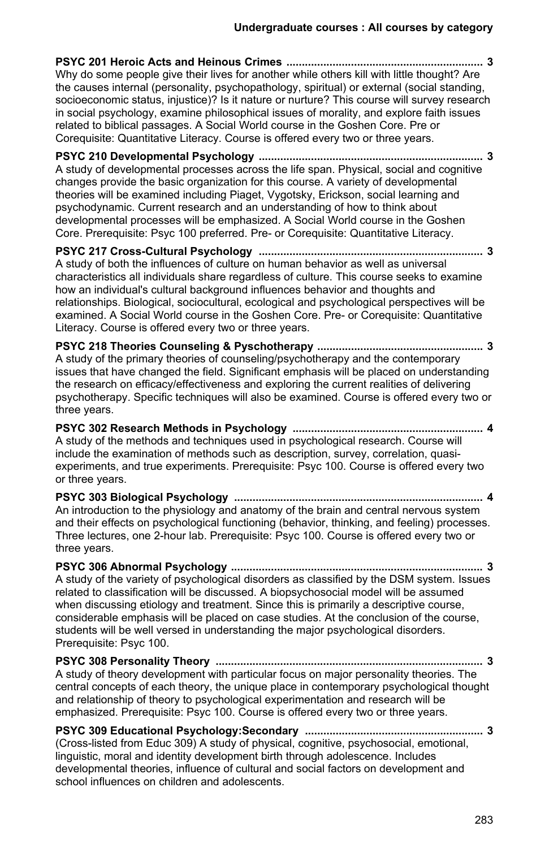**PSYC 201 Heroic Acts and Heinous Crimes ................................................................ 3** Why do some people give their lives for another while others kill with little thought? Are the causes internal (personality, psychopathology, spiritual) or external (social standing, socioeconomic status, injustice)? Is it nature or nurture? This course will survey research in social psychology, examine philosophical issues of morality, and explore faith issues related to biblical passages. A Social World course in the Goshen Core. Pre or Corequisite: Quantitative Literacy. Course is offered every two or three years.

**PSYC 210 Developmental Psychology ......................................................................... 3** A study of developmental processes across the life span. Physical, social and cognitive changes provide the basic organization for this course. A variety of developmental theories will be examined including Piaget, Vygotsky, Erickson, social learning and psychodynamic. Current research and an understanding of how to think about developmental processes will be emphasized. A Social World course in the Goshen Core. Prerequisite: Psyc 100 preferred. Pre- or Corequisite: Quantitative Literacy.

**PSYC 217 Cross-Cultural Psychology ......................................................................... 3** A study of both the influences of culture on human behavior as well as universal characteristics all individuals share regardless of culture. This course seeks to examine how an individual's cultural background influences behavior and thoughts and relationships. Biological, sociocultural, ecological and psychological perspectives will be examined. A Social World course in the Goshen Core. Pre- or Corequisite: Quantitative Literacy. Course is offered every two or three years.

**PSYC 218 Theories Counseling & Pyschotherapy ...................................................... 3** A study of the primary theories of counseling/psychotherapy and the contemporary issues that have changed the field. Significant emphasis will be placed on understanding the research on efficacy/effectiveness and exploring the current realities of delivering psychotherapy. Specific techniques will also be examined. Course is offered every two or three years.

**PSYC 302 Research Methods in Psychology .............................................................. 4** A study of the methods and techniques used in psychological research. Course will include the examination of methods such as description, survey, correlation, quasiexperiments, and true experiments. Prerequisite: Psyc 100. Course is offered every two or three years.

**PSYC 303 Biological Psychology ................................................................................. 4** An introduction to the physiology and anatomy of the brain and central nervous system and their effects on psychological functioning (behavior, thinking, and feeling) processes. Three lectures, one 2-hour lab. Prerequisite: Psyc 100. Course is offered every two or three years.

**PSYC 306 Abnormal Psychology .................................................................................. 3** A study of the variety of psychological disorders as classified by the DSM system. Issues related to classification will be discussed. A biopsychosocial model will be assumed when discussing etiology and treatment. Since this is primarily a descriptive course, considerable emphasis will be placed on case studies. At the conclusion of the course, students will be well versed in understanding the major psychological disorders. Prerequisite: Psyc 100.

**PSYC 308 Personality Theory ....................................................................................... 3** A study of theory development with particular focus on major personality theories. The central concepts of each theory, the unique place in contemporary psychological thought and relationship of theory to psychological experimentation and research will be emphasized. Prerequisite: Psyc 100. Course is offered every two or three years.

**PSYC 309 Educational Psychology:Secondary .......................................................... 3** (Cross-listed from Educ 309) A study of physical, cognitive, psychosocial, emotional, linguistic, moral and identity development birth through adolescence. Includes developmental theories, influence of cultural and social factors on development and school influences on children and adolescents.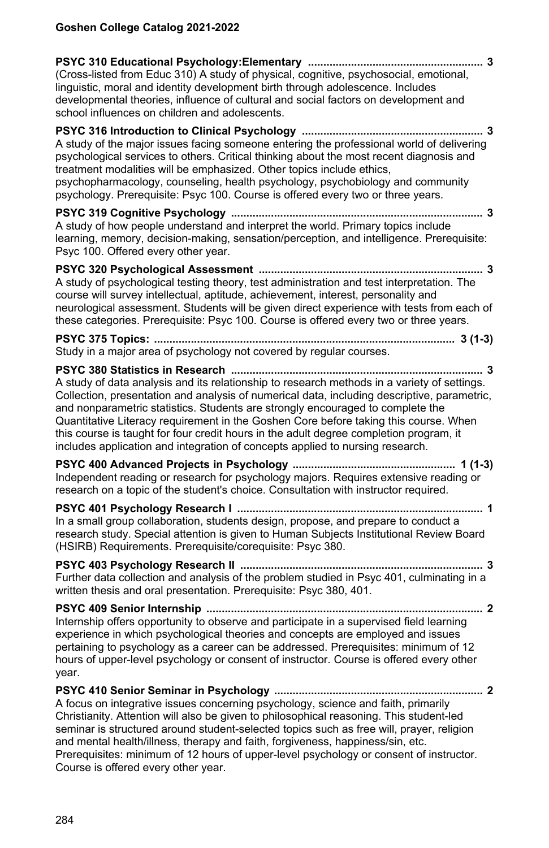| (Cross-listed from Educ 310) A study of physical, cognitive, psychosocial, emotional,<br>linguistic, moral and identity development birth through adolescence. Includes<br>developmental theories, influence of cultural and social factors on development and<br>school influences on children and adolescents.                                                                                                                                                                                                                                |  |
|-------------------------------------------------------------------------------------------------------------------------------------------------------------------------------------------------------------------------------------------------------------------------------------------------------------------------------------------------------------------------------------------------------------------------------------------------------------------------------------------------------------------------------------------------|--|
| A study of the major issues facing someone entering the professional world of delivering<br>psychological services to others. Critical thinking about the most recent diagnosis and<br>treatment modalities will be emphasized. Other topics include ethics,<br>psychopharmacology, counseling, health psychology, psychobiology and community<br>psychology. Prerequisite: Psyc 100. Course is offered every two or three years.                                                                                                               |  |
| A study of how people understand and interpret the world. Primary topics include<br>learning, memory, decision-making, sensation/perception, and intelligence. Prerequisite:<br>Psyc 100. Offered every other year.                                                                                                                                                                                                                                                                                                                             |  |
| A study of psychological testing theory, test administration and test interpretation. The<br>course will survey intellectual, aptitude, achievement, interest, personality and<br>neurological assessment. Students will be given direct experience with tests from each of<br>these categories. Prerequisite: Psyc 100. Course is offered every two or three years.                                                                                                                                                                            |  |
| Study in a major area of psychology not covered by regular courses.                                                                                                                                                                                                                                                                                                                                                                                                                                                                             |  |
| A study of data analysis and its relationship to research methods in a variety of settings.<br>Collection, presentation and analysis of numerical data, including descriptive, parametric,<br>and nonparametric statistics. Students are strongly encouraged to complete the<br>Quantitative Literacy requirement in the Goshen Core before taking this course. When<br>this course is taught for four credit hours in the adult degree completion program, it<br>includes application and integration of concepts applied to nursing research. |  |
| Independent reading or research for psychology majors. Requires extensive reading or<br>research on a topic of the student's choice. Consultation with instructor required.                                                                                                                                                                                                                                                                                                                                                                     |  |
| In a small group collaboration, students design, propose, and prepare to conduct a<br>research study. Special attention is given to Human Subjects Institutional Review Board<br>(HSIRB) Requirements. Prerequisite/corequisite: Psyc 380.                                                                                                                                                                                                                                                                                                      |  |
| Further data collection and analysis of the problem studied in Psyc 401, culminating in a<br>written thesis and oral presentation. Prerequisite: Psyc 380, 401.                                                                                                                                                                                                                                                                                                                                                                                 |  |
| Internship offers opportunity to observe and participate in a supervised field learning<br>experience in which psychological theories and concepts are employed and issues<br>pertaining to psychology as a career can be addressed. Prerequisites: minimum of 12<br>hours of upper-level psychology or consent of instructor. Course is offered every other<br>year.                                                                                                                                                                           |  |
| A focus on integrative issues concerning psychology, science and faith, primarily<br>Christianity. Attention will also be given to philosophical reasoning. This student-led<br>seminar is structured around student-selected topics such as free will, prayer, religion<br>and mental health/illness, therapy and faith, forgiveness, happiness/sin, etc.<br>Prerequisites: minimum of 12 hours of upper-level psychology or consent of instructor.<br>Course is offered every other year.                                                     |  |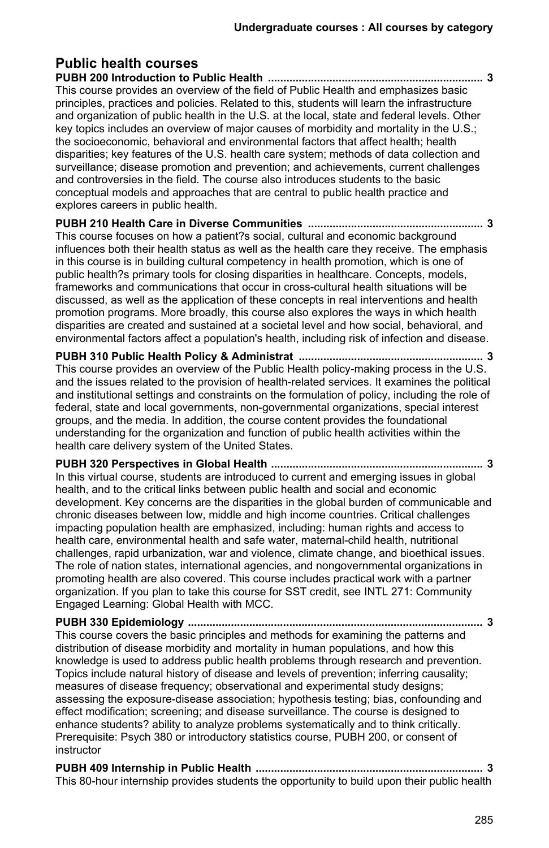#### **Public health courses PUBH 200 Introduction to Public Health ...................................................................... 3** This course provides an overview of the field of Public Health and emphasizes basic principles, practices and policies. Related to this, students will learn the infrastructure and organization of public health in the U.S. at the local, state and federal levels. Other key topics includes an overview of major causes of morbidity and mortality in the U.S.; the socioeconomic, behavioral and environmental factors that affect health; health disparities; key features of the U.S. health care system; methods of data collection and surveillance; disease promotion and prevention; and achievements, current challenges and controversies in the field. The course also introduces students to the basic conceptual models and approaches that are central to public health practice and explores careers in public health. **PUBH 210 Health Care in Diverse Communities ......................................................... 3** This course focuses on how a patient?s social, cultural and economic background influences both their health status as well as the health care they receive. The emphasis in this course is in building cultural competency in health promotion, which is one of public health?s primary tools for closing disparities in healthcare. Concepts, models, frameworks and communications that occur in cross-cultural health situations will be discussed, as well as the application of these concepts in real interventions and health promotion programs. More broadly, this course also explores the ways in which health disparities are created and sustained at a societal level and how social, behavioral, and environmental factors affect a population's health, including risk of infection and disease. **PUBH 310 Public Health Policy & Administrat ............................................................ 3** This course provides an overview of the Public Health policy-making process in the U.S. and the issues related to the provision of health-related services. It examines the political and institutional settings and constraints on the formulation of policy, including the role of federal, state and local governments, non-governmental organizations, special interest groups, and the media. In addition, the course content provides the foundational understanding for the organization and function of public health activities within the health care delivery system of the United States. **PUBH 320 Perspectives in Global Health ..................................................................... 3** In this virtual course, students are introduced to current and emerging issues in global health, and to the critical links between public health and social and economic development. Key concerns are the disparities in the global burden of communicable and chronic diseases between low, middle and high income countries. Critical challenges impacting population health are emphasized, including: human rights and access to health care, environmental health and safe water, maternal-child health, nutritional challenges, rapid urbanization, war and violence, climate change, and bioethical issues. The role of nation states, international agencies, and nongovernmental organizations in promoting health are also covered. This course includes practical work with a partner organization. If you plan to take this course for SST credit, see INTL 271: Community Engaged Learning: Global Health with MCC. **PUBH 330 Epidemiology ................................................................................................ 3** This course covers the basic principles and methods for examining the patterns and distribution of disease morbidity and mortality in human populations, and how this knowledge is used to address public health problems through research and prevention. Topics include natural history of disease and levels of prevention; inferring causality; measures of disease frequency; observational and experimental study designs; assessing the exposure-disease association; hypothesis testing; bias, confounding and

effect modification; screening; and disease surveillance. The course is designed to enhance students? ability to analyze problems systematically and to think critically. Prerequisite: Psych 380 or introductory statistics course, PUBH 200, or consent of instructor

| This 80-hour internship provides students the opportunity to build upon their public health |  |
|---------------------------------------------------------------------------------------------|--|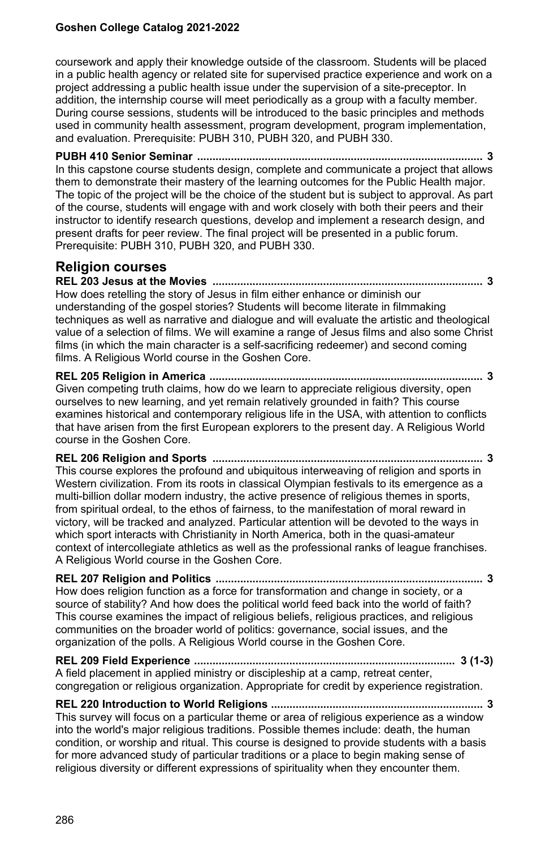coursework and apply their knowledge outside of the classroom. Students will be placed in a public health agency or related site for supervised practice experience and work on a project addressing a public health issue under the supervision of a site-preceptor. In addition, the internship course will meet periodically as a group with a faculty member. During course sessions, students will be introduced to the basic principles and methods used in community health assessment, program development, program implementation, and evaluation. Prerequisite: PUBH 310, PUBH 320, and PUBH 330.

**PUBH 410 Senior Seminar ............................................................................................. 3** In this capstone course students design, complete and communicate a project that allows them to demonstrate their mastery of the learning outcomes for the Public Health major. The topic of the project will be the choice of the student but is subject to approval. As part of the course, students will engage with and work closely with both their peers and their instructor to identify research questions, develop and implement a research design, and present drafts for peer review. The final project will be presented in a public forum. Prerequisite: PUBH 310, PUBH 320, and PUBH 330.

## **Religion courses**

**REL 203 Jesus at the Movies ........................................................................................ 3** How does retelling the story of Jesus in film either enhance or diminish our understanding of the gospel stories? Students will become literate in filmmaking techniques as well as narrative and dialogue and will evaluate the artistic and theological value of a selection of films. We will examine a range of Jesus films and also some Christ films (in which the main character is a self-sacrificing redeemer) and second coming films. A Religious World course in the Goshen Core.

**REL 205 Religion in America ......................................................................................... 3** Given competing truth claims, how do we learn to appreciate religious diversity, open ourselves to new learning, and yet remain relatively grounded in faith? This course examines historical and contemporary religious life in the USA, with attention to conflicts that have arisen from the first European explorers to the present day. A Religious World course in the Goshen Core.

**REL 206 Religion and Sports ........................................................................................ 3** This course explores the profound and ubiquitous interweaving of religion and sports in Western civilization. From its roots in classical Olympian festivals to its emergence as a multi-billion dollar modern industry, the active presence of religious themes in sports, from spiritual ordeal, to the ethos of fairness, to the manifestation of moral reward in victory, will be tracked and analyzed. Particular attention will be devoted to the ways in which sport interacts with Christianity in North America, both in the quasi-amateur context of intercollegiate athletics as well as the professional ranks of league franchises. A Religious World course in the Goshen Core.

**REL 207 Religion and Politics ....................................................................................... 3** How does religion function as a force for transformation and change in society, or a source of stability? And how does the political world feed back into the world of faith? This course examines the impact of religious beliefs, religious practices, and religious communities on the broader world of politics: governance, social issues, and the organization of the polls. A Religious World course in the Goshen Core.

**REL 209 Field Experience ..................................................................................... 3 (1-3)** A field placement in applied ministry or discipleship at a camp, retreat center, congregation or religious organization. Appropriate for credit by experience registration.

**REL 220 Introduction to World Religions ..................................................................... 3**

This survey will focus on a particular theme or area of religious experience as a window into the world's major religious traditions. Possible themes include: death, the human condition, or worship and ritual. This course is designed to provide students with a basis for more advanced study of particular traditions or a place to begin making sense of religious diversity or different expressions of spirituality when they encounter them.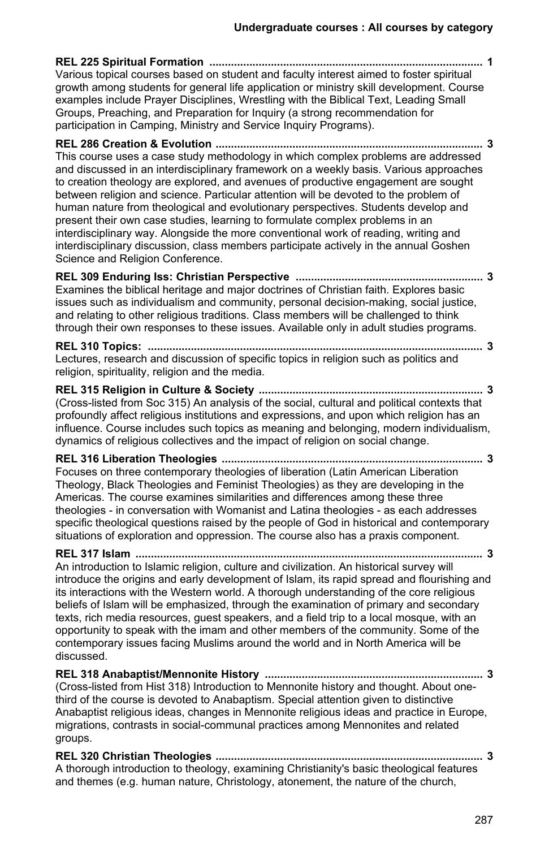| Various topical courses based on student and faculty interest aimed to foster spiritual<br>growth among students for general life application or ministry skill development. Course<br>examples include Prayer Disciplines, Wrestling with the Biblical Text, Leading Small<br>Groups, Preaching, and Preparation for Inquiry (a strong recommendation for                                                                                                                                                                                                                                                                                                                                                                                        |  |
|---------------------------------------------------------------------------------------------------------------------------------------------------------------------------------------------------------------------------------------------------------------------------------------------------------------------------------------------------------------------------------------------------------------------------------------------------------------------------------------------------------------------------------------------------------------------------------------------------------------------------------------------------------------------------------------------------------------------------------------------------|--|
| participation in Camping, Ministry and Service Inquiry Programs).                                                                                                                                                                                                                                                                                                                                                                                                                                                                                                                                                                                                                                                                                 |  |
| This course uses a case study methodology in which complex problems are addressed<br>and discussed in an interdisciplinary framework on a weekly basis. Various approaches<br>to creation theology are explored, and avenues of productive engagement are sought<br>between religion and science. Particular attention will be devoted to the problem of<br>human nature from theological and evolutionary perspectives. Students develop and<br>present their own case studies, learning to formulate complex problems in an<br>interdisciplinary way. Alongside the more conventional work of reading, writing and<br>interdisciplinary discussion, class members participate actively in the annual Goshen<br>Science and Religion Conference. |  |
| Examines the biblical heritage and major doctrines of Christian faith. Explores basic<br>issues such as individualism and community, personal decision-making, social justice,<br>and relating to other religious traditions. Class members will be challenged to think<br>through their own responses to these issues. Available only in adult studies programs.                                                                                                                                                                                                                                                                                                                                                                                 |  |
| Lectures, research and discussion of specific topics in religion such as politics and<br>religion, spirituality, religion and the media.                                                                                                                                                                                                                                                                                                                                                                                                                                                                                                                                                                                                          |  |
| (Cross-listed from Soc 315) An analysis of the social, cultural and political contexts that<br>profoundly affect religious institutions and expressions, and upon which religion has an<br>influence. Course includes such topics as meaning and belonging, modern individualism,<br>dynamics of religious collectives and the impact of religion on social change.                                                                                                                                                                                                                                                                                                                                                                               |  |
| Focuses on three contemporary theologies of liberation (Latin American Liberation<br>Theology, Black Theologies and Feminist Theologies) as they are developing in the<br>Americas. The course examines similarities and differences among these three<br>theologies - in conversation with Womanist and Latina theologies - as each addresses<br>specific theological questions raised by the people of God in historical and contemporary<br>situations of exploration and oppression. The course also has a praxis component.                                                                                                                                                                                                                  |  |
| An introduction to Islamic religion, culture and civilization. An historical survey will<br>introduce the origins and early development of Islam, its rapid spread and flourishing and<br>its interactions with the Western world. A thorough understanding of the core religious<br>beliefs of Islam will be emphasized, through the examination of primary and secondary<br>texts, rich media resources, guest speakers, and a field trip to a local mosque, with an<br>opportunity to speak with the imam and other members of the community. Some of the<br>contemporary issues facing Muslims around the world and in North America will be<br>discussed.                                                                                    |  |
| REL 318 Anabaptist/Mennonite History<br>. 3<br>(Cross-listed from Hist 318) Introduction to Mennonite history and thought. About one-<br>third of the course is devoted to Anabaptism. Special attention given to distinctive<br>Anabaptist religious ideas, changes in Mennonite religious ideas and practice in Europe,<br>migrations, contrasts in social-communal practices among Mennonites and related<br>groups.                                                                                                                                                                                                                                                                                                                           |  |
| A thorough introduction to theology, examining Christianity's basic theological features<br>and themes (e.g. human nature, Christology, atonement, the nature of the church,                                                                                                                                                                                                                                                                                                                                                                                                                                                                                                                                                                      |  |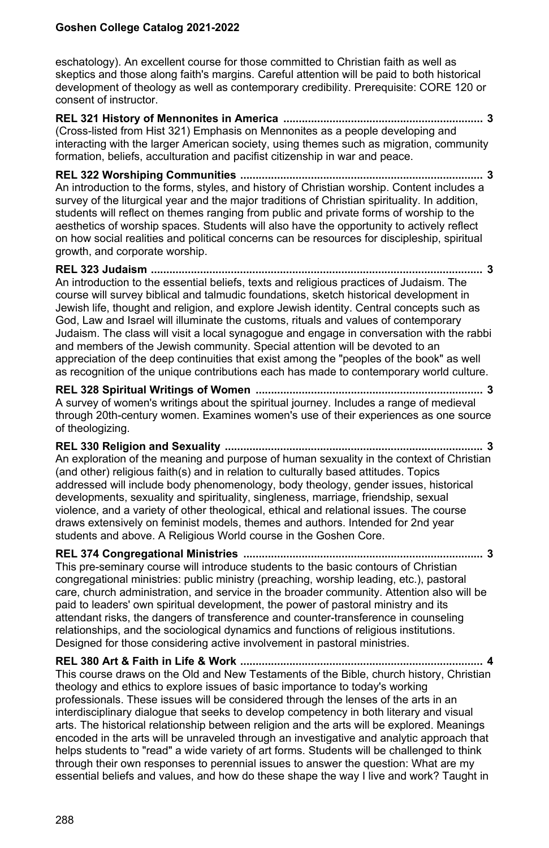eschatology). An excellent course for those committed to Christian faith as well as skeptics and those along faith's margins. Careful attention will be paid to both historical development of theology as well as contemporary credibility. Prerequisite: CORE 120 or consent of instructor.

**REL 321 History of Mennonites in America ................................................................. 3** (Cross-listed from Hist 321) Emphasis on Mennonites as a people developing and interacting with the larger American society, using themes such as migration, community formation, beliefs, acculturation and pacifist citizenship in war and peace.

**REL 322 Worshiping Communities ............................................................................... 3** An introduction to the forms, styles, and history of Christian worship. Content includes a survey of the liturgical year and the major traditions of Christian spirituality. In addition, students will reflect on themes ranging from public and private forms of worship to the aesthetics of worship spaces. Students will also have the opportunity to actively reflect on how social realities and political concerns can be resources for discipleship, spiritual growth, and corporate worship.

#### **REL 323 Judaism ............................................................................................................ 3** An introduction to the essential beliefs, texts and religious practices of Judaism. The course will survey biblical and talmudic foundations, sketch historical development in Jewish life, thought and religion, and explore Jewish identity. Central concepts such as God, Law and Israel will illuminate the customs, rituals and values of contemporary Judaism. The class will visit a local synagogue and engage in conversation with the rabbi and members of the Jewish community. Special attention will be devoted to an appreciation of the deep continuities that exist among the "peoples of the book" as well as recognition of the unique contributions each has made to contemporary world culture.

**REL 328 Spiritual Writings of Women .......................................................................... 3** A survey of women's writings about the spiritual journey. Includes a range of medieval through 20th-century women. Examines women's use of their experiences as one source of theologizing.

**REL 330 Religion and Sexuality .................................................................................... 3** An exploration of the meaning and purpose of human sexuality in the context of Christian (and other) religious faith(s) and in relation to culturally based attitudes. Topics addressed will include body phenomenology, body theology, gender issues, historical developments, sexuality and spirituality, singleness, marriage, friendship, sexual violence, and a variety of other theological, ethical and relational issues. The course draws extensively on feminist models, themes and authors. Intended for 2nd year students and above. A Religious World course in the Goshen Core.

**REL 374 Congregational Ministries .............................................................................. 3** This pre-seminary course will introduce students to the basic contours of Christian congregational ministries: public ministry (preaching, worship leading, etc.), pastoral care, church administration, and service in the broader community. Attention also will be paid to leaders' own spiritual development, the power of pastoral ministry and its attendant risks, the dangers of transference and counter-transference in counseling relationships, and the sociological dynamics and functions of religious institutions. Designed for those considering active involvement in pastoral ministries.

**REL 380 Art & Faith in Life & Work ............................................................................... 4** This course draws on the Old and New Testaments of the Bible, church history, Christian theology and ethics to explore issues of basic importance to today's working professionals. These issues will be considered through the lenses of the arts in an interdisciplinary dialogue that seeks to develop competency in both literary and visual arts. The historical relationship between religion and the arts will be explored. Meanings encoded in the arts will be unraveled through an investigative and analytic approach that helps students to "read" a wide variety of art forms. Students will be challenged to think through their own responses to perennial issues to answer the question: What are my essential beliefs and values, and how do these shape the way I live and work? Taught in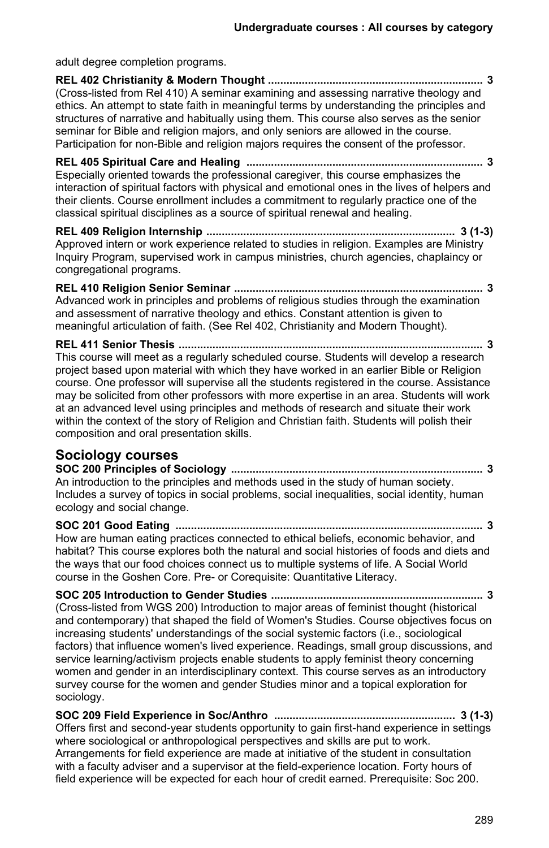adult degree completion programs. **REL 402 Christianity & Modern Thought ...................................................................... 3** (Cross-listed from Rel 410) A seminar examining and assessing narrative theology and ethics. An attempt to state faith in meaningful terms by understanding the principles and structures of narrative and habitually using them. This course also serves as the senior seminar for Bible and religion majors, and only seniors are allowed in the course. Participation for non-Bible and religion majors requires the consent of the professor. **REL 405 Spiritual Care and Healing ............................................................................. 3** Especially oriented towards the professional caregiver, this course emphasizes the interaction of spiritual factors with physical and emotional ones in the lives of helpers and their clients. Course enrollment includes a commitment to regularly practice one of the classical spiritual disciplines as a source of spiritual renewal and healing. **REL 409 Religion Internship ................................................................................. 3 (1-3)** Approved intern or work experience related to studies in religion. Examples are Ministry Inquiry Program, supervised work in campus ministries, church agencies, chaplaincy or

congregational programs.

**REL 410 Religion Senior Seminar ................................................................................. 3** Advanced work in principles and problems of religious studies through the examination and assessment of narrative theology and ethics. Constant attention is given to meaningful articulation of faith. (See Rel 402, Christianity and Modern Thought).

**REL 411 Senior Thesis ................................................................................................... 3** This course will meet as a regularly scheduled course. Students will develop a research project based upon material with which they have worked in an earlier Bible or Religion course. One professor will supervise all the students registered in the course. Assistance may be solicited from other professors with more expertise in an area. Students will work at an advanced level using principles and methods of research and situate their work within the context of the story of Religion and Christian faith. Students will polish their composition and oral presentation skills.

## **Sociology courses**

**SOC 200 Principles of Sociology .................................................................................. 3** An introduction to the principles and methods used in the study of human society. Includes a survey of topics in social problems, social inequalities, social identity, human ecology and social change.

**SOC 201 Good Eating .................................................................................................... 3** How are human eating practices connected to ethical beliefs, economic behavior, and habitat? This course explores both the natural and social histories of foods and diets and the ways that our food choices connect us to multiple systems of life. A Social World course in the Goshen Core. Pre- or Corequisite: Quantitative Literacy.

**SOC 205 Introduction to Gender Studies ..................................................................... 3** (Cross-listed from WGS 200) Introduction to major areas of feminist thought (historical and contemporary) that shaped the field of Women's Studies. Course objectives focus on increasing students' understandings of the social systemic factors (i.e., sociological factors) that influence women's lived experience. Readings, small group discussions, and service learning/activism projects enable students to apply feminist theory concerning women and gender in an interdisciplinary context. This course serves as an introductory survey course for the women and gender Studies minor and a topical exploration for sociology.

**SOC 209 Field Experience in Soc/Anthro ........................................................... 3 (1-3)** Offers first and second-year students opportunity to gain first-hand experience in settings where sociological or anthropological perspectives and skills are put to work. Arrangements for field experience are made at initiative of the student in consultation with a faculty adviser and a supervisor at the field-experience location. Forty hours of field experience will be expected for each hour of credit earned. Prerequisite: Soc 200.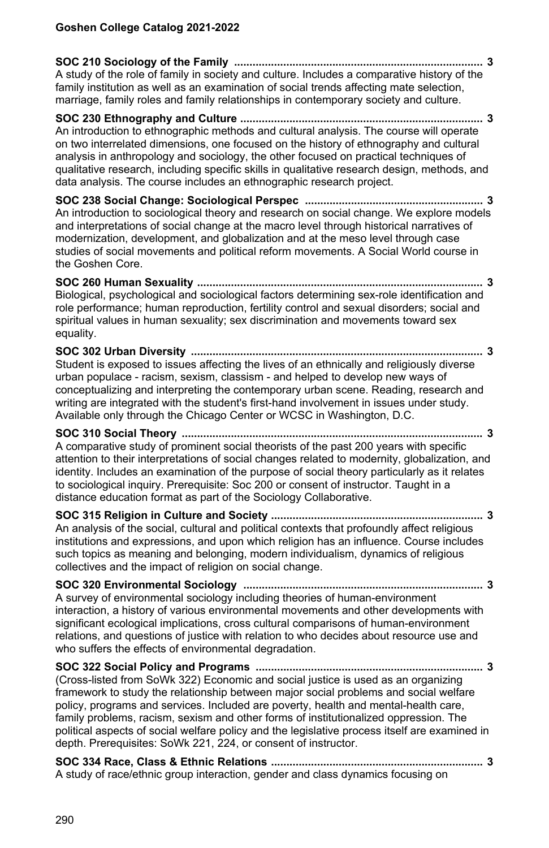**SOC 210 Sociology of the Family ................................................................................. 3** A study of the role of family in society and culture. Includes a comparative history of the family institution as well as an examination of social trends affecting mate selection, marriage, family roles and family relationships in contemporary society and culture. **SOC 230 Ethnography and Culture ............................................................................... 3** An introduction to ethnographic methods and cultural analysis. The course will operate on two interrelated dimensions, one focused on the history of ethnography and cultural analysis in anthropology and sociology, the other focused on practical techniques of qualitative research, including specific skills in qualitative research design, methods, and data analysis. The course includes an ethnographic research project. **SOC 238 Social Change: Sociological Perspec .......................................................... 3** An introduction to sociological theory and research on social change. We explore models and interpretations of social change at the macro level through historical narratives of modernization, development, and globalization and at the meso level through case studies of social movements and political reform movements. A Social World course in the Goshen Core. **SOC 260 Human Sexuality ............................................................................................. 3** Biological, psychological and sociological factors determining sex-role identification and role performance; human reproduction, fertility control and sexual disorders; social and spiritual values in human sexuality; sex discrimination and movements toward sex equality. **SOC 302 Urban Diversity ............................................................................................... 3** Student is exposed to issues affecting the lives of an ethnically and religiously diverse urban populace - racism, sexism, classism - and helped to develop new ways of conceptualizing and interpreting the contemporary urban scene. Reading, research and writing are integrated with the student's first-hand involvement in issues under study. Available only through the Chicago Center or WCSC in Washington, D.C. **SOC 310 Social Theory .................................................................................................. 3** A comparative study of prominent social theorists of the past 200 years with specific attention to their interpretations of social changes related to modernity, globalization, and identity. Includes an examination of the purpose of social theory particularly as it relates to sociological inquiry. Prerequisite: Soc 200 or consent of instructor. Taught in a distance education format as part of the Sociology Collaborative. **SOC 315 Religion in Culture and Society ..................................................................... 3** An analysis of the social, cultural and political contexts that profoundly affect religious institutions and expressions, and upon which religion has an influence. Course includes such topics as meaning and belonging, modern individualism, dynamics of religious collectives and the impact of religion on social change. **SOC 320 Environmental Sociology .............................................................................. 3** A survey of environmental sociology including theories of human-environment interaction, a history of various environmental movements and other developments with significant ecological implications, cross cultural comparisons of human-environment relations, and questions of justice with relation to who decides about resource use and who suffers the effects of environmental degradation. **SOC 322 Social Policy and Programs .......................................................................... 3** (Cross-listed from SoWk 322) Economic and social justice is used as an organizing framework to study the relationship between major social problems and social welfare policy, programs and services. Included are poverty, health and mental-health care, family problems, racism, sexism and other forms of institutionalized oppression. The political aspects of social welfare policy and the legislative process itself are examined in depth. Prerequisites: SoWk 221, 224, or consent of instructor. **SOC 334 Race, Class & Ethnic Relations ..................................................................... 3** A study of race/ethnic group interaction, gender and class dynamics focusing on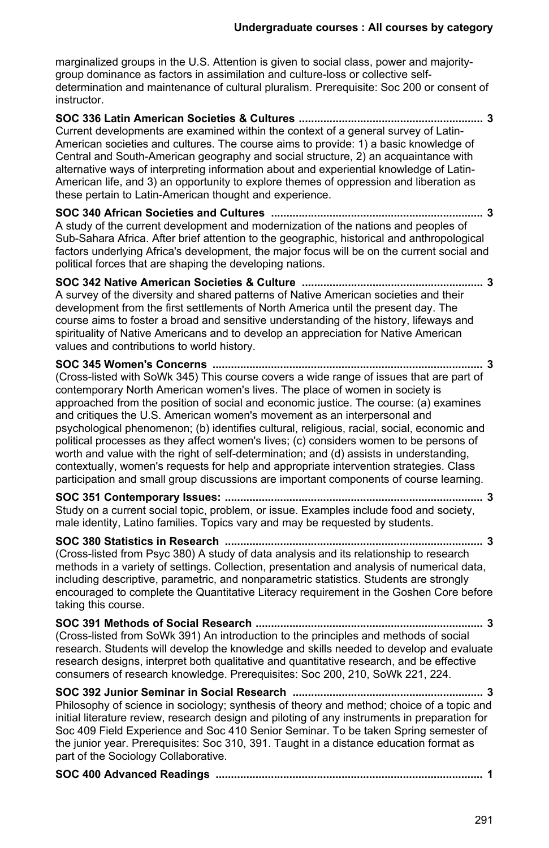marginalized groups in the U.S. Attention is given to social class, power and majoritygroup dominance as factors in assimilation and culture-loss or collective selfdetermination and maintenance of cultural pluralism. Prerequisite: Soc 200 or consent of instructor.

**SOC 336 Latin American Societies & Cultures ............................................................ 3** Current developments are examined within the context of a general survey of Latin-American societies and cultures. The course aims to provide: 1) a basic knowledge of Central and South-American geography and social structure, 2) an acquaintance with alternative ways of interpreting information about and experiential knowledge of Latin-American life, and 3) an opportunity to explore themes of oppression and liberation as these pertain to Latin-American thought and experience.

**SOC 340 African Societies and Cultures ..................................................................... 3** A study of the current development and modernization of the nations and peoples of Sub-Sahara Africa. After brief attention to the geographic, historical and anthropological factors underlying Africa's development, the major focus will be on the current social and political forces that are shaping the developing nations.

**SOC 342 Native American Societies & Culture ........................................................... 3** A survey of the diversity and shared patterns of Native American societies and their development from the first settlements of North America until the present day. The course aims to foster a broad and sensitive understanding of the history, lifeways and spirituality of Native Americans and to develop an appreciation for Native American values and contributions to world history.

**SOC 345 Women's Concerns ........................................................................................ 3** (Cross-listed with SoWk 345) This course covers a wide range of issues that are part of contemporary North American women's lives. The place of women in society is approached from the position of social and economic justice. The course: (a) examines and critiques the U.S. American women's movement as an interpersonal and psychological phenomenon; (b) identifies cultural, religious, racial, social, economic and political processes as they affect women's lives; (c) considers women to be persons of worth and value with the right of self-determination; and (d) assists in understanding, contextually, women's requests for help and appropriate intervention strategies. Class participation and small group discussions are important components of course learning.

**SOC 351 Contemporary Issues: .................................................................................... 3** Study on a current social topic, problem, or issue. Examples include food and society, male identity, Latino families. Topics vary and may be requested by students.

**SOC 380 Statistics in Research .................................................................................... 3** (Cross-listed from Psyc 380) A study of data analysis and its relationship to research methods in a variety of settings. Collection, presentation and analysis of numerical data, including descriptive, parametric, and nonparametric statistics. Students are strongly encouraged to complete the Quantitative Literacy requirement in the Goshen Core before taking this course.

**SOC 391 Methods of Social Research .......................................................................... 3** (Cross-listed from SoWk 391) An introduction to the principles and methods of social research. Students will develop the knowledge and skills needed to develop and evaluate research designs, interpret both qualitative and quantitative research, and be effective consumers of research knowledge. Prerequisites: Soc 200, 210, SoWk 221, 224.

**SOC 392 Junior Seminar in Social Research .............................................................. 3** Philosophy of science in sociology; synthesis of theory and method; choice of a topic and initial literature review, research design and piloting of any instruments in preparation for Soc 409 Field Experience and Soc 410 Senior Seminar. To be taken Spring semester of the junior year. Prerequisites: Soc 310, 391. Taught in a distance education format as part of the Sociology Collaborative.

**SOC 400 Advanced Readings ....................................................................................... 1**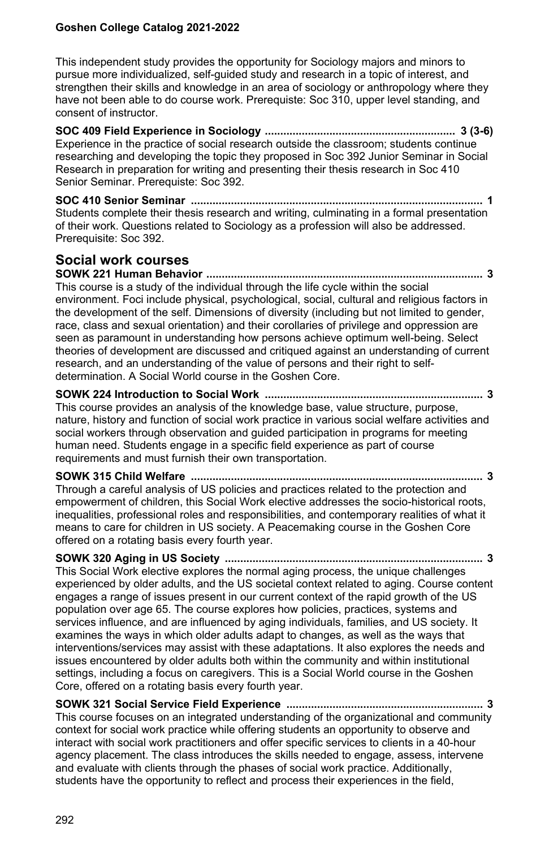This independent study provides the opportunity for Sociology majors and minors to pursue more individualized, self-guided study and research in a topic of interest, and strengthen their skills and knowledge in an area of sociology or anthropology where they have not been able to do course work. Prerequiste: Soc 310, upper level standing, and consent of instructor.

**SOC 409 Field Experience in Sociology .............................................................. 3 (3-6)** Experience in the practice of social research outside the classroom; students continue researching and developing the topic they proposed in Soc 392 Junior Seminar in Social Research in preparation for writing and presenting their thesis research in Soc 410 Senior Seminar. Prerequiste: Soc 392.

**SOC 410 Senior Seminar ............................................................................................... 1** Students complete their thesis research and writing, culminating in a formal presentation of their work. Questions related to Sociology as a profession will also be addressed. Prerequisite: Soc 392.

## **Social work courses**

**SOWK 221 Human Behavior .......................................................................................... 3** This course is a study of the individual through the life cycle within the social environment. Foci include physical, psychological, social, cultural and religious factors in the development of the self. Dimensions of diversity (including but not limited to gender, race, class and sexual orientation) and their corollaries of privilege and oppression are seen as paramount in understanding how persons achieve optimum well-being. Select theories of development are discussed and critiqued against an understanding of current research, and an understanding of the value of persons and their right to selfdetermination. A Social World course in the Goshen Core.

**SOWK 224 Introduction to Social Work ....................................................................... 3** This course provides an analysis of the knowledge base, value structure, purpose, nature, history and function of social work practice in various social welfare activities and social workers through observation and guided participation in programs for meeting human need. Students engage in a specific field experience as part of course requirements and must furnish their own transportation.

**SOWK 315 Child Welfare ............................................................................................... 3** Through a careful analysis of US policies and practices related to the protection and empowerment of children, this Social Work elective addresses the socio-historical roots, inequalities, professional roles and responsibilities, and contemporary realities of what it means to care for children in US society. A Peacemaking course in the Goshen Core offered on a rotating basis every fourth year.

**SOWK 320 Aging in US Society .................................................................................... 3** This Social Work elective explores the normal aging process, the unique challenges experienced by older adults, and the US societal context related to aging. Course content engages a range of issues present in our current context of the rapid growth of the US population over age 65. The course explores how policies, practices, systems and services influence, and are influenced by aging individuals, families, and US society. It examines the ways in which older adults adapt to changes, as well as the ways that interventions/services may assist with these adaptations. It also explores the needs and issues encountered by older adults both within the community and within institutional settings, including a focus on caregivers. This is a Social World course in the Goshen Core, offered on a rotating basis every fourth year.

**SOWK 321 Social Service Field Experience ................................................................ 3** This course focuses on an integrated understanding of the organizational and community context for social work practice while offering students an opportunity to observe and interact with social work practitioners and offer specific services to clients in a 40-hour agency placement. The class introduces the skills needed to engage, assess, intervene and evaluate with clients through the phases of social work practice. Additionally, students have the opportunity to reflect and process their experiences in the field,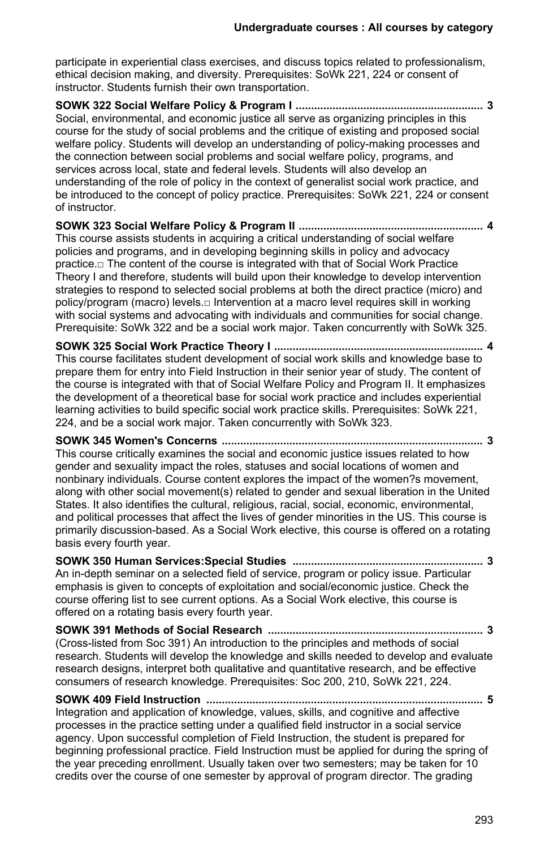participate in experiential class exercises, and discuss topics related to professionalism, ethical decision making, and diversity. Prerequisites: SoWk 221, 224 or consent of instructor. Students furnish their own transportation.

**SOWK 322 Social Welfare Policy & Program I ............................................................. 3** Social, environmental, and economic justice all serve as organizing principles in this course for the study of social problems and the critique of existing and proposed social welfare policy. Students will develop an understanding of policy-making processes and the connection between social problems and social welfare policy, programs, and services across local, state and federal levels. Students will also develop an understanding of the role of policy in the context of generalist social work practice, and be introduced to the concept of policy practice. Prerequisites: SoWk 221, 224 or consent of instructor.

**SOWK 323 Social Welfare Policy & Program II ............................................................ 4** This course assists students in acquiring a critical understanding of social welfare policies and programs, and in developing beginning skills in policy and advocacy practice.□ The content of the course is integrated with that of Social Work Practice Theory I and therefore, students will build upon their knowledge to develop intervention strategies to respond to selected social problems at both the direct practice (micro) and policy/program (macro) levels.□ Intervention at a macro level requires skill in working with social systems and advocating with individuals and communities for social change. Prerequisite: SoWk 322 and be a social work major. Taken concurrently with SoWk 325.

**SOWK 325 Social Work Practice Theory I .................................................................... 4** This course facilitates student development of social work skills and knowledge base to prepare them for entry into Field Instruction in their senior year of study. The content of the course is integrated with that of Social Welfare Policy and Program II. It emphasizes the development of a theoretical base for social work practice and includes experiential learning activities to build specific social work practice skills. Prerequisites: SoWk 221, 224, and be a social work major. Taken concurrently with SoWk 323.

**SOWK 345 Women's Concerns ..................................................................................... 3** This course critically examines the social and economic justice issues related to how gender and sexuality impact the roles, statuses and social locations of women and nonbinary individuals. Course content explores the impact of the women?s movement, along with other social movement(s) related to gender and sexual liberation in the United States. It also identifies the cultural, religious, racial, social, economic, environmental, and political processes that affect the lives of gender minorities in the US. This course is primarily discussion-based. As a Social Work elective, this course is offered on a rotating basis every fourth year.

**SOWK 350 Human Services:Special Studies .............................................................. 3** An in-depth seminar on a selected field of service, program or policy issue. Particular emphasis is given to concepts of exploitation and social/economic justice. Check the course offering list to see current options. As a Social Work elective, this course is offered on a rotating basis every fourth year.

**SOWK 391 Methods of Social Research ...................................................................... 3** (Cross-listed from Soc 391) An introduction to the principles and methods of social research. Students will develop the knowledge and skills needed to develop and evaluate research designs, interpret both qualitative and quantitative research, and be effective consumers of research knowledge. Prerequisites: Soc 200, 210, SoWk 221, 224.

**SOWK 409 Field Instruction .......................................................................................... 5** Integration and application of knowledge, values, skills, and cognitive and affective processes in the practice setting under a qualified field instructor in a social service agency. Upon successful completion of Field Instruction, the student is prepared for beginning professional practice. Field Instruction must be applied for during the spring of the year preceding enrollment. Usually taken over two semesters; may be taken for 10 credits over the course of one semester by approval of program director. The grading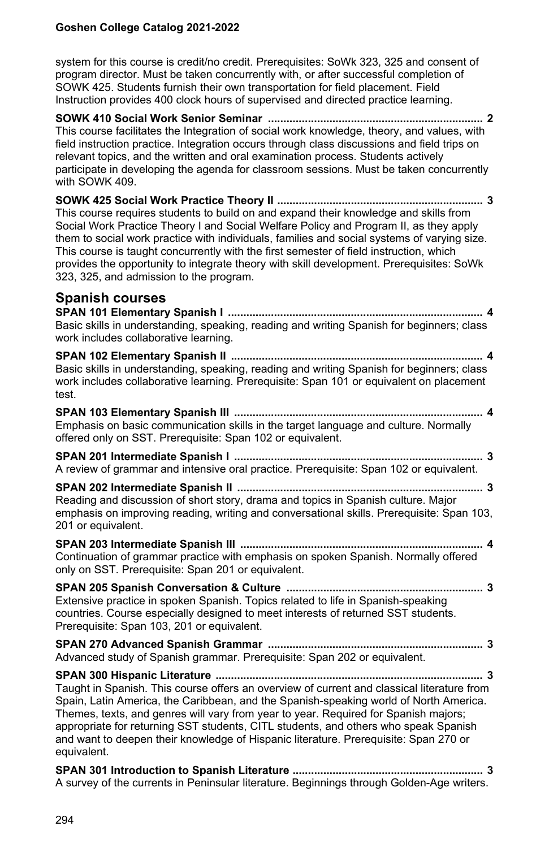system for this course is credit/no credit. Prerequisites: SoWk 323, 325 and consent of program director. Must be taken concurrently with, or after successful completion of SOWK 425. Students furnish their own transportation for field placement. Field Instruction provides 400 clock hours of supervised and directed practice learning.

**SOWK 410 Social Work Senior Seminar ...................................................................... 2** This course facilitates the Integration of social work knowledge, theory, and values, with field instruction practice. Integration occurs through class discussions and field trips on relevant topics, and the written and oral examination process. Students actively participate in developing the agenda for classroom sessions. Must be taken concurrently with SOWK 409.

**SOWK 425 Social Work Practice Theory II ................................................................... 3** This course requires students to build on and expand their knowledge and skills from Social Work Practice Theory I and Social Welfare Policy and Program II, as they apply them to social work practice with individuals, families and social systems of varying size. This course is taught concurrently with the first semester of field instruction, which provides the opportunity to integrate theory with skill development. Prerequisites: SoWk 323, 325, and admission to the program.

## **Spanish courses**

**SPAN 101 Elementary Spanish I ................................................................................... 4** Basic skills in understanding, speaking, reading and writing Spanish for beginners; class work includes collaborative learning. **SPAN 102 Elementary Spanish II .................................................................................. 4** Basic skills in understanding, speaking, reading and writing Spanish for beginners; class work includes collaborative learning. Prerequisite: Span 101 or equivalent on placement test. **SPAN 103 Elementary Spanish III ................................................................................. 4** Emphasis on basic communication skills in the target language and culture. Normally offered only on SST. Prerequisite: Span 102 or equivalent. **SPAN 201 Intermediate Spanish I ................................................................................. 3** A review of grammar and intensive oral practice. Prerequisite: Span 102 or equivalent. **SPAN 202 Intermediate Spanish II ................................................................................ 3** Reading and discussion of short story, drama and topics in Spanish culture. Major emphasis on improving reading, writing and conversational skills. Prerequisite: Span 103. 201 or equivalent. **SPAN 203 Intermediate Spanish III ............................................................................... 4** Continuation of grammar practice with emphasis on spoken Spanish. Normally offered only on SST. Prerequisite: Span 201 or equivalent. **SPAN 205 Spanish Conversation & Culture ................................................................ 3** Extensive practice in spoken Spanish. Topics related to life in Spanish-speaking countries. Course especially designed to meet interests of returned SST students. Prerequisite: Span 103, 201 or equivalent. **SPAN 270 Advanced Spanish Grammar ...................................................................... 3** Advanced study of Spanish grammar. Prerequisite: Span 202 or equivalent. **SPAN 300 Hispanic Literature ....................................................................................... 3** Taught in Spanish. This course offers an overview of current and classical literature from Spain, Latin America, the Caribbean, and the Spanish-speaking world of North America. Themes, texts, and genres will vary from year to year. Required for Spanish majors; appropriate for returning SST students, CITL students, and others who speak Spanish and want to deepen their knowledge of Hispanic literature. Prerequisite: Span 270 or equivalent.

**SPAN 301 Introduction to Spanish Literature .............................................................. 3** A survey of the currents in Peninsular literature. Beginnings through Golden-Age writers.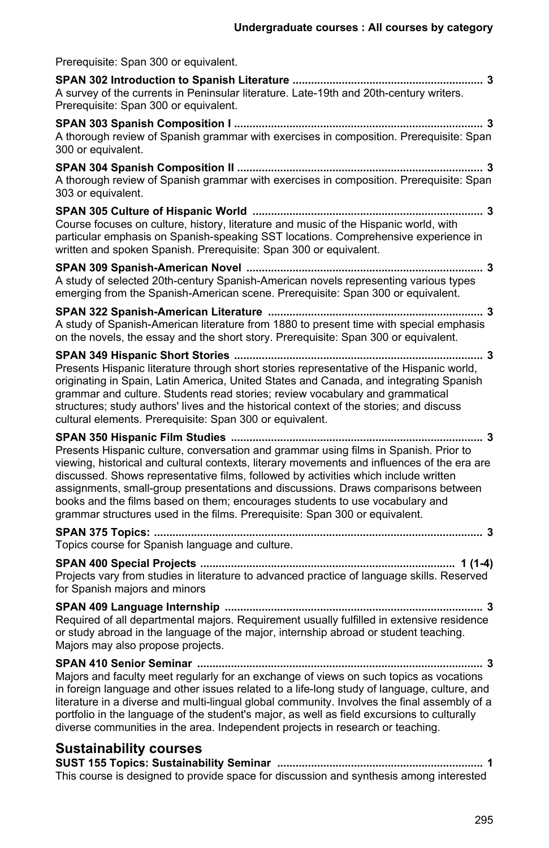| Prerequisite: Span 300 or equivalent.                                                                                                                                                                                                                                                                                                                                                                                                                                                                                          |
|--------------------------------------------------------------------------------------------------------------------------------------------------------------------------------------------------------------------------------------------------------------------------------------------------------------------------------------------------------------------------------------------------------------------------------------------------------------------------------------------------------------------------------|
| A survey of the currents in Peninsular literature. Late-19th and 20th-century writers.<br>Prerequisite: Span 300 or equivalent.                                                                                                                                                                                                                                                                                                                                                                                                |
| A thorough review of Spanish grammar with exercises in composition. Prerequisite: Span<br>300 or equivalent.                                                                                                                                                                                                                                                                                                                                                                                                                   |
| A thorough review of Spanish grammar with exercises in composition. Prerequisite: Span<br>303 or equivalent.                                                                                                                                                                                                                                                                                                                                                                                                                   |
| Course focuses on culture, history, literature and music of the Hispanic world, with<br>particular emphasis on Spanish-speaking SST locations. Comprehensive experience in<br>written and spoken Spanish. Prerequisite: Span 300 or equivalent.                                                                                                                                                                                                                                                                                |
| A study of selected 20th-century Spanish-American novels representing various types<br>emerging from the Spanish-American scene. Prerequisite: Span 300 or equivalent.                                                                                                                                                                                                                                                                                                                                                         |
| A study of Spanish-American literature from 1880 to present time with special emphasis<br>on the novels, the essay and the short story. Prerequisite: Span 300 or equivalent.                                                                                                                                                                                                                                                                                                                                                  |
| Presents Hispanic literature through short stories representative of the Hispanic world,<br>originating in Spain, Latin America, United States and Canada, and integrating Spanish<br>grammar and culture. Students read stories; review vocabulary and grammatical<br>structures; study authors' lives and the historical context of the stories; and discuss<br>cultural elements. Prerequisite: Span 300 or equivalent.                                                                                                     |
| Presents Hispanic culture, conversation and grammar using films in Spanish. Prior to<br>viewing, historical and cultural contexts, literary movements and influences of the era are<br>discussed. Shows representative films, followed by activities which include written<br>assignments, small-group presentations and discussions. Draws comparisons between<br>books and the films based on them; encourages students to use vocabulary and<br>grammar structures used in the films. Prereguisite: Span 300 or equivalent. |
| Topics course for Spanish language and culture.                                                                                                                                                                                                                                                                                                                                                                                                                                                                                |
| Projects vary from studies in literature to advanced practice of language skills. Reserved<br>for Spanish majors and minors                                                                                                                                                                                                                                                                                                                                                                                                    |
| Required of all departmental majors. Requirement usually fulfilled in extensive residence<br>or study abroad in the language of the major, internship abroad or student teaching.<br>Majors may also propose projects.                                                                                                                                                                                                                                                                                                         |
| Majors and faculty meet regularly for an exchange of views on such topics as vocations<br>in foreign language and other issues related to a life-long study of language, culture, and<br>literature in a diverse and multi-lingual global community. Involves the final assembly of a<br>portfolio in the language of the student's major, as well as field excursions to culturally<br>diverse communities in the area. Independent projects in research or teaching.                                                         |
| <b>Sustainability courses</b>                                                                                                                                                                                                                                                                                                                                                                                                                                                                                                  |
| This course is designed to provide space for discussion and synthesis among interested                                                                                                                                                                                                                                                                                                                                                                                                                                         |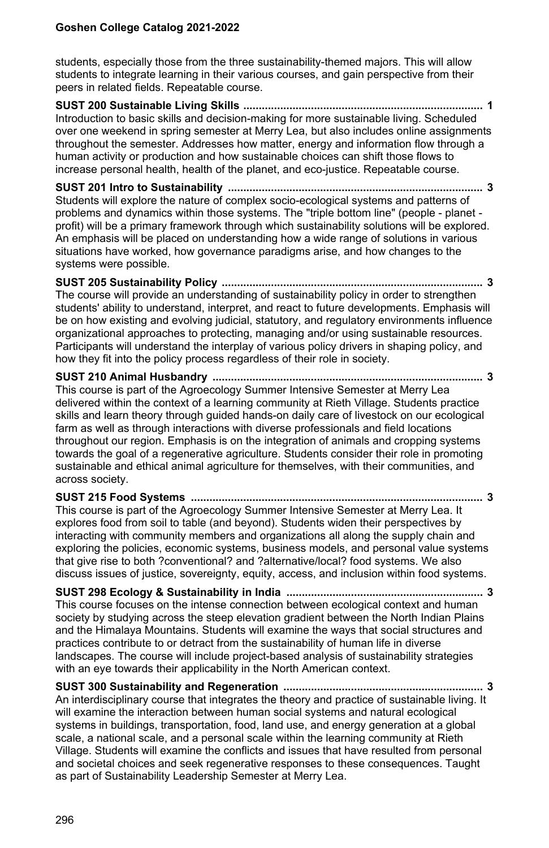students, especially those from the three sustainability-themed majors. This will allow students to integrate learning in their various courses, and gain perspective from their peers in related fields. Repeatable course.

**SUST 200 Sustainable Living Skills .............................................................................. 1** Introduction to basic skills and decision-making for more sustainable living. Scheduled over one weekend in spring semester at Merry Lea, but also includes online assignments throughout the semester. Addresses how matter, energy and information flow through a human activity or production and how sustainable choices can shift those flows to increase personal health, health of the planet, and eco-justice. Repeatable course.

**SUST 201 Intro to Sustainability ................................................................................... 3** Students will explore the nature of complex socio-ecological systems and patterns of problems and dynamics within those systems. The "triple bottom line" (people - planet profit) will be a primary framework through which sustainability solutions will be explored. An emphasis will be placed on understanding how a wide range of solutions in various situations have worked, how governance paradigms arise, and how changes to the systems were possible.

**SUST 205 Sustainability Policy ..................................................................................... 3** The course will provide an understanding of sustainability policy in order to strengthen students' ability to understand, interpret, and react to future developments. Emphasis will be on how existing and evolving judicial, statutory, and regulatory environments influence organizational approaches to protecting, managing and/or using sustainable resources. Participants will understand the interplay of various policy drivers in shaping policy, and how they fit into the policy process regardless of their role in society.

**SUST 210 Animal Husbandry ........................................................................................ 3** This course is part of the Agroecology Summer Intensive Semester at Merry Lea delivered within the context of a learning community at Rieth Village. Students practice skills and learn theory through guided hands-on daily care of livestock on our ecological farm as well as through interactions with diverse professionals and field locations throughout our region. Emphasis is on the integration of animals and cropping systems towards the goal of a regenerative agriculture. Students consider their role in promoting sustainable and ethical animal agriculture for themselves, with their communities, and across society.

## **SUST 215 Food Systems ............................................................................................... 3**

This course is part of the Agroecology Summer Intensive Semester at Merry Lea. It explores food from soil to table (and beyond). Students widen their perspectives by interacting with community members and organizations all along the supply chain and exploring the policies, economic systems, business models, and personal value systems that give rise to both ?conventional? and ?alternative/local? food systems. We also discuss issues of justice, sovereignty, equity, access, and inclusion within food systems.

**SUST 298 Ecology & Sustainability in India ................................................................ 3** This course focuses on the intense connection between ecological context and human society by studying across the steep elevation gradient between the North Indian Plains and the Himalaya Mountains. Students will examine the ways that social structures and practices contribute to or detract from the sustainability of human life in diverse landscapes. The course will include project-based analysis of sustainability strategies with an eye towards their applicability in the North American context.

**SUST 300 Sustainability and Regeneration ................................................................. 3** An interdisciplinary course that integrates the theory and practice of sustainable living. It will examine the interaction between human social systems and natural ecological systems in buildings, transportation, food, land use, and energy generation at a global scale, a national scale, and a personal scale within the learning community at Rieth Village. Students will examine the conflicts and issues that have resulted from personal and societal choices and seek regenerative responses to these consequences. Taught as part of Sustainability Leadership Semester at Merry Lea.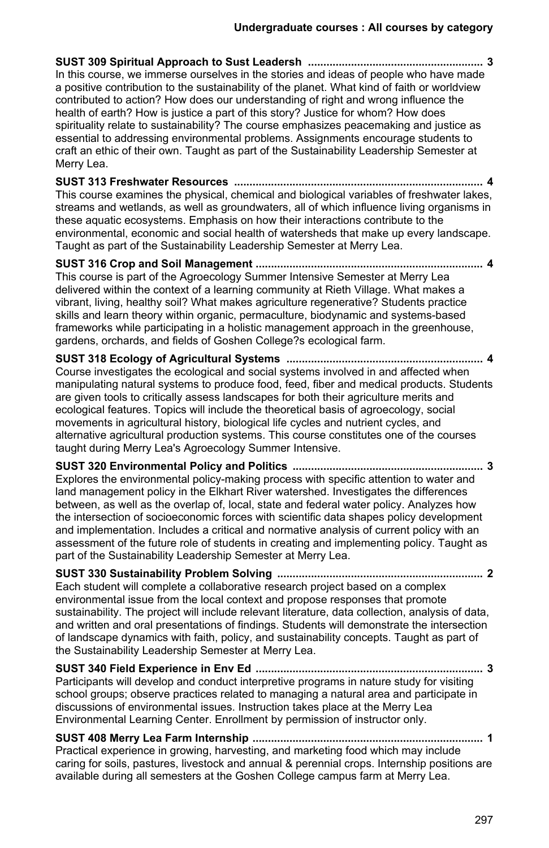**SUST 309 Spiritual Approach to Sust Leadersh ......................................................... 3** In this course, we immerse ourselves in the stories and ideas of people who have made a positive contribution to the sustainability of the planet. What kind of faith or worldview contributed to action? How does our understanding of right and wrong influence the health of earth? How is justice a part of this story? Justice for whom? How does spirituality relate to sustainability? The course emphasizes peacemaking and justice as essential to addressing environmental problems. Assignments encourage students to craft an ethic of their own. Taught as part of the Sustainability Leadership Semester at Merry Lea.

**SUST 313 Freshwater Resources ................................................................................. 4** This course examines the physical, chemical and biological variables of freshwater lakes, streams and wetlands, as well as groundwaters, all of which influence living organisms in these aquatic ecosystems. Emphasis on how their interactions contribute to the environmental, economic and social health of watersheds that make up every landscape. Taught as part of the Sustainability Leadership Semester at Merry Lea.

**SUST 316 Crop and Soil Management .......................................................................... 4** This course is part of the Agroecology Summer Intensive Semester at Merry Lea delivered within the context of a learning community at Rieth Village. What makes a vibrant, living, healthy soil? What makes agriculture regenerative? Students practice skills and learn theory within organic, permaculture, biodynamic and systems-based frameworks while participating in a holistic management approach in the greenhouse, gardens, orchards, and fields of Goshen College?s ecological farm.

**SUST 318 Ecology of Agricultural Systems ................................................................ 4** Course investigates the ecological and social systems involved in and affected when manipulating natural systems to produce food, feed, fiber and medical products. Students are given tools to critically assess landscapes for both their agriculture merits and ecological features. Topics will include the theoretical basis of agroecology, social movements in agricultural history, biological life cycles and nutrient cycles, and alternative agricultural production systems. This course constitutes one of the courses taught during Merry Lea's Agroecology Summer Intensive.

**SUST 320 Environmental Policy and Politics .............................................................. 3** Explores the environmental policy-making process with specific attention to water and land management policy in the Elkhart River watershed. Investigates the differences between, as well as the overlap of, local, state and federal water policy. Analyzes how the intersection of socioeconomic forces with scientific data shapes policy development and implementation. Includes a critical and normative analysis of current policy with an assessment of the future role of students in creating and implementing policy. Taught as part of the Sustainability Leadership Semester at Merry Lea.

**SUST 330 Sustainability Problem Solving ................................................................... 2** Each student will complete a collaborative research project based on a complex environmental issue from the local context and propose responses that promote sustainability. The project will include relevant literature, data collection, analysis of data, and written and oral presentations of findings. Students will demonstrate the intersection of landscape dynamics with faith, policy, and sustainability concepts. Taught as part of the Sustainability Leadership Semester at Merry Lea.

**SUST 340 Field Experience in Env Ed .......................................................................... 3** Participants will develop and conduct interpretive programs in nature study for visiting school groups; observe practices related to managing a natural area and participate in discussions of environmental issues. Instruction takes place at the Merry Lea Environmental Learning Center. Enrollment by permission of instructor only.

**SUST 408 Merry Lea Farm Internship ........................................................................... 1** Practical experience in growing, harvesting, and marketing food which may include caring for soils, pastures, livestock and annual & perennial crops. Internship positions are available during all semesters at the Goshen College campus farm at Merry Lea.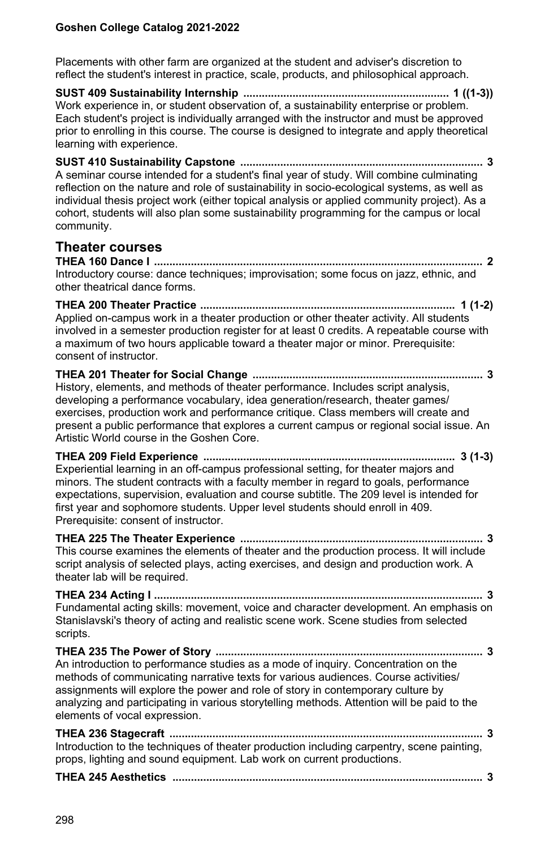Placements with other farm are organized at the student and adviser's discretion to reflect the student's interest in practice, scale, products, and philosophical approach.

**SUST 409 Sustainability Internship ................................................................... 1 ((1-3))** Work experience in, or student observation of, a sustainability enterprise or problem. Each student's project is individually arranged with the instructor and must be approved prior to enrolling in this course. The course is designed to integrate and apply theoretical learning with experience.

**SUST 410 Sustainability Capstone ............................................................................... 3** A seminar course intended for a student's final year of study. Will combine culminating reflection on the nature and role of sustainability in socio-ecological systems, as well as individual thesis project work (either topical analysis or applied community project). As a cohort, students will also plan some sustainability programming for the campus or local community.

## **Theater courses**

**THEA 160 Dance I ........................................................................................................... 2** Introductory course: dance techniques; improvisation; some focus on jazz, ethnic, and other theatrical dance forms.

**THEA 200 Theater Practice ................................................................................... 1 (1-2)** Applied on-campus work in a theater production or other theater activity. All students involved in a semester production register for at least 0 credits. A repeatable course with a maximum of two hours applicable toward a theater major or minor. Prerequisite: consent of instructor.

**THEA 201 Theater for Social Change ........................................................................... 3** History, elements, and methods of theater performance. Includes script analysis, developing a performance vocabulary, idea generation/research, theater games/ exercises, production work and performance critique. Class members will create and present a public performance that explores a current campus or regional social issue. An Artistic World course in the Goshen Core.

**THEA 209 Field Experience .................................................................................. 3 (1-3)** Experiential learning in an off-campus professional setting, for theater majors and minors. The student contracts with a faculty member in regard to goals, performance expectations, supervision, evaluation and course subtitle. The 209 level is intended for first year and sophomore students. Upper level students should enroll in 409. Prerequisite: consent of instructor.

**THEA 225 The Theater Experience ............................................................................... 3** This course examines the elements of theater and the production process. It will include script analysis of selected plays, acting exercises, and design and production work. A theater lab will be required.

**THEA 234 Acting I ........................................................................................................... 3** Fundamental acting skills: movement, voice and character development. An emphasis on Stanislavski's theory of acting and realistic scene work. Scene studies from selected scripts.

**THEA 235 The Power of Story ....................................................................................... 3** An introduction to performance studies as a mode of inquiry. Concentration on the methods of communicating narrative texts for various audiences. Course activities/ assignments will explore the power and role of story in contemporary culture by analyzing and participating in various storytelling methods. Attention will be paid to the elements of vocal expression.

**THEA 236 Stagecraft ...................................................................................................... 3** Introduction to the techniques of theater production including carpentry, scene painting, props, lighting and sound equipment. Lab work on current productions.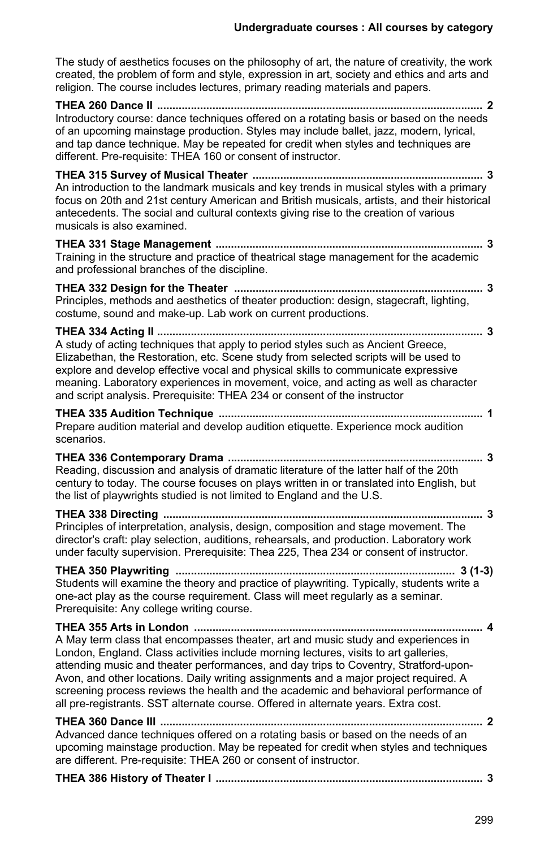The study of aesthetics focuses on the philosophy of art, the nature of creativity, the work created, the problem of form and style, expression in art, society and ethics and arts and religion. The course includes lectures, primary reading materials and papers.

**THEA 260 Dance II .......................................................................................................... 2** Introductory course: dance techniques offered on a rotating basis or based on the needs of an upcoming mainstage production. Styles may include ballet, jazz, modern, lyrical, and tap dance technique. May be repeated for credit when styles and techniques are different. Pre-requisite: THEA 160 or consent of instructor.

**THEA 315 Survey of Musical Theater ........................................................................... 3** An introduction to the landmark musicals and key trends in musical styles with a primary focus on 20th and 21st century American and British musicals, artists, and their historical antecedents. The social and cultural contexts giving rise to the creation of various musicals is also examined.

**THEA 331 Stage Management ....................................................................................... 3** Training in the structure and practice of theatrical stage management for the academic and professional branches of the discipline.

**THEA 332 Design for the Theater ................................................................................. 3** Principles, methods and aesthetics of theater production: design, stagecraft, lighting, costume, sound and make-up. Lab work on current productions.

**THEA 334 Acting II .......................................................................................................... 3** A study of acting techniques that apply to period styles such as Ancient Greece, Elizabethan, the Restoration, etc. Scene study from selected scripts will be used to explore and develop effective vocal and physical skills to communicate expressive meaning. Laboratory experiences in movement, voice, and acting as well as character and script analysis. Prerequisite: THEA 234 or consent of the instructor

**THEA 335 Audition Technique ...................................................................................... 1** Prepare audition material and develop audition etiquette. Experience mock audition scenarios.

**THEA 336 Contemporary Drama ................................................................................... 3** Reading, discussion and analysis of dramatic literature of the latter half of the 20th century to today. The course focuses on plays written in or translated into English, but the list of playwrights studied is not limited to England and the U.S.

**THEA 338 Directing ........................................................................................................ 3** Principles of interpretation, analysis, design, composition and stage movement. The director's craft: play selection, auditions, rehearsals, and production. Laboratory work under faculty supervision. Prerequisite: Thea 225, Thea 234 or consent of instructor.

**THEA 350 Playwriting ........................................................................................... 3 (1-3)** Students will examine the theory and practice of playwriting. Typically, students write a one-act play as the course requirement. Class will meet regularly as a seminar. Prerequisite: Any college writing course.

**THEA 355 Arts in London .............................................................................................. 4** A May term class that encompasses theater, art and music study and experiences in London, England. Class activities include morning lectures, visits to art galleries, attending music and theater performances, and day trips to Coventry, Stratford-upon-Avon, and other locations. Daily writing assignments and a major project required. A screening process reviews the health and the academic and behavioral performance of all pre-registrants. SST alternate course. Offered in alternate years. Extra cost.

**THEA 360 Dance III ......................................................................................................... 2** Advanced dance techniques offered on a rotating basis or based on the needs of an upcoming mainstage production. May be repeated for credit when styles and techniques are different. Pre-requisite: THEA 260 or consent of instructor.

|--|--|--|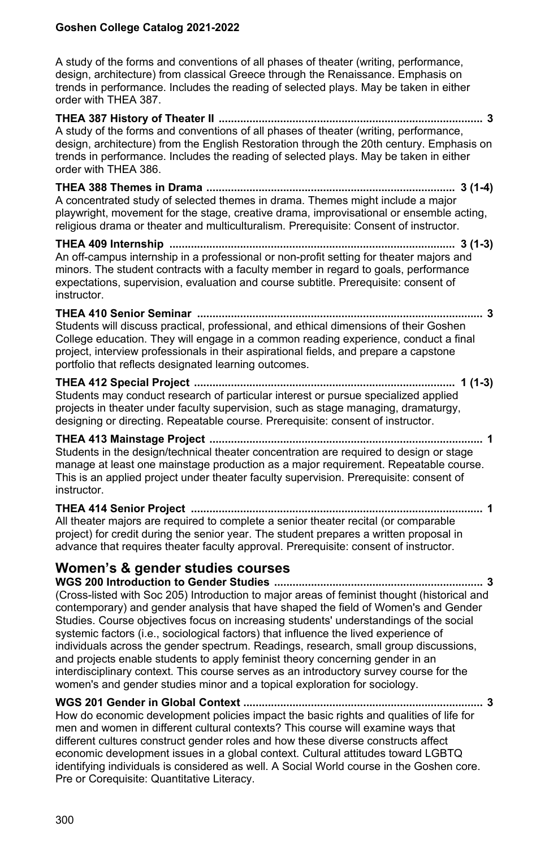A study of the forms and conventions of all phases of theater (writing, performance, design, architecture) from classical Greece through the Renaissance. Emphasis on trends in performance. Includes the reading of selected plays. May be taken in either order with THEA 387.

**THEA 387 History of Theater II ...................................................................................... 3** A study of the forms and conventions of all phases of theater (writing, performance, design, architecture) from the English Restoration through the 20th century. Emphasis on trends in performance. Includes the reading of selected plays. May be taken in either order with THEA 386.

**THEA 388 Themes in Drama ................................................................................. 3 (1-4)** A concentrated study of selected themes in drama. Themes might include a major playwright, movement for the stage, creative drama, improvisational or ensemble acting, religious drama or theater and multiculturalism. Prerequisite: Consent of instructor.

**THEA 409 Internship ............................................................................................. 3 (1-3)** An off-campus internship in a professional or non-profit setting for theater majors and minors. The student contracts with a faculty member in regard to goals, performance expectations, supervision, evaluation and course subtitle. Prerequisite: consent of instructor.

## **THEA 410 Senior Seminar ............................................................................................. 3**

Students will discuss practical, professional, and ethical dimensions of their Goshen College education. They will engage in a common reading experience, conduct a final project, interview professionals in their aspirational fields, and prepare a capstone portfolio that reflects designated learning outcomes.

#### **THEA 412 Special Project ..................................................................................... 1 (1-3)** Students may conduct research of particular interest or pursue specialized applied projects in theater under faculty supervision, such as stage managing, dramaturgy, designing or directing. Repeatable course. Prerequisite: consent of instructor.

**THEA 413 Mainstage Project ......................................................................................... 1** Students in the design/technical theater concentration are required to design or stage manage at least one mainstage production as a major requirement. Repeatable course. This is an applied project under theater faculty supervision. Prerequisite: consent of instructor.

**THEA 414 Senior Project ............................................................................................... 1** All theater majors are required to complete a senior theater recital (or comparable project) for credit during the senior year. The student prepares a written proposal in advance that requires theater faculty approval. Prerequisite: consent of instructor.

## **Women's & gender studies courses**

**WGS 200 Introduction to Gender Studies .................................................................... 3** (Cross-listed with Soc 205) Introduction to major areas of feminist thought (historical and contemporary) and gender analysis that have shaped the field of Women's and Gender Studies. Course objectives focus on increasing students' understandings of the social systemic factors (i.e., sociological factors) that influence the lived experience of individuals across the gender spectrum. Readings, research, small group discussions, and projects enable students to apply feminist theory concerning gender in an interdisciplinary context. This course serves as an introductory survey course for the women's and gender studies minor and a topical exploration for sociology.

#### **WGS 201 Gender in Global Context .............................................................................. 3** How do economic development policies impact the basic rights and qualities of life for men and women in different cultural contexts? This course will examine ways that different cultures construct gender roles and how these diverse constructs affect economic development issues in a global context. Cultural attitudes toward LGBTQ identifying individuals is considered as well. A Social World course in the Goshen core. Pre or Corequisite: Quantitative Literacy.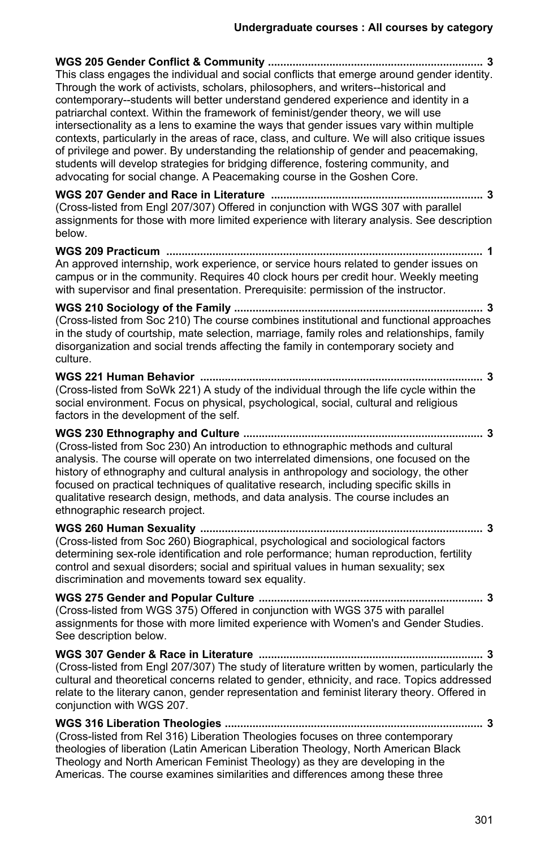**WGS 205 Gender Conflict & Community ...................................................................... 3** This class engages the individual and social conflicts that emerge around gender identity. Through the work of activists, scholars, philosophers, and writers--historical and contemporary--students will better understand gendered experience and identity in a patriarchal context. Within the framework of feminist/gender theory, we will use intersectionality as a lens to examine the ways that gender issues vary within multiple contexts, particularly in the areas of race, class, and culture. We will also critique issues of privilege and power. By understanding the relationship of gender and peacemaking, students will develop strategies for bridging difference, fostering community, and advocating for social change. A Peacemaking course in the Goshen Core.

**WGS 207 Gender and Race in Literature ..................................................................... 3** (Cross-listed from Engl 207/307) Offered in conjunction with WGS 307 with parallel assignments for those with more limited experience with literary analysis. See description below.

**WGS 209 Practicum ....................................................................................................... 1** An approved internship, work experience, or service hours related to gender issues on campus or in the community. Requires 40 clock hours per credit hour. Weekly meeting with supervisor and final presentation. Prerequisite: permission of the instructor.

**WGS 210 Sociology of the Family ................................................................................. 3** (Cross-listed from Soc 210) The course combines institutional and functional approaches in the study of courtship, mate selection, marriage, family roles and relationships, family disorganization and social trends affecting the family in contemporary society and culture.

**WGS 221 Human Behavior ............................................................................................ 3** (Cross-listed from SoWk 221) A study of the individual through the life cycle within the social environment. Focus on physical, psychological, social, cultural and religious factors in the development of the self.

**WGS 230 Ethnography and Culture .............................................................................. 3** (Cross-listed from Soc 230) An introduction to ethnographic methods and cultural analysis. The course will operate on two interrelated dimensions, one focused on the history of ethnography and cultural analysis in anthropology and sociology, the other focused on practical techniques of qualitative research, including specific skills in qualitative research design, methods, and data analysis. The course includes an ethnographic research project.

**WGS 260 Human Sexuality ............................................................................................ 3** (Cross-listed from Soc 260) Biographical, psychological and sociological factors determining sex-role identification and role performance; human reproduction, fertility control and sexual disorders; social and spiritual values in human sexuality; sex discrimination and movements toward sex equality.

**WGS 275 Gender and Popular Culture ......................................................................... 3** (Cross-listed from WGS 375) Offered in conjunction with WGS 375 with parallel assignments for those with more limited experience with Women's and Gender Studies. See description below.

**WGS 307 Gender & Race in Literature ......................................................................... 3** (Cross-listed from Engl 207/307) The study of literature written by women, particularly the cultural and theoretical concerns related to gender, ethnicity, and race. Topics addressed relate to the literary canon, gender representation and feminist literary theory. Offered in conjunction with WGS 207.

**WGS 316 Liberation Theologies .................................................................................... 3** (Cross-listed from Rel 316) Liberation Theologies focuses on three contemporary theologies of liberation (Latin American Liberation Theology, North American Black Theology and North American Feminist Theology) as they are developing in the Americas. The course examines similarities and differences among these three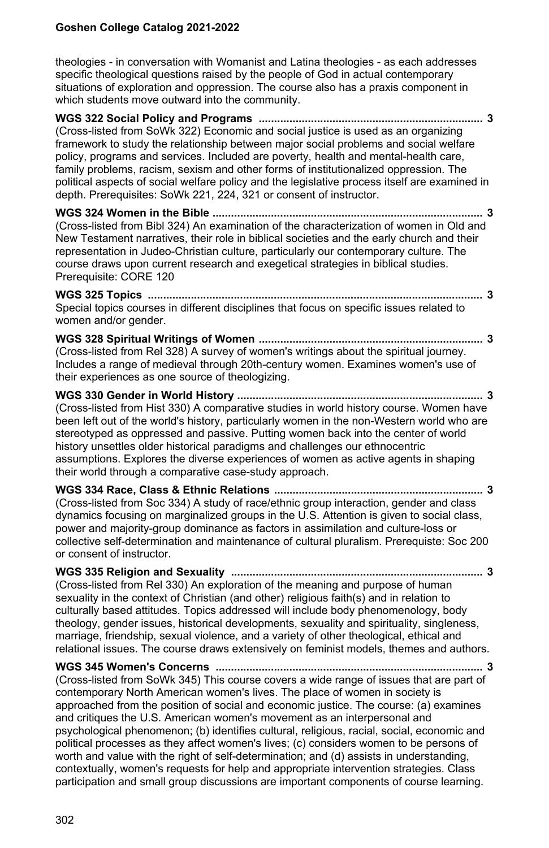theologies - in conversation with Womanist and Latina theologies - as each addresses specific theological questions raised by the people of God in actual contemporary situations of exploration and oppression. The course also has a praxis component in which students move outward into the community.

**WGS 322 Social Policy and Programs ......................................................................... 3** (Cross-listed from SoWk 322) Economic and social justice is used as an organizing framework to study the relationship between major social problems and social welfare policy, programs and services. Included are poverty, health and mental-health care, family problems, racism, sexism and other forms of institutionalized oppression. The political aspects of social welfare policy and the legislative process itself are examined in depth. Prerequisites: SoWk 221, 224, 321 or consent of instructor.

**WGS 324 Women in the Bible ........................................................................................ 3** (Cross-listed from Bibl 324) An examination of the characterization of women in Old and New Testament narratives, their role in biblical societies and the early church and their representation in Judeo-Christian culture, particularly our contemporary culture. The course draws upon current research and exegetical strategies in biblical studies. Prerequisite: CORE 120

**WGS 325 Topics ............................................................................................................. 3** Special topics courses in different disciplines that focus on specific issues related to women and/or gender.

**WGS 328 Spiritual Writings of Women ......................................................................... 3** (Cross-listed from Rel 328) A survey of women's writings about the spiritual journey. Includes a range of medieval through 20th-century women. Examines women's use of their experiences as one source of theologizing.

**WGS 330 Gender in World History ................................................................................ 3** (Cross-listed from Hist 330) A comparative studies in world history course. Women have been left out of the world's history, particularly women in the non-Western world who are stereotyped as oppressed and passive. Putting women back into the center of world history unsettles older historical paradigms and challenges our ethnocentric assumptions. Explores the diverse experiences of women as active agents in shaping their world through a comparative case-study approach.

**WGS 334 Race, Class & Ethnic Relations .................................................................... 3** (Cross-listed from Soc 334) A study of race/ethnic group interaction, gender and class dynamics focusing on marginalized groups in the U.S. Attention is given to social class, power and majority-group dominance as factors in assimilation and culture-loss or collective self-determination and maintenance of cultural pluralism. Prerequiste: Soc 200 or consent of instructor.

**WGS 335 Religion and Sexuality .................................................................................. 3** (Cross-listed from Rel 330) An exploration of the meaning and purpose of human sexuality in the context of Christian (and other) religious faith(s) and in relation to culturally based attitudes. Topics addressed will include body phenomenology, body theology, gender issues, historical developments, sexuality and spirituality, singleness, marriage, friendship, sexual violence, and a variety of other theological, ethical and relational issues. The course draws extensively on feminist models, themes and authors.

**WGS 345 Women's Concerns ....................................................................................... 3** (Cross-listed from SoWk 345) This course covers a wide range of issues that are part of contemporary North American women's lives. The place of women in society is approached from the position of social and economic justice. The course: (a) examines and critiques the U.S. American women's movement as an interpersonal and psychological phenomenon; (b) identifies cultural, religious, racial, social, economic and political processes as they affect women's lives; (c) considers women to be persons of worth and value with the right of self-determination; and (d) assists in understanding, contextually, women's requests for help and appropriate intervention strategies. Class participation and small group discussions are important components of course learning.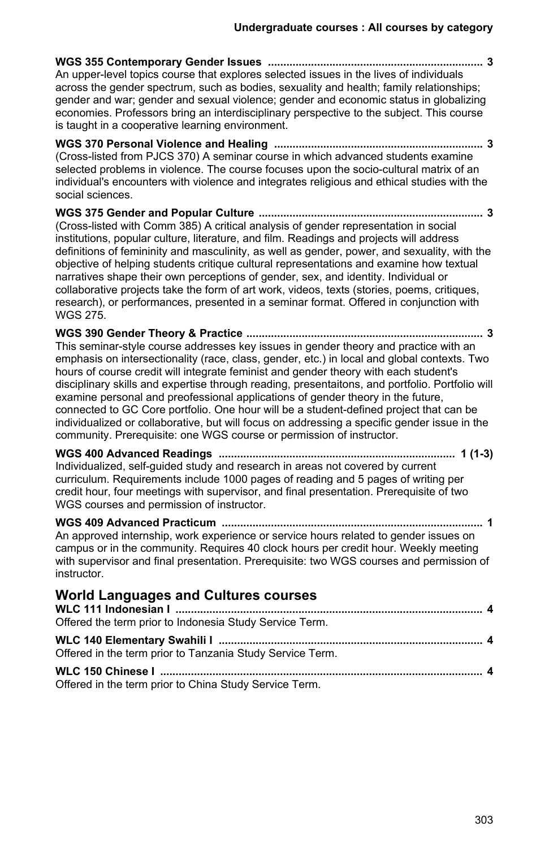**WGS 355 Contemporary Gender Issues ...................................................................... 3** An upper-level topics course that explores selected issues in the lives of individuals across the gender spectrum, such as bodies, sexuality and health; family relationships; gender and war; gender and sexual violence; gender and economic status in globalizing economies. Professors bring an interdisciplinary perspective to the subject. This course is taught in a cooperative learning environment.

**WGS 370 Personal Violence and Healing .................................................................... 3** (Cross-listed from PJCS 370) A seminar course in which advanced students examine selected problems in violence. The course focuses upon the socio-cultural matrix of an individual's encounters with violence and integrates religious and ethical studies with the social sciences.

**WGS 375 Gender and Popular Culture ......................................................................... 3** (Cross-listed with Comm 385) A critical analysis of gender representation in social institutions, popular culture, literature, and film. Readings and projects will address definitions of femininity and masculinity, as well as gender, power, and sexuality, with the objective of helping students critique cultural representations and examine how textual narratives shape their own perceptions of gender, sex, and identity. Individual or collaborative projects take the form of art work, videos, texts (stories, poems, critiques, research), or performances, presented in a seminar format. Offered in conjunction with WGS 275.

**WGS 390 Gender Theory & Practice ............................................................................. 3** This seminar-style course addresses key issues in gender theory and practice with an emphasis on intersectionality (race, class, gender, etc.) in local and global contexts. Two hours of course credit will integrate feminist and gender theory with each student's disciplinary skills and expertise through reading, presentaitons, and portfolio. Portfolio will examine personal and preofessional applications of gender theory in the future, connected to GC Core portfolio. One hour will be a student-defined project that can be individualized or collaborative, but will focus on addressing a specific gender issue in the community. Prerequisite: one WGS course or permission of instructor.

**WGS 400 Advanced Readings ............................................................................. 1 (1-3)** Individualized, self-guided study and research in areas not covered by current curriculum. Requirements include 1000 pages of reading and 5 pages of writing per credit hour, four meetings with supervisor, and final presentation. Prerequisite of two WGS courses and permission of instructor.

**WGS 409 Advanced Practicum ..................................................................................... 1** An approved internship, work experience or service hours related to gender issues on campus or in the community. Requires 40 clock hours per credit hour. Weekly meeting with supervisor and final presentation. Prerequisite: two WGS courses and permission of instructor.

## **World Languages and Cultures courses**

| Offered the term prior to Indonesia Study Service Term.   |  |
|-----------------------------------------------------------|--|
| Offered in the term prior to Tanzania Study Service Term. |  |
| Offered in the term prior to China Study Service Term.    |  |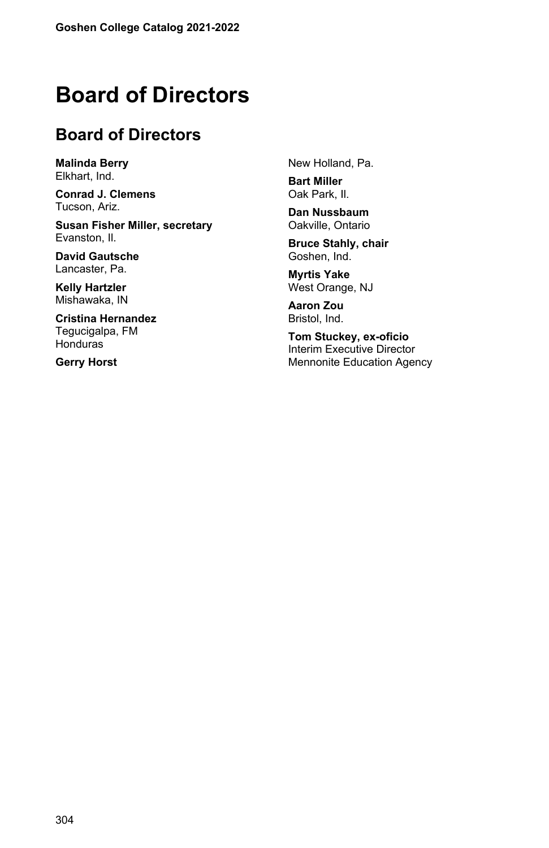# **Board of Directors**

# **Board of Directors**

**Malinda Berry** Elkhart, Ind.

**Conrad J. Clemens** Tucson, Ariz.

**Susan Fisher Miller, secretary** Evanston, Il.

**David Gautsche** Lancaster, Pa.

**Kelly Hartzler** Mishawaka, IN

**Cristina Hernandez** Tegucigalpa, FM Honduras

**Gerry Horst**

New Holland, Pa.

**Bart Miller** Oak Park, Il.

**Dan Nussbaum** Oakville, Ontario

**Bruce Stahly, chair** Goshen, Ind.

**Myrtis Yake** West Orange, NJ

**Aaron Zou** Bristol, Ind.

**Tom Stuckey, ex-oficio** Interim Executive Director Mennonite Education Agency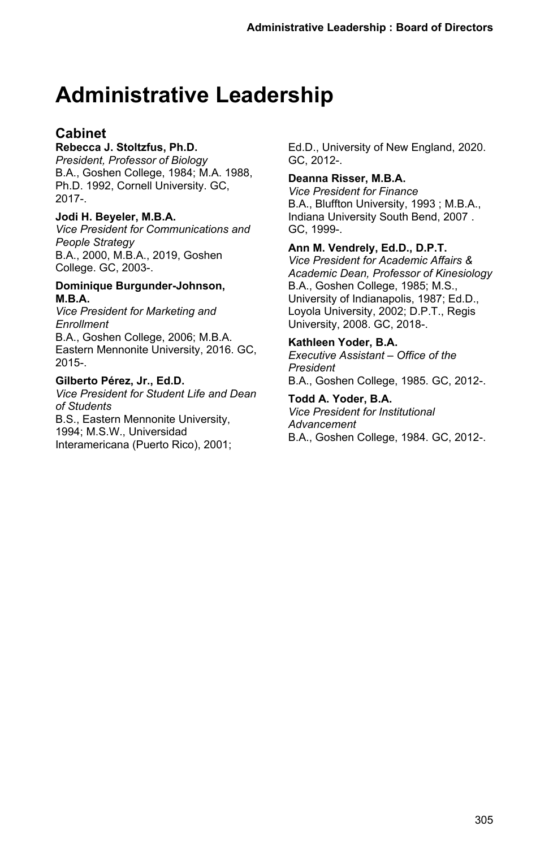# **Administrative Leadership**

## **Cabinet**

## **Rebecca J. Stoltzfus, Ph.D.**

*President, Professor of Biology* B.A., Goshen College, 1984; M.A. 1988, Ph.D. 1992, Cornell University. GC, 2017-.

## **Jodi H. Beyeler, M.B.A.**

*Vice President for Communications and People Strategy* B.A., 2000, M.B.A., 2019, Goshen College. GC, 2003-.

#### **Dominique Burgunder-Johnson, M.B.A.**

*Vice President for Marketing and Enrollment* B.A., Goshen College, 2006; M.B.A. Eastern Mennonite University, 2016. GC, 2015-.

## **Gilberto Pérez, Jr., Ed.D.**

*Vice President for Student Life and Dean of Students* B.S., Eastern Mennonite University, 1994; M.S.W., Universidad Interamericana (Puerto Rico), 2001;

Ed.D., University of New England, 2020. GC, 2012-.

## **Deanna Risser, M.B.A.**

*Vice President for Finance* B.A., Bluffton University, 1993 ; M.B.A., Indiana University South Bend, 2007 . GC, 1999-.

**Ann M. Vendrely, Ed.D., D.P.T.** *Vice President for Academic Affairs & Academic Dean, Professor of Kinesiology* B.A., Goshen College, 1985; M.S., University of Indianapolis, 1987; Ed.D., Loyola University, 2002; D.P.T., Regis University, 2008. GC, 2018-.

## **Kathleen Yoder, B.A.**

*Executive Assistant – Office of the President* B.A., Goshen College, 1985. GC, 2012-.

**Todd A. Yoder, B.A.** *Vice President for Institutional Advancement* B.A., Goshen College, 1984. GC, 2012-.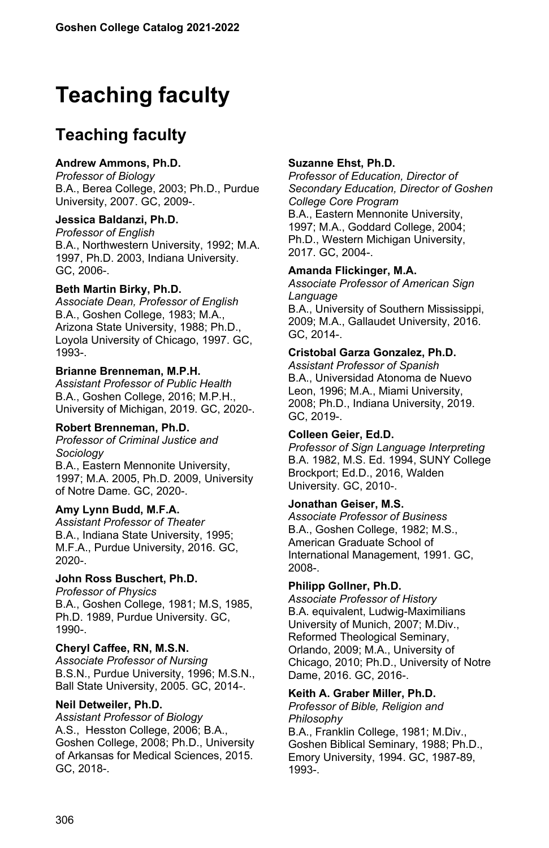# **Teaching faculty**

# **Teaching faculty**

#### **Andrew Ammons, Ph.D.**

*Professor of Biology* B.A., Berea College, 2003; Ph.D., Purdue University, 2007. GC, 2009-.

#### **Jessica Baldanzi, Ph.D.**

*Professor of English* B.A., Northwestern University, 1992; M.A. 1997, Ph.D. 2003, Indiana University. GC, 2006-.

#### **Beth Martin Birky, Ph.D.**

*Associate Dean, Professor of English* B.A., Goshen College, 1983; M.A., Arizona State University, 1988; Ph.D., Loyola University of Chicago, 1997. GC, 1993-.

#### **Brianne Brenneman, M.P.H.**

*Assistant Professor of Public Health* B.A., Goshen College, 2016; M.P.H., University of Michigan, 2019. GC, 2020-.

#### **Robert Brenneman, Ph.D.**

*Professor of Criminal Justice and Sociology*

B.A., Eastern Mennonite University, 1997; M.A. 2005, Ph.D. 2009, University of Notre Dame. GC, 2020-.

#### **Amy Lynn Budd, M.F.A.**

*Assistant Professor of Theater* B.A., Indiana State University, 1995; M.F.A., Purdue University, 2016. GC, 2020-.

#### **John Ross Buschert, Ph.D.**

*Professor of Physics* B.A., Goshen College, 1981; M.S, 1985, Ph.D. 1989, Purdue University. GC, 1990-.

#### **Cheryl Caffee, RN, M.S.N.**

*Associate Professor of Nursing* B.S.N., Purdue University, 1996; M.S.N., Ball State University, 2005. GC, 2014-.

#### **Neil Detweiler, Ph.D.**

*Assistant Professor of Biology* A.S., Hesston College, 2006; B.A., Goshen College, 2008; Ph.D., University of Arkansas for Medical Sciences, 2015. GC, 2018-.

#### **Suzanne Ehst, Ph.D.**

*Professor of Education, Director of Secondary Education, Director of Goshen College Core Program* B.A., Eastern Mennonite University, 1997; M.A., Goddard College, 2004; Ph.D., Western Michigan University, 2017. GC, 2004-.

#### **Amanda Flickinger, M.A.**

*Associate Professor of American Sign Language* B.A., University of Southern Mississippi, 2009; M.A., Gallaudet University, 2016. GC, 2014-.

#### **Cristobal Garza Gonzalez, Ph.D.**

*Assistant Professor of Spanish* B.A., Universidad Atonoma de Nuevo Leon, 1996; M.A., Miami University, 2008; Ph.D., Indiana University, 2019. GC, 2019-.

#### **Colleen Geier, Ed.D.**

*Professor of Sign Language Interpreting* B.A. 1982, M.S. Ed. 1994, SUNY College Brockport; Ed.D., 2016, Walden University. GC, 2010-.

#### **Jonathan Geiser, M.S.**

*Associate Professor of Business* B.A., Goshen College, 1982; M.S., American Graduate School of International Management, 1991. GC, 2008-.

#### **Philipp Gollner, Ph.D.**

*Associate Professor of History* B.A. equivalent, Ludwig-Maximilians University of Munich, 2007; M.Div., Reformed Theological Seminary, Orlando, 2009; M.A., University of Chicago, 2010; Ph.D., University of Notre Dame, 2016. GC, 2016-.

#### **Keith A. Graber Miller, Ph.D.**

*Professor of Bible, Religion and Philosophy* B.A., Franklin College, 1981; M.Div., Goshen Biblical Seminary, 1988; Ph.D., Emory University, 1994. GC, 1987-89, 1993-.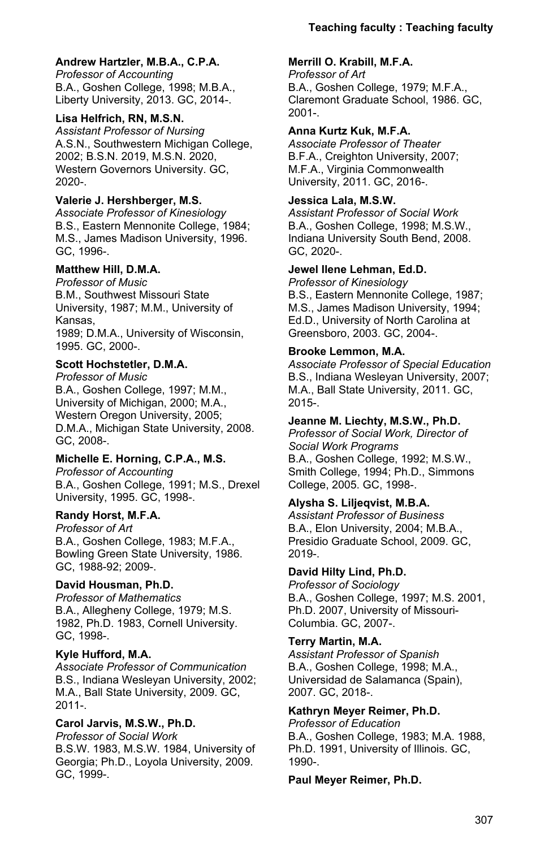## **Andrew Hartzler, M.B.A., C.P.A.**

*Professor of Accounting* B.A., Goshen College, 1998; M.B.A., Liberty University, 2013. GC, 2014-.

## **Lisa Helfrich, RN, M.S.N.**

*Assistant Professor of Nursing* A.S.N., Southwestern Michigan College, 2002; B.S.N. 2019, M.S.N. 2020, Western Governors University. GC, 2020-.

## **Valerie J. Hershberger, M.S.**

*Associate Professor of Kinesiology* B.S., Eastern Mennonite College, 1984; M.S., James Madison University, 1996. GC, 1996-.

## **Matthew Hill, D.M.A.**

*Professor of Music* B.M., Southwest Missouri State University, 1987; M.M., University of Kansas,

1989; D.M.A., University of Wisconsin, 1995. GC, 2000-.

## **Scott Hochstetler, D.M.A.**

*Professor of Music* B.A., Goshen College, 1997; M.M., University of Michigan, 2000; M.A., Western Oregon University, 2005; D.M.A., Michigan State University, 2008. GC, 2008-.

## **Michelle E. Horning, C.P.A., M.S.**

*Professor of Accounting* B.A., Goshen College, 1991; M.S., Drexel University, 1995. GC, 1998-.

## **Randy Horst, M.F.A.**

*Professor of Art* B.A., Goshen College, 1983; M.F.A., Bowling Green State University, 1986. GC, 1988-92; 2009-.

## **David Housman, Ph.D.**

*Professor of Mathematics* B.A., Allegheny College, 1979; M.S. 1982, Ph.D. 1983, Cornell University. GC, 1998-.

## **Kyle Hufford, M.A.**

*Associate Professor of Communication* B.S., Indiana Wesleyan University, 2002; M.A., Ball State University, 2009. GC, 2011-.

## **Carol Jarvis, M.S.W., Ph.D.**

*Professor of Social Work* B.S.W. 1983, M.S.W. 1984, University of Georgia; Ph.D., Loyola University, 2009. GC, 1999-.

## **Merrill O. Krabill, M.F.A.**

*Professor of Art* B.A., Goshen College, 1979; M.F.A., Claremont Graduate School, 1986. GC, 2001-.

## **Anna Kurtz Kuk, M.F.A.**

*Associate Professor of Theater* B.F.A., Creighton University, 2007; M.F.A., Virginia Commonwealth University, 2011. GC, 2016-.

## **Jessica Lala, M.S.W.**

*Assistant Professor of Social Work* B.A., Goshen College, 1998; M.S.W., Indiana University South Bend, 2008. GC, 2020-.

## **Jewel Ilene Lehman, Ed.D.**

*Professor of Kinesiology* B.S., Eastern Mennonite College, 1987; M.S., James Madison University, 1994; Ed.D., University of North Carolina at

## **Brooke Lemmon, M.A.**

Greensboro, 2003. GC, 2004-.

*Associate Professor of Special Education* B.S., Indiana Wesleyan University, 2007; M.A., Ball State University, 2011. GC, 2015-.

## **Jeanne M. Liechty, M.S.W., Ph.D.**

*Professor of Social Work, Director of Social Work Programs* B.A., Goshen College, 1992; M.S.W., Smith College, 1994; Ph.D., Simmons College, 2005. GC, 1998-.

## **Alysha S. Liljeqvist, M.B.A.**

*Assistant Professor of Business* B.A., Elon University, 2004; M.B.A., Presidio Graduate School, 2009. GC, 2019-.

## **David Hilty Lind, Ph.D.**

*Professor of Sociology* B.A., Goshen College, 1997; M.S. 2001, Ph.D. 2007, University of Missouri-Columbia. GC, 2007-.

## **Terry Martin, M.A.**

*Assistant Professor of Spanish* B.A., Goshen College, 1998; M.A., Universidad de Salamanca (Spain), 2007. GC, 2018-.

## **Kathryn Meyer Reimer, Ph.D.**

*Professor of Education* B.A., Goshen College, 1983; M.A. 1988, Ph.D. 1991, University of Illinois. GC, 1990-.

## **Paul Meyer Reimer, Ph.D.**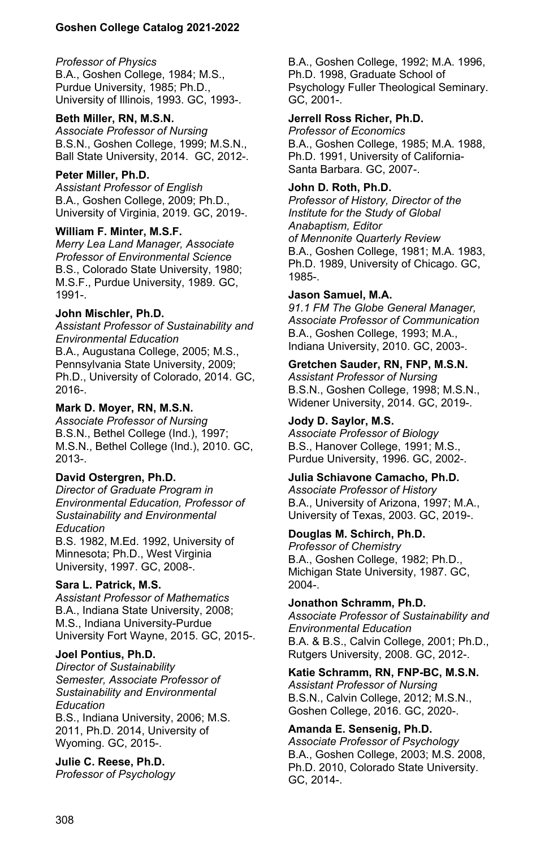#### *Professor of Physics*

B.A., Goshen College, 1984; M.S., Purdue University, 1985; Ph.D., University of Illinois, 1993. GC, 1993-.

#### **Beth Miller, RN, M.S.N.**

*Associate Professor of Nursing* B.S.N., Goshen College, 1999; M.S.N., Ball State University, 2014. GC, 2012-.

#### **Peter Miller, Ph.D.**

*Assistant Professor of English* B.A., Goshen College, 2009; Ph.D., University of Virginia, 2019. GC, 2019-.

#### **William F. Minter, M.S.F.**

*Merry Lea Land Manager, Associate Professor of Environmental Science* B.S., Colorado State University, 1980; M.S.F., Purdue University, 1989. GC, 1991-.

#### **John Mischler, Ph.D.**

*Assistant Professor of Sustainability and Environmental Education* B.A., Augustana College, 2005; M.S., Pennsylvania State University, 2009; Ph.D., University of Colorado, 2014. GC, 2016-.

#### **Mark D. Moyer, RN, M.S.N.**

*Associate Professor of Nursing* B.S.N., Bethel College (Ind.), 1997; M.S.N., Bethel College (Ind.), 2010. GC, 2013-.

#### **David Ostergren, Ph.D.**

*Director of Graduate Program in Environmental Education, Professor of Sustainability and Environmental Education*

B.S. 1982, M.Ed. 1992, University of Minnesota; Ph.D., West Virginia University, 1997. GC, 2008-.

#### **Sara L. Patrick, M.S.**

*Assistant Professor of Mathematics* B.A., Indiana State University, 2008; M.S., Indiana University-Purdue University Fort Wayne, 2015. GC, 2015-.

#### **Joel Pontius, Ph.D.**

*Director of Sustainability Semester, Associate Professor of Sustainability and Environmental Education*

B.S., Indiana University, 2006; M.S. 2011, Ph.D. 2014, University of Wyoming. GC, 2015-.

#### **Julie C. Reese, Ph.D.**

*Professor of Psychology*

B.A., Goshen College, 1992; M.A. 1996, Ph.D. 1998, Graduate School of Psychology Fuller Theological Seminary. GC, 2001-.

#### **Jerrell Ross Richer, Ph.D.**

*Professor of Economics* B.A., Goshen College, 1985; M.A. 1988, Ph.D. 1991, University of California-Santa Barbara. GC, 2007-.

#### **John D. Roth, Ph.D.**

*Professor of History, Director of the Institute for the Study of Global Anabaptism, Editor of Mennonite Quarterly Review* B.A., Goshen College, 1981; M.A. 1983, Ph.D. 1989, University of Chicago. GC, 1985-.

#### **Jason Samuel, M.A.**

*91.1 FM The Globe General Manager, Associate Professor of Communication* B.A., Goshen College, 1993; M.A., Indiana University, 2010. GC, 2003-.

#### **Gretchen Sauder, RN, FNP, M.S.N.**

*Assistant Professor of Nursing* B.S.N., Goshen College, 1998; M.S.N., Widener University, 2014. GC, 2019-.

#### **Jody D. Saylor, M.S.**

*Associate Professor of Biology* B.S., Hanover College, 1991; M.S., Purdue University, 1996. GC, 2002-.

## **Julia Schiavone Camacho, Ph.D.**

*Associate Professor of History* B.A., University of Arizona, 1997; M.A., University of Texas, 2003. GC, 2019-.

## **Douglas M. Schirch, Ph.D.**

*Professor of Chemistry* B.A., Goshen College, 1982; Ph.D., Michigan State University, 1987. GC, 2004-.

#### **Jonathon Schramm, Ph.D.**

*Associate Professor of Sustainability and Environmental Education* B.A. & B.S., Calvin College, 2001; Ph.D., Rutgers University, 2008. GC, 2012-.

#### **Katie Schramm, RN, FNP-BC, M.S.N.**

*Assistant Professor of Nursing* B.S.N., Calvin College, 2012; M.S.N., Goshen College, 2016. GC, 2020-.

## **Amanda E. Sensenig, Ph.D.**

*Associate Professor of Psychology* B.A., Goshen College, 2003; M.S. 2008, Ph.D. 2010, Colorado State University. GC, 2014-.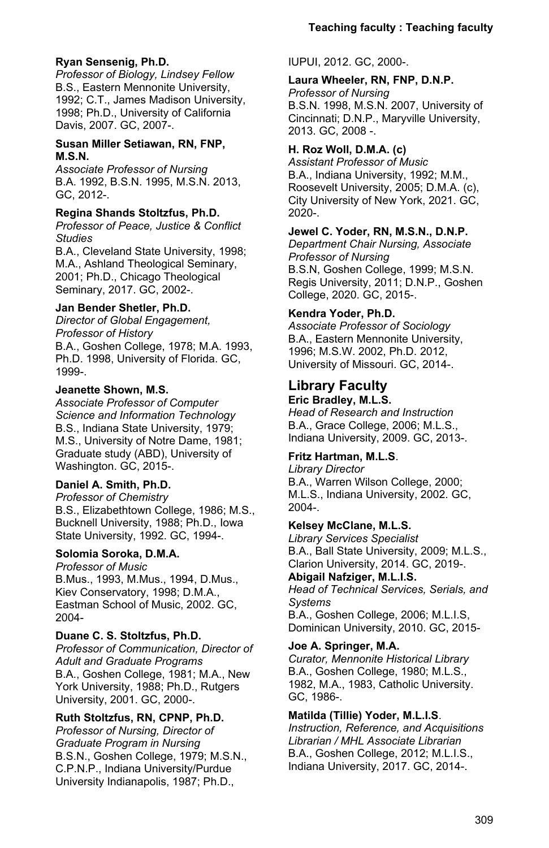### **Ryan Sensenig, Ph.D.**

*Professor of Biology, Lindsey Fellow* B.S., Eastern Mennonite University, 1992; C.T., James Madison University, 1998; Ph.D., University of California Davis, 2007. GC, 2007-.

#### **Susan Miller Setiawan, RN, FNP, M.S.N.**

*Associate Professor of Nursing* B.A. 1992, B.S.N. 1995, M.S.N. 2013, GC, 2012-.

#### **Regina Shands Stoltzfus, Ph.D.**

*Professor of Peace, Justice & Conflict Studies*

B.A., Cleveland State University, 1998; M.A., Ashland Theological Seminary, 2001; Ph.D., Chicago Theological Seminary, 2017. GC, 2002-.

### **Jan Bender Shetler, Ph.D.**

*Director of Global Engagement, Professor of History* B.A., Goshen College, 1978; M.A. 1993,

Ph.D. 1998, University of Florida. GC, 1999-.

### **Jeanette Shown, M.S.**

*Associate Professor of Computer Science and Information Technology* B.S., Indiana State University, 1979; M.S., University of Notre Dame, 1981; Graduate study (ABD), University of Washington. GC, 2015-.

## **Daniel A. Smith, Ph.D.**

*Professor of Chemistry* B.S., Elizabethtown College, 1986; M.S., Bucknell University, 1988; Ph.D., Iowa State University, 1992. GC, 1994-.

## **Solomia Soroka, D.M.A.**

*Professor of Music* B.Mus., 1993, M.Mus., 1994, D.Mus., Kiev Conservatory, 1998; D.M.A., Eastman School of Music, 2002. GC, 2004-

#### **Duane C. S. Stoltzfus, Ph.D.**

*Professor of Communication, Director of Adult and Graduate Programs* B.A., Goshen College, 1981; M.A., New York University, 1988; Ph.D., Rutgers University, 2001. GC, 2000-.

## **Ruth Stoltzfus, RN, CPNP, Ph.D.**

*Professor of Nursing, Director of Graduate Program in Nursing* B.S.N., Goshen College, 1979; M.S.N., C.P.N.P., Indiana University/Purdue University Indianapolis, 1987; Ph.D.,

IUPUI, 2012. GC, 2000-.

#### **Laura Wheeler, RN, FNP, D.N.P.**

*Professor of Nursing* B.S.N. 1998, M.S.N. 2007, University of Cincinnati; D.N.P., Maryville University, 2013. GC, 2008 -.

## **H. Roz Woll, D.M.A. (c)**

*Assistant Professor of Music* B.A., Indiana University, 1992; M.M., Roosevelt University, 2005; D.M.A. (c), City University of New York, 2021. GC, 2020-.

#### **Jewel C. Yoder, RN, M.S.N., D.N.P.**

*Department Chair Nursing, Associate Professor of Nursing* B.S.N, Goshen College, 1999; M.S.N. Regis University, 2011; D.N.P., Goshen College, 2020. GC, 2015-.

### **Kendra Yoder, Ph.D.**

*Associate Professor of Sociology* B.A., Eastern Mennonite University, 1996; M.S.W. 2002, Ph.D. 2012, University of Missouri. GC, 2014-.

# **Library Faculty**

**Eric Bradley, M.L.S.** *Head of Research and Instruction* B.A., Grace College, 2006; M.L.S., Indiana University, 2009. GC, 2013-.

## **Fritz Hartman, M.L.S**.

*Library Director* B.A., Warren Wilson College, 2000; M.L.S., Indiana University, 2002. GC, 2004-.

## **Kelsey McClane, M.L.S.**

*Library Services Specialist* B.A., Ball State University, 2009; M.L.S., Clarion University, 2014. GC, 2019-.

## **Abigail Nafziger, M.L.I.S.**

*Head of Technical Services, Serials, and Systems*

B.A., Goshen College, 2006; M.L.I.S, Dominican University, 2010. GC, 2015-

## **Joe A. Springer, M.A.**

*Curator, Mennonite Historical Library* B.A., Goshen College, 1980; M.L.S., 1982, M.A., 1983, Catholic University. GC, 1986-.

## **Matilda (Tillie) Yoder, M.L.I.S**.

*Instruction, Reference, and Acquisitions Librarian / MHL Associate Librarian* B.A., Goshen College, 2012; M.L.I.S., Indiana University, 2017. GC, 2014-.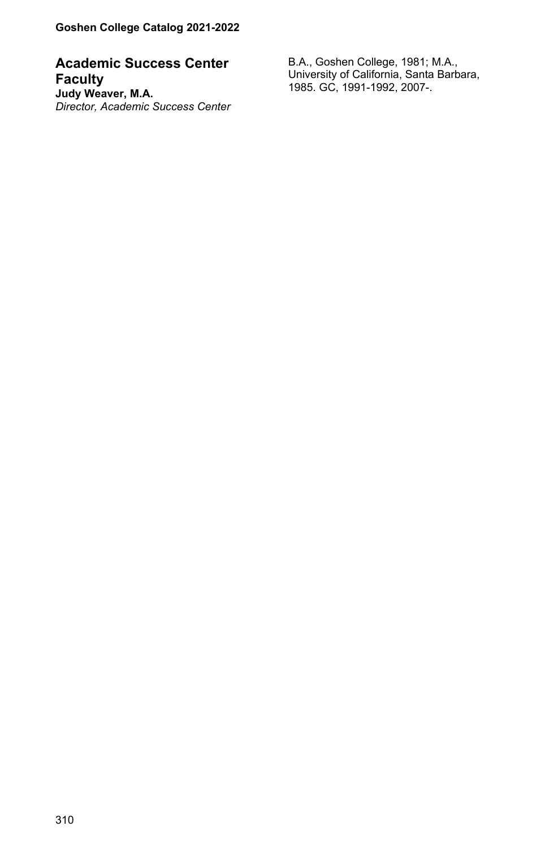**Academic Success Center Faculty Judy Weaver, M.A.** *Director, Academic Success Center*

B.A., Goshen College, 1981; M.A., University of California, Santa Barbara, 1985. GC, 1991-1992, 2007-.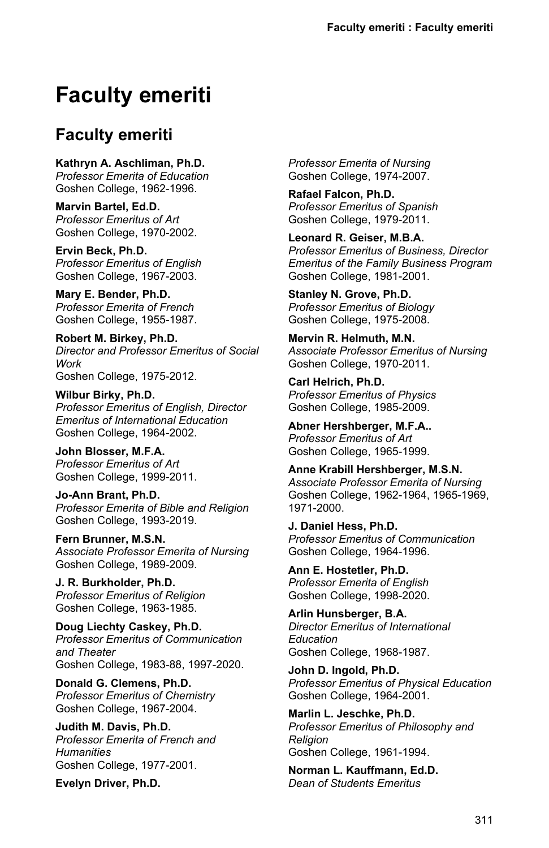# **Faculty emeriti**

# **Faculty emeriti**

**Kathryn A. Aschliman, Ph.D.** *Professor Emerita of Education* Goshen College, 1962-1996.

**Marvin Bartel, Ed.D.** *Professor Emeritus of Art* Goshen College, 1970-2002.

**Ervin Beck, Ph.D.** *Professor Emeritus of English* Goshen College, 1967-2003.

**Mary E. Bender, Ph.D.** *Professor Emerita of French* Goshen College, 1955-1987.

**Robert M. Birkey, Ph.D.** *Director and Professor Emeritus of Social Work* Goshen College, 1975-2012.

**Wilbur Birky, Ph.D.** *Professor Emeritus of English, Director Emeritus of International Education* Goshen College, 1964-2002.

**John Blosser, M.F.A.** *Professor Emeritus of Art* Goshen College, 1999-2011.

**Jo-Ann Brant, Ph.D.** *Professor Emerita of Bible and Religion* Goshen College, 1993-2019.

**Fern Brunner, M.S.N.** *Associate Professor Emerita of Nursing* Goshen College, 1989-2009.

**J. R. Burkholder, Ph.D.** *Professor Emeritus of Religion* Goshen College, 1963-1985.

**Doug Liechty Caskey, Ph.D.** *Professor Emeritus of Communication and Theater* Goshen College, 1983-88, 1997-2020.

**Donald G. Clemens, Ph.D.** *Professor Emeritus of Chemistry* Goshen College, 1967-2004.

**Judith M. Davis, Ph.D.** *Professor Emerita of French and Humanities* Goshen College, 1977-2001.

**Evelyn Driver, Ph.D.**

*Professor Emerita of Nursing* Goshen College, 1974-2007.

**Rafael Falcon, Ph.D.** *Professor Emeritus of Spanish* Goshen College, 1979-2011.

**Leonard R. Geiser, M.B.A.** *Professor Emeritus of Business, Director Emeritus of the Family Business Program* Goshen College, 1981-2001.

**Stanley N. Grove, Ph.D.** *Professor Emeritus of Biology* Goshen College, 1975-2008.

**Mervin R. Helmuth, M.N.** *Associate Professor Emeritus of Nursing* Goshen College, 1970-2011.

**Carl Helrich, Ph.D.** *Professor Emeritus of Physics* Goshen College, 1985-2009.

**Abner Hershberger, M.F.A..** *Professor Emeritus of Art* Goshen College, 1965-1999.

**Anne Krabill Hershberger, M.S.N.** *Associate Professor Emerita of Nursing* Goshen College, 1962-1964, 1965-1969, 1971-2000.

**J. Daniel Hess, Ph.D.** *Professor Emeritus of Communication* Goshen College, 1964-1996.

**Ann E. Hostetler, Ph.D.** *Professor Emerita of English* Goshen College, 1998-2020.

**Arlin Hunsberger, B.A.** *Director Emeritus of International Education* Goshen College, 1968-1987.

**John D. Ingold, Ph.D.** *Professor Emeritus of Physical Education* Goshen College, 1964-2001.

**Marlin L. Jeschke, Ph.D.** *Professor Emeritus of Philosophy and Religion* Goshen College, 1961-1994.

**Norman L. Kauffmann, Ed.D.** *Dean of Students Emeritus*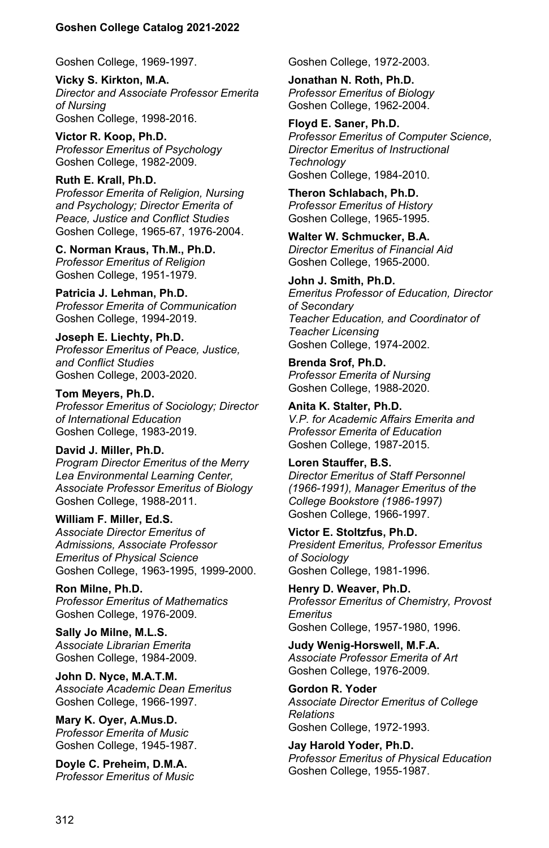Goshen College, 1969-1997.

**Vicky S. Kirkton, M.A.** *Director and Associate Professor Emerita of Nursing* Goshen College, 1998-2016.

**Victor R. Koop, Ph.D.** *Professor Emeritus of Psychology* Goshen College, 1982-2009.

**Ruth E. Krall, Ph.D.** *Professor Emerita of Religion, Nursing and Psychology; Director Emerita of Peace, Justice and Conflict Studies* Goshen College, 1965-67, 1976-2004.

**C. Norman Kraus, Th.M., Ph.D.** *Professor Emeritus of Religion* Goshen College, 1951-1979.

**Patricia J. Lehman, Ph.D.** *Professor Emerita of Communication* Goshen College, 1994-2019.

**Joseph E. Liechty, Ph.D.** *Professor Emeritus of Peace, Justice, and Conflict Studies* Goshen College, 2003-2020.

**Tom Meyers, Ph.D.** *Professor Emeritus of Sociology; Director of International Education* Goshen College, 1983-2019.

**David J. Miller, Ph.D.** *Program Director Emeritus of the Merry Lea Environmental Learning Center, Associate Professor Emeritus of Biology* Goshen College, 1988-2011.

**William F. Miller, Ed.S.** *Associate Director Emeritus of Admissions, Associate Professor Emeritus of Physical Science* Goshen College, 1963-1995, 1999-2000.

**Ron Milne, Ph.D.** *Professor Emeritus of Mathematics* Goshen College, 1976-2009.

**Sally Jo Milne, M.L.S.** *Associate Librarian Emerita* Goshen College, 1984-2009.

**John D. Nyce, M.A.T.M.** *Associate Academic Dean Emeritus* Goshen College, 1966-1997.

**Mary K. Oyer, A.Mus.D.** *Professor Emerita of Music* Goshen College, 1945-1987.

**Doyle C. Preheim, D.M.A.** *Professor Emeritus of Music* Goshen College, 1972-2003.

**Jonathan N. Roth, Ph.D.** *Professor Emeritus of Biology* Goshen College, 1962-2004.

**Floyd E. Saner, Ph.D.** *Professor Emeritus of Computer Science, Director Emeritus of Instructional Technology* Goshen College, 1984-2010.

**Theron Schlabach, Ph.D.** *Professor Emeritus of History* Goshen College, 1965-1995.

**Walter W. Schmucker, B.A.** *Director Emeritus of Financial Aid* Goshen College, 1965-2000.

**John J. Smith, Ph.D.** *Emeritus Professor of Education, Director of Secondary Teacher Education, and Coordinator of Teacher Licensing* Goshen College, 1974-2002.

**Brenda Srof, Ph.D.** *Professor Emerita of Nursing* Goshen College, 1988-2020.

**Anita K. Stalter, Ph.D.** *V.P. for Academic Affairs Emerita and Professor Emerita of Education* Goshen College, 1987-2015.

**Loren Stauffer, B.S.** *Director Emeritus of Staff Personnel (1966-1991), Manager Emeritus of the College Bookstore (1986-1997)* Goshen College, 1966-1997.

**Victor E. Stoltzfus, Ph.D.** *President Emeritus, Professor Emeritus of Sociology* Goshen College, 1981-1996.

**Henry D. Weaver, Ph.D.** *Professor Emeritus of Chemistry, Provost Emeritus* Goshen College, 1957-1980, 1996.

**Judy Wenig-Horswell, M.F.A.** *Associate Professor Emerita of Art* Goshen College, 1976-2009.

**Gordon R. Yoder** *Associate Director Emeritus of College Relations* Goshen College, 1972-1993.

**Jay Harold Yoder, Ph.D.** *Professor Emeritus of Physical Education* Goshen College, 1955-1987.